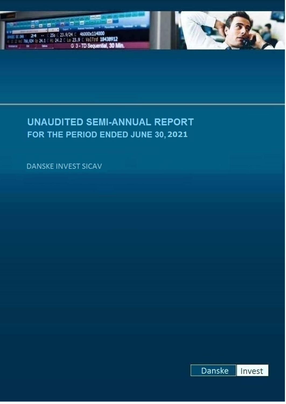



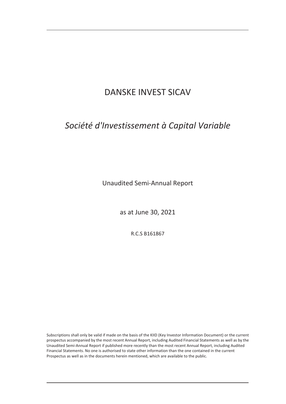# *Société d'Investissement à Capital Variable*

Unaudited Semi-Annual Report

as at June 30, 2021

R.C.S B161867

Subscriptions shall only be valid if made on the basis of the KIID (Key Investor Information Document) or the current prospectus accompanied by the most recent Annual Report, including Audited Financial Statements as well as by the Unaudited Semi-Annual Report if published more recently than the most recent Annual Report, including Audited Financial Statements. No one is authorised to state other information than the one contained in the current Prospectus as well as in the documents herein mentioned, which are available to the public.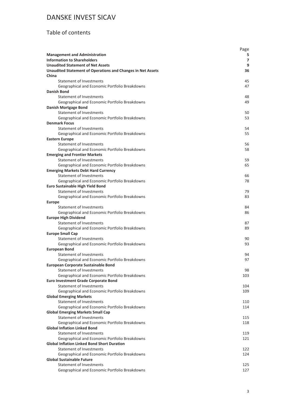#### Table of contents

|                                                                    | Page |
|--------------------------------------------------------------------|------|
| <b>Management and Administration</b>                               | 5.   |
| <b>Information to Shareholders</b>                                 | 7    |
| <b>Unaudited Statement of Net Assets</b>                           | 9    |
| <b>Unaudited Statement of Operations and Changes in Net Assets</b> | 36   |
| China                                                              |      |
| Statement of Investments                                           | 45   |
| Geographical and Economic Portfolio Breakdowns                     | 47   |
| Danish Bond                                                        |      |
| Statement of Investments                                           | 48   |
| Geographical and Economic Portfolio Breakdowns                     | 49   |
| <b>Danish Mortgage Bond</b>                                        |      |
| Statement of Investments                                           | 50   |
| Geographical and Economic Portfolio Breakdowns                     | 53   |
| <b>Denmark Focus</b>                                               |      |
| Statement of Investments                                           | 54   |
| Geographical and Economic Portfolio Breakdowns                     | 55   |
| <b>Eastern Europe</b>                                              |      |
| Statement of Investments                                           | 56   |
| Geographical and Economic Portfolio Breakdowns                     | 58   |
| <b>Emerging and Frontier Markets</b>                               |      |
| Statement of Investments                                           | 59   |
| Geographical and Economic Portfolio Breakdowns                     | 65   |
| <b>Emerging Markets Debt Hard Currency</b>                         |      |
| <b>Statement of Investments</b>                                    | 66   |
| Geographical and Economic Portfolio Breakdowns                     | 78   |
| <b>Euro Sustainable High Yield Bond</b>                            |      |
| <b>Statement of Investments</b>                                    | 79   |
| Geographical and Economic Portfolio Breakdowns                     | 83   |
| <b>Europe</b>                                                      |      |
| Statement of Investments                                           | 84   |
| Geographical and Economic Portfolio Breakdowns                     | 86   |
| <b>Europe High Dividend</b>                                        |      |
| Statement of Investments                                           | 87   |
| Geographical and Economic Portfolio Breakdowns                     | 89   |
| <b>Europe Small Cap</b>                                            |      |
| Statement of Investments                                           | 90   |
| Geographical and Economic Portfolio Breakdowns                     | 93   |
| <b>European Bond</b>                                               |      |
| <b>Statement of Investments</b>                                    | 94   |
| Geographical and Economic Portfolio Breakdowns                     | 97   |
| <b>European Corporate Sustainable Bond</b>                         |      |
| Statement of Investments                                           | 98   |
| Geographical and Economic Portfolio Breakdowns                     | 103  |
| <b>Euro Investment Grade Corporate Bond</b>                        |      |
| Statement of Investments                                           | 104  |
| Geographical and Economic Portfolio Breakdowns                     | 109  |
| <b>Global Emerging Markets</b>                                     |      |
| <b>Statement of Investments</b>                                    | 110  |
| Geographical and Economic Portfolio Breakdowns                     | 114  |
| <b>Global Emerging Markets Small Cap</b>                           |      |
| Statement of Investments                                           | 115  |
| Geographical and Economic Portfolio Breakdowns                     | 118  |
| <b>Global Inflation Linked Bond</b>                                |      |
| Statement of Investments                                           | 119  |
| Geographical and Economic Portfolio Breakdowns                     | 121  |
| <b>Global Inflation Linked Bond Short Duration</b>                 |      |
| Statement of Investments                                           | 122  |
| Geographical and Economic Portfolio Breakdowns                     | 124  |
| <b>Global Sustainable Future</b>                                   |      |
| Statement of Investments                                           | 125  |
| Geographical and Economic Portfolio Breakdowns                     | 127  |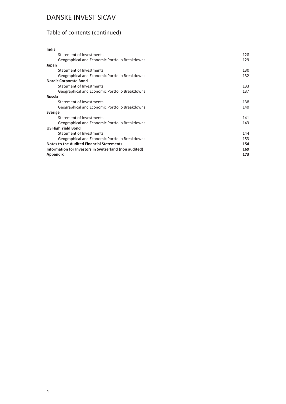# Table of contents (continued)

| India                                                  |     |
|--------------------------------------------------------|-----|
| Statement of Investments                               | 128 |
| Geographical and Economic Portfolio Breakdowns         | 129 |
| Japan                                                  |     |
| Statement of Investments                               | 130 |
| Geographical and Economic Portfolio Breakdowns         | 132 |
| <b>Nordic Corporate Bond</b>                           |     |
| Statement of Investments                               | 133 |
| Geographical and Economic Portfolio Breakdowns         | 137 |
| <b>Russia</b>                                          |     |
| Statement of Investments                               | 138 |
| Geographical and Economic Portfolio Breakdowns         | 140 |
| <b>Sverige</b>                                         |     |
| Statement of Investments                               | 141 |
| Geographical and Economic Portfolio Breakdowns         | 143 |
| US High Yield Bond                                     |     |
| Statement of Investments                               | 144 |
| Geographical and Economic Portfolio Breakdowns         | 153 |
| <b>Notes to the Audited Financial Statements</b>       | 154 |
| Information for Investors in Switzerland (non audited) | 169 |
| Appendix                                               | 173 |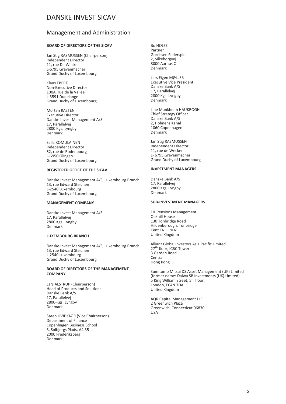#### <span id="page-4-0"></span>Management and Administration

#### **BOARD OF DIRECTORS OF THE SICAV**

Jan Stig RASMUSSEN (Chairperson) Independent Director 11, rue De Wecker L-6795 Grevenmacher Grand Duchy of Luxembourg

Klaus EBERT Non-Executive Director 100A, rue de la Vallée L-3591 Dudelange Grand Duchy of Luxembourg

Morten RASTEN Executive Director Danske Invest Management A/S 17, Parallelvej 2800 Kgs. Lyngby Denmark

Salla KOMULAINEN Independent Director 52, rue de Rodenbourg L-6950 Olingen Grand Duchy of Luxembourg

#### **REGISTERED OFFICE OF THE SICAV**

Danske Invest Management A/S, Luxembourg Branch 13, rue Edward Steichen L-2540 Luxembourg Grand Duchy of Luxembourg

#### **MANAGEMENT COMPANY**

Danske Invest Management A/S 17, Parallelvej 2800 Kgs. Lyngby Denmark

#### **LUXEMBOURG BRANCH**

Danske Invest Management A/S, Luxembourg Branch 13, rue Edward Steichen L-2540 Luxembourg Grand Duchy of Luxembourg

#### **BOARD OF DIRECTORS OF THE MANAGEMENT COMPANY**

Lars ALSTRUP (Chairperson) Head of Products and Solutions Danske Bank A/S 17, Parallelvej 2800-Kgs. Lyngby Denmark

Søren HVIDKJÆR (Vice Chairperson) Department of Finance Copenhagen Business School 3, Solbjergs Plads, A4.35 2000 Frederiksberg Denmark

Bo HOLSE Partner Gorrissen Federspiel 2, Silkeborgvej 8000 Aarhus C Denmark

Lars Eigen MØLLER Executive Vice President Danske Bank A/S 17, Parallelvej 2800 Kgs. Lyngby Denmark

Line Munkholm HAUKROGH Chief Strategy Officer Danske Bank A/S 2, Holmens Kanal 1060 Copenhagen Denmark

Jan Stig RASMUSSEN Independent Director 11, rue de Wecker L- 6795 Grevenmacher Grand Duchy of Luxembourg

#### **INVESTMENT MANAGERS**

Danske Bank A/S 17, Parallelvej 2800 Kgs. Lyngby Denmark

#### **SUB-INVESTMENT MANAGERS**

FIL Pensions Management Oakhill House 130 Tonbridge Road Hildenborough, Tonbridge Kent TN11 9DZ United Kingdom

Allianz Global Investors Asia Pacific Limited 27<sup>th</sup> floor, ICBC Tower 3 Garden Road Central Hong Kong

Sumitomo Mitsui DS Asset Management (UK) Limited (former name: Daiwa SB Investments (UK) Limited) 5 King William Street, 5<sup>th</sup> floor, London, EC4N 7DA United Kingdom

AQR Capital Management LLC 2 Greenwich Plaza Greenwich, Connecticut 06830 USA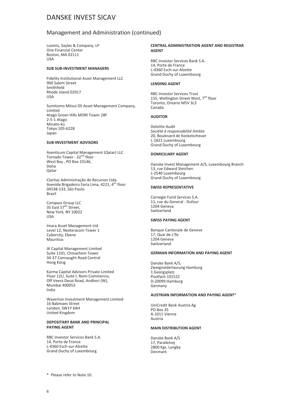#### Management and Administration (continued)

Loomis, Sayles & Company, LP One Financial Center Boston, MA 02111 USA

#### **SUB SUB-INVESTMENT MANAGERS**

Fidelity Institutional Asset Management LLC 900 Salem Street Smithfield Rhode Island 02917 USA

Sumitomo Mitsui DS Asset Management Company, Limited Atago Green Hills MORI Tower 28F 2-5-1 Atago Minato-ku Tokyo 105-6228 Japan

#### **SUB-INVESTMENT ADVISORS**

Aventicum Capital Management (Qatar) LLC Tornado Tower - 32<sup>nd</sup> floor West Bay , PO Box 23146, Doha Qatar

Claritas Administração de Recursos Ltda. Avenida Brigadeiro Faria Lima, 4221, 4<sup>th</sup> floor 04538-133, São Paulo Brazil

Compass Group LLC 35 East 57<sup>th</sup> Street. New York, NY 10022 USA

Imara Asset Management Ltd Level 12, Nexteracom Tower 1 Cybercity, Ebene Mauritius

JK Capital Management Limited Suite 1101, Chinachem Tower 34-37 Connaught Road Central Hong Kong

Karma Capital Advisors Private Limited Floor 12U, Suite I, Remi Commercio, Off Veera Desai Road, Andheri (W), Mumbai 400053 India

Waverton Investment Management Limited 16 Babmaes Street London, SW1Y 6AH United Kingdom

#### **DEPOSITARY BANK AND PRINCIPAL PAYING AGENT**

RBC Investor Services Bank S.A. 14, Porte de France L-4360 Esch-sur-Alzette Grand Duchy of Luxembourg

#### **CENTRAL ADMINISTRATION AGENT AND REGISTRAR AGENT**

RBC Investor Services Bank S.A. 14, Porte de France L-4360 Esch-sur-Alzette Grand Duchy of Luxembourg

#### **LENDING AGENT**

RBC Investor Services Trust 155, Wellington Street West, 7<sup>th</sup> floor Toronto, Ontario M5V 3L3 Canada

#### **AUDITOR**

Deloitte Audit *Société à responsabilité limitée* 20, Boulevard de Kockelscheuer L-1821 Luxembourg Grand Duchy of Luxembourg

#### **DOMICILIARY AGENT**

Danske Invest Management A/S, Luxembourg Branch 13, rue Edward Steichen L-2540 Luxembourg Grand Duchy of Luxembourg

#### **SWISS REPRESENTATIVE**

Carnegie Fund Services S.A. 11, rue du General - Dufour 1204 Geneva Switzerland

#### **SWISS PAYING AGENT**

Banque Cantonale de Geneve 17, Quai de L'lle 1204 Geneva Switzerland

#### **GERMAN INFORMATION AND PAYING AGENT**

Danske Bank A/S, Zweigniederlassung Hamburg 1 Georgsplatz Postfach 101522 D-20099 Hamburg Germany

#### **AUSTRIAN INFORMATION AND PAYING AGENT**\*

UniCredit Bank Austria Ag PO Box 35 A-1011 Vienna Austria

#### **MAIN DISTRIBUTION AGENT**

Danske Bank A/S 17, Parallelvej 2800 Kgs. Lyngby Denmark

\* Please refer to Note 10.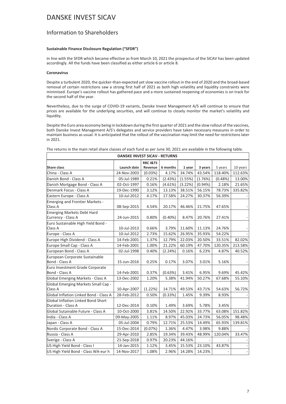#### <span id="page-6-0"></span>Information to Shareholders

#### **Sustainable Finance Disclosure Regulation ("SFDR")**

In line with the SFDR which became effective as from March 10, 2021 the prospectus of the SICAV has been updated accordingly. All the funds have been classified as either article 6 or article 8.

#### **Coronavirus**

Despite a turbulent 2020, the quicker-than-expected yet slow vaccine rollout in the end of 2020 and the broad-based removal of certain restrictions saw a strong first half of 2021 as both high volatility and liquidity constraints were minimised. Europe's vaccine rollout has gathered pace and a more sustained reopening of economies is on track for the second half of the year.

Nevertheless, due to the surge of COVID-19 variants, Danske Invest Management A/S will continue to ensure that prices are available for the underlying securities, and will continue to closely monitor the market's volatility and liquidity.

Despite the Euro area economy being in lockdown during the first quarter of 2021 and the slow rollout of the vaccines, both Danske Invest Management A/S's delegates and service providers have taken necessary measures in order to maintain business as usual. It is anticipated that the rollout of the vaccination may limit the need for restrictions later in 2021.

| <b>DANSKE INVEST SICAV - RETURNS</b>                     |             |                                |            |         |         |         |                          |
|----------------------------------------------------------|-------------|--------------------------------|------------|---------|---------|---------|--------------------------|
| <b>Share class</b>                                       | Launch date | <b>RBC I&amp;TS</b><br>Revenue | 6 months   | 1 year  | 3 years | 5 years | 10 years                 |
| China - Class A                                          | 24-Nov-2003 | (0.03%)                        | 4.17%      | 34.74%  | 43.54%  | 118.40% | 112.63%                  |
| Danish Bond - Class A                                    | 05-Jul-1989 | 0.21%                          | (2.43%)    | (1.55%) | (1.76%) | (0.48%) | 13.00%                   |
| Danish Mortgage Bond - Class A                           | 02-Oct-1997 | 0.16%                          | (4.61%)    | (3.22%) | (0.94%) | 2.18%   | 21.65%                   |
| Denmark Focus - Class A                                  | 19-Dec-1990 | 3.12%                          | 13.13%     | 38.51%  | 56.15%  | 78.73%  | 335.82%                  |
| Eastern Europe - Class A                                 | 10-Jul-2012 | 4.17%                          | 17.58%     | 24.27%  | 30.37%  | 56.39%  |                          |
| Emerging and Frontier Markets -<br>Class A               | 08-Sep-2015 | 4.54%                          | 20.17%     | 46.46%  | 21.75%  | 47.65%  |                          |
| Emerging Markets Debt Hard<br>Currency - Class A         | 24-Jun-2015 | 0.80%                          | $(0.40\%)$ | 8.47%   | 20.76%  | 27.41%  |                          |
| Euro Sustainable High Yield Bond -<br>Class A            | 10-Jul-2013 | 0.66%                          | 3.79%      | 11.60%  | 11.13%  | 24.76%  |                          |
| Europe - Class A                                         | 10-Jul-2012 | 2.73%                          | 15.62%     | 26.95%  | 35.93%  | 54.22%  |                          |
| Europe High Dividend - Class A                           | 14-Feb-2001 | 1.37%                          | 12.79%     | 22.03%  | 20.50%  | 33.51%  | 82.02%                   |
| Europe Small Cap - Class A                               | 14-Feb-2001 | 1.00%                          | 21.22%     | 60.19%  | 47.70%  | 120.35% | 213.58%                  |
| European Bond - Class A                                  | 02-Jul-1998 | 0.40%                          | (2.24%)    | 0.16%   | 6.23%   | 4.87%   | 40.52%                   |
| European Corporate Sustainable<br>Bond - Class A         | 15-Jun-2016 | 0.25%                          | 0.17%      | 3.07%   | 3.01%   | 5.16%   |                          |
| Euro Investment Grade Corporate<br>Bond - Class A        | 14-Feb-2001 | 0.37%                          | (0.63%)    | 3.41%   | 6.95%   | 9.69%   | 45.42%                   |
| Global Emerging Markets - Class A                        | 13-Dec-2002 | 1.20%                          | 5.38%      | 41.94%  | 50.27%  | 67.68%  | 55.10%                   |
| Global Emerging Markets Small Cap -<br>Class A           | 10-Apr-2007 | (1.22%)                        | 14.71%     | 49.53%  | 43.71%  | 54.63%  | 56.72%                   |
| Global Inflation Linked Bond - Class A                   | 28-Feb-2012 | 0.50%                          | (0.33%)    | 1.45%   | 9.39%   | 8.93%   |                          |
| Global Inflation Linked Bond Short<br>Duration - Class A | 12-Dec-2014 | 0.10%                          | 1.49%      | 3.69%   | 5.78%   | 3.45%   |                          |
| Global Sutainable Future - Class A                       | 10-Oct-2000 | 3.81%                          | 14.50%     | 22.92%  | 33.77%  | 63.08%  | 151.82%                  |
| India - Class A                                          | 09-May-2005 | 1.11%                          | 8.97%      | 45.03%  | 24.73%  | 56.05%  | 98.48%                   |
| Japan - Class A                                          | 05-Jul-2004 | 0.79%                          | 12.71%     | 25.53%  | 14.49%  | 65.93%  | 139.81%                  |
| Nordic Corporate Bond - Class A                          | 15-Dec-2014 | (0.07%)                        | 1.36%      | 4.47%   | 3.98%   | 9.88%   |                          |
| Russia - Class A                                         | 29-Apr-2010 | 2.85%                          | 19.34%     | 39.43%  | 48.99%  | 120.04% | 33.47%                   |
| Sverige - Class A                                        | 21-Sep-2018 | 0.97%                          | 20.23%     | 44.16%  |         |         |                          |
| US High Yield Bond - Class I                             | 14-Jan-2015 | 1.12%                          | 3.45%      | 15.53%  | 23.10%  | 43.87%  |                          |
| US High Yield Bond - Class WA-eur h                      | 14-Nov-2017 | 1.08%                          | 2.96%      | 14.28%  | 14.23%  |         | $\overline{\phantom{a}}$ |

The returns in the main retail share classes of each fund as per June 30, 2021 are available in the following table.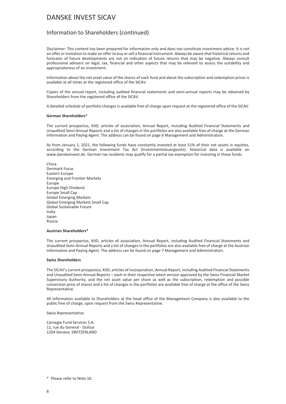#### Information to Shareholders (continued)

Disclaimer: This content has been prepared for information only and does not constitute investment advice. It is not an offer or invitation to make an offer to buy or sell a financial instrument. Always be aware that historical returns and forecasts of future developments are not an indication of future returns that may be negative. Always consult professional advisers on legal, tax, financial and other aspects that may be relevant to assess the suitability and appropriateness of an investment.

Information about the net asset value of the shares of each fund and about the subscription and redemption prices is available at all times at the registered office of the SICAV.

Copies of the annual report, including audited financial statements and semi-annual reports may be obtained by Shareholders from the registered office of the SICAV.

A detailed schedule of portfolio changes is available free of charge upon request at the registered office of the SICAV.

#### **German Shareholders**\*

The current prospectus, KIID, articles of association, Annual Report, including Audited Financial Statements and Unaudited Semi-Annual Reports and a list of changes in the portfolios are also available free of charge at the German Information and Paying Agent. The address can be found on page 6 Management and Administration.

As from January 1, 2021, the following funds have constantly invested at least 51% of their net assets in equities, according to the German Investment Tax Act (Investmentsteuergesetz). Historical data is available on www.danskeinvest.de. German tax residents may qualify for a partial tax exemption for investing in these funds.

China Denmark Focus Eastern Europe Emerging and Frontier Markets Europe Europe High Dividend Europe Small Cap Global Emerging Markets Global Emerging Markets Small Cap Global Sustainable Future India Japan Russia

#### **Austrian Shareholders\***

The current prospectus, KIID, articles of association, Annual Report, including Audited Financial Statements and Unaudited Semi-Annual Reports and a list of changes in the portfolios are also available free of charge at the Austrian Information and Paying Agent. The address can be found on page 7 Management and Administration.

#### **Swiss Shareholders**

The SICAV's current prospectus, KIID, articles of incorporation, Annual Report, including Audited Financial Statements and Unaudited Semi-Annual Reports – each in their respective latest version approved by the Swiss Financial Market Supervisory Authority, and the net asset value per share as well as the subscription, redemption and possible conversion price of shares and a list of changes in the portfolios are available free of charge at the office of the Swiss Representative.

All information available to Shareholders at the head office of the Management Company is also available to the public free of charge, upon request from the Swiss Representative.

Swiss Representative:

Carnegie Fund Services S.A. 11, rue du General - Dufour 1204 Geneva, SWITZERLAND

<sup>\*</sup> Please refer to Note 10.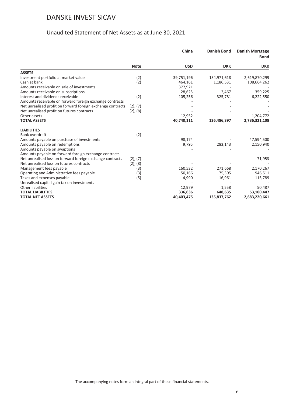#### Unaudited Statement of Net Assets as at June 30, 2021

<span id="page-8-0"></span>

|                                                             |             | China      | <b>Danish Bond</b> | <b>Danish Mortgage</b><br><b>Bond</b> |
|-------------------------------------------------------------|-------------|------------|--------------------|---------------------------------------|
|                                                             | <b>Note</b> | <b>USD</b> | <b>DKK</b>         | <b>DKK</b>                            |
| <b>ASSETS</b>                                               |             |            |                    |                                       |
| Investment portfolio at market value                        | (2)         | 39,751,196 | 134,971,618        | 2,619,870,299                         |
| Cash at bank                                                | (2)         | 464,161    | 1,186,531          | 108,664,262                           |
| Amounts receivable on sale of investments                   |             | 377,921    |                    |                                       |
| Amounts receivable on subscriptions                         |             | 28,625     | 2,467              | 359,225                               |
| Interest and dividends receivable                           | (2)         | 105,256    | 325,781            | 6,222,550                             |
| Amounts receivable on forward foreign exchange contracts    |             |            |                    |                                       |
| Net unrealised profit on forward foreign exchange contracts | (2), (7)    |            |                    |                                       |
| Net unrealised profit on futures contracts                  | (2), (8)    |            |                    |                                       |
| Other assets                                                |             | 12,952     |                    | 1,204,772                             |
| <b>TOTAL ASSETS</b>                                         |             | 40,740,111 | 136,486,397        | 2,736,321,108                         |
| <b>LIABILITIES</b>                                          |             |            |                    |                                       |
| Bank overdraft                                              | (2)         |            |                    |                                       |
| Amounts payable on purchase of investments                  |             | 98,174     |                    | 47,594,500                            |
| Amounts payable on redemptions                              |             | 9,795      | 283,143            | 2,150,940                             |
| Amounts payable on swaptions                                |             |            |                    |                                       |
| Amounts payable on forward foreign exchange contracts       |             |            |                    |                                       |
| Net unrealised loss on forward foreign exchange contracts   | (2), (7)    |            |                    | 71,953                                |
| Net unrealised loss on futures contracts                    | (2), (8)    |            |                    |                                       |
| Management fees payable                                     | (3)         | 160,532    | 271,668            | 2,170,267                             |
| Operating and Administrative fees payable                   | (3)         | 50,166     | 75,305             | 946,511                               |
| Taxes and expenses payable                                  | (5)         | 4,990      | 16,961             | 115,789                               |
| Unrealised capital gain tax on investments                  |             |            |                    |                                       |
| <b>Other liabilities</b>                                    |             | 12,979     | 1,558              | 50,487                                |
| <b>TOTAL LIABILITIES</b>                                    |             | 336,636    | 648,635            | 53,100,447                            |
| <b>TOTAL NET ASSETS</b>                                     |             | 40,403,475 | 135,837,762        | 2,683,220,661                         |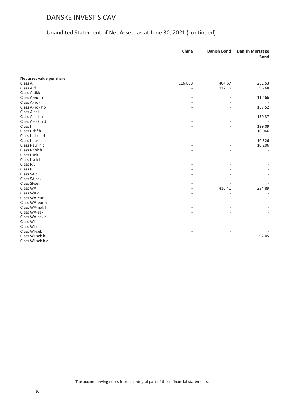|                           | China   | <b>Danish Bond</b> | <b>Danish Mortgage</b><br><b>Bond</b> |
|---------------------------|---------|--------------------|---------------------------------------|
|                           |         |                    |                                       |
| Net asset value per share |         |                    |                                       |
| Class A                   | 116.853 | 404.67             | 231.53                                |
| Class A d                 |         | 112.16             | 96.68                                 |
| Class A-dkk               |         |                    |                                       |
| Class A-eur h             |         |                    | 11.466                                |
| Class A-nok               |         |                    |                                       |
| Class A-nok hp            |         |                    | 187.52                                |
| Class A-sek               |         |                    |                                       |
| Class A-sek h             |         |                    | 159.37                                |
| Class A-sek h d           |         |                    |                                       |
| Class I                   |         |                    | 129.09                                |
| Class I-chf h             |         |                    | 10.066                                |
| Class I-dkk h d           |         |                    |                                       |
| Class I-eur h             |         |                    | 10.526                                |
| Class I-eur h d           |         |                    | 10.206                                |
| Class I-nok h             |         |                    |                                       |
| Class I-sek               |         |                    |                                       |
| Class I-sek h             |         |                    |                                       |
| Class RA                  |         |                    |                                       |
| Class RI                  |         |                    |                                       |
| Class SA d                |         |                    |                                       |
| Class SA-sek              |         |                    |                                       |
| Class SI-sek              |         |                    |                                       |
| Class WA                  |         | 410.41             | 234.89                                |
| Class WA d                |         |                    |                                       |
| Class WA-eur              |         |                    |                                       |
| Class WA-eur h            |         |                    |                                       |
| Class WA-nok h            |         |                    |                                       |
| Class WA-sek              |         |                    |                                       |
| Class WA-sek h            |         |                    |                                       |
| Class WI                  |         |                    |                                       |
| Class WI-eur              |         |                    |                                       |
| Class WI-sek              |         |                    |                                       |
| Class WI-sek h            |         |                    | 97.45                                 |
| Class WI-sek h d          |         |                    |                                       |
|                           |         |                    |                                       |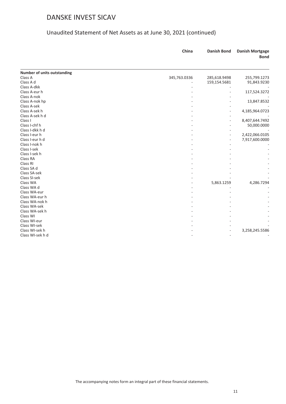|                             | China        | <b>Danish Bond</b> | <b>Danish Mortgage</b><br><b>Bond</b> |
|-----------------------------|--------------|--------------------|---------------------------------------|
| Number of units outstanding |              |                    |                                       |
| Class A                     | 345,763.0336 | 285,618.9498       | 255,799.1273                          |
| Class A d                   |              | 159,154.5681       | 91,843.9230                           |
| Class A-dkk                 |              |                    |                                       |
| Class A-eur h               |              |                    | 117,524.3272                          |
| Class A-nok                 |              |                    |                                       |
| Class A-nok hp              |              |                    | 13,847.8532                           |
| Class A-sek                 |              |                    |                                       |
| Class A-sek h               |              |                    | 4,185,964.0723                        |
| Class A-sek h d             |              |                    |                                       |
| Class I                     |              |                    | 8,407,644.7492                        |
| Class I-chf h               |              |                    | 50,000.0000                           |
| Class I-dkk h d             |              |                    |                                       |
| Class I-eur h               |              |                    | 2,422,066.0105                        |
| Class I-eur h d             |              |                    | 7,917,600.0000                        |
| Class I-nok h               |              |                    |                                       |
| Class I-sek                 |              |                    |                                       |
| Class I-sek h               |              |                    |                                       |
| Class RA                    |              |                    |                                       |
| Class RI                    |              |                    |                                       |
| Class SA d                  |              |                    |                                       |
| Class SA-sek                |              |                    |                                       |
| Class SI-sek                |              |                    |                                       |
| Class WA                    |              | 5,863.1259         | 4,286.7294                            |
| Class WA d                  |              |                    |                                       |
| Class WA-eur                |              |                    |                                       |
| Class WA-eur h              |              |                    |                                       |
| Class WA-nok h              |              |                    |                                       |
| Class WA-sek                |              |                    |                                       |
| Class WA-sek h              |              |                    |                                       |
| Class WI                    |              |                    |                                       |
| Class WI-eur                |              |                    |                                       |
| Class WI-sek                |              |                    |                                       |
| Class WI-sek h              |              |                    | 3,258,245.5586                        |
| Class WI-sek h d            |              |                    |                                       |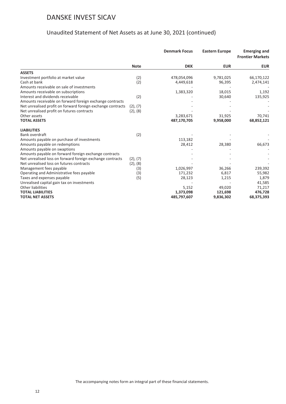|                                                             |               | <b>Denmark Focus</b> | <b>Eastern Europe</b> | <b>Emerging and</b><br><b>Frontier Markets</b> |
|-------------------------------------------------------------|---------------|----------------------|-----------------------|------------------------------------------------|
|                                                             | <b>Note</b>   | <b>DKK</b>           | <b>EUR</b>            | <b>EUR</b>                                     |
| <b>ASSETS</b>                                               |               |                      |                       |                                                |
| Investment portfolio at market value                        | (2)           | 478,054,096          | 9,781,025             | 66,170,122                                     |
| Cash at bank                                                | (2)           | 4,449,618            | 96,395                | 2,474,141                                      |
| Amounts receivable on sale of investments                   |               |                      |                       |                                                |
| Amounts receivable on subscriptions                         |               | 1,383,320            | 18,015                | 1,192                                          |
| Interest and dividends receivable                           | (2)           |                      | 30,640                | 135,925                                        |
| Amounts receivable on forward foreign exchange contracts    |               |                      |                       |                                                |
| Net unrealised profit on forward foreign exchange contracts | (2), (7)      |                      |                       |                                                |
| Net unrealised profit on futures contracts                  | $(2)$ , $(8)$ |                      |                       |                                                |
| Other assets                                                |               | 3,283,671            | 31,925                | 70,741                                         |
| <b>TOTAL ASSETS</b>                                         |               | 487,170,705          | 9,958,000             | 68,852,121                                     |
| <b>LIABILITIES</b>                                          |               |                      |                       |                                                |
| Bank overdraft                                              | (2)           |                      |                       |                                                |
| Amounts payable on purchase of investments                  |               | 113,182              |                       |                                                |
| Amounts payable on redemptions                              |               | 28,412               | 28,380                | 66,673                                         |
| Amounts payable on swaptions                                |               |                      |                       |                                                |
| Amounts payable on forward foreign exchange contracts       |               |                      |                       |                                                |
| Net unrealised loss on forward foreign exchange contracts   | (2), (7)      |                      |                       |                                                |
| Net unrealised loss on futures contracts                    | $(2)$ , $(8)$ |                      |                       |                                                |
| Management fees payable                                     | (3)           | 1,026,997            | 36,266                | 239,392                                        |
| Operating and Administrative fees payable                   | (3)           | 171,232              | 6,817                 | 55,982                                         |
| Taxes and expenses payable                                  | (5)           | 28,123               | 1,215                 | 1,879                                          |
| Unrealised capital gain tax on investments                  |               |                      |                       | 41,585                                         |
| <b>Other liabilities</b>                                    |               | 5,152                | 49,020                | 71,217                                         |
| <b>TOTAL LIABILITIES</b>                                    |               | 1,373,098            | 121,698               | 476,728                                        |
| <b>TOTAL NET ASSETS</b>                                     |               | 485,797,607          | 9,836,302             | 68,375,393                                     |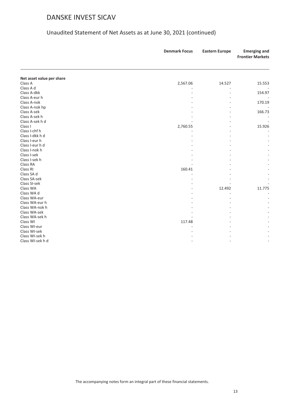|                           | <b>Denmark Focus</b> | <b>Eastern Europe</b> | <b>Emerging and</b><br><b>Frontier Markets</b> |
|---------------------------|----------------------|-----------------------|------------------------------------------------|
|                           |                      |                       |                                                |
| Net asset value per share |                      |                       |                                                |
| Class A                   | 2,567.06             | 14.527                | 15.553                                         |
| Class A d                 |                      |                       |                                                |
| Class A-dkk               |                      |                       | 154.97                                         |
| Class A-eur h             |                      |                       |                                                |
| Class A-nok               |                      |                       | 170.19                                         |
| Class A-nok hp            |                      |                       |                                                |
| Class A-sek               |                      |                       | 166.73                                         |
| Class A-sek h             |                      |                       |                                                |
| Class A-sek h d           |                      |                       |                                                |
| Class I                   | 2,760.55             |                       | 15.926                                         |
| Class I-chf h             |                      |                       |                                                |
| Class I-dkk h d           |                      |                       |                                                |
| Class I-eur h             |                      |                       |                                                |
| Class I-eur h d           |                      |                       |                                                |
| Class I-nok h             |                      |                       |                                                |
| Class I-sek               |                      |                       |                                                |
| Class I-sek h             |                      |                       |                                                |
| Class RA                  |                      |                       |                                                |
| Class RI                  | 160.41               |                       |                                                |
| Class SA d                |                      |                       |                                                |
| Class SA-sek              |                      |                       |                                                |
| Class SI-sek              |                      |                       |                                                |
| Class WA                  |                      | 12.492                | 11.775                                         |
| Class WA d                |                      |                       |                                                |
| Class WA-eur              |                      |                       |                                                |
| Class WA-eur h            |                      |                       |                                                |
| Class WA-nok h            |                      |                       |                                                |
| Class WA-sek              |                      |                       |                                                |
| Class WA-sek h            |                      |                       |                                                |
| Class WI                  | 117.48               |                       |                                                |
| Class WI-eur              |                      |                       |                                                |
| Class WI-sek              |                      |                       |                                                |
| Class WI-sek h            |                      |                       |                                                |
| Class WI-sek h d          |                      |                       |                                                |
|                           |                      |                       |                                                |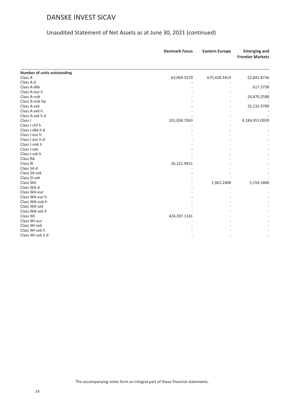|                             | <b>Denmark Focus</b> | <b>Eastern Europe</b> | <b>Emerging and</b><br><b>Frontier Markets</b> |
|-----------------------------|----------------------|-----------------------|------------------------------------------------|
| Number of units outstanding |                      |                       |                                                |
| Class A                     | 63,069.5570          | 675,428.3419          | 52,841.8736                                    |
| Class A d                   |                      |                       |                                                |
| Class A-dkk                 |                      |                       | 617.3738                                       |
| Class A-eur h               |                      |                       |                                                |
| Class A-nok                 |                      |                       | 24,670.2588                                    |
| Class A-nok hp              |                      |                       |                                                |
| Class A-sek                 |                      |                       | 25,132.9789                                    |
| Class A-sek h               |                      |                       |                                                |
| Class A-sek h d             |                      |                       |                                                |
| Class I                     | 101,038.7063         |                       | 4,184,951.0039                                 |
| Class I-chf h               |                      |                       |                                                |
| Class I-dkk h d             |                      |                       |                                                |
| Class I-eur h               |                      |                       |                                                |
| Class I-eur h d             |                      |                       |                                                |
| Class I-nok h               |                      |                       |                                                |
| Class I-sek                 |                      |                       |                                                |
| Class I-sek h               |                      |                       |                                                |
| Class RA                    |                      |                       |                                                |
| Class RI                    | 26,221.9451          |                       |                                                |
| Class SA d                  |                      |                       |                                                |
| Class SA-sek                |                      |                       |                                                |
| Class SI-sek                |                      |                       |                                                |
| Class WA                    |                      | 1,962.2408            | 5,554.1860                                     |
| Class WA d                  |                      |                       |                                                |
| Class WA-eur                |                      |                       |                                                |
| Class WA-eur h              |                      |                       |                                                |
| Class WA-nok h              |                      |                       |                                                |
| Class WA-sek                |                      |                       |                                                |
| Class WA-sek h              |                      |                       |                                                |
| Class WI                    | 424,397.1161         |                       |                                                |
| Class WI-eur                |                      |                       |                                                |
| Class WI-sek                |                      |                       |                                                |
| Class WI-sek h              |                      |                       |                                                |
| Class WI-sek h d            |                      |                       |                                                |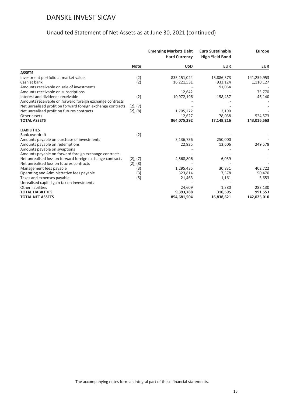|                                                             |             | <b>Emerging Markets Debt</b><br><b>Hard Currency</b> | <b>Euro Sustainable</b><br><b>High Yield Bond</b> | <b>Europe</b> |
|-------------------------------------------------------------|-------------|------------------------------------------------------|---------------------------------------------------|---------------|
|                                                             | <b>Note</b> | <b>USD</b>                                           | <b>EUR</b>                                        | <b>EUR</b>    |
| <b>ASSETS</b>                                               |             |                                                      |                                                   |               |
| Investment portfolio at market value                        | (2)         | 835,151,024                                          | 15,886,373                                        | 141,259,953   |
| Cash at bank                                                | (2)         | 16,221,531                                           | 933,124                                           | 1,110,127     |
| Amounts receivable on sale of investments                   |             |                                                      | 91,054                                            |               |
| Amounts receivable on subscriptions                         |             | 12,642                                               |                                                   | 75,770        |
| Interest and dividends receivable                           | (2)         | 10,972,196                                           | 158,437                                           | 46,140        |
| Amounts receivable on forward foreign exchange contracts    |             |                                                      |                                                   |               |
| Net unrealised profit on forward foreign exchange contracts | (2), (7)    |                                                      |                                                   |               |
| Net unrealised profit on futures contracts                  | (2), (8)    | 1,705,272                                            | 2,190                                             |               |
| Other assets                                                |             | 12,627                                               | 78,038                                            | 524,573       |
| <b>TOTAL ASSETS</b>                                         |             | 864,075,292                                          | 17,149,216                                        | 143,016,563   |
| <b>LIABILITIES</b>                                          |             |                                                      |                                                   |               |
| Bank overdraft                                              | (2)         |                                                      |                                                   |               |
| Amounts payable on purchase of investments                  |             | 3,136,736                                            | 250,000                                           |               |
| Amounts payable on redemptions                              |             | 22,925                                               | 13,606                                            | 249,578       |
| Amounts payable on swaptions                                |             |                                                      |                                                   |               |
| Amounts payable on forward foreign exchange contracts       |             |                                                      |                                                   |               |
| Net unrealised loss on forward foreign exchange contracts   | (2), (7)    | 4,568,806                                            | 6,039                                             |               |
| Net unrealised loss on futures contracts                    | (2), (8)    |                                                      |                                                   |               |
| Management fees payable                                     | (3)         | 1,295,435                                            | 30,831                                            | 402,722       |
| Operating and Administrative fees payable                   | (3)         | 323,814                                              | 7,578                                             | 50,470        |
| Taxes and expenses payable                                  | (5)         | 21,463                                               | 1,161                                             | 5,653         |
| Unrealised capital gain tax on investments                  |             |                                                      |                                                   |               |
| Other liabilities                                           |             | 24,609                                               | 1,380                                             | 283,130       |
| <b>TOTAL LIABILITIES</b>                                    |             | 9,393,788                                            | 310,595                                           | 991,553       |
| <b>TOTAL NET ASSETS</b>                                     |             | 854,681,504                                          | 16,838,621                                        | 142,025,010   |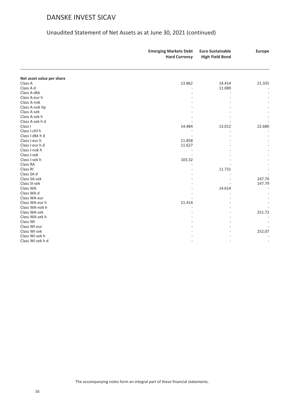|                           | <b>Emerging Markets Debt</b><br><b>Hard Currency</b> | <b>Euro Sustainable</b><br><b>High Yield Bond</b> | <b>Europe</b> |
|---------------------------|------------------------------------------------------|---------------------------------------------------|---------------|
|                           |                                                      |                                                   |               |
| Net asset value per share |                                                      |                                                   |               |
| Class A                   | 13.862                                               | 14.414                                            | 21.335        |
| Class A d                 |                                                      | 11.089                                            |               |
| Class A-dkk               |                                                      |                                                   |               |
| Class A-eur h             |                                                      |                                                   |               |
| Class A-nok               |                                                      |                                                   |               |
| Class A-nok hp            |                                                      |                                                   |               |
| Class A-sek               |                                                      |                                                   |               |
| Class A-sek h             |                                                      |                                                   |               |
| Class A-sek h d           |                                                      |                                                   |               |
| Class I                   | 14.484                                               | 13.012                                            | 22.680        |
| Class I-chf h             |                                                      |                                                   |               |
| Class I-dkk h d           |                                                      |                                                   |               |
| Class I-eur h             | 11.858                                               |                                                   |               |
| Class I-eur h d           | 11.627                                               |                                                   |               |
| Class I-nok h             |                                                      |                                                   |               |
| Class I-sek               |                                                      |                                                   |               |
| Class I-sek h             | 103.32                                               |                                                   |               |
| Class RA                  |                                                      |                                                   |               |
| Class RI                  |                                                      | 11.731                                            |               |
| Class SA d                |                                                      |                                                   |               |
| Class SA-sek              |                                                      |                                                   | 247.76        |
| Class SI-sek              |                                                      |                                                   | 147.79        |
| Class WA                  |                                                      | 14.614                                            |               |
| Class WA d                |                                                      |                                                   |               |
| Class WA-eur              |                                                      |                                                   |               |
| Class WA-eur h            | 11.414                                               |                                                   |               |
| Class WA-nok h            |                                                      |                                                   |               |
| Class WA-sek              |                                                      |                                                   | 251.72        |
| Class WA-sek h            |                                                      |                                                   |               |
| Class WI                  |                                                      |                                                   |               |
| Class WI-eur              |                                                      |                                                   |               |
| Class WI-sek              |                                                      |                                                   | 252.07        |
| Class WI-sek h            |                                                      |                                                   |               |
| Class WI-sek h d          |                                                      |                                                   |               |
|                           |                                                      |                                                   |               |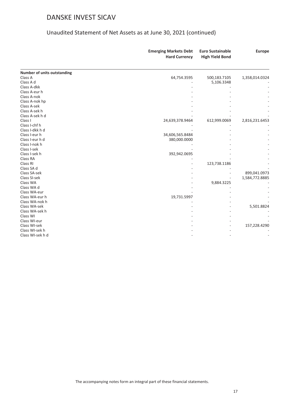|                             | <b>Emerging Markets Debt</b><br><b>Hard Currency</b> | <b>Euro Sustainable</b> | <b>Europe</b>  |
|-----------------------------|------------------------------------------------------|-------------------------|----------------|
|                             |                                                      | <b>High Yield Bond</b>  |                |
| Number of units outstanding |                                                      |                         |                |
| Class A                     | 64,754.3595                                          | 500,183.7105            | 1,358,014.0324 |
| Class A d                   |                                                      | 5,106.3348              |                |
| Class A-dkk                 |                                                      |                         |                |
| Class A-eur h               |                                                      |                         |                |
| Class A-nok                 |                                                      |                         |                |
| Class A-nok hp              |                                                      |                         |                |
| Class A-sek                 |                                                      |                         |                |
| Class A-sek h               |                                                      |                         |                |
| Class A-sek h d             |                                                      |                         |                |
| Class I                     | 24,639,378.9464                                      | 612,999.0069            | 2,816,231.6453 |
| Class I-chf h               |                                                      |                         |                |
| Class I-dkk h d             |                                                      |                         |                |
| Class I-eur h               | 34,606,565.8484                                      |                         |                |
| Class I-eur h d             | 380,000.0000                                         |                         |                |
| Class I-nok h               |                                                      |                         |                |
| Class I-sek                 |                                                      |                         |                |
| Class I-sek h               | 392,942.0695                                         |                         |                |
| Class RA                    |                                                      |                         |                |
| Class RI                    |                                                      | 123,738.1186            |                |
| Class SA d                  |                                                      |                         |                |
| Class SA-sek                |                                                      |                         | 899,041.0973   |
| Class SI-sek                |                                                      |                         | 1,584,772.8885 |
| Class WA                    |                                                      | 9,884.3225              |                |
| Class WA d                  |                                                      |                         |                |
| Class WA-eur                |                                                      |                         |                |
| Class WA-eur h              | 19,731.5997                                          |                         |                |
| Class WA-nok h              |                                                      |                         |                |
| Class WA-sek                |                                                      |                         | 5,501.8824     |
| Class WA-sek h              |                                                      |                         |                |
| Class WI                    |                                                      |                         |                |
| Class WI-eur                |                                                      |                         |                |
| Class WI-sek                |                                                      |                         | 157,228.4290   |
| Class WI-sek h              |                                                      |                         |                |
| Class WI-sek h d            |                                                      |                         |                |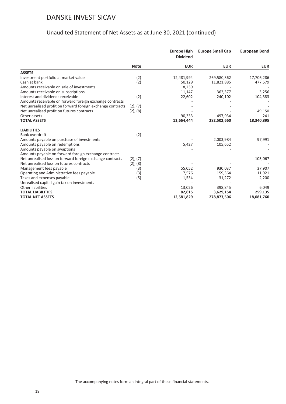|                                                             |               | <b>Europe High</b><br><b>Dividend</b> | <b>Europe Small Cap</b> | <b>European Bond</b> |
|-------------------------------------------------------------|---------------|---------------------------------------|-------------------------|----------------------|
|                                                             | <b>Note</b>   | <b>EUR</b>                            | <b>EUR</b>              | <b>EUR</b>           |
| <b>ASSETS</b>                                               |               |                                       |                         |                      |
| Investment portfolio at market value                        | (2)           | 12,481,994                            | 269,580,362             | 17,706,286           |
| Cash at bank                                                | (2)           | 50,129                                | 11,821,885              | 477,579              |
| Amounts receivable on sale of investments                   |               | 8,239                                 |                         |                      |
| Amounts receivable on subscriptions                         |               | 11,147                                | 362,377                 | 3,256                |
| Interest and dividends receivable                           | (2)           | 22,602                                | 240,102                 | 104,383              |
| Amounts receivable on forward foreign exchange contracts    |               |                                       |                         |                      |
| Net unrealised profit on forward foreign exchange contracts | (2), (7)      |                                       |                         |                      |
| Net unrealised profit on futures contracts                  | (2), (8)      |                                       |                         | 49,150               |
| Other assets                                                |               | 90,333                                | 497,934                 | 241                  |
| <b>TOTAL ASSETS</b>                                         |               | 12,664,444                            | 282,502,660             | 18,340,895           |
| <b>LIABILITIES</b>                                          |               |                                       |                         |                      |
| Bank overdraft                                              | (2)           |                                       |                         |                      |
| Amounts payable on purchase of investments                  |               |                                       | 2,003,984               | 97,991               |
| Amounts payable on redemptions                              |               | 5,427                                 | 105,652                 |                      |
| Amounts payable on swaptions                                |               |                                       |                         |                      |
| Amounts payable on forward foreign exchange contracts       |               |                                       |                         |                      |
| Net unrealised loss on forward foreign exchange contracts   | $(2)$ , $(7)$ |                                       |                         | 103,067              |
| Net unrealised loss on futures contracts                    | $(2)$ , $(8)$ |                                       |                         |                      |
| Management fees payable                                     | (3)           | 55,052                                | 930,037                 | 37,907               |
| Operating and Administrative fees payable                   | (3)           | 7,576                                 | 159,364                 | 11,921               |
| Taxes and expenses payable                                  | (5)           | 1,534                                 | 31,272                  | 2,200                |
| Unrealised capital gain tax on investments                  |               |                                       |                         |                      |
| <b>Other liabilities</b>                                    |               | 13,026                                | 398,845                 | 6,049                |
| <b>TOTAL LIABILITIES</b>                                    |               | 82,615                                | 3,629,154               | 259,135              |
| <b>TOTAL NET ASSETS</b>                                     |               | 12,581,829                            | 278,873,506             | 18,081,760           |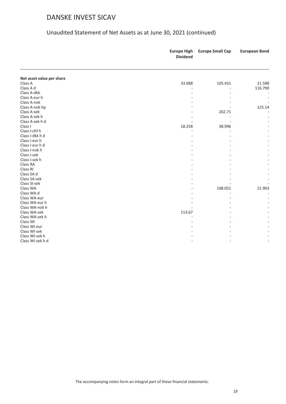|                           | <b>Europe High</b><br><b>Dividend</b> | <b>Europe Small Cap</b> | <b>European Bond</b> |
|---------------------------|---------------------------------------|-------------------------|----------------------|
|                           |                                       |                         |                      |
| Net asset value per share |                                       |                         |                      |
| Class A                   | 33.688                                | 105.431                 | 21.588               |
| Class A d                 |                                       |                         | 116.790              |
| Class A-dkk               |                                       |                         |                      |
| Class A-eur h             |                                       |                         |                      |
| Class A-nok               |                                       |                         |                      |
| Class A-nok hp            |                                       |                         | 125.14               |
| Class A-sek               |                                       | 202.71                  |                      |
| Class A-sek h             |                                       |                         |                      |
| Class A-sek h d           |                                       |                         |                      |
| Class I                   | 18.258                                | 38.996                  |                      |
| Class I-chf h             |                                       |                         |                      |
| Class I-dkk h d           |                                       |                         |                      |
| Class I-eur h             |                                       |                         |                      |
| Class I-eur h d           |                                       |                         |                      |
| Class I-nok h             |                                       |                         |                      |
| Class I-sek               |                                       |                         |                      |
| Class I-sek h             |                                       |                         |                      |
| Class RA                  |                                       |                         |                      |
| Class RI                  |                                       |                         |                      |
| Class SA d                |                                       |                         |                      |
| Class SA-sek              |                                       |                         |                      |
| Class SI-sek              |                                       |                         |                      |
| Class WA                  |                                       | 108.051                 | 21.903               |
| Class WA d                |                                       |                         |                      |
| Class WA-eur              |                                       |                         |                      |
| Class WA-eur h            |                                       |                         |                      |
| Class WA-nok h            |                                       |                         |                      |
| Class WA-sek              | 113.67                                |                         |                      |
| Class WA-sek h            |                                       |                         |                      |
| Class WI                  |                                       |                         |                      |
| Class WI-eur              |                                       |                         |                      |
| Class WI-sek              |                                       |                         |                      |
| Class WI-sek h            |                                       |                         |                      |
| Class WI-sek h d          |                                       |                         |                      |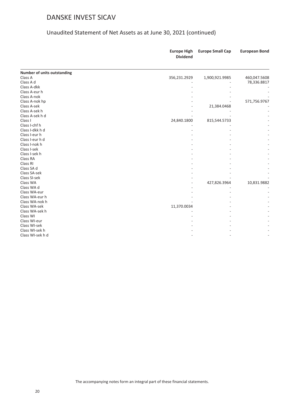|                                    | <b>Europe High</b><br><b>Dividend</b> | <b>Europe Small Cap</b> | <b>European Bond</b> |
|------------------------------------|---------------------------------------|-------------------------|----------------------|
| <b>Number of units outstanding</b> |                                       |                         |                      |
| Class A                            | 356,231.2929                          | 1,900,921.9985          | 460,047.5608         |
| Class A d                          |                                       |                         | 78,336.8817          |
| Class A-dkk                        |                                       |                         |                      |
| Class A-eur h                      |                                       |                         |                      |
| Class A-nok                        |                                       |                         |                      |
| Class A-nok hp                     |                                       |                         | 571,756.9767         |
| Class A-sek                        |                                       | 21,384.0468             |                      |
| Class A-sek h                      |                                       |                         |                      |
| Class A-sek h d                    |                                       |                         |                      |
| Class I                            | 24,840.1800                           | 815,544.5733            |                      |
| Class I-chf h                      |                                       |                         |                      |
| Class I-dkk h d                    |                                       |                         |                      |
| Class I-eur h                      |                                       |                         |                      |
| Class I-eur h d                    |                                       |                         |                      |
| Class I-nok h                      |                                       |                         |                      |
| Class I-sek                        |                                       |                         |                      |
| Class I-sek h                      |                                       |                         |                      |
| Class RA                           |                                       |                         |                      |
| Class RI                           |                                       |                         |                      |
| Class SA d                         |                                       |                         |                      |
| Class SA-sek                       |                                       |                         |                      |
| Class SI-sek                       |                                       |                         |                      |
| Class WA                           |                                       | 427,826.3964            | 10,831.9882          |
| Class WA d                         |                                       |                         |                      |
| Class WA-eur                       |                                       |                         |                      |
| Class WA-eur h                     |                                       |                         |                      |
| Class WA-nok h                     |                                       |                         |                      |
| Class WA-sek                       | 11,370.0034                           |                         |                      |
| Class WA-sek h                     |                                       |                         |                      |
| Class WI                           |                                       |                         |                      |
| Class WI-eur                       |                                       |                         |                      |
| Class WI-sek                       |                                       |                         |                      |
| Class WI-sek h                     |                                       |                         |                      |
| Class WI-sek h d                   |                                       |                         |                      |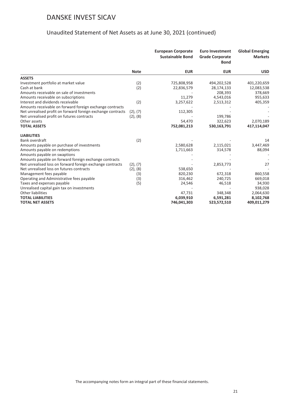|                                                             |               | <b>European Corporate</b><br><b>Sustainable Bond</b> | <b>Euro Investment</b><br><b>Grade Corporate</b><br><b>Bond</b> | <b>Global Emerging</b><br><b>Markets</b> |
|-------------------------------------------------------------|---------------|------------------------------------------------------|-----------------------------------------------------------------|------------------------------------------|
|                                                             | <b>Note</b>   | <b>EUR</b>                                           | <b>EUR</b>                                                      | <b>USD</b>                               |
| <b>ASSETS</b>                                               |               |                                                      |                                                                 |                                          |
| Investment portfolio at market value                        | (2)           | 725,808,958                                          | 494,202,528                                                     | 401,220,659                              |
| Cash at bank                                                | (2)           | 22,836,579                                           | 28,174,133                                                      | 12,083,538                               |
| Amounts receivable on sale of investments                   |               |                                                      | 208,393                                                         | 378,669                                  |
| Amounts receivable on subscriptions                         |               | 11,279                                               | 4,543,016                                                       | 955,633                                  |
| Interest and dividends receivable                           | (2)           | 3,257,622                                            | 2,513,312                                                       | 405,359                                  |
| Amounts receivable on forward foreign exchange contracts    |               |                                                      |                                                                 |                                          |
| Net unrealised profit on forward foreign exchange contracts | (2), (7)      | 112,305                                              |                                                                 |                                          |
| Net unrealised profit on futures contracts                  | $(2)$ , $(8)$ |                                                      | 199,786                                                         |                                          |
| Other assets                                                |               | 54,470                                               | 322,623                                                         | 2,070,189                                |
| <b>TOTAL ASSETS</b>                                         |               | 752,081,213                                          | 530,163,791                                                     | 417,114,047                              |
| <b>LIABILITIES</b>                                          |               |                                                      |                                                                 |                                          |
| Bank overdraft                                              | (2)           |                                                      |                                                                 | 14                                       |
| Amounts payable on purchase of investments                  |               | 2,580,628                                            | 2,115,021                                                       | 3,447,469                                |
| Amounts payable on redemptions                              |               | 1,711,663                                            | 314,578                                                         | 88,094                                   |
| Amounts payable on swaptions                                |               |                                                      |                                                                 |                                          |
| Amounts payable on forward foreign exchange contracts       |               |                                                      |                                                                 |                                          |
| Net unrealised loss on forward foreign exchange contracts   | (2), (7)      |                                                      | 2,853,773                                                       | 27                                       |
| Net unrealised loss on futures contracts                    | (2), (8)      | 538,650                                              |                                                                 |                                          |
| Management fees payable                                     | (3)           | 820,230                                              | 672,318                                                         | 860,558                                  |
| Operating and Administrative fees payable                   | (3)           | 316,462                                              | 240,725                                                         | 669,018                                  |
| Taxes and expenses payable                                  | (5)           | 24,546                                               | 46,518                                                          | 34,930                                   |
| Unrealised capital gain tax on investments                  |               |                                                      |                                                                 | 938,028                                  |
| <b>Other liabilities</b>                                    |               | 47,731                                               | 348,348                                                         | 2,064,630                                |
| <b>TOTAL LIABILITIES</b>                                    |               | 6,039,910                                            | 6,591,281                                                       | 8,102,768                                |
| <b>TOTAL NET ASSETS</b>                                     |               | 746,041,303                                          | 523,572,510                                                     | 409,011,279                              |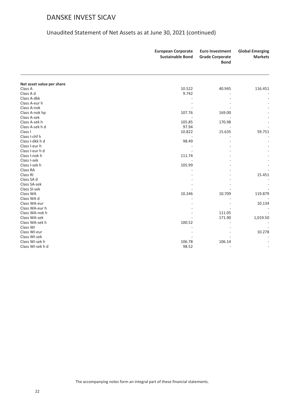|                           | <b>European Corporate</b><br><b>Sustainable Bond</b> | <b>Euro Investment</b><br><b>Grade Corporate</b><br><b>Bond</b> | <b>Global Emerging</b><br><b>Markets</b> |
|---------------------------|------------------------------------------------------|-----------------------------------------------------------------|------------------------------------------|
|                           |                                                      |                                                                 |                                          |
| Net asset value per share |                                                      |                                                                 |                                          |
| Class A                   | 10.522                                               | 40.945                                                          | 116.451                                  |
| Class A d                 | 9.742                                                |                                                                 |                                          |
| Class A-dkk               |                                                      |                                                                 |                                          |
| Class A-eur h             |                                                      |                                                                 |                                          |
| Class A-nok               |                                                      |                                                                 |                                          |
| Class A-nok hp            | 107.76                                               | 169.00                                                          |                                          |
| Class A-sek               |                                                      |                                                                 |                                          |
| Class A-sek h             | 105.85                                               | 170.98                                                          |                                          |
| Class A-sek h d           | 97.94                                                |                                                                 |                                          |
| Class I                   | 10.822                                               | 15.635                                                          | 59.751                                   |
| Class I-chf h             |                                                      |                                                                 |                                          |
| Class I-dkk h d           | 98.49                                                |                                                                 |                                          |
| Class I-eur h             |                                                      |                                                                 |                                          |
| Class I-eur h d           |                                                      |                                                                 |                                          |
| Class I-nok h             | 111.74                                               |                                                                 |                                          |
| Class I-sek               |                                                      |                                                                 |                                          |
| Class I-sek h             | 105.99                                               |                                                                 |                                          |
| Class RA                  |                                                      |                                                                 |                                          |
| Class RI                  |                                                      |                                                                 | 15.451                                   |
| Class SA d                |                                                      |                                                                 |                                          |
| Class SA-sek              |                                                      |                                                                 |                                          |
| Class SI-sek              |                                                      |                                                                 |                                          |
| Class WA                  | 10.246                                               | 10.709                                                          | 119.879                                  |
| Class WA d                |                                                      |                                                                 |                                          |
| Class WA-eur              |                                                      |                                                                 | 10.134                                   |
| Class WA-eur h            |                                                      |                                                                 |                                          |
| Class WA-nok h            |                                                      | 111.05                                                          |                                          |
| Class WA-sek              |                                                      | 171.90                                                          | 1,019.50                                 |
| Class WA-sek h            | 100.52                                               |                                                                 |                                          |
| Class WI                  |                                                      |                                                                 |                                          |
| Class WI-eur              |                                                      |                                                                 | 10.278                                   |
| Class WI-sek              |                                                      |                                                                 |                                          |
| Class WI-sek h            | 106.78                                               | 106.14                                                          |                                          |
| Class WI-sek h d          | 98.52                                                |                                                                 |                                          |
|                           |                                                      |                                                                 |                                          |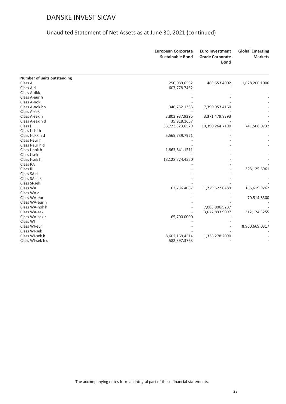|                             | <b>European Corporate</b><br><b>Sustainable Bond</b> | <b>Euro Investment</b><br><b>Grade Corporate</b><br><b>Bond</b> | <b>Global Emerging</b><br><b>Markets</b> |
|-----------------------------|------------------------------------------------------|-----------------------------------------------------------------|------------------------------------------|
| Number of units outstanding |                                                      |                                                                 |                                          |
| Class A                     | 250,089.6532                                         | 489,653.4002                                                    | 1,628,206.1006                           |
| Class A d                   | 607,778.7462                                         |                                                                 |                                          |
| Class A-dkk                 |                                                      |                                                                 |                                          |
| Class A-eur h               |                                                      |                                                                 |                                          |
| Class A-nok                 |                                                      |                                                                 |                                          |
| Class A-nok hp              | 346,752.1333                                         | 7,390,953.4160                                                  |                                          |
| Class A-sek                 |                                                      |                                                                 |                                          |
| Class A-sek h               | 3,802,937.9295                                       | 3,371,479.8393                                                  |                                          |
| Class A-sek h d             | 35,918.1657                                          |                                                                 |                                          |
| Class I                     | 33,723,323.6579                                      | 10,390,264.7190                                                 | 741,508.0732                             |
| Class I-chf h               |                                                      |                                                                 |                                          |
| Class I-dkk h d             | 5,565,739.7971                                       |                                                                 |                                          |
| Class I-eur h               |                                                      |                                                                 |                                          |
| Class I-eur h d             |                                                      |                                                                 |                                          |
| Class I-nok h               | 1,863,841.1511                                       |                                                                 |                                          |
| Class I-sek                 |                                                      |                                                                 |                                          |
| Class I-sek h               | 13,128,774.4520                                      |                                                                 |                                          |
| Class RA                    |                                                      |                                                                 |                                          |
| Class RI                    |                                                      |                                                                 | 328,125.6961                             |
| Class SA d                  |                                                      |                                                                 |                                          |
| Class SA-sek                |                                                      |                                                                 |                                          |
| Class SI-sek                |                                                      |                                                                 |                                          |
| Class WA                    | 62,236.4087                                          | 1,729,522.0489                                                  | 185,619.9262                             |
| Class WA d                  |                                                      |                                                                 |                                          |
| Class WA-eur                |                                                      |                                                                 | 70,514.8300                              |
| Class WA-eur h              |                                                      |                                                                 |                                          |
| Class WA-nok h              |                                                      | 7,088,806.9287                                                  |                                          |
| Class WA-sek                |                                                      | 3,077,893.9097                                                  | 312,174.3255                             |
| Class WA-sek h              | 65,700.0000                                          |                                                                 |                                          |
| Class WI                    |                                                      |                                                                 |                                          |
| Class WI-eur                |                                                      |                                                                 | 8,960,669.0317                           |
| Class WI-sek                |                                                      |                                                                 |                                          |
| Class WI-sek h              | 8,602,169.4514                                       | 1,338,278.2090                                                  |                                          |
| Class WI-sek h d            | 582,397.3763                                         |                                                                 |                                          |
|                             |                                                      |                                                                 |                                          |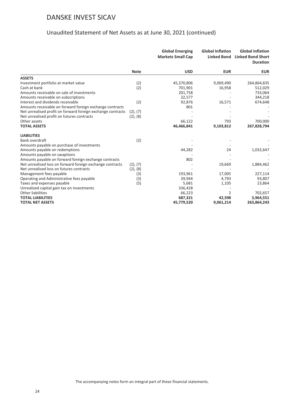|                                                             |               | <b>Global Emerging</b><br><b>Markets Small Cap</b> | <b>Global Inflation</b> | <b>Global Inflation</b><br><b>Linked Bond</b> Linked Bond Short<br><b>Duration</b> |
|-------------------------------------------------------------|---------------|----------------------------------------------------|-------------------------|------------------------------------------------------------------------------------|
|                                                             | <b>Note</b>   | <b>USD</b>                                         | <b>EUR</b>              | <b>EUR</b>                                                                         |
| <b>ASSETS</b>                                               |               |                                                    |                         |                                                                                    |
| Investment portfolio at market value                        | (2)           | 45,370,806                                         | 9,069,490               | 264,864,835                                                                        |
| Cash at bank                                                | (2)           | 701,901                                            | 16,958                  | 512,029                                                                            |
| Amounts receivable on sale of investments                   |               | 201,758                                            |                         | 733,064                                                                            |
| Amounts receivable on subscriptions                         |               | 32,577                                             |                         | 344,218                                                                            |
| Interest and dividends receivable                           | (2)           | 92,876                                             | 16,571                  | 674,648                                                                            |
| Amounts receivable on forward foreign exchange contracts    |               | 801                                                |                         |                                                                                    |
| Net unrealised profit on forward foreign exchange contracts | (2), (7)      |                                                    |                         |                                                                                    |
| Net unrealised profit on futures contracts                  | $(2)$ , $(8)$ |                                                    |                         |                                                                                    |
| Other assets                                                |               | 66,122                                             | 793                     | 700,000                                                                            |
| <b>TOTAL ASSETS</b>                                         |               | 46,466,841                                         | 9,103,812               | 267,828,794                                                                        |
| <b>LIABILITIES</b>                                          |               |                                                    |                         |                                                                                    |
| Bank overdraft                                              | (2)           |                                                    |                         |                                                                                    |
| Amounts payable on purchase of investments                  |               |                                                    |                         |                                                                                    |
| Amounts payable on redemptions                              |               | 44,282                                             | 24                      | 1,032,647                                                                          |
| Amounts payable on swaptions                                |               |                                                    |                         |                                                                                    |
| Amounts payable on forward foreign exchange contracts       |               | 802                                                |                         |                                                                                    |
| Net unrealised loss on forward foreign exchange contracts   | (2), (7)      |                                                    | 19,669                  | 1,884,462                                                                          |
| Net unrealised loss on futures contracts                    | $(2)$ , $(8)$ |                                                    |                         |                                                                                    |
| Management fees payable                                     | (3)           | 193,961                                            | 17,005                  | 227,114                                                                            |
| Operating and Administrative fees payable                   | (3)           | 39,944                                             | 4,793                   | 93,807                                                                             |
| Taxes and expenses payable                                  | (5)           | 5,681                                              | 1,105                   | 23,864                                                                             |
| Unrealised capital gain tax on investments                  |               | 336,428                                            |                         |                                                                                    |
| <b>Other liabilities</b>                                    |               | 66,223                                             | 2                       | 702,657                                                                            |
| <b>TOTAL LIABILITIES</b>                                    |               | 687,321                                            | 42,598                  | 3,964,551                                                                          |
| <b>TOTAL NET ASSETS</b>                                     |               | 45,779,520                                         | 9,061,214               | 263,864,243                                                                        |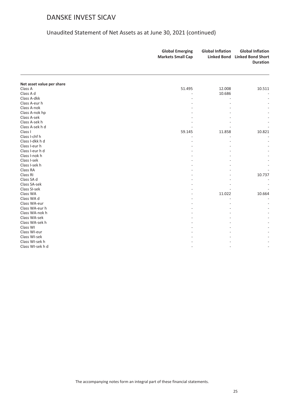|                           | <b>Global Emerging</b><br><b>Markets Small Cap</b> | <b>Global Inflation</b> | <b>Global Inflation</b><br>Linked Bond Linked Bond Short<br><b>Duration</b> |
|---------------------------|----------------------------------------------------|-------------------------|-----------------------------------------------------------------------------|
|                           |                                                    |                         |                                                                             |
| Net asset value per share |                                                    |                         |                                                                             |
| Class A                   | 51.495                                             | 12.008                  | 10.511                                                                      |
| Class A d                 |                                                    | 10.686                  |                                                                             |
| Class A-dkk               |                                                    |                         |                                                                             |
| Class A-eur h             |                                                    |                         |                                                                             |
| Class A-nok               |                                                    |                         |                                                                             |
| Class A-nok hp            |                                                    |                         |                                                                             |
| Class A-sek               |                                                    |                         |                                                                             |
| Class A-sek h             |                                                    |                         |                                                                             |
| Class A-sek h d           |                                                    |                         |                                                                             |
| Class I                   | 59.145                                             | 11.858                  | 10.821                                                                      |
| Class I-chf h             |                                                    |                         |                                                                             |
| Class I-dkk h d           |                                                    |                         |                                                                             |
| Class I-eur h             |                                                    |                         |                                                                             |
| Class I-eur h d           |                                                    |                         |                                                                             |
| Class I-nok h             |                                                    |                         |                                                                             |
| Class I-sek               |                                                    |                         |                                                                             |
| Class I-sek h             |                                                    |                         |                                                                             |
| Class RA                  |                                                    |                         |                                                                             |
| Class RI                  |                                                    |                         | 10.737                                                                      |
| Class SA d                |                                                    |                         |                                                                             |
| Class SA-sek              |                                                    |                         |                                                                             |
| Class SI-sek              |                                                    |                         |                                                                             |
| Class WA                  |                                                    | 11.022                  | 10.664                                                                      |
| Class WA d                |                                                    |                         |                                                                             |
| Class WA-eur              |                                                    |                         |                                                                             |
| Class WA-eur h            |                                                    |                         |                                                                             |
| Class WA-nok h            |                                                    |                         |                                                                             |
| Class WA-sek              |                                                    |                         |                                                                             |
| Class WA-sek h            |                                                    |                         |                                                                             |
| Class WI                  |                                                    |                         |                                                                             |
| Class WI-eur              |                                                    |                         |                                                                             |
| Class WI-sek              |                                                    |                         |                                                                             |
| Class WI-sek h            |                                                    |                         |                                                                             |
| Class WI-sek h d          |                                                    |                         |                                                                             |
|                           |                                                    |                         |                                                                             |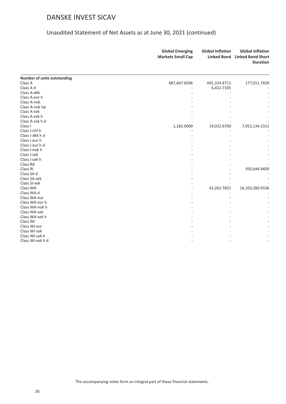|                             | <b>Global Emerging</b><br><b>Markets Small Cap</b> | <b>Global Inflation</b><br><b>Linked Bond</b> | <b>Global Inflation</b><br><b>Linked Bond Short</b><br><b>Duration</b> |
|-----------------------------|----------------------------------------------------|-----------------------------------------------|------------------------------------------------------------------------|
| Number of units outstanding |                                                    |                                               |                                                                        |
| Class A                     | 887,647.6506                                       | 691,324.8711                                  | 177,011.7429                                                           |
| Class A d                   |                                                    | 6,412.7105                                    |                                                                        |
| Class A-dkk                 |                                                    |                                               |                                                                        |
| Class A-eur h               |                                                    |                                               |                                                                        |
| Class A-nok                 |                                                    |                                               |                                                                        |
| Class A-nok hp              |                                                    |                                               |                                                                        |
| Class A-sek                 |                                                    |                                               |                                                                        |
| Class A-sek h               |                                                    |                                               |                                                                        |
| Class A-sek h d             |                                                    |                                               |                                                                        |
| Class I                     | 1,182.0000                                         | 19,022.6700                                   | 7,952,134.2312                                                         |
| Class I-chf h               |                                                    |                                               |                                                                        |
| Class I-dkk h d             |                                                    |                                               |                                                                        |
| Class I-eur h               |                                                    |                                               |                                                                        |
| Class I-eur h d             |                                                    |                                               |                                                                        |
| Class I-nok h               |                                                    |                                               |                                                                        |
| Class I-sek                 |                                                    |                                               |                                                                        |
| Class I-sek h               |                                                    |                                               |                                                                        |
| Class RA                    |                                                    |                                               |                                                                        |
| Class RI                    |                                                    |                                               | 393,644.9409                                                           |
| Class SA d                  |                                                    |                                               |                                                                        |
| Class SA-sek                |                                                    |                                               |                                                                        |
| Class SI-sek                |                                                    |                                               |                                                                        |
| Class WA                    |                                                    | 42,262.7821                                   | 16,103,280.9536                                                        |
| Class WA d                  |                                                    |                                               |                                                                        |
| Class WA-eur                |                                                    |                                               |                                                                        |
| Class WA-eur h              |                                                    |                                               |                                                                        |
| Class WA-nok h              |                                                    |                                               |                                                                        |
| Class WA-sek                |                                                    |                                               |                                                                        |
| Class WA-sek h              |                                                    |                                               |                                                                        |
| Class WI                    |                                                    |                                               |                                                                        |
| Class WI-eur                |                                                    |                                               |                                                                        |
| Class WI-sek                |                                                    |                                               |                                                                        |
| Class WI-sek h              |                                                    |                                               |                                                                        |
| Class WI-sek h d            |                                                    |                                               |                                                                        |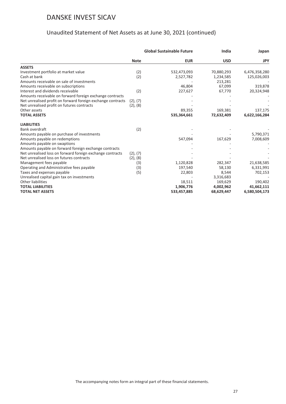|                                                             | <b>Global Sustainable Future</b> |             | India      | Japan         |
|-------------------------------------------------------------|----------------------------------|-------------|------------|---------------|
|                                                             | <b>Note</b>                      | <b>EUR</b>  | <b>USD</b> | <b>JPY</b>    |
| <b>ASSETS</b>                                               |                                  |             |            |               |
| Investment portfolio at market value                        | (2)                              | 532,473,093 | 70,880,293 | 6,476,358,280 |
| Cash at bank                                                | (2)                              | 2,527,782   | 1,234,585  | 125,026,003   |
| Amounts receivable on sale of investments                   |                                  |             | 213,281    |               |
| Amounts receivable on subscriptions                         |                                  | 46,804      | 67,099     | 319,878       |
| Interest and dividends receivable                           | (2)                              | 227,627     | 67,770     | 20,324,948    |
| Amounts receivable on forward foreign exchange contracts    |                                  |             |            |               |
| Net unrealised profit on forward foreign exchange contracts | (2), (7)                         |             |            |               |
| Net unrealised profit on futures contracts                  | (2), (8)                         |             |            |               |
| Other assets                                                |                                  | 89,355      | 169,381    | 137,175       |
| <b>TOTAL ASSETS</b>                                         |                                  | 535,364,661 | 72,632,409 | 6,622,166,284 |
| <b>LIABILITIES</b>                                          |                                  |             |            |               |
| Bank overdraft                                              | (2)                              |             |            |               |
| Amounts payable on purchase of investments                  |                                  |             |            | 5,790,371     |
| Amounts payable on redemptions                              |                                  | 547,094     | 167,629    | 7,008,609     |
| Amounts payable on swaptions                                |                                  |             |            |               |
| Amounts payable on forward foreign exchange contracts       |                                  |             |            |               |
| Net unrealised loss on forward foreign exchange contracts   | (2), (7)                         |             |            |               |
| Net unrealised loss on futures contracts                    | (2), (8)                         |             |            |               |
| Management fees payable                                     | (3)                              | 1,120,828   | 282,347    | 21,638,585    |
| Operating and Administrative fees payable                   | (3)                              | 197,540     | 58,130     | 6,331,991     |
| Taxes and expenses payable                                  | (5)                              | 22,803      | 8,544      | 702,153       |
| Unrealised capital gain tax on investments                  |                                  |             | 3,316,683  |               |
| Other liabilities                                           |                                  | 18,511      | 169,629    | 190,402       |
| <b>TOTAL LIABILITIES</b>                                    |                                  | 1,906,776   | 4,002,962  | 41,662,111    |
| <b>TOTAL NET ASSETS</b>                                     |                                  | 533,457,885 | 68,629,447 | 6,580,504,173 |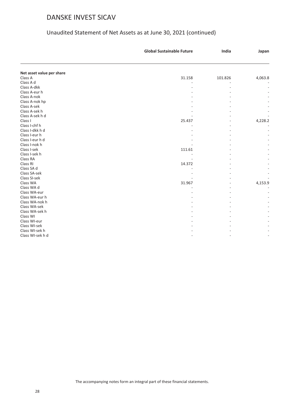|                           | <b>Global Sustainable Future</b> | India   | Japan   |
|---------------------------|----------------------------------|---------|---------|
|                           |                                  |         |         |
| Net asset value per share |                                  |         |         |
| Class A                   | 31.158                           | 101.826 | 4,063.8 |
| Class A d                 |                                  |         |         |
| Class A-dkk               |                                  |         |         |
| Class A-eur h             |                                  |         |         |
| Class A-nok               |                                  |         |         |
| Class A-nok hp            |                                  |         |         |
| Class A-sek               |                                  |         |         |
| Class A-sek h             |                                  |         |         |
| Class A-sek h d           |                                  |         |         |
| Class I                   | 25.437                           |         | 4,228.2 |
| Class I-chf h             |                                  |         |         |
| Class I-dkk h d           |                                  |         |         |
| Class I-eur h             |                                  |         |         |
| Class I-eur h d           |                                  |         |         |
| Class I-nok h             |                                  |         |         |
| Class I-sek               | 111.61                           |         |         |
| Class I-sek h             |                                  |         |         |
| Class RA                  |                                  |         |         |
| Class RI                  | 14.372                           |         |         |
| Class SA d                |                                  |         |         |
| Class SA-sek              |                                  |         |         |
| Class SI-sek              |                                  |         |         |
| Class WA                  | 31.967                           |         | 4,153.9 |
| Class WA d                |                                  |         |         |
| Class WA-eur              |                                  |         |         |
| Class WA-eur h            |                                  |         |         |
| Class WA-nok h            |                                  |         |         |
| Class WA-sek              |                                  |         |         |
| Class WA-sek h            |                                  |         |         |
| Class WI                  |                                  |         |         |
| Class WI-eur              |                                  |         |         |
| Class WI-sek              |                                  |         |         |
| Class WI-sek h            |                                  |         |         |
| Class WI-sek h d          |                                  |         |         |
|                           |                                  |         |         |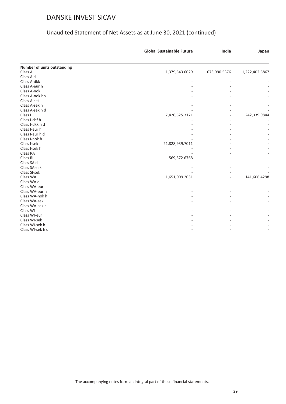|                             | <b>Global Sustainable Future</b> | India        | Japan          |
|-----------------------------|----------------------------------|--------------|----------------|
| Number of units outstanding |                                  |              |                |
| Class A                     | 1,379,543.6029                   | 673,990.5376 | 1,222,402.5867 |
| Class A d                   |                                  |              |                |
| Class A-dkk                 |                                  |              |                |
| Class A-eur h               |                                  |              |                |
| Class A-nok                 |                                  |              |                |
| Class A-nok hp              |                                  |              |                |
| Class A-sek                 |                                  |              |                |
| Class A-sek h               |                                  |              |                |
| Class A-sek h d             |                                  |              |                |
| Class I                     | 7,426,525.3171                   |              | 242,339.9844   |
| Class I-chf h               |                                  |              |                |
| Class I-dkk h d             |                                  |              |                |
| Class I-eur h               |                                  |              |                |
| Class I-eur h d             |                                  |              |                |
| Class I-nok h               |                                  |              |                |
| Class I-sek                 | 21,828,939.7011                  |              |                |
| Class I-sek h               |                                  |              |                |
| Class RA                    |                                  |              |                |
| Class RI                    | 569,572.6768                     |              |                |
| Class SA d                  |                                  |              |                |
| Class SA-sek                |                                  |              |                |
| Class SI-sek                |                                  |              |                |
| Class WA                    | 1,651,009.2031                   |              | 141,606.4298   |
| Class WA d                  |                                  |              |                |
| Class WA-eur                |                                  |              |                |
| Class WA-eur h              |                                  |              |                |
| Class WA-nok h              |                                  |              |                |
| Class WA-sek                |                                  |              |                |
| Class WA-sek h              |                                  |              |                |
| Class WI                    |                                  |              |                |
| Class WI-eur                |                                  |              |                |
| Class WI-sek                |                                  |              |                |
| Class WI-sek h              |                                  |              |                |
| Class WI-sek h d            |                                  |              |                |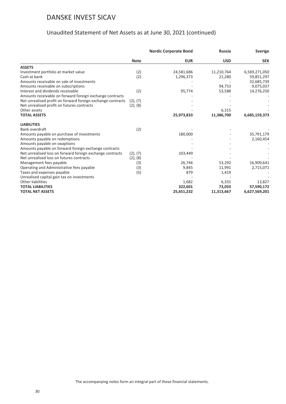|                                                             | <b>Nordic Corporate Bond</b> |            | <b>Russia</b> | <b>Sverige</b> |
|-------------------------------------------------------------|------------------------------|------------|---------------|----------------|
|                                                             | <b>Note</b>                  | <b>EUR</b> | <b>USD</b>    | <b>SEK</b>     |
| <b>ASSETS</b>                                               |                              |            |               |                |
| Investment portfolio at market value                        | (2)                          | 24,581,686 | 11,210,764    | 6,569,271,050  |
| Cash at bank                                                | (2)                          | 1,296,373  | 21,280        | 59,851,297     |
| Amounts receivable on sale of investments                   |                              |            |               | 32,685,739     |
| Amounts receivable on subscriptions                         |                              |            | 94,753        | 9,075,037      |
| Interest and dividends receivable                           | (2)                          | 95,774     | 53,588        | 14,276,250     |
| Amounts receivable on forward foreign exchange contracts    |                              |            |               |                |
| Net unrealised profit on forward foreign exchange contracts | (2), (7)                     |            |               |                |
| Net unrealised profit on futures contracts                  | (2), (8)                     |            |               |                |
| Other assets                                                |                              |            | 6,315         |                |
| <b>TOTAL ASSETS</b>                                         |                              | 25,973,833 | 11,386,700    | 6,685,159,373  |
| <b>LIABILITIES</b>                                          |                              |            |               |                |
| Bank overdraft                                              | (2)                          |            |               |                |
| Amounts payable on purchase of investments                  |                              | 180,000    |               | 35,791,179     |
| Amounts payable on redemptions                              |                              |            |               | 2,160,454      |
| Amounts payable on swaptions                                |                              |            |               |                |
| Amounts payable on forward foreign exchange contracts       |                              |            |               |                |
| Net unrealised loss on forward foreign exchange contracts   | (2), (7)                     | 103,449    |               |                |
| Net unrealised loss on futures contracts                    | (2), (8)                     |            |               |                |
| Management fees payable                                     | (3)                          | 26,746     | 53,292        | 16,909,641     |
| Operating and Administrative fees payable                   | (3)                          | 9,845      | 11,991        | 2,715,071      |
| Taxes and expenses payable                                  | (5)                          | 879        | 1,419         |                |
| Unrealised capital gain tax on investments                  |                              |            |               |                |
| Other liabilities                                           |                              | 1,682      | 6,331         | 13,827         |
| <b>TOTAL LIABILITIES</b>                                    |                              | 322,601    | 73,033        | 57,590,172     |
| <b>TOTAL NET ASSETS</b>                                     |                              | 25,651,232 | 11,313,667    | 6,627,569,201  |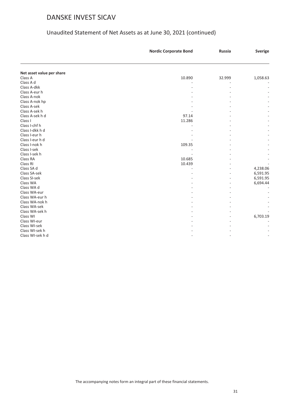#### Unaudited Statement of Net Assets as at June 30, 2021 (continued)

| Net asset value per share<br>10.890<br>Class A<br>32.999<br>1,058.63<br>Class A d<br>Class A-dkk<br>Class A-eur h<br>Class A-nok<br>Class A-nok hp<br>Class A-sek<br>Class A-sek h<br>97.14<br>Class A-sek h d<br>Class I<br>11.286<br>Class I-chf h<br>Class I-dkk h d<br>Class I-eur h<br>Class I-eur h d<br>Class I-nok h<br>109.35<br>Class I-sek<br>Class I-sek h<br>Class RA<br>10.685<br>Class RI<br>10.439<br>4,238.06<br>Class SA d<br>Class SA-sek<br>6,591.95<br>Class SI-sek<br>6,591.95<br>Class WA<br>6,694.44<br>Class WA d<br>Class WA-eur<br>Class WA-eur h<br>Class WA-nok h<br>Class WA-sek<br>Class WA-sek h<br>Class WI<br>6,703.19<br>Class WI-eur<br>Class WI-sek<br>Class WI-sek h<br>Class WI-sek h d | <b>Nordic Corporate Bond</b> | <b>Russia</b> | <b>Sverige</b> |
|--------------------------------------------------------------------------------------------------------------------------------------------------------------------------------------------------------------------------------------------------------------------------------------------------------------------------------------------------------------------------------------------------------------------------------------------------------------------------------------------------------------------------------------------------------------------------------------------------------------------------------------------------------------------------------------------------------------------------------|------------------------------|---------------|----------------|
|                                                                                                                                                                                                                                                                                                                                                                                                                                                                                                                                                                                                                                                                                                                                |                              |               |                |
|                                                                                                                                                                                                                                                                                                                                                                                                                                                                                                                                                                                                                                                                                                                                |                              |               |                |
|                                                                                                                                                                                                                                                                                                                                                                                                                                                                                                                                                                                                                                                                                                                                |                              |               |                |
|                                                                                                                                                                                                                                                                                                                                                                                                                                                                                                                                                                                                                                                                                                                                |                              |               |                |
|                                                                                                                                                                                                                                                                                                                                                                                                                                                                                                                                                                                                                                                                                                                                |                              |               |                |
|                                                                                                                                                                                                                                                                                                                                                                                                                                                                                                                                                                                                                                                                                                                                |                              |               |                |
|                                                                                                                                                                                                                                                                                                                                                                                                                                                                                                                                                                                                                                                                                                                                |                              |               |                |
|                                                                                                                                                                                                                                                                                                                                                                                                                                                                                                                                                                                                                                                                                                                                |                              |               |                |
|                                                                                                                                                                                                                                                                                                                                                                                                                                                                                                                                                                                                                                                                                                                                |                              |               |                |
|                                                                                                                                                                                                                                                                                                                                                                                                                                                                                                                                                                                                                                                                                                                                |                              |               |                |
|                                                                                                                                                                                                                                                                                                                                                                                                                                                                                                                                                                                                                                                                                                                                |                              |               |                |
|                                                                                                                                                                                                                                                                                                                                                                                                                                                                                                                                                                                                                                                                                                                                |                              |               |                |
|                                                                                                                                                                                                                                                                                                                                                                                                                                                                                                                                                                                                                                                                                                                                |                              |               |                |
|                                                                                                                                                                                                                                                                                                                                                                                                                                                                                                                                                                                                                                                                                                                                |                              |               |                |
|                                                                                                                                                                                                                                                                                                                                                                                                                                                                                                                                                                                                                                                                                                                                |                              |               |                |
|                                                                                                                                                                                                                                                                                                                                                                                                                                                                                                                                                                                                                                                                                                                                |                              |               |                |
|                                                                                                                                                                                                                                                                                                                                                                                                                                                                                                                                                                                                                                                                                                                                |                              |               |                |
|                                                                                                                                                                                                                                                                                                                                                                                                                                                                                                                                                                                                                                                                                                                                |                              |               |                |
|                                                                                                                                                                                                                                                                                                                                                                                                                                                                                                                                                                                                                                                                                                                                |                              |               |                |
|                                                                                                                                                                                                                                                                                                                                                                                                                                                                                                                                                                                                                                                                                                                                |                              |               |                |
|                                                                                                                                                                                                                                                                                                                                                                                                                                                                                                                                                                                                                                                                                                                                |                              |               |                |
|                                                                                                                                                                                                                                                                                                                                                                                                                                                                                                                                                                                                                                                                                                                                |                              |               |                |
|                                                                                                                                                                                                                                                                                                                                                                                                                                                                                                                                                                                                                                                                                                                                |                              |               |                |
|                                                                                                                                                                                                                                                                                                                                                                                                                                                                                                                                                                                                                                                                                                                                |                              |               |                |
|                                                                                                                                                                                                                                                                                                                                                                                                                                                                                                                                                                                                                                                                                                                                |                              |               |                |
|                                                                                                                                                                                                                                                                                                                                                                                                                                                                                                                                                                                                                                                                                                                                |                              |               |                |
|                                                                                                                                                                                                                                                                                                                                                                                                                                                                                                                                                                                                                                                                                                                                |                              |               |                |
|                                                                                                                                                                                                                                                                                                                                                                                                                                                                                                                                                                                                                                                                                                                                |                              |               |                |
|                                                                                                                                                                                                                                                                                                                                                                                                                                                                                                                                                                                                                                                                                                                                |                              |               |                |
|                                                                                                                                                                                                                                                                                                                                                                                                                                                                                                                                                                                                                                                                                                                                |                              |               |                |
|                                                                                                                                                                                                                                                                                                                                                                                                                                                                                                                                                                                                                                                                                                                                |                              |               |                |
|                                                                                                                                                                                                                                                                                                                                                                                                                                                                                                                                                                                                                                                                                                                                |                              |               |                |
|                                                                                                                                                                                                                                                                                                                                                                                                                                                                                                                                                                                                                                                                                                                                |                              |               |                |
|                                                                                                                                                                                                                                                                                                                                                                                                                                                                                                                                                                                                                                                                                                                                |                              |               |                |
|                                                                                                                                                                                                                                                                                                                                                                                                                                                                                                                                                                                                                                                                                                                                |                              |               |                |
|                                                                                                                                                                                                                                                                                                                                                                                                                                                                                                                                                                                                                                                                                                                                |                              |               |                |

The accompanying notes form an integral part of these financial statements.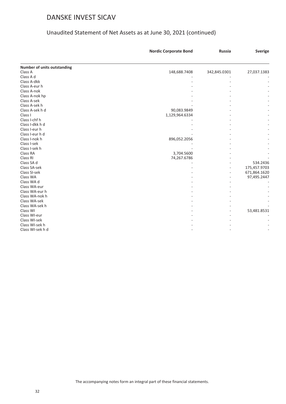|                             | <b>Nordic Corporate Bond</b> | <b>Russia</b> | <b>Sverige</b> |
|-----------------------------|------------------------------|---------------|----------------|
| Number of units outstanding |                              |               |                |
| Class A                     | 148,688.7408                 | 342,845.0301  | 27,037.1383    |
| Class A d                   |                              |               |                |
| Class A-dkk                 |                              |               |                |
| Class A-eur h               |                              |               |                |
| Class A-nok                 |                              |               |                |
| Class A-nok hp              |                              |               |                |
| Class A-sek                 |                              |               |                |
| Class A-sek h               |                              |               |                |
| Class A-sek h d             | 90,083.9849                  |               |                |
| Class I                     | 1,129,964.6334               |               |                |
| Class I-chf h               |                              |               |                |
| Class I-dkk h d             |                              |               |                |
| Class I-eur h               |                              |               |                |
| Class I-eur h d             |                              |               |                |
| Class I-nok h               | 896,052.2056                 |               |                |
| Class I-sek                 |                              |               |                |
| Class I-sek h               |                              |               |                |
| Class RA                    | 3,704.5600                   |               |                |
| Class RI                    | 74,267.6786                  |               |                |
| Class SA d                  |                              |               | 534.2436       |
| Class SA-sek                |                              |               | 175,457.9703   |
| Class SI-sek                |                              |               | 671,864.1620   |
| Class WA                    |                              |               | 97,495.2447    |
| Class WA d                  |                              |               |                |
| Class WA-eur                |                              |               |                |
| Class WA-eur h              |                              |               |                |
| Class WA-nok h              |                              |               |                |
| Class WA-sek                |                              |               |                |
| Class WA-sek h              |                              |               |                |
| Class WI                    |                              |               | 53,481.8531    |
| Class WI-eur                |                              |               |                |
| Class WI-sek                |                              |               |                |
| Class WI-sek h              |                              |               |                |
| Class WI-sek h d            |                              |               |                |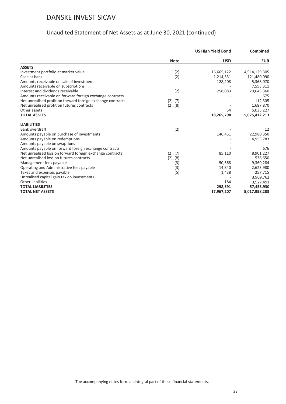|                                                             |             | <b>US High Yield Bond</b> | <b>Combined</b> |
|-------------------------------------------------------------|-------------|---------------------------|-----------------|
|                                                             | <b>Note</b> | <b>USD</b>                | <b>EUR</b>      |
| <b>ASSETS</b>                                               |             |                           |                 |
| Investment portfolio at market value                        | (2)         | 16,665,122                | 4,914,129,305   |
| Cash at bank                                                | (2)         | 1,214,331                 | 121,480,090     |
| Amounts receivable on sale of investments                   |             | 128,208                   | 5,368,070       |
| Amounts receivable on subscriptions                         |             |                           | 7,555,311       |
| Interest and dividends receivable                           | (2)         | 258,083                   | 20,043,360      |
| Amounts receivable on forward foreign exchange contracts    |             |                           | 675             |
| Net unrealised profit on forward foreign exchange contracts | (2), (7)    |                           | 112,305         |
| Net unrealised profit on futures contracts                  | (2), (8)    |                           | 1,687,870       |
| Other assets                                                |             | 54                        | 5,035,227       |
| <b>TOTAL ASSETS</b>                                         |             | 18,265,798                | 5,075,412,213   |
| <b>LIABILITIES</b>                                          |             |                           |                 |
| Bank overdraft                                              | (2)         |                           | 12              |
| Amounts payable on purchase of investments                  |             | 146,451                   | 22,980,350      |
| Amounts payable on redemptions                              |             |                           | 4,953,783       |
| Amounts payable on swaptions                                |             |                           |                 |
| Amounts payable on forward foreign exchange contracts       |             |                           | 676             |
| Net unrealised loss on forward foreign exchange contracts   | (2), (7)    | 85,110                    | 8,901,227       |
| Net unrealised loss on futures contracts                    | (2), (8)    |                           | 538,650         |
| Management fees payable                                     | (3)         | 50,568                    | 9,360,284       |
| Operating and Administrative fees payable                   | (3)         | 14,840                    | 2,623,980       |
| Taxes and expenses payable                                  | (5)         | 1,438                     | 257,715         |
| Unrealised capital gain tax on investments                  |             |                           | 3,909,762       |
| <b>Other liabilities</b>                                    |             | 184                       | 3,927,491       |
| <b>TOTAL LIABILITIES</b>                                    |             | 298,591                   | 57,453,930      |
| <b>TOTAL NET ASSETS</b>                                     |             | 17,967,207                | 5,017,958,283   |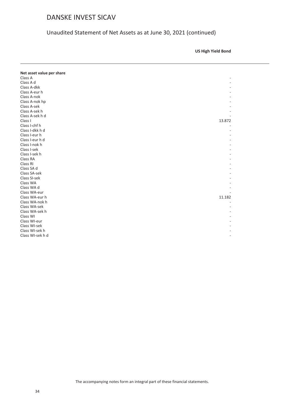Unaudited Statement of Net Assets as at June 30, 2021 (continued)

**US High Yield Bond**

| Net asset value per share |        |
|---------------------------|--------|
| Class A                   |        |
| Class A d                 |        |
| Class A-dkk               |        |
| Class A-eur h             |        |
| Class A-nok               |        |
|                           |        |
| Class A-nok hp            |        |
| Class A-sek               |        |
| Class A-sek h             |        |
| Class A-sek h d           |        |
| Class I                   | 13.872 |
| Class I-chf h             |        |
| Class I-dkk h d           |        |
| Class I-eur h             |        |
| Class I-eur h d           |        |
| Class I-nok h             |        |
| Class I-sek               |        |
| Class I-sek h             |        |
| Class RA                  |        |
| Class RI                  |        |
| Class SA d                |        |
| Class SA-sek              |        |
| Class SI-sek              |        |
| Class WA                  |        |
| Class WA d                |        |
| Class WA-eur              |        |
| Class WA-eur h            | 11.182 |
| Class WA-nok h            |        |
| Class WA-sek              |        |
| Class WA-sek h            |        |
| Class WI                  |        |
| Class WI-eur              |        |
| Class WI-sek              |        |
| Class WI-sek h            |        |
| Class WI-sek h d          |        |
|                           |        |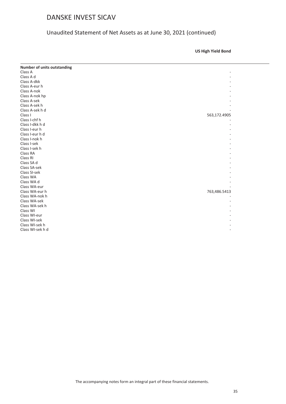#### Unaudited Statement of Net Assets as at June 30, 2021 (continued)

**US High Yield Bond**

| <b>Number of units outstanding</b> |              |
|------------------------------------|--------------|
| Class A                            |              |
| Class A d                          |              |
| Class A-dkk                        |              |
| Class A-eur h                      |              |
| Class A-nok                        |              |
| Class A-nok hp                     |              |
| Class A-sek                        |              |
| Class A-sek h                      |              |
| Class A-sek h d                    |              |
| Class I                            | 563,172.4905 |
| Class I-chf h                      |              |
| Class I-dkk h d                    |              |
| Class I-eur h                      |              |
| Class I-eur h d                    |              |
| Class I-nok h                      |              |
| Class I-sek                        |              |
| Class I-sek h                      |              |
| Class RA                           |              |
| Class RI                           |              |
| Class SA d                         |              |
| Class SA-sek                       |              |
| Class SI-sek                       |              |
| Class WA                           |              |
| Class WA d                         |              |
| Class WA-eur                       |              |
| Class WA-eur h                     | 763,486.5413 |
| Class WA-nok h                     |              |
| Class WA-sek                       |              |
| Class WA-sek h                     |              |
| Class WI                           |              |
| Class WI-eur                       |              |
| Class WI-sek                       |              |
| Class WI-sek h                     |              |
| Class WI-sek h d                   |              |
|                                    |              |

The accompanying notes form an integral part of these financial statements.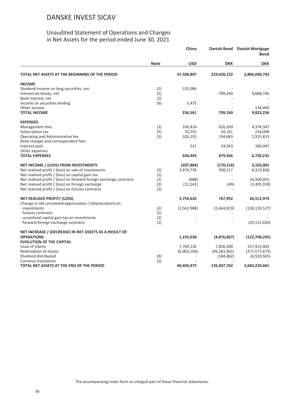#### Unaudited Statement of Operations and Changes in Net Assets for the period ended June 30, 2021

<span id="page-35-0"></span>

|                                                                                                  |             | China       |                          | <b>Danish Mortgage</b><br><b>Bond</b> |
|--------------------------------------------------------------------------------------------------|-------------|-------------|--------------------------|---------------------------------------|
|                                                                                                  | <b>Note</b> | <b>USD</b>  | <b>DKK</b>               | <b>DKK</b>                            |
| TOTAL NET ASSETS AT THE BEGINNING OF THE PERIOD                                                  |             | 37,508,807  | 229,626,152              | 2,866,690,742                         |
| <b>INCOME</b>                                                                                    |             |             |                          |                                       |
| Dividend income on long securities, net                                                          | (2)         | 231,086     |                          |                                       |
| Interest on bonds, net                                                                           | (2)         |             | 709,240                  | 9,688,746                             |
| Bank interest, net<br>Income on securities lending                                               | (2)<br>(6)  | 5,475       |                          |                                       |
| Other income                                                                                     |             |             |                          | 134,490                               |
| <b>TOTAL INCOME</b>                                                                              |             | 236,561     | 709,240                  | 9,823,236                             |
| <b>EXPENSES</b>                                                                                  |             |             |                          |                                       |
| Management fees                                                                                  | (3)         | 330,414     | 626,269                  | 4,374,367                             |
| Subscription tax                                                                                 | (5)         | 10,255      | 34,161                   | 234,008                               |
| Operating and Administrative fee                                                                 | (3)         | 103,255     | 194,683                  | 1,925,813                             |
| Bank charges and correspondent fees<br>Interest paid                                             |             | 521         | 24,343                   | 186,047                               |
| Other expenses                                                                                   |             |             |                          |                                       |
| <b>TOTAL EXPENSES</b>                                                                            |             | 444,445     | 879,456                  | 6,720,235                             |
| NET INCOME / (LOSS) FROM INVESTMENTS                                                             |             | (207, 884)  | (170, 216)               | 3,103,001                             |
| Net realised profit / (loss) on sale of investments                                              | (2)         | 3,974,739   | 938,217                  | 8,315,838                             |
| Net realised profit / (loss) on capital gain tax                                                 | (2)         |             |                          |                                       |
| Net realised profit / (loss) on forward foreign exchange contracts                               | (2)         | (688)       | $\overline{\phantom{a}}$ | 16,500,053                            |
| Net realised profit / (loss) on foreign exchange                                                 | (2)         | (11, 541)   | (49)                     | (1,405,918)                           |
| Net realised profit / (loss) on futures contracts                                                | (2)         |             |                          |                                       |
| <b>NET REALISED PROFIT/ (LOSS)</b><br>Change in net unrealised appreciation / (depreciation) on: |             | 3,754,626   | 767,952                  | 26,512,974                            |
| - investments                                                                                    | (2)         | (2,561,988) | (5,644,819)              | (130, 139, 527)                       |
| - futures contracts                                                                              | (2)         |             |                          |                                       |
| - unrealised capital gain tax on investments                                                     | (2)         |             |                          |                                       |
| - forward foreign exchange contracts                                                             | (2)         |             |                          | (19, 121, 692)                        |
| NET INCREASE / (DECREASE) IN NET ASSETS AS A RESULT OF                                           |             |             |                          |                                       |
| <b>OPERATIONS</b><br><b>EVOLUTION OF THE CAPITAL</b>                                             |             | 1,192,638   | (4,876,867)              | (122, 748, 245)                       |
| Issue of shares                                                                                  |             | 7,704,136   | 7,856,300                | 317,415,402                           |
| Redemption of shares                                                                             |             | (6,002,106) | (96, 582, 961)           | (371, 577, 673)                       |
| Dividend distributed                                                                             | (9)         |             | (184, 862)               | (6,559,565)                           |
| <b>Currency translation</b>                                                                      | (2)         |             |                          |                                       |
| TOTAL NET ASSETS AT THE END OF THE PERIOD                                                        |             | 40,403,475  | 135,837,762              | 2,683,220,661                         |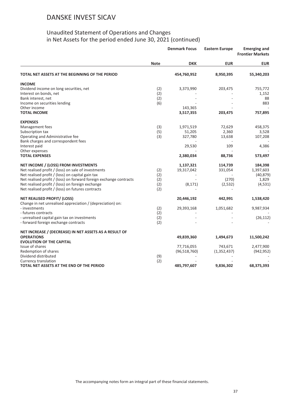|                                                                    |             | <b>Denmark Focus</b> | <b>Eastern Europe</b> | <b>Emerging and</b><br><b>Frontier Markets</b> |
|--------------------------------------------------------------------|-------------|----------------------|-----------------------|------------------------------------------------|
|                                                                    | <b>Note</b> | <b>DKK</b>           | <b>EUR</b>            | <b>EUR</b>                                     |
| TOTAL NET ASSETS AT THE BEGINNING OF THE PERIOD                    |             | 454,760,952          | 8,950,395             | 55,340,203                                     |
| <b>INCOME</b>                                                      |             |                      |                       |                                                |
| Dividend income on long securities, net                            | (2)         | 3,373,990            | 203,475               | 755,772                                        |
| Interest on bonds, net                                             | (2)         |                      |                       | 1,152                                          |
| Bank interest, net                                                 | (2)         |                      |                       | 88                                             |
| Income on securities lending                                       | (6)         |                      |                       | 883                                            |
| Other income                                                       |             | 143,365              |                       |                                                |
| <b>TOTAL INCOME</b>                                                |             | 3,517,355            | 203,475               | 757,895                                        |
| <b>EXPENSES</b>                                                    |             |                      |                       |                                                |
| Management fees                                                    | (3)         | 1,971,519            | 72,629                | 458,375                                        |
| Subscription tax                                                   | (5)         | 51,205               | 2,360                 | 3,528                                          |
| Operating and Administrative fee                                   | (3)         | 327,780              | 13,638                | 107,208                                        |
| Bank charges and correspondent fees                                |             |                      |                       |                                                |
| Interest paid                                                      |             | 29,530               | 109                   | 4,386                                          |
| Other expenses                                                     |             |                      |                       |                                                |
| <b>TOTAL EXPENSES</b>                                              |             | 2,380,034            | 88,736                | 573,497                                        |
| NET INCOME / (LOSS) FROM INVESTMENTS                               |             | 1,137,321            | 114,739               | 184,398                                        |
| Net realised profit / (loss) on sale of investments                | (2)         | 19,317,042           | 331,054               | 1,397,603                                      |
| Net realised profit / (loss) on capital gain tax                   | (2)         |                      |                       | (40, 879)                                      |
| Net realised profit / (loss) on forward foreign exchange contracts | (2)         |                      | (270)                 | 1,829                                          |
| Net realised profit / (loss) on foreign exchange                   | (2)         | (8, 171)             | (2,532)               | (4, 531)                                       |
| Net realised profit / (loss) on futures contracts                  | (2)         |                      |                       |                                                |
| <b>NET REALISED PROFIT/ (LOSS)</b>                                 |             | 20,446,192           | 442,991               | 1,538,420                                      |
| Change in net unrealised appreciation / (depreciation) on:         |             |                      |                       |                                                |
| - investments                                                      | (2)         | 29,393,168           | 1,051,682             | 9,987,934                                      |
| - futures contracts                                                | (2)         |                      |                       |                                                |
| - unrealised capital gain tax on investments                       | (2)         |                      |                       | (26, 112)                                      |
| - forward foreign exchange contracts                               | (2)         |                      |                       |                                                |
| NET INCREASE / (DECREASE) IN NET ASSETS AS A RESULT OF             |             |                      |                       |                                                |
| <b>OPERATIONS</b>                                                  |             | 49,839,360           | 1,494,673             | 11,500,242                                     |
| <b>EVOLUTION OF THE CAPITAL</b>                                    |             |                      |                       |                                                |
| Issue of shares                                                    |             | 77,716,055           | 743,671               | 2,477,900                                      |
| Redemption of shares                                               |             | (96, 518, 760)       | (1,352,437)           | (942, 952)                                     |
| Dividend distributed                                               | (9)         |                      |                       |                                                |
| Currency translation                                               | (2)         |                      |                       |                                                |
| TOTAL NET ASSETS AT THE END OF THE PERIOD                          |             | 485,797,607          | 9,836,302             | 68,375,393                                     |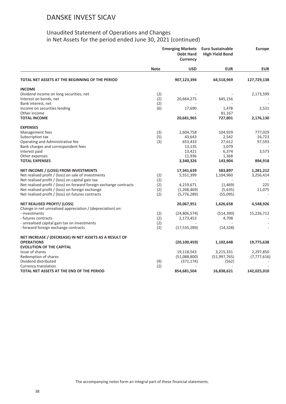|                                                                             | <b>Emerging Markets</b><br><b>Debt Hard</b><br><b>Currency</b> |                | <b>Euro Sustainable</b><br><b>High Yield Bond</b> | <b>Europe</b> |
|-----------------------------------------------------------------------------|----------------------------------------------------------------|----------------|---------------------------------------------------|---------------|
|                                                                             | <b>Note</b>                                                    | <b>USD</b>     | <b>EUR</b>                                        | <b>EUR</b>    |
| TOTAL NET ASSETS AT THE BEGINNING OF THE PERIOD                             |                                                                | 907,123,394    | 64,518,969                                        | 127,729,138   |
| <b>INCOME</b>                                                               |                                                                |                |                                                   |               |
| Dividend income on long securities, net                                     | (2)                                                            |                |                                                   | 2,173,599     |
| Interest on bonds, net                                                      | (2)                                                            | 20,664,275     | 645,156                                           |               |
| Bank interest, net                                                          | (2)                                                            |                |                                                   |               |
| Income on securities lending                                                | (6)                                                            | 17,690         | 1,478                                             | 2,531         |
| Other income                                                                |                                                                |                | 81,167                                            |               |
| <b>TOTAL INCOME</b>                                                         |                                                                | 20,681,965     | 727,801                                           | 2,176,130     |
| <b>EXPENSES</b>                                                             |                                                                |                |                                                   |               |
| Management fees                                                             | (3)                                                            | 2,604,758      | 104,929                                           | 777,029       |
| Subscription tax                                                            | (5)                                                            | 43,643         | 2,542                                             | 16,723        |
| Operating and Administrative fee                                            | (3)                                                            | 653,433        | 27,612                                            | 97,593        |
| Bank charges and correspondent fees                                         |                                                                | 13,135         | 1,079                                             |               |
| Interest paid                                                               |                                                                | 13,421         | 6,374                                             | 3,573         |
| Other expenses                                                              |                                                                | 11,936         | 1,368                                             |               |
| <b>TOTAL EXPENSES</b>                                                       |                                                                | 3,340,326      | 143,904                                           | 894,918       |
| NET INCOME / (LOSS) FROM INVESTMENTS                                        |                                                                | 17,341,639     | 583,897                                           | 1,281,212     |
| Net realised profit / (loss) on sale of investments                         | (2)                                                            | 5,551,399      | 1,104,960                                         | 3,256,414     |
| Net realised profit / (loss) on capital gain tax                            | (2)                                                            |                |                                                   |               |
| Net realised profit / (loss) on forward foreign exchange contracts          | (2)                                                            | 4,219,671      | (1, 469)                                          | 225           |
| Net realised profit / (loss) on foreign exchange                            | (2)                                                            | (1,268,469)    | (5,635)                                           | 11,075        |
| Net realised profit / (loss) on futures contracts                           | (2)                                                            | (5,776,289)    | (55,095)                                          |               |
| NET REALISED PROFIT/ (LOSS)                                                 |                                                                | 20,067,951     | 1,626,658                                         | 4,548,926     |
| Change in net unrealised appreciation / (depreciation) on:<br>- investments |                                                                |                |                                                   |               |
| - futures contracts                                                         | (2)<br>(2)                                                     | (24,806,574)   | (514, 390)                                        | 15,226,712    |
| - unrealised capital gain tax on investments                                | (2)                                                            | 2,173,453      | 4,708                                             |               |
| - forward foreign exchange contracts                                        | (2)                                                            | (17, 535, 289) | (14, 328)                                         |               |
| NET INCREASE / (DECREASE) IN NET ASSETS AS A RESULT OF                      |                                                                |                |                                                   |               |
| <b>OPERATIONS</b>                                                           |                                                                | (20, 100, 459) | 1,102,648                                         | 19,775,638    |
| <b>EVOLUTION OF THE CAPITAL</b>                                             |                                                                |                |                                                   |               |
| Issue of shares                                                             |                                                                | 19,118,543     | 3,215,331                                         | 2,297,850     |
| Redemption of shares                                                        |                                                                | (51,088,800)   | (51, 997, 765)                                    | (7, 777, 616) |
| Dividend distributed                                                        | (9)                                                            | (371, 174)     | (562)                                             |               |
| Currency translation                                                        | (2)                                                            |                |                                                   |               |
| TOTAL NET ASSETS AT THE END OF THE PERIOD                                   |                                                                | 854,681,504    | 16,838,621                                        | 142,025,010   |
|                                                                             |                                                                |                |                                                   |               |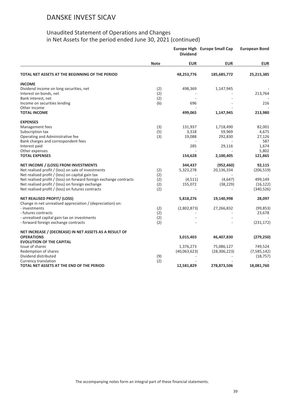|                                                                    | <b>Dividend</b> |              | <b>Europe High Europe Small Cap</b> | <b>European Bond</b> |
|--------------------------------------------------------------------|-----------------|--------------|-------------------------------------|----------------------|
|                                                                    | <b>Note</b>     | <b>EUR</b>   | <b>EUR</b>                          | <b>EUR</b>           |
| TOTAL NET ASSETS AT THE BEGINNING OF THE PERIOD                    |                 | 48,253,776   | 185,685,772                         | 25,215,385           |
| <b>INCOME</b>                                                      |                 |              |                                     |                      |
| Dividend income on long securities, net                            | (2)             | 498,369      | 1,147,945                           |                      |
| Interest on bonds, net                                             | (2)             |              |                                     | 213,764              |
| Bank interest, net                                                 | (2)             |              |                                     |                      |
| Income on securities lending                                       | (6)             | 696          |                                     | 216                  |
| Other income                                                       |                 |              |                                     |                      |
| <b>TOTAL INCOME</b>                                                |                 | 499,065      | 1,147,945                           | 213,980              |
| <b>EXPENSES</b>                                                    |                 |              |                                     |                      |
| Management fees                                                    | (3)             | 131,937      | 1,718,490                           | 82,001               |
| Subscription tax                                                   | (5)             | 3,318        | 59,969                              | 4,675                |
| Operating and Administrative fee                                   | (3)             | 19,088       | 292,830                             | 27,126               |
| Bank charges and correspondent fees                                |                 |              |                                     | 587                  |
| Interest paid                                                      |                 | 285          | 29,116                              | 1,674                |
| Other expenses                                                     |                 |              |                                     | 5,802                |
| <b>TOTAL EXPENSES</b>                                              |                 | 154,628      | 2,100,405                           | 121,865              |
| NET INCOME / (LOSS) FROM INVESTMENTS                               |                 | 344,437      | (952, 460)                          | 92,115               |
| Net realised profit / (loss) on sale of investments                | (2)             | 5,323,278    | 20,136,334                          | (206, 519)           |
| Net realised profit / (loss) on capital gain tax                   | (2)             |              |                                     |                      |
| Net realised profit / (loss) on forward foreign exchange contracts | (2)             | (4,511)      | (4,647)                             | 499,149              |
| Net realised profit / (loss) on foreign exchange                   | (2)             | 155,072      | (38, 229)                           | (16, 122)            |
| Net realised profit / (loss) on futures contracts                  | (2)             |              |                                     | (340, 526)           |
| <b>NET REALISED PROFIT/ (LOSS)</b>                                 |                 | 5,818,276    | 19,140,998                          | 28,097               |
| Change in net unrealised appreciation / (depreciation) on:         |                 |              |                                     |                      |
| - investments                                                      | (2)             | (2,802,873)  | 27,266,832                          | (99, 853)            |
| - futures contracts                                                | (2)             |              |                                     | 23,678               |
| - unrealised capital gain tax on investments                       | (2)             |              |                                     |                      |
| - forward foreign exchange contracts                               | (2)             |              |                                     | (231, 172)           |
| NET INCREASE / (DECREASE) IN NET ASSETS AS A RESULT OF             |                 |              |                                     |                      |
| <b>OPERATIONS</b>                                                  |                 | 3,015,403    | 46,407,830                          | (279, 250)           |
| <b>EVOLUTION OF THE CAPITAL</b>                                    |                 |              |                                     |                      |
| Issue of shares                                                    |                 | 1,376,273    | 75,086,127                          | 749,524              |
| Redemption of shares                                               |                 | (40,063,623) | (28, 306, 223)                      | (7, 585, 142)        |
| Dividend distributed                                               | (9)             |              |                                     | (18, 757)            |
| Currency translation                                               | (2)             |              |                                     |                      |
| TOTAL NET ASSETS AT THE END OF THE PERIOD                          |                 | 12,581,829   | 278,873,506                         | 18,081,760           |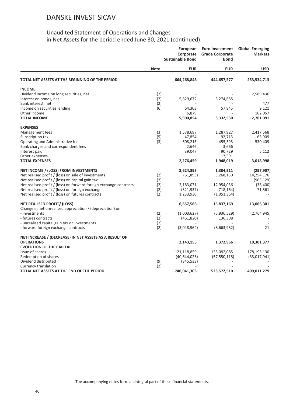| <b>EUR</b><br><b>EUR</b><br><b>USD</b><br><b>Note</b><br>664,268,848<br>444,657,577<br>253,534,713<br>Dividend income on long securities, net<br>(2)<br>2,589,436<br>(2)<br>Interest on bonds, net<br>5,829,672<br>3,274,685<br>(2)<br>Bank interest, net<br>477<br>(6)<br>Income on securities lending<br>64,303<br>57,845<br>9,121<br>Other income<br>6,879<br>162,057<br><b>TOTAL INCOME</b><br>5,900,854<br>3,332,530<br>2,761,091<br>(3)<br>2,417,568<br>Management fees<br>1,578,697<br>1,287,927<br>(5)<br>Subscription tax<br>47,854<br>92,713<br>65,909<br>(3)<br>Operating and Administrative fee<br>608,215<br>455,393<br>530,409<br>Bank charges and correspondent fees<br>2,646<br>3,666<br>90,729<br>Interest paid<br>39,047<br>5,112<br>Other expenses<br>17,591<br><b>TOTAL EXPENSES</b><br>2,276,459<br>1,948,019<br>3,018,998<br>3,624,395<br>1,384,511<br>(257, 907)<br>Net realised profit / (loss) on sale of investments<br>(2)<br>(61,893)<br>3,268,150<br>14,254,176<br>Net realised profit / (loss) on capital gain tax<br>(2)<br>(963, 129)<br>Net realised profit / (loss) on forward foreign exchange contracts<br>(2)<br>2,183,071<br>12,954,036<br>(38, 400)<br>Net realised profit / (loss) on foreign exchange<br>(2)<br>(321, 937)<br>(718, 164)<br>71,561<br>(2)<br>1,233,930<br>(1,051,364)<br>13,066,301<br>6,657,566<br>15,837,169<br>Change in net unrealised appreciation / (depreciation) on:<br>(2)<br>- investments<br>(2,764,945)<br>(1,003,627)<br>(5,936,529)<br>- futures contracts<br>(2)<br>(461, 820)<br>136,308<br>- unrealised capital gain tax on investments<br>(2)<br>(2)<br>(3,048,964)<br>(8,663,982)<br>21<br>NET INCREASE / (DECREASE) IN NET ASSETS AS A RESULT OF<br><b>OPERATIONS</b><br>1,372,966<br>2,143,155<br>10,301,377<br><b>EVOLUTION OF THE CAPITAL</b><br>Issue of shares<br>121,118,859<br>135,092,085<br>178,193,130<br>Redemption of shares<br>(40, 644, 026)<br>(57, 550, 118)<br>(33,017,941)<br>Dividend distributed<br>(9)<br>(845, 533)<br>(2)<br>Currency translation<br>746,041,303<br>523,572,510<br>409,011,279 |                                                   | European<br>Corporate<br><b>Sustainable Bond</b> |  | <b>Euro Investment</b><br><b>Grade Corporate</b><br>Bond | <b>Global Emerging</b><br><b>Markets</b> |
|----------------------------------------------------------------------------------------------------------------------------------------------------------------------------------------------------------------------------------------------------------------------------------------------------------------------------------------------------------------------------------------------------------------------------------------------------------------------------------------------------------------------------------------------------------------------------------------------------------------------------------------------------------------------------------------------------------------------------------------------------------------------------------------------------------------------------------------------------------------------------------------------------------------------------------------------------------------------------------------------------------------------------------------------------------------------------------------------------------------------------------------------------------------------------------------------------------------------------------------------------------------------------------------------------------------------------------------------------------------------------------------------------------------------------------------------------------------------------------------------------------------------------------------------------------------------------------------------------------------------------------------------------------------------------------------------------------------------------------------------------------------------------------------------------------------------------------------------------------------------------------------------------------------------------------------------------------------------------------------------------------------------------------------------------------------------------------------------------|---------------------------------------------------|--------------------------------------------------|--|----------------------------------------------------------|------------------------------------------|
|                                                                                                                                                                                                                                                                                                                                                                                                                                                                                                                                                                                                                                                                                                                                                                                                                                                                                                                                                                                                                                                                                                                                                                                                                                                                                                                                                                                                                                                                                                                                                                                                                                                                                                                                                                                                                                                                                                                                                                                                                                                                                                    |                                                   |                                                  |  |                                                          |                                          |
|                                                                                                                                                                                                                                                                                                                                                                                                                                                                                                                                                                                                                                                                                                                                                                                                                                                                                                                                                                                                                                                                                                                                                                                                                                                                                                                                                                                                                                                                                                                                                                                                                                                                                                                                                                                                                                                                                                                                                                                                                                                                                                    | TOTAL NET ASSETS AT THE BEGINNING OF THE PERIOD   |                                                  |  |                                                          |                                          |
|                                                                                                                                                                                                                                                                                                                                                                                                                                                                                                                                                                                                                                                                                                                                                                                                                                                                                                                                                                                                                                                                                                                                                                                                                                                                                                                                                                                                                                                                                                                                                                                                                                                                                                                                                                                                                                                                                                                                                                                                                                                                                                    | <b>INCOME</b>                                     |                                                  |  |                                                          |                                          |
|                                                                                                                                                                                                                                                                                                                                                                                                                                                                                                                                                                                                                                                                                                                                                                                                                                                                                                                                                                                                                                                                                                                                                                                                                                                                                                                                                                                                                                                                                                                                                                                                                                                                                                                                                                                                                                                                                                                                                                                                                                                                                                    |                                                   |                                                  |  |                                                          |                                          |
|                                                                                                                                                                                                                                                                                                                                                                                                                                                                                                                                                                                                                                                                                                                                                                                                                                                                                                                                                                                                                                                                                                                                                                                                                                                                                                                                                                                                                                                                                                                                                                                                                                                                                                                                                                                                                                                                                                                                                                                                                                                                                                    |                                                   |                                                  |  |                                                          |                                          |
|                                                                                                                                                                                                                                                                                                                                                                                                                                                                                                                                                                                                                                                                                                                                                                                                                                                                                                                                                                                                                                                                                                                                                                                                                                                                                                                                                                                                                                                                                                                                                                                                                                                                                                                                                                                                                                                                                                                                                                                                                                                                                                    |                                                   |                                                  |  |                                                          |                                          |
|                                                                                                                                                                                                                                                                                                                                                                                                                                                                                                                                                                                                                                                                                                                                                                                                                                                                                                                                                                                                                                                                                                                                                                                                                                                                                                                                                                                                                                                                                                                                                                                                                                                                                                                                                                                                                                                                                                                                                                                                                                                                                                    |                                                   |                                                  |  |                                                          |                                          |
|                                                                                                                                                                                                                                                                                                                                                                                                                                                                                                                                                                                                                                                                                                                                                                                                                                                                                                                                                                                                                                                                                                                                                                                                                                                                                                                                                                                                                                                                                                                                                                                                                                                                                                                                                                                                                                                                                                                                                                                                                                                                                                    |                                                   |                                                  |  |                                                          |                                          |
|                                                                                                                                                                                                                                                                                                                                                                                                                                                                                                                                                                                                                                                                                                                                                                                                                                                                                                                                                                                                                                                                                                                                                                                                                                                                                                                                                                                                                                                                                                                                                                                                                                                                                                                                                                                                                                                                                                                                                                                                                                                                                                    |                                                   |                                                  |  |                                                          |                                          |
|                                                                                                                                                                                                                                                                                                                                                                                                                                                                                                                                                                                                                                                                                                                                                                                                                                                                                                                                                                                                                                                                                                                                                                                                                                                                                                                                                                                                                                                                                                                                                                                                                                                                                                                                                                                                                                                                                                                                                                                                                                                                                                    | <b>EXPENSES</b>                                   |                                                  |  |                                                          |                                          |
|                                                                                                                                                                                                                                                                                                                                                                                                                                                                                                                                                                                                                                                                                                                                                                                                                                                                                                                                                                                                                                                                                                                                                                                                                                                                                                                                                                                                                                                                                                                                                                                                                                                                                                                                                                                                                                                                                                                                                                                                                                                                                                    |                                                   |                                                  |  |                                                          |                                          |
|                                                                                                                                                                                                                                                                                                                                                                                                                                                                                                                                                                                                                                                                                                                                                                                                                                                                                                                                                                                                                                                                                                                                                                                                                                                                                                                                                                                                                                                                                                                                                                                                                                                                                                                                                                                                                                                                                                                                                                                                                                                                                                    |                                                   |                                                  |  |                                                          |                                          |
|                                                                                                                                                                                                                                                                                                                                                                                                                                                                                                                                                                                                                                                                                                                                                                                                                                                                                                                                                                                                                                                                                                                                                                                                                                                                                                                                                                                                                                                                                                                                                                                                                                                                                                                                                                                                                                                                                                                                                                                                                                                                                                    |                                                   |                                                  |  |                                                          |                                          |
|                                                                                                                                                                                                                                                                                                                                                                                                                                                                                                                                                                                                                                                                                                                                                                                                                                                                                                                                                                                                                                                                                                                                                                                                                                                                                                                                                                                                                                                                                                                                                                                                                                                                                                                                                                                                                                                                                                                                                                                                                                                                                                    |                                                   |                                                  |  |                                                          |                                          |
|                                                                                                                                                                                                                                                                                                                                                                                                                                                                                                                                                                                                                                                                                                                                                                                                                                                                                                                                                                                                                                                                                                                                                                                                                                                                                                                                                                                                                                                                                                                                                                                                                                                                                                                                                                                                                                                                                                                                                                                                                                                                                                    |                                                   |                                                  |  |                                                          |                                          |
|                                                                                                                                                                                                                                                                                                                                                                                                                                                                                                                                                                                                                                                                                                                                                                                                                                                                                                                                                                                                                                                                                                                                                                                                                                                                                                                                                                                                                                                                                                                                                                                                                                                                                                                                                                                                                                                                                                                                                                                                                                                                                                    |                                                   |                                                  |  |                                                          |                                          |
|                                                                                                                                                                                                                                                                                                                                                                                                                                                                                                                                                                                                                                                                                                                                                                                                                                                                                                                                                                                                                                                                                                                                                                                                                                                                                                                                                                                                                                                                                                                                                                                                                                                                                                                                                                                                                                                                                                                                                                                                                                                                                                    |                                                   |                                                  |  |                                                          |                                          |
|                                                                                                                                                                                                                                                                                                                                                                                                                                                                                                                                                                                                                                                                                                                                                                                                                                                                                                                                                                                                                                                                                                                                                                                                                                                                                                                                                                                                                                                                                                                                                                                                                                                                                                                                                                                                                                                                                                                                                                                                                                                                                                    | NET INCOME / (LOSS) FROM INVESTMENTS              |                                                  |  |                                                          |                                          |
|                                                                                                                                                                                                                                                                                                                                                                                                                                                                                                                                                                                                                                                                                                                                                                                                                                                                                                                                                                                                                                                                                                                                                                                                                                                                                                                                                                                                                                                                                                                                                                                                                                                                                                                                                                                                                                                                                                                                                                                                                                                                                                    |                                                   |                                                  |  |                                                          |                                          |
|                                                                                                                                                                                                                                                                                                                                                                                                                                                                                                                                                                                                                                                                                                                                                                                                                                                                                                                                                                                                                                                                                                                                                                                                                                                                                                                                                                                                                                                                                                                                                                                                                                                                                                                                                                                                                                                                                                                                                                                                                                                                                                    |                                                   |                                                  |  |                                                          |                                          |
|                                                                                                                                                                                                                                                                                                                                                                                                                                                                                                                                                                                                                                                                                                                                                                                                                                                                                                                                                                                                                                                                                                                                                                                                                                                                                                                                                                                                                                                                                                                                                                                                                                                                                                                                                                                                                                                                                                                                                                                                                                                                                                    |                                                   |                                                  |  |                                                          |                                          |
|                                                                                                                                                                                                                                                                                                                                                                                                                                                                                                                                                                                                                                                                                                                                                                                                                                                                                                                                                                                                                                                                                                                                                                                                                                                                                                                                                                                                                                                                                                                                                                                                                                                                                                                                                                                                                                                                                                                                                                                                                                                                                                    |                                                   |                                                  |  |                                                          |                                          |
|                                                                                                                                                                                                                                                                                                                                                                                                                                                                                                                                                                                                                                                                                                                                                                                                                                                                                                                                                                                                                                                                                                                                                                                                                                                                                                                                                                                                                                                                                                                                                                                                                                                                                                                                                                                                                                                                                                                                                                                                                                                                                                    | Net realised profit / (loss) on futures contracts |                                                  |  |                                                          |                                          |
|                                                                                                                                                                                                                                                                                                                                                                                                                                                                                                                                                                                                                                                                                                                                                                                                                                                                                                                                                                                                                                                                                                                                                                                                                                                                                                                                                                                                                                                                                                                                                                                                                                                                                                                                                                                                                                                                                                                                                                                                                                                                                                    | <b>NET REALISED PROFIT/ (LOSS)</b>                |                                                  |  |                                                          |                                          |
|                                                                                                                                                                                                                                                                                                                                                                                                                                                                                                                                                                                                                                                                                                                                                                                                                                                                                                                                                                                                                                                                                                                                                                                                                                                                                                                                                                                                                                                                                                                                                                                                                                                                                                                                                                                                                                                                                                                                                                                                                                                                                                    |                                                   |                                                  |  |                                                          |                                          |
|                                                                                                                                                                                                                                                                                                                                                                                                                                                                                                                                                                                                                                                                                                                                                                                                                                                                                                                                                                                                                                                                                                                                                                                                                                                                                                                                                                                                                                                                                                                                                                                                                                                                                                                                                                                                                                                                                                                                                                                                                                                                                                    |                                                   |                                                  |  |                                                          |                                          |
|                                                                                                                                                                                                                                                                                                                                                                                                                                                                                                                                                                                                                                                                                                                                                                                                                                                                                                                                                                                                                                                                                                                                                                                                                                                                                                                                                                                                                                                                                                                                                                                                                                                                                                                                                                                                                                                                                                                                                                                                                                                                                                    |                                                   |                                                  |  |                                                          |                                          |
|                                                                                                                                                                                                                                                                                                                                                                                                                                                                                                                                                                                                                                                                                                                                                                                                                                                                                                                                                                                                                                                                                                                                                                                                                                                                                                                                                                                                                                                                                                                                                                                                                                                                                                                                                                                                                                                                                                                                                                                                                                                                                                    | - forward foreign exchange contracts              |                                                  |  |                                                          |                                          |
|                                                                                                                                                                                                                                                                                                                                                                                                                                                                                                                                                                                                                                                                                                                                                                                                                                                                                                                                                                                                                                                                                                                                                                                                                                                                                                                                                                                                                                                                                                                                                                                                                                                                                                                                                                                                                                                                                                                                                                                                                                                                                                    |                                                   |                                                  |  |                                                          |                                          |
|                                                                                                                                                                                                                                                                                                                                                                                                                                                                                                                                                                                                                                                                                                                                                                                                                                                                                                                                                                                                                                                                                                                                                                                                                                                                                                                                                                                                                                                                                                                                                                                                                                                                                                                                                                                                                                                                                                                                                                                                                                                                                                    |                                                   |                                                  |  |                                                          |                                          |
|                                                                                                                                                                                                                                                                                                                                                                                                                                                                                                                                                                                                                                                                                                                                                                                                                                                                                                                                                                                                                                                                                                                                                                                                                                                                                                                                                                                                                                                                                                                                                                                                                                                                                                                                                                                                                                                                                                                                                                                                                                                                                                    |                                                   |                                                  |  |                                                          |                                          |
|                                                                                                                                                                                                                                                                                                                                                                                                                                                                                                                                                                                                                                                                                                                                                                                                                                                                                                                                                                                                                                                                                                                                                                                                                                                                                                                                                                                                                                                                                                                                                                                                                                                                                                                                                                                                                                                                                                                                                                                                                                                                                                    |                                                   |                                                  |  |                                                          |                                          |
|                                                                                                                                                                                                                                                                                                                                                                                                                                                                                                                                                                                                                                                                                                                                                                                                                                                                                                                                                                                                                                                                                                                                                                                                                                                                                                                                                                                                                                                                                                                                                                                                                                                                                                                                                                                                                                                                                                                                                                                                                                                                                                    |                                                   |                                                  |  |                                                          |                                          |
|                                                                                                                                                                                                                                                                                                                                                                                                                                                                                                                                                                                                                                                                                                                                                                                                                                                                                                                                                                                                                                                                                                                                                                                                                                                                                                                                                                                                                                                                                                                                                                                                                                                                                                                                                                                                                                                                                                                                                                                                                                                                                                    |                                                   |                                                  |  |                                                          |                                          |
|                                                                                                                                                                                                                                                                                                                                                                                                                                                                                                                                                                                                                                                                                                                                                                                                                                                                                                                                                                                                                                                                                                                                                                                                                                                                                                                                                                                                                                                                                                                                                                                                                                                                                                                                                                                                                                                                                                                                                                                                                                                                                                    |                                                   |                                                  |  |                                                          |                                          |
|                                                                                                                                                                                                                                                                                                                                                                                                                                                                                                                                                                                                                                                                                                                                                                                                                                                                                                                                                                                                                                                                                                                                                                                                                                                                                                                                                                                                                                                                                                                                                                                                                                                                                                                                                                                                                                                                                                                                                                                                                                                                                                    | TOTAL NET ASSETS AT THE END OF THE PERIOD         |                                                  |  |                                                          |                                          |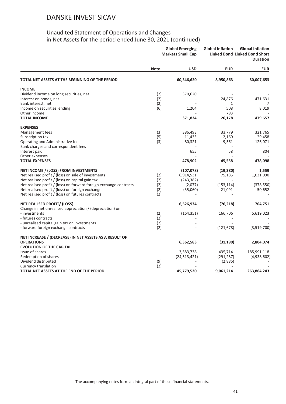|                                                                    | <b>Global Emerging</b><br><b>Markets Small Cap</b> |                | <b>Global Inflation</b> | <b>Global Inflation</b><br><b>Linked Bond Linked Bond Short</b><br><b>Duration</b> |  |
|--------------------------------------------------------------------|----------------------------------------------------|----------------|-------------------------|------------------------------------------------------------------------------------|--|
|                                                                    | <b>Note</b>                                        | <b>USD</b>     | <b>EUR</b>              | <b>EUR</b>                                                                         |  |
| TOTAL NET ASSETS AT THE BEGINNING OF THE PERIOD                    |                                                    | 60,346,620     | 8,950,863               | 80,007,653                                                                         |  |
| <b>INCOME</b>                                                      |                                                    |                |                         |                                                                                    |  |
| Dividend income on long securities, net                            | (2)                                                | 370,620        |                         |                                                                                    |  |
| Interest on bonds, net                                             | (2)                                                |                | 24,876                  | 471,631                                                                            |  |
| Bank interest, net                                                 | (2)                                                |                | 1                       | 7                                                                                  |  |
| Income on securities lending                                       | (6)                                                | 1,204          | 508                     | 8,019                                                                              |  |
| Other income                                                       |                                                    |                | 793                     |                                                                                    |  |
| <b>TOTAL INCOME</b>                                                |                                                    | 371,824        | 26,178                  | 479,657                                                                            |  |
| <b>EXPENSES</b>                                                    |                                                    |                |                         |                                                                                    |  |
| Management fees                                                    | (3)                                                | 386,493        | 33,779                  | 321,765                                                                            |  |
| Subscription tax                                                   | (5)                                                | 11,433         | 2,160                   | 29,458                                                                             |  |
| Operating and Administrative fee                                   | (3)                                                | 80,321         | 9,561                   | 126,071                                                                            |  |
| Bank charges and correspondent fees                                |                                                    |                |                         |                                                                                    |  |
| Interest paid                                                      |                                                    | 655            | 58                      | 804                                                                                |  |
| Other expenses                                                     |                                                    |                |                         |                                                                                    |  |
| <b>TOTAL EXPENSES</b>                                              |                                                    | 478,902        | 45,558                  | 478,098                                                                            |  |
| NET INCOME / (LOSS) FROM INVESTMENTS                               |                                                    | (107, 078)     | (19, 380)               | 1,559                                                                              |  |
| Net realised profit / (loss) on sale of investments                | (2)                                                | 6,914,531      | 75,185                  | 1,031,090                                                                          |  |
| Net realised profit / (loss) on capital gain tax                   | (2)                                                | (243, 382)     |                         |                                                                                    |  |
| Net realised profit / (loss) on forward foreign exchange contracts | (2)                                                | (2,077)        | (153, 114)              | (378, 550)                                                                         |  |
| Net realised profit / (loss) on foreign exchange                   | (2)                                                | (35,060)       | 21,091                  | 50,652                                                                             |  |
| Net realised profit / (loss) on futures contracts                  | (2)                                                |                |                         |                                                                                    |  |
| <b>NET REALISED PROFIT/ (LOSS)</b>                                 |                                                    | 6,526,934      | (76, 218)               | 704,751                                                                            |  |
| Change in net unrealised appreciation / (depreciation) on:         |                                                    |                |                         |                                                                                    |  |
| - investments                                                      | (2)                                                | (164, 351)     | 166,706                 | 5,619,023                                                                          |  |
| - futures contracts                                                | (2)                                                |                |                         |                                                                                    |  |
| - unrealised capital gain tax on investments                       | (2)                                                |                |                         |                                                                                    |  |
| - forward foreign exchange contracts                               | (2)                                                |                | (121, 678)              | (3,519,700)                                                                        |  |
| NET INCREASE / (DECREASE) IN NET ASSETS AS A RESULT OF             |                                                    |                |                         |                                                                                    |  |
| <b>OPERATIONS</b>                                                  |                                                    | 6,362,583      | (31, 190)               | 2,804,074                                                                          |  |
| <b>EVOLUTION OF THE CAPITAL</b>                                    |                                                    |                |                         |                                                                                    |  |
| Issue of shares                                                    |                                                    | 3,583,738      | 435,714                 | 185,991,118                                                                        |  |
| Redemption of shares                                               |                                                    | (24, 513, 421) | (291, 287)              | (4,938,602)                                                                        |  |
| Dividend distributed                                               | (9)                                                |                | (2,886)                 |                                                                                    |  |
| Currency translation                                               | (2)                                                |                |                         |                                                                                    |  |
| TOTAL NET ASSETS AT THE END OF THE PERIOD                          |                                                    | 45,779,520     | 9,061,214               | 263,864,243                                                                        |  |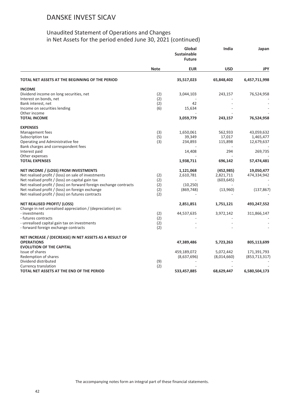|                                                                    |             | Global<br><b>Sustainable</b><br><b>Future</b> | India       | Japan           |
|--------------------------------------------------------------------|-------------|-----------------------------------------------|-------------|-----------------|
|                                                                    | <b>Note</b> | <b>EUR</b>                                    | <b>USD</b>  | <b>JPY</b>      |
| TOTAL NET ASSETS AT THE BEGINNING OF THE PERIOD                    |             | 35,517,023                                    | 65,848,402  | 6,457,711,998   |
| <b>INCOME</b>                                                      |             |                                               |             |                 |
| Dividend income on long securities, net                            | (2)         | 3,044,103                                     | 243,157     | 76,524,958      |
| Interest on bonds, net                                             | (2)         |                                               |             |                 |
| Bank interest, net                                                 | (2)         | 42                                            |             |                 |
| Income on securities lending                                       | (6)         | 15,634                                        |             |                 |
| Other income                                                       |             |                                               |             |                 |
| <b>TOTAL INCOME</b>                                                |             | 3,059,779                                     | 243,157     | 76,524,958      |
| <b>EXPENSES</b>                                                    |             |                                               |             |                 |
| Management fees                                                    | (3)         | 1,650,061                                     | 562,933     | 43,059,632      |
| Subscription tax                                                   | (5)         | 39,349                                        | 17,017      | 1,465,477       |
| Operating and Administrative fee                                   | (3)         | 234,893                                       | 115,898     | 12,679,637      |
| Bank charges and correspondent fees                                |             |                                               |             |                 |
| Interest paid                                                      |             | 14,408                                        | 294         | 269,735         |
| Other expenses                                                     |             |                                               |             |                 |
| <b>TOTAL EXPENSES</b>                                              |             | 1,938,711                                     | 696,142     | 57,474,481      |
| NET INCOME / (LOSS) FROM INVESTMENTS                               |             | 1,121,068                                     | (452, 985)  | 19,050,477      |
| Net realised profit / (loss) on sale of investments                | (2)         | 2,610,781                                     | 2,821,711   | 474,334,942     |
| Net realised profit / (loss) on capital gain tax                   | (2)         |                                               | (603, 645)  |                 |
| Net realised profit / (loss) on forward foreign exchange contracts | (2)         | (10, 250)                                     |             |                 |
| Net realised profit / (loss) on foreign exchange                   | (2)         | (869, 748)                                    | (13,960)    | (137, 867)      |
| Net realised profit / (loss) on futures contracts                  | (2)         |                                               |             |                 |
| <b>NET REALISED PROFIT/ (LOSS)</b>                                 |             | 2,851,851                                     | 1,751,121   | 493,247,552     |
| Change in net unrealised appreciation / (depreciation) on:         |             |                                               |             |                 |
| - investments                                                      | (2)         | 44,537,635                                    | 3,972,142   | 311,866,147     |
| - futures contracts                                                | (2)         |                                               |             |                 |
| - unrealised capital gain tax on investments                       | (2)         |                                               |             |                 |
| - forward foreign exchange contracts                               | (2)         |                                               |             |                 |
| NET INCREASE / (DECREASE) IN NET ASSETS AS A RESULT OF             |             |                                               |             |                 |
| <b>OPERATIONS</b>                                                  |             | 47,389,486                                    | 5,723,263   | 805,113,699     |
| <b>EVOLUTION OF THE CAPITAL</b>                                    |             |                                               |             |                 |
| Issue of shares                                                    |             | 459,189,072                                   | 5,072,442   | 171,391,793     |
| Redemption of shares                                               |             | (8,637,696)                                   | (8,014,660) | (853, 713, 317) |
| Dividend distributed                                               | (9)         |                                               |             |                 |
| Currency translation                                               | (2)         |                                               |             |                 |
| TOTAL NET ASSETS AT THE END OF THE PERIOD                          |             | 533,457,885                                   | 68,629,447  | 6,580,504,173   |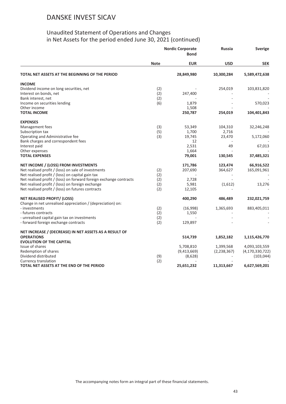|                                                                    | <b>Nordic Corporate</b><br><b>Bond</b> |             | <b>Russia</b> | <b>Sverige</b>     |  |
|--------------------------------------------------------------------|----------------------------------------|-------------|---------------|--------------------|--|
|                                                                    | <b>Note</b>                            | <b>EUR</b>  | <b>USD</b>    | <b>SEK</b>         |  |
| TOTAL NET ASSETS AT THE BEGINNING OF THE PERIOD                    |                                        | 28,849,980  | 10,300,284    | 5,589,472,638      |  |
| <b>INCOME</b>                                                      |                                        |             |               |                    |  |
| Dividend income on long securities, net                            | (2)                                    |             | 254,019       | 103,831,820        |  |
| Interest on bonds, net                                             | (2)                                    | 247,400     |               |                    |  |
| Bank interest, net                                                 | (2)                                    |             |               |                    |  |
| Income on securities lending                                       | (6)                                    | 1,879       |               | 570,023            |  |
| Other income                                                       |                                        | 1,508       |               |                    |  |
| <b>TOTAL INCOME</b>                                                |                                        | 250,787     | 254,019       | 104,401,843        |  |
| <b>EXPENSES</b>                                                    |                                        |             |               |                    |  |
| Management fees                                                    | (3)                                    | 53,349      | 104,310       | 32,246,248         |  |
| Subscription tax                                                   | (5)                                    | 1,700       | 2,716         |                    |  |
| Operating and Administrative fee                                   | (3)                                    | 19,745      | 23,470        | 5,172,060          |  |
| Bank charges and correspondent fees                                |                                        | 12          |               |                    |  |
| Interest paid                                                      |                                        | 2,531       | 49            | 67,013             |  |
| Other expenses                                                     |                                        | 1,664       |               |                    |  |
| <b>TOTAL EXPENSES</b>                                              |                                        | 79,001      | 130,545       | 37,485,321         |  |
| NET INCOME / (LOSS) FROM INVESTMENTS                               |                                        | 171,786     | 123,474       | 66,916,522         |  |
| Net realised profit / (loss) on sale of investments                | (2)                                    | 207,690     | 364,627       | 165,091,961        |  |
| Net realised profit / (loss) on capital gain tax                   | (2)                                    |             |               |                    |  |
| Net realised profit / (loss) on forward foreign exchange contracts | (2)                                    | 2,728       |               |                    |  |
| Net realised profit / (loss) on foreign exchange                   | (2)                                    | 5,981       | (1,612)       | 13,276             |  |
| Net realised profit / (loss) on futures contracts                  | (2)                                    | 12,105      |               |                    |  |
| <b>NET REALISED PROFIT/ (LOSS)</b>                                 |                                        | 400,290     | 486,489       | 232,021,759        |  |
| Change in net unrealised appreciation / (depreciation) on:         |                                        |             |               |                    |  |
| - investments                                                      | (2)                                    | (16,998)    | 1,365,693     | 883,405,011        |  |
| - futures contracts                                                | (2)                                    | 1,550       |               |                    |  |
| - unrealised capital gain tax on investments                       | (2)                                    |             |               |                    |  |
| - forward foreign exchange contracts                               | (2)                                    | 129,897     |               |                    |  |
| NET INCREASE / (DECREASE) IN NET ASSETS AS A RESULT OF             |                                        |             |               |                    |  |
| <b>OPERATIONS</b>                                                  |                                        | 514,739     | 1,852,182     | 1,115,426,770      |  |
| <b>EVOLUTION OF THE CAPITAL</b>                                    |                                        |             |               |                    |  |
| Issue of shares                                                    |                                        | 5,708,810   | 1,399,568     | 4,093,103,559      |  |
| Redemption of shares                                               |                                        | (9,413,669) | (2, 238, 367) | (4, 170, 330, 722) |  |
| Dividend distributed                                               | (9)                                    | (8,628)     |               | (103, 044)         |  |
| Currency translation                                               | (2)                                    |             |               |                    |  |
| TOTAL NET ASSETS AT THE END OF THE PERIOD                          |                                        | 25,651,232  | 11,313,667    | 6,627,569,201      |  |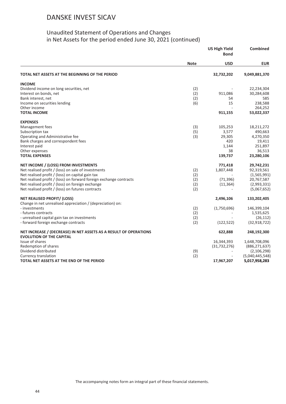|                                                                    |             | <b>US High Yield</b><br><b>Bond</b> |                 |
|--------------------------------------------------------------------|-------------|-------------------------------------|-----------------|
|                                                                    | <b>Note</b> | <b>USD</b>                          | <b>EUR</b>      |
| TOTAL NET ASSETS AT THE BEGINNING OF THE PERIOD                    |             | 32,732,202                          | 9,049,881,370   |
| <b>INCOME</b>                                                      |             |                                     |                 |
| Dividend income on long securities, net                            | (2)         |                                     | 22,234,304      |
| Interest on bonds, net                                             | (2)         | 911,086                             | 30,284,608      |
| Bank interest, net                                                 | (2)         | 54                                  | 585             |
| Income on securities lending                                       | (6)         | 15                                  | 238,588         |
| Other income                                                       |             |                                     | 264,252         |
| <b>TOTAL INCOME</b>                                                |             | 911,155                             | 53,022,337      |
| <b>EXPENSES</b>                                                    |             |                                     |                 |
| Management fees                                                    | (3)         | 105,253                             | 18,211,272      |
| Subscription tax                                                   | (5)         | 3,577                               | 490,663         |
| Operating and Administrative fee                                   | (3)         | 29,305                              | 4,270,350       |
| Bank charges and correspondent fees                                |             | 420                                 | 19,411          |
| Interest paid                                                      |             | 1,144                               | 251,897         |
| Other expenses                                                     |             | 38                                  | 36,513          |
| <b>TOTAL EXPENSES</b>                                              |             | 139,737                             | 23,280,106      |
| NET INCOME / (LOSS) FROM INVESTMENTS                               |             | 771,418                             | 29,742,231      |
| Net realised profit / (loss) on sale of investments                | (2)         | 1,807,448                           | 92,319,561      |
| Net realised profit / (loss) on capital gain tax                   | (2)         |                                     | (1,565,991)     |
| Net realised profit / (loss) on forward foreign exchange contracts | (2)         | (71, 396)                           | 20,767,587      |
| Net realised profit / (loss) on foreign exchange                   | (2)         | (11, 364)                           | (2,993,331)     |
| Net realised profit / (loss) on futures contracts                  | (2)         |                                     | (5,067,652)     |
| <b>NET REALISED PROFIT/ (LOSS)</b>                                 |             | 2,496,106                           | 133,202,405     |
| Change in net unrealised appreciation / (depreciation) on:         |             |                                     |                 |
| - investments                                                      | (2)         | (1,750,696)                         | 146,399,104     |
| - futures contracts                                                | (2)         |                                     | 1,535,625       |
| - unrealised capital gain tax on investments                       | (2)         |                                     | (26, 112)       |
| - forward foreign exchange contracts                               | (2)         | (122, 522)                          | (32, 918, 722)  |
| NET INCREASE / (DECREASE) IN NET ASSETS AS A RESULT OF OPERATIONS  |             | 622,888                             | 248,192,300     |
| <b>EVOLUTION OF THE CAPITAL</b>                                    |             |                                     |                 |
| Issue of shares                                                    |             | 16,344,393                          | 1,648,708,096   |
| Redemption of shares                                               |             | (31, 732, 276)                      | (886, 271, 637) |
| Dividend distributed                                               | (9)         |                                     | (2, 106, 298)   |
| Currency translation                                               | (2)         |                                     | (5,040,445,548) |
| TOTAL NET ASSETS AT THE END OF THE PERIOD                          |             | 17,967,207                          | 5,017,958,283   |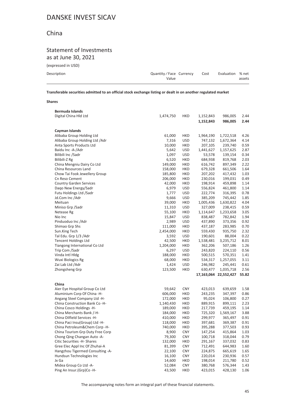### China

#### Statement of Investments as at June 30, 2021

(expressed in USD)

| Description | Quantity/Face Currency | Cost | Evaluation % net |        |
|-------------|------------------------|------|------------------|--------|
|             | Value                  |      |                  | assets |

**Transferable securities admitted to an official stock exchange listing or dealt in on another regulated market**

#### **Shares**

| <b>Bermuda Islands</b>           |           |            |           |                       |       |
|----------------------------------|-----------|------------|-----------|-----------------------|-------|
| Digital China Hld Ltd            | 1,474,750 | <b>HKD</b> | 1,152,843 | 986,005               | 2.44  |
|                                  |           |            | 1,152,843 | 986,005               | 2.44  |
|                                  |           |            |           |                       |       |
| Cayman Islands                   |           |            |           |                       |       |
| Alibaba Group Holding Ltd        | 61,000    | HKD        | 1,964,190 | 1,722,518             | 4.26  |
| Alibaba Group Holding Ltd / Adr  | 7,316     | <b>USD</b> | 747,132   | 1,672,364             | 4.14  |
| Anta Sports Products Ltd         | 10,000    | HKD        | 207,105   | 239,740               | 0.59  |
| Baidu Inc -A-/Adr                | 5,642     | <b>USD</b> | 1,441,627 | 1,157,625             | 2.87  |
| Bilibili Inc /Sadr               | 1,097     | <b>USD</b> | 53,578    | 139,154               | 0.34  |
| Bilibili-Z Rg                    | 6,520     | <b>HKD</b> | 684,938   | 819,768               | 2.03  |
| China Mengniu Dairy Co Ltd       | 149,000   | HKD        | 616,742   | 897,349               | 2.22  |
| China Resources Land             | 158,000   | HKD        | 679,328   | 661,506               | 1.64  |
| Chow Tai Fook Jewellery Group    | 185,800   | HKD        | 207,202   | 417,432               | 1.03  |
| Cn Reso Cement                   | 206,000   | HKD        | 230,016   | 199,031               | 0.49  |
| <b>Country Garden Services</b>   | 42,000    | <b>HKD</b> | 198,914   | 459,898               | 1.14  |
| Dago New Energy/Sadr             | 6,979     | <b>USD</b> | 556,824   | 461,800               | 1.14  |
| Futu Holdings Ltd /Sadr          | 1,777     | <b>USD</b> | 222,774   | 316,395               | 0.78  |
| Jd.Com Inc /Adr                  | 9,666     | <b>USD</b> | 385,209   | 745,442               | 1.85  |
| Meituan                          | 39,000    | <b>HKD</b> | 1,005,436 | 1,630,822             | 4.04  |
| Miniso Grp / Sadr                | 11,310    | <b>USD</b> | 327,009   | 238,415               | 0.59  |
| Netease Rg                       | 55,100    | <b>HKD</b> | 1,114,647 | 1,233,658             | 3.05  |
| Nio Inc                          | 15,847    | <b>USD</b> | 838,487   | 782,842               | 1.94  |
| Pinduoduo Inc / Adr              | 2,989     | <b>USD</b> | 437,890   | 373,356               | 0.92  |
| Shimao Grp Shs                   | 111,000   | HKD        | 437,187   | 283,985               | 0.70  |
| Sun.King Tech                    | 2,454,000 | HKD        | 559,430   | 935,750               | 2.32  |
| Tal Edu. Grp 1/3 /Adr            | 3,592     | <b>USD</b> | 190,601   | 88,004                | 0.22  |
| <b>Tencent Holdings Ltd</b>      | 42,500    | <b>HKD</b> | 1,538,481 | 3,235,712             | 8.01  |
| Tiangong International Co Ltd    | 1,204,000 | HKD        | 362,206   | 507,186               | 1.26  |
| Trip Com /Sadr                   | 6,297     | <b>USD</b> | 243,820   | 224,110               | 0.56  |
| Vinda Intl Hldg                  | 188,000   | HKD        | 500,515   | 570,351               | 1.41  |
| Wuxi Biologics Rg                | 68,000    | HKD        | 534,317   | 1,257,055             | 3.11  |
| Zai Lab Ltd /Adr                 | 1,424     | <b>USD</b> | 246,982   | 245,441               | 0.61  |
| Zhongsheng Grp                   | 123,500   | HKD        | 630,477   | 1,035,718             | 2.56  |
|                                  |           |            |           | 17,163,064 22,552,427 | 55.82 |
|                                  |           |            |           |                       |       |
| China                            |           |            |           |                       |       |
| Aier Eye Hospital Group Co Ltd   | 59,642    | <b>CNY</b> | 423,013   | 639,659               | 1.58  |
| Aluminium Corp Of China -H-      | 606,000   | HKD        | 243,235   | 347,397               | 0.86  |
| Angang Steel Company Ltd -H-     | 172,000   | HKD        | 95,024    | 106,800               | 0.27  |
| China Construction Bank Co -H-   | 1,140,430 | HKD        | 889,915   | 899,111               | 2.23  |
| China Cosco Holdings -H-         | 189,000   | HKD        | 217,739   | 459,195               | 1.14  |
| China Merchants Bank /-H-        | 184,000   | HKD        | 725,320   | 1,569,167             | 3.88  |
| China Oilfield Services -H-      | 410,000   | HKD        | 299,977   | 365,497               | 0.91  |
| China Paci Insu(Group) Ltd -H-   | 118,000   | <b>HKD</b> | 397,681   | 369,387               | 0.91  |
| China Petroleum&Chem Corp -H-    | 740,000   | HKD        | 395,288   | 377,503               | 0.93  |
| China Tourism Grp Duty Free Corp | 8,900     | <b>CNY</b> | 147,254   | 415,864               | 1.03  |
| Chong Qing Changan Auto - A-     | 79,300    | <b>CNY</b> | 100,718   | 318,044               | 0.79  |
| Citic Securities -H- Shares      | 132,000   | <b>HKD</b> | 291,167   | 337,032               | 0.83  |
| Gree Elec Appl Inc Of Zhuhai-A   | 81,399    | <b>CNY</b> | 712,491   | 644,983               | 1.60  |
| Hangzhou Tigermed Consulting -A- | 22,100    | <b>CNY</b> | 224,875   | 665,619               | 1.65  |
| Hundsun Technologies Inc         | 16,100    | <b>CNY</b> | 220,014   | 230,936               | 0.57  |
| Jx Ga                            | 14,600    | <b>HKD</b> | 198,014   | 211,780               | 0.52  |
| Midea Group Co Ltd -A-           | 52,084    | <b>CNY</b> | 380,768   | 576,344               | 1.43  |
| Ping An Insur.(Grp)Co -H-        | 43,500    | <b>HKD</b> | 423,015   | 428,130               | 1.06  |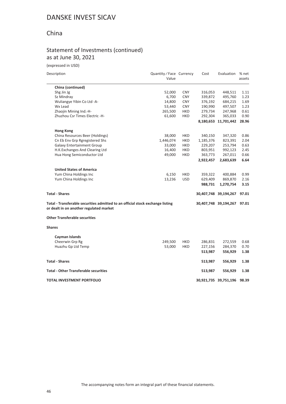### China

#### Statement of Investments (continued) as at June 30, 2021

(expressed in USD)

| Description                                                                                                               | Quantity / Face Currency<br>Value |            | Cost      | Evaluation            | % net<br>assets |
|---------------------------------------------------------------------------------------------------------------------------|-----------------------------------|------------|-----------|-----------------------|-----------------|
| China (continued)                                                                                                         |                                   |            |           |                       |                 |
| Shg Jin Jg                                                                                                                | 52,000                            | <b>CNY</b> | 316,053   | 448,511               | 1.11            |
| Sz Mindray                                                                                                                | 6,700                             | <b>CNY</b> | 339,872   | 495,760               | 1.23            |
| Wuliangye Yibin Co Ltd -A-                                                                                                | 14,800                            | <b>CNY</b> | 376,192   | 684,215               | 1.69            |
| Wx Lead                                                                                                                   | 53,440                            | <b>CNY</b> | 190,990   | 497,507               | 1.23            |
| Zhaojin Mining Ind.-H-                                                                                                    | 265,500                           | <b>HKD</b> | 279,734   | 247,968               | 0.61            |
| Zhuzhou Csr Times Electric -H-                                                                                            | 61,600                            | <b>HKD</b> | 292,304   | 365,033               | 0.90            |
|                                                                                                                           |                                   |            |           | 8,180,653 11,701,442  | 28.96           |
| <b>Hong Kong</b>                                                                                                          |                                   |            |           |                       |                 |
| China Resources Beer (Holdings)                                                                                           | 38,000                            | <b>HKD</b> | 340,150   | 347,320               | 0.86            |
| Cn Eb Env Grp Rgregistered Shs                                                                                            | 1,446,074                         | <b>HKD</b> | 1,185,376 | 823,391               | 2.04            |
| <b>Galaxy Entertainment Group</b>                                                                                         | 33,000                            | <b>HKD</b> | 229,207   | 253,794               | 0.63            |
| H.K. Exchanges And Clearing Ltd                                                                                           | 16,400                            | HKD        | 803,951   | 992,123               | 2.45            |
| Hua Hong Semiconductor Ltd                                                                                                | 49,000                            | <b>HKD</b> | 363,773   | 267,011               | 0.66            |
|                                                                                                                           |                                   |            | 2,922,457 | 2,683,639             | 6.64            |
| <b>United States of America</b>                                                                                           |                                   |            |           |                       |                 |
| Yum China Holdings Inc                                                                                                    | 6,150                             | <b>HKD</b> | 359,322   | 400,884               | 0.99            |
| Yum China Holdings Inc                                                                                                    | 13,236                            | <b>USD</b> | 629,409   | 869,870               | 2.16            |
|                                                                                                                           |                                   |            | 988,731   | 1,270,754             | 3.15            |
| <b>Total - Shares</b>                                                                                                     |                                   |            |           | 30,407,748 39,194,267 | 97.01           |
| Total - Transferable securities admitted to an official stock exchange listing<br>or dealt in on another regulated market |                                   |            |           | 30,407,748 39,194,267 | 97.01           |
| <b>Other Transferable securities</b>                                                                                      |                                   |            |           |                       |                 |
| <b>Shares</b>                                                                                                             |                                   |            |           |                       |                 |
|                                                                                                                           |                                   |            |           |                       |                 |
| Cayman Islands<br>Cheerwin Grp Rg                                                                                         | 249,500                           | <b>HKD</b> |           |                       |                 |
|                                                                                                                           |                                   | <b>HKD</b> | 286,831   | 272,559               | 0.68            |
| Huazhu Gp Ltd Temp                                                                                                        | 53,000                            |            | 227,156   | 284,370               | 0.70            |
|                                                                                                                           |                                   |            | 513,987   | 556,929               | 1.38            |
| <b>Total - Shares</b>                                                                                                     |                                   |            | 513,987   | 556,929               | 1.38            |
| <b>Total - Other Transferable securities</b>                                                                              |                                   |            | 513,987   | 556,929               | 1.38            |
| TOTAL INVESTMENT PORTFOLIO                                                                                                |                                   |            |           | 30,921,735 39,751,196 | 98.39           |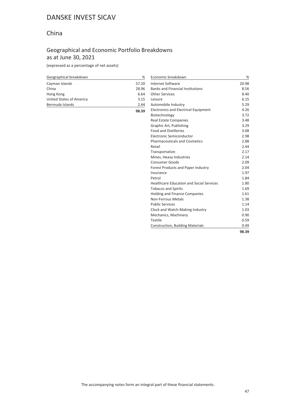### China

### Geographical and Economic Portfolio Breakdowns as at June 30, 2021

**98.39**

(expressed as a percentage of net assets)

| Geographical breakdown   | %     |
|--------------------------|-------|
| Cayman Islands           | 57.20 |
| China                    | 28.96 |
| Hong Kong                | 6.64  |
| United States of America | 3.15  |
| Bermuda Islands          | 2 44  |

| Economic breakdown                              | %     |
|-------------------------------------------------|-------|
| Internet Software                               | 20.98 |
| <b>Banks and Financial Institutions</b>         | 8.56  |
| <b>Other Services</b>                           | 8.40  |
| Leisure                                         | 6.15  |
| Automobile Industry                             | 5.29  |
| <b>Electronics and Electrical Equipment</b>     | 4.26  |
| Biotechnology                                   | 3.72  |
| <b>Real Estate Companies</b>                    | 3.48  |
| Graphic Art, Publishing                         | 3.29  |
| <b>Food and Distilleries</b>                    | 3.08  |
| Electronic Semiconductor                        | 2.98  |
| <b>Pharmaceuticals and Cosmetics</b>            | 2.88  |
| Retail                                          | 2.44  |
| Transportation                                  | 2.17  |
| Mines, Heavy Industries                         | 2.14  |
| <b>Consumer Goods</b>                           | 2.09  |
| Forest Products and Paper Industry              | 2.04  |
| Insurance                                       | 1.97  |
| Petrol                                          | 1.84  |
| <b>Healthcare Education and Social Services</b> | 1.80  |
| <b>Tobacco and Spirits</b>                      | 1.69  |
| <b>Holding and Finance Companies</b>            | 1.61  |
| Non-Ferrous Metals                              | 1.38  |
| <b>Public Services</b>                          | 1.14  |
| Clock and Watch-Making Industry                 | 1.03  |
| Mechanics, Machinery                            | 0.90  |
| Textile                                         | 0.59  |
| <b>Construction, Building Materials</b>         | 0.49  |
|                                                 | 98.39 |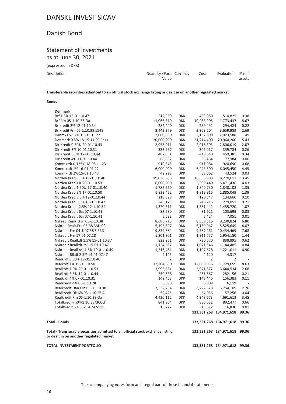#### Danish Bond

#### Statement of Investments as at June 30, 2021

(expressed in DKK)

| Description | Quantity/Face Currency<br>Value | Cost | Evaluation % net | assets |
|-------------|---------------------------------|------|------------------|--------|
|             |                                 |      |                  |        |

**Transferable securities admitted to an official stock exchange listing or dealt in on another regulated market**

#### **Bonds**

| <b>TOTAL INVESTMENT PORTFOLIO</b>                                                                                         |                |            |                | 133, 331, 268 134, 971, 618 | 99.36          |
|---------------------------------------------------------------------------------------------------------------------------|----------------|------------|----------------|-----------------------------|----------------|
| Total - Transferable securities admitted to an official stock exchange listing<br>or dealt in on another regulated market |                |            |                | 133,331,268 134,971,618     | 99.36          |
| <b>Total - Bonds</b>                                                                                                      |                |            |                | 133, 331, 268 134, 971, 618 | 99.36          |
|                                                                                                                           |                |            |                | 133, 331, 268 134, 971, 618 | 99.36          |
| Totalkredit 6% 93-1.4.24 S111                                                                                             | 15,722         | DKK        | 15,612         | 16,830                      | 0.01           |
| Totalkred Frn04-1.10.38/30Ccf                                                                                             | 841,904        | DKK        | 880,632        | 892,477                     | 0.66           |
| Realkredit Frn 05-1.10.38 Oa                                                                                              | 4,420,112      | DKK        | 4,348,673      | 4,691,613                   | 3.45           |
| Realkredit Dk.6% 93-1.10.26 A                                                                                             | 52,426         | DKK        | 54,036         | 57,256                      | 0.04           |
| Realkredit Dan.Frn 05-01.10.38                                                                                            | 3,532,764      | <b>DKK</b> | 3,722,528      | 3,754,109                   | 2.76           |
| Realkredit 4% 05-1.10.28                                                                                                  | 5,690          | <b>DKK</b> | 6,009          | 6,119                       |                |
| Realkrdt 4% 07-01.10.31                                                                                                   | 142,463        | <b>DKK</b> | 148,446        | 156,383                     | 0.11           |
| Realkrdt 3.5% 12-01.10.44                                                                                                 | 250,338        | <b>DKK</b> | 251,567        | 282,156                     | 0.21           |
| Realkrdt 1.0% 20-01.10.53                                                                                                 | 3,996,651      | <b>DKK</b> | 3,971,672      | 3,644,534                   | 2.68           |
|                                                                                                                           |                |            |                |                             |                |
| Realkrdt 1% 19-01.10.50                                                                                                   | 12,204,880     | <b>DKK</b> | 12,009,036     | 11,729,659                  | 8.63           |
| Realkrdt 0.50% 19-01.10.40                                                                                                | $\overline{2}$ | <b>DKK</b> | $\overline{2}$ | 2                           |                |
| Nykredit Rlkdt 2.5% 14-01.07.47                                                                                           | 4,125          | <b>DKK</b> | 4,120          | 4,317                       | $\overline{a}$ |
| Nykredit Realkrdt 1.5% 19-01.10.49                                                                                        | 1,216,484      | <b>DKK</b> | 1,197,628      | 1,221,011                   | 0.90           |
| Nykredit Realkdt 2% 15-01.10.47                                                                                           | 1,124,687      | <b>DKK</b> | 1,071,546      | 1,144,485                   | 0.84           |
| Nykredit Realkdt 1.5% 15-01.10.37                                                                                         | 822,251        | <b>DKK</b> | 730,570        | 838,895                     | 0.62           |
| Nykredit Frn 17-01.07.28                                                                                                  | 1,901,801      | <b>DKK</b> | 1,911,757      | 1,954,150                   | 1.44           |
| Nykredit Frn 04-1.07.38 S.33D                                                                                             | 9,839,884      | <b>DKK</b> | 9,587,262      | 10,434,469                  | 7.68           |
| Nykred.Realt.Frn 05-38 33D Cf                                                                                             | 5,195,897      | <b>DKK</b> | 5,159,067      | 5,525,649                   | 4.07           |
| Nykred.Realkr.Frn 05-1.10.38                                                                                              | 8,683,715      | <b>DKK</b> | 8,859,316      | 9,230,824                   | 6.80           |
| Nordea Kredit 6% 07-1.10.41                                                                                               | 5,692          | DKK        | 5,424          | 7,051                       | 0.01           |
| Nordea Kredit 6% 07-1.10.41                                                                                               | 83,680         | <b>DKK</b> | 81,621         | 103,699                     | 0.08           |
| Nordea Kredit 2.5% 12-1.10.34                                                                                             | 1,370,511      | <b>DKK</b> | 1,351,442      | 1,455,720                   | 1.07           |
| Nordea Kred 3.5% 15-01.10.47                                                                                              | 245,123        | DKK        | 246,716        | 279,051                     | 0.21           |
| Nordea Kred 3.5% 12-01.10.44                                                                                              | 119,828        | DKK        | 120,847        | 134,660                     | 0.10           |
| Nordea Kred 2% 17-01.10.50                                                                                                | 1,832,422      | <b>DKK</b> | 1,813,915      | 1,885,049                   | 1.39           |
| Nordea Kred 1.50% 17-01.10.40                                                                                             | 1,787,550      | DKK        | 1,840,730      | 1,840,108                   | 1.35           |
| Nordea Kred 1% 20-01.10.53                                                                                                | 6,000,000      | <b>DKK</b> | 5,599,440      | 5,471,436                   | 4.03           |
| Nordea Kred 0.5% 19-01.10.40                                                                                              | 19,030,638     | <b>DKK</b> | 18,558,903     | 18,270,611                  | 13.45          |
| Kommkrdt 2% 15-01.10.47                                                                                                   | 42,219         | <b>DKK</b> | 39,662         | 43,524                      | 0.03           |
| Kommkrdt 1% 16-01.01.22                                                                                                   | 6,000,000      | DKK        | 6,243,600      | 6,045,450                   | 4.45           |
| Kommkrdt 0.125% 18-08.11.23                                                                                               | 910,345        | <b>DKK</b> | 911,984        | 920,690                     | 0.68           |
| Dlr Kredit 4% 11-01.10.44                                                                                                 | 68,837         | <b>DKK</b> | 68,464         | 77,984                      | 0.06           |
| Dlr Kredit 3.5% 12-01.10.44                                                                                               | 407,381        | <b>DKK</b> | 410,640        | 459,381                     | 0.34           |
| Dlr Kredit 3% 10-01.10.31                                                                                                 | 333,957        | DKK        | 306,017        | 359,784                     | 0.26           |
| Dlr Kredit 0.50% 20-01.10.43                                                                                              | 2,958,011      | <b>DKK</b> | 2,916,303      | 2,806,019                   | 2.07           |
| Denmark 0.5% 18-15.11.29 Regs                                                                                             | 20,000,000     | DKK        | 21,714,400     | 20,964,200                  | 15.43          |
| Danmks Ski 2% 15-01.01.22                                                                                                 | 2,000,000      | <b>DKK</b> | 2,132,000      | 2,023,588                   | 1.49           |
| Brfkredit Frn 05-1.10.38 154B                                                                                             | 3,442,379      | DKK        | 3,363,204      | 3,659,989                   | 2.69           |
| Brfkredit 2% 12-01.10.34                                                                                                  | 282,440        | <b>DKK</b> | 259,492        | 294,424                     | 0.22           |
| Brf Frn 05-1.10.38 Oa                                                                                                     | 11,066,810     | DKK        | 10,933,905     | 11,773,437                  | 8.67           |
| Brf 1.5% 15-01.10.47                                                                                                      | 512,960        | DKK        | 483,080        | 510,825                     | 0.38           |
| <b>Denmark</b>                                                                                                            |                |            |                |                             |                |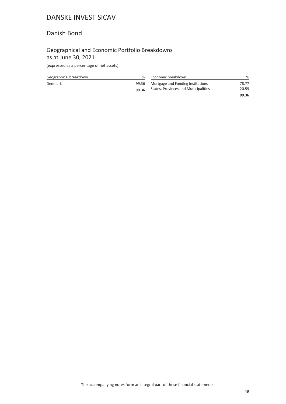#### Danish Bond

### Geographical and Economic Portfolio Breakdowns as at June 30, 2021

(expressed as a percentage of net assets)

| Geographical breakdown | ℅     | Economic breakdown                   | %     |
|------------------------|-------|--------------------------------------|-------|
| Denmark                | 99.36 | Mortgage and Funding Institutions    | 78.77 |
|                        | 99.36 | States, Provinces and Municipalities | 20.59 |
|                        |       |                                      | 99.36 |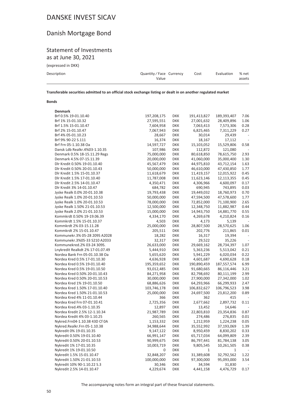### Danish Mortgage Bond

#### Statement of Investments as at June 30, 2021

(expressed in DKK)

| Description | Quantity/Face Currency<br>Value | Cost | Evaluation | % net<br>assets |
|-------------|---------------------------------|------|------------|-----------------|
|             |                                 |      |            |                 |

**Transferable securities admitted to an official stock exchange listing or dealt in on another regulated market**

#### **Bonds**

| <b>Denmark</b>                   |             |            |             |             |      |
|----------------------------------|-------------|------------|-------------|-------------|------|
| Brf 0.5% 19-01.10.40             | 197,208,175 | <b>DKK</b> | 191,413,827 | 189,393,407 | 7.06 |
| Brf 1% 15-01.10.32               | 27,595,551  | <b>DKK</b> | 27,001,632  | 28,409,896  | 1.06 |
| Brf 1.5% 15-01.10.47             | 7,604,958   | <b>DKK</b> | 7,063,413   | 7,573,306   | 0.28 |
| Brf 2% 15-01.10.47               | 7,067,943   | <b>DKK</b> | 6,825,465   | 7,311,229   | 0.27 |
| Brf 4% 05-01.10.23               | 28,667      | <b>DKK</b> | 30,014      | 29,439      |      |
| Brf 9% 90-22 S.111               | 16,374      | <b>DKK</b> | 18,167      | 17,112      |      |
| Brf Frn 05-1.10.38 Oa            | 14,597,727  | <b>DKK</b> | 15,103,052  | 15,529,806  | 0.58 |
| Dansk Ldb Realkr.4%03-1.10.35    | 107,986     | <b>DKK</b> | 112,872     | 121,080     |      |
| Denmark 0.5% 18-15.11.29 Regs    | 75,000,000  | <b>DKK</b> | 80,618,850  | 78,615,750  | 2.93 |
| Denmark 4.5% 07-15.11.39         | 20,000,000  | <b>DKK</b> | 41,060,000  | 35,000,400  | 1.30 |
| Dlr Kredit 0.50% 19-01.10.40     | 45,567,479  | <b>DKK</b> | 44,975,810  | 43,712,154  | 1.63 |
| Dlr Kredit 0.50% 20-01.10.43     | 50,000,000  | <b>DKK</b> | 46,610,000  | 47,430,850  | 1.77 |
| Dlr Kredit 1.5% 15-01.10.37      | 11,618,679  | <b>DKK</b> | 11,419,157  | 12,015,922  | 0.45 |
| Dlr Kredit 1.5% 17-01.10.40      | 11,787,008  | <b>DKK</b> | 11,623,146  | 12,113,355  | 0.45 |
| Dlr Kredit 2.5% 14-01.10.47      | 4,350,471   | <b>DKK</b> | 4,306,966   | 4,600,097   | 0.17 |
| Dlr Kredit 3% 14-01.10.47        | 684,782     | <b>DKK</b> | 690,945     | 743,895     | 0.03 |
| Jyske Realk 0.0% 20-01.10.38     | 19,793,438  | <b>DKK</b> | 19,449,032  | 18,760,973  | 0.70 |
| Jyske Realk 1.0% 20-01.10.53     | 50,000,000  | <b>DKK</b> | 47,594,500  | 47,578,600  | 1.77 |
| Jyske Realk 1.0% 20-01.10.53     | 78,000,000  | <b>DKK</b> | 72,852,000  | 71,100,900  | 2.65 |
| Jyske Realk 1.50% 21-01.10.53    | 12,500,000  | <b>DKK</b> | 12,348,750  | 11,882,987  | 0.44 |
| Jyske Realk 2.0% 21-01.10.53     | 15,000,000  | <b>DKK</b> | 14,943,750  | 14,881,770  | 0.55 |
| Kommkrdt 0.50% 19-19.06.39       | 4,334,170   | <b>DKK</b> | 4,269,678   | 4,210,824   | 0.16 |
| Kommkrdt 1.5% 15-01.10.37        | 4,503       | <b>DKK</b> | 4,173       | 5,139       |      |
| Kommkrdt 2% 03-15.11.28          | 25,000,000  | <b>DKK</b> | 28,807,500  | 28,570,625  | 1.06 |
| Kommkrdt 2% 15-01.10.47          | 205,511     | <b>DKK</b> | 202,776     | 211,865     | 0.01 |
| Kommunekr.3% 05-28 209S A2028    | 18,282      | <b>DKK</b> | 16,317      | 19,394      |      |
| Kommunekr.3%05-33 S210 A2033     | 32,317      | <b>DKK</b> | 29,522      | 35,226      |      |
| Kommunekred.2% 03-24 309S.       | 26,633,000  | <b>DKK</b> | 29,669,162  | 28,734,397  | 1.07 |
| Lnykredit Realkdt 2% 17-01.07.49 | 5,444,910   | <b>DKK</b> | 5,363,236   | 5,513,042   | 0.21 |
| Nordea Bank Frn 05-01.10.38 Oa   | 5,655,620   | <b>DKK</b> | 5,941,229   | 6,020,034   | 0.22 |
| Nordea Kred 0.5% 17-01.10.30     | 4,636,928   | <b>DKK</b> | 4,601,687   | 4,690,628   | 0.18 |
| Nordea Kred 0.5% 19-01.10.40     | 195,359,652 | <b>DKK</b> | 190,890,459 | 187,557,574 | 6.99 |
| Nordea Kred 0.5% 19-01.10.50     | 93,012,485  | <b>DKK</b> | 91,680,665  | 86,116,446  | 3.21 |
| Nordea Kred 0.50% 20-01.10.43    | 84,271,958  | <b>DKK</b> | 82,798,692  | 80,111,199  | 2.99 |
| Nordea Kred 0.50% 20-01.10.53    | 30,000,000  | <b>DKK</b> | 27,900,000  | 27,342,000  | 1.02 |
| Nordea Kred 1% 19-01.10.50       | 68,886,626  | <b>DKK</b> | 64,293,966  | 66,299,933  | 2.47 |
| Nordea Kred 1.50% 17-01.10.40    | 103,746,178 | <b>DKK</b> | 106,832,627 | 106,796,523 | 3.98 |
| Nordea Kred 1.50% 21-01.10.53    | 25,000,000  | <b>DKK</b> | 24,697,500  | 23,812,200  | 0.89 |
| Nordea Kred 4% 11-01.10.44       | 366         | <b>DKK</b> | 362         | 415         |      |
| Nordea Kred Frn 07-01.10.41      | 2,725,356   | <b>DKK</b> | 2,677,662   | 2,897,732   | 0.11 |
| Nordea Kred.4% 03-1.10.35        | 12,897      | <b>DKK</b> | 13,452      | 14,646      |      |
| Nordea Kredit 2.5% 12-1.10.34    | 21,987,789  | <b>DKK</b> | 22,803,810  | 23,354,836  | 0.87 |
| Nordea Kredit 4% 03-1.10.25      | 260,565     | <b>DKK</b> | 274,486     | 276,835     | 0.01 |
| Nykred.Frn04-1.10.38 43D Cf 0A   | 1,153,332   | <b>DKK</b> | 1,212,959   | 1,224,238   | 0.05 |
| Nykred.Realkr.Frn 05-1.10.38     | 34,988,644  | DKK        | 35,552,992  | 37,193,069  | 1.39 |
| Nykredit 0% 19-01.10.35          | 9,147,122   | <b>DKK</b> | 8,950,459   | 8,830,202   | 0.33 |
| Nykredit 0.50% 19-01.10.40       | 66,991,147  | <b>DKK</b> | 65,717,034  | 64,099,809  | 2.39 |
| Nykredit 0.50% 20-01.10.53       | 90,999,675  | <b>DKK</b> | 86,797,441  | 81,784,138  | 3.05 |
| Nykredit 1% 17-01.10.35          | 10,003,719  | <b>DKK</b> | 9,805,545   | 10,261,505  | 0.38 |
| Nykredit 1% 19-01.10.50          | 0           | <b>DKK</b> | 1           | 1           |      |
| Nykredit 1.5% 15-01.10.47        | 32,848,207  | <b>DKK</b> | 31,389,608  | 32,792,562  | 1.22 |
| Nykredit 1.50% 21-01.10.53       | 100,000,000 | <b>DKK</b> | 97,300,000  | 95,093,000  | 3.54 |
| Nykredit 10% 90-1.10.22 S.3      | 30,346      | <b>DKK</b> | 34,594      | 31,830      |      |
| Nykredit 2.5% 14-01.10.47        | 4,229,674   | <b>DKK</b> | 4,441,158   | 4,476,729   | 0.17 |
|                                  |             |            |             |             |      |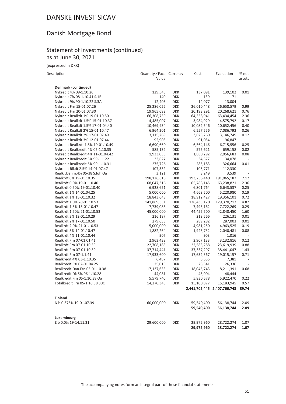### Danish Mortgage Bond

#### Statement of Investments (continued) as at June 30, 2021

(expressed in DKK)

Description Description Description Description

 $\sim$ 

|                                    | Value       |            |             |                             | assets                   |
|------------------------------------|-------------|------------|-------------|-----------------------------|--------------------------|
| Denmark (continued)                |             |            |             |                             |                          |
| Nykredit 4% 09-1.10.26             | 129,545     | <b>DKK</b> | 137,091     | 139,102                     | 0.01                     |
| Nykredit 7% 08-1.10.41 S.1E        | 140         | <b>DKK</b> | 139         | 171                         |                          |
| Nykredit 9% 90-1.10.22 S.3A        | 12,403      | <b>DKK</b> | 14,077      | 13,004                      |                          |
| Nykredit Frn 15-01.07.26           | 25,286,052  | <b>DKK</b> | 26,010,448  | 26,658,579                  | 0.99                     |
| Nykredit Frn 20-01.07.30           | 19,965,682  | <b>DKK</b> | 20,193,291  | 20,268,621                  | 0.76                     |
| Nykredit Realkdt 1% 19-01.10.50    | 66,308,739  | <b>DKK</b> | 64,358,941  | 63,434,454                  | 2.36                     |
| Nykredit Realkdt 1.5% 15-01.10.37  | 4,485,007   | <b>DKK</b> | 3,984,929   | 4,575,792                   | 0.17                     |
| Nykredit Realkdt 1.5% 17-01.04.40  | 10,469,934  | <b>DKK</b> | 10,082,546  | 10,652,456                  | 0.40                     |
| Nykredit Realkdt 2% 15-01.10.47    | 6,964,201   | <b>DKK</b> | 6,557,556   | 7,086,792                   | 0.26                     |
| Nykredit Realkdt 2% 17-01.07.49    | 3,115,269   | <b>DKK</b> | 3,025,260   | 3,146,749                   | 0.12                     |
| Nykredit Realkdt 3% 12-01.07.44    | 92,903      | <b>DKK</b> | 91,054      | 96,847                      |                          |
| Nykredit Realkrdt 1.5% 19-01.10.49 | 6,690,660   | <b>DKK</b> | 6,564,146   | 6,715,556                   | 0.25                     |
| Nykredit Realkredit 4% 05-1.10.35  | 585,132     | <b>DKK</b> | 575,621     | 659,158                     | 0.02                     |
| Nykredit Realkredit 4% 11-01.04.42 | 1,933,035   | <b>DKK</b> | 1,880,292   | 2,056,683                   | 0.08                     |
| Nykredit Realkredit 5% 99-1.1.22   | 33,627      | <b>DKK</b> | 34,577      | 34,078                      |                          |
| Nykredit Realkredit 6% 99-1.10.31  | 275,726     | <b>DKK</b> | 285,183     | 326,664                     | 0.01                     |
| Nykredit Rlkdt 2.5% 14-01.07.47    | 107,332     | <b>DKK</b> | 106,771     | 112,330                     |                          |
| Realkr.Danm.4% 05-38 S.Ioh Oa      | 3,121       | <b>DKK</b> | 3,249       | 3,539                       |                          |
| Realkrdt 0% 19-01.10.35            | 198,126,618 | <b>DKK</b> | 193,256,440 | 191,065,187                 | 7.12                     |
| Realkrdt 0.0% 19-01.10.40          | 68,047,316  | <b>DKK</b> | 65,788,145  | 63,238,821                  | 2.36                     |
| Realkrdt 0.50% 19-01.10.40         | 6,928,651   | <b>DKK</b> | 6,801,764   | 6,643,537                   | 0.25                     |
| Realkrdt 1% 14-01.04.25            | 5,000,000   | <b>DKK</b> | 4,668,500   | 5,220,980                   | 0.19                     |
| Realkrdt 1% 15-01.10.32            | 18,843,648  | <b>DKK</b> | 18,912,427  | 19,356,101                  | 0.72                     |
| Realkrdt 1.0% 20-01.10.53          | 141,869,331 | <b>DKK</b> | 138,433,120 | 129,370,217                 | 4.82                     |
| Realkrdt 1.5% 15-01.10.47          | 7,739,086   | <b>DKK</b> | 7,493,162   | 7,722,269                   | 0.29                     |
| Realkrdt 1.50% 21-01.10.53         | 45,000,000  | <b>DKK</b> | 44,455,500  | 42,840,450                  | 1.60                     |
| Realkrdt 2% 12-01.10.29            | 216,187     | <b>DKK</b> | 219,566     | 226,131                     | 0.01                     |
| Realkrdt 2% 17-01.10.50            | 279,658     | <b>DKK</b> | 289,282     | 287,003                     | 0.01                     |
| Realkrdt 2.0% 21-01.10.53          | 5,000,000   | <b>DKK</b> | 4,981,250   | 4,963,525                   | 0.19                     |
| Realkrdt 3% 14-01.10.47            | 1,882,264   | <b>DKK</b> | 1,946,732   | 2,040,481                   | 0.08                     |
| Realkrdt 4% 11-01.10.44            | 907         | <b>DKK</b> | 903         | 1,016                       |                          |
| Realkrdt Frn 07-01.01.41           | 2,963,438   | <b>DKK</b> | 2,907,133   | 3,132,816                   | 0.12                     |
| Realkrdt Frn 07-01.10.39           | 22,708,183  | <b>DKK</b> | 22,583,288  | 23,619,939                  | 0.88                     |
| Realkrdt Frn 07-01.10.39           | 37,714,441  | <b>DKK</b> | 37,337,297  | 38,441,047                  | 1.43                     |
| Realkrdt Frn 07-1.1.41             | 17,933,600  | <b>DKK</b> | 17,632,367  | 19,015,157                  | 0.71                     |
| Realkredit 4% 03-1.10.35           | 6,487       | <b>DKK</b> | 6,555       | 7,381                       |                          |
| Realkredit 5% 02-01.04.25          | 25,015      | <b>DKK</b> | 26,541      | 26,336                      | $\overline{\phantom{a}}$ |
| Realkredit Dan.Frn 05-01.10.38     | 17,137,633  | <b>DKK</b> | 18,045,743  | 18,211,391                  | 0.68                     |
| Realkredit Dk 5% 06-1.10.28        | 44,081      | <b>DKK</b> | 48,004      | 48,444                      |                          |
| Realkredit Frn 05-1.10.38 Oa       | 5,579,740   | <b>DKK</b> | 5,830,578   | 5,922,470                   | 0.22                     |
| Totalkredit Frn 05-1.10.38 30C     | 14,270,343  | <b>DKK</b> | 15,100,877  | 15,183,945                  | 0.57                     |
|                                    |             |            |             | 2,441,702,445 2,407,766,743 | 89.74                    |
| <b>Finland</b>                     |             |            |             |                             |                          |
| Nib 0.375% 19-01.07.39             | 60,000,000  | <b>DKK</b> | 59,540,400  | 56,138,744                  | 2.09                     |
|                                    |             |            | 59,540,400  | 56,138,744                  | 2.09                     |
|                                    |             |            |             |                             |                          |
| Luxembourg                         |             |            |             |                             |                          |
| Eib 0.0% 19-14.11.31               | 29,600,000  | <b>DKK</b> | 29,972,960  | 28,722,274                  | 1.07                     |
|                                    |             |            | 29,972,960  | 28,722,274                  | 1.07                     |

The accompanying notes form an integral part of these financial statements.

Cost Evaluation % net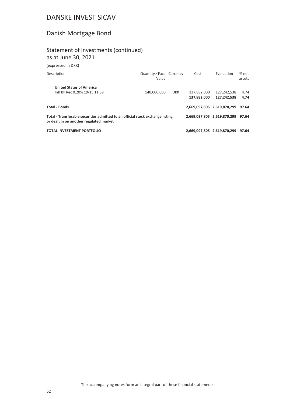### Danish Mortgage Bond

#### Statement of Investments (continued) as at June 30, 2021

(expressed in DKK)

| Description                                                                                                               | Quantity/Face Currency<br>Value |            | Cost                       | Evaluation                        | % net<br>assets |
|---------------------------------------------------------------------------------------------------------------------------|---------------------------------|------------|----------------------------|-----------------------------------|-----------------|
| <b>United States of America</b><br>Intl Bk Rec 0.20% 19-15.11.39                                                          |                                 |            |                            |                                   | 4.74            |
|                                                                                                                           | 140,000,000                     | <b>DKK</b> | 137,882,000<br>137,882,000 | 127,242,538<br>127.242.538        | 4.74            |
| <b>Total - Bonds</b>                                                                                                      |                                 |            |                            | 2,669,097,805 2,619,870,299       | 97.64           |
| Total - Transferable securities admitted to an official stock exchange listing<br>or dealt in on another regulated market |                                 |            |                            | 2,669,097,805 2,619,870,299 97.64 |                 |
| <b>TOTAL INVESTMENT PORTFOLIO</b>                                                                                         |                                 |            |                            | 2.669.097.805 2.619.870.299       | 97.64           |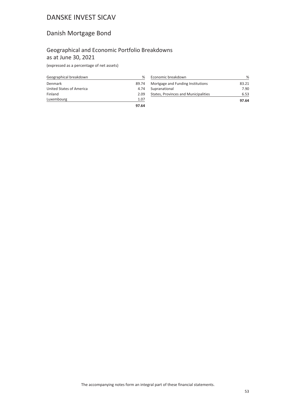### Danish Mortgage Bond

#### Geographical and Economic Portfolio Breakdowns as at June 30, 2021

(expressed as a percentage of net assets)

| Geographical breakdown   | ℅     |
|--------------------------|-------|
| Denmark                  | 89.74 |
| United States of America | 4.74  |
| Finland                  | 2.09  |
| Luxembourg               | 1.07  |
|                          | 97.64 |

| Economic breakdown                   | ℅     |
|--------------------------------------|-------|
| Mortgage and Funding Institutions    | 83.21 |
| Supranational                        | 7.90  |
| States, Provinces and Municipalities | 6.53  |
|                                      | 97.64 |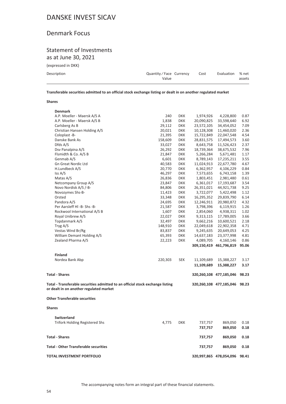### Denmark Focus

#### Statement of Investments as at June 30, 2021

(expressed in DKK)

| Description | Quantity/Face Currency<br>Value | Cost | Evaluation % net | assets |
|-------------|---------------------------------|------|------------------|--------|
|             |                                 |      |                  |        |

**Transferable securities admitted to an official stock exchange listing or dealt in on another regulated market**

| <b>Denmark</b><br>A.P. Moeller - Maersk A/S A<br>240<br><b>DKK</b><br>1,974,926<br>4,228,800<br>0.87<br>A.P. Moeller - Maersk A/S B<br>33,598,640<br>6.92<br>1,838<br><b>DKK</b><br>20,090,825<br>Carlsberg As B<br>7.09<br>29,112<br><b>DKK</b><br>23,572,105<br>34,454,052<br>Christian Hansen Holding A/S<br>20,021<br>10,128,308<br>11,460,020<br>2.36<br><b>DKK</b><br>Coloplast-B-<br>15,722,849<br>22,047,548<br>4.54<br>21,395<br><b>DKK</b><br>Danske Bank As<br>17,494,573<br>3.60<br>158,609<br><b>DKK</b><br>28,831,575<br>Dfds A/S<br>11,526,423<br>2.37<br>33,027<br><b>DKK</b><br>8,643,758<br>Dsv Panalpina A/S<br>7.96<br>26,292<br><b>DKK</b><br>18,739,364<br>38,675,532<br>Flsmidth & Co. A/S B<br>21,847<br><b>DKK</b><br>5,266,284<br>5,671,481<br>1.17<br>Genmab A/S<br>6,601<br><b>DKK</b><br>8,789,143<br>17,235,211<br>3.55<br><b>Gn Great Nordic Ltd</b><br><b>DKK</b><br>22,677,780<br>4.67<br>40,583<br>11,024,913<br>H.Lundbeck A/S<br>20,770<br>4,106,229<br>0.84<br><b>DKK</b><br>6,362,957<br>Iss A/S<br>46,297<br><b>DKK</b><br>7,573,655<br>6,743,158<br>1.39<br>0.61<br>Matas A/S<br>26,836<br><b>DKK</b><br>1,803,451<br>2,981,480<br>Netcompany Group A/S<br>17,193,687<br>3.54<br>23,847<br><b>DKK</b><br>6,361,017<br>Novo Nordisk A/S /-B-<br>44,921,738<br>84,806<br><b>DKK</b><br>26,351,021<br>9.25<br>Novozymes Shs-B-<br>3,722,077<br>5,422,498<br>1.12<br>11,423<br><b>DKK</b><br>16,295,352<br>29,839,790<br>6.14<br>Orsted<br>33,348<br><b>DKK</b><br>Pandora A/S<br>4.32<br>24,695<br><b>DKK</b><br>12,246,911<br>20,980,872<br>Per Aarsleff HI -B- Shs -B-<br>1.26<br>21,587<br><b>DKK</b><br>3,798,396<br>6,119,915<br>Rockwool International A/S B<br>1.02<br>1,607<br><b>DKK</b><br>2,854,060<br>4,938,311<br>Royal Unibrew A/S<br>3.66<br>22,027<br><b>DKK</b><br>9,313,115<br>17,789,005<br>Topdanmark A/S<br>9,662,216<br>10,600,521<br>2.18<br>32,497<br><b>DKK</b><br>Tryg A/S<br>22,902,358<br>4.71<br>148,910<br><b>DKK</b><br>22,049,618<br>Vestas Wind Br/Rg<br>4.25<br>83,837<br><b>DKK</b><br>9,245,635<br>20,649,053<br>William Demant Holding A/S<br>4.81<br>65,393<br><b>DKK</b><br>14,637,183<br>23,377,998<br>Zealand Pharma A/S<br><b>DKK</b><br>0.86<br>22,223<br>4,089,705<br>4,160,146<br>309,150,419 461,796,819<br>95.06<br><b>Finland</b><br>220,303<br><b>SEK</b><br>Nordea Bank Abp<br>3.17<br>11,109,689<br>15,388,227<br>11,109,689<br>15,388,227<br>3.17<br><b>Total - Shares</b><br>320,260,108 477,185,046<br>98.23<br>Total - Transferable securities admitted to an official stock exchange listing<br>320,260,108 477,185,046<br>98.23<br>or dealt in on another regulated market<br><b>Other Transferable securities</b><br><b>Shares</b><br><b>Switzerland</b><br><b>Trifork Holding Registered Shs</b><br>4,775<br><b>DKK</b><br>737,757<br>0.18<br>869,050<br>737,757<br>869,050<br>0.18<br><b>Total - Shares</b><br>737,757<br>869,050<br>0.18<br><b>Total - Other Transferable securities</b><br>737,757<br>869,050<br>0.18<br><b>TOTAL INVESTMENT PORTFOLIO</b><br>320,997,865 478,054,096<br>98.41 | <b>Shares</b> |  |  |  |
|---------------------------------------------------------------------------------------------------------------------------------------------------------------------------------------------------------------------------------------------------------------------------------------------------------------------------------------------------------------------------------------------------------------------------------------------------------------------------------------------------------------------------------------------------------------------------------------------------------------------------------------------------------------------------------------------------------------------------------------------------------------------------------------------------------------------------------------------------------------------------------------------------------------------------------------------------------------------------------------------------------------------------------------------------------------------------------------------------------------------------------------------------------------------------------------------------------------------------------------------------------------------------------------------------------------------------------------------------------------------------------------------------------------------------------------------------------------------------------------------------------------------------------------------------------------------------------------------------------------------------------------------------------------------------------------------------------------------------------------------------------------------------------------------------------------------------------------------------------------------------------------------------------------------------------------------------------------------------------------------------------------------------------------------------------------------------------------------------------------------------------------------------------------------------------------------------------------------------------------------------------------------------------------------------------------------------------------------------------------------------------------------------------------------------------------------------------------------------------------------------------------------------------------------------------------------------------------------------------------------------------------------------------------------------------------------------------------------------------------------------------------------------------------------------------------------------------------------------------------------------------------------------------------------------------------------------------------------------------------------------------------------------------------------------------------------------------------------------|---------------|--|--|--|
|                                                                                                                                                                                                                                                                                                                                                                                                                                                                                                                                                                                                                                                                                                                                                                                                                                                                                                                                                                                                                                                                                                                                                                                                                                                                                                                                                                                                                                                                                                                                                                                                                                                                                                                                                                                                                                                                                                                                                                                                                                                                                                                                                                                                                                                                                                                                                                                                                                                                                                                                                                                                                                                                                                                                                                                                                                                                                                                                                                                                                                                                                                   |               |  |  |  |
|                                                                                                                                                                                                                                                                                                                                                                                                                                                                                                                                                                                                                                                                                                                                                                                                                                                                                                                                                                                                                                                                                                                                                                                                                                                                                                                                                                                                                                                                                                                                                                                                                                                                                                                                                                                                                                                                                                                                                                                                                                                                                                                                                                                                                                                                                                                                                                                                                                                                                                                                                                                                                                                                                                                                                                                                                                                                                                                                                                                                                                                                                                   |               |  |  |  |
|                                                                                                                                                                                                                                                                                                                                                                                                                                                                                                                                                                                                                                                                                                                                                                                                                                                                                                                                                                                                                                                                                                                                                                                                                                                                                                                                                                                                                                                                                                                                                                                                                                                                                                                                                                                                                                                                                                                                                                                                                                                                                                                                                                                                                                                                                                                                                                                                                                                                                                                                                                                                                                                                                                                                                                                                                                                                                                                                                                                                                                                                                                   |               |  |  |  |
|                                                                                                                                                                                                                                                                                                                                                                                                                                                                                                                                                                                                                                                                                                                                                                                                                                                                                                                                                                                                                                                                                                                                                                                                                                                                                                                                                                                                                                                                                                                                                                                                                                                                                                                                                                                                                                                                                                                                                                                                                                                                                                                                                                                                                                                                                                                                                                                                                                                                                                                                                                                                                                                                                                                                                                                                                                                                                                                                                                                                                                                                                                   |               |  |  |  |
|                                                                                                                                                                                                                                                                                                                                                                                                                                                                                                                                                                                                                                                                                                                                                                                                                                                                                                                                                                                                                                                                                                                                                                                                                                                                                                                                                                                                                                                                                                                                                                                                                                                                                                                                                                                                                                                                                                                                                                                                                                                                                                                                                                                                                                                                                                                                                                                                                                                                                                                                                                                                                                                                                                                                                                                                                                                                                                                                                                                                                                                                                                   |               |  |  |  |
|                                                                                                                                                                                                                                                                                                                                                                                                                                                                                                                                                                                                                                                                                                                                                                                                                                                                                                                                                                                                                                                                                                                                                                                                                                                                                                                                                                                                                                                                                                                                                                                                                                                                                                                                                                                                                                                                                                                                                                                                                                                                                                                                                                                                                                                                                                                                                                                                                                                                                                                                                                                                                                                                                                                                                                                                                                                                                                                                                                                                                                                                                                   |               |  |  |  |
|                                                                                                                                                                                                                                                                                                                                                                                                                                                                                                                                                                                                                                                                                                                                                                                                                                                                                                                                                                                                                                                                                                                                                                                                                                                                                                                                                                                                                                                                                                                                                                                                                                                                                                                                                                                                                                                                                                                                                                                                                                                                                                                                                                                                                                                                                                                                                                                                                                                                                                                                                                                                                                                                                                                                                                                                                                                                                                                                                                                                                                                                                                   |               |  |  |  |
|                                                                                                                                                                                                                                                                                                                                                                                                                                                                                                                                                                                                                                                                                                                                                                                                                                                                                                                                                                                                                                                                                                                                                                                                                                                                                                                                                                                                                                                                                                                                                                                                                                                                                                                                                                                                                                                                                                                                                                                                                                                                                                                                                                                                                                                                                                                                                                                                                                                                                                                                                                                                                                                                                                                                                                                                                                                                                                                                                                                                                                                                                                   |               |  |  |  |
|                                                                                                                                                                                                                                                                                                                                                                                                                                                                                                                                                                                                                                                                                                                                                                                                                                                                                                                                                                                                                                                                                                                                                                                                                                                                                                                                                                                                                                                                                                                                                                                                                                                                                                                                                                                                                                                                                                                                                                                                                                                                                                                                                                                                                                                                                                                                                                                                                                                                                                                                                                                                                                                                                                                                                                                                                                                                                                                                                                                                                                                                                                   |               |  |  |  |
|                                                                                                                                                                                                                                                                                                                                                                                                                                                                                                                                                                                                                                                                                                                                                                                                                                                                                                                                                                                                                                                                                                                                                                                                                                                                                                                                                                                                                                                                                                                                                                                                                                                                                                                                                                                                                                                                                                                                                                                                                                                                                                                                                                                                                                                                                                                                                                                                                                                                                                                                                                                                                                                                                                                                                                                                                                                                                                                                                                                                                                                                                                   |               |  |  |  |
|                                                                                                                                                                                                                                                                                                                                                                                                                                                                                                                                                                                                                                                                                                                                                                                                                                                                                                                                                                                                                                                                                                                                                                                                                                                                                                                                                                                                                                                                                                                                                                                                                                                                                                                                                                                                                                                                                                                                                                                                                                                                                                                                                                                                                                                                                                                                                                                                                                                                                                                                                                                                                                                                                                                                                                                                                                                                                                                                                                                                                                                                                                   |               |  |  |  |
|                                                                                                                                                                                                                                                                                                                                                                                                                                                                                                                                                                                                                                                                                                                                                                                                                                                                                                                                                                                                                                                                                                                                                                                                                                                                                                                                                                                                                                                                                                                                                                                                                                                                                                                                                                                                                                                                                                                                                                                                                                                                                                                                                                                                                                                                                                                                                                                                                                                                                                                                                                                                                                                                                                                                                                                                                                                                                                                                                                                                                                                                                                   |               |  |  |  |
|                                                                                                                                                                                                                                                                                                                                                                                                                                                                                                                                                                                                                                                                                                                                                                                                                                                                                                                                                                                                                                                                                                                                                                                                                                                                                                                                                                                                                                                                                                                                                                                                                                                                                                                                                                                                                                                                                                                                                                                                                                                                                                                                                                                                                                                                                                                                                                                                                                                                                                                                                                                                                                                                                                                                                                                                                                                                                                                                                                                                                                                                                                   |               |  |  |  |
|                                                                                                                                                                                                                                                                                                                                                                                                                                                                                                                                                                                                                                                                                                                                                                                                                                                                                                                                                                                                                                                                                                                                                                                                                                                                                                                                                                                                                                                                                                                                                                                                                                                                                                                                                                                                                                                                                                                                                                                                                                                                                                                                                                                                                                                                                                                                                                                                                                                                                                                                                                                                                                                                                                                                                                                                                                                                                                                                                                                                                                                                                                   |               |  |  |  |
|                                                                                                                                                                                                                                                                                                                                                                                                                                                                                                                                                                                                                                                                                                                                                                                                                                                                                                                                                                                                                                                                                                                                                                                                                                                                                                                                                                                                                                                                                                                                                                                                                                                                                                                                                                                                                                                                                                                                                                                                                                                                                                                                                                                                                                                                                                                                                                                                                                                                                                                                                                                                                                                                                                                                                                                                                                                                                                                                                                                                                                                                                                   |               |  |  |  |
|                                                                                                                                                                                                                                                                                                                                                                                                                                                                                                                                                                                                                                                                                                                                                                                                                                                                                                                                                                                                                                                                                                                                                                                                                                                                                                                                                                                                                                                                                                                                                                                                                                                                                                                                                                                                                                                                                                                                                                                                                                                                                                                                                                                                                                                                                                                                                                                                                                                                                                                                                                                                                                                                                                                                                                                                                                                                                                                                                                                                                                                                                                   |               |  |  |  |
|                                                                                                                                                                                                                                                                                                                                                                                                                                                                                                                                                                                                                                                                                                                                                                                                                                                                                                                                                                                                                                                                                                                                                                                                                                                                                                                                                                                                                                                                                                                                                                                                                                                                                                                                                                                                                                                                                                                                                                                                                                                                                                                                                                                                                                                                                                                                                                                                                                                                                                                                                                                                                                                                                                                                                                                                                                                                                                                                                                                                                                                                                                   |               |  |  |  |
|                                                                                                                                                                                                                                                                                                                                                                                                                                                                                                                                                                                                                                                                                                                                                                                                                                                                                                                                                                                                                                                                                                                                                                                                                                                                                                                                                                                                                                                                                                                                                                                                                                                                                                                                                                                                                                                                                                                                                                                                                                                                                                                                                                                                                                                                                                                                                                                                                                                                                                                                                                                                                                                                                                                                                                                                                                                                                                                                                                                                                                                                                                   |               |  |  |  |
|                                                                                                                                                                                                                                                                                                                                                                                                                                                                                                                                                                                                                                                                                                                                                                                                                                                                                                                                                                                                                                                                                                                                                                                                                                                                                                                                                                                                                                                                                                                                                                                                                                                                                                                                                                                                                                                                                                                                                                                                                                                                                                                                                                                                                                                                                                                                                                                                                                                                                                                                                                                                                                                                                                                                                                                                                                                                                                                                                                                                                                                                                                   |               |  |  |  |
|                                                                                                                                                                                                                                                                                                                                                                                                                                                                                                                                                                                                                                                                                                                                                                                                                                                                                                                                                                                                                                                                                                                                                                                                                                                                                                                                                                                                                                                                                                                                                                                                                                                                                                                                                                                                                                                                                                                                                                                                                                                                                                                                                                                                                                                                                                                                                                                                                                                                                                                                                                                                                                                                                                                                                                                                                                                                                                                                                                                                                                                                                                   |               |  |  |  |
|                                                                                                                                                                                                                                                                                                                                                                                                                                                                                                                                                                                                                                                                                                                                                                                                                                                                                                                                                                                                                                                                                                                                                                                                                                                                                                                                                                                                                                                                                                                                                                                                                                                                                                                                                                                                                                                                                                                                                                                                                                                                                                                                                                                                                                                                                                                                                                                                                                                                                                                                                                                                                                                                                                                                                                                                                                                                                                                                                                                                                                                                                                   |               |  |  |  |
|                                                                                                                                                                                                                                                                                                                                                                                                                                                                                                                                                                                                                                                                                                                                                                                                                                                                                                                                                                                                                                                                                                                                                                                                                                                                                                                                                                                                                                                                                                                                                                                                                                                                                                                                                                                                                                                                                                                                                                                                                                                                                                                                                                                                                                                                                                                                                                                                                                                                                                                                                                                                                                                                                                                                                                                                                                                                                                                                                                                                                                                                                                   |               |  |  |  |
|                                                                                                                                                                                                                                                                                                                                                                                                                                                                                                                                                                                                                                                                                                                                                                                                                                                                                                                                                                                                                                                                                                                                                                                                                                                                                                                                                                                                                                                                                                                                                                                                                                                                                                                                                                                                                                                                                                                                                                                                                                                                                                                                                                                                                                                                                                                                                                                                                                                                                                                                                                                                                                                                                                                                                                                                                                                                                                                                                                                                                                                                                                   |               |  |  |  |
|                                                                                                                                                                                                                                                                                                                                                                                                                                                                                                                                                                                                                                                                                                                                                                                                                                                                                                                                                                                                                                                                                                                                                                                                                                                                                                                                                                                                                                                                                                                                                                                                                                                                                                                                                                                                                                                                                                                                                                                                                                                                                                                                                                                                                                                                                                                                                                                                                                                                                                                                                                                                                                                                                                                                                                                                                                                                                                                                                                                                                                                                                                   |               |  |  |  |
|                                                                                                                                                                                                                                                                                                                                                                                                                                                                                                                                                                                                                                                                                                                                                                                                                                                                                                                                                                                                                                                                                                                                                                                                                                                                                                                                                                                                                                                                                                                                                                                                                                                                                                                                                                                                                                                                                                                                                                                                                                                                                                                                                                                                                                                                                                                                                                                                                                                                                                                                                                                                                                                                                                                                                                                                                                                                                                                                                                                                                                                                                                   |               |  |  |  |
|                                                                                                                                                                                                                                                                                                                                                                                                                                                                                                                                                                                                                                                                                                                                                                                                                                                                                                                                                                                                                                                                                                                                                                                                                                                                                                                                                                                                                                                                                                                                                                                                                                                                                                                                                                                                                                                                                                                                                                                                                                                                                                                                                                                                                                                                                                                                                                                                                                                                                                                                                                                                                                                                                                                                                                                                                                                                                                                                                                                                                                                                                                   |               |  |  |  |
|                                                                                                                                                                                                                                                                                                                                                                                                                                                                                                                                                                                                                                                                                                                                                                                                                                                                                                                                                                                                                                                                                                                                                                                                                                                                                                                                                                                                                                                                                                                                                                                                                                                                                                                                                                                                                                                                                                                                                                                                                                                                                                                                                                                                                                                                                                                                                                                                                                                                                                                                                                                                                                                                                                                                                                                                                                                                                                                                                                                                                                                                                                   |               |  |  |  |
|                                                                                                                                                                                                                                                                                                                                                                                                                                                                                                                                                                                                                                                                                                                                                                                                                                                                                                                                                                                                                                                                                                                                                                                                                                                                                                                                                                                                                                                                                                                                                                                                                                                                                                                                                                                                                                                                                                                                                                                                                                                                                                                                                                                                                                                                                                                                                                                                                                                                                                                                                                                                                                                                                                                                                                                                                                                                                                                                                                                                                                                                                                   |               |  |  |  |
|                                                                                                                                                                                                                                                                                                                                                                                                                                                                                                                                                                                                                                                                                                                                                                                                                                                                                                                                                                                                                                                                                                                                                                                                                                                                                                                                                                                                                                                                                                                                                                                                                                                                                                                                                                                                                                                                                                                                                                                                                                                                                                                                                                                                                                                                                                                                                                                                                                                                                                                                                                                                                                                                                                                                                                                                                                                                                                                                                                                                                                                                                                   |               |  |  |  |
|                                                                                                                                                                                                                                                                                                                                                                                                                                                                                                                                                                                                                                                                                                                                                                                                                                                                                                                                                                                                                                                                                                                                                                                                                                                                                                                                                                                                                                                                                                                                                                                                                                                                                                                                                                                                                                                                                                                                                                                                                                                                                                                                                                                                                                                                                                                                                                                                                                                                                                                                                                                                                                                                                                                                                                                                                                                                                                                                                                                                                                                                                                   |               |  |  |  |
|                                                                                                                                                                                                                                                                                                                                                                                                                                                                                                                                                                                                                                                                                                                                                                                                                                                                                                                                                                                                                                                                                                                                                                                                                                                                                                                                                                                                                                                                                                                                                                                                                                                                                                                                                                                                                                                                                                                                                                                                                                                                                                                                                                                                                                                                                                                                                                                                                                                                                                                                                                                                                                                                                                                                                                                                                                                                                                                                                                                                                                                                                                   |               |  |  |  |
|                                                                                                                                                                                                                                                                                                                                                                                                                                                                                                                                                                                                                                                                                                                                                                                                                                                                                                                                                                                                                                                                                                                                                                                                                                                                                                                                                                                                                                                                                                                                                                                                                                                                                                                                                                                                                                                                                                                                                                                                                                                                                                                                                                                                                                                                                                                                                                                                                                                                                                                                                                                                                                                                                                                                                                                                                                                                                                                                                                                                                                                                                                   |               |  |  |  |
|                                                                                                                                                                                                                                                                                                                                                                                                                                                                                                                                                                                                                                                                                                                                                                                                                                                                                                                                                                                                                                                                                                                                                                                                                                                                                                                                                                                                                                                                                                                                                                                                                                                                                                                                                                                                                                                                                                                                                                                                                                                                                                                                                                                                                                                                                                                                                                                                                                                                                                                                                                                                                                                                                                                                                                                                                                                                                                                                                                                                                                                                                                   |               |  |  |  |
|                                                                                                                                                                                                                                                                                                                                                                                                                                                                                                                                                                                                                                                                                                                                                                                                                                                                                                                                                                                                                                                                                                                                                                                                                                                                                                                                                                                                                                                                                                                                                                                                                                                                                                                                                                                                                                                                                                                                                                                                                                                                                                                                                                                                                                                                                                                                                                                                                                                                                                                                                                                                                                                                                                                                                                                                                                                                                                                                                                                                                                                                                                   |               |  |  |  |
|                                                                                                                                                                                                                                                                                                                                                                                                                                                                                                                                                                                                                                                                                                                                                                                                                                                                                                                                                                                                                                                                                                                                                                                                                                                                                                                                                                                                                                                                                                                                                                                                                                                                                                                                                                                                                                                                                                                                                                                                                                                                                                                                                                                                                                                                                                                                                                                                                                                                                                                                                                                                                                                                                                                                                                                                                                                                                                                                                                                                                                                                                                   |               |  |  |  |
|                                                                                                                                                                                                                                                                                                                                                                                                                                                                                                                                                                                                                                                                                                                                                                                                                                                                                                                                                                                                                                                                                                                                                                                                                                                                                                                                                                                                                                                                                                                                                                                                                                                                                                                                                                                                                                                                                                                                                                                                                                                                                                                                                                                                                                                                                                                                                                                                                                                                                                                                                                                                                                                                                                                                                                                                                                                                                                                                                                                                                                                                                                   |               |  |  |  |
|                                                                                                                                                                                                                                                                                                                                                                                                                                                                                                                                                                                                                                                                                                                                                                                                                                                                                                                                                                                                                                                                                                                                                                                                                                                                                                                                                                                                                                                                                                                                                                                                                                                                                                                                                                                                                                                                                                                                                                                                                                                                                                                                                                                                                                                                                                                                                                                                                                                                                                                                                                                                                                                                                                                                                                                                                                                                                                                                                                                                                                                                                                   |               |  |  |  |
|                                                                                                                                                                                                                                                                                                                                                                                                                                                                                                                                                                                                                                                                                                                                                                                                                                                                                                                                                                                                                                                                                                                                                                                                                                                                                                                                                                                                                                                                                                                                                                                                                                                                                                                                                                                                                                                                                                                                                                                                                                                                                                                                                                                                                                                                                                                                                                                                                                                                                                                                                                                                                                                                                                                                                                                                                                                                                                                                                                                                                                                                                                   |               |  |  |  |
|                                                                                                                                                                                                                                                                                                                                                                                                                                                                                                                                                                                                                                                                                                                                                                                                                                                                                                                                                                                                                                                                                                                                                                                                                                                                                                                                                                                                                                                                                                                                                                                                                                                                                                                                                                                                                                                                                                                                                                                                                                                                                                                                                                                                                                                                                                                                                                                                                                                                                                                                                                                                                                                                                                                                                                                                                                                                                                                                                                                                                                                                                                   |               |  |  |  |
|                                                                                                                                                                                                                                                                                                                                                                                                                                                                                                                                                                                                                                                                                                                                                                                                                                                                                                                                                                                                                                                                                                                                                                                                                                                                                                                                                                                                                                                                                                                                                                                                                                                                                                                                                                                                                                                                                                                                                                                                                                                                                                                                                                                                                                                                                                                                                                                                                                                                                                                                                                                                                                                                                                                                                                                                                                                                                                                                                                                                                                                                                                   |               |  |  |  |
|                                                                                                                                                                                                                                                                                                                                                                                                                                                                                                                                                                                                                                                                                                                                                                                                                                                                                                                                                                                                                                                                                                                                                                                                                                                                                                                                                                                                                                                                                                                                                                                                                                                                                                                                                                                                                                                                                                                                                                                                                                                                                                                                                                                                                                                                                                                                                                                                                                                                                                                                                                                                                                                                                                                                                                                                                                                                                                                                                                                                                                                                                                   |               |  |  |  |
|                                                                                                                                                                                                                                                                                                                                                                                                                                                                                                                                                                                                                                                                                                                                                                                                                                                                                                                                                                                                                                                                                                                                                                                                                                                                                                                                                                                                                                                                                                                                                                                                                                                                                                                                                                                                                                                                                                                                                                                                                                                                                                                                                                                                                                                                                                                                                                                                                                                                                                                                                                                                                                                                                                                                                                                                                                                                                                                                                                                                                                                                                                   |               |  |  |  |
|                                                                                                                                                                                                                                                                                                                                                                                                                                                                                                                                                                                                                                                                                                                                                                                                                                                                                                                                                                                                                                                                                                                                                                                                                                                                                                                                                                                                                                                                                                                                                                                                                                                                                                                                                                                                                                                                                                                                                                                                                                                                                                                                                                                                                                                                                                                                                                                                                                                                                                                                                                                                                                                                                                                                                                                                                                                                                                                                                                                                                                                                                                   |               |  |  |  |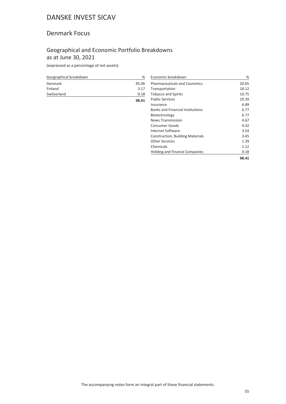#### Denmark Focus

### Geographical and Economic Portfolio Breakdowns as at June 30, 2021

(expressed as a percentage of net assets)

| Geographical breakdown | %     |
|------------------------|-------|
| Denmark                | 95.06 |
| Finland                | 3.17  |
| Switzerland            | 0.18  |
|                        | 98.41 |

| Economic breakdown                      | ℅     |
|-----------------------------------------|-------|
| <b>Pharmaceuticals and Cosmetics</b>    | 20.05 |
| Transportation                          | 18.12 |
| <b>Tobacco and Spirits</b>              | 10.75 |
| <b>Public Services</b>                  | 10.39 |
| Insurance                               | 6.89  |
| <b>Banks and Financial Institutions</b> | 6.77  |
| Biotechnology                           | 6.77  |
| <b>News Transmission</b>                | 4.67  |
| Consumer Goods                          | 4.32  |
| Internet Software                       | 3.54  |
| <b>Construction, Building Materials</b> | 3.45  |
| Other Services                          | 1.39  |
| Chemicals                               | 1.12  |
| <b>Holding and Finance Companies</b>    | 0.18  |
|                                         | 98.41 |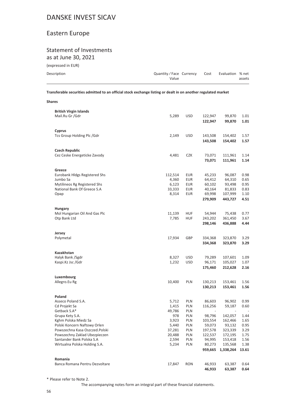### Eastern Europe

#### Statement of Investments as at June 30, 2021

(expressed in EUR)

**Shares**

| ICYNICSSCA III LOIJ |                                 |      |                  |        |
|---------------------|---------------------------------|------|------------------|--------|
| Description         | Quantity/Face Currency<br>Value | Cost | Evaluation % net | assets |
|                     |                                 |      |                  |        |

**Transferable securities admitted to an official stock exchange listing or dealt in on another regulated market**

| <b>British Virgin Islands</b>                        |                |                   |                    |                    |              |
|------------------------------------------------------|----------------|-------------------|--------------------|--------------------|--------------|
| Mail.Ru Gr /Gdr                                      | 5,289          | <b>USD</b>        | 122,947<br>122,947 | 99,870<br>99,870   | 1.01<br>1.01 |
| Cyprus                                               |                |                   |                    |                    |              |
| Tcs Group Holding Plc / Gdr                          | 2,149          | <b>USD</b>        | 143,508<br>143,508 | 154,402<br>154,402 | 1.57<br>1.57 |
| <b>Czech Republic</b>                                |                |                   |                    |                    |              |
| Cez Ceske Energeticke Zavody                         | 4,481          | CZK               | 73,071<br>73,071   | 111,961<br>111,961 | 1.14<br>1.14 |
| Greece                                               |                |                   |                    |                    |              |
| Eurobank Hidgs Registered Shs                        | 112,514        | EUR               | 45,233             | 96,087             | 0.98         |
| Jumbo Sa                                             | 4,360          | EUR               | 64,412             | 64,310             | 0.65         |
| Mytilineos Rg Registered Shs                         | 6,123          | EUR               | 60,102             | 93,498             | 0.95         |
| National Bank Of Greece S.A                          | 33,333         | EUR               | 40,164             | 81,833             | 0.83         |
| Opap                                                 | 8,314          | <b>EUR</b>        | 69,998<br>279,909  | 107,999<br>443,727 | 1.10<br>4.51 |
| <b>Hungary</b>                                       |                |                   |                    |                    |              |
| Mol Hungarian Oil And Gas Plc                        | 11,139         | <b>HUF</b>        | 54,944             | 75,438             | 0.77         |
| Otp Bank Ltd                                         | 7,785          | <b>HUF</b>        | 243,202            | 361,450            | 3.67         |
|                                                      |                |                   | 298,146            | 436,888            | 4.44         |
| Jersey                                               |                |                   |                    |                    |              |
| Polymetal                                            | 17,934         | GBP               | 334,368            | 323,870            | 3.29         |
|                                                      |                |                   | 334,368            | 323,870            | 3.29         |
| Kazakhstan                                           |                |                   |                    |                    |              |
| Halyk Bank /Sgdr<br>Kaspi.Kz Jsc /Gdr                | 8,327<br>1,232 | USD<br>USD        | 79,289<br>96,171   | 107,601<br>105,027 | 1.09<br>1.07 |
|                                                      |                |                   | 175,460            | 212,628            | 2.16         |
|                                                      |                |                   |                    |                    |              |
| Luxembourg<br>Allegro.Eu Rg                          | 10,400         | PLN               | 130,213            | 153,461            | 1.56         |
|                                                      |                |                   | 130,213            | 153,461            | 1.56         |
| Poland                                               |                |                   |                    |                    |              |
| Asseco Poland S.A.                                   | 5,712          | PLN               | 86,603             | 96,902             | 0.99         |
| Cd Projekt Sa                                        | 1,415          | PLN               | 116,256            | 59,187             | 0.60         |
| Getback S.A*                                         | 49,786         | PLN               |                    |                    |              |
| Grupa Kety S.A.                                      | 978            | PLN               | 98,796             | 142,057            | 1.44         |
| Kghm Polska Miedz Sa<br>Polski Koncern Naftowy Orlen | 3,923<br>5,440 | <b>PLN</b><br>PLN | 103,554<br>59,073  | 162,466<br>93,132  | 1.65<br>0.95 |
| Powszechna Kasa Oszczed.Polski                       | 37,281         | PLN               | 197,578            | 323,339            | 3.29         |
| Powszechny Zaklad Ubezpieczen                        | 20,488         | PLN               | 122,537            | 172,195            | 1.75         |
| Santander Bank Polska S.A                            | 2,594          | PLN               | 94,995             | 153,418            | 1.56         |
| Wirtualna Polska Holding S.A.                        | 5,234          | PLN               | 80,273             | 135,568            | 1.38         |
|                                                      |                |                   | 959,665            | 1,338,264          | 13.61        |
| Romania                                              |                |                   |                    |                    |              |
| Banca Romana Pentru Dezvoltare                       | 17,847         | <b>RON</b>        | 46,933             | 63,387             | 0.64         |
|                                                      |                |                   | 46,933             | 63,387             | 0.64         |

\* Please refer to Note 2.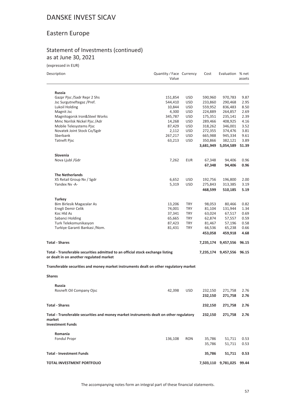### Eastern Europe

#### Statement of Investments (continued) as at June 30, 2021

(expressed in EUR)

| Description |  |  |
|-------------|--|--|
|             |  |  |

| Description                                                                                                               | Quantity / Face Currency<br>Value |                          | Cost             | Evaluation          | % net<br>assets |
|---------------------------------------------------------------------------------------------------------------------------|-----------------------------------|--------------------------|------------------|---------------------|-----------------|
| <b>Russia</b>                                                                                                             |                                   |                          |                  |                     |                 |
| Gazpr Pjsc /Sadr Repr 2 Shs                                                                                               | 151,854                           | <b>USD</b>               | 590,960          | 970,783             | 9.87            |
| Jsc Surgutneftegaz /Pref.                                                                                                 | 544,410                           | <b>USD</b>               | 233,860          | 290,468             | 2.95            |
| Lukoil Holding                                                                                                            | 10,844                            | <b>USD</b>               | 559,952          | 836,483             | 8.50            |
| Magnit Jsc                                                                                                                | 4,300                             | USD                      | 224,889          | 264,857             | 2.69            |
| Magnitogorsk Iron&Steel Works                                                                                             | 345,787                           | <b>USD</b>               | 175,351          | 235,141             | 2.39            |
| Mmc Norilsk Nickel Pjsc / Adr                                                                                             | 14,268                            | <b>USD</b>               | 289,466          | 408,925             | 4.16            |
| Mobile Telesystems Pjsc                                                                                                   | 87,429                            | <b>USD</b>               | 318,262          | 346,001             | 3.52            |
| Novatek Joint Stock Co/Sgdr                                                                                               | 2,112                             | <b>USD</b>               | 272,355          | 374,476             | 3.81            |
| Sberbank                                                                                                                  | 267,217                           | USD                      | 665,988          | 945,334             | 9.61            |
| <b>Tatneft Pjsc</b>                                                                                                       | 63,213                            | <b>USD</b>               | 350,866          | 382,121             | 3.89            |
|                                                                                                                           |                                   |                          | 3,681,949        | 5,054,589           | 51.39           |
| <b>Slovenia</b>                                                                                                           |                                   |                          |                  |                     |                 |
| Nova Ljubl /Gdr                                                                                                           | 7,262                             | <b>EUR</b>               | 67,348           | 94,406              | 0.96            |
|                                                                                                                           |                                   |                          | 67,348           | 94,406              | 0.96            |
| <b>The Netherlands</b>                                                                                                    |                                   |                          |                  |                     |                 |
| X5 Retail Group Nv / Sgdr                                                                                                 | 6,652                             | <b>USD</b>               | 192,756          | 196,800             | 2.00            |
| Yandex Nv -A-                                                                                                             | 5,319                             | <b>USD</b>               | 275,843          | 313,385             | 3.19            |
|                                                                                                                           |                                   |                          | 468,599          | 510,185             | 5.19            |
|                                                                                                                           |                                   |                          |                  |                     |                 |
| Turkey                                                                                                                    |                                   |                          |                  |                     |                 |
| Bim Birlesik Magazalar As<br>Eregli Demir Celik                                                                           | 13,206                            | <b>TRY</b>               | 98,053<br>81,104 | 80,466<br>131,944   | 0.82            |
| Koc Hld As                                                                                                                | 74,001                            | <b>TRY</b><br><b>TRY</b> |                  |                     | 1.34            |
| Sabanci Holding                                                                                                           | 37,341                            | <b>TRY</b>               | 63,024<br>62,874 | 67,517<br>57,557    | 0.69<br>0.59    |
| Turk Telekomunikasyon                                                                                                     | 65,665<br>87,423                  | <b>TRY</b>               | 81,467           | 57,196              | 0.58            |
| Turkiye Garanti Bankasi / Nom.                                                                                            | 81,431                            | <b>TRY</b>               | 66,536           | 65,238              | 0.66            |
|                                                                                                                           |                                   |                          | 453,058          | 459,918             | 4.68            |
|                                                                                                                           |                                   |                          |                  |                     |                 |
| <b>Total - Shares</b>                                                                                                     |                                   |                          | 7,235,174        | 9,457,556           | 96.15           |
| Total - Transferable securities admitted to an official stock exchange listing<br>or dealt in on another regulated market |                                   |                          | 7,235,174        | 9,457,556 96.15     |                 |
| Transferable securities and money market instruments dealt on other regulatory market                                     |                                   |                          |                  |                     |                 |
|                                                                                                                           |                                   |                          |                  |                     |                 |
| <b>Shares</b>                                                                                                             |                                   |                          |                  |                     |                 |
| Russia                                                                                                                    |                                   |                          |                  |                     |                 |
| Rosneft Oil Company Ojsc                                                                                                  | 42,398                            | <b>USD</b>               | 232,150          | 271,758             | 2.76            |
|                                                                                                                           |                                   |                          | 232,150          | 271,758             | 2.76            |
| <b>Total - Shares</b>                                                                                                     |                                   |                          | 232,150          | 271,758             | 2.76            |
| Total - Transferable securities and money market instruments dealt on other regulatory<br>market                          |                                   |                          | 232,150          | 271,758             | 2.76            |
| <b>Investment Funds</b>                                                                                                   |                                   |                          |                  |                     |                 |
| Romania                                                                                                                   |                                   |                          |                  |                     |                 |
| Fondul Propr                                                                                                              | 136,108                           | <b>RON</b>               | 35,786           | 51,711              | 0.53            |
|                                                                                                                           |                                   |                          | 35,786           | 51,711              | 0.53            |
| <b>Total - Investment Funds</b>                                                                                           |                                   |                          | 35,786           | 51,711              | 0.53            |
| TOTAL INVESTMENT PORTFOLIO                                                                                                |                                   |                          |                  | 7,503,110 9,781,025 | 99.44           |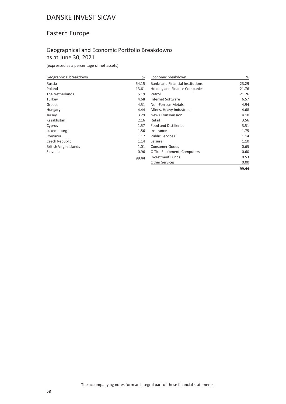### Eastern Europe

### Geographical and Economic Portfolio Breakdowns as at June 30, 2021

**99.44**

(expressed as a percentage of net assets)

| Geographical breakdown        | %     |
|-------------------------------|-------|
| Russia                        | 54.15 |
| Poland                        | 13.61 |
| The Netherlands               | 5.19  |
| Turkey                        | 4.68  |
| Greece                        | 4.51  |
| Hungary                       | 4.44  |
| Jersey                        | 3.29  |
| Kazakhstan                    | 2.16  |
| Cyprus                        | 1.57  |
| Luxembourg                    | 1.56  |
| Romania                       | 1.17  |
| Czech Republic                | 1.14  |
| <b>British Virgin Islands</b> | 1.01  |
| Slovenia                      | 0.96  |

| Economic breakdown                      | ℅     |
|-----------------------------------------|-------|
| <b>Banks and Financial Institutions</b> | 23.29 |
| <b>Holding and Finance Companies</b>    | 21.76 |
| Petrol                                  | 21.26 |
| Internet Software                       | 6.57  |
| Non-Ferrous Metals                      | 4.94  |
| Mines, Heavy Industries                 | 4.68  |
| <b>News Transmission</b>                | 4.10  |
| Retail                                  | 3.56  |
| <b>Food and Distilleries</b>            | 3.51  |
| Insurance                               | 1.75  |
| <b>Public Services</b>                  | 1.14  |
| Leisure                                 | 1.10  |
| Consumer Goods                          | 0.65  |
| Office Equipment, Computers             | 0.60  |
| Investment Funds                        | 0.53  |
| <b>Other Services</b>                   | 0.00  |
|                                         | 99.44 |

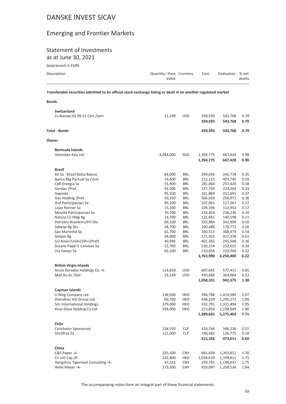# Emerging and Frontier Markets

# Statement of Investments

as at June 30, 2021

| (expressed in EUR) |  |
|--------------------|--|
|--------------------|--|

| Description | Quantity/Face Currency | Cost | Evaluation % net |        |
|-------------|------------------------|------|------------------|--------|
|             | Value                  |      |                  | assets |

**Transferable securities admitted to an official stock exchange listing or dealt in on another regulated market**

| ł<br>۰.<br>×<br>۰.<br>. .<br>×<br>×<br>۰, |  |
|-------------------------------------------|--|
|-------------------------------------------|--|

|                      | <b>Switzerland</b>                                      |           |                          |                    |                    |              |
|----------------------|---------------------------------------------------------|-----------|--------------------------|--------------------|--------------------|--------------|
|                      | Cs Nassau 02.09.21 Cert /Jarir                          | 11,199    | <b>USD</b>               | 359,593<br>359,593 | 543,768<br>543,768 | 0.79<br>0.79 |
| <b>Total - Bonds</b> |                                                         |           |                          | 359,593            | 543,768            | 0.79         |
| <b>Shares</b>        |                                                         |           |                          |                    |                    |              |
|                      | <b>Bermuda Islands</b>                                  |           |                          |                    |                    |              |
|                      | Silverlake Axis Ltd                                     | 4,448,000 | SGD                      | 1,394,775          | 667,428            | 0.98         |
|                      |                                                         |           |                          | 1,394,775          | 667,428            | 0.98         |
| <b>Brazil</b>        |                                                         |           |                          |                    |                    |              |
|                      | B3 Sa - Brasil Bolsa Balcao                             | 84,000    | BRL                      | 299,656            | 242,778            | 0.35         |
|                      | Banco Btg Pactual Sa/Unit                               | 19,400    | <b>BRL</b>               | 212,115            | 403,745            | 0.59         |
|                      | Cpfl Energia Sa                                         | 55,900    | <b>BRL</b>               | 281,064            | 257,420            | 0.38         |
|                      | Gerdau /Pref.                                           | 43,500    | <b>BRL</b>               | 147,793            | 223,264            | 0.33         |
| Hapvida              |                                                         | 95,500    | <b>BRL</b>               | 161,889            | 252,691            | 0.37         |
|                      | Itau Holding /Pref                                      | 50,250    | BRL                      | 366,029            | 256,971            | 0.38         |
|                      | Jhsf Participacoes Sa                                   | 95,100    | BRL                      | 107,961            | 117,267            | 0.17         |
|                      | Lojas Renner Sa                                         | 15,200    | <b>BRL</b>               | 109,196            | 113,953            | 0.17         |
|                      | Movida Participacoes Sa                                 | 70,700    | <b>BRL</b>               | 154,424            | 236,236            | 0.34         |
|                      | Natura Co Hldg Rg                                       | 14,700    | <b>BRL</b>               | 115,841            | 140,598            | 0.21         |
|                      | Petroleo Brasileiro/Prf.Shs                             | 69,100    | <b>BRL</b>               | 333,984            | 341,999            | 0.50         |
|                      | Sabesp-Rg Shs                                           | 28,700    | <b>BRL</b>               | 200,486            | 179,772            | 0.26         |
|                      | Sao Martinho Sa                                         | 61,700    | <b>BRL</b>               | 260,513            | 368,479            | 0.54         |
|                      | Simpar Rg                                               | 44,900    | <b>BRL</b>               | 171,502<br>401,265 | 417,338            | 0.61<br>0.36 |
|                      | Sul Amer/Units(1Sh+2Pref)<br>Suzano Papel E Celulose Sa | 40,946    | <b>BRL</b><br><b>BRL</b> | 230,214            | 245,508            |              |
|                      | Via Varejo Sa                                           | 22,700    | <b>BRL</b>               |                    | 232,015            | 0.34         |
|                      |                                                         | 81,100    |                          | 210,058            | 220,366            | 0.32         |
|                      |                                                         |           |                          | 3,763,990          | 4,250,400          | 6.22         |
|                      | <b>British Virgin Islands</b>                           |           |                          |                    |                    |              |
|                      | Arcos Dorados Holdings Cls -A-                          | 114,658   | <b>USD</b>               | 607,645            | 577,411            | 0.85         |
|                      | Mail.Ru Gr /Gdr                                         | 19,328    | <b>USD</b>               | 450,686            | 364,964            | 0.53         |
|                      |                                                         |           |                          | 1,058,331          | 942,375            | 1.38         |
|                      | Cayman Islands                                          |           |                          |                    |                    |              |
|                      | Li Ning Company Ltd                                     | 138,500   | <b>HKD</b>               | 394,788            | 1,419,989          | 2.07         |
|                      | Shenzhou Intl Group Ltd                                 | 60,700    | HKD                      | 438,229            | 1,295,271          | 1.89         |
|                      | Sitc International Holdings                             | 379,000   | HKD                      | 332,791            | 1,331,494          | 1.95         |
|                      | Xinyi Glass Holding Co Ltd                              | 358,000   | <b>HKD</b>               | 223,854            | 1,228,649          | 1.80         |
|                      |                                                         |           |                          | 1,389,662          | 5,275,403          | 7.71         |
| Chile                |                                                         |           |                          |                    |                    |              |
|                      | <b>Conchator Sponsored</b>                              | 234,550   | <b>CLP</b>               | 324,744            | 346,236            | 0.51         |
|                      | <b>Hortifrut Sa</b>                                     | 121,000   | <b>CLP</b>               | 190,582            | 126,775            | 0.18         |
|                      |                                                         |           |                          | 515,326            | 473,011            | 0.69         |
| China                |                                                         |           |                          |                    |                    |              |
|                      | C&S Paper -A-                                           | 335,500   | <b>CNY</b>               | 961,839            | 1,203,812          | 1.76         |
|                      | Cn Intl Cap /H                                          | 532,800   | HKD                      | 1,038,629          | 1,199,811          | 1.75         |
|                      | Hangzhou Tigermed Consulting -A-                        | 47,532    | <b>CNY</b>               | 259,745            | 1,196,637          | 1.75         |
|                      | Hefei Meyer -A-                                         | 173,300   | <b>CNY</b>               | 919,097            | 1,258,536          | 1.84         |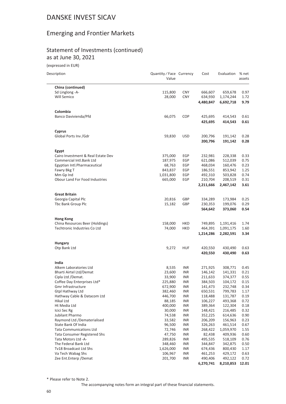### Emerging and Frontier Markets

#### Statement of Investments (continued) as at June 30, 2021

(expressed in EUR)

| Description                        | Quantity / Face Currency<br>Value |            | Cost      | Evaluation | % net<br>assets |
|------------------------------------|-----------------------------------|------------|-----------|------------|-----------------|
| China (continued)                  |                                   |            |           |            |                 |
| Sd Linglong -A-                    | 115,800                           | <b>CNY</b> | 666,607   | 659,678    | 0.97            |
| Will Semico                        | 28,000                            | <b>CNY</b> | 634,930   | 1,174,244  | 1.72            |
|                                    |                                   |            | 4,480,847 | 6,692,718  | 9.79            |
| Colombia                           |                                   |            |           |            |                 |
| Banco Davivienda/Pfd               | 66,075                            | <b>COP</b> | 425,695   | 414,543    | 0.61            |
|                                    |                                   |            | 425,695   | 414,543    | 0.61            |
| Cyprus                             |                                   |            |           |            |                 |
| Global Ports Inv / Gdr             | 59,830                            | <b>USD</b> | 200,796   | 191,142    | 0.28            |
|                                    |                                   |            | 200,796   | 191,142    | 0.28            |
| Egypt                              |                                   |            |           |            |                 |
| Cairo Investment & Real Estate Dev | 375,000                           | EGP        | 232,981   | 228,338    | 0.33            |
| Commercial Intl.Bank Ltd           | 187,975                           | EGP        | 621,086   | 512,039    | 0.75            |
| Egyptian Intl.Pharmaceutical       | 68,763                            | EGP        | 468,034   | 160,476    | 0.23            |
| Fawry Bkg T                        | 843,837                           | EGP        | 186,551   | 853,942    | 1.25            |
| Mm Gp Ind                          | 1,031,800                         | EGP        | 492,310   | 503,828    | 0.74            |
| Obour Land For Food Industries     | 665,000                           | EGP        | 210,704   | 208,519    | 0.31            |
|                                    |                                   |            | 2,211,666 | 2,467,142  | 3.61            |
| <b>Great Britain</b>               |                                   |            |           |            |                 |
| Georgia Capital Plc                | 20,816                            | GBP        | 334,289   | 173,984    | 0.25            |
| Tbc Bank Group Plc                 | 15,182                            | GBP        | 230,353   | 199,076    | 0.29            |
|                                    |                                   |            | 564,642   | 373,060    | 0.54            |
| <b>Hong Kong</b>                   |                                   |            |           |            |                 |
| China Resources Beer (Holdings)    | 158,000                           | <b>HKD</b> | 749,895   | 1,191,416  | 1.74            |
| Techtronic Industries Co Ltd       | 74,000                            | <b>HKD</b> | 464,391   | 1,091,175  | 1.60            |
|                                    |                                   |            | 1,214,286 | 2,282,591  | 3.34            |
| <b>Hungary</b>                     |                                   |            |           |            |                 |
| Otp Bank Ltd                       | 9,272                             | <b>HUF</b> | 420,550   | 430,490    | 0.63            |
|                                    |                                   |            | 420,550   | 430,490    | 0.63            |
| India                              |                                   |            |           |            |                 |
| Alkem Laboratories Ltd             | 8,535                             | <b>INR</b> | 271,925   | 308,771    | 0.45            |
| Bharti Airtel Ltd/Demat            | 23,600                            | <b>INR</b> | 146,142   | 141,331    | 0.21            |
| Cipla Ltd /Demat.                  | 33,900                            | <b>INR</b> | 211,633   | 374,377    | 0.55            |
| Coffee Day Enterprises Ltd*        | 225,880                           | <b>INR</b> | 384,503   | 104,172    | 0.15            |
| Gmr Infrastructure                 | 672,900                           | <b>INR</b> | 141,473   | 232,748    | 0.34            |
| <b>Gtpl Hathway Ltd</b>            | 382,460                           | <b>INR</b> | 650,531   | 799,783    | 1.17            |
| Hathway Cable & Datacom Ltd        | 446,700                           | <b>INR</b> | 118,488   | 131,787    | 0.19            |
| Hikal Ltd                          | 88,185                            | <b>INR</b> | 106,227   | 493,368    | 0.72            |
| Ht Media Ltd                       | 400,000                           | <b>INR</b> | 389,364   | 122,304    | 0.18            |
| Icici Sec Rg                       | 30,000                            | <b>INR</b> | 148,421   | 216,485    | 0.32            |
| Jubilant Pharmo                    | 74,538                            | <b>INR</b> | 352,225   | 614,636    | 0.90            |
| Raymond Ltd /Dematerialised        | 33,582                            | <b>INR</b> | 206,209   | 156,963    | 0.23            |
| State Bank Of India                | 96,500                            |            |           |            |                 |
|                                    |                                   | <b>INR</b> | 326,263   | 461,514    | 0.67            |
| <b>Tata Communications Ltd</b>     | 72,746                            | INR        | 268,422   | 1,059,970  | 1.55            |
| Tata Consumer Registered Shs       | 47,750                            | <b>INR</b> | 82,438    | 409,936    | 0.60            |
| Tata Motors Ltd -A-                | 289,826                           | <b>INR</b> | 495,535   | 518,109    | 0.76            |
| The Federal Bank Ltd               | 348,460                           | <b>INR</b> | 344,847   | 342,875    | 0.50            |
| Tv18 Broadcast Ltd Shs             | 1,626,000                         | <b>INR</b> | 674,436   | 800,430    | 1.17            |
| Va Tech Wabag Shs                  | 106,967                           | <b>INR</b> | 461,253   | 429,172    | 0.63            |
| Zee Ent.Enterp / Demat             | 201,700                           | <b>INR</b> | 490,406   | 492,122    | 0.72            |
|                                    |                                   |            | 6,270,741 | 8,210,853  | 12.01           |

\* Please refer to Note 2.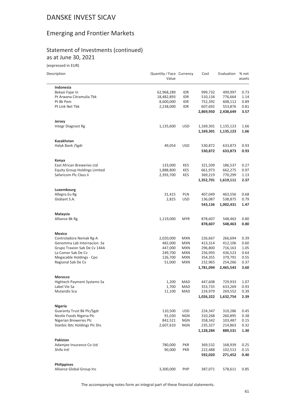### Emerging and Frontier Markets

#### Statement of Investments (continued) as at June 30, 2021

(expressed in EUR)

| Description                          | Quantity / Face Currency<br>Value |            | Cost      | Evaluation | % net<br>assets |
|--------------------------------------|-----------------------------------|------------|-----------|------------|-----------------|
| Indonesia                            |                                   |            |           |            |                 |
| Bekasi Fajar In                      | 62,968,289                        | IDR        | 999,732   | 499,997    | 0.73            |
| Pt Arwana Citramulia Tbk             | 18,482,893                        | IDR        | 510,134   | 776,664    | 1.14            |
| Pt Bk Pem                            | 8,600,000                         | <b>IDR</b> | 752,392   | 608,112    | 0.89            |
| Pt Link Net Tbk                      | 2,238,000                         | IDR        | 607,692   | 553,876    | 0.81            |
|                                      |                                   |            | 2,869,950 | 2,438,649  | 3.57            |
| Jersey                               |                                   |            |           |            |                 |
| Integr Diagnost Rg                   | 1,135,600                         | <b>USD</b> | 1,169,301 | 1,135,123  | 1.66            |
|                                      |                                   |            | 1,169,301 | 1,135,123  | 1.66            |
| Kazakhstan                           |                                   |            |           |            |                 |
| Halyk Bank /Sgdr                     | 49,054                            | <b>USD</b> | 530,872   | 633,873    | 0.93            |
|                                      |                                   |            | 530,872   | 633,873    | 0.93            |
| Kenya                                |                                   |            |           |            |                 |
| East African Breweries Ltd           | 133,000                           | KES        | 321,509   | 186,537    | 0.27            |
| <b>Equity Group Holdings Limited</b> | 1,888,800                         | KES        | 661,973   | 662,275    | 0.97            |
| Safaricom Plc Class Ii               | 2,393,700                         | KES        | 369,219   | 770,299    | 1.13            |
|                                      |                                   |            | 1,352,701 | 1,619,111  | 2.37            |
| Luxembourg                           |                                   |            |           |            |                 |
| Allegro.Eu Rg                        | 31,415                            | <b>PLN</b> | 407,049   | 463,556    | 0.68            |
| Globant S.A.                         | 2,825                             | <b>USD</b> | 136,087   | 538,875    | 0.79            |
|                                      |                                   |            | 543,136   | 1,002,431  | 1.47            |
| Malaysia                             |                                   |            |           |            |                 |
| Alliance Bk Rg                       | 1,119,000                         | <b>MYR</b> | 878,607   | 548,463    | 0.80            |
|                                      |                                   |            | 878,607   | 548,463    | 0.80            |
| Mexico                               |                                   |            |           |            |                 |
| Controladora Nemak Rg-A              | 2,020,000                         | <b>MXN</b> | 226,667   | 266,694    | 0.39            |
| Genomma Lab Internacion. Sa          | 482,000                           | <b>MXN</b> | 413,314   | 412,106    | 0.60            |
| Grupo Traxion Sab De Cv 144A         | 447,000                           | <b>MXN</b> | 296,800   | 716,163    | 1.05            |
| La Comer Sab De Cv                   | 249,700                           | <b>MXN</b> | 256,993   | 436,523    | 0.64            |
| Megacable Holdings - Cpo             | 126,700                           | <b>MXN</b> | 354,355   | 379,791    | 0.55            |
| Regional Sab De Cv                   | 51,000                            | <b>MXN</b> | 232,965   | 254,266    | 0.37            |
|                                      |                                   |            | 1,781,094 | 2,465,543  | 3.60            |
| Morocco                              |                                   |            |           |            |                 |
| Hightech Payment Systems Sa          | 1,200                             | MAD        | 447,608   | 729,933    | 1.07            |
| Label Vie Sa                         | 1,700                             | <b>MAD</b> | 353,735   | 633,269    | 0.93            |
| <b>Mutandis Sca</b>                  | 11,100                            | <b>MAD</b> | 224,979   | 269,552    | 0.39            |
|                                      |                                   |            | 1,026,322 | 1,632,754  | 2.39            |
| Nigeria                              |                                   |            |           |            |                 |
| <b>Guaranty Trust Bk Plc/Sgdr</b>    | 110,500                           | <b>USD</b> | 224,347   | 310,286    | 0.45            |
| Nestle Foods Nigeria Plc             | 91,030                            | <b>NGN</b> | 310,268   | 260,895    | 0.38            |
| Nigerian Breweries Plc               | 842,521                           | <b>NGN</b> | 358,342   | 103,487    | 0.15            |
| Stanbic Ibtc Holdings Plc Shs        | 2,607,610                         | <b>NGN</b> | 235,327   | 214,863    | 0.32            |
|                                      |                                   |            | 1,128,284 | 889,531    | 1.30            |
| Pakistan                             |                                   |            |           |            |                 |
| Adamjee Insurance Co Ltd             | 780,000                           | <b>PKR</b> | 369,532   | 168,939    | 0.25            |
| Shifa Intl                           | 90,000                            | <b>PKR</b> | 222,488   | 102,513    | 0.15            |
|                                      |                                   |            | 592,020   | 271,452    | 0.40            |
| <b>Philippines</b>                   |                                   |            |           |            |                 |
| Alliance Global Group Inc            | 3,300,000                         | PHP        | 387,071   | 578,611    | 0.85            |
|                                      |                                   |            |           |            |                 |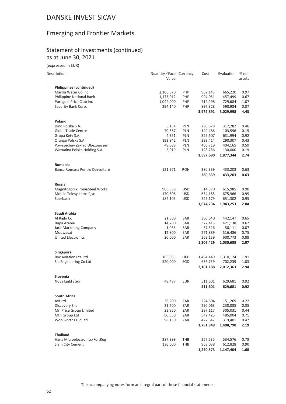### Emerging and Frontier Markets

#### Statement of Investments (continued) as at June 30, 2021

(expressed in EUR)

| Description                    | Quantity / Face Currency<br>Value |            | Cost      | Evaluation | % net<br>assets |
|--------------------------------|-----------------------------------|------------|-----------|------------|-----------------|
| Philippines (continued)        |                                   |            |           |            |                 |
| Manila Water Co Inc            | 2,106,370                         | PHP        | 982,143   | 665,220    | 0.97            |
| Philippine National Bank       | 1,173,012                         | PHP        | 994,051   | 457,499    | 0.67            |
| Puregold Price Club Inc        | 1,044,000                         | PHP        | 712,298   | 729,684    | 1.07            |
| Security Bank Corp.            | 294,140                           | PHP        | 897,328   | 598,984    | 0.87            |
|                                |                                   |            | 3,972,891 | 3,029,998  | 4.43            |
| Poland                         |                                   |            |           |            |                 |
| Dino Polska S.A.               | 5,154                             | PLN        | 290,678   | 317,282    | 0.46            |
| Globe Trade Centre             | 70,567                            | PLN        | 149,486   | 103,596    | 0.15            |
| Grupa Kety S.A.                | 4,351                             | PLN        | 329,607   | 631,994    | 0.92            |
| Orange Polska S.A              | 193,942                           | PLN        | 293,414   | 290,307    | 0.43            |
| Powszechny Zaklad Ubezpieczen  | 48,088                            | <b>PLN</b> | 405,719   | 404,165    | 0.59            |
| Wirtualna Polska Holding S.A.  | 5,019                             | <b>PLN</b> | 128,786   | 130,000    | 0.19            |
|                                |                                   |            | 1,597,690 | 1,877,344  | 2.74            |
| Romania                        |                                   |            |           |            |                 |
| Banca Romana Pentru Dezvoltare | 121,971                           | <b>RON</b> | 380,339   | 433,203    | 0.63            |
|                                |                                   |            | 380,339   | 433,203    | 0.63            |
| Russia                         |                                   |            |           |            |                 |
| Magnitogorsk Iron&Steel Works  | 905,839                           | <b>USD</b> | 514,870   | 615,985    | 0.90            |
| Mobile Telesystems Pjsc        | 170,806                           | <b>USD</b> | 634,185   | 675,966    | 0.99            |
| Sberbank                       | 184,103                           | <b>USD</b> | 525,179   | 651,302    | 0.95            |
|                                |                                   |            | 1,674,234 | 1,943,253  | 2.84            |
| Saudi Arabia                   |                                   |            |           |            |                 |
| Al Rajhi Co                    | 21,300                            | SAR        | 300,640   | 442,147    | 0.65            |
| Bupa Arabia                    | 14,700                            | SAR        | 327,415   | 421,138    | 0.62            |
| Jarir Marketing Company        | 1,033                             | SAR        | 37,326    | 50,111     | 0.07            |
| Mouwasat                       | 12,800                            | SAR        | 271,889   | 516,486    | 0.75            |
| <b>United Electronics</b>      | 20,000                            | SAR        | 369,159   | 600,773    | 0.88            |
|                                |                                   |            | 1,306,429 | 2,030,655  | 2.97            |
| Singapore                      |                                   |            |           |            |                 |
| <b>Boc Aviation Pte Ltd</b>    | 185,033                           | HKD        | 1,464,449 | 1,310,124  | 1.91            |
| Sia Engineering Co Ltd         | 520,000                           | SGD        | 636,739   | 702,239    | 1.03            |
|                                |                                   |            | 2,101,188 | 2,012,363  | 2.94            |
| Slovenia<br>Nova Ljubl /Gdr    | 48,437                            | EUR        | 511,601   | 629,681    | 0.92            |
|                                |                                   |            | 511,601   | 629,681    | 0.92            |
|                                |                                   |            |           |            |                 |
| <b>South Africa</b>            |                                   |            |           |            |                 |
| Avi Ltd                        | 36,200                            | ZAR        | 224,604   | 151,269    | 0.22            |
| Discovery Shs                  | 31,700                            | ZAR        | 290,063   | 238,085    | 0.35            |
| Mr. Price Group Limited        | 23,950                            | ZAR        | 297,117   | 305,031    | 0.44            |
| Mtn Group Ltd                  | 80,850                            | ZAR        | 542,423   | 485,004    | 0.71            |
| Woolworths Hld Ltd             | 98,150                            | ZAR        | 427,642   | 319,401    | 0.47            |
|                                |                                   |            | 1,781,849 | 1,498,790  | 2.19            |
| <b>Thailand</b>                |                                   |            |           |            |                 |
| Hana Microelectronics/For.Reg  | 287,999                           | THB        | 257,535   | 534,576    | 0.78            |
| Siam City Cement               | 136,600                           | THB        | 963,038   | 612,828    | 0.90            |
|                                |                                   |            | 1,220,573 | 1,147,404  | 1.68            |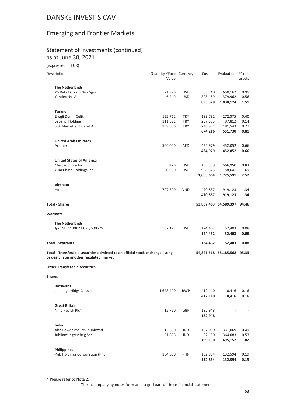### Emerging and Frontier Markets

#### Statement of Investments (continued) as at June 30, 2021

(expressed in EUR)

| Description                                                                                                               | Quantity / Face Currency<br>Value |            | Cost               | Evaluation            | % net<br>assets |
|---------------------------------------------------------------------------------------------------------------------------|-----------------------------------|------------|--------------------|-----------------------|-----------------|
| <b>The Netherlands</b>                                                                                                    |                                   |            |                    |                       |                 |
| X5 Retail Group Nv / Sgdr                                                                                                 | 21,976                            | <b>USD</b> | 585,140            | 650,162               | 0.95            |
| Yandex Nv -A-                                                                                                             | 6,449                             | <b>USD</b> | 308,189            | 379,962               | 0.56            |
|                                                                                                                           |                                   |            | 893,329            | 1,030,124             | 1.51            |
| <b>Turkey</b>                                                                                                             |                                   |            |                    |                       |                 |
| Eregli Demir Celik                                                                                                        | 152,762                           | <b>TRY</b> | 189,732            | 272,375               | 0.40            |
| Sabanci Holding                                                                                                           | 111,591                           | <b>TRY</b> | 237,503            | 97,812                | 0.14            |
| Sok Marketler Ticaret A.S.                                                                                                | 159,606                           | <b>TRY</b> | 246,981            | 181,543               | 0.27            |
|                                                                                                                           |                                   |            | 674,216            | 551,730               | 0.81            |
| <b>United Arab Emirates</b>                                                                                               |                                   |            |                    |                       |                 |
| Aramex                                                                                                                    | 500,000                           | AED        | 424,979            | 452,052               | 0.66            |
|                                                                                                                           |                                   |            | 424,979            | 452,052               | 0.66            |
| <b>United States of America</b>                                                                                           |                                   |            |                    |                       |                 |
| Mercadolibre Inc                                                                                                          | 426                               | <b>USD</b> | 105,339            | 566,950               | 0.83            |
| Yum China Holdings Inc                                                                                                    | 20,900                            | <b>USD</b> | 958,325            | 1,158,641             | 1.69            |
|                                                                                                                           |                                   |            |                    |                       |                 |
|                                                                                                                           |                                   |            | 1,063,664          | 1,725,591             | 2.52            |
| Vietnam<br><b>Hdbank</b>                                                                                                  |                                   |            |                    |                       |                 |
|                                                                                                                           | 707,800                           | <b>VND</b> | 470,887<br>470,887 | 919,123<br>919,123    | 1.34<br>1.34    |
| <b>Total - Shares</b>                                                                                                     |                                   |            |                    | 53,857,463 64,589,397 | 94.46           |
| <b>Warrants</b>                                                                                                           |                                   |            |                    |                       |                 |
|                                                                                                                           |                                   |            |                    |                       |                 |
| <b>The Netherlands</b>                                                                                                    |                                   |            |                    |                       |                 |
| Jpm Str 11.08.21 Cw /600525                                                                                               | 62,177                            | <b>USD</b> | 124,462            | 52,403                | 0.08            |
|                                                                                                                           |                                   |            | 124,462            | 52,403                | 0.08            |
| <b>Total - Warrants</b>                                                                                                   |                                   |            | 124,462            | 52,403                | 0.08            |
| Total - Transferable securities admitted to an official stock exchange listing<br>or dealt in on another regulated market |                                   |            |                    | 54,341,518 65,185,568 | 95.33           |
| <b>Other Transferable securities</b>                                                                                      |                                   |            |                    |                       |                 |
| <b>Shares</b>                                                                                                             |                                   |            |                    |                       |                 |
|                                                                                                                           |                                   |            |                    |                       |                 |
| <b>Botswana</b><br>Letshego Hldgs Class Iii                                                                               | 1,628,400                         | <b>BWP</b> | 412,140            | 110,416               | 0.16            |
|                                                                                                                           |                                   |            | 412,140            | 110,416               | 0.16            |
| <b>Great Britain</b>                                                                                                      |                                   |            |                    |                       |                 |
| Nmc Health Plc*                                                                                                           | 15,750                            | GBP        | 182,948            |                       |                 |
|                                                                                                                           |                                   |            | 182,948            |                       |                 |
|                                                                                                                           |                                   |            |                    |                       |                 |
| India<br>Abb Power Pro Sys Inunlisted                                                                                     | 15,600                            | INR        | 167,050            | 331,069               | 0.49            |
|                                                                                                                           |                                   |            |                    |                       |                 |
| Jubilant Ingrev Reg Shs                                                                                                   | 61,888                            | <b>INR</b> | 32,100             | 364,083               | 0.53            |
|                                                                                                                           |                                   |            | 199,150            | 695,152               | 1.02            |
| <b>Philippines</b>                                                                                                        |                                   |            |                    |                       |                 |
| Pnb Holdings Corporation (Phc)                                                                                            | 184,030                           | PHP        | 132,864            | 132,594               | 0.19            |

\* Please refer to Note 2.

The accompanying notes form an integral part of these financial statements.

**132,864 132,594 0.19**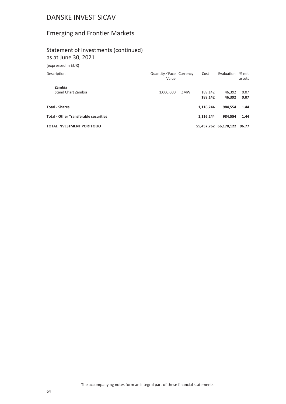### Emerging and Frontier Markets

#### Statement of Investments (continued) as at June 30, 2021

(expressed in EUR)

| Description                                  | Quantity/Face Currency<br>Value |     | Cost               | Evaluation            | % net<br>assets |
|----------------------------------------------|---------------------------------|-----|--------------------|-----------------------|-----------------|
| Zambia<br>Stand Chart Zambia                 | 1,000,000                       | ZMW | 189.142<br>189,142 | 46.392<br>46.392      | 0.07<br>0.07    |
| <b>Total - Shares</b>                        |                                 |     | 1,116,244          | 984,554               | 1.44            |
| <b>Total - Other Transferable securities</b> |                                 |     | 1,116,244          | 984.554               | 1.44            |
| <b>TOTAL INVESTMENT PORTFOLIO</b>            |                                 |     |                    | 55,457,762 66,170,122 | 96.77           |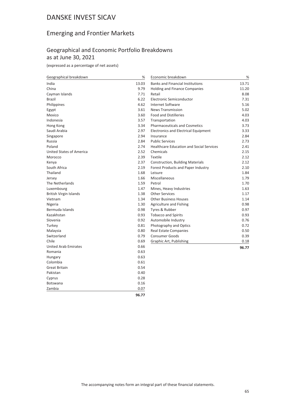### Emerging and Frontier Markets

### Geographical and Economic Portfolio Breakdowns as at June 30, 2021

(expressed as a percentage of net assets)

| 13.03<br>13.71<br>India<br><b>Banks and Financial Institutions</b><br>China<br>9.79<br>11.20<br>Holding and Finance Companies<br>7.71<br>8.08<br>Cayman Islands<br>Retail<br>6.22<br><b>Brazil</b><br>Electronic Semiconductor<br>7.31<br>4.62<br>Philippines<br><b>Internet Software</b><br>5.16<br>3.61<br><b>News Transmission</b><br>5.02<br>Egypt<br>3.60<br><b>Food and Distilleries</b><br>4.03<br>Mexico<br>3.57<br>Indonesia<br>Transportation<br>4.03<br>3.34<br>Pharmaceuticals and Cosmetics<br>3.73<br>Hong Kong<br>2.97<br>Saudi Arabia<br><b>Electronics and Electrical Equipment</b><br>3.33<br>2.94<br>2.84<br>Singapore<br>Insurance<br>2.84<br><b>Public Services</b><br>2.73<br>Russia<br>2.74<br>Poland<br><b>Healthcare Education and Social Services</b><br>2.41<br><b>United States of America</b><br>2.52<br>Chemicals<br>2.15<br>2.39<br>Textile<br>2.12<br>Morocco<br>2.37<br>2.12<br>Kenya<br>Construction, Building Materials<br>South Africa<br>2.19<br>Forest Products and Paper Industry<br>2.10<br>Thailand<br>1.68<br>1.84<br>Leisure<br>1.66<br>Miscellaneous<br>1.79<br>Jersey<br>1.59<br>The Netherlands<br>Petrol<br>1.70<br>1.63<br>Luxembourg<br>1.47<br>Mines, Heavy Industries<br>1.38<br><b>Other Services</b><br>1.17<br>British Virgin Islands<br>Vietnam<br>1.34<br><b>Other Business Houses</b><br>1.14<br>1.30<br>0.98<br>Nigeria<br>Agriculture and Fishing<br>Bermuda Islands<br>0.98<br>Tyres & Rubber<br>0.97<br>Kazakhstan<br>0.93<br><b>Tobacco and Spirits</b><br>0.93<br>0.92<br>0.76<br>Slovenia<br>Automobile Industry<br>Turkey<br>0.81<br>0.72<br>Photography and Optics<br>Malaysia<br>0.80<br><b>Real Estate Companies</b><br>0.50<br>Switzerland<br>0.79<br><b>Consumer Goods</b><br>0.39<br>Chile<br>0.69<br>Graphic Art, Publishing<br>0.18<br>0.66<br><b>United Arab Emirates</b><br>96.77<br>Romania<br>0.63<br>0.63<br>Hungary<br>Colombia<br>0.61<br>0.54<br><b>Great Britain</b><br>Pakistan<br>0.40<br>0.28<br>Cyprus<br><b>Botswana</b><br>0.16<br>Zambia<br>0.07 | Geographical breakdown | % | Economic breakdown | % |
|-------------------------------------------------------------------------------------------------------------------------------------------------------------------------------------------------------------------------------------------------------------------------------------------------------------------------------------------------------------------------------------------------------------------------------------------------------------------------------------------------------------------------------------------------------------------------------------------------------------------------------------------------------------------------------------------------------------------------------------------------------------------------------------------------------------------------------------------------------------------------------------------------------------------------------------------------------------------------------------------------------------------------------------------------------------------------------------------------------------------------------------------------------------------------------------------------------------------------------------------------------------------------------------------------------------------------------------------------------------------------------------------------------------------------------------------------------------------------------------------------------------------------------------------------------------------------------------------------------------------------------------------------------------------------------------------------------------------------------------------------------------------------------------------------------------------------------------------------------------------------------------------------------------------------------------------------------------------------------------------------------------------------------------------|------------------------|---|--------------------|---|
|                                                                                                                                                                                                                                                                                                                                                                                                                                                                                                                                                                                                                                                                                                                                                                                                                                                                                                                                                                                                                                                                                                                                                                                                                                                                                                                                                                                                                                                                                                                                                                                                                                                                                                                                                                                                                                                                                                                                                                                                                                           |                        |   |                    |   |
|                                                                                                                                                                                                                                                                                                                                                                                                                                                                                                                                                                                                                                                                                                                                                                                                                                                                                                                                                                                                                                                                                                                                                                                                                                                                                                                                                                                                                                                                                                                                                                                                                                                                                                                                                                                                                                                                                                                                                                                                                                           |                        |   |                    |   |
|                                                                                                                                                                                                                                                                                                                                                                                                                                                                                                                                                                                                                                                                                                                                                                                                                                                                                                                                                                                                                                                                                                                                                                                                                                                                                                                                                                                                                                                                                                                                                                                                                                                                                                                                                                                                                                                                                                                                                                                                                                           |                        |   |                    |   |
|                                                                                                                                                                                                                                                                                                                                                                                                                                                                                                                                                                                                                                                                                                                                                                                                                                                                                                                                                                                                                                                                                                                                                                                                                                                                                                                                                                                                                                                                                                                                                                                                                                                                                                                                                                                                                                                                                                                                                                                                                                           |                        |   |                    |   |
|                                                                                                                                                                                                                                                                                                                                                                                                                                                                                                                                                                                                                                                                                                                                                                                                                                                                                                                                                                                                                                                                                                                                                                                                                                                                                                                                                                                                                                                                                                                                                                                                                                                                                                                                                                                                                                                                                                                                                                                                                                           |                        |   |                    |   |
|                                                                                                                                                                                                                                                                                                                                                                                                                                                                                                                                                                                                                                                                                                                                                                                                                                                                                                                                                                                                                                                                                                                                                                                                                                                                                                                                                                                                                                                                                                                                                                                                                                                                                                                                                                                                                                                                                                                                                                                                                                           |                        |   |                    |   |
|                                                                                                                                                                                                                                                                                                                                                                                                                                                                                                                                                                                                                                                                                                                                                                                                                                                                                                                                                                                                                                                                                                                                                                                                                                                                                                                                                                                                                                                                                                                                                                                                                                                                                                                                                                                                                                                                                                                                                                                                                                           |                        |   |                    |   |
|                                                                                                                                                                                                                                                                                                                                                                                                                                                                                                                                                                                                                                                                                                                                                                                                                                                                                                                                                                                                                                                                                                                                                                                                                                                                                                                                                                                                                                                                                                                                                                                                                                                                                                                                                                                                                                                                                                                                                                                                                                           |                        |   |                    |   |
|                                                                                                                                                                                                                                                                                                                                                                                                                                                                                                                                                                                                                                                                                                                                                                                                                                                                                                                                                                                                                                                                                                                                                                                                                                                                                                                                                                                                                                                                                                                                                                                                                                                                                                                                                                                                                                                                                                                                                                                                                                           |                        |   |                    |   |
|                                                                                                                                                                                                                                                                                                                                                                                                                                                                                                                                                                                                                                                                                                                                                                                                                                                                                                                                                                                                                                                                                                                                                                                                                                                                                                                                                                                                                                                                                                                                                                                                                                                                                                                                                                                                                                                                                                                                                                                                                                           |                        |   |                    |   |
|                                                                                                                                                                                                                                                                                                                                                                                                                                                                                                                                                                                                                                                                                                                                                                                                                                                                                                                                                                                                                                                                                                                                                                                                                                                                                                                                                                                                                                                                                                                                                                                                                                                                                                                                                                                                                                                                                                                                                                                                                                           |                        |   |                    |   |
|                                                                                                                                                                                                                                                                                                                                                                                                                                                                                                                                                                                                                                                                                                                                                                                                                                                                                                                                                                                                                                                                                                                                                                                                                                                                                                                                                                                                                                                                                                                                                                                                                                                                                                                                                                                                                                                                                                                                                                                                                                           |                        |   |                    |   |
|                                                                                                                                                                                                                                                                                                                                                                                                                                                                                                                                                                                                                                                                                                                                                                                                                                                                                                                                                                                                                                                                                                                                                                                                                                                                                                                                                                                                                                                                                                                                                                                                                                                                                                                                                                                                                                                                                                                                                                                                                                           |                        |   |                    |   |
|                                                                                                                                                                                                                                                                                                                                                                                                                                                                                                                                                                                                                                                                                                                                                                                                                                                                                                                                                                                                                                                                                                                                                                                                                                                                                                                                                                                                                                                                                                                                                                                                                                                                                                                                                                                                                                                                                                                                                                                                                                           |                        |   |                    |   |
|                                                                                                                                                                                                                                                                                                                                                                                                                                                                                                                                                                                                                                                                                                                                                                                                                                                                                                                                                                                                                                                                                                                                                                                                                                                                                                                                                                                                                                                                                                                                                                                                                                                                                                                                                                                                                                                                                                                                                                                                                                           |                        |   |                    |   |
|                                                                                                                                                                                                                                                                                                                                                                                                                                                                                                                                                                                                                                                                                                                                                                                                                                                                                                                                                                                                                                                                                                                                                                                                                                                                                                                                                                                                                                                                                                                                                                                                                                                                                                                                                                                                                                                                                                                                                                                                                                           |                        |   |                    |   |
|                                                                                                                                                                                                                                                                                                                                                                                                                                                                                                                                                                                                                                                                                                                                                                                                                                                                                                                                                                                                                                                                                                                                                                                                                                                                                                                                                                                                                                                                                                                                                                                                                                                                                                                                                                                                                                                                                                                                                                                                                                           |                        |   |                    |   |
|                                                                                                                                                                                                                                                                                                                                                                                                                                                                                                                                                                                                                                                                                                                                                                                                                                                                                                                                                                                                                                                                                                                                                                                                                                                                                                                                                                                                                                                                                                                                                                                                                                                                                                                                                                                                                                                                                                                                                                                                                                           |                        |   |                    |   |
|                                                                                                                                                                                                                                                                                                                                                                                                                                                                                                                                                                                                                                                                                                                                                                                                                                                                                                                                                                                                                                                                                                                                                                                                                                                                                                                                                                                                                                                                                                                                                                                                                                                                                                                                                                                                                                                                                                                                                                                                                                           |                        |   |                    |   |
|                                                                                                                                                                                                                                                                                                                                                                                                                                                                                                                                                                                                                                                                                                                                                                                                                                                                                                                                                                                                                                                                                                                                                                                                                                                                                                                                                                                                                                                                                                                                                                                                                                                                                                                                                                                                                                                                                                                                                                                                                                           |                        |   |                    |   |
|                                                                                                                                                                                                                                                                                                                                                                                                                                                                                                                                                                                                                                                                                                                                                                                                                                                                                                                                                                                                                                                                                                                                                                                                                                                                                                                                                                                                                                                                                                                                                                                                                                                                                                                                                                                                                                                                                                                                                                                                                                           |                        |   |                    |   |
|                                                                                                                                                                                                                                                                                                                                                                                                                                                                                                                                                                                                                                                                                                                                                                                                                                                                                                                                                                                                                                                                                                                                                                                                                                                                                                                                                                                                                                                                                                                                                                                                                                                                                                                                                                                                                                                                                                                                                                                                                                           |                        |   |                    |   |
|                                                                                                                                                                                                                                                                                                                                                                                                                                                                                                                                                                                                                                                                                                                                                                                                                                                                                                                                                                                                                                                                                                                                                                                                                                                                                                                                                                                                                                                                                                                                                                                                                                                                                                                                                                                                                                                                                                                                                                                                                                           |                        |   |                    |   |
|                                                                                                                                                                                                                                                                                                                                                                                                                                                                                                                                                                                                                                                                                                                                                                                                                                                                                                                                                                                                                                                                                                                                                                                                                                                                                                                                                                                                                                                                                                                                                                                                                                                                                                                                                                                                                                                                                                                                                                                                                                           |                        |   |                    |   |
|                                                                                                                                                                                                                                                                                                                                                                                                                                                                                                                                                                                                                                                                                                                                                                                                                                                                                                                                                                                                                                                                                                                                                                                                                                                                                                                                                                                                                                                                                                                                                                                                                                                                                                                                                                                                                                                                                                                                                                                                                                           |                        |   |                    |   |
|                                                                                                                                                                                                                                                                                                                                                                                                                                                                                                                                                                                                                                                                                                                                                                                                                                                                                                                                                                                                                                                                                                                                                                                                                                                                                                                                                                                                                                                                                                                                                                                                                                                                                                                                                                                                                                                                                                                                                                                                                                           |                        |   |                    |   |
|                                                                                                                                                                                                                                                                                                                                                                                                                                                                                                                                                                                                                                                                                                                                                                                                                                                                                                                                                                                                                                                                                                                                                                                                                                                                                                                                                                                                                                                                                                                                                                                                                                                                                                                                                                                                                                                                                                                                                                                                                                           |                        |   |                    |   |
|                                                                                                                                                                                                                                                                                                                                                                                                                                                                                                                                                                                                                                                                                                                                                                                                                                                                                                                                                                                                                                                                                                                                                                                                                                                                                                                                                                                                                                                                                                                                                                                                                                                                                                                                                                                                                                                                                                                                                                                                                                           |                        |   |                    |   |
|                                                                                                                                                                                                                                                                                                                                                                                                                                                                                                                                                                                                                                                                                                                                                                                                                                                                                                                                                                                                                                                                                                                                                                                                                                                                                                                                                                                                                                                                                                                                                                                                                                                                                                                                                                                                                                                                                                                                                                                                                                           |                        |   |                    |   |
|                                                                                                                                                                                                                                                                                                                                                                                                                                                                                                                                                                                                                                                                                                                                                                                                                                                                                                                                                                                                                                                                                                                                                                                                                                                                                                                                                                                                                                                                                                                                                                                                                                                                                                                                                                                                                                                                                                                                                                                                                                           |                        |   |                    |   |
|                                                                                                                                                                                                                                                                                                                                                                                                                                                                                                                                                                                                                                                                                                                                                                                                                                                                                                                                                                                                                                                                                                                                                                                                                                                                                                                                                                                                                                                                                                                                                                                                                                                                                                                                                                                                                                                                                                                                                                                                                                           |                        |   |                    |   |
|                                                                                                                                                                                                                                                                                                                                                                                                                                                                                                                                                                                                                                                                                                                                                                                                                                                                                                                                                                                                                                                                                                                                                                                                                                                                                                                                                                                                                                                                                                                                                                                                                                                                                                                                                                                                                                                                                                                                                                                                                                           |                        |   |                    |   |
|                                                                                                                                                                                                                                                                                                                                                                                                                                                                                                                                                                                                                                                                                                                                                                                                                                                                                                                                                                                                                                                                                                                                                                                                                                                                                                                                                                                                                                                                                                                                                                                                                                                                                                                                                                                                                                                                                                                                                                                                                                           |                        |   |                    |   |
|                                                                                                                                                                                                                                                                                                                                                                                                                                                                                                                                                                                                                                                                                                                                                                                                                                                                                                                                                                                                                                                                                                                                                                                                                                                                                                                                                                                                                                                                                                                                                                                                                                                                                                                                                                                                                                                                                                                                                                                                                                           |                        |   |                    |   |
|                                                                                                                                                                                                                                                                                                                                                                                                                                                                                                                                                                                                                                                                                                                                                                                                                                                                                                                                                                                                                                                                                                                                                                                                                                                                                                                                                                                                                                                                                                                                                                                                                                                                                                                                                                                                                                                                                                                                                                                                                                           |                        |   |                    |   |
|                                                                                                                                                                                                                                                                                                                                                                                                                                                                                                                                                                                                                                                                                                                                                                                                                                                                                                                                                                                                                                                                                                                                                                                                                                                                                                                                                                                                                                                                                                                                                                                                                                                                                                                                                                                                                                                                                                                                                                                                                                           |                        |   |                    |   |
|                                                                                                                                                                                                                                                                                                                                                                                                                                                                                                                                                                                                                                                                                                                                                                                                                                                                                                                                                                                                                                                                                                                                                                                                                                                                                                                                                                                                                                                                                                                                                                                                                                                                                                                                                                                                                                                                                                                                                                                                                                           |                        |   |                    |   |
|                                                                                                                                                                                                                                                                                                                                                                                                                                                                                                                                                                                                                                                                                                                                                                                                                                                                                                                                                                                                                                                                                                                                                                                                                                                                                                                                                                                                                                                                                                                                                                                                                                                                                                                                                                                                                                                                                                                                                                                                                                           |                        |   |                    |   |
|                                                                                                                                                                                                                                                                                                                                                                                                                                                                                                                                                                                                                                                                                                                                                                                                                                                                                                                                                                                                                                                                                                                                                                                                                                                                                                                                                                                                                                                                                                                                                                                                                                                                                                                                                                                                                                                                                                                                                                                                                                           |                        |   |                    |   |
|                                                                                                                                                                                                                                                                                                                                                                                                                                                                                                                                                                                                                                                                                                                                                                                                                                                                                                                                                                                                                                                                                                                                                                                                                                                                                                                                                                                                                                                                                                                                                                                                                                                                                                                                                                                                                                                                                                                                                                                                                                           |                        |   |                    |   |

**96.77**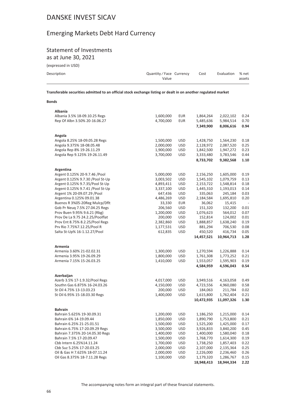### Emerging Markets Debt Hard Currency

## Statement of Investments

as at June 30, 2021

(expressed in USD)

| Description<br>Quantity/Face Currency | Cost | Evaluation % net |        |
|---------------------------------------|------|------------------|--------|
| Value                                 |      |                  | assets |

**Transferable securities admitted to an official stock exchange listing or dealt in on another regulated market**

#### **Bonds**

| <b>Albania</b>                             |           |            |            |            |                          |
|--------------------------------------------|-----------|------------|------------|------------|--------------------------|
| Albania 3.5% 18-09.10.25 Regs              | 1,600,000 | <b>EUR</b> | 1,864,264  | 2,022,102  | 0.24                     |
| Rep Of Albn 3.50% 20-16.06.27              | 4,700,000 | <b>EUR</b> | 5,485,636  | 5,984,514  | 0.70                     |
|                                            |           |            | 7,349,900  | 8,006,616  | 0.94                     |
| Angola                                     |           |            |            |            |                          |
| Angola 8.25% 18-09.05.28 Regs              | 1,500,000 | <b>USD</b> | 1,428,750  | 1,564,230  | 0.18                     |
| Angola 9.375% 18-08.05.48                  | 2,000,000 | <b>USD</b> | 2,128,972  | 2,087,520  | 0.25                     |
| Angola Rep 8% 19-26.11.29                  | 1,900,000 | <b>USD</b> | 1,842,500  | 1,947,272  | 0.23                     |
| Angola Rep 9.125% 19-26.11.49              | 3,700,000 | USD        | 3,333,480  | 3,783,546  | 0.44                     |
|                                            |           |            | 8,733,702  | 9,382,568  | 1.10                     |
|                                            |           |            |            |            |                          |
| Argentina<br>Argent 0.125% 20-9.7.46 /Pool |           |            |            |            |                          |
|                                            | 5,000,000 | <b>USD</b> | 2,156,250  | 1,605,000  | 0.19                     |
| Argent 0.125% 9.7.30 / Pool St-Up          | 3,003,502 | <b>USD</b> | 1,545,102  | 1,079,759  | 0.13                     |
| Argent 0.125% 9.7.35/Pool St-Up            | 4,893,411 | <b>USD</b> | 2,153,722  | 1,548,814  | 0.18                     |
| Argent 0.125% 9.7.41 / Pool St-Up          | 3,337,100 | <b>USD</b> | 1,445,310  | 1,193,013  | 0.14                     |
| Argent 1% 20-09.07.29 / Pool               | 647,436   | <b>USD</b> | 335,063    | 245,184    | 0.03                     |
| Argentina 0.125% 09.01.38                  | 4,486,269 | <b>USD</b> | 2,184,584  | 1,695,810  | 0.20                     |
| Buenos R 3%05-20Reg Mulcp/Dflt             | 33,330    | EUR        | 36,062     | 15,415     | $\overline{\phantom{a}}$ |
| Gob Pr Neuq 7.5% 27.04.25 Regs             | 206,560   | <b>USD</b> | 151,320    | 132,200    | 0.01                     |
| Prov Buen 9.95% 9.6.21 (Rbg)               | 1,200,000 | <b>USD</b> | 1,076,623  | 564,012    | 0.07                     |
| Prov De La 9.75 24.2.25/Poolflat           | 200,000   | <b>USD</b> | 152,814    | 124,002    | 0.01                     |
| Prov Ent 8.75% 8.2.25/Pool Regs            | 2,382,860 | <b>USD</b> | 1,888,857  | 1,638,240  | 0.19                     |
| Prv Rio 7.75%7.12.25/Pool R                | 1,177,531 | <b>USD</b> | 881,294    | 706,530    | 0.08                     |
| Salta St-Up% 16-1.12.27/Pool               | 612,835   | <b>USD</b> | 450,520    | 416,734    | 0.05                     |
|                                            |           |            | 14,457,521 | 10,964,713 | 1.28                     |
| Armenia                                    |           |            |            |            |                          |
| Armenia 3.60% 21-02.02.31                  | 1,300,000 | <b>USD</b> | 1,270,594  | 1,226,888  | 0.14                     |
| Armenia 3.95% 19-26.09.29                  | 1,800,000 | <b>USD</b> | 1,761,308  | 1,773,252  | 0.21                     |
| Armenia 7.15% 15-26.03.25                  | 1,410,000 | <b>USD</b> | 1,553,057  | 1,595,903  | 0.19                     |
|                                            |           |            | 4,584,959  | 4,596,043  | 0.54                     |
| Azerbaijan                                 |           |            |            |            |                          |
| Azerb 3.5% 17-1.9.32/Pool Regs             | 4,017,000 | <b>USD</b> | 3,949,516  | 4,163,058  | 0.49                     |
| Southn Gas 6.875% 16-24.03.26              | 4,150,000 | <b>USD</b> | 4,723,556  | 4,960,080  | 0.58                     |
| St Oil 4.75% 13-13.03.23                   | 200,000   | USD        | 184,063    | 211,784    | 0.02                     |
| St Oil 6.95% 15-18.03.30 Regs              | 1,400,000 | <b>USD</b> | 1,615,800  | 1,762,404  | 0.21                     |
|                                            |           |            | 10,472,935 | 11,097,326 | 1.30                     |
| <b>Bahrain</b>                             |           |            |            |            |                          |
| Bahrain 5.625% 19-30.09.31                 | 1,200,000 | <b>USD</b> | 1,186,250  | 1,215,000  | 0.14                     |
| Bahrain 6% 14-19.09.44                     | 1,850,000 | <b>USD</b> | 1,890,790  | 1,753,800  | 0.21                     |
| Bahrain 6.25% 21-25.01.51                  | 1,500,000 | <b>USD</b> | 1,525,200  | 1,425,000  | 0.17                     |
| Bahrain 6.75% 17-20.09.29 Regs             | 3,500,000 | USD        | 3,926,833  | 3,840,200  | 0.45                     |
| Bahrain 7.375% 20-14.05.30 Regs            | 1,400,000 | <b>USD</b> | 1,400,000  | 1,580,040  | 0.18                     |
| Bahrain 7.5% 17-20.09.47                   | 1,500,000 | <b>USD</b> | 1,768,770  | 1,614,300  | 0.19                     |
| Cbb Intern 6.25%14.11.24                   | 1,700,000 | <b>USD</b> | 1,738,250  | 1,857,403  | 0.22                     |
| Cbb Suz 5.25% 17-20.03.25                  | 2,000,000 | <b>USD</b> | 2,107,000  | 2,135,364  | 0.25                     |
| Oil & Gas H 7.625% 18-07.11.24             | 2,000,000 | <b>USD</b> | 2,226,000  | 2,236,460  | 0.26                     |
| Oil Gas 8.375% 18-7.11.28 Regs             | 1,100,000 | <b>USD</b> | 1,179,320  | 1,286,767  | 0.15                     |
|                                            |           |            | 18,948,413 |            | 2.22                     |
|                                            |           |            |            | 18,944,334 |                          |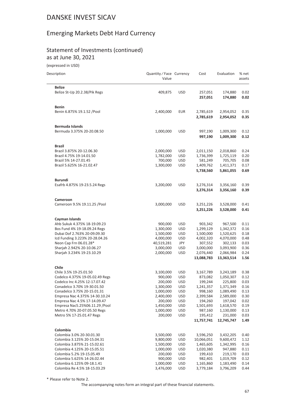# Emerging Markets Debt Hard Currency

#### Statement of Investments (continued) as at June 30, 2021

(expressed in USD)

| Description                                                    | Quantity / Face Currency<br>Value |                          | Cost                    | Evaluation              | % net<br>assets |
|----------------------------------------------------------------|-----------------------------------|--------------------------|-------------------------|-------------------------|-----------------|
| <b>Belize</b>                                                  |                                   |                          |                         |                         |                 |
| Belize St-Up 20.2.38/Pik Regs                                  | 409,875                           | <b>USD</b>               | 257,051<br>257,051      | 174,880<br>174,880      | 0.02<br>0.02    |
| <b>Benin</b>                                                   |                                   |                          |                         |                         |                 |
| Benin 6.875% 19.1.52 / Pool                                    | 2,400,000                         | <b>EUR</b>               | 2,785,619<br>2,785,619  | 2,954,052<br>2,954,052  | 0.35<br>0.35    |
| <b>Bermuda Islands</b>                                         |                                   |                          |                         |                         |                 |
| Bermuda 3.375% 20-20.08.50                                     | 1,000,000                         | <b>USD</b>               | 997,190<br>997,190      | 1,009,300<br>1,009,300  | 0.12<br>0.12    |
| <b>Brazil</b>                                                  |                                   |                          |                         |                         |                 |
| Brazil 3.875% 20-12.06.30                                      | 2,000,000                         | <b>USD</b>               | 2,011,150               | 2,018,860               | 0.24            |
| Brazil 4.75% 19-14.01.50                                       | 1,782,000                         | <b>USD</b>               | 1,736,399               | 1,725,119               | 0.20            |
| Brazil 5% 14-27.01.45<br>Brazil 5.625% 16-21.02.47             | 700,000<br>1,300,000              | <b>USD</b><br><b>USD</b> | 581,249<br>1,409,762    | 705,705<br>1,411,371    | 0.08<br>0.17    |
|                                                                |                                   |                          | 5,738,560               | 5,861,055               | 0.69            |
| <b>Burundi</b>                                                 |                                   |                          |                         |                         |                 |
| Esafrb 4.875% 19-23.5.24 Regs                                  | 3,200,000                         | <b>USD</b>               | 3,276,314               | 3,356,160               | 0.39            |
|                                                                |                                   |                          | 3,276,314               | 3,356,160               | 0.39            |
| Cameroon                                                       |                                   |                          |                         |                         |                 |
| Cameroon 9.5% 19.11.25 / Pool                                  | 3,000,000                         | <b>USD</b>               | 3,251,226<br>3,251,226  | 3,528,000<br>3,528,000  | 0.41<br>0.41    |
|                                                                |                                   |                          |                         |                         |                 |
| Cayman Islands                                                 |                                   |                          |                         |                         |                 |
| Ahb Sukuk 4.375% 18-19.09.23<br>Bos Fund 4% 19-18.09.24 Regs   | 900,000<br>1,300,000              | <b>USD</b><br><b>USD</b> | 903,342<br>1,299,129    | 967,500<br>1,342,372    | 0.11<br>0.16    |
| Dubai Dof 2.763% 20-09.09.30                                   | 1,500,000                         | <b>USD</b>               | 1,500,000               | 1,520,625               | 0.18            |
| Icd Funding 3.223% 20-28.04.26                                 | 4,000,000                         | <b>USD</b>               | 4,002,320               | 4,070,000               | 0.48            |
| Neon Cap Frn 06.01.28*                                         | 40,519,281                        | JPY                      | 307,552                 | 302,133                 | 0.03            |
| Sharjah 2.942% 20-10.06.27                                     | 3,000,000                         | <b>USD</b>               | 3,000,000               | 3,093,900               | 0.36            |
| Sharjah 3.234% 19-23.10.29                                     | 2,000,000                         | <b>USD</b>               | 2,076,440<br>13,088,783 | 2,066,984<br>13,363,514 | 0.24<br>1.56    |
| <b>Chile</b>                                                   |                                   |                          |                         |                         |                 |
| Chile 3.5% 19-25.01.50                                         | 3,100,000                         | <b>USD</b>               | 3,167,789               | 3,243,189               | 0.38            |
| Codelco 4.375% 19-05.02.49 Regs                                | 900,000                           | <b>USD</b>               | 873,082                 | 1,050,307               | 0.12            |
| Codelco Inc 4.25% 12-17.07.42                                  | 200,000                           | <b>USD</b>               | 199,244                 | 225,800                 | 0.03            |
| Conadelco 3.70% 19-30.01.50                                    | 1,300,000                         | <b>USD</b>               | 1,241,357               | 1,371,349               | 0.16            |
| Conadelco 3.75% 20-15.01.31                                    | 1,000,000                         | <b>USD</b>               | 998,160                 | 1,089,490               | 0.13            |
| Empresa Nac 4.375% 14-30.10.24<br>Empresa Nac 4.5% 17-14.09.47 | 2,400,000                         | <b>USD</b>               | 2,399,584               | 2,589,000<br>197,042    | 0.30            |
| Empresa Nac5.25%06.11.29 / Pool                                | 200,000<br>1,450,000              | <b>USD</b><br><b>USD</b> | 194,260<br>1,501,693    | 1,618,570               | 0.02<br>0.19    |
| Metro 4.70% 20-07.05.50 Regs                                   | 1,000,000                         | <b>USD</b>               | 987,160                 | 1,130,000               | 0.13            |
| Metro 5% 17-25.01.47 Regs                                      | 200,000                           | <b>USD</b>               | 195,412                 | 231,000                 | 0.03            |
|                                                                |                                   |                          | 11,757,741              | 12,745,747              | 1.49            |
| Colombia                                                       |                                   |                          |                         |                         |                 |
| Colombia 3.0% 20-30.01.30                                      | 3,500,000                         | <b>USD</b>               | 3,596,250               | 3,432,205               | 0.40            |
| Colombia 3.125% 20-15.04.31<br>Colombia 3.875% 21-15.02.61     | 9,800,000                         | <b>USD</b><br><b>USD</b> | 10,066,051              | 9,600,472               | 1.12            |
| Colombia 4.125% 20-15.05.51                                    | 1,500,000<br>1,000,000            | <b>USD</b>               | 1,465,605<br>1,020,380  | 1,342,995<br>947,880    | 0.16<br>0.11    |
| Colombia 5.2% 19-15.05.49                                      | 200,000                           | <b>USD</b>               | 199,410                 | 219,170                 | 0.03            |
| Colombia 5.625% 14-26.02.44                                    | 900,000                           | <b>USD</b>               | 982,401                 | 1,019,709               | 0.12            |
| Colombia 6.125% 09-18.1.41                                     | 1,000,000                         | <b>USD</b>               | 1,165,860               | 1,183,490               | 0.14            |
| Colombia Re 4.5% 18-15.03.29                                   | 3,476,000                         | <b>USD</b>               | 3,779,184               | 3,796,209               | 0.44            |

\* Please refer to Note 2.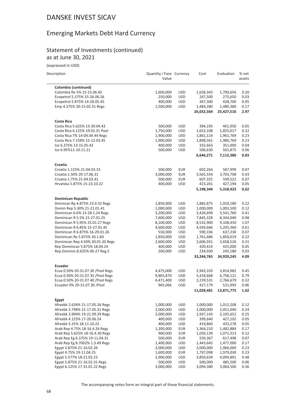### Emerging Markets Debt Hard Currency

#### Statement of Investments (continued) as at June 30, 2021

(expressed in USD)

 $\frac{1}{2}$ 

| Description                        | Quantity / Face Currency<br>Value |            | Cost       | Evaluation | % net<br>assets |
|------------------------------------|-----------------------------------|------------|------------|------------|-----------------|
| Colombia (continued)               |                                   |            |            |            |                 |
| Colombia Re 5% 15-15.06.45         | 1,600,000                         | <b>USD</b> | 1,658,343  | 1,700,656  | 0.20            |
| Ecopetrol 5.375% 15-26.06.26       | 250,000                           | <b>USD</b> | 247,500    | 275,650    | 0.03            |
| Ecopetrol 5.875% 14-28.05.45       | 400,000                           | <b>USD</b> | 367,300    | 428,700    | 0.05            |
| Emp 4.375% 20-15.02.31 Regs        | 1,500,000                         | <b>USD</b> | 1,484,280  | 1,480,380  | 0.17            |
|                                    |                                   |            | 26,032,564 | 25,427,516 | 2.97            |
| Costa Rica                         |                                   |            |            |            |                 |
| Costa Rica 5.625% 13-30.04.43      | 500,000                           | <b>USD</b> | 394,195    | 461,950    | 0.05            |
| Costa Rica 6.125% 19.02.31 Pool    | 1,750,000                         | <b>USD</b> | 1,653,108  | 1,855,017  | 0.22            |
| Costa Rica 7% 14-04.04.44 Regs     | 1,900,000                         | <b>USD</b> | 1,861,114  | 1,961,769  | 0.23            |
| Costa Rica 7.158% 15-12.03.45      | 1,900,000                         | <b>USD</b> | 1,898,561  | 1,980,769  | 0.23            |
| Ice 6.375% 13-15.05.43             | 400,000                           | <b>USD</b> | 332,663    | 351,000    | 0.04            |
| Ice 6.95%11-10.11.21               | 500,000                           | <b>USD</b> | 506,630    | 501,875    | 0.06            |
|                                    |                                   |            | 6,646,271  | 7,112,380  | 0.83            |
| Croatia                            |                                   |            |            |            |                 |
| Croatia 1.125% 21-04.03.33         | 500,000                           | <b>EUR</b> | 602,264    | 587,999    | 0.07            |
| Croatia 1.50% 20-17.06.31          | 3,000,000                         | <b>EUR</b> | 3,565,554  | 3,703,708  | 0.43            |
| Croatia 1.75% 21-04.03.41          | 500,000                           | <b>EUR</b> | 607,325    | 599,522    | 0.07            |
| Hrvatska 5.875% 15-23.10.22        | 400,000                           | <b>USD</b> | 423,201    | 427,194    | 0.05            |
|                                    |                                   |            | 5,198,344  | 5,318,423  | 0.62            |
| <b>Dominican Republic</b>          |                                   |            |            |            |                 |
| Dminican Rp 4.875% 23.9.32 Regs    | 1,850,000                         | <b>USD</b> | 1,885,875  | 1,910,180  | 0.22            |
| Domin Rep 5.30% 21-21.01.41        | 1,000,000                         | <b>USD</b> | 1,000,000  | 1,003,500  | 0.12            |
| Dominican 6.6% 13-28.1.24 Regs     | 3,200,000                         | <b>USD</b> | 3,426,699  | 3,541,760  | 0.41            |
| Dominican R 5.5% 15-27.01.25       | 7,600,000                         | <b>USD</b> | 7,845,328  | 8,344,040  | 0.98            |
| Dominican R 5.95% 25.01.27 Regs    | 8,100,000                         | <b>USD</b> | 8,532,900  | 9,108,450  | 1.07            |
| Dominican R 6.85% 15-27.01.45      | 4,600,000                         | <b>USD</b> | 4,939,666  | 5,205,360  | 0.61            |
| Dominican R 6.875% 16-29.01.26     | 550,000                           | <b>USD</b> | 590,336    | 637,230    | 0.07            |
| Dominican Re 5.875% 30.1.60        | 1,850,000                         | <b>USD</b> | 1,761,686  | 1,850,019  | 0.22            |
| Dominican Rep 4.50% 30.01.30 Regs  | 2,600,000                         | <b>USD</b> | 2,606,931  | 2,658,526  | 0.31            |
| Rep Dominican 5.875% 18.04.24      | 400,000                           | <b>USD</b> | 420,414    | 425,000    | 0.05            |
| Rep.Dominic.8.625% 06-27 Reg.S     | 200,000                           | <b>USD</b> | 234,930    | 245,180    | 0.03<br>4.09    |
|                                    |                                   |            | 33,244,765 | 34,929,245 |                 |
| Ecuador                            |                                   |            |            |            |                 |
| Ecua 0.50% 20-31.07.30 / Pool Regs | 4,475,000                         | <b>USD</b> | 2,943,103  | 3,814,982  | 0.45            |
| Ecua 0.50% 20-31.07.35 / Pool Regs | 9,865,870                         | <b>USD</b> | 5,418,668  | 6,758,121  | 0.79            |
| Ecua 0.50% 20-31.07.40 / Pool Regs | 4,471,400                         | <b>USD</b> | 2,239,531  | 2,766,679  | 0.32            |
| Ecuador 0% 20-31.07.30 / Pool      | 965,066                           | <b>USD</b> | 427,179    | 531,993    | 0.06            |
|                                    |                                   |            | 11,028,481 | 13,871,775 | 1.62            |
| Egypt                              |                                   |            |            |            |                 |
| Afrexbk 2.634% 21-17.05.26 Regs    | 1,000,000                         | <b>USD</b> | 1,000,000  | 1,012,208  | 0.12            |
| Afrexbk 3.798% 21-17.05.31 Regs    | 2,000,000                         | <b>USD</b> | 2,000,000  | 2,051,040  | 0.24            |
| Afrexbk 3.994% 19-21.09.29 Regs    | 2,000,000                         | <b>USD</b> | 1,937,143  | 2,105,652  | 0.25            |
| Afrexbk 4.125% 17-20.06.24         | 400,000                           | <b>USD</b> | 399,640    | 427,102    | 0.05            |
| Afrexbk 5.25% 18-11.10.23          | 400,000                           | <b>USD</b> | 419,860    | 433,278    | 0.05            |
| Arab Rep 4.75% 18-16.4.26 Regs     | 1,200,000                         | <b>EUR</b> | 1,364,210  | 1,482,884  | 0.17            |
| Arab Rep 5.625% 18-16.4.30 Regs    | 900,000                           | <b>EUR</b> | 1,030,139  | 1,071,313  | 0.12            |
| Arab Rep Eg 6.375% 19-11.04.31     | 500,000                           | <b>EUR</b> | 559,367    | 617,498    | 0.07            |
| Arab Rep Eg 8.7002% 1.3.49 Regs    | 1,400,000                         | <b>USD</b> | 1,443,645  | 1,477,000  | 0.17            |
| Egypt 3.875% 21-16.02.26           | 2,000,000                         | <b>USD</b> | 2,000,000  | 1,966,000  | 0.23            |
| Egypt 4.75% 19-11.04.25            | 1,600,000                         | <b>EUR</b> | 1,797,098  | 1,979,030  | 0.23            |
| Egypt 5.577% 18-21.02.23           | 3,900,000                         | <b>USD</b> | 3,850,639  | 4,094,891  | 0.48            |
| Egypt 5.875% 21-16.02.31 Regs      | 500,000                           | <b>USD</b> | 500,000    | 485,500    | 0.06            |
| Egypt 6.125% 17-31.01.22 Regs      | 3,000,000                         | <b>USD</b> | 3,094,380  | 3,064,500  | 0.36            |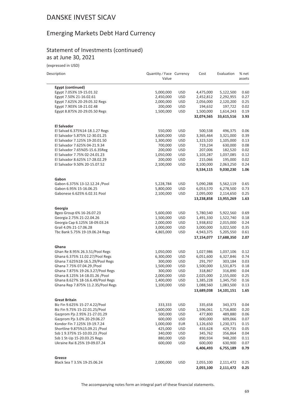### Emerging Markets Debt Hard Currency

#### Statement of Investments (continued) as at June 30, 2021

(expressed in USD)

| Description |  |
|-------------|--|

i.

| Description                        | Quantity / Face Currency<br>Value |            | Cost       | Evaluation | % net<br>assets |
|------------------------------------|-----------------------------------|------------|------------|------------|-----------------|
| Egypt (continued)                  |                                   |            |            |            |                 |
| Egypt 7.053% 19-15.01.32           | 5,000,000                         | <b>USD</b> | 4,475,000  | 5,122,500  | 0.60            |
| Egypt 7.50% 21-16.02.61            | 2,450,000                         | <b>USD</b> | 2,452,812  | 2,292,955  | 0.27            |
| Egypt 7.625% 20-29.05.32 Regs      | 2,000,000                         | USD        | 2,056,000  | 2,120,200  | 0.25            |
| Egypt 7.903% 18-21.02.48           | 200,000                           | <b>USD</b> | 194,632    | 197,722    | 0.02            |
| Egypt 8.875% 20-29.05.50 Regs      | 1,500,000                         | USD        | 1,500,000  | 1,614,243  | 0.19            |
|                                    |                                   |            | 32,074,565 | 33,615,516 | 3.93            |
| <b>El Salvador</b>                 |                                   |            |            |            |                 |
| El Salvad 6.375%14-18.1.27 Regs    | 550,000                           | <b>USD</b> | 500,538    | 496,375    | 0.06            |
| El Salvador 5.875% 12-30.01.25     | 3,600,000                         | <b>USD</b> | 3,365,464  | 3,321,000  | 0.39            |
| El Salvador 7.125% 19-20.01.50     | 1,300,000                         | <b>USD</b> | 1,323,520  | 1,105,000  | 0.13            |
| El Salvador 7.625% 04-21.9.34      | 700,000                           | USD        | 719,234    | 630,000    | 0.08            |
| El Salvador 7.65%05-15.6.35Reg     | 200,000                           | <b>USD</b> | 207,006    | 182,520    | 0.02            |
| El Salvador 7.75% 02-24.01.23      | 1,050,000                         | <b>USD</b> | 1,103,287  | 1,037,085  | 0.12            |
| El Salvador 8.625% 17-28.02.29     | 200,000                           | <b>USD</b> | 215,066    | 195,000    | 0.02            |
| El Salvador 9.50% 20-15.07.52      | 2,100,000                         | <b>USD</b> | 2,100,000  | 2,063,250  | 0.24            |
|                                    |                                   |            | 9,534,115  | 9,030,230  | 1.06            |
| Gabon                              |                                   |            |            |            |                 |
| Gabon 6.375% 13-12.12.24 / Pool    | 5,228,784                         | USD        | 5,090,288  | 5,562,119  | 0.65            |
| Gabon 6.95% 15-16.06.25            | 5,800,000                         | <b>USD</b> | 6,053,570  | 6,278,500  | 0.73            |
| Gabonese 6.625% 6.02.31 Pool       | 2,100,000                         | <b>USD</b> | 2,095,000  | 2,114,650  | 0.25            |
|                                    |                                   |            | 13,238,858 | 13,955,269 | 1.63            |
| Georgia                            |                                   |            |            |            |                 |
| Bgeo Group 6% 16-26.07.23          | 5,600,000                         | <b>USD</b> | 5,780,540  | 5,922,560  | 0.69            |
| Georgia 2.75% 21-22.04.26          | 1,500,000                         | <b>USD</b> | 1,491,330  | 1,522,740  | 0.18            |
| Georgia Cap 6.125% 18-09.03.24     | 2,000,000                         | USD        | 1,938,832  | 2,015,000  | 0.24            |
| Grail 4.0% 21-17.06.28             | 3,000,000                         | <b>USD</b> | 3,000,000  | 3,022,500  | 0.35            |
| Tbc Bank 5.75% 19-19.06.24 Regs    | 4,865,000                         | USD        | 4,943,375  | 5,205,550  | 0.61            |
|                                    |                                   |            | 17,154,077 | 17,688,350 | 2.07            |
| Ghana                              |                                   |            |            |            |                 |
| Ghan Re 8.95% 26.3.51/Pool Regs    | 1,050,000                         | USD        | 1,027,986  | 1,037,106  | 0.12            |
| Ghana 6.375% 11.02.27/Pool Regs    | 6,300,000                         | <b>USD</b> | 6,051,600  | 6,327,846  | 0.74            |
| Ghana 7.625%18-16.5.29/Pool Regs   | 300,000                           | USD        | 291,797    | 303,184    | 0.03            |
| Ghana 7.75% 07.04.29 / Pool        | 1,500,000                         | <b>USD</b> | 1,500,000  | 1,531,875  | 0.18            |
| Ghana 7.875% 19-26.3.27/Pool Regs  | 300,000                           | <b>USD</b> | 318,867    | 316,890    | 0.04            |
| Ghana 8.125% 14-18.01.26 / Pool    | 2,000,000                         | USD        | 2,025,000  | 2,155,000  | 0.25            |
| Ghana 8.627% 18-16.6.49/Pool Regs  | 1,400,000                         | <b>USD</b> | 1,385,228  | 1,345,750  | 0.16            |
| Ghana Rep 7.875% 11.2.35/Pool Regs | 1,100,000                         | USD        | 1,088,560  | 1,083,500  | 0.13            |
|                                    |                                   |            | 13,689,038 | 14,101,151 | 1.65            |
| <b>Great Britain</b>               |                                   |            |            |            |                 |
| Biz Fin 9.625% 15-27.4.22/Pool     | 333,333                           | <b>USD</b> | 335,658    | 343,373    | 0.04            |
| Biz Fin 9.75% 15-22.01.25/Pool     | 1,600,000                         | <b>USD</b> | 1,596,061  | 1,716,800  | 0.20            |
| Gazprom Pjs 2.95% 21-27.01.29      | 500,000                           | USD        | 477,800    | 489,880    | 0.06            |
| Gazprom Pjs 3.0% 20-29.06.27       | 600,000                           | <b>USD</b> | 600,000    | 609,066    | 0.07            |
| Kondor Fin 7.125% 19-19.7.24       | 1,000,000                         | <b>EUR</b> | 1,126,650  | 1,230,371  | 0.15            |
| Shortline 9.875%15.09.21 /Pool     | 425,000                           | USD        | 433,628    | 429,735    | 0.05            |
| Ssb 1 9.375% 15-10.03.23 /Pool     | 340,000                           | <b>USD</b> | 345,762    | 356,864    | 0.04            |
| Ssb 1 St-Up 15-20.03.25 Regs       | 880,000                           | <b>USD</b> | 890,934    | 948,200    | 0.11            |
| Ukraine Rai 8.25% 19-09.07.24      | 600,000                           | <b>USD</b> | 600,000    | 630,900    | 0.07            |
|                                    |                                   |            | 6,406,493  | 6,755,189  | 0.79            |
| Greece                             |                                   |            |            |            |                 |
| Black Sea T 3.5% 19-25.06.24       | 2,000,000                         | <b>USD</b> | 2,055,100  | 2,111,472  | 0.25            |
|                                    |                                   |            | 2,055,100  | 2,111,472  | 0.25            |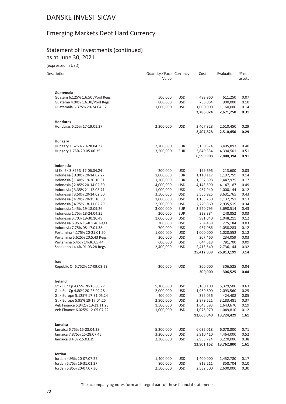### Emerging Markets Debt Hard Currency

#### Statement of Investments (continued) as at June 30, 2021

(expressed in USD)

| Descrintion |  |  |
|-------------|--|--|

| Description                                                  | Quantity / Face Currency<br>Value |                          | Cost                    | Evaluation              | % net<br>assets |
|--------------------------------------------------------------|-----------------------------------|--------------------------|-------------------------|-------------------------|-----------------|
| Guatemala                                                    |                                   |                          |                         |                         |                 |
| Guatem 6.125% 1.6.50 / Pool Regs                             | 500,000                           | <b>USD</b>               | 499,960                 | 611,250                 | 0.07            |
| Guatema 4.90% 1.6.30/Pool Regs                               | 800,000                           | <b>USD</b>               | 786,064                 | 900,000                 | 0.10            |
| Guatemala 5.375% 20-24.04.32                                 | 1,000,000                         | <b>USD</b>               | 1,000,000               | 1,160,000               | 0.14            |
|                                                              |                                   |                          | 2,286,024               | 2,671,250               | 0.31            |
| <b>Honduras</b>                                              |                                   |                          |                         |                         |                 |
| Honduras 6.25% 17-19.01.27                                   | 2,300,000                         | <b>USD</b>               | 2,407,828<br>2,407,828  | 2,510,450<br>2,510,450  | 0.29<br>0.29    |
| <b>Hungary</b>                                               |                                   |                          |                         |                         |                 |
| Hungary 1.625% 20-28.04.32                                   | 2,700,000                         | EUR                      | 3,150,574               | 3,405,893               | 0.40            |
| Hungary 1.75% 20-05.06.35                                    | 3,500,000                         | <b>EUR</b>               | 3,849,334               | 4,394,501               | 0.51            |
|                                                              |                                   |                          | 6,999,908               | 7,800,394               | 0.91            |
| Indonesia                                                    |                                   |                          |                         |                         |                 |
| Id Exi Bk 3.875% 17-06.04.24                                 | 200,000                           | <b>USD</b>               | 199,696                 | 213,600                 | 0.03            |
| Indonesia (0.90% 20-14.02.27                                 | 1,000,000                         | <b>EUR</b>               | 1,110,117               | 1,197,759               | 0.14            |
| Indonesia (1.40% 19-30.10.31                                 | 1,200,000                         | <b>EUR</b>               | 1,332,698               | 1,447,975               | 0.17            |
| Indonesia (2.85% 20-14.02.30<br>Indonesia (3.35% 21-12.03.71 | 4,000,000<br>1,000,000            | <b>USD</b><br><b>USD</b> | 4,143,590<br>987,940    | 4,147,187               | 0.49<br>0.12    |
| Indonesia (3.50% 20-14.02.50                                 | 3,500,000                         | <b>USD</b>               | 3,566,925               | 1,000,144<br>3,631,765  | 0.43            |
| Indonesia (4.20% 20-15.10.50                                 | 1,000,000                         | <b>USD</b>               | 1,133,750               | 1,137,751               | 0.13            |
| Indonesia (4.75% 18-11.02.29                                 | 2,500,000                         | <b>USD</b>               | 2,729,860               | 2,935,519               | 0.34            |
| Indonesia 1.45% 19-18.09.26                                  | 3,000,000                         | <b>EUR</b>               | 3,520,795               | 3,698,514               | 0.43            |
| Indonesia 1.75% 18-24.04.25                                  | 200,000                           | <b>EUR</b>               | 229,384                 | 248,852                 | 0.03            |
| Indonesia 3.70% 19-30.10.49                                  | 1,000,000                         | <b>USD</b>               | 991,040                 | 1,048,211               | 0.12            |
| Indonesia 5.95% 15-8.1.46 Regs                               | 200,000                           | <b>USD</b>               | 234,439                 | 275,184                 | 0.03            |
| Indonesia 7.75% 08-17.01.38                                  | 700,000                           | <b>USD</b>               | 967,086                 | 1,058,283               | 0.12            |
| Pertamina 4.175% 20-21.01.50                                 | 1,000,000                         | <b>USD</b>               | 1,000,000               | 1,020,552               | 0.12            |
| Pertamina 5.625% 20.5.43 Regs                                | 200,000                           | <b>USD</b>               | 207,460                 | 234,059                 | 0.03            |
| Pertamina 6.45% 14-30.05.44                                  | 600,000                           | <b>USD</b>               | 644,518                 | 781,700                 | 0.09            |
| Sbsn Indo I 4.4% 01.03.28 Regs                               | 2,400,000                         | <b>USD</b>               | 2,413,540               | 2,736,144               | 0.32            |
|                                                              |                                   |                          | 25,412,838              | 26,813,199              | 3.14            |
| Iraq<br>Republic Of 6.752% 17-09.03.23                       | 300,000                           | <b>USD</b>               | 300,000                 | 306,525                 | 0.04            |
|                                                              |                                   |                          | 300,000                 | 306,525                 | 0.04            |
| Ireland                                                      |                                   |                          |                         |                         |                 |
| Gtlk Eur Cp 4.65% 20-10.03.27                                | 5.100.000                         | <b>USD</b>               | 5,100,100               | 5,329,500               | 0.63            |
| Gtlk Eur Cp 4.80% 20-26.02.28                                | 2,000,000                         | <b>USD</b>               | 1,969,800               | 2,093,560               | 0.25            |
| Gtlk Europe 5.125% 17-31.05.24                               | 400,000                           | <b>USD</b>               | 396,056                 | 424,408                 | 0.05            |
| Gtlk Europe 5.95% 19-17.04.25                                | 2,900,000                         | <b>USD</b>               | 2,879,521               | 3,183,481               | 0.37            |
| Veb Finance 5.942% 13-21.11.23                               | 1,500,000                         | <b>USD</b>               | 1,643,593               | 1,643,670               | 0.19            |
| Veb Finance 6.025% 12-05.07.22                               | 1,000,000                         | <b>USD</b>               | 1,075,970               | 1,049,810               | 0.12            |
|                                                              |                                   |                          | 13,065,040              | 13,724,429              | 1.61            |
| Jamaica                                                      |                                   |                          |                         |                         |                 |
| Jamaica 6.75% 15-28.04.28                                    | 5,200,000                         | <b>USD</b>               | 6,035,018               | 6,078,800               | 0.71            |
| Jamaica 7.875% 15-28.07.45                                   | 3,200,000                         | <b>USD</b>               | 3,910,410               | 4,464,000               | 0.52            |
| Jamaica 8% 07-15.03.39                                       | 2,300,000                         | <b>USD</b>               | 2,955,724<br>12,901,152 | 3,220,000<br>13,762,800 | 0.38<br>1.61    |
| Jordan                                                       |                                   |                          |                         |                         |                 |
| Jordan 4.95% 20-07.07.25                                     | 1,400,000                         | <b>USD</b>               | 1,400,000               | 1,452,780               | 0.17            |
| Jordan 5.75% 16-31.01.27                                     | 800,000                           | <b>USD</b>               | 812,211                 | 858,704                 | 0.10            |
| Jordan 5.85% 20-07.07.30                                     | 2,500,000                         | <b>USD</b>               | 2,532,500               | 2,600,000               | 0.30            |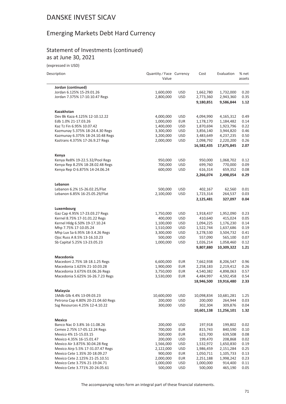# Emerging Markets Debt Hard Currency

#### Statement of Investments (continued) as at June 30, 2021

(expressed in USD)

| Description                                                     | Quantity / Face Currency<br>Value |            | Cost                   | Evaluation              | % net<br>assets |
|-----------------------------------------------------------------|-----------------------------------|------------|------------------------|-------------------------|-----------------|
| Jordan (continued)                                              |                                   |            |                        |                         |                 |
| Jordan 6.125% 15-29.01.26                                       | 1,600,000                         | <b>USD</b> | 1,662,780              | 1,732,000               | 0.20            |
| Jordan 7.375% 17-10.10.47 Regs                                  | 2,800,000                         | <b>USD</b> | 2,773,360              | 2,943,360               | 0.35            |
|                                                                 |                                   |            | 9,180,851              | 9,586,844               | 1.12            |
| Kazakhstan                                                      |                                   |            |                        |                         |                 |
| Dev Bk Kaza 4.125% 12-10.12.22                                  | 4,000,000                         | USD        | 4,094,990              | 4,165,312               | 0.49            |
| Edb 1.0% 21-17.03.26                                            | 1,000,000                         | <b>EUR</b> | 1,178,170              | 1,184,482               | 0.14            |
| Kaz Tz Fin 6.95% 10.07.42                                       | 1,400,000                         | <b>USD</b> | 1,870,694              | 1,923,796               | 0.22            |
| Kazmunay 5.375% 18-24.4.30 Regs                                 | 3,300,000                         | <b>USD</b> | 3,856,140              | 3,944,820               | 0.46            |
| Kazmunay 6.375% 18-24.10.48 Regs                                | 3,200,000                         | <b>USD</b> | 3,483,649              | 4,237,235               | 0.50            |
| Kaztrans 4.375% 17-26.9.27 Regs                                 | 2,000,000                         | <b>USD</b> | 2,098,792              | 2,220,200               | 0.26            |
|                                                                 |                                   |            | 16,582,435             | 17,675,845              | 2.07            |
| Kenya                                                           |                                   |            |                        |                         |                 |
| Kenya Re8% 19-22.5.32/Pool Regs                                 | 950,000                           | <b>USD</b> | 950,000                | 1,068,702               | 0.12            |
| Kenya Rep 8.25% 18-28.02.48 Regs                                | 700,000                           | <b>USD</b> | 699,760                | 770,000                 | 0.09            |
| Kenya Rep O 6.875% 14-24.06.24                                  | 600,000                           | <b>USD</b> | 616,314                | 659,352                 | 0.08            |
|                                                                 |                                   |            | 2,266,074              | 2,498,054               | 0.29            |
| Lebanon                                                         |                                   |            |                        |                         |                 |
| Lebanon 6.2% 15-26.02.25/Flat                                   | 500,000                           | USD        | 402,167                | 62,560                  | 0.01            |
| Lebanon 6.85% 16-25.05.29/Flat                                  | 2,100,000                         | <b>USD</b> | 1,723,314              | 264,537                 | 0.03            |
|                                                                 |                                   |            | 2,125,481              | 327,097                 | 0.04            |
| Luxembourg                                                      |                                   |            |                        |                         |                 |
| Gaz Cap 4.95% 17-23.03.27 Regs                                  | 1,750,000                         | <b>USD</b> | 1,918,437              | 1,952,090               | 0.23            |
| Kernel 8.75% 17-31.01.22 Regs                                   | 400,000                           | USD        | 410,640                | 415,024                 | 0.05            |
| Kernel Hldg 6.50% 19-17.10.24                                   | 1,100,000                         | <b>USD</b> | 1,094,225              | 1,176,230               | 0.14            |
| Mhp 7.75% 17-10.05.24                                           | 1,510,000                         | <b>USD</b> | 1,522,744              | 1,637,686               | 0.19            |
| Mhp Lux Sa 6.95% 18-3.4.26 Regs<br>Ojsc Russ A 8.5% 13-16.10.23 | 3,300,000                         | <b>USD</b> | 3,278,530              | 3,504,732               | 0.41<br>0.07    |
|                                                                 | 500,000                           | <b>USD</b> | 557,090                | 565,100                 | 0.12            |
| Sb Capital 5.25% 13-23.05.23                                    | 1,000,000                         | <b>USD</b> | 1,026,214<br>9,807,880 | 1,058,460<br>10,309,322 | 1.21            |
| Macedonia                                                       |                                   |            |                        |                         |                 |
| Macedoni 2.75% 18-18.1.25 Regs                                  | 6,600,000                         | <b>EUR</b> | 7,662,938              | 8,206,547               | 0.96            |
| Macedonia 1.625% 21-10.03.28                                    | 1,900,000                         | <b>EUR</b> | 2,258,183              | 2,219,412               | 0.26            |
| Macedonia 3.675% 03.06.26 Regs                                  | 3,750,000                         | <b>EUR</b> | 4,540,382              | 4,898,063               | 0.57            |
| Macedonia 5.625% 16-26.7.23 Regs                                | 3,530,000                         | <b>EUR</b> | 4,484,997              | 4,592,458               | 0.54            |
|                                                                 |                                   |            | 18,946,500             | 19,916,480              | 2.33            |
| Malaysia                                                        |                                   |            |                        |                         |                 |
| 1Mdb Glb 4.4% 13-09.03.23                                       | 10,600,000                        | USD        | 10,098,834             | 10,681,281              | 1.25            |
| Petrona Cap 4.80% 20-21.04.60 Regs                              | 200,000                           | <b>USD</b> | 200,000                | 264,944                 | 0.03            |
| Ssg Resources 4.25% 12-4.10.22                                  | 300,000                           | <b>USD</b> | 302,304                | 309,876                 | 0.04            |
|                                                                 |                                   |            | 10,601,138             | 11,256,101              | 1.32            |
| Mexico                                                          |                                   |            |                        |                         |                 |
| Banco Nac D 3.8% 16-11.08.26                                    | 200,000                           | <b>USD</b> | 197,918                | 199,802                 | 0.02            |
| Cemex 2.75% 17-05.12.24 Regs                                    | 700,000                           | <b>EUR</b> | 815,743                | 840,590                 | 0.10            |
| Mexico 4% 15-15.03.15                                           | 500,000                           | <b>EUR</b> | 623,700                | 639,508                 | 0.08            |
| Mexico 4.35% 16-15.01.47                                        | 200,000                           | <b>USD</b> | 199,470                | 208,868                 | 0.02            |
| Mexico Air 3.875% 30.04.28 Reg                                  | 1,566,000                         | <b>USD</b> | 1,532,972              | 1,650,830               | 0.19            |
| Mexico Airp 5.5% 17-31.07.47 Regs                               | 2,122,000                         | <b>USD</b> | 1,986,459              | 2,151,284               | 0.25            |
| Mexico Cete 1.35% 20-18.09.27                                   | 900,000                           | <b>EUR</b> | 1,050,711              | 1,105,733               | 0.13            |
| Mexico Cete 2.125% 21-25.10.51                                  | 2,000,000                         | <b>EUR</b> | 2,251,188              | 1,998,242               | 0.23            |
| Mexico Cete 3.75% 21-19.04.71                                   | 1,000,000                         | <b>USD</b> | 1,000,000              | 914,400                 | 0.11            |
| Mexico Cete 3.771% 20-24.05.61                                  | 500,000                           | <b>USD</b> | 500,000                | 465,190                 | 0.05            |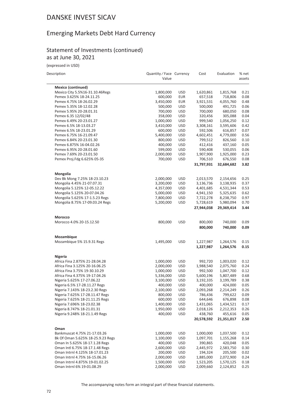### Emerging Markets Debt Hard Currency

#### Statement of Investments (continued) as at June 30, 2021

(expressed in USD)

| Description |  |  |
|-------------|--|--|

| Description                                        | Quantity / Face Currency<br>Value |                          | Cost                  | Evaluation            | % net<br>assets |
|----------------------------------------------------|-----------------------------------|--------------------------|-----------------------|-----------------------|-----------------|
| <b>Mexico (continued)</b>                          |                                   |                          |                       |                       |                 |
| Mexico City 5.5%16-31.10.46Regs                    | 1,800,000                         | <b>USD</b>               | 1,620,861             | 1,815,768             | 0.21            |
| Pemex 3.625% 18-24.11.25                           | 600,000                           | <b>EUR</b>               | 657,518               | 718,806               | 0.08            |
| Pemex 4.75% 18-26.02.29                            | 3,450,000                         | <b>EUR</b>               | 3,921,531             | 4,055,760             | 0.48            |
| Pemex 5.35% 18-12.02.28                            | 500,000                           | <b>USD</b>               | 500,000               | 491,725               | 0.06            |
| Pemex 5.95% 20-28.01.31                            | 700,000                           | <b>USD</b>               | 700,000               | 680,050               | 0.08            |
| Pemex 6.35 12/02/48                                | 358,000                           | <b>USD</b>               | 320,456               | 305,088               | 0.04            |
| Pemex 6.49% 20-23.01.27                            | 1,000,000                         | <b>USD</b>               | 999,540               | 1,056,250             | 0.12            |
| Pemex 6.5% 18-13.03.27                             | 3,410,000                         | <b>USD</b>               | 3,308,161             | 3,595,606             | 0.42            |
| Pemex 6.5% 18-23.01.29                             | 600,000                           | <b>USD</b>               | 592,506               | 616,857               | 0.07            |
| Pemex 6.75% 16-21.09.47                            | 5,400,000                         | <b>USD</b>               | 4,602,451             | 4,779,000             | 0.56            |
| Pemex 6.84% 20-23.01.30                            | 800,000                           | <b>USD</b>               | 799,512               | 826,560               | 0.10            |
| Pemex 6.875% 16-04.02.26                           | 400,000                           | <b>USD</b>               | 412,416               | 437,160               | 0.05<br>0.06    |
| Pemex 6.95% 20-28.01.60<br>Pemex 7.69% 20-23.01.50 | 599,000                           | <b>USD</b>               | 590,408               | 530,055               | 0.23            |
|                                                    | 2,000,000                         | <b>USD</b><br><b>USD</b> | 1,907,900             | 1,925,000             | 0.08            |
| Pemex Proj.Fdg 6.625% 05-35                        | 700,000                           |                          | 706,510<br>31,797,931 | 676,550<br>32,684,682 | 3.82            |
|                                                    |                                   |                          |                       |                       |                 |
| Mongolia<br>Dev Bk Mong 7.25% 18-23.10.23          | 2,000,000                         | <b>USD</b>               | 2,013,570             | 2,154,656             | 0.25            |
| Mongolia 4.45% 21-07.07.31                         | 3,200,000                         | <b>USD</b>               | 3,136,736             | 3,138,935             | 0.37            |
| Mongolia 5.125% 12-05.12.22                        | 4,357,000                         | <b>USD</b>               | 4,401,685             | 4,531,344             | 0.53            |
| Mongolia 5.125% 20-07.04.26                        | 5,000,000                         | <b>USD</b>               | 4,941,150             | 5,325,635             | 0.62            |
| Mongolia 5.625% 17-1.5.23 Regs                     | 7,800,000                         | <b>USD</b>               | 7,722,278             | 8,238,750             | 0.97            |
| Mongolia 8.75% 17-09.03.24 Regs                    | 5,200,000                         | <b>USD</b>               | 5,728,619             | 5,980,094             | 0.70            |
|                                                    |                                   |                          | 27,944,038            | 29,369,414            | 3.44            |
| Morocco                                            |                                   |                          |                       |                       |                 |
| Morocco 4.0% 20-15.12.50                           | 800,000                           | <b>USD</b>               | 800,000               | 740,000               | 0.09            |
|                                                    |                                   |                          | 800,000               | 740,000               | 0.09            |
| Mozambique                                         |                                   |                          |                       |                       |                 |
| Mozambique 5% 15.9.31 Regs                         | 1,495,000                         | <b>USD</b>               | 1,227,987             | 1,264,576             | 0.15            |
|                                                    |                                   |                          | 1,227,987             | 1,264,576             | 0.15            |
| Nigeria                                            |                                   |                          |                       |                       |                 |
| Africa Fina 2.875% 21-28.04.28                     | 1,000,000                         | <b>USD</b>               | 992,720               | 1,003,020             | 0.12            |
| Africa Fina 3.125% 20-16.06.25                     | 2,000,000                         | <b>USD</b>               | 1,988,540             | 2,075,760             | 0.24            |
| Africa Fina 3.75% 19-30.10.29                      | 1,000,000                         | <b>USD</b>               | 992,500               | 1,047,700             | 0.12            |
| Africa Fina 4.375% 19-17.04.26                     | 5,336,000                         | <b>USD</b>               | 5,600,196             | 5,807,489             | 0.68            |
| Nigeria 5.625% 17-27.06.22                         | 3,100,000                         | <b>USD</b>               | 3,192,335             | 3,199,789             | 0.38            |
| Nigeria 6.5% 17-28.11.27 Regs                      | 400,000                           | <b>USD</b>               | 400,000               | 424,000               | 0.05            |
| Nigeria 7.143% 18-23.2.30 Regs                     | 2,100,000                         | <b>USD</b>               | 2,093,268             | 2,214,249             | 0.26            |
| Nigeria 7.625% 17-28.11.47 Regs                    | 800,000                           | <b>USD</b>               | 786,436               | 799,622               | 0.09            |
| Nigeria 7.625% 18-21.11.25 Regs                    | 600,000                           | <b>USD</b>               | 644,646               | 676,898               | 0.08            |
| Nigeria 7.696% 18-23.02.38                         | 1,400,000                         | <b>USD</b>               | 1,431,065             | 1,434,521             | 0.17            |
| Nigeria 8.747% 18-21.01.31                         | 1,950,000                         | <b>USD</b>               | 2,018,126             | 2,212,353             | 0.26            |
| Nigeria 9.248% 18-21.1.49 Regs                     | 400,000                           | <b>USD</b>               | 438,760               | 455,616               | 0.05            |
|                                                    |                                   |                          | 20,578,592            | 21,351,017            | 2.50            |
| Oman                                               |                                   |                          |                       |                       |                 |
| Bankmuscat 4.75% 21-17.03.26                       | 1,000,000                         | <b>USD</b>               | 1,000,000             | 1,037,500             | 0.12            |
| Bk Of Oman 5.625% 18-25.9.23 Regs                  | 1,100,000                         | <b>USD</b>               | 1,097,701             | 1,155,268             | 0.14            |
| Oman In 5.625% 18-17.1.28 Regs                     | 400,000                           | <b>USD</b>               | 390,865               | 420,048               | 0.05            |
| Oman Intl 6.75% 18-17.1.48 Regs                    | 2,600,000                         | <b>USD</b>               | 2,445,972             | 2,583,750             | 0.30            |
| Oman Intrnl 4.125% 18-17.01.23                     | 200,000                           | <b>USD</b>               | 194,324               | 205,500               | 0.02            |
| Oman Intrnl 4.75% 16-15.06.26                      | 2,000,000                         | <b>USD</b>               | 1,885,000             | 2,072,900             | 0.24            |
| Oman Intrnl 4.875% 19-01.02.25                     | 1,500,000                         | <b>USD</b>               | 1,523,205             | 1,570,125             | 0.18            |
| Oman Intrnl 6% 19-01.08.29                         | 2,000,000                         | <b>USD</b>               | 2,009,660             | 2,124,852             | 0.25            |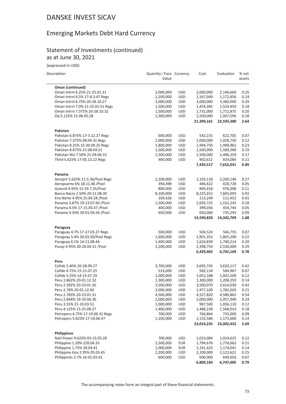### Emerging Markets Debt Hard Currency

#### Statement of Investments (continued) as at June 30, 2021

(expressed in USD)

| Description |  |
|-------------|--|
|             |  |

 $\overline{\phantom{a}}$ 

| Description                       | Quantity / Face Currency<br>Value |            | Cost       | Evaluation | % net<br>assets |
|-----------------------------------|-----------------------------------|------------|------------|------------|-----------------|
| Oman (continued)                  |                                   |            |            |            |                 |
| Oman Intrnl 6.25% 21-25.01.31     | 2,000,000                         | <b>USD</b> | 2,000,000  | 2,146,660  | 0.25            |
| Oman Intrnl 6.5% 17-8.3.47 Regs   | 1,200,000                         | <b>USD</b> | 1,167,049  | 1,172,856  | 0.14            |
| Oman Intrnl 6.75% 20-28.10.27     | 3,000,000                         | <b>USD</b> | 3,000,000  | 3,360,000  | 0.39            |
| Oman Intrnl 7.0% 21-25.01.51 Regs | 1,500,000                         | <b>USD</b> | 1,454,385  | 1,524,450  | 0.18            |
| Oman Intrnl 7.375% 20-28.10.32    | 1,500,000                         | <b>USD</b> | 1,731,000  | 1,711,875  | 0.20            |
| Oq 5.125% 21-06.05.28             | 1,500,000                         | <b>USD</b> | 1,500,000  | 1,507,596  | 0.18            |
|                                   |                                   |            | 21,399,161 | 22,593,380 | 2.64            |
| Pakistan                          |                                   |            |            |            |                 |
| Pakistan 6.875% 17-5.12.27 Regs   | 600,000                           | <b>USD</b> | 542,155    | 622,705    | 0.07            |
| Pakistan 7.375% 08.04.31 Regs     | 1,000,000                         | <b>USD</b> | 1,000,000  | 1,028,750  | 0.12            |
| Pakistan 8.25% 15-30.09.25 Regs   | 1,800,000                         | <b>USD</b> | 1,994,750  | 1,990,962  | 0.23            |
| Pakistan 8.875% 21-08.04.51       | 1,500,000                         | <b>USD</b> | 1,500,000  | 1,589,280  | 0.19            |
| Pakistan Wa 7.50% 21-04.06.31     | 1,500,000                         | <b>USD</b> | 1,500,000  | 1,496,250  | 0.17            |
| Third 5.625% 17-05.12.22 Regs     | 900,000                           | <b>USD</b> | 902,612    | 924,084    | 0.11            |
|                                   |                                   |            | 7,439,517  | 7,652,031  | 0.89            |
| Panama                            |                                   |            |            |            |                 |
| Aeroprt 5.625% 11.5.36/Pool Regs  | 2,100,000                         | <b>USD</b> | 2,193,118  | 2,260,146  | 0.27            |
| Aeropuerto 6% 18.11.48 /Pool      | 394,498                           | <b>USD</b> | 446,622    | 428,728    | 0.05            |
| Autorid 4.95% 15-29.7.35/Pool     | 800,000                           | <b>USD</b> | 869,418    | 976,008    | 0.11            |
| Banco Nacio 2.50% 20-11.08.30     | 8,100,000                         | <b>USD</b> | 8,225,652  | 7,845,093  | 0.92            |
| Ena Norte 4.95% 25.04.28 / Pool   | 109,426                           | <b>USD</b> | 113,249    | 111,452    | 0.01            |
| Panama 3.87% 19-23.07.60 / Pool   | 1,500,000                         | <b>USD</b> | 1,693,725  | 1,531,245  | 0.18            |
| Panama 4.5% 17-15.05.47 / Pool    | 400,000                           | <b>USD</b> | 399,036    | 454,744    | 0.05            |
| Panama 4.50% 20-01.04.56 / Pool   | 650,000                           | <b>USD</b> | 650,000    | 735,293    | 0.09            |
|                                   |                                   |            | 14,590,820 | 14,342,709 | 1.68            |
| Paraguay                          |                                   |            |            |            |                 |
| Paraguay 4.7% 17-27.03.27 Regs    | 500,000                           | <b>USD</b> | 504,524    | 566,755    | 0.07            |
| Paraguay 5.4% 30.03.50/Pool Regs  | 1,600,000                         | <b>USD</b> | 1,901,352  | 1,865,200  | 0.22            |
| Paraguay 6.1% 14-11.08.44         | 1,400,000                         | <b>USD</b> | 1,624,839  | 1,740,214  | 0.20            |
| Pauay 4.95% 20-28.04.31 / Pool    | 2,200,000                         | <b>USD</b> | 2,398,750  | 2,530,000  | 0.29            |
|                                   |                                   |            | 6,429,465  | 6,702,169  | 0.78            |
| Peru                              |                                   |            |            |            |                 |
| Cofide 2.40% 20-28.09.27          | 3,700,000                         | <b>USD</b> | 3,695,745  | 3,620,117  | 0.42            |
| Cofide 4.75% 15-15.07.25          | 533,000                           | <b>USD</b> | 583,134    | 584,967    | 0.07            |
| Cofide 5.25% 14-15.07.29          | 1,000,000                         | <b>USD</b> | 1,052,188  | 1,042,500  | 0.12            |
| Peru 1.862% 20-01.12.32           | 1,300,000                         | <b>USD</b> | 1,300,000  | 1,208,259  | 0.14            |
| Peru 2.392% 20-23.01.26           | 3,500,000                         | <b>USD</b> | 3,500,070  | 3,614,030  | 0.42            |
| Peru 2.78% 20-01.12.60            | 2,000,000                         | <b>USD</b> | 1,977,100  | 1,782,020  | 0.21            |
| Peru 2.783% 20-23.01.31           | 4,500,000                         | <b>USD</b> | 4,527,820  | 4,580,865  | 0.54            |
| Peru 2.844% 19-20.06.30           | 2,000,000                         | <b>USD</b> | 2,000,000  | 2,057,940  | 0.24            |
| Peru 3.55% 21-10.03.51            | 1,000,000                         | <b>USD</b> | 987,500    | 1,036,110  | 0.12            |
| Peru 4.125% 15-25.08.27           | 1,400,000                         | <b>USD</b> | 1,488,228  | 1,568,014  | 0.18            |
| Petroperu 4.75% 17-19.06.32 Regs  | 700,000                           | <b>USD</b> | 766,864    | 735,000    | 0.09            |
| Petroperu 5.625% 17-19.06.47      | 1,100,000                         | <b>USD</b> | 1,135,586  | 1,172,600  | 0.14            |
|                                   |                                   |            | 23,014,235 | 23,002,422 | 2.69            |
| <b>Philippines</b>                |                                   |            |            |            |                 |
| Natl Power 9.625% 03-15.05.28     | 700,000                           | <b>USD</b> | 1,023,084  | 1,024,625  | 0.12            |
| Philippine 1.20% 228.04.33        | 1,500,000                         | <b>EUR</b> | 1,794,676  | 1,776,662  | 0.21            |
| Philippine 1.75% 28.04.41         | 1,000,000                         | <b>EUR</b> | 1,191,423  | 1,174,041  | 0.14            |
| Philippine Gov 2.95% 05.05.45     | 2,200,000                         | <b>USD</b> | 2,200,000  | 2,122,621  | 0.25            |
| Philippines 3.7% 16-01.03.41      | 600,000                           | <b>USD</b> | 600,000    | 649,056    | 0.07            |
|                                   |                                   |            | 6,809,183  | 6,747,005  | 0.79            |

The accompanying notes form an integral part of these financial statements.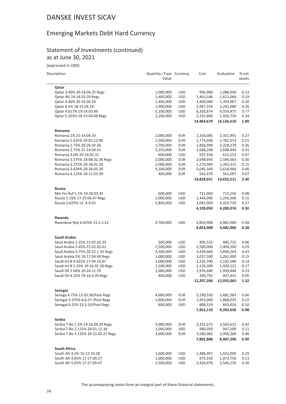### Emerging Markets Debt Hard Currency

#### Statement of Investments (continued) as at June 30, 2021

(expressed in USD)

| Description                                                       | Quantity / Face Currency<br>Value |                          | Cost                    | Evaluation              | % net<br>assets |
|-------------------------------------------------------------------|-----------------------------------|--------------------------|-------------------------|-------------------------|-----------------|
| Qatar                                                             |                                   |                          |                         |                         |                 |
| Qatar 3.40% 20-16.04.25 Regs                                      | 1,000,000                         | <b>USD</b>               | 996,900                 | 1,088,950               | 0.13            |
| Qatar 4% 19-14.03.29 Regs                                         | 1,400,000                         | <b>USD</b>               | 1,463,546               | 1,611,064               | 0.19            |
| Qatar 4.40% 20-16.04.50                                           | 1,400,000                         | <b>USD</b>               | 1,400,000               | 1,704,007               | 0.20            |
| Qatar 4.5% 18-23.04.28                                            | 1,900,000                         | <b>USD</b>               | 1,967,559               | 2,242,000               | 0.26            |
| Qatar 4.817% 19-14.03.49                                          | 5,100,000                         | <b>USD</b>               | 6,303,874               | 6,559,875               | 0.77            |
| Qatar 5.103% 18-23.04.48 Regs                                     | 2,200,000                         | <b>USD</b>               | 2,332,800<br>14,464,679 | 2,920,720<br>16,126,616 | 0.34<br>1.89    |
|                                                                   |                                   |                          |                         |                         |                 |
| Romania<br>Romania 1% 21-14.04.33                                 |                                   |                          |                         |                         | 0.27            |
|                                                                   | 2,000,000                         | <b>EUR</b><br><b>EUR</b> | 2,354,085<br>1,774,036  | 2,351,991<br>1,762,513  |                 |
| Romania 2.625% 20-02.12.40<br>Romania 2.75% 20-26.02.26           | 1,500,000<br>1,700,000            | <b>EUR</b>               | 1,856,999               | 2,228,270               | 0.21<br>0.26    |
| Romania 2.75% 21-14.04.41                                         | 2,250,000                         | <b>EUR</b>               | 2,668,268               | 2,648,444               | 0.31            |
| Romania 3.0% 20-14.02.31                                          | 600,000                           | <b>USD</b>               | 597,558                 | 621,252                 | 0.07            |
| Romania 3.375% 18-08.02.38 Regs                                   | 2,000,000                         | <b>EUR</b>               | 2,698,693               | 2,596,663               | 0.30            |
| Romania 3.375% 20-28.01.50                                        | 1,000,000                         | <b>EUR</b>               | 1,270,984               | 1,263,315               | 0.15            |
| Romania 3.624% 20-26.05.30                                        | 4,100,000                         | <b>EUR</b>               | 5,045,349               | 5,618,966               | 0.66            |
| Romania 4.125% 18-11.03.39                                        | 400,000                           | <b>EUR</b>               | 562,679                 | 561,097                 | 0.07            |
|                                                                   |                                   |                          | 18,828,651              | 19,652,511              | 2.30            |
| <b>Russia</b>                                                     |                                   |                          |                         |                         |                 |
| Min Fin Ruf 5.1% 19-28.03.35                                      | 600,000                           | <b>USD</b>               | 711,060                 | 713,256                 | 0.08            |
| Russia 5.25% 17-23.06.47 Regs                                     | 1,000,000                         | <b>USD</b>               | 1,444,090               | 1,256,068               | 0.15            |
| Russia 5.625% 12-4.4.42                                           | 1,800,000                         | <b>USD</b>               | 2,043,900               | 2,310,750               | 0.27            |
|                                                                   |                                   |                          | 4,199,050               | 4,280,074               | 0.50            |
| Rwanda                                                            |                                   |                          |                         |                         |                 |
| Rwandese Rep 6.625% 13-2.5.23                                     | 4,700,000                         | <b>USD</b>               | 4,854,908               | 4,982,000               | 0.58            |
|                                                                   |                                   |                          | 4,854,908               | 4,982,000               | 0.58            |
| Saudi Arabia                                                      |                                   |                          |                         |                         |                 |
| Saud Arabia 2.25% 21-02.02.33                                     | 500,000                           | <b>USD</b>               | 495,525                 | 485,725                 | 0.06            |
| Saud Arabia 3.45% 21-02.02.61                                     | 2,500,000                         | <b>USD</b>               | 2,500,000               | 2,494,200               | 0.29            |
| Saud Arabia 3.75% 20-21.1.55 Regs                                 | 3,500,000                         | <b>USD</b>               | 3,439,660               | 3,694,264               | 0.43            |
| Saud Arabia 5% 18-17.04.49 Regs<br>Saudi Int B 4.625% 17-04.10.47 | 1,000,000                         | <b>USD</b>               | 1,057,500               | 1,261,900               | 0.15<br>0.14    |
| Saudi Int B 5.25% 19-16.01.50 Regs                                | 1,000,000                         | <b>USD</b><br><b>USD</b> | 1,310,740               | 1,192,580               | 0.17            |
| Saudi Oil 3.50% 20-24.11.70                                       | 1,100,000<br>2,000,000            | <b>USD</b>               | 1,126,309<br>1,976,680  | 1,439,121<br>1,939,844  | 0.23            |
| Saudi Oil 4.25% 19-16.4.39 Regs                                   | 400,000                           | <b>USD</b>               | 390,792                 | 447,431                 | 0.05            |
|                                                                   |                                   |                          | 12,297,206              | 12,955,065              | 1.52            |
| Senegal                                                           |                                   |                          |                         |                         |                 |
| Senega 4.75% 13.03.28/Pool Regs                                   | 4,600,000                         | <b>EUR</b>               | 5,190,550               | 5,681,583               | 0.66            |
| Senegal 5.375% 8.6.37 / Pool Regs                                 | 1,600,000                         | <b>EUR</b>               | 1,953,040               | 1,868,029               | 0.22            |
| Senegal 6.25% 23.5.33/Pool Regs                                   | 800,000                           | <b>USD</b>               | 808,529                 | 843,024                 | 0.10            |
|                                                                   |                                   |                          | 7,952,119               | 8,392,636               | 0.98            |
| Serbia                                                            |                                   |                          |                         |                         |                 |
| Serbia T-Bo 1.5% 19-26.06.29 Regs                                 | 3,000,000                         | <b>EUR</b>               | 3,332,675               | 3,583,621               | 0.42            |
| Serbia T-Bo 2.125% 20-01.12.30                                    | 1,000,000                         | <b>USD</b>               | 980,050                 | 947,500                 | 0.11            |
| Serbia T-Bo 3.125% 20-15.05.27 Regs                               | 3,000,000                         | <b>EUR</b>               | 3,580,083<br>7,892,808  | 3,956,269<br>8,487,390  | 0.46<br>0.99    |
|                                                                   |                                   |                          |                         |                         |                 |
| <b>South Africa</b><br>South Afr 4.3% 16-12.10.28                 | 1,600,000                         | <b>USD</b>               | 1,486,957               | 1,652,000               | 0.19            |
| South Afr 4.85% 17-27.09.27                                       | 1,000,000                         | <b>USD</b>               | 975,150                 | 1,073,750               | 0.13            |
| South Afr 5.65% 17-27.09.47                                       | 2,500,000                         | <b>USD</b>               | 2,424,976               | 2,546,250               | 0.30            |
|                                                                   |                                   |                          |                         |                         |                 |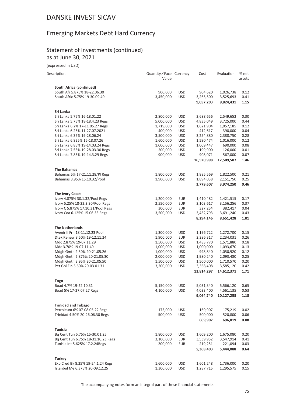## Emerging Markets Debt Hard Currency

#### Statement of Investments (continued) as at June 30, 2021

(expressed in USD)

| Description                                          | Quantity / Face Currency<br>Value |            | Cost                    | Evaluation              | % net<br>assets |
|------------------------------------------------------|-----------------------------------|------------|-------------------------|-------------------------|-----------------|
| <b>South Africa (continued)</b>                      |                                   |            |                         |                         |                 |
| South Afr 5.875% 18-22.06.30                         | 900,000                           | <b>USD</b> | 904,620                 | 1,026,738               | 0.12            |
| South Afric 5.75% 19-30.09.49                        | 3,450,000                         | <b>USD</b> | 3,265,500               | 3,525,693               | 0.41            |
|                                                      |                                   |            | 9,057,203               | 9,824,431               | 1.15            |
| Sri Lanka                                            |                                   |            |                         |                         |                 |
| Sri Lanka 5.75% 16-18.01.22                          | 2,800,000                         | <b>USD</b> | 2,688,656               | 2,549,652               | 0.30            |
| Sri Lanka 5.75% 18-18.4.23 Regs                      | 5,000,000                         | <b>USD</b> | 4,835,049               | 3,725,000               | 0.44            |
| Sri Lanka 6.2% 17-11.05.27 Regs                      | 1,719,000                         | <b>USD</b> | 1,621,904               | 1,057,185               | 0.12            |
| Sri Lanka 6.25% 11-27.07.2021                        | 400,000                           | <b>USD</b> | 412,617                 | 390,000                 | 0.04            |
| Sri Lanka 6.35% 19-28.06.24                          | 3,500,000                         | <b>USD</b> | 3,254,880               | 2,388,750               | 0.28            |
| Sri Lanka 6.825% 16-18.07.26                         | 1,600,000                         | <b>USD</b> | 1,590,474               | 1,016,000               | 0.12            |
| Sri Lanka 6.85% 19-14.03.24 Regs                     | 1,000,000                         | <b>USD</b> | 1,009,447               | 690,000                 | 0.08            |
| Sri Lanka 7.55% 19-28.03.30 Regs                     | 200,000                           | <b>USD</b> | 199,900                 | 126,000                 | 0.01            |
| Sri Lanka 7.85% 19-14.3.29 Regs                      | 900,000                           | <b>USD</b> | 908,071<br>16,520,998   | 567,000<br>12,509,587   | 0.07<br>1.46    |
|                                                      |                                   |            |                         |                         |                 |
| <b>The Bahamas</b><br>Bahamas 6% 17-21.11.28/Pl Regs | 1,800,000                         | <b>USD</b> | 1,885,569               | 1,822,500               | 0.21            |
| Bahamas 8.95% 15.10.32/Pool                          | 1,900,000                         | <b>USD</b> | 1,894,038               | 2,151,750               | 0.25            |
|                                                      |                                   |            | 3,779,607               | 3,974,250               | 0.46            |
| <b>The Ivory Coast</b>                               |                                   |            |                         |                         |                 |
| Ivory 4.875% 30.1.32/Pool Regs                       | 1,200,000                         | EUR        | 1,410,482               | 1,421,515               | 0.17            |
| Ivory 5.25% 18-22.3.30/Pool Regs                     | 2,550,000                         | <b>EUR</b> | 3,103,617               | 3,156,256               | 0.37            |
| Ivory C 5.875% 17.10.31/Pool Regs                    | 300,000                           | <b>EUR</b> | 327,254                 | 382,417                 | 0.04            |
| Ivory Coa 6.125% 15.06.33 Regs                       | 3,500,000                         | <b>USD</b> | 3,452,793               | 3,691,240               | 0.43            |
|                                                      |                                   |            | 8,294,146               | 8,651,428               | 1.01            |
| <b>The Netherlands</b>                               |                                   |            |                         |                         |                 |
| Avenir li Frn 18-11.12.23 Pool                       | 1,300,000                         | <b>USD</b> | 1,196,722               | 1,272,700               | 0.15            |
| Dtek Renew 8.50% 19-12.11.24                         | 1,900,000                         | <b>EUR</b> | 2,286,317               | 2,234,031               | 0.26            |
| Mdc 2.875% 19-07.11.29                               | 1,500,000                         | <b>USD</b> | 1,483,770               | 1,571,880               | 0.18            |
| Mdc 3.70% 19-07.11.49                                | 1,000,000                         | <b>USD</b> | 1,000,000               | 1,093,670               | 0.13            |
| Mdgh Gmtn 2.50% 20-21.05.26                          | 1,000,000                         | <b>USD</b> | 998,840                 | 1,050,920               | 0.12            |
| Mdgh Gmtn 2.875% 20-21.05.30                         | 2,000,000                         | <b>USD</b> | 1,980,240               | 2,093,480               | 0.25            |
| Mdgh Gmtn 3.95% 20-21.05.50                          | 1,500,000                         | <b>USD</b> | 1,500,000               | 1,710,570               | 0.20            |
| Pet Gbl Fin 5.60% 20-03.01.31                        | 3,200,000                         | <b>USD</b> | 3,368,408<br>13,814,297 | 3,585,120<br>14,612,371 | 0.42<br>1.71    |
|                                                      |                                   |            |                         |                         |                 |
| Togo<br>Boad 4.7% 19-22.10.31                        | 5,150,000                         | <b>USD</b> | 5,031,340               | 5,566,120               | 0.65            |
| Boad 5% 17-27.07.27 Regs                             | 4,100,000                         | <b>USD</b> | 4,033,400               | 4,561,135               | 0.53            |
|                                                      |                                   |            | 9,064,740               | 10,127,255              | 1.18            |
| <b>Trinidad and Tobago</b>                           |                                   |            |                         |                         |                 |
| Petroleum 6% 07-08.05.22 Regs                        | 175,000                           | <b>USD</b> | 169,907                 | 175,219                 | 0.02            |
| Trinidad 4.50% 20-26.06.30 Regs                      | 500,000                           | <b>USD</b> | 500,000                 | 520,800                 | 0.06            |
|                                                      |                                   |            | 669,907                 | 696,019                 | 0.08            |
| Tunisia                                              |                                   |            |                         |                         |                 |
| Bq Cent Tun 5.75% 15-30.01.25                        | 1,800,000                         | <b>USD</b> | 1,609,200               | 1,675,080               | 0.20            |
| Bq Cent Tun 6.75% 18-31.10.23 Regs                   | 3,100,000                         | EUR        | 3,539,952               | 3,547,914               | 0.41            |
| Tunisia Int 5.625% 17.2.24 Regs                      | 200,000                           | <b>EUR</b> | 219,251                 | 221,094                 | 0.03            |
|                                                      |                                   |            | 5,368,403               | 5,444,088               | 0.64            |
| Turkey                                               |                                   |            |                         |                         |                 |
| Exp Cred Bk 8.25% 19-24.1.24 Regs                    | 1,600,000                         | <b>USD</b> | 1,601,248               | 1,736,000               | 0.20            |
| Istanbul Me 6.375% 20-09.12.25                       | 1,300,000                         | <b>USD</b> | 1,287,715               | 1,295,575               | 0.15            |

The accompanying notes form an integral part of these financial statements.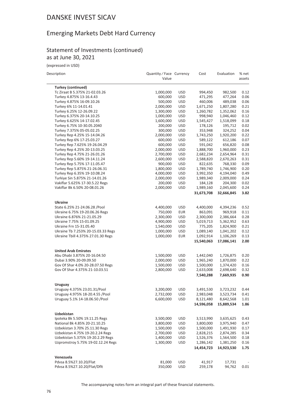### Emerging Markets Debt Hard Currency

#### Statement of Investments (continued) as at June 30, 2021

(expressed in USD)

| Description |  |
|-------------|--|

| Description                                                         | Quantity / Face Currency<br>Value |                          | Cost                    | Evaluation              | % net<br>assets |
|---------------------------------------------------------------------|-----------------------------------|--------------------------|-------------------------|-------------------------|-----------------|
| <b>Turkey (continued)</b>                                           |                                   |                          |                         |                         |                 |
| Tc Ziraat B 5.375% 21-02.03.26                                      | 1,000,000                         | <b>USD</b>               | 994,450                 | 982,500                 | 0.12            |
| Turkey 4.875% 13-16.4.43                                            | 600,000                           | <b>USD</b>               | 471,295                 | 477,264                 | 0.06            |
| Turkey 4.875% 16-09.10.26                                           | 500,000                           | <b>USD</b>               | 460,006                 | 489,038                 | 0.06            |
| Turkey 6% 11-14.01.41                                               | 2,000,000                         | <b>USD</b>               | 1,671,250               | 1,807,280               | 0.21            |
| Turkey 6.25% 12-26.09.22                                            | 1,300,000                         | <b>USD</b>               | 1,260,782               | 1,352,062               | 0.16            |
| Turkey 6.375% 20-14.10.25                                           | 1,000,000                         | <b>USD</b>               | 998,940                 | 1,046,460               | 0.12            |
| Turkey 6.625% 14-17.02.45                                           | 1,600,000                         | <b>USD</b>               | 1,545,427               | 1,518,099               | 0.18            |
| Turkey 6.75% 10-30.05.2040                                          | 200,000                           | <b>USD</b>               | 178,126                 | 195,712<br>324,252      | 0.02            |
| Turkey 7.375% 05-05.02.25<br>Turkey Rep 4.25% 15-14.04.26           | 300,000<br>2,000,000              | <b>USD</b><br><b>USD</b> | 353,948<br>1,743,250    | 1,920,200               | 0.04<br>0.22    |
| Turkey Rep 6% 17-25.03.27                                           | 600,000                           | <b>USD</b>               | 589,122                 | 612,186                 | 0.07            |
| Turkey Rep 7.625% 19-26.04.29                                       | 600,000                           | <b>USD</b>               | 591,042                 | 656,820                 | 0.08            |
| Turkey Rep 4.25% 20-13.03.25                                        | 2,000,000                         | <b>USD</b>               | 1,888,700               | 1,960,000               | 0.23            |
| Turkey Rep 4.75% 21-26.01.26                                        | 2,700,000                         | <b>USD</b>               | 2,682,234               | 2,654,964               | 0.31            |
| Turkey Rep 5.60% 19-14.11.24                                        | 2,600,000                         | <b>USD</b>               | 2,588,820               | 2,670,263               | 0.31            |
| Turkey Rep 5.75% 17-11.05.47                                        | 900,000                           | <b>USD</b>               | 822,635                 | 768,330                 | 0.09            |
| Turkey Rep 5.875% 21-26.06.31                                       | 1,800,000                         | <b>USD</b>               | 1,789,740               | 1,746,900               | 0.20            |
| Turkey Rep 6.35% 19-10.08.24                                        | 4,000,000                         | <b>USD</b>               | 3,992,350               | 4,194,040               | 0.49            |
| Turkiye Sin 5.875% 21-14.01.26                                      | 2,000,000                         | <b>USD</b>               | 1,989,340               | 2,009,000               | 0.24            |
| Vakiflar 5.625% 17-30.5.22 Regs                                     | 200,000                           | <b>USD</b>               | 184,128                 | 204,300                 | 0.02            |
| Vakiflar Bk 6.50% 20-08.01.26                                       | 2,000,000                         | <b>USD</b>               | 1,989,160               | 2,045,600               | 0.24            |
|                                                                     |                                   |                          | 31,673,708              | 32,666,845              | 3.82            |
| <b>Ukraine</b>                                                      |                                   |                          |                         |                         |                 |
| State 6.25% 21-24.06.28 /Pool                                       | 4,400,000                         | <b>USD</b>               | 4,400,000               | 4,394,236               | 0.52            |
| Ukraine 6.75% 19-20.06.26 Regs                                      | 750,000                           | <b>EUR</b>               | 863,091                 | 969,918                 | 0.11            |
| Ukraine 6.876% 21-21.05.29                                          | 2,300,000                         | <b>USD</b>               | 2,300,000               | 2,386,664               | 0.28            |
| Ukraine 7.75% 15-01.09.25                                           | 4,900,000                         | <b>USD</b>               | 5,019,713               | 5,362,952               | 0.63            |
| Ukraine Frn 15-31.05.40                                             | 1,540,000                         | <b>USD</b>               | 775,205                 | 1,824,900               | 0.21            |
| Ukraine Tb 7.253% 20-15.03.33 Regs                                  | 1,000,000                         | <b>USD</b>               | 1,089,140               | 1,041,202               | 0.12            |
| Ukraine Tbill 4.375% 27.01.30 Regs                                  | 1,000,000                         | <b>EUR</b>               | 1,092,914               | 1,106,269               | 0.13            |
|                                                                     |                                   |                          | 15,540,063              | 17,086,141              | 2.00            |
| <b>United Arab Emirates</b>                                         |                                   |                          |                         |                         |                 |
| Abu Dhabi 3.875% 20-16.04.50                                        | 1,500,000                         | <b>USD</b>               | 1,442,040               | 1,726,875               | 0.20            |
| Dubai 3.90% 20-09.09.50                                             | 2,000,000                         | <b>USD</b>               | 1,965,240               | 1,870,000               | 0.22            |
| Gov Of Shar 4.0% 20-28.07.50 Regs                                   | 1,500,000                         | <b>USD</b>               | 1,500,000               | 1,374,420               | 0.16            |
| Gov Of Shar 4.375% 21-10.03.51                                      | 2,800,000                         | <b>USD</b>               | 2,633,008               | 2,698,640               | 0.32            |
|                                                                     |                                   |                          | 7,540,288               | 7,669,935               | 0.90            |
| Uruguay                                                             |                                   |                          |                         |                         |                 |
| Uruguay 4.375% 23.01.31/Pool                                        | 3,200,000                         | <b>USD</b>               | 3,491,530               | 3,723,232               | 0.44            |
| Uruguay 4.975% 18-20.4.55 / Pool<br>Uruguay 5.1% 14-18.06.50 / Pool | 2,732,000                         | <b>USD</b>               | 2,983,048               | 3,523,734               | 0.41            |
|                                                                     | 6,600,000                         | <b>USD</b>               | 8,121,480<br>14,596,058 | 8,642,568<br>15,889,534 | 1.01<br>1.86    |
| Uzbekistan                                                          |                                   |                          |                         |                         |                 |
| Ipoteka Bk 5.50% 19.11.25 Regs                                      | 3,500,000                         | <b>USD</b>               | 3,513,990               | 3,635,625               | 0.43            |
| National Bk 4.85% 20-21.10.25                                       | 3,800,000                         | <b>USD</b>               | 3,800,000               | 3,975,940               | 0.47            |
| Uzbekistan 3.70% 25.11.30 Regs                                      | 1,500,000                         | <b>USD</b>               | 1,500,000               | 1,491,930               | 0.17            |
| Uzbekistan 4.75% 19-20.2.24 Regs                                    | 2,700,000                         | <b>USD</b>               | 2,828,215               | 2,874,285               | 0.34            |
| Uzbekistan 5.375% 19-20.2.29 Regs                                   | 1,400,000                         | <b>USD</b>               | 1,526,376               | 1,564,500               | 0.18            |
| Uzpromstroy 5.75% 19-02.12.24 Regs                                  | 1,300,000                         | <b>USD</b>               | 1,286,142               | 1,381,250               | 0.16            |
|                                                                     |                                   |                          | 14,454,723              | 14,923,530              | 1.75            |
| Venezuela                                                           |                                   |                          |                         |                         |                 |
| Pdvsa 8.5%27.10.20/Flat                                             | 81,000                            | <b>USD</b>               | 41,917                  | 17,731                  |                 |
| Pdvsa 8.5%27.10.20/Flat/Dflt                                        | 350,000                           | <b>USD</b>               | 259,178                 | 94,762                  | 0.01            |
|                                                                     |                                   |                          |                         |                         |                 |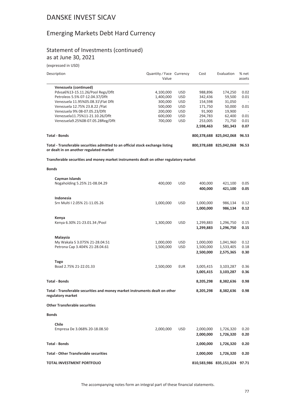#### Emerging Markets Debt Hard Currency

#### Statement of Investments (continued) as at June 30, 2021

(expressed in USD)

| Description                                                                                                               | Quantity / Face Currency<br>Value |            | Cost        | Evaluation              | % net<br>assets          |
|---------------------------------------------------------------------------------------------------------------------------|-----------------------------------|------------|-------------|-------------------------|--------------------------|
| Venezuela (continued)                                                                                                     |                                   |            |             |                         |                          |
| Pdvsa6%13-15.11.26/Pool Regs/Dflt                                                                                         | 4,100,000                         | <b>USD</b> | 988,896     | 174.250                 | 0.02                     |
| Petroleos 5.5% 07-12.04.37/Dflt                                                                                           | 1.400.000                         | <b>USD</b> | 342,436     | 59,500                  | 0.01                     |
| Venezuela 11.95%05.08.31\Flat Dflt                                                                                        | 300,000                           | <b>USD</b> | 154,598     | 31,050                  | $\overline{\phantom{0}}$ |
| Venezuela 12.75% 23.8.22 / Flat                                                                                           | 500,000                           | <b>USD</b> | 171,750     | 50,000                  | 0.01                     |
| Venezuela 9% 08-07.05.23/Dflt                                                                                             | 200,000                           | <b>USD</b> | 91,900      | 19,900                  |                          |
| Venezuela11.75%11-21.10.26/Dflt                                                                                           | 600,000                           | <b>USD</b> | 294,783     | 62,400                  | 0.01                     |
| Venezuela9.25%08-07.05.28Reg/Dflt                                                                                         | 700,000                           | <b>USD</b> | 253,005     | 71,750                  | 0.01                     |
|                                                                                                                           |                                   |            | 2,598,463   | 581.343                 | 0.07                     |
| <b>Total - Bonds</b>                                                                                                      |                                   |            | 800.378.688 | 825.042.068             | 96.53                    |
| Total - Transferable securities admitted to an official stock exchange listing<br>or dealt in on another regulated market |                                   |            |             | 800,378,688 825,042,068 | 96.53                    |

**Transferable securities and money market instruments dealt on other regulatory market**

#### **Bonds**

| Cayman Islands<br>Nogaholding 5.25% 21-08.04.29                                                  | 400,000                | <b>USD</b>               | 400,000<br>400,000                  | 421,100<br>421,100                  | 0.05<br>0.05         |
|--------------------------------------------------------------------------------------------------|------------------------|--------------------------|-------------------------------------|-------------------------------------|----------------------|
| Indonesia<br>Srn Multi   2.05% 21-11.05.26                                                       | 1,000,000              | <b>USD</b>               | 1,000,000<br>1,000,000              | 986,134<br>986,134                  | 0.12<br>0.12         |
| Kenya<br>Kenya 6.30% 21-23.01.34 / Pool                                                          | 1,300,000              | <b>USD</b>               | 1,299,883<br>1,299,883              | 1,296,750<br>1,296,750              | 0.15<br>0.15         |
| Malaysia<br>My Wakala S 3.075% 21-28.04.51<br>Petrona Cap 3.404% 21-28.04.61                     | 1,000,000<br>1,500,000 | <b>USD</b><br><b>USD</b> | 1,000,000<br>1,500,000<br>2,500,000 | 1,041,960<br>1,533,405<br>2,575,365 | 0.12<br>0.18<br>0.30 |
| <b>Togo</b><br>Boad 2.75% 21-22.01.33                                                            | 2,500,000              | <b>EUR</b>               | 3,005,415<br>3,005,415              | 3,103,287<br>3,103,287              | 0.36<br>0.36         |
| <b>Total - Bonds</b>                                                                             |                        |                          | 8,205,298                           | 8,382,636                           | 0.98                 |
| Total - Transferable securities and money market instruments dealt on other<br>regulatory market |                        |                          | 8,205,298                           | 8,382,636                           | 0.98                 |
| <b>Other Transferable securities</b>                                                             |                        |                          |                                     |                                     |                      |
| <b>Bonds</b>                                                                                     |                        |                          |                                     |                                     |                      |
| Chile<br>Empresa De 3.068% 20-18.08.50                                                           | 2,000,000              | <b>USD</b>               | 2,000,000<br>2,000,000              | 1,726,320<br>1,726,320              | 0.20<br>0.20         |
| <b>Total - Bonds</b>                                                                             |                        |                          | 2,000,000                           | 1,726,320                           | 0.20                 |
| <b>Total - Other Transferable securities</b>                                                     |                        |                          | 2,000,000                           | 1,726,320                           | 0.20                 |
| TOTAL INVESTMENT PORTFOLIO                                                                       |                        |                          |                                     | 810,583,986 835,151,024 97.71       |                      |

The accompanying notes form an integral part of these financial statements.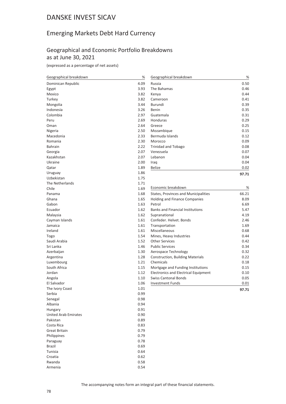### Emerging Markets Debt Hard Currency

#### Geographical and Economic Portfolio Breakdowns as at June 30, 2021

(expressed as a percentage of net assets)

| Geographical breakdown      | $\%$ | Geographical breakdown                      | %     |
|-----------------------------|------|---------------------------------------------|-------|
| Dominican Republic          | 4.09 | Russia                                      | 0.50  |
| Egypt                       | 3.93 | The Bahamas                                 | 0.46  |
| Mexico                      | 3.82 | Kenya                                       | 0.44  |
| Turkey                      | 3.82 | Cameroon                                    | 0.41  |
| Mongolia                    | 3.44 | Burundi                                     | 0.39  |
| Indonesia                   | 3.26 | Benin                                       | 0.35  |
| Colombia                    | 2.97 | Guatemala                                   | 0.31  |
| Peru                        | 2.69 | Honduras                                    | 0.29  |
| Oman                        | 2.64 | Greece                                      | 0.25  |
| Nigeria                     | 2.50 | Mozambique                                  | 0.15  |
| Macedonia                   | 2.33 | Bermuda Islands                             | 0.12  |
| Romania                     | 2.30 | Morocco                                     | 0.09  |
| Bahrain                     | 2.22 | <b>Trinidad and Tobago</b>                  | 0.08  |
| Georgia                     | 2.07 | Venezuela                                   | 0.07  |
| Kazakhstan                  | 2.07 | Lebanon                                     | 0.04  |
| Ukraine                     | 2.00 | Iraq                                        | 0.04  |
| Qatar                       | 1.89 | <b>Belize</b>                               | 0.02  |
| Uruguay                     | 1.86 |                                             | 97.71 |
| Uzbekistan                  | 1.75 |                                             |       |
| The Netherlands             | 1.71 |                                             |       |
| Chile                       | 1.69 | Economic breakdown                          | %     |
| Panama                      | 1.68 | States, Provinces and Municipalities        | 66.21 |
| Ghana                       | 1.65 | Holding and Finance Companies               | 8.09  |
| Gabon                       | 1.63 | Petrol                                      | 6.69  |
| Ecuador                     | 1.62 | <b>Banks and Financial Institutions</b>     | 5.47  |
| Malaysia                    | 1.62 | Supranational                               | 4.19  |
| Cayman Islands              | 1.61 | Confeder. Helvet. Bonds                     | 2.46  |
| Jamaica                     | 1.61 | Transportation                              | 1.69  |
| Ireland                     | 1.61 | Miscellaneous                               | 0.68  |
| Togo                        | 1.54 | Mines, Heavy Industries                     | 0.44  |
| Saudi Arabia                | 1.52 | <b>Other Services</b>                       | 0.42  |
| Sri Lanka                   | 1.46 | <b>Public Services</b>                      | 0.34  |
| Azerbaijan                  | 1.30 | Aerospace Technology                        | 0.32  |
| Argentina                   | 1.28 | <b>Construction, Building Materials</b>     | 0.22  |
| Luxembourg                  | 1.21 | Chemicals                                   | 0.18  |
| South Africa                | 1.15 | Mortgage and Funding Institutions           | 0.15  |
| Jordan                      | 1.12 | <b>Electronics and Electrical Equipment</b> | 0.10  |
| Angola                      | 1.10 | <b>Swiss Cantonal Bonds</b>                 | 0.05  |
| El Salvador                 | 1.06 | <b>Investment Funds</b>                     | 0.01  |
| The Ivory Coast             | 1.01 |                                             |       |
| Serbia                      | 0.99 |                                             | 97.71 |
| Senegal                     | 0.98 |                                             |       |
| Albania                     | 0.94 |                                             |       |
| Hungary                     | 0.91 |                                             |       |
| <b>United Arab Emirates</b> | 0.90 |                                             |       |
| Pakistan                    | 0.89 |                                             |       |
| Costa Rica                  | 0.83 |                                             |       |
| <b>Great Britain</b>        | 0.79 |                                             |       |
| Philippines                 | 0.79 |                                             |       |
| Paraguay                    | 0.78 |                                             |       |
| Brazil                      | 0.69 |                                             |       |
|                             |      |                                             |       |
| Tunisia                     | 0.64 |                                             |       |
| Croatia                     | 0.62 |                                             |       |
| Rwanda                      | 0.58 |                                             |       |
| Armenia                     | 0.54 |                                             |       |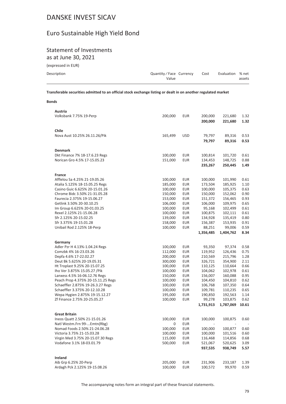### Euro Sustainable High Yield Bond

### Statement of Investments

as at June 30, 2021

(expressed in EUR)

| Description | Quantity/Face Currency | Cost | Evaluation % net |        |
|-------------|------------------------|------|------------------|--------|
|             | Value                  |      |                  | assets |
|             |                        |      |                  |        |

**Transferable securities admitted to an official stock exchange listing or dealt in on another regulated market**

#### **Bonds**

| Austria                                              |                    |                          |                    |                    |              |
|------------------------------------------------------|--------------------|--------------------------|--------------------|--------------------|--------------|
| Volksbank 7.75% 19-Perp                              | 200,000            | <b>EUR</b>               | 200,000            | 221,680            | 1.32         |
|                                                      |                    |                          | 200,000            | 221,680            | 1.32         |
|                                                      |                    |                          |                    |                    |              |
| Chile                                                |                    |                          |                    |                    |              |
| Nova Aust 10.25% 26.11.26/Pik                        | 165,499            | USD                      | 79,797             | 89,316             | 0.53         |
|                                                      |                    |                          | 79,797             | 89,316             | 0.53         |
| <b>Denmark</b>                                       |                    |                          |                    |                    |              |
| Dkt Finance 7% 18-17.6.23 Regs                       | 100,000            | <b>EUR</b>               | 100,814            | 101,720            | 0.61         |
| Norican Gro 4.5% 17-15.05.23                         | 151,000            | <b>EUR</b>               | 134,453            | 148,725            | 0.88         |
|                                                      |                    |                          | 235,267            | 250,445            | 1.49         |
|                                                      |                    |                          |                    |                    |              |
| France                                               |                    |                          |                    |                    |              |
| Afflelou Sa 4.25% 21-19.05.26                        | 100,000            | <b>EUR</b>               | 100,000            | 101,990            | 0.61         |
| Atalia 5.125% 18-15.05.25 Regs                       | 185,000            | <b>EUR</b>               | 173,504            | 185,925            | 1.10         |
| Casino Guic 6.625% 20-15.01.26                       | 100,000            | <b>EUR</b>               | 100,000            | 105,375            | 0.63         |
| Chrome Bidc 3.50% 21-31.05.28                        | 150,000            | <b>EUR</b>               | 150,000            | 152,062            | 0.90         |
| Faurecia 2.375% 19-15.06.27                          | 153,000            | <b>EUR</b>               | 151,372            | 156,465            | 0.93         |
| Getlink 3.50% 20-30.10.25                            | 106,000            | <b>EUR</b>               | 106,000            | 109,975            | 0.65         |
| Im Group 6.625% 20-01.03.25                          | 100,000            | <b>EUR</b>               | 95,168             | 102,499            | 0.61         |
| Rexel 2.125% 21-15.06.28                             | 100,000            | <b>EUR</b>               | 100,875            | 102,111            | 0.61         |
| Sfr 2.125% 20-15.02.25                               | 139,000            | <b>EUR</b>               | 134,928            | 135,419            | 0.80         |
| Sfr 3.375% 19-15.01.28                               | 158,000            | <b>EUR</b>               | 156,387            | 153,935            | 0.91         |
| Unibail Rod 2.125% 18-Perp                           | 100,000            | <b>EUR</b>               | 88,251             | 99,006             | 0.59         |
|                                                      |                    |                          | 1,356,485          | 1,404,762          | 8.34         |
|                                                      |                    |                          |                    |                    |              |
| Germany                                              |                    |                          |                    |                    |              |
| Adler Pzr H 4.13%-1.04.24 Regs                       | 100,000            | EUR                      | 93,350             | 97,374             | 0.58         |
| Comzbk 4% 16-23.03.26                                | 112,000            | <b>EUR</b>               | 119,952            | 126,436            | 0.75         |
| Depfa 4.6% 17-22.02.27<br>Deut Bk 5.625% 20-19.05.31 | 200,000<br>300,000 | <b>EUR</b><br><b>EUR</b> | 210,569<br>326,721 | 215,796<br>354,900 | 1.28<br>2.11 |
| Ht Troplast 9.25% 20-15.07.25                        | 100,000            | <b>EUR</b>               | 110,125            | 110,664            | 0.66         |
| Iho Ver 3.875% 15.05.27 / Pik                        | 100,000            | EUR                      | 104,062            | 102,978            | 0.61         |
| Lanxess 4.5% 16-06.12.76 Regs                        | 150,000            | <b>EUR</b>               | 156,007            | 160,088            | 0.95         |
| Peach Prop 4.375% 20-15.11.25 Regs                   | 100,000            | <b>EUR</b>               | 104,450            | 104,810            | 0.62         |
| Schaeffler 2.875% 19-26.3.27 Regs                    | 100,000            | <b>EUR</b>               | 106,768            | 107,350            | 0.64         |
| Schaeffler 3.375% 20-12.10.28                        | 100,000            | <b>EUR</b>               | 109,781            | 110,235            | 0.65         |
| Wepa Hygien 2.875% 19-15.12.27                       | 195,000            | <b>EUR</b>               | 190,850            | 192,563            | 1.14         |
| Zf Finance 2.75% 20-25.05.27                         | 100,000            | <b>EUR</b>               | 99,278             | 103,875            | 0.62         |
|                                                      |                    |                          | 1,731,913          | 1,787,069          | 10.61        |
|                                                      |                    |                          |                    |                    |              |
| <b>Great Britain</b>                                 |                    |                          |                    |                    |              |
| Ineos Quatt 2.50% 21-15.01.26                        | 100,000            | <b>EUR</b>               | 100,000            | 100,875            | 0.60         |
| Natl Westm.Frn 99-Emtn(Rbg)                          | $\overline{0}$     | <b>EUR</b>               | $\sim$ $ \sim$     |                    |              |
| Nomad Foods 2.50% 21-24.06.28                        | 100,000            | <b>EUR</b>               | 100,000            | 100,877            | 0.60         |
| Victoria 3.75% 21-15.03.28                           | 100,000            | EUR                      | 100,000            | 101,516            | 0.60         |
| Virgin Med 3.75% 20-15.07.30 Regs                    | 115,000            | <b>EUR</b>               | 116,468            | 114,856            | 0.68         |
| Vodafone 3.1% 18-03.01.79                            | 500,000            | EUR                      | 521,067            | 520,625            | 3.09         |
|                                                      |                    |                          | 937,535            | 938,749            | 5.57         |
|                                                      |                    |                          |                    |                    |              |
| Ireland                                              |                    |                          |                    |                    |              |
| Aib Grp 6.25% 20-Perp                                | 205,000            | <b>EUR</b>               | 231,906            | 233,187            | 1.39         |
| Ardagh Pck 2.125% 19-15.08.26                        | 100,000            | <b>EUR</b>               | 100,572            | 99,970             | 0.59         |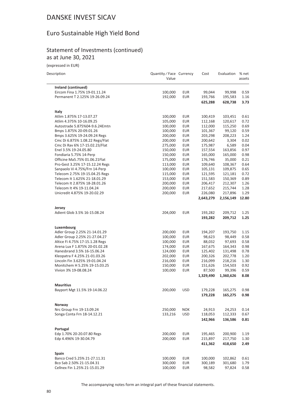### Euro Sustainable High Yield Bond

#### Statement of Investments (continued) as at June 30, 2021

(expressed in EUR)

| Description                     | Quantity / Face Currency<br>Value |            | Cost      | Evaluation | % net<br>assets |
|---------------------------------|-----------------------------------|------------|-----------|------------|-----------------|
| Ireland (continued)             |                                   |            |           |            |                 |
| Eircom Fina 1.75% 19-01.11.24   | 100,000                           | <b>EUR</b> | 99,044    | 99,998     | 0.59            |
| Permanent T 2.125% 19-26.09.24  | 192,000                           | <b>EUR</b> | 193,766   | 195,583    | 1.16            |
|                                 |                                   |            | 625,288   | 628,738    | 3.73            |
| Italy                           |                                   |            |           |            |                 |
| Atlim 1.875% 17-13.07.27        | 100,000                           | <b>EUR</b> | 100,419   | 103,451    | 0.61            |
| Atlim 4.375% 10-16.09.25        | 105,000                           | <b>EUR</b> | 112,168   | 120,617    | 0.72            |
| Autostrade 5.875%04-9.6.24Emtn  | 100,000                           | <b>EUR</b> | 112,000   | 115,250    | 0.69            |
| Bmps 1.875% 20-09.01.26         | 100,000                           | <b>EUR</b> | 101,367   | 99,120     | 0.59            |
| Bmps 3.625% 19-24.09.24 Regs    | 200,000                           | <b>EUR</b> | 203,298   | 208,223    | 1.24            |
| Cmc Di 6.875% 1.08.22 Regs/Flat | 200,000                           | <b>EUR</b> | 200,642   | 3,304      | 0.02            |
| Cmc Di Rav 6% 17-15.02.23/Flat  | 275,000                           | <b>EUR</b> | 175,987   | 6,589      | 0.04            |
| Enel 3.5% 19-24.05.80           | 150,000                           | <b>EUR</b> | 157,554   | 163,856    | 0.97            |
| Fondiaria 5.75% 14-Perp         | 150,000                           | <b>EUR</b> | 165,000   | 165,000    | 0.98            |
| Officine Ma5.75% 01.06.21Flat   | 175,000                           | <b>EUR</b> | 176,746   | 35,000     | 0.21            |
| Pro-Gest 3.25% 17-15.12.24 Regs | 113,000                           | <b>EUR</b> | 109,640   | 108,367    | 0.64            |
| Sanpaolo Vi 4.75%/Frn 14-Perp   | 100,000                           | EUR        | 105,131   | 109,875    | 0.65            |
| Telecom 2.75% 19-15.04.25 Regs  | 115,000                           | <b>EUR</b> | 121,595   | 121,181    | 0.72            |
| Telecom It 1.625% 21-18.01.29   | 153,000                           | <b>EUR</b> | 151,583   | 150,369    | 0.89            |
| Telecom It 2.875% 18-28.01.26   | 200,000                           | <b>EUR</b> | 206,417   | 212,307    | 1.26            |
| Telecom It 4% 19-11.04.24       | 200,000                           | <b>EUR</b> | 217,652   | 215,744    | 1.28            |
| Unicredit 4.875% 19-20.02.29    | 200,000                           | <b>EUR</b> | 226,080   | 217,896    | 1.29            |
|                                 |                                   |            | 2,643,279 | 2,156,149  | 12.80           |
| Jersey                          |                                   |            |           |            |                 |
| Adient Glob 3.5% 16-15.08.24    | 204,000                           | <b>EUR</b> | 193,282   | 209,712    | 1.25            |
|                                 |                                   |            | 193,282   | 209,712    | 1.25            |
| Luxembourg                      |                                   |            |           |            |                 |
| Adler Group 2.25% 21-14.01.29   | 200,000                           | <b>EUR</b> | 194,207   | 193,750    | 1.15            |
| Adler Group 2.25% 21-27.04.27   | 100,000                           | <b>EUR</b> | 98,623    | 98,449     | 0.58            |
| Altice Fi 4.75% 17-15.1.28 Regs | 100,000                           | <b>EUR</b> | 88,032    | 97,693     | 0.58            |
| Arena Lux F 1.875% 20-01.02.28  | 174,000                           | <b>EUR</b> | 167,675   | 164,343    | 0.98            |
| Hanesbrand 3.5% 16-15.06.24     | 124,000                           | <b>EUR</b> | 125,402   | 131,498    | 0.78            |
| Kleopatra F 4.25% 21-01.03.26   | 202,000                           | <b>EUR</b> | 200,326   | 202,778    | 1.20            |
| Lincoln Fin 3.625% 19-01.04.24  | 216,000                           | EUR        | 216,099   | 218,216    | 1.30            |
| Monitchem H 5.25% 19-15.03.25   | 150,000                           | <b>EUR</b> | 151,626   | 154,503    | 0.92            |
| Vivion 3% 19-08.08.24           | 100,000                           | <b>EUR</b> | 87,500    | 99,396     | 0.59            |
|                                 |                                   |            | 1,329,490 | 1,360,626  | 8.08            |
| <b>Mauritius</b>                |                                   |            |           |            |                 |
| Bayport Mgt 11.5% 19-14.06.22   | 200,000                           | <b>USD</b> | 179,228   | 165,275    | 0.98            |
|                                 |                                   |            | 179,228   | 165,275    | 0.98            |
| Norway                          |                                   |            |           |            |                 |
| Nrc Group Frn 19-13.09.24       | 250,000                           | <b>NOK</b> | 24,913    | 24,253     | 0.14            |
| Songa Conta Frn 18-14.12.21     | 133,216                           | <b>USD</b> | 118,053   | 112,333    | 0.67            |
|                                 |                                   |            | 142,966   | 136,586    | 0.81            |
| Portugal                        |                                   |            |           |            |                 |
| Edp 1.70% 20-20.07.80 Regs      | 200,000                           | <b>EUR</b> | 195,465   | 200,900    | 1.19            |
| Edp 4.496% 19-30.04.79          | 200,000                           | <b>EUR</b> | 215,897   | 217,750    | 1.30            |
|                                 |                                   |            | 411,362   | 418,650    | 2.49            |
| Spain                           |                                   |            |           |            |                 |
| Banco Cred 5.25% 21-27.11.31    | 100,000                           | <b>EUR</b> | 100,000   | 102,862    | 0.61            |
| Bco Sab 2.50% 21-15.04.31       | 300,000                           | EUR        | 300,189   | 301,680    | 1.79            |
| Cellnex Fin 1.25% 21-15.01.29   | 100,000                           | <b>EUR</b> | 98,582    | 97,824     | 0.58            |

The accompanying notes form an integral part of these financial statements.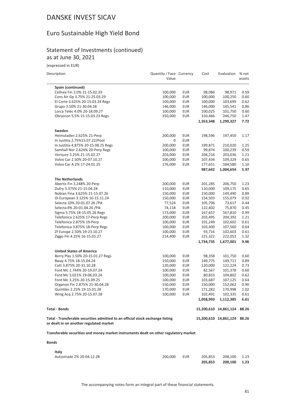## Euro Sustainable High Yield Bond

#### Statement of Investments (continued) as at June 30, 2021

| Description                                                                           | Quantity / Face Currency<br>Value |                          | Cost                 | Evaluation                  | % net<br>assets |
|---------------------------------------------------------------------------------------|-----------------------------------|--------------------------|----------------------|-----------------------------|-----------------|
| Spain (continued)                                                                     |                                   |                          |                      |                             |                 |
| Cellnex Fin 2.0% 21-15.02.33                                                          | 100,000                           | <b>EUR</b>               | 98,086               | 98,971                      | 0.59            |
| Cons Air Gp 3.75% 21-25.03.29                                                         | 100,000                           | <b>EUR</b>               | 100,000              | 100,250                     | 0.60            |
| El Corte 3.625% 20-15.03.24 Regs                                                      | 100,000                           | <b>EUR</b>               | 100,000              | 103,699                     | 0.62            |
| Grupo 3.50% 21-30.04.28                                                               | 146,000                           | EUR                      | 146,000              | 145,541                     | 0.86            |
| Lorca Telec 4.0% 20-18.09.27                                                          | 100,000                           | <b>EUR</b>               | 100,025              | 101,750                     | 0.60            |
| Obrascon 5.5% 15-15.03.23 Regs                                                        | 350,000                           | <b>EUR</b>               | 310,466              | 246,750                     | 1.47            |
|                                                                                       |                                   |                          | 1,353,348            | 1,299,327                   | 7.72            |
| Sweden                                                                                |                                   |                          |                      |                             |                 |
| Heimstaden 2.625% 21-Perp                                                             | 200,000                           | EUR                      | 198,596              | 197,450                     | 1.17            |
| In Justitia 2.75%15.07.22/Pool                                                        | 0                                 | <b>EUR</b>               |                      |                             |                 |
| In Justitia 4.875% 20-15.08.25 Regs                                                   | 200,000                           | <b>EUR</b>               | 199,871              | 210,020                     | 1.25            |
| Samhall Nor 2.624% 20-Perp Regs                                                       | 100,000                           | <b>EUR</b>               | 99,874               | 100,239                     | 0.59            |
| Verisure 3.25% 21-15.02.27                                                            | 203,000                           | <b>EUR</b>               | 204,216              | 203,036                     | 1.21            |
| Volvo Car 2.50% 20-07.10.27                                                           | 100,000                           | <b>EUR</b>               | 107,434              | 109,329                     | 0.65            |
| Volvo Car A 2% 17-24.01.25                                                            | 176,000                           | <b>EUR</b>               | 177,651              | 184,580                     | 1.10            |
|                                                                                       |                                   |                          | 987,642              | 1,004,654                   | 5.97            |
| <b>The Netherlands</b>                                                                |                                   |                          |                      |                             |                 |
| Abertis Fin 3.248% 20-Perp                                                            | 200,000                           | EUR                      | 201,285              | 206,750                     | 1.23            |
| Dufry 3.375% 21-15.04.28                                                              | 110,000                           | <b>EUR</b>               | 110,000              | 109,175                     | 0.65            |
| Nobian Fina 3.625% 21-15.07.26                                                        | 150,000                           | EUR                      | 150,000              | 149,490                     | 0.89            |
| Oi European 3.125% 16-15.11.24                                                        | 150,000                           | <b>EUR</b>               | 154,503              | 155,079                     | 0.92            |
| Selecta 10% 20-01.07.26 / Pik                                                         | 77,524                            | <b>EUR</b>               | 105,706              | 73,617                      | 0.44            |
| Selecta 8% 20-01.04.26 / Pik                                                          | 74,118                            | EUR                      | 122,402              | 75,870                      | 0.45            |
| Sigma 5.75% 18-15.05.26 Regs                                                          | 173,000                           | <b>EUR</b>               | 167,657              | 167,810                     | 0.99            |
| Telefonica 2.625% 17-Perp Regs                                                        | 200,000                           | <b>EUR</b>               | 203,495              | 204,392                     | 1.21            |
| Telefonica 2.875% 19-Perp                                                             | 100,000                           | <b>EUR</b>               | 101,249              | 102,602                     | 0.61            |
| Telefonica 3.875% 18-Perp Regs                                                        | 100,000                           | <b>EUR</b>               | 103,400              | 107,560                     | 0.64            |
| Zf Europe 2.50% 19-23.10.27                                                           | 100,000                           | <b>EUR</b>               | 93,716               | 102,603                     | 0.61            |
| Ziggo Fin 4.25% 16-15.01.27                                                           | 214,400                           | EUR                      | 221,322<br>1,734,735 | 222,053<br>1,677,001        | 1.32<br>9.96    |
|                                                                                       |                                   |                          |                      |                             |                 |
| <b>United States of America</b>                                                       |                                   |                          |                      |                             |                 |
| Berry Plas 1.50% 20-15.01.27 Regs                                                     | 100,000                           | EUR                      | 98,358               | 101,750                     | 0.60            |
| Bway 4.75% 18-15.04.24                                                                | 150,000                           | EUR                      | 149,775              | 149,711                     | 0.89            |
| Cott 3.875% 20-31.10.28<br>Ford Mc 1.744% 20-19.07.24                                 | 120,000                           | <b>EUR</b>               | 120,000              | 122,224                     | 0.73            |
|                                                                                       | 100,000                           | <b>EUR</b><br><b>EUR</b> | 82,567               | 101,378<br>104,802          | 0.60            |
| Ford Mc 3.021% 19-06.03.24<br>Ford Mc 3.25% 20-15.09.25                               | 100,000                           | <b>EUR</b>               | 80,833<br>103,687    | 107,125                     | 0.62<br>0.64    |
| Organon Fin 2.875% 21-30.04.28                                                        | 100,000                           | <b>EUR</b>               |                      | 152,062                     | 0.90            |
| Quintiles 2.25% 19-15.01.28                                                           | 150,000<br>170,000                | <b>EUR</b>               | 150,000<br>171,282   | 170,998                     | 1.02            |
| Wmg Acq 2.75% 20-15.07.28                                                             | 100,000                           | <b>EUR</b>               | 102,491              | 102,335                     | 0.61            |
|                                                                                       |                                   |                          | 1,058,993            | 1,112,385                   | 6.61            |
| <b>Total - Bonds</b>                                                                  |                                   |                          |                      | 15,200,610 14,861,124       | 88.26           |
| Total - Transferable securities admitted to an official stock exchange listing        |                                   |                          |                      | 15,200,610 14,861,124 88.26 |                 |
| or dealt in on another regulated market                                               |                                   |                          |                      |                             |                 |
| Transferable securities and money market instruments dealt on other regulatory market |                                   |                          |                      |                             |                 |
| <b>Bonds</b>                                                                          |                                   |                          |                      |                             |                 |
| Italy                                                                                 |                                   |                          |                      |                             |                 |
|                                                                                       |                                   |                          |                      |                             |                 |

|                           |         |     | 205.853              | 208.100 1.23 |  |
|---------------------------|---------|-----|----------------------|--------------|--|
| Autostrade 2% 20-04.12.28 | 200.000 | EUR | 205.853 208.100 1.23 |              |  |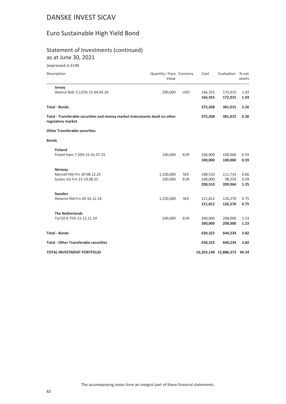### Euro Sustainable High Yield Bond

## Statement of Investments (continued)

as at June 30, 2021

| Description                                                                                      | Quantity / Face Currency<br>Value |            | Cost    | Evaluation                  | % net<br>assets |
|--------------------------------------------------------------------------------------------------|-----------------------------------|------------|---------|-----------------------------|-----------------|
| Jersey                                                                                           |                                   |            |         |                             |                 |
| Walnut Bidc 5.125% 21-04.05.26                                                                   | 200,000                           | <b>USD</b> | 166,355 | 172,915                     | 1.03            |
|                                                                                                  |                                   |            | 166,355 | 172,915                     | 1.03            |
| <b>Total - Bonds</b>                                                                             |                                   |            | 372,208 | 381,015                     | 2.26            |
| Total - Transferable securities and money market instruments dealt on other<br>regulatory market |                                   |            | 372,208 | 381,015                     | 2.26            |
| <b>Other Transferable securities</b>                                                             |                                   |            |         |                             |                 |
| <b>Bonds</b>                                                                                     |                                   |            |         |                             |                 |
| <b>Finland</b>                                                                                   |                                   |            |         |                             |                 |
| Fintoil Ham 7.50% 21-01.07.25                                                                    | 100,000                           | <b>EUR</b> | 100,000 | 100,000                     | 0.59            |
|                                                                                                  |                                   |            | 100,000 | 100,000                     | 0.59            |
| Norway                                                                                           |                                   |            |         |                             |                 |
| Mercell Hld Frn 20-08.12.25                                                                      | 1,100,000                         | <b>SEK</b> | 108,510 | 111,714                     | 0.66            |
| Scatec Sol Frn 21-19.08.25                                                                       | 100,000                           | <b>EUR</b> | 100,000 | 98,250                      | 0.59            |
|                                                                                                  |                                   |            | 208,510 | 209,964                     | 1.25            |
| Sweden                                                                                           |                                   |            |         |                             |                 |
| Desenio Hld Frn 20-16.12.24                                                                      | 1,250,000                         | <b>SEK</b> | 121,812 | 126,270                     | 0.75            |
|                                                                                                  |                                   |            | 121,812 | 126,270                     | 0.75            |
| <b>The Netherlands</b>                                                                           |                                   |            |         |                             |                 |
| Tul Oil 8.75% 21-12.11.24                                                                        | 200,000                           | <b>EUR</b> | 200,000 | 208,000                     | 1.23            |
|                                                                                                  |                                   |            | 200,000 | 208,000                     | 1.23            |
| <b>Total - Bonds</b>                                                                             |                                   |            | 630,322 | 644,234                     | 3.82            |
| <b>Total - Other Transferable securities</b>                                                     |                                   |            | 630,322 | 644,234                     | 3.82            |
| <b>TOTAL INVESTMENT PORTFOLIO</b>                                                                |                                   |            |         | 16,203,140 15,886,373 94.34 |                 |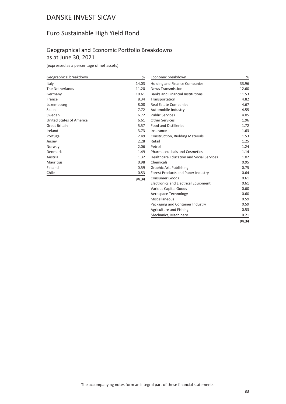### Euro Sustainable High Yield Bond

#### Geographical and Economic Portfolio Breakdowns as at June 30, 2021

(expressed as a percentage of net assets)

| Geographical breakdown          | %     | Economic breakdown                              | %     |
|---------------------------------|-------|-------------------------------------------------|-------|
| Italy                           | 14.03 | <b>Holding and Finance Companies</b>            | 33.96 |
| The Netherlands                 | 11.20 | <b>News Transmission</b>                        | 12.60 |
| Germany                         | 10.61 | <b>Banks and Financial Institutions</b>         | 11.53 |
| France                          | 8.34  | Transportation                                  | 4.82  |
| Luxembourg                      | 8.08  | <b>Real Estate Companies</b>                    | 4.67  |
| Spain                           | 7.72  | Automobile Industry                             | 4.55  |
| Sweden                          | 6.72  | <b>Public Services</b>                          | 4.05  |
| <b>United States of America</b> | 6.61  | <b>Other Services</b>                           | 1.96  |
| <b>Great Britain</b>            | 5.57  | <b>Food and Distilleries</b>                    | 1.72  |
| Ireland                         | 3.73  | Insurance                                       | 1.63  |
| Portugal                        | 2.49  | <b>Construction, Building Materials</b>         | 1.53  |
| Jersey                          | 2.28  | Retail                                          | 1.25  |
| Norway                          | 2.06  | Petrol                                          | 1.24  |
| Denmark                         | 1.49  | <b>Pharmaceuticals and Cosmetics</b>            | 1.14  |
| Austria                         | 1.32  | <b>Healthcare Education and Social Services</b> | 1.02  |
| <b>Mauritius</b>                | 0.98  | Chemicals                                       | 0.95  |
| Finland                         | 0.59  | Graphic Art, Publishing                         | 0.75  |
| Chile                           | 0.53  | Forest Products and Paper Industry              | 0.64  |
|                                 | 94.34 | <b>Consumer Goods</b>                           | 0.61  |
|                                 |       | <b>Electronics and Electrical Equipment</b>     | 0.61  |
|                                 |       | Various Capital Goods                           | 0.60  |
|                                 |       | Aerospace Technology                            | 0.60  |
|                                 |       | Miscellaneous                                   | 0.59  |
|                                 |       | Packaging and Container Industry                | 0.59  |
|                                 |       | Agriculture and Fishing                         | 0.53  |
|                                 |       | Mechanics, Machinery                            | 0.21  |

**94.34**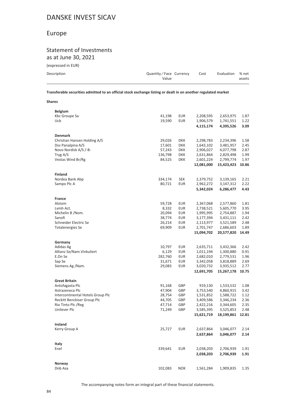### Europe

#### Statement of Investments as at June 30, 2021

| (expressed in EUR) |  |  |  |
|--------------------|--|--|--|
|--------------------|--|--|--|

**Shares**

| Description | Quantity/Face Currency<br>Value | Cost | Evaluation % net | assets |
|-------------|---------------------------------|------|------------------|--------|
|-------------|---------------------------------|------|------------------|--------|

**Transferable securities admitted to an official stock exchange listing or dealt in on another regulated market**

| <b>Belgium</b>                    |         |            |            |            |       |
|-----------------------------------|---------|------------|------------|------------|-------|
| Kbc Groupe Sa                     | 41,198  | <b>EUR</b> | 2,208,595  | 2,653,975  | 1.87  |
| Ucb                               | 19,590  | <b>EUR</b> | 1,906,579  | 1,741,551  | 1.22  |
|                                   |         |            | 4,115,174  | 4,395,526  | 3.09  |
| <b>Denmark</b>                    |         |            |            |            |       |
| Christian Hansen Holding A/S      | 29,026  | DKK        | 2,298,783  | 2,234,396  | 1.58  |
| Dsv Panalpina A/S                 | 17,601  | <b>DKK</b> | 1,643,102  | 3,481,957  | 2.45  |
| Novo Nordisk A/S /-B-             | 57,243  | <b>DKK</b> | 2,906,027  | 4,077,798  | 2.87  |
| Tryg A/S                          | 136,798 | <b>DKK</b> | 2,631,864  | 2,829,498  | 1.99  |
| Vestas Wind Br/Rg                 | 84,525  | <b>DKK</b> | 2,601,224  | 2,799,774  | 1.97  |
|                                   |         |            | 12,081,000 | 15,423,423 | 10.86 |
| <b>Finland</b>                    |         |            |            |            |       |
| Nordea Bank Abp                   | 334,174 | <b>SEK</b> | 2,379,752  | 3,139,165  | 2.21  |
| Sampo Plc A                       | 80,721  | <b>EUR</b> | 2,962,272  | 3,147,312  | 2.22  |
|                                   |         |            | 5,342,024  | 6,286,477  | 4.43  |
| France                            |         |            |            |            |       |
| Alstom                            | 59,728  | <b>EUR</b> | 2,367,068  | 2,577,860  | 1.81  |
| Lvmh Act.                         | 8,332   | <b>EUR</b> | 2,738,521  | 5,605,770  | 3.95  |
| Michelin B /Nom.                  | 20,094  | <b>EUR</b> | 1,995,995  | 2,754,887  | 1.94  |
| Sanofi                            | 38,774  | <b>EUR</b> | 3,177,394  | 3,431,111  | 2.42  |
| Schneider Electric Se             | 26,214  | <b>EUR</b> | 2,113,977  | 3,521,589  | 2.48  |
| <b>Totalenergies Se</b>           | 69,909  | <b>EUR</b> | 2,701,747  | 2,686,603  | 1.89  |
|                                   |         |            | 15,094,702 | 20,577,820 | 14.49 |
| Germany                           |         |            |            |            |       |
| Adidas Ag                         | 10,797  | <b>EUR</b> | 2,635,711  | 3,432,366  | 2.42  |
| Allianz Se/Nam. Vinkuliert        | 6,129   | <b>EUR</b> | 1,011,194  | 1,300,880  | 0.91  |
| E.On Se                           | 282,760 | <b>EUR</b> | 2,682,010  | 2,779,531  | 1.96  |
| Sap Se                            | 31,671  | <b>EUR</b> | 3,342,058  | 3,818,889  | 2.69  |
| Siemens Ag /Nam.                  | 29,083  | <b>EUR</b> | 3,020,732  | 3,935,512  | 2.77  |
|                                   |         |            | 12,691,705 | 15,267,178 | 10.75 |
| <b>Great Britain</b>              |         |            |            |            |       |
| Antofagasta Plc                   | 91,168  | GBP        | 919,130    | 1,533,532  | 1.08  |
| Astrazeneca Plc                   | 47,904  | GBP        | 3,753,540  | 4,860,915  | 3.42  |
| Intercontinental Hotels Group Plc | 28,754  | GBP        | 1,531,852  | 1,588,722  | 1.12  |
| Reckitt Benckiser Group Plc       | 44,705  | GBP        | 3,409,586  | 3,346,234  | 2.36  |
| Rio Tinto Plc / Reg               | 47,714  | GBP        | 2,422,216  | 3,344,605  | 2.35  |
| Unilever Plc                      | 71,249  | GBP        | 3,585,395  | 3,525,853  | 2.48  |
|                                   |         |            | 15,621,719 | 18,199,861 | 12.81 |
| Ireland                           |         |            |            |            |       |
| Kerry Group A                     | 25,727  | <b>EUR</b> | 2,637,864  | 3,046,077  | 2.14  |
|                                   |         |            | 2,637,864  | 3,046,077  | 2.14  |
| Italy                             |         |            |            |            |       |
| Enel                              | 339,641 | <b>EUR</b> | 2,038,203  | 2,706,939  | 1.91  |
|                                   |         |            | 2,038,203  | 2,706,939  | 1.91  |
| Norway                            |         |            |            |            |       |
| Dnb Asa                           | 102,083 | <b>NOK</b> | 1,561,284  | 1,909,835  | 1.35  |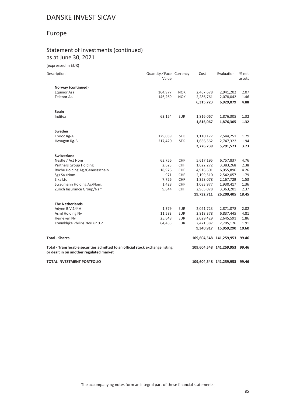### Europe

#### Statement of Investments (continued) as at June 30, 2021

| Description                                                                                                               | Quantity / Face Currency<br>Value |            | Cost       | Evaluation              | % net<br>assets |
|---------------------------------------------------------------------------------------------------------------------------|-----------------------------------|------------|------------|-------------------------|-----------------|
| Norway (continued)                                                                                                        |                                   |            |            |                         |                 |
| <b>Equinor Asa</b>                                                                                                        | 164,977                           | <b>NOK</b> | 2,467,678  | 2,941,202               | 2.07            |
| Telenor As.                                                                                                               | 146,269                           | <b>NOK</b> | 2,286,761  | 2,078,042               | 1.46            |
|                                                                                                                           |                                   |            | 6,315,723  | 6,929,079               | 4.88            |
| Spain                                                                                                                     |                                   |            |            |                         |                 |
| Inditex                                                                                                                   | 63,154                            | <b>EUR</b> | 1,816,067  | 1,876,305               | 1.32            |
|                                                                                                                           |                                   |            | 1,816,067  | 1,876,305               | 1.32            |
| Sweden                                                                                                                    |                                   |            |            |                         |                 |
| Epiroc Rg-A                                                                                                               | 129,039                           | <b>SEK</b> | 1,110,177  | 2,544,251               | 1.79            |
| Hexagon Rg-B                                                                                                              | 217,420                           | <b>SEK</b> | 1,666,562  | 2,747,322               | 1.94            |
|                                                                                                                           |                                   |            | 2,776,739  | 5,291,573               | 3.73            |
| Switzerland                                                                                                               |                                   |            |            |                         |                 |
| Nestle / Act Nom                                                                                                          | 63,756                            | CHF        | 5,617,195  | 6,757,837               | 4.76            |
| Partners Group Holding                                                                                                    | 2,623                             | CHF        | 1,622,272  | 3,383,268               | 2.38            |
| Roche Holding Ag /Genussschein                                                                                            | 18,976                            | CHF        | 4,916,601  | 6,055,896               | 4.26            |
| Sgs Sa /Nom.                                                                                                              | 971                               | CHF        | 2,199,510  | 2,542,057               | 1.79            |
| Sika Ltd                                                                                                                  | 7,726                             | <b>CHF</b> | 1,328,078  | 2,167,729               | 1.53            |
| Straumann Holding Ag/Nom.                                                                                                 | 1,428                             | CHF        | 1,083,977  | 1,930,417               | 1.36            |
| Zurich Insurance Group/Nam                                                                                                | 9,844                             | CHF        | 2,965,078  | 3,363,201               | 2.37            |
|                                                                                                                           |                                   |            | 19,732,711 | 26,200,405              | 18.45           |
| <b>The Netherlands</b>                                                                                                    |                                   |            |            |                         |                 |
| Adyen B.V.144A                                                                                                            | 1,379                             | <b>EUR</b> | 2,021,723  | 2,871,078               | 2.02            |
| Asml Holding Nv                                                                                                           | 11,583                            | <b>EUR</b> | 2,818,378  | 6,837,445               | 4.81            |
| Heineken Nv                                                                                                               | 25,648                            | <b>EUR</b> | 2,029,429  | 2,645,591               | 1.86            |
| Koninklijke Philips Nv/Eur 0.2                                                                                            | 64,455                            | <b>EUR</b> | 2,471,387  | 2,705,176               | 1.91            |
|                                                                                                                           |                                   |            | 9,340,917  | 15,059,290              | 10.60           |
| <b>Total - Shares</b>                                                                                                     |                                   |            |            | 109,604,548 141,259,953 | 99.46           |
| Total - Transferable securities admitted to an official stock exchange listing<br>or dealt in on another regulated market |                                   |            |            | 109,604,548 141,259,953 | 99.46           |
| <b>TOTAL INVESTMENT PORTFOLIO</b>                                                                                         |                                   |            |            | 109,604,548 141,259,953 | 99.46           |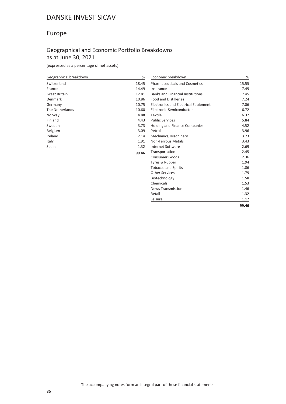#### Europe

#### Geographical and Economic Portfolio Breakdowns as at June 30, 2021

(expressed as a percentage of net assets)

| Geographical breakdown | $\%$  | Economic breakdown                      | %     |
|------------------------|-------|-----------------------------------------|-------|
| Switzerland            | 18.45 | <b>Pharmaceuticals and Cosmetics</b>    | 15.55 |
| France                 | 14.49 | Insurance                               | 7.49  |
| <b>Great Britain</b>   | 12.81 | <b>Banks and Financial Institutions</b> | 7.45  |
| Denmark                | 10.86 | <b>Food and Distilleries</b>            | 7.24  |
| Germany                | 10.75 | Electronics and Electrical Equipment    | 7.06  |
| The Netherlands        | 10.60 | Electronic Semiconductor                | 6.72  |
| Norway                 | 4.88  | Textile                                 | 6.37  |
| Finland                | 4.43  | <b>Public Services</b>                  | 5.84  |
| Sweden                 | 3.73  | <b>Holding and Finance Companies</b>    | 4.52  |
| Belgium                | 3.09  | Petrol                                  | 3.96  |
| Ireland                | 2.14  | Mechanics, Machinery                    | 3.73  |
| Italy                  | 1.91  | Non-Ferrous Metals                      | 3.43  |
| Spain                  | 1.32  | Internet Software                       | 2.69  |
|                        | 99.46 | Transportation                          | 2.45  |
|                        |       | <b>Consumer Goods</b>                   | 2.36  |

Tyres & Rubber 1.94 Tobacco and Spirits 1.86 Other Services 1.79 Biotechnology 1.58 Chemicals 1.53 News Transmission 1.46 Retail and the contract of the contract of the contract of the contract of the contract of the contract of the contract of the contract of the contract of the contract of the contract of the contract of the contract of the Leisure 1.12

**99.46**

The accompanying notes form an integral part of these financial statements.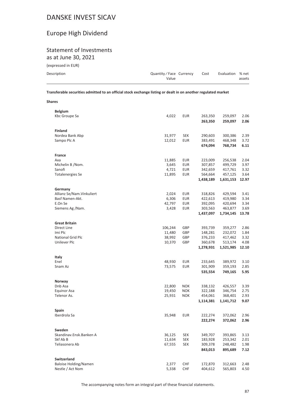### Europe High Dividend

## Statement of Investments

as at June 30, 2021

**Shares**

| (expressed in EUR) |                        |      |                  |        |
|--------------------|------------------------|------|------------------|--------|
| Description        | Quantity/Face Currency | Cost | Evaluation % net |        |
|                    | Value                  |      |                  | assets |

**Transferable securities admitted to an official stock exchange listing or dealt in on another regulated market**

| <b>Belgium</b>               |                   |            |                    |                    |              |
|------------------------------|-------------------|------------|--------------------|--------------------|--------------|
| Kbc Groupe Sa                | 4,022             | <b>EUR</b> | 263,350            | 259,097            | 2.06         |
|                              |                   |            | 263,350            | 259,097            | 2.06         |
| <b>Finland</b>               |                   |            |                    |                    |              |
| Nordea Bank Abp              | 31,977            | <b>SEK</b> | 290,603            | 300,386            | 2.39         |
| Sampo Plc A                  | 12,012            | <b>EUR</b> | 383,491            | 468,348            | 3.72         |
|                              |                   |            | 674,094            | 768,734            | 6.11         |
|                              |                   |            |                    |                    |              |
| <b>France</b>                |                   |            |                    |                    |              |
| Axa                          | 11,885            | <b>EUR</b> | 223,009            | 256,538            | 2.04         |
| Michelin B /Nom.             | 3,645             | <b>EUR</b> | 307,857            | 499,729            | 3.97         |
| Sanofi                       | 4,721             | EUR        | 342,659            | 417,761            | 3.32         |
| <b>Totalenergies Se</b>      | 11,895            | EUR        | 564,664            | 457,125            | 3.64         |
|                              |                   |            | 1,438,189          | 1,631,153          | 12.97        |
|                              |                   |            |                    |                    |              |
| Germany                      |                   |            |                    |                    |              |
| Allianz Se/Nam. Vinkuliert   | 2,024             | <b>EUR</b> | 318,826            | 429,594            | 3.41         |
| Basf Namen-Akt.              | 6,306             | <b>EUR</b> | 422,613            | 419,980            | 3.34         |
| E.On Se                      | 42,797            | <b>EUR</b> | 392,095            | 420,694            | 3.34         |
| Siemens Ag /Nam.             | 3,428             | <b>EUR</b> | 303,563            | 463,877            | 3.69         |
|                              |                   |            | 1,437,097          | 1,734,145          | 13.78        |
|                              |                   |            |                    |                    |              |
| <b>Great Britain</b>         |                   |            |                    |                    |              |
| Direct Line<br>Imi Plc       | 106,244<br>11,480 | GBP<br>GBP | 393,739<br>148,281 | 359,277<br>232,072 | 2.86<br>1.84 |
| <b>National Grid Plc</b>     | 38,992            | GBP        | 376,233            | 417,462            | 3.32         |
| Unilever Plc                 | 10,370            | GBP        | 360,678            | 513,174            | 4.08         |
|                              |                   |            | 1,278,931          | 1,521,985          | 12.10        |
|                              |                   |            |                    |                    |              |
| Italy                        |                   |            |                    |                    |              |
| Enel                         | 48,930            | <b>EUR</b> | 233,645            | 389,972            | 3.10         |
| Snam Az                      | 73,575            | <b>EUR</b> | 301,909            | 359,193            | 2.85         |
|                              |                   |            | 535,554            | 749,165            | 5.95         |
|                              |                   |            |                    |                    |              |
| Norway                       |                   |            |                    |                    |              |
| Dnb Asa                      | 22,800            | <b>NOK</b> | 338,132            | 426,557            | 3.39         |
| Equinor Asa                  | 19,450            | <b>NOK</b> | 322,188            | 346,754            | 2.75         |
| Telenor As.                  | 25,931            | <b>NOK</b> | 454,061            | 368,401            | 2.93         |
|                              |                   |            | 1,114,381          | 1,141,712          | 9.07         |
|                              |                   |            |                    |                    |              |
| Spain                        |                   |            |                    |                    |              |
| Iberdrola Sa                 | 35,948            | <b>EUR</b> | 222,274            | 372,062            | 2.96         |
|                              |                   |            | 222,274            | 372,062            | 2.96         |
| Sweden                       |                   |            |                    |                    |              |
| Skandinav.Ensk.Banken A      | 36,125            | <b>SEK</b> | 349,707            | 393,865            | 3.13         |
| Skf Ab B                     | 11,634            | <b>SEK</b> | 183,928            | 253,342            | 2.01         |
| Teliasonera Ab               | 67,555            | <b>SEK</b> | 309,378            | 248,482            | 1.98         |
|                              |                   |            | 843,013            | 895,689            | 7.12         |
|                              |                   |            |                    |                    |              |
| <b>Switzerland</b>           |                   |            |                    |                    |              |
| <b>Baloise Holding/Namen</b> | 2,377             | <b>CHF</b> | 172,870            | 312,663            | 2.48         |
| Nestle / Act Nom             | 5,338             | <b>CHF</b> | 404,612            | 565,803            | 4.50         |

The accompanying notes form an integral part of these financial statements.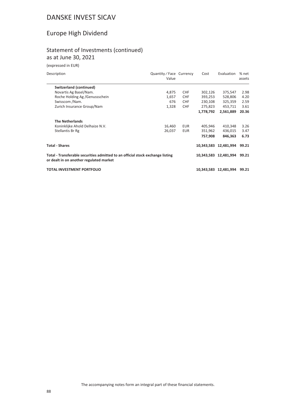### Europe High Dividend

#### Statement of Investments (continued) as at June 30, 2021

| Description                                                                                                               | Quantity / Face Currency<br>Value |            | Cost      | Evaluation                  | % net<br>assets |
|---------------------------------------------------------------------------------------------------------------------------|-----------------------------------|------------|-----------|-----------------------------|-----------------|
| Switzerland (continued)                                                                                                   |                                   |            |           |                             |                 |
| Novartis Ag Basel/Nam.                                                                                                    | 4,875                             | <b>CHF</b> | 302,126   | 375,547                     | 2.98            |
| Roche Holding Ag / Genussschein                                                                                           | 1,657                             | <b>CHF</b> | 393,253   | 528,806                     | 4.20            |
| Swisscom /Nam.                                                                                                            | 676                               | <b>CHF</b> | 230,108   | 325,359                     | 2.59            |
| Zurich Insurance Group/Nam                                                                                                | 1,328                             | <b>CHF</b> | 275,823   | 453,711                     | 3.61            |
|                                                                                                                           |                                   |            | 1,778,792 | 2,561,889                   | 20.36           |
| <b>The Netherlands</b>                                                                                                    |                                   |            |           |                             |                 |
| Koninklijke Ahold Delhaize N.V.                                                                                           | 16,460                            | EUR        | 405,946   | 410,348                     | 3.26            |
| Stellantis Br Rg                                                                                                          | 26,037                            | EUR        | 351,962   | 436,015                     | 3.47            |
|                                                                                                                           |                                   |            | 757,908   | 846.363                     | 6.73            |
| <b>Total - Shares</b>                                                                                                     |                                   |            |           | 10,343,583 12,481,994       | 99.21           |
| Total - Transferable securities admitted to an official stock exchange listing<br>or dealt in on another regulated market |                                   |            |           | 10,343,583 12,481,994 99.21 |                 |
| TOTAL INVESTMENT PORTFOLIO                                                                                                |                                   |            |           | 10,343,583 12,481,994       | 99.21           |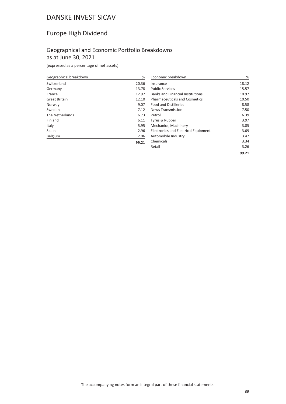### Europe High Dividend

#### Geographical and Economic Portfolio Breakdowns as at June 30, 2021

(expressed as a percentage of net assets)

| Geographical breakdown | %     |
|------------------------|-------|
| Switzerland            | 20.36 |
| Germany                | 13.78 |
| France                 | 12.97 |
| <b>Great Britain</b>   | 12.10 |
| Norway                 | 9.07  |
| Sweden                 | 7.12  |
| The Netherlands        | 6.73  |
| Finland                | 6.11  |
| Italy                  | 5.95  |
| Spain                  | 2.96  |
| Belgium                | 2.06  |
|                        | 99.21 |

| Economic breakdown                          | ℅     |
|---------------------------------------------|-------|
| Insurance                                   | 18.12 |
| <b>Public Services</b>                      | 15.57 |
| <b>Banks and Financial Institutions</b>     | 10.97 |
| <b>Pharmaceuticals and Cosmetics</b>        | 10.50 |
| <b>Food and Distilleries</b>                | 8.58  |
| <b>News Transmission</b>                    | 7.50  |
| Petrol                                      | 6.39  |
| Tyres & Rubber                              | 3.97  |
| Mechanics, Machinery                        | 3.85  |
| <b>Electronics and Electrical Equipment</b> | 3.69  |
| Automobile Industry                         | 3.47  |
| Chemicals                                   | 3.34  |
| Retail                                      | 3.26  |
|                                             | 99.21 |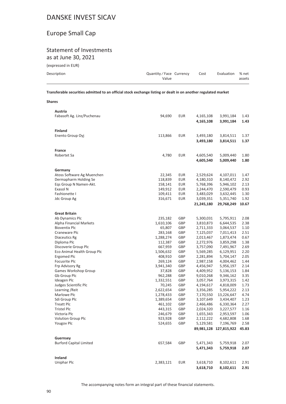### Europe Small Cap

# Statement of Investments

as at June 30, 2021

(expressed in EUR)

**Shares**

| Description | Quantity / Face Currency | Cost | Evaluation % net |        |
|-------------|--------------------------|------|------------------|--------|
|             | Value                    |      |                  | assets |
|             |                          |      |                  |        |

**Transferable securities admitted to an official stock exchange listing or dealt in on another regulated market**

| Austria                        |                        |            |                        |                         |              |
|--------------------------------|------------------------|------------|------------------------|-------------------------|--------------|
| Fabasoft Ag. Linz/Puchenau     | 94,690                 | EUR        | 4,165,108              | 3,991,184               | 1.43         |
|                                |                        |            | 4,165,108              | 3,991,184               | 1.43         |
| <b>Finland</b>                 |                        |            |                        |                         |              |
| Enento Group Oyj               | 113,866                | <b>EUR</b> | 3,493,180              | 3,814,511               | 1.37         |
|                                |                        |            | 3,493,180              | 3,814,511               | 1.37         |
|                                |                        |            |                        |                         |              |
| <b>France</b>                  |                        |            |                        |                         |              |
| Robertet Sa                    | 4,780                  | EUR        | 4,605,540              | 5,009,440               | 1.80         |
|                                |                        |            | 4,605,540              | 5,009,440               | 1.80         |
|                                |                        |            |                        |                         |              |
| Germany                        |                        |            |                        |                         |              |
| Atoss Software Ag Muenchen     | 22,345                 | EUR        | 2,529,624              | 4,107,011               | 1.47         |
| Dermapharm Holding Se          | 118,839                | <b>EUR</b> | 4,180,310              | 8,140,472               | 2.92         |
| Eqs Group N Namen-Akt.         | 158,141                | <b>EUR</b> | 5,768,396              | 5,946,102               | 2.13         |
| Exasol N                       | 149,912                | <b>EUR</b> | 2,244,470              | 2,590,479               | 0.93         |
| Fashionette I                  | 109,411                | <b>EUR</b> | 3,483,029              | 3,632,445               | 1.30         |
| Jdc Group Ag                   | 316,671                | <b>EUR</b> | 3,039,351              | 5,351,740               | 1.92         |
|                                |                        |            | 21,245,180             | 29,768,249              | 10.67        |
|                                |                        |            |                        |                         |              |
| <b>Great Britain</b>           |                        |            |                        |                         |              |
| Ab Dynamics Plc                | 235,182                | GBP        | 5,300,031              | 5,795,911               | 2.08         |
| Alpha Financial Markets        | 1,610,106              | GBP        | 3,810,873              | 6,644,535               | 2.38         |
| <b>Bioventix Plc</b>           | 65,807                 | GBP        | 2,711,333              | 3,064,537               | 1.10         |
| Craneware Plc                  | 283,168                | GBP        | 7,125,037              | 7,011,413               | 2.51         |
| <b>Diaceutics Rg</b>           | 1,288,274              | GBP        | 2,013,467              | 1,873,474               | 0.67         |
| Diploma Plc                    | 112,387                | GBP        | 2,272,976              | 3,859,298               | 1.38         |
| Discoverie Group Plc           | 667,959                | GBP        | 3,757,090              | 7,491,967               | 2.69         |
| Eco Animal Health Group Plc    | 1,506,632              | GBP        | 5,569,285              | 6,129,951               | 2.20         |
| Ergomed Plc                    | 408,910                | GBP        | 2,281,894              | 5,704,147               | 2.05         |
| Focusrite Plc                  | 269,124                | GBP        | 2,987,158              | 4,004,462               | 1.44         |
| Frp Advisory Rg                | 3,941,340              | GBP        | 4,456,947              | 5,956,197               | 2.14         |
| Games Workshop Group           | 37,828                 | GBP        | 4,409,952              | 5,136,153               | 1.84         |
| Gb Group Plc                   | 962,288                | GBP        | 9,010,268              | 9,346,162               | 3.35         |
| Ideagen Plc                    | 1,332,551              | GBP        | 3,057,764              | 3,973,315               | 1.42         |
| Judges Scientific Plc          | 70,245                 | GBP        | 4,194,617              | 4,818,009               | 1.73         |
| Learning / Reit<br>Marlowe Plc | 2,622,654<br>1,278,433 | GBP<br>GBP | 3,356,285              | 5,954,222<br>13,226,647 | 2.13<br>4.74 |
| Sdi Group Plc                  |                        | GBP        | 7,170,550<br>3,107,649 | 3,434,407               | 1.23         |
| <b>Treatt Plc</b>              | 1,389,654<br>461,102   | GBP        |                        | 6,330,364               | 2.27         |
| <b>Tristel Plc</b>             | 443,315                | GBP        | 2,466,486<br>2,024,320 | 3,227,577               | 1.16         |
| Victoria Plc                   | 246,679                | GBP        | 1,655,343              | 2,953,597               | 1.06         |
| Volution Group Plc             | 923,928                | GBP        | 2,112,222              | 4,682,808               | 1.68         |
| Yougov Plc                     | 524,655                | GBP        | 5,129,581              | 7,196,769               | 2.58         |
|                                |                        |            |                        | 89,981,128 127,815,922  | 45.83        |
|                                |                        |            |                        |                         |              |
| Guernsey                       |                        |            |                        |                         |              |
| <b>Burford Capital Limited</b> | 657,584                | GBP        | 5,471,343              | 5,759,918               | 2.07         |
|                                |                        |            | 5,471,343              | 5,759,918               | 2.07         |
|                                |                        |            |                        |                         |              |
| Ireland                        |                        |            |                        |                         |              |
| Uniphar Plc                    | 2,383,121              | <b>EUR</b> | 3,618,710              | 8,102,611               | 2.91         |
|                                |                        |            | 3,618,710              | 8,102,611               | 2.91         |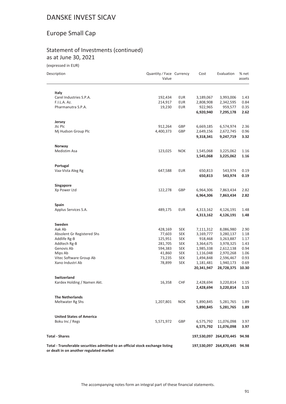### Europe Small Cap

#### Statement of Investments (continued) as at June 30, 2021

(expressed in EUR)

| Description                                                                                                               | Quantity / Face Currency<br>Value |            | Cost       | Evaluation              | % net<br>assets |
|---------------------------------------------------------------------------------------------------------------------------|-----------------------------------|------------|------------|-------------------------|-----------------|
| Italy                                                                                                                     |                                   |            |            |                         |                 |
| Carel Industries S.P.A.                                                                                                   | 192,434                           | <b>EUR</b> | 3,189,067  | 3,993,006               | 1.43            |
| F.I.L.A. Az.                                                                                                              | 214,917                           | <b>EUR</b> | 2,808,908  | 2,342,595               | 0.84            |
| Pharmanutra S.P.A.                                                                                                        | 19,230                            | <b>EUR</b> | 922,965    | 959,577                 | 0.35            |
|                                                                                                                           |                                   |            | 6,920,940  | 7,295,178               | 2.62            |
| Jersey                                                                                                                    |                                   |            |            |                         |                 |
| Jtc Plc                                                                                                                   | 912,264                           | GBP        | 6,669,185  | 6,574,974               | 2.36            |
| Mj Hudson Group Plc                                                                                                       | 4,400,373                         | GBP        | 2,649,156  | 2,672,745               | 0.96            |
|                                                                                                                           |                                   |            | 9,318,341  | 9,247,719               | 3.32            |
| Norway                                                                                                                    |                                   |            |            |                         |                 |
| Medistim Asa                                                                                                              | 123,025                           | <b>NOK</b> | 1,545,068  | 3,225,062               | 1.16            |
|                                                                                                                           |                                   |            | 1,545,068  | 3,225,062               | 1.16            |
| Portugal<br>Vaa-Vista Aleg Rg                                                                                             |                                   | <b>EUR</b> |            |                         |                 |
|                                                                                                                           | 647,588                           |            | 650,813    | 543,974                 | 0.19            |
|                                                                                                                           |                                   |            | 650,813    | 543,974                 | 0.19            |
| Singapore<br>Xp Power Ltd                                                                                                 | 122,278                           | GBP        | 6,964,306  | 7,863,434               | 2.82            |
|                                                                                                                           |                                   |            | 6,964,306  | 7,863,434               | 2.82            |
|                                                                                                                           |                                   |            |            |                         |                 |
| Spain                                                                                                                     |                                   |            |            |                         |                 |
| Applus Services S.A.                                                                                                      | 489,175                           | <b>EUR</b> | 4,313,162  | 4,126,191               | 1.48            |
|                                                                                                                           |                                   |            | 4,313,162  | 4,126,191               | 1.48            |
| Sweden                                                                                                                    |                                   |            |            |                         |                 |
| Aak Ab                                                                                                                    | 428,169                           | <b>SEK</b> | 7,111,312  | 8,086,980               | 2.90            |
| Absolent Gr Registered Shs                                                                                                | 77,603                            | <b>SEK</b> | 3,169,777  | 3,280,137               | 1.18            |
| Addlife Rg-B                                                                                                              | 125,951                           | <b>SEK</b> | 918,468    | 3,263,887               | 1.17            |
| Addtech Rg-B                                                                                                              | 281,705                           | <b>SEK</b> | 3,364,675  | 3,978,325               | 1.43            |
| Genovis Ab                                                                                                                | 594,383                           | <b>SEK</b> | 1,985,338  | 2,612,138               | 0.94            |
| Mips Ab                                                                                                                   | 41,860                            | <b>SEK</b> | 1,116,048  | 2,970,268               | 1.06            |
| Vitec Software Group Ab                                                                                                   | 73,235                            | <b>SEK</b> | 1,494,848  | 2,596,467               | 0.93            |
| Xano Industri Ab                                                                                                          | 78,899                            | <b>SEK</b> | 1,181,481  | 1,940,173               | 0.69            |
|                                                                                                                           |                                   |            | 20,341,947 | 28,728,375              | 10.30           |
| <b>Switzerland</b>                                                                                                        |                                   |            |            |                         |                 |
| Kardex Holding / Namen Akt.                                                                                               | 16,358                            | <b>CHF</b> | 2,428,694  | 3,220,814               | 1.15            |
|                                                                                                                           |                                   |            | 2,428,694  | 3,220,814               | 1.15            |
| <b>The Netherlands</b>                                                                                                    |                                   |            |            |                         |                 |
| Meltwater Rg Shs                                                                                                          | 1,207,801                         | <b>NOK</b> | 5,890,845  | 5,281,765               | 1.89            |
|                                                                                                                           |                                   |            | 5,890,845  | 5,281,765               | 1.89            |
| <b>United States of America</b>                                                                                           |                                   |            |            |                         |                 |
| Boku Inc / Regs                                                                                                           | 5,571,972                         | GBP        | 6,575,792  | 11,076,098              | 3.97            |
|                                                                                                                           |                                   |            | 6,575,792  | 11,076,098              | 3.97            |
| <b>Total - Shares</b>                                                                                                     |                                   |            |            | 197,530,097 264,870,445 | 94.98           |
| Total - Transferable securities admitted to an official stock exchange listing<br>or dealt in on another regulated market |                                   |            |            | 197,530,097 264,870,445 | 94.98           |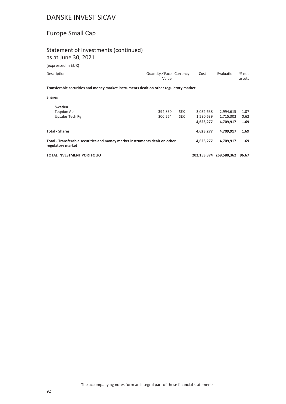### Europe Small Cap

#### Statement of Investments (continued)

as at June 30, 2021

| Description                                                                                      | Quantity / Face Currency<br>Value |            | Cost      | Evaluation              | % net<br>assets |
|--------------------------------------------------------------------------------------------------|-----------------------------------|------------|-----------|-------------------------|-----------------|
| Transferable securities and money market instruments dealt on other regulatory market            |                                   |            |           |                         |                 |
| <b>Shares</b>                                                                                    |                                   |            |           |                         |                 |
| Sweden                                                                                           |                                   |            |           |                         |                 |
| Tegnion Ab                                                                                       | 394,830                           | <b>SEK</b> | 3,032,638 | 2,994,615               | 1.07            |
| Upsales Tech Rg                                                                                  | 200,564                           | <b>SEK</b> | 1,590,639 | 1,715,302               | 0.62            |
|                                                                                                  |                                   |            | 4,623,277 | 4,709,917               | 1.69            |
| <b>Total - Shares</b>                                                                            |                                   |            | 4,623,277 | 4,709,917               | 1.69            |
| Total - Transferable securities and money market instruments dealt on other<br>regulatory market |                                   |            | 4,623,277 | 4,709,917               | 1.69            |
| <b>TOTAL INVESTMENT PORTFOLIO</b>                                                                |                                   |            |           | 202.153.374 269.580.362 | 96.67           |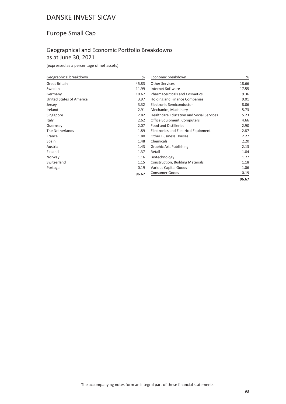### Europe Small Cap

#### Geographical and Economic Portfolio Breakdowns as at June 30, 2021

(expressed as a percentage of net assets)

| Geographical breakdown   | %     | Economic breakdown                              | %     |
|--------------------------|-------|-------------------------------------------------|-------|
| <b>Great Britain</b>     | 45.83 | <b>Other Services</b>                           | 18.66 |
| Sweden                   | 11.99 | Internet Software                               | 17.55 |
| Germany                  | 10.67 | <b>Pharmaceuticals and Cosmetics</b>            | 9.36  |
| United States of America | 3.97  | <b>Holding and Finance Companies</b>            | 9.01  |
| Jersey                   | 3.32  | Electronic Semiconductor                        | 8.06  |
| Ireland                  | 2.91  | Mechanics, Machinery                            | 5.73  |
| Singapore                | 2.82  | <b>Healthcare Education and Social Services</b> | 5.23  |
| Italy                    | 2.62  | Office Equipment, Computers                     | 4.66  |
| Guernsey                 | 2.07  | <b>Food and Distilleries</b>                    | 2.90  |
| The Netherlands          | 1.89  | Electronics and Electrical Equipment            | 2.87  |
| France                   | 1.80  | <b>Other Business Houses</b>                    | 2.27  |
| Spain                    | 1.48  | Chemicals                                       | 2.20  |
| Austria                  | 1.43  | Graphic Art, Publishing                         | 2.13  |
| Finland                  | 1.37  | Retail                                          | 1.84  |
| Norway                   | 1.16  | Biotechnology                                   | 1.77  |
| Switzerland              | 1.15  | Construction, Building Materials                | 1.18  |
| Portugal                 | 0.19  | Various Capital Goods                           | 1.06  |
|                          | 96.67 | <b>Consumer Goods</b>                           | 0.19  |
|                          |       |                                                 | 96.67 |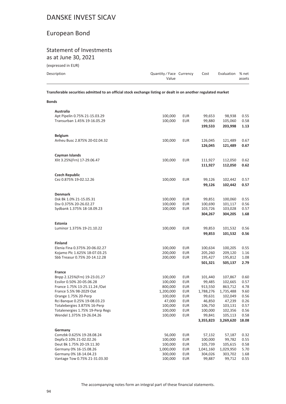### European Bond

#### Statement of Investments as at June 30, 2021

| (expressed in EUR) |  |  |  |
|--------------------|--|--|--|
|--------------------|--|--|--|

**Bonds**

| Evaluation % net |
|------------------|
| assets           |
|                  |

**Transferable securities admitted to an official stock exchange listing or dealt in on another regulated market**

| Australia                                                 |                    |                          |                   |                    |              |
|-----------------------------------------------------------|--------------------|--------------------------|-------------------|--------------------|--------------|
| Apt Pipelin 0.75% 21-15.03.29                             | 100,000            | <b>EUR</b>               | 99,653            | 98,938             | 0.55         |
| Transurban 1.45% 19-16.05.29                              | 100,000            | <b>EUR</b>               | 99,880            | 105,060            | 0.58         |
|                                                           |                    |                          | 199,533           | 203,998            | 1.13         |
|                                                           |                    |                          |                   |                    |              |
| <b>Belgium</b>                                            |                    |                          |                   |                    |              |
| Anheu Busc 2.875% 20-02.04.32                             | 100,000            | <b>EUR</b>               | 126,045           | 121,489            | 0.67         |
|                                                           |                    |                          | 126,045           | 121,489            | 0.67         |
| Cayman Islands                                            |                    |                          |                   |                    |              |
| Xlit 3.25%(Frn) 17-29.06.47                               | 100,000            | <b>EUR</b>               | 111,927           | 112,050            | 0.62         |
|                                                           |                    |                          | 111,927           | 112,050            | 0.62         |
|                                                           |                    |                          |                   |                    |              |
| <b>Czech Republic</b><br>Cez 0.875% 19-02.12.26           | 100,000            | <b>EUR</b>               | 99,126            | 102,442            | 0.57         |
|                                                           |                    |                          | 99,126            | 102,442            | 0.57         |
|                                                           |                    |                          |                   |                    |              |
| <b>Denmark</b>                                            |                    |                          |                   |                    |              |
| Dsk Bk 1.0% 21-15.05.31                                   | 100,000            | <b>EUR</b>               | 99,851            | 100,060            | 0.55         |
| Dsv 0.375% 20-26.02.27                                    | 100,000            | <b>EUR</b>               | 100,690           | 101,117            | 0.56         |
| Sydbank 1.375% 18-18.09.23                                | 100,000            | <b>EUR</b>               | 103,726           | 103,028            | 0.57         |
|                                                           |                    |                          | 304,267           | 304,205            | 1.68         |
| Estonia                                                   |                    |                          |                   |                    |              |
| Luminor 1.375% 19-21.10.22                                | 100,000            | <b>EUR</b>               | 99,853            | 101,532            | 0.56         |
|                                                           |                    |                          | 99,853            | 101,532            | 0.56         |
| <b>Finland</b>                                            |                    |                          |                   |                    |              |
| Elenia Fina 0.375% 20-06.02.27                            | 100,000            | <b>EUR</b>               | 100,634           | 100,205            | 0.55         |
| Kojamo Plc 1.625% 18-07.03.25                             | 200,000            | <b>EUR</b>               | 205,260           | 209,120            | 1.16         |
| Sbb Treasur 0.75% 20-14.12.28                             | 200,000            | <b>EUR</b>               | 195,427           | 195,812            | 1.08         |
|                                                           |                    |                          | 501,321           | 505,137            | 2.79         |
|                                                           |                    |                          |                   |                    |              |
| France                                                    |                    |                          |                   |                    |              |
| Bnpp 2.125%(Frn) 19-23.01.27<br>Essilor 0.50% 20-05.06.28 | 100,000            | <b>EUR</b>               | 101,440           | 107,867            | 0.60<br>0.57 |
| France 1.75% 13-25.11.24 / Oat                            | 100,000<br>800,000 | <b>EUR</b><br><b>EUR</b> | 99,485<br>913,550 | 102,665<br>863,712 | 4.78         |
| France 5.5% 98-2029 Oat                                   | 1,200,000          | <b>EUR</b>               | 1,788,276         | 1,735,488          | 9.60         |
| Orange 1.75% 20-Perp                                      | 100,000            | <b>EUR</b>               | 99,631            | 102,049            | 0.56         |
| Rci Banque 0.25% 19-08.03.23                              | 47,000             | <b>EUR</b>               | 46,850            | 47,239             | 0.26         |
| Totalebergies 3.875% 16-Perp                              | 100,000            | <b>EUR</b>               | 106,750           | 103,131            | 0.57         |
| Totalenergies 1.75% 19-Perp Regs                          | 100,000            | <b>EUR</b>               | 100,000           | 102,356            | 0.56         |
| Wendel 1.375% 19-26.04.26                                 | 100,000            | <b>EUR</b>               | 99,841            | 105,113            | 0.58         |
|                                                           |                    |                          | 3,355,823         | 3,269,620          | 18.08        |
|                                                           |                    |                          |                   |                    |              |
| Germany<br>Comzbk 0.625% 19-28.08.24                      | 56,000             | <b>EUR</b>               | 57,132            | 57,187             | 0.32         |
| Depfa 0.10% 21-02.02.26                                   | 100,000            | <b>EUR</b>               | 100,000           | 99,782             | 0.55         |
| Deut Bk 1.75% 20-19.11.30                                 | 100,000            | <b>EUR</b>               | 105,739           | 105,615            | 0.58         |
| Germany 0% 16-15.08.26                                    | 1,000,000          | <b>EUR</b>               | 1,041,160         | 1,029,950          | 5.70         |
| Germany 0% 18-14.04.23                                    | 300,000            | <b>EUR</b>               | 304,026           | 303,702            | 1.68         |
| Vantage Tow 0.75% 21-31.03.30                             | 100,000            | <b>EUR</b>               | 99,887            | 99,712             | 0.55         |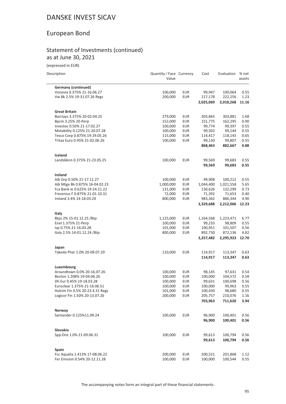### European Bond

#### Statement of Investments (continued) as at June 30, 2021

(expressed in EUR)

| Description                                                | Quantity / Face Currency<br>Value |            | Cost               | Evaluation           | % net<br>assets |
|------------------------------------------------------------|-----------------------------------|------------|--------------------|----------------------|-----------------|
| <b>Germany (continued)</b>                                 |                                   |            |                    |                      |                 |
| Vonovia 0.375% 21-16.06.27                                 | 100,000                           | <b>EUR</b> | 99,947             | 100,064              | 0.55            |
| Vw Bk 2.5% 19-31.07.26 Regs                                | 200,000                           | <b>EUR</b> | 217,178            | 222,256              | 1.23            |
|                                                            |                                   |            | 2,025,069          | 2,018,268            | 11.16           |
| <b>Great Britain</b>                                       |                                   |            |                    |                      |                 |
| Barclays 3.375% 20-02.04.25                                | 279,000                           | <b>EUR</b> | 303,865            | 303,881              | 1.68            |
| Bpcm 3.25% 20-Perp                                         | 152,000                           | <b>EUR</b> | 151,775            | 162,295              | 0.90            |
| Investec 0.50% 21-17.02.27                                 | 100,000                           | <b>EUR</b> | 99,774             | 99,397               | 0.55            |
| Motability 0.125% 21-20.07.28                              | 100,000                           | <b>EUR</b> | 99,502             | 99,144               | 0.55            |
| Tesco Corp 0.875% 19-29.05.26                              | 115,000                           | <b>EUR</b> | 114,417            | 118,143              | 0.65            |
| Tritax Euro 0.95% 21-02.06.26                              | 100,000                           | <b>EUR</b> | 99,130             | 99,807               | 0.55            |
|                                                            |                                   |            | 868,463            | 882,667              | 4.88            |
| Iceland                                                    |                                   |            |                    |                      |                 |
| Landsbknn 0.375% 21-23.05.25                               | 100,000                           | <b>EUR</b> | 99,569             | 99,683               | 0.55            |
|                                                            |                                   |            | 99,569             | 99,683               | 0.55            |
| Ireland                                                    |                                   |            |                    |                      |                 |
| Aib Grp 0.50% 21-17.11.27                                  | 100,000                           | <b>EUR</b> | 99,908             | 100,212              | 0.55            |
| Aib Mtge Bk 0.875% 16-04.02.23                             | 1,000,000                         | <b>EUR</b> | 1,044,400          | 1,021,558            | 5.65            |
| Fca Bank le 0.625% 19-24.11.22                             | 131,000                           | <b>EUR</b> | 130,626            | 132,299              | 0.73            |
| Fresenius F 0.875% 21-01.10.31<br>Ireland 3.4% 14-18.03.24 | 72,000                            | <b>EUR</b> | 71,392<br>983,362  | 71,653               | 0.40<br>4.90    |
|                                                            | 800,000                           | <b>EUR</b> | 2,329,688          | 886,344<br>2,212,066 | 12.23           |
| Italy                                                      |                                   |            |                    |                      |                 |
| Btps 2% 15-01.12.25 /Btp                                   | 1,125,000                         | <b>EUR</b> | 1,164,568          | 1,223,471            | 6.77            |
| Enel 1.375% 21-Perp                                        | 100,000                           | <b>EUR</b> | 99,233             | 98,809               | 0.55            |
| Isp 0.75% 21-16.03.28                                      | 101,000                           | <b>EUR</b> | 100,951            | 101,507              | 0.56            |
| Italy 2.5% 14-01.12.24 / Btp                               | 800,000                           | <b>EUR</b> | 892,730            | 872,136              | 4.82            |
|                                                            |                                   |            | 2,257,482          | 2,295,923            | 12.70           |
| Japan                                                      |                                   |            |                    |                      |                 |
| Takeda Phar 1.0% 20-09.07.29                               | 110,000                           | <b>EUR</b> | 114,917            | 113,347              | 0.63            |
|                                                            |                                   |            | 114,917            | 113,347              | 0.63            |
| Luxembourg                                                 |                                   |            |                    |                      |                 |
| Aroundtown 0.0% 20-16.07.26                                | 100,000                           | <b>EUR</b> | 98,145             | 97,631               | 0.54            |
| Becton 1.208% 19-04.06.26                                  | 100,000                           | <b>EUR</b> | 100,000            | 104,572              | 0.58            |
| Dh Eur 0.45% 19-18.03.28                                   | 100,000                           | <b>EUR</b> | 99,631             | 100,698              | 0.56            |
| Euroclear 1.375% 21-16.06.51                               | 100,000                           | <b>EUR</b> | 100,000            | 99,963               | 0.55            |
| Holcim Fin 0.5% 20-23.4.31 Regs                            | 101,000                           | <b>EUR</b> | 100,430            | 98,680               | 0.55            |
| Logicor Fin 1.50% 20-13.07.26                              | 200,000                           | <b>EUR</b> | 205,757<br>703,963 | 210,076<br>711,620   | 1.16<br>3.94    |
|                                                            |                                   |            |                    |                      |                 |
| Norway                                                     |                                   |            |                    |                      |                 |
| Santander 0.125%11.09.24                                   | 100,000                           | <b>EUR</b> | 96,900<br>96,900   | 100,401<br>100,401   | 0.56<br>0.56    |
|                                                            |                                   |            |                    |                      |                 |
| Slovakia                                                   |                                   |            |                    |                      |                 |
| Spp-Dist 1.0% 21-09.06.31                                  | 100,000                           | <b>EUR</b> | 99,613<br>99,613   | 100,794<br>100,794   | 0.56<br>0.56    |
|                                                            |                                   |            |                    |                      |                 |
| Spain<br>Fcc Aqualia 1.413% 17-08.06.22                    | 200,000                           | <b>EUR</b> | 200,521            | 201,868              | 1.12            |
| Fer Emision 0.54% 20-12.11.28                              | 100,000                           | <b>EUR</b> | 100,000            | 100,544              | 0.55            |
|                                                            |                                   |            |                    |                      |                 |

The accompanying notes form an integral part of these financial statements.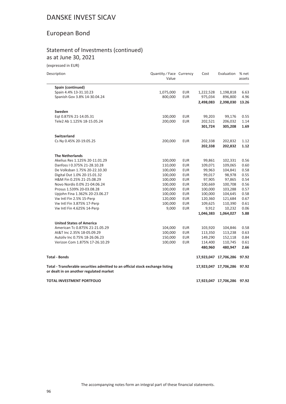### European Bond

#### Statement of Investments (continued) as at June 30, 2021

| Description                                                                                                               | Quantity / Face Currency<br>Value |            | Cost      | Evaluation                  | % net<br>assets |
|---------------------------------------------------------------------------------------------------------------------------|-----------------------------------|------------|-----------|-----------------------------|-----------------|
| Spain (continued)                                                                                                         |                                   |            |           |                             |                 |
| Spain 4.4% 13-31.10.23                                                                                                    | 1,075,000                         | <b>EUR</b> | 1,222,528 | 1,198,818                   | 6.63            |
| Spanish Gov 3.8% 14-30.04.24                                                                                              | 800,000                           | <b>EUR</b> | 975,034   | 896,800                     | 4.96            |
|                                                                                                                           |                                   |            | 2,498,083 | 2,398,030                   | 13.26           |
| Sweden                                                                                                                    |                                   |            |           |                             |                 |
| Eqt 0.875% 21-14.05.31                                                                                                    | 100,000                           | EUR        | 99,203    | 99,176                      | 0.55            |
| Tele2 Ab 1.125% 18-15.05.24                                                                                               | 200,000                           | <b>EUR</b> | 202,521   | 206,032                     | 1.14            |
|                                                                                                                           |                                   |            | 301,724   | 305,208                     | 1.69            |
| <b>Switzerland</b>                                                                                                        |                                   |            |           |                             |                 |
| Cs Ny 0.45% 20-19.05.25                                                                                                   | 200,000                           | <b>EUR</b> | 202,338   | 202,832                     | 1.12            |
|                                                                                                                           |                                   |            | 202,338   | 202,832                     | 1.12            |
| <b>The Netherlands</b>                                                                                                    |                                   |            |           |                             |                 |
| Akelius Res 1.125% 20-11.01.29                                                                                            | 100,000                           | <b>EUR</b> | 99,861    | 102,331                     | 0.56            |
| Danfoss I 0.375% 21-28.10.28                                                                                              | 110,000                           | <b>EUR</b> | 109,071   | 109,065                     | 0.60            |
| De Volksban 1.75% 20-22.10.30                                                                                             | 100,000                           | <b>EUR</b> | 99,963    | 104,841                     | 0.58            |
| Digital Dut 1.0% 20-15.01.32                                                                                              | 100,000                           | <b>EUR</b> | 99,017    | 98,978                      | 0.55            |
| H&M Fin 0.25% 21-25.08.29                                                                                                 | 100,000                           | <b>EUR</b> | 97,905    | 97,865                      | 0.54            |
| Novo Nordis 0.0% 21-04.06.24                                                                                              | 100,000                           | EUR        | 100,669   | 100,708                     | 0.56            |
| Prosus 1.539% 20-03.08.28                                                                                                 | 100,000                           | <b>EUR</b> | 100,000   | 103,288                     | 0.57            |
| Upjohn Fina 1.362% 20-23.06.27                                                                                            | 100,000                           | <b>EUR</b> | 100,000   | 104,645                     | 0.58            |
| Vw Intl Fin 2.5% 15-Perp                                                                                                  | 120,000                           | <b>EUR</b> | 120,360   | 121,684                     | 0.67            |
| Vw Intl Fin 3.875% 17-Perp                                                                                                | 100,000                           | <b>EUR</b> | 109,625   | 110,390                     | 0.61            |
| Vw Intl Fin 4.625% 14-Perp                                                                                                | 9,000                             | <b>EUR</b> | 9,912     | 10,232                      | 0.06            |
|                                                                                                                           |                                   |            | 1,046,383 | 1,064,027                   | 5.88            |
| <b>United States of America</b>                                                                                           |                                   |            |           |                             |                 |
| American Tc 0.875% 21-21.05.29                                                                                            | 104,000                           | <b>EUR</b> | 103,920   | 104,846                     | 0.58            |
| At&T Inc 2.35% 18-05.09.29                                                                                                | 100,000                           | <b>EUR</b> | 113,350   | 113,238                     | 0.63            |
| Autoliv Inc 0.75% 18-26.06.23                                                                                             | 150,000                           | <b>EUR</b> | 149,290   | 152,118                     | 0.84            |
| Verizon Com 1.875% 17-26.10.29                                                                                            | 100,000                           | <b>EUR</b> | 114,400   | 110,745                     | 0.61            |
|                                                                                                                           |                                   |            | 480,960   | 480,947                     | 2.66            |
| <b>Total - Bonds</b>                                                                                                      |                                   |            |           | 17,923,047 17,706,286       | 97.92           |
| Total - Transferable securities admitted to an official stock exchange listing<br>or dealt in on another regulated market |                                   |            |           | 17,923,047 17,706,286 97.92 |                 |
| TOTAL INVESTMENT PORTFOLIO                                                                                                |                                   |            |           | 17,923,047 17,706,286 97.92 |                 |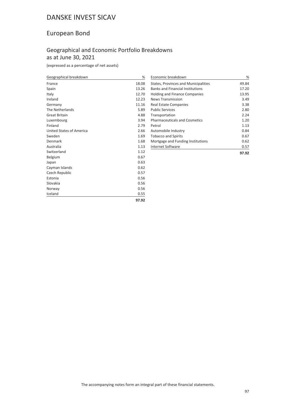### European Bond

#### Geographical and Economic Portfolio Breakdowns as at June 30, 2021

(expressed as a percentage of net assets)

| Geographical breakdown   | %     |
|--------------------------|-------|
| France                   | 18.08 |
| Spain                    | 13.26 |
| Italy                    | 12.70 |
| Ireland                  | 12.23 |
| Germany                  | 11.16 |
| The Netherlands          | 5.89  |
| <b>Great Britain</b>     | 4.88  |
| Luxembourg               | 3.94  |
| Finland                  | 2.79  |
| United States of America | 2.66  |
| Sweden                   | 1.69  |
| Denmark                  | 1.68  |
| Australia                | 1.13  |
| Switzerland              | 1.12  |
| Belgium                  | 0.67  |
| Japan                    | 0.63  |
| Cayman Islands           | 0.62  |
| Czech Republic           | 0.57  |
| Estonia                  | 0.56  |
| Slovakia                 | 0.56  |
| Norway                   | 0.56  |
| Iceland                  | 0.55  |
|                          | 97.92 |

| Economic breakdown                      | %     |
|-----------------------------------------|-------|
| States, Provinces and Municipalities    | 49.84 |
| <b>Banks and Financial Institutions</b> | 17.20 |
| <b>Holding and Finance Companies</b>    | 13.95 |
| News Transmission                       | 3.49  |
| Real Estate Companies                   | 3.38  |
| <b>Public Services</b>                  | 2.80  |
| Transportation                          | 2.24  |
| <b>Pharmaceuticals and Cosmetics</b>    | 1.20  |
| Petrol                                  | 1.13  |
| Automobile Industry                     | 0.84  |
| <b>Tobacco and Spirits</b>              | 0.67  |
| Mortgage and Funding Institutions       | 0.62  |
| Internet Software                       | 0.57  |
|                                         | 97.92 |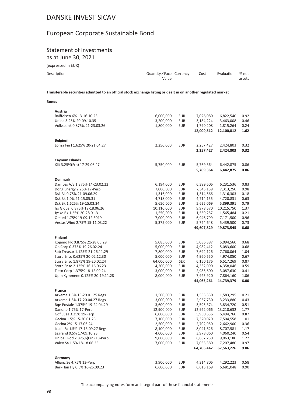### European Corporate Sustainable Bond

## **Statement of Investments**

as at June 30, 2021

(expressed in EUR)

**Bonds** 

| Description | Quantity/Face Currency<br>Value | Cost | Evaluation % net | assets |
|-------------|---------------------------------|------|------------------|--------|
|             |                                 |      |                  |        |

Transferable securities admitted to an official stock exchange listing or dealt in on another regulated market

| Austria                         |            |            |                         |                         |              |
|---------------------------------|------------|------------|-------------------------|-------------------------|--------------|
| Raiffeisen 6% 13-16.10.23       | 6,000,000  | EUR        | 7,026,080               | 6,822,540               | 0.92         |
| Uniqa 3.25% 20-09.10.35         | 3,200,000  | EUR        | 3,184,224               | 3,463,008               | 0.46         |
| Volksbank 0.875% 21-23.03.26    | 1,800,000  | EUR        | 1,790,208               | 1,815,264               | 0.24         |
|                                 |            |            | 12,000,512              | 12,100,812              | 1.62         |
| <b>Belgium</b>                  |            |            |                         |                         |              |
| Lonza Fin I 1.625% 20-21.04.27  | 2,250,000  | <b>EUR</b> | 2,257,427               | 2,424,803               | 0.32         |
|                                 |            |            | 2,257,427               | 2,424,803               | 0.32         |
| Cayman Islands                  |            |            |                         |                         |              |
| Xlit 3.25%(Frn) 17-29.06.47     | 5,750,000  | <b>EUR</b> | 5,769,364               | 6,442,875               | 0.86         |
|                                 |            |            | 5,769,364               | 6,442,875               | 0.86         |
| <b>Denmark</b>                  |            |            |                         |                         |              |
| Danfoss A/S 1.375% 14-23.02.22  | 6,194,000  | EUR        | 6,399,606               | 6,231,536               | 0.83         |
| Dong Energy 2.25% 17-Perp       | 7,000,000  | <b>EUR</b> | 7,345,159               | 7,313,250               | 0.98         |
| Dsk Bk 0.75% 21-09.06.29        | 1,316,000  | <b>EUR</b> | 1,314,566               | 1,316,303               | 0.18         |
| Dsk Bk 1.0% 21-15.05.31         | 4,718,000  | <b>EUR</b> | 4,714,155               | 4,720,831               | 0.63         |
| Dsk Bk 1.625% 19-15.03.24       | 5,650,000  | EUR        | 5,625,069               | 5,899,391               | 0.79         |
| Iss Global 0.875% 19-18.06.26   | 10,110,000 | <b>EUR</b> | 9,978,570               | 10,215,750              | 1.37         |
| Jyske Bk 1.25% 20-28.01.31      | 1,550,000  | <b>EUR</b> | 1,559,257               | 1,565,484               | 0.21         |
| Orsted 1.75% 19-09.12.3019      | 7,000,000  | EUR        | 6,946,799               | 7,171,500               | 0.96         |
| Vestas Wind 2.75% 15-11.03.22   | 5,375,000  | <b>EUR</b> | 5,724,648               | 5,439,500               | 0.73         |
|                                 |            |            | 49,607,829              | 49,873,545              | 6.68         |
| <b>Finland</b>                  |            |            |                         |                         |              |
| Kojamo Plc 0.875% 21-28.05.29   | 5,085,000  | EUR        | 5,036,387               | 5,094,560               | 0.68         |
| Op Corp 0.375% 19-26.02.24      | 5,000,000  | <b>EUR</b> | 4,982,412               | 5,083,600               | 0.68         |
| Sbb Treasur 1.125% 21-26.11.29  | 7,800,000  | EUR        | 7,692,126               | 7,760,064               | 1.04         |
| Stora Enso 0.625% 20-02.12.30   | 5,000,000  | EUR        | 4,960,550               | 4,974,050               | 0.67         |
| Stora Enso 1.875% 19-20.02.24   | 64,000,000 | <b>SEK</b> | 6,150,176               | 6,517,269               | 0.87         |
| Stora Enso 2.125% 16-16.06.23   | 4,200,000  | EUR        | 4,332,090               | 4,358,046               | 0.59         |
| Tieto Corp 1.375% 18-12.09.24   | 3,000,000  | EUR        | 2,985,600               | 3,087,630               | 0.41         |
| Upm Kymmene 0.125% 20-19.11.28  | 8,000,000  | <b>EUR</b> | 7,925,920               | 7,864,160               | 1.06         |
|                                 |            |            | 44,065,261              | 44,739,379              | 6.00         |
| France                          |            |            |                         |                         |              |
| Arkema 1.5% 15-20.01.25 Regs    | 1,500,000  | <b>EUR</b> | 1,555,350               | 1,583,295               | 0.21         |
| Arkema 1.5% 17-20.04.27 Regs    | 3,000,000  | <b>EUR</b> | 2,957,730               | 3,233,880               | 0.43         |
| Bqe Postale 1.375% 19-24.04.29  | 3,600,000  | EUR        | 3,595,374               | 3,834,720               | 0.51         |
| Danone 1.75% 17-Perp            | 12,900,000 | EUR        | 12,922,066              | 13,210,632              | 1.77         |
| Gdf Suez 3.25% 19-Perp          | 6,000,000  | <b>EUR</b> | 5,930,636               | 6,494,760               | 0.87         |
| Gecina 1.5% 15-20.01.25         | 7,100,000  | EUR        | 7,320,020               | 7,504,558               | 1.01         |
| Gecina 2% 15-17.06.24           | 2,500,000  | EUR        | 2,702,950               | 2,662,900               | 0.36         |
| Icade Sa 1.5% 17-13.09.27 Regs  | 8,100,000  | EUR        | 8,041,626               | 8,707,581               | 1.17         |
| Legrand 0.5% 17-09.10.23        | 4,000,000  | EUR        | 3,978,060               | 4,060,240               | 0.54         |
| Unibail Rod 2.875%(Frn) 18-Perp | 9,000,000  | EUR        | 8,667,250               | 9,063,180               | 1.22         |
| Valeo Sa 1.5% 18-18.06.25       | 7,000,000  | EUR        | 7,035,380<br>64,706,442 | 7,207,480<br>67,563,226 | 0.97<br>9.06 |
|                                 |            |            |                         |                         |              |
| Germany                         |            |            |                         |                         |              |
| Allianz Se 4.75% 13-Perp        | 3,900,000  | EUR        | 4,314,806               | 4,292,223               | 0.58         |
| Berl-Han Hy 0.5% 16-26.09.23    | 6,600,000  | EUR        | 6,615,169               | 6,681,048               | 0.90         |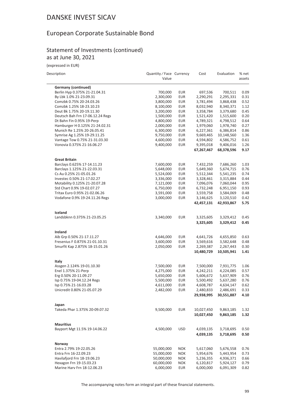### European Corporate Sustainable Bond

#### Statement of Investments (continued) as at June 30, 2021

(expressed in EUR)

| Description                       | Quantity / Face Currency<br>Value |            | Cost                    | Evaluation              | % net<br>assets |
|-----------------------------------|-----------------------------------|------------|-------------------------|-------------------------|-----------------|
| <b>Germany (continued)</b>        |                                   |            |                         |                         |                 |
| Berlin Hyp 0.375% 21-21.04.31     | 700,000                           | <b>EUR</b> | 697,536                 | 700,511                 | 0.09            |
| By Lbk 1.0% 21-23.09.31           | 2,300,000                         | <b>EUR</b> | 2,290,291               | 2,295,331               | 0.31            |
| Comzbk 0.75% 20-24.03.26          | 3,800,000                         | <b>EUR</b> | 3,781,494               | 3,868,438               | 0.52            |
| Comzbk 1.25% 18-23.10.23          | 8,100,000                         | <b>EUR</b> | 8,032,940               | 8,340,371               | 1.12            |
| Deut Bk 1.75% 20-19.11.30         | 3,200,000                         | <b>EUR</b> | 3,358,784               | 3,379,680               | 0.45            |
| Deutsch Bah Frn 17-06.12.24 Regs  | 1,500,000                         | <b>EUR</b> | 1,521,420               | 1,515,600               | 0.20            |
| Dt Bahn Fin 0.95% 19-Perp         | 4,800,000                         | <b>EUR</b> | 4,789,321               | 4,798,512               | 0.64            |
| Hamburger H 0.125% 21-24.02.31    | 2,000,000                         | <b>EUR</b> | 1,979,060               | 1,978,740               | 0.27            |
| Munich Re 1.25% 20-26.05.41       | 6,300,000                         | <b>EUR</b> | 6,227,361               | 6,386,814               | 0.86            |
| Symrise Ag 1.25% 19-29.11.25      | 9,750,000                         | <b>EUR</b> | 9,669,465               | 10,148,560              | 1.36            |
| Vantage Tow 0.75% 21-31.03.30     | 4,600,000                         | <b>EUR</b> | 4,594,802               | 4,586,752               | 0.61            |
| Vonovia 0.375% 21-16.06.27        | 9,400,000                         | <b>EUR</b> | 9,395,018<br>67,267,467 | 9,406,016<br>68,378,596 | 1.26<br>9.17    |
| <b>Great Britain</b>              |                                   |            |                         |                         |                 |
| Barclays 0.625% 17-14.11.23       | 7,600,000                         | EUR        | 7,432,259               | 7,686,260               | 1.03            |
| Barclays 1.125% 21-22.03.31       | 5,648,000                         | <b>EUR</b> | 5,649,360               | 5,674,715               | 0.76            |
| Cs Au 0.25% 21-05.01.26           | 5,524,000                         | <b>EUR</b> | 5,512,344               | 5,541,235               | 0.74            |
| Investec 0.50% 21-17.02.27        | 3,336,000                         | <b>EUR</b> | 3,328,461               | 3,315,884               | 0.44            |
| Motability 0.125% 21-20.07.28     | 7,121,000                         | <b>EUR</b> | 7,096,076               | 7,060,044               | 0.95            |
| Std Chart 0.9% 19-02.07.27        | 6,750,000                         | <b>EUR</b> | 6,732,248               | 6,951,150               | 0.93            |
| Tritax Euro 0.95% 21-02.06.26     | 3,591,000                         | <b>EUR</b> | 3,559,758               | 3,584,069               | 0.48            |
| Vodafone 0.9% 19-24.11.26 Regs    | 3,000,000                         | <b>EUR</b> | 3,146,625               | 3,120,510               | 0.42            |
|                                   |                                   |            | 42,457,131              | 42,933,867              | 5.75            |
| Iceland                           |                                   |            |                         |                         |                 |
| Landsbknn 0.375% 21-23.05.25      | 3,340,000                         | <b>EUR</b> | 3,325,605               | 3,329,412               | 0.45            |
|                                   |                                   |            | 3,325,605               | 3,329,412               | 0.45            |
| Ireland                           |                                   |            |                         |                         |                 |
| Aib Grp 0.50% 21-17.11.27         | 4,646,000                         | <b>EUR</b> | 4,641,726               | 4,655,850               | 0.63            |
| Fresenius F 0.875% 21-01.10.31    | 3,600,000                         | <b>EUR</b> | 3,569,616               | 3,582,648               | 0.48            |
| Smurfit Kap 2.875% 18-15.01.26    | 2,050,000                         | <b>EUR</b> | 2,269,387               | 2,267,443               | 0.30            |
|                                   |                                   |            | 10,480,729              | 10,505,941              | 1.41            |
| Italy                             |                                   |            |                         |                         |                 |
| Assgen 2.124% 19-01.10.30         | 7,500,000                         | EUR        | 7,500,000               | 7,931,775               | 1.06            |
| Enel 1.375% 21-Perp               | 4,275,000                         | <b>EUR</b> | 4,242,211               | 4,224,085               | 0.57            |
| Erg 0.50% 20-11.09.27             | 5,650,000                         | <b>EUR</b> | 5,606,672               | 5,637,909               | 0.76            |
| Isp 0.75% 19-04.12.24 Regs        | 5,500,000                         | <b>EUR</b> | 5,500,492               | 5,637,280               | 0.76            |
| Isp 0.75% 21-16.03.28             | 4,611,000                         | <b>EUR</b> | 4,608,787               | 4,634,147               | 0.62            |
| Unicredit 0.80% 21-05.07.29       | 2,482,000                         | <b>EUR</b> | 2,480,833               | 2,486,691               | 0.33            |
|                                   |                                   |            | 29,938,995              | 30,551,887              | 4.10            |
| Japan                             |                                   |            |                         |                         |                 |
| Takeda Phar 1.375% 20-09.07.32    | 9,500,000                         | <b>EUR</b> | 10,027,450              | 9,863,185               | 1.32            |
|                                   |                                   |            | 10,027,450              | 9,863,185               | 1.32            |
| <b>Mauritius</b>                  |                                   |            |                         |                         |                 |
| Bayport Mgt 11.5% 19-14.06.22     | 4,500,000                         | <b>USD</b> | 4,039,135<br>4,039,135  | 3,718,695<br>3,718,695  | 0.50<br>0.50    |
|                                   |                                   |            |                         |                         |                 |
| Norway<br>Entra 2.79% 19-22.05.26 | 55,000,000                        | <b>NOK</b> | 5,617,060               | 5,676,558               | 0.76            |
| Entra Frn 16-22.09.23             | 55,000,000                        | <b>NOK</b> | 5,954,676               | 5,443,954               | 0.73            |
| Havilafjord Frn 18-19.06.23       | 50,000,000                        | <b>NOK</b> | 5,236,355               | 4,936,371               | 0.66            |
| Hexagon Frn 19-15.03.23           | 60,000,000                        | <b>NOK</b> | 6,120,817               | 5,924,127               | 0.79            |
| Marine Harv Frn 18-12.06.23       | 6,000,000                         | <b>EUR</b> | 6,000,000               | 6,091,309               | 0.82            |
|                                   |                                   |            |                         |                         |                 |

The accompanying notes form an integral part of these financial statements.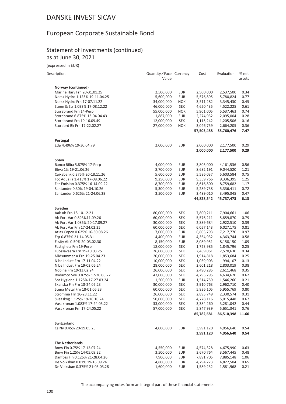### European Corporate Sustainable Bond

#### Statement of Investments (continued) as at June 30, 2021

| Description |  |
|-------------|--|

| Description                    | Quantity / Face Currency<br>Value |            | Cost       | Evaluation | % net<br>assets |
|--------------------------------|-----------------------------------|------------|------------|------------|-----------------|
| Norway (continued)             |                                   |            |            |            |                 |
| Marine Harv Frn 20-31.01.25    | 2,500,000                         | <b>EUR</b> | 2,500,000  | 2,537,500  | 0.34            |
| Norsk Hydro 1.125% 19-11.04.25 | 5,600,000                         | <b>EUR</b> | 5,576,895  | 5,780,824  | 0.77            |
| Norsk Hydro Frn 17-07.11.22    | 34,000,000                        | <b>NOK</b> | 3,511,282  | 3,345,430  | 0.45            |
| Steen & Str 1.093% 17-08.12.22 | 46,000,000                        | <b>SEK</b> | 4,650,435  | 4,522,225  | 0.61            |
| Storebrand Frn 14-Perp         | 55,000,000                        | <b>NOK</b> | 5,901,005  | 5,537,463  | 0.74            |
| Storebrand 6.875% 13-04.04.43  | 1,887,000                         | <b>EUR</b> | 2,274,932  | 2,095,004  | 0.28            |
| Storebrand Frn 19-16.09.49     | 12,000,000                        | <b>SEK</b> | 1,115,242  | 1,205,506  | 0.16            |
| Storebrd Bk Frn 17-22.02.27    | 27,000,000                        | <b>NOK</b> | 3,046,759  | 2,664,205  | 0.36            |
|                                |                                   |            | 57,505,458 | 55,760,476 | 7.47            |
| Portugal                       |                                   |            |            |            |                 |
| Edp 4.496% 19-30.04.79         | 2,000,000                         | EUR        | 2,000,000  | 2,177,500  | 0.29            |
|                                |                                   |            | 2,000,000  | 2,177,500  | 0.29            |
| <b>Spain</b>                   |                                   |            |            |            |                 |
| Banco Bilba 5.875% 17-Perp     | 4,000,000                         | <b>EUR</b> | 3,805,000  | 4,161,536  | 0.56            |
| Bbva 1% 19-21.06.26            | 8,700,000                         | <b>EUR</b> | 8,682,191  | 9,044,520  | 1.21            |
| Caixabank 0.375% 20-18.11.26   | 5,600,000                         | EUR        | 5,586,037  | 5,603,584  | 0.75            |
| Fcc Aqualia 1.413% 17-08.06.22 | 9,250,000                         | <b>EUR</b> | 9,359,766  | 9,336,395  | 1.25            |
| Fer Emision 0.375% 16-14.09.22 | 8,700,000                         | <b>EUR</b> | 8,616,800  | 8,759,682  | 1.17            |
| Santander 0.30% 19-04.10.26    | 5,300,000                         | <b>EUR</b> | 5,289,738  | 5,336,411  | 0.72            |
| Santander 0.625% 21-24.06.29   | 3,500,000                         | <b>EUR</b> | 3,489,010  | 3,495,345  | 0.47            |
|                                |                                   |            | 44,828,542 | 45,737,473 | 6.13            |
| Sweden                         |                                   |            |            |            |                 |
| Aak Ab Frn 18-10.12.21         | 80,000,000                        | <b>SEK</b> | 7,800,211  | 7,904,661  | 1.06            |
| Ab Fort Var 0.893%11.09.26     | 60,000,000                        | <b>SEK</b> | 5,576,211  | 5,859,870  | 0.79            |
| Ab Fort Var 1.085% 20-17.09.27 | 30,000,000                        | <b>SEK</b> | 2,889,684  | 2,922,510  | 0.39            |
| Ab Fort Var Frn 17-24.02.25    | 60,000,000                        | <b>SEK</b> | 6,057,143  | 6,027,175  | 0.81            |
| Atlas Copco 0.625% 16-30.08.26 | 7,000,000                         | <b>EUR</b> | 6,803,793  | 7,217,770  | 0.97            |
| Eqt 0.875% 21-14.05.31         | 4,400,000                         | <b>EUR</b> | 4,364,932  | 4,363,744  | 0.58            |
| Essity Ab 0.50% 20-03.02.30    | 8,150,000                         | <b>EUR</b> | 8,089,951  | 8,158,150  | 1.09            |
| Fastighets Frn 19-Perp         | 18,000,000                        | <b>SEK</b> | 1,723,985  | 1,845,796  | 0.25            |
| Luossavaara Frn 19-10.03.25    | 26,000,000                        | <b>SEK</b> | 2,469,061  | 2,570,630  | 0.34            |
| Midsummer A Frn 19-25.04.23    | 20,000,000                        | <b>SEK</b> | 1,914,818  | 1,853,684  | 0.25            |
| Nibe Indust Frn 17-11.04.22    | 10,000,000                        | SEK        | 1,039,903  | 994,107    | 0.13            |
| Nibe Indust Frn 19-03.06.24    | 28,000,000                        | SEK        | 2,601,218  | 2,803,019  | 0.38            |
| Nobina Frn 19-13.02.24         | 26,000,000                        | <b>SEK</b> | 2,490,285  | 2,611,468  | 0.35            |
| Rodamco Sve 0.875% 17-20.06.22 | 47,000,000                        | <b>SEK</b> | 4,795,795  | 4,634,670  | 0.62            |
| Sca Hygiene 1.125% 17-27.03.24 | 1,500,000                         | <b>EUR</b> | 1,514,759  | 1,546,260  | 0.21            |
| Skanska Fin Frn 18-24.05.23    | 30,000,000                        | <b>SEK</b> | 2,910,763  | 2,962,710  | 0.40            |
| Stena Metal Frn 18-01.06.23    | 60,000,000                        | <b>SEK</b> | 5,836,105  | 5,955,769  | 0.80            |
| Stromma Frn 16-28.11.22        | 26,000,000                        | <b>SEK</b> | 2,893,749  | 2,330,574  | 0.31            |
| Sveaskog 1.125% 19-16.10.24    | 50,000,000                        | <b>SEK</b> | 4,778,116  | 5,015,448  | 0.67            |
| Vasakronan 1.083% 17-24.05.22  | 33,000,000                        | <b>SEK</b> | 3,384,260  | 3,281,042  | 0.44            |
| Vasakronan Frn 17-24.05.22     | 57,000,000                        | <b>SEK</b> | 5,847,939  | 5,651,341  | 0.76            |
|                                |                                   |            | 85,782,681 | 86,510,398 | 11.60           |
| Switzerland                    |                                   |            |            |            |                 |
| Cs Ny 0.45% 20-19.05.25        | 4,000,000                         | <b>EUR</b> | 3,991,120  | 4,056,640  | 0.54            |
|                                |                                   |            | 3,991,120  | 4,056,640  | 0.54            |
| <b>The Netherlands</b>         |                                   |            |            |            |                 |
| Bmw Fin 0.75% 17-12.07.24      | 4,550,000                         | <b>EUR</b> | 4,574,328  | 4,675,990  | 0.63            |
| Bmw Fin 1.25% 14-05.09.22      | 3,500,000                         | <b>EUR</b> | 3,670,764  | 3,567,445  | 0.48            |
| Danfoss Fin 0.125% 21-28.04.26 | 7,900,000                         | <b>EUR</b> | 7,891,705  | 7,885,148  | 1.06            |
| De Volksban 0.01% 19-16.09.24  | 4,800,000                         | <b>EUR</b> | 4,794,723  | 4,827,504  | 0.65            |
| De Volksban 0.375% 21-03.03.28 | 1,600,000                         | <b>EUR</b> | 1,589,232  | 1,581,968  | 0.21            |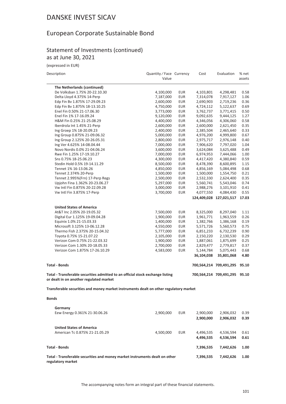### European Corporate Sustainable Bond

#### Statement of Investments (continued) as at June 30, 2021

(expressed in EUR)

| Description                                                                                                               | Quantity / Face Currency<br>Value |                   | Cost                    | Evaluation                    | % net<br>assets |
|---------------------------------------------------------------------------------------------------------------------------|-----------------------------------|-------------------|-------------------------|-------------------------------|-----------------|
| The Netherlands (continued)                                                                                               |                                   |                   |                         |                               |                 |
| De Volksban 1.75% 20-22.10.30                                                                                             | 4,100,000                         | <b>EUR</b>        | 4,103,801               | 4,298,481                     | 0.58            |
| Delta Lloyd 4.375% 14-Perp                                                                                                | 7,187,000                         | <b>EUR</b>        | 7,314,078               | 7,917,127                     | 1.06            |
| Edp Fin Bv 1.875% 17-29.09.23                                                                                             | 2,600,000                         | <b>EUR</b>        | 2,690,903               | 2,719,236                     | 0.36            |
| Edp Fin Bv 1.875% 18-13.10.25                                                                                             | 4,750,000                         | <b>EUR</b>        | 4,724,112               | 5,122,637                     | 0.69            |
| Enel Fin 0.50% 21-17.06.30                                                                                                | 3,773,000                         | EUR               | 3,762,737               | 3,771,415                     | 0.50            |
| Enel Fin 1% 17-16.09.24                                                                                                   | 9,120,000                         | <b>EUR</b>        | 9,092,635               | 9,444,125                     | 1.27            |
| H&M Fin 0.25% 21-25.08.29                                                                                                 | 4,400,000                         | <b>EUR</b>        | 4,346,056               | 4,306,060                     | 0.58            |
| Iberdrola Int 1.45% 21-Perp                                                                                               | 2,600,000                         | EUR               | 2,600,000               | 2,621,450                     | 0.35            |
| Ing Groep 1% 18-20.09.23                                                                                                  | 2,400,000                         | <b>EUR</b>        | 2,385,504               | 2,465,640                     | 0.33            |
| Ing Group 0.875% 21-09.06.32<br>Ing Group 2.125% 20-26.05.31                                                              | 5,000,000                         | <b>EUR</b><br>EUR | 4,976,200<br>2,975,717  | 4,999,800                     | 0.67<br>0.40    |
| Ing Ver 4.625% 14-08.04.44                                                                                                | 2,800,000<br>7,000,000            | <b>EUR</b>        | 7,906,620               | 2,976,148<br>7,797,020        | 1.04            |
| Novo Nordis 0.0% 21-04.06.24                                                                                              | 3,600,000                         | <b>EUR</b>        | 3,624,084               | 3,625,488                     | 0.49            |
| Rwe Fin 1.25% 17-19.10.27                                                                                                 | 7,000,000                         | <b>EUR</b>        | 6,974,953               | 7,444,066                     | 1.00            |
| Sns 0.75% 18-25.06.23                                                                                                     | 4,300,000                         | <b>EUR</b>        | 4,417,420               | 4,380,840                     | 0.59            |
| Stedin Hold 0.5% 19-14.11.29                                                                                              | 8,500,000                         | <b>EUR</b>        | 8,478,390               | 8,600,895                     | 1.15            |
| Tennet 1% 16-13.06.26                                                                                                     | 4,850,000                         | <b>EUR</b>        | 4,856,169               | 5,084,498                     | 0.68            |
| Tennet 2.374% 20-Perp                                                                                                     | 1,500,000                         | <b>EUR</b>        | 1,500,000               | 1,554,750                     | 0.21            |
| Tennet 2.995%(Frn) 17-Perp Regs                                                                                           | 2,500,000                         | EUR               | 2,532,330               | 2,624,400                     | 0.35            |
| Upjohn Fina 1.362% 20-23.06.27                                                                                            | 5,297,000                         | <b>EUR</b>        | 5,560,741               | 5,543,046                     | 0.74            |
| Vw Intl Fin 0.875% 20-22.09.28                                                                                            | 3,000,000                         | <b>EUR</b>        | 2,988,276               | 3,101,910                     | 0.41            |
| Vw Intl Fin 3.875% 17-Perp                                                                                                | 3,700,000                         | <b>EUR</b>        | 4,077,550               | 4,084,430                     | 0.55            |
|                                                                                                                           |                                   |                   |                         | 124,409,028 127,021,517       | 17.03           |
|                                                                                                                           |                                   |                   |                         |                               |                 |
| <b>United States of America</b>                                                                                           |                                   |                   |                         |                               |                 |
| At&T Inc 2.05% 20-19.05.32                                                                                                | 7,500,000                         | <b>EUR</b>        | 8,325,000               | 8,297,040                     | 1.11            |
| Digital Eur 1.125% 19-09.04.28                                                                                            | 1,900,000                         | <b>EUR</b>        | 1,961,771               | 1,963,559                     | 0.26            |
| Equinix 1.0% 21-15.03.33                                                                                                  | 1,400,000                         | <b>EUR</b>        | 1,382,766               | 1,386,168                     | 0.19            |
| Microsoft 3.125% 13-06.12.28                                                                                              | 4,550,000                         | <b>EUR</b>        | 5,571,726               | 5,560,573                     | 0.75            |
| Thermo Fish 2.375% 20-15.04.32                                                                                            | 5,777,000                         | <b>EUR</b>        | 6,851,233               | 6,732,239                     | 0.90            |
| Toyota 0.75% 15-21.07.22                                                                                                  | 2,105,000                         | <b>EUR</b>        | 2,150,220               | 2,130,530                     | 0.29            |
| Verizon Com 0.75% 21-22.03.32<br>Verizon Com 1.30% 20-18.05.33                                                            | 1,900,000                         | <b>EUR</b>        | 1,887,061               | 1,875,699                     | 0.25<br>0.37    |
|                                                                                                                           | 2,700,000                         | <b>EUR</b>        | 2,829,477               | 2,779,817                     |                 |
| Verizon Com 1.875% 17-26.10.29                                                                                            | 4,583,000                         | <b>EUR</b>        | 5,144,784<br>36,104,038 | 5,075,443<br>35,801,068       | 0.68<br>4.80    |
|                                                                                                                           |                                   |                   |                         |                               |                 |
| <b>Total - Bonds</b>                                                                                                      |                                   |                   |                         | 700,564,214 709,491,295       | 95.10           |
| Total - Transferable securities admitted to an official stock exchange listing<br>or dealt in on another regulated market |                                   |                   |                         | 700,564,214 709,491,295 95.10 |                 |
| Transferable securities and money market instruments dealt on other regulatory market                                     |                                   |                   |                         |                               |                 |
| <b>Bonds</b>                                                                                                              |                                   |                   |                         |                               |                 |
| Germany                                                                                                                   |                                   |                   |                         |                               |                 |
| Eew Energy 0.361% 21-30.06.26                                                                                             | 2,900,000                         | <b>EUR</b>        | 2,900,000               | 2,906,032                     | 0.39            |
|                                                                                                                           |                                   |                   | 2,900,000               | 2,906,032                     | 0.39            |
|                                                                                                                           |                                   |                   |                         |                               |                 |
| <b>United States of America</b>                                                                                           |                                   |                   |                         |                               |                 |
| American Tc 0.875% 21-21.05.29                                                                                            | 4,500,000                         | EUR               | 4,496,535               | 4,536,594                     | 0.61            |
|                                                                                                                           |                                   |                   | 4,496,535               | 4,536,594                     | 0.61            |
| <b>Total - Bonds</b>                                                                                                      |                                   |                   | 7,396,535               | 7,442,626                     | 1.00            |
| Total - Transferable securities and money market instruments dealt on other                                               |                                   |                   | 7,396,535               | 7,442,626                     | 1.00            |

**regulatory market**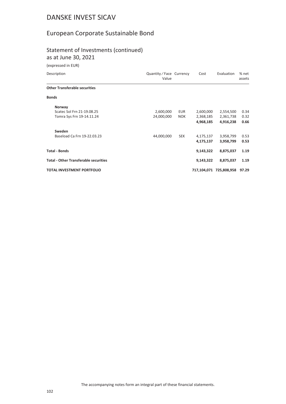### European Corporate Sustainable Bond

#### Statement of Investments (continued)

as at June 30, 2021

| Description                                  | Quantity / Face Currency<br>Value |            | Cost      | Evaluation              | % net<br>assets |
|----------------------------------------------|-----------------------------------|------------|-----------|-------------------------|-----------------|
| <b>Other Transferable securities</b>         |                                   |            |           |                         |                 |
| <b>Bonds</b>                                 |                                   |            |           |                         |                 |
| Norway                                       |                                   |            |           |                         |                 |
| Scatec Sol Frn 21-19.08.25                   | 2,600,000                         | EUR        | 2,600,000 | 2,554,500               | 0.34            |
| Tomra Sys Frn 19-14.11.24                    | 24,000,000                        | <b>NOK</b> | 2,368,185 | 2,361,738               | 0.32            |
|                                              |                                   |            | 4,968,185 | 4,916,238               | 0.66            |
| Sweden                                       |                                   |            |           |                         |                 |
| Baseload Ca Frn 19-22.03.23                  | 44,000,000                        | <b>SEK</b> | 4,175,137 | 3,958,799               | 0.53            |
|                                              |                                   |            | 4,175,137 | 3,958,799               | 0.53            |
| <b>Total - Bonds</b>                         |                                   |            | 9,143,322 | 8,875,037               | 1.19            |
| <b>Total - Other Transferable securities</b> |                                   |            | 9,143,322 | 8,875,037               | 1.19            |
| <b>TOTAL INVESTMENT PORTFOLIO</b>            |                                   |            |           | 717,104,071 725,808,958 | 97.29           |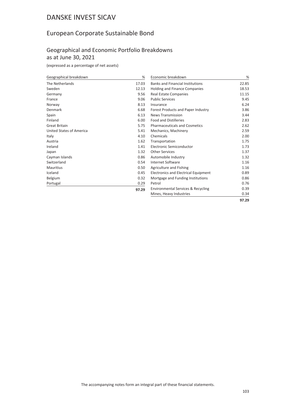### European Corporate Sustainable Bond

#### Geographical and Economic Portfolio Breakdowns as at June 30, 2021

(expressed as a percentage of net assets)

| Geographical breakdown   | %     | Economic breakdown                            | %     |
|--------------------------|-------|-----------------------------------------------|-------|
| The Netherlands          | 17.03 | <b>Banks and Financial Institutions</b>       | 22.85 |
| Sweden                   | 12.13 | Holding and Finance Companies                 | 18.53 |
| Germany                  | 9.56  | <b>Real Estate Companies</b>                  | 11.15 |
| France                   | 9.06  | <b>Public Services</b>                        | 9.45  |
| Norway                   | 8.13  | Insurance                                     | 6.24  |
| Denmark                  | 6.68  | Forest Products and Paper Industry            | 3.86  |
| Spain                    | 6.13  | <b>News Transmission</b>                      | 3.44  |
| Finland                  | 6.00  | <b>Food and Distilleries</b>                  | 2.83  |
| <b>Great Britain</b>     | 5.75  | <b>Pharmaceuticals and Cosmetics</b>          | 2.62  |
| United States of America | 5.41  | Mechanics, Machinery                          | 2.59  |
| Italy                    | 4.10  | Chemicals                                     | 2.00  |
| Austria                  | 1.62  | Transportation                                | 1.75  |
| Ireland                  | 1.41  | Electronic Semiconductor                      | 1.73  |
| Japan                    | 1.32  | <b>Other Services</b>                         | 1.37  |
| Cayman Islands           | 0.86  | Automobile Industry                           | 1.32  |
| Switzerland              | 0.54  | Internet Software                             | 1.16  |
| <b>Mauritius</b>         | 0.50  | Agriculture and Fishing                       | 1.16  |
| Iceland                  | 0.45  | Electronics and Electrical Equipment          | 0.89  |
| Belgium                  | 0.32  | Mortgage and Funding Institutions             | 0.86  |
| Portugal                 | 0.29  | Petrol                                        | 0.76  |
|                          | 97.29 | <b>Environmental Services &amp; Recycling</b> | 0.39  |
|                          |       | Mines, Heavy Industries                       | 0.34  |

**97.29**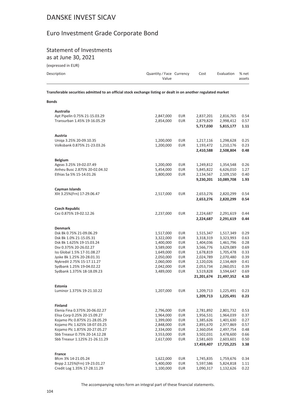### Euro Investment Grade Corporate Bond

# **Statement of Investments**

as at June 30, 2021

(expressed in EUR)

**Bonds** 

| Description | Quantity / Face Currency<br>Value | Cost | Evaluation % net | assets |
|-------------|-----------------------------------|------|------------------|--------|
|             |                                   |      |                  |        |

Transferable securities admitted to an official stock exchange listing or dealt in on another regulated market

| Australia                                  |                        |                   |                        |                        |              |
|--------------------------------------------|------------------------|-------------------|------------------------|------------------------|--------------|
| Apt Pipelin 0.75% 21-15.03.29              | 2,847,000              | <b>EUR</b>        | 2,837,201              | 2,816,765              | 0.54         |
| Transurban 1.45% 19-16.05.29               | 2,854,000              | <b>EUR</b>        | 2,879,829              | 2,998,412              | 0.57         |
|                                            |                        |                   | 5,717,030              | 5,815,177              | 1.11         |
| Austria                                    |                        |                   |                        |                        |              |
| Uniqa 3.25% 20-09.10.35                    | 1,200,000              | EUR               | 1,217,116              | 1,298,628              | 0.25         |
| Volksbank 0.875% 21-23.03.26               | 1,200,000              | <b>EUR</b>        | 1,193,472              | 1,210,176              | 0.23         |
|                                            |                        |                   | 2,410,588              | 2,508,804              | 0.48         |
| <b>Belgium</b>                             |                        |                   |                        |                        |              |
| Ageas 3.25% 19-02.07.49                    | 1,200,000              | <b>EUR</b>        | 1,249,812              | 1,354,548              | 0.26         |
| Anheu Busc 2.875% 20-02.04.32              | 5,454,000              | <b>EUR</b>        | 5,845,822              | 6,626,010              | 1.27         |
| Ethias Sa 5% 15-14.01.26                   | 1,800,000              | EUR               | 2,134,567              | 2,109,150              | 0.40         |
|                                            |                        |                   | 9,230,201              | 10,089,708             | 1.93         |
| Cayman Islands                             |                        |                   |                        |                        |              |
| Xlit 3.25%(Frn) 17-29.06.47                | 2,517,000              | <b>EUR</b>        | 2,653,276              | 2,820,299              | 0.54         |
|                                            |                        |                   | 2,653,276              | 2,820,299              | 0.54         |
| <b>Czech Republic</b>                      |                        |                   |                        |                        |              |
| Cez 0.875% 19-02.12.26                     | 2,237,000              | <b>EUR</b>        | 2,224,687              | 2,291,619              | 0.44         |
|                                            |                        |                   | 2,224,687              | 2,291,619              | 0.44         |
|                                            |                        |                   |                        |                        |              |
| <b>Denmark</b><br>Dsk Bk 0.75% 21-09.06.29 |                        |                   |                        |                        |              |
| Dsk Bk 1.0% 21-15.05.31                    | 1,517,000<br>3,322,000 | <b>EUR</b><br>EUR | 1,515,347<br>3,318,319 | 1,517,349<br>3,323,993 | 0.29<br>0.63 |
| Dsk Bk 1.625% 19-15.03.24                  | 1,400,000              | EUR               | 1,404,036              | 1,461,796              | 0.28         |
| Dsv 0.375% 20-26.02.27                     | 3,589,000              | EUR               | 3,566,776              | 3,629,089              | 0.69         |
| Iss Global 1.5% 17-31.08.27                | 1,649,000              | <b>EUR</b>        | 1,678,819              | 1,705,478              | 0.33         |
| Jyske Bk 1.25% 20-28.01.31                 | 2,050,000              | <b>EUR</b>        | 2,024,789              | 2,070,480              | 0.39         |
| Nykredit 2.75% 15-17.11.27                 | 2,060,000              | EUR               | 2,120,026              | 2,134,469              | 0.41         |
| Sydbank 1.25% 19-04.02.22                  | 2,042,000              | EUR               | 2,053,734              | 2,060,051              | 0.39         |
| Sydbank 1.375% 18-18.09.23                 | 3,489,000              | <b>EUR</b>        | 3,519,828              | 3,594,647              | 0.69         |
|                                            |                        |                   | 21,201,674             | 21,497,352             | 4.10         |
| Estonia                                    |                        |                   |                        |                        |              |
| Luminor 1.375% 19-21.10.22                 | 1,207,000              | <b>EUR</b>        | 1,209,713              | 1,225,491              | 0.23         |
|                                            |                        |                   | 1,209,713              | 1,225,491              | 0.23         |
| <b>Finland</b>                             |                        |                   |                        |                        |              |
| Elenia Fina 0.375% 20-06.02.27             | 2,796,000              | <b>EUR</b>        | 2,781,892              | 2,801,732              | 0.53         |
| Elisa Corp 0.25% 20-15.09.27               | 1,964,000              | <b>EUR</b>        | 1,956,531              | 1,964,039              | 0.37         |
| Kojamo Plc 0.875% 21-28.05.29              | 1,399,000              | EUR               | 1,385,626              | 1,401,630              | 0.27         |
| Kojamo Plc 1.625% 18-07.03.25              | 2,848,000              | EUR               | 2,891,670              | 2,977,869              | 0.57         |
| Kojamo Plc 1.875% 20-27.05.27              | 2,334,000              | EUR               | 2,360,054              | 2,497,754              | 0.48         |
| Sbb Treasur 0.75% 20-14.12.28              | 3,553,000              | EUR               | 3,502,031              | 3,478,600              | 0.66         |
| Sbb Treasur 1.125% 21-26.11.29             | 2,617,000              | <b>EUR</b>        | 2,581,603              | 2,603,601              | 0.50         |
|                                            |                        |                   | 17,459,407             | 17,725,225             | 3.38         |
| France                                     |                        |                   |                        |                        |              |
| Bfcm 3% 14-21.05.24                        | 1,622,000              | EUR               | 1,745,835              | 1,759,676              | 0.34         |
| Bnpp 2.125%(Frn) 19-23.01.27               | 5,400,000              | EUR               | 5,597,586              | 5,824,818              | 1.11         |
| Credit Log 1.35% 17-28.11.29               | 1,100,000              | <b>EUR</b>        | 1,090,317              | 1,132,626              | 0.22         |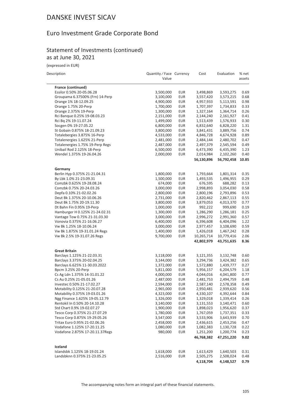### Euro Investment Grade Corporate Bond

#### Statement of Investments (continued) as at June 30, 2021

| Description |  |
|-------------|--|

| Description                                             | Quantity / Face Currency<br>Value |                          | Cost                 | Evaluation           | % net<br>assets |
|---------------------------------------------------------|-----------------------------------|--------------------------|----------------------|----------------------|-----------------|
| France (continued)                                      |                                   |                          |                      |                      |                 |
| Essilor 0.50% 20-05.06.28                               | 3,500,000                         | <b>EUR</b>               | 3,498,869            | 3,593,275            | 0.69            |
| Groupama 6.37500% (Frn) 14-Perp                         | 3,100,000                         | <b>EUR</b>               | 3,557,420            | 3,573,215            | 0.68            |
| Orange 1% 18-12.09.25                                   | 4,900,000                         | <b>EUR</b>               | 4,957,933            | 5,113,591            | 0.98            |
| Orange 1.75% 20-Perp                                    | 1,700,000                         | <b>EUR</b>               | 1,707,397            | 1,734,833            | 0.33            |
| Orange 2.375% 19-Perp                                   | 1,300,000                         | <b>EUR</b>               | 1,327,164            | 1,364,714            | 0.26            |
| Rci Banque 0.25% 19-08.03.23                            | 2,151,000                         | <b>EUR</b>               | 2,144,240            | 2,161,927            | 0.41            |
| Rci Bq 2% 19-11.07.24                                   | 1,499,000                         | <b>EUR</b>               | 1,513,439            | 1,576,933            | 0.30            |
| Socgen 0% 19-27.05.22                                   | 6,800,000                         | <b>EUR</b>               | 6,832,640            | 6,828,220            | 1.31            |
| St Gobain 0.875% 18-21.09.23                            | 3,800,000                         | <b>EUR</b>               | 3,841,431            | 3,889,756            | 0.74            |
| Totalebergies 3.875% 16-Perp                            | 4,533,000                         | <b>EUR</b>               | 4,846,728            | 4,674,928            | 0.89            |
| Totalenergies 1.625% 21-Perp                            | 2,481,000                         | EUR                      | 2,484,144            | 2,480,702            | 0.47            |
| Totalenergies 1.75% 19-Perp Regs                        | 2,487,000                         | <b>EUR</b>               | 2,497,379            | 2,545,594            | 0.49            |
| Unibail Rod 2.125% 18-Perp                              | 6,500,000                         | <b>EUR</b>               | 6,473,390            | 6,435,390            | 1.23            |
| Wendel 1.375% 19-26.04.26                               | 2,000,000                         | <b>EUR</b>               | 2,014,984            | 2,102,260            | 0.40            |
|                                                         |                                   |                          | 56,130,896           | 56,792,458           | 10.85           |
| Germany                                                 |                                   |                          |                      |                      |                 |
| Berlin Hyp 0.375% 21-21.04.31                           | 1,800,000                         | EUR                      | 1,793,664            | 1,801,314            | 0.35            |
| By Lbk 1.0% 21-23.09.31                                 | 1,500,000                         | <b>EUR</b>               | 1,493,535            | 1,496,955            | 0.29            |
| Comzbk 0.625% 19-28.08.24                               | 674,000                           | <b>EUR</b>               | 676,595              | 688,282              | 0.13            |
| Comzbk 0.75% 20-24.03.26                                | 3,000,000                         | <b>EUR</b>               | 2,998,893            | 3,054,030            | 0.58            |
| Depfa 0.10% 21-02.02.26                                 | 2,800,000                         | <b>EUR</b>               | 2,800,196            | 2,793,896            | 0.53            |
| Deut Bk 1.375% 20-10.06.26<br>Deut Bk 1.75% 20-19.11.30 | 2,731,000                         | <b>EUR</b>               | 2,820,462            | 2,867,113            | 0.55            |
| Dt Bahn Fin 0.95% 19-Perp                               | 3,800,000<br>1,000,000            | <b>EUR</b><br><b>EUR</b> | 3,879,053<br>992,222 | 4,013,370<br>999,690 | 0.77<br>0.19    |
| Hamburger H 0.125% 21-24.02.31                          | 1,300,000                         | <b>EUR</b>               | 1,286,290            | 1,286,181            | 0.25            |
| Vantage Tow 0.75% 21-31.03.30                           | 3,000,000                         | <b>EUR</b>               | 2,996,272            | 2,991,360            | 0.57            |
| Vonovia 0.375% 21-16.06.27                              | 6,400,000                         | <b>EUR</b>               | 6,396,608            | 6,404,096            | 1.22            |
| Vw Bk 1.25% 18-10.06.24                                 | 3,000,000                         | <b>EUR</b>               | 2,977,457            | 3,108,690            | 0.59            |
| Vw Bk 1.875% 19-31.01.24 Regs                           | 1,400,000                         | EUR                      | 1,426,018            | 1,467,242            | 0.28            |
| Vw Bk 2.5% 19-31.07.26 Regs                             | 9,700,000                         | <b>EUR</b>               | 10,265,714           | 10,779,416           | 2.06            |
|                                                         |                                   |                          | 42,802,979           | 43,751,635           | 8.36            |
| <b>Great Britain</b>                                    |                                   |                          |                      |                      |                 |
| Barclays 1.125% 21-22.03.31                             | 3,118,000                         | EUR                      | 3,121,355            | 3,132,748            | 0.60            |
| Barclays 3.375% 20-02.04.25                             | 3,144,000                         | <b>EUR</b>               | 3,294,736            | 3,424,382            | 0.65            |
| Barclays 6.625% 11-30.03.2022                           | 1,372,000                         | EUR                      | 1,572,880            | 1,439,777            | 0.27            |
| Bpcm 3.25% 20-Perp                                      | 5,811,000                         | EUR                      | 5,956,157            | 6,204,579            | 1.18            |
| Cs Ag Ldn 1.375% 14-31.01.22                            | 4,000,000                         | <b>EUR</b>               | 4,044,016            | 4,041,800            | 0.77            |
| Cs Au 0.25% 21-05.01.26                                 | 2,487,000                         | <b>EUR</b>               | 2,481,753            | 2,494,759            | 0.48            |
| Investec 0.50% 21-17.02.27                              | 2,594,000                         | <b>EUR</b>               | 2,587,140            | 2,578,358            | 0.49            |
| Motability 0.125% 21-20.07.28                           | 2,965,000                         | <b>EUR</b>               | 2,950,481            | 2,939,620            | 0.56            |
| Motability 0.375% 19-03.01.26                           | 4,323,000                         | <b>EUR</b>               | 4,330,107            | 4,392,644            | 0.84            |
| Ngg Finance 1.625% 19-05.12.79                          | 1,326,000                         | <b>EUR</b>               | 1,329,018            | 1,339,414            | 0.26            |
| Rentokil In 0.50% 20-14.10.28                           | 3,140,000                         | <b>EUR</b>               | 3,131,553            | 3,140,471            | 0.60            |
| Std Chart 0.9% 19-02.07.27                              | 1,900,000                         | <b>EUR</b>               | 1,898,023            | 1,956,620            | 0.37            |
| Tesco Corp 0.375% 21-27.07.29                           | 1,780,000                         | <b>EUR</b>               | 1,767,059            | 1,737,351            | 0.33            |
| Tesco Corp 0.875% 19-29.05.26                           | 3,547,000                         | <b>EUR</b>               | 3,533,906            | 3,643,939            | 0.70            |
| Tritax Euro 0.95% 21-02.06.26                           | 2,458,000                         | <b>EUR</b>               | 2,436,615            | 2,453,256            | 0.47            |
| Vodafone 1.125% 17-20.11.25                             | 1,080,000                         | <b>EUR</b>               | 1,082,383            | 1,130,728            | 0.22            |
| Vodafone 2.875% 17-20.11.37Regs                         | 980,000                           | <b>EUR</b>               | 1,251,200            | 1,200,774            | 0.23            |
|                                                         |                                   |                          | 46,768,382           | 47,251,220           | 9.02            |
| Iceland                                                 |                                   |                          |                      |                      |                 |
| Islandsbk 1.125% 18-19.01.24                            | 1,618,000                         | <b>EUR</b>               | 1,613,429            | 1,640,503            | 0.31            |
| Landsbknn 0.375% 21-23.05.25                            | 2,516,000                         | <b>EUR</b>               | 2,505,275            | 2,508,024            | 0.48            |
|                                                         |                                   |                          | 4,118,704            | 4,148,527            | 0.79            |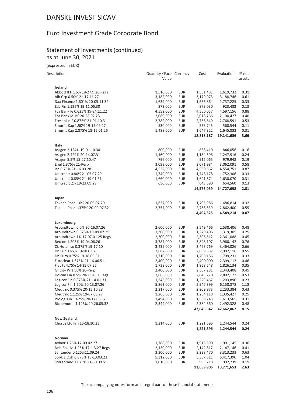### Euro Investment Grade Corporate Bond

#### Statement of Investments (continued) as at June 30, 2021

| Description                      | Quantity / Face Currency<br>Value |            | Cost       | Evaluation | % net<br>assets |
|----------------------------------|-----------------------------------|------------|------------|------------|-----------------|
| Ireland                          |                                   |            |            |            |                 |
| Abbott II F 1.5% 18-27.9.26 Regs | 1,510,000                         | <b>EUR</b> | 1,551,481  | 1,619,732  | 0.31            |
| Aib Grp 0.50% 21-17.11.27        | 3,182,000                         | <b>EUR</b> | 3,179,073  | 3,188,746  | 0.61            |
| Daa Finance 1.601% 20-05.11.32   | 1,639,000                         | <b>EUR</b> | 1,666,864  | 1,737,225  | 0.33            |
| Esb Fin 1.125% 19-11.06.30       | 873,000                           | <b>EUR</b> | 879,030    | 923,433    | 0.18            |
| Fca Bank le 0.625% 19-24.11.22   | 4,552,000                         | <b>EUR</b> | 4,560,057  | 4,597,156  | 0.88            |
| Fca Bank le 1% 20-28.02.23       | 2,089,000                         | <b>EUR</b> | 2,018,766  | 2,100,427  | 0.40            |
| Fresenius F 0.875% 21-01.10.31   | 2,782,000                         | <b>EUR</b> | 2,758,849  | 2,768,591  | 0.53            |
| Smurfit Kap 1.50% 19-15.09.27    | 530,000                           | <b>EUR</b> | 556,745    | 560,544    | 0.11            |
| Smurfit Kap 2.875% 18-15.01.26   | 1,488,000                         | <b>EUR</b> | 1,647,322  | 1,645,832  | 0.31            |
|                                  |                                   |            | 18,818,187 | 19,141,686 | 3.66            |
| Italy                            |                                   |            |            |            |                 |
| Assgen 2.124% 19-01.10.30        | 800,000                           | <b>EUR</b> | 838,410    | 846,056    | 0.16            |
| Assgen 2.429% 20-14.07.31        | 1,160,000                         | <b>EUR</b> | 1,184,596  | 1,247,916  | 0.24            |
| Assgen 5.5% 15-27.10.47          | 796,000                           | <b>EUR</b> | 912,065    | 979,948    | 0.19            |
| Enel 1.375% 21-Perp              | 3,099,000                         | <b>EUR</b> | 3,071,984  | 3,062,091  | 0.58            |
| Isp 0.75% 21-16.03.28            | 4,532,000                         | <b>EUR</b> | 4,530,662  | 4,554,751  | 0.87            |
| Unicredit 0.80% 21-05.07.29      | 1,749,000                         | <b>EUR</b> | 1,748,178  | 1,752,306  | 0.33            |
| Unicredit 0.85% 21-19.01.31      | 1,660,000                         | <b>EUR</b> | 1,641,574  | 1,630,070  | 0.31            |
| Unicredit 2% 19-23.09.29         | 650,000                           | <b>EUR</b> | 648,590    | 654,560    | 0.13            |
|                                  |                                   |            | 14,576,059 | 14,727,698 | 2.81            |
| Japan                            |                                   |            |            |            |                 |
| Takeda Phar 1.0% 20-09.07.29     | 1,637,000                         | <b>EUR</b> | 1,705,986  | 1,686,814  | 0.32            |
| Takeda Phar 1.375% 20-09.07.32   | 2,757,000                         | <b>EUR</b> | 2,788,539  | 2,862,400  | 0.55            |
|                                  |                                   |            | 4,494,525  | 4,549,214  | 0.87            |
| Luxembourg                       |                                   |            |            |            |                 |
| Aroundtown 0.0% 20-16.07.26      | 2,600,000                         | <b>EUR</b> | 2,549,466  | 2,538,406  | 0.48            |
| Aroundtown 0.625% 19-09.07.25    | 1,300,000                         | <b>EUR</b> | 1,279,406  | 1,319,305  | 0.25            |
| Aroundtown 1% 17-07.01.25 Regs   | 2,300,000                         | <b>EUR</b> | 2,306,512  | 2,361,088  | 0.45            |
| Becton 1.208% 19-04.06.26        | 3,787,000                         | <b>EUR</b> | 3,848,107  | 3,960,142  | 0.76            |
| Ck Hutchiso 0.375% 19-17.10      | 3,435,000                         | <b>EUR</b> | 3,423,769  | 3,464,026  | 0.66            |
| Dh Eur 0.45% 19-18.03.28         | 2,882,000                         | <b>EUR</b> | 2,869,587  | 2,902,116  | 0.55            |
| Dh Euro 0.75% 19-18.09.31        | 1,710,000                         | <b>EUR</b> | 1,705,186  | 1,709,231  | 0.33            |
| Euroclear 1.375% 21-16.06.51     | 2,400,000                         | <b>EUR</b> | 2,400,000  | 2,399,112  | 0.46            |
| Fiat Ft 4.75% 14-15.07.22        | 1,738,000                         | <b>EUR</b> | 1,858,548  | 1,826,134  | 0.35            |
| Gr City Pr 1.50% 20-Perp         | 2,400,000                         | <b>EUR</b> | 2,367,281  | 2,343,408  | 0.45            |
| Holcim Fin 0.5% 20-23.4.31 Regs  | 2,868,000                         | <b>EUR</b> | 2,843,720  | 2,802,122  | 0.53            |
| Logicor Fin 0.875% 21-14.01.31   | 1,245,000                         | <b>EUR</b> | 1,229,467  | 1,203,890  | 0.23            |
| Logicor Fin 1.50% 20-13.07.26    | 5,863,000                         | <b>EUR</b> | 5,946,399  | 6,158,378  | 1.18            |
| Medtrnc 0.375% 20-15.10.28       | 2,217,000                         | <b>EUR</b> | 2,209,973  | 2,233,384  | 0.43            |
| Medtrnc 1.125% 19-07.03.27       | 1,266,000                         | <b>EUR</b> | 1,284,118  | 1,335,427  | 0.25            |
| Prologis In 1.625% 20-17.06.32   | 1,494,000                         | <b>EUR</b> | 1,539,743  | 1,613,565  | 0.31            |
| Richemont   1.125% 20-26.05.32   | 2,344,000                         | <b>EUR</b> | 2,384,560  | 2,492,328  | 0.48            |
|                                  |                                   |            | 42,045,842 | 42,662,062 | 8.15            |
| <b>New Zealand</b>               |                                   |            |            |            |                 |
| Chorus Ltd Frn 16-18.10.23       | 1,214,000                         | <b>EUR</b> | 1,221,596  | 1,244,544  | 0.24            |
|                                  |                                   |            | 1,221,596  | 1,244,544  | 0.24            |
| Norway                           |                                   |            |            |            |                 |
| Avinor 1.25% 17-09.02.27         | 1,788,000                         | <b>EUR</b> | 1,915,590  | 1,901,145  | 0.36            |
| Dnb Bnk As 1.25% 17-1.3.27 Regs  | 2,130,000                         | EUR        | 2,142,817  | 2,147,146  | 0.41            |
| Santander 0.125%11.09.24         | 3,300,000                         | <b>EUR</b> | 3,238,470  | 3,313,233  | 0.63            |
| Spbk 1 Ostf 0.875% 18-13.03.23   | 5,312,000                         | <b>EUR</b> | 5,367,311  | 5,417,390  | 1.04            |
| Storebrand 1.875% 21-30.09.51    | 1,010,000                         | <b>EUR</b> | 995,718    | 992,739    | 0.19            |
|                                  |                                   |            | 13,659,906 | 13,771,653 | 2.63            |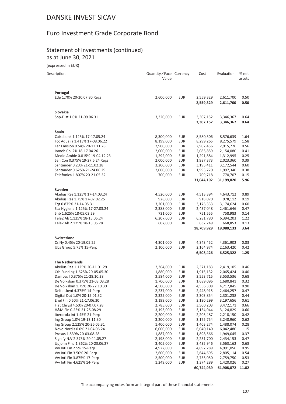### Euro Investment Grade Corporate Bond

#### Statement of Investments (continued) as at June 30, 2021

| Description                                                | Quantity / Face Currency<br>Value |                   | Cost                   | Evaluation             | % net<br>assets |
|------------------------------------------------------------|-----------------------------------|-------------------|------------------------|------------------------|-----------------|
| Portugal                                                   |                                   |                   |                        |                        |                 |
| Edp 1.70% 20-20.07.80 Regs                                 | 2,600,000                         | <b>EUR</b>        | 2,559,329              | 2,611,700              | 0.50            |
|                                                            |                                   |                   | 2,559,329              | 2,611,700              | 0.50            |
| Slovakia                                                   |                                   |                   |                        |                        |                 |
| Spp-Dist 1.0% 21-09.06.31                                  | 3,320,000                         | <b>EUR</b>        | 3,307,152<br>3,307,152 | 3,346,367<br>3,346,367 | 0.64<br>0.64    |
| Spain                                                      |                                   |                   |                        |                        |                 |
| Caixabank 1.125% 17-17.05.24                               | 8,300,000                         | <b>EUR</b>        | 8,580,506              | 8,576,639              | 1.64            |
| Fcc Aqualia 1.413% 17-08.06.22                             | 8,199,000                         | <b>EUR</b>        | 8,299,265              | 8,275,579              | 1.58            |
| Fer Emision 0.54% 20-12.11.28                              | 2,900,000                         | <b>EUR</b>        | 2,902,456              | 2,915,776              | 0.56            |
| Inmob Col 2% 18-17.04.26                                   | 2,000,000                         | <b>EUR</b>        | 2,085,859              | 2,154,080              | 0.41            |
| Medio Ambie 0.815% 19-04.12.23                             | 1,292,000                         | <b>EUR</b>        | 1,291,884              | 1,312,995              | 0.25            |
| San Con 0.375% 19-27.6.24 Regs                             | 2,000,000                         | <b>EUR</b>        | 1,987,373              | 2,023,360              | 0.39            |
| Santander 0.20% 21-11.02.28                                | 3,200,000                         | <b>EUR</b>        | 3,193,411              | 3,172,544              | 0.60            |
| Santander 0.625% 21-24.06.29                               | 2,000,000                         | <b>EUR</b>        | 1,993,720              | 1,997,340              | 0.38            |
| Telefonica 1.807% 20-21.05.32                              | 700,000                           | <b>EUR</b>        | 709,718                | 770,707                | 0.15            |
|                                                            |                                   |                   | 31,044,192             | 31,199,020             | 5.96            |
| Sweden                                                     |                                   |                   |                        |                        |                 |
| Akelius Res 1.125% 17-14.03.24                             | 4,520,000                         | <b>EUR</b>        | 4,513,394              | 4,643,712              | 0.89            |
| Akelius Res 1.75% 17-07.02.25                              | 928,000                           | <b>EUR</b>        | 918,070                | 978,112                | 0.19            |
| Eqt 0.875% 21-14.05.31                                     | 3,201,000                         | <b>EUR</b>        | 3,175,333              | 3,174,624              | 0.60            |
| Sca Hygiene 1.125% 17-27.03.24                             | 2,388,000                         | <b>EUR</b>        | 2,437,048              | 2,461,646              | 0.47            |
| Shb 1.625% 18-05.03.29                                     | 731,000                           | <b>EUR</b>        | 751,555                | 758,983                | 0.14            |
| Tele2 Ab 1.125% 18-15.05.24                                | 6,207,000                         | <b>EUR</b>        | 6,281,780              | 6,394,203              | 1.22            |
| Tele2 Ab 2.125% 18-15.05.28                                | 607,000                           | <b>EUR</b>        | 632,749<br>18,709,929  | 668,853<br>19,080,133  | 0.13<br>3.64    |
| <b>Switzerland</b>                                         |                                   |                   |                        |                        |                 |
| Cs Ny 0.45% 20-19.05.25                                    | 4,301,000                         | <b>EUR</b>        | 4,343,452              | 4,361,902              | 0.83            |
| Ubs Group 5.75% 15-Perp                                    | 2,100,000                         | <b>EUR</b>        | 2,164,974              | 2,163,420              | 0.42            |
|                                                            |                                   |                   | 6,508,426              | 6,525,322              | 1.25            |
| <b>The Netherlands</b>                                     |                                   |                   |                        |                        |                 |
| Akelius Res 1.125% 20-11.01.29                             | 2,364,000                         | <b>EUR</b>        | 2,371,183              | 2,419,105              | 0.46            |
| Crh Funding 1.625% 20-05.05.30                             | 1,880,000                         | <b>EUR</b>        | 1,915,132              | 2,065,424              | 0.40            |
| Danfoss I 0.375% 21-28.10.28                               | 3,584,000                         | <b>EUR</b>        | 3,553,715              | 3,553,536              | 0.68            |
| De Volksban 0.375% 21-03.03.28                             | 1,700,000                         | <b>EUR</b>        | 1,689,096              | 1,680,841              | 0.32            |
| De Volksban 1.75% 20-22.10.30                              | 4,500,000                         | EUR               | 4,556,308              | 4,717,845              | 0.90            |
| Delta Lloyd 4.375% 14-Perp                                 | 2,237,000                         | <b>EUR</b>        | 2,448,915              | 2,464,257              | 0.47            |
| Digital Dut 1.0% 20-15.01.32                               | 2,325,000                         | eur               | 2,303,854              | 2,301,238              | 0.44            |
| Enel Fin 0.50% 21-17.06.30                                 | 3,199,000                         | <b>EUR</b>        | 3,190,299              | 3,197,656              | 0.61            |
| Fiat Chrysl 4.50% 20-07.07.28                              | 2,785,000                         | <b>EUR</b>        | 3,500,203              | 3,472,171              | 0.66            |
| H&M Fin 0.25% 21-25.08.29                                  | 3,193,000                         | <b>EUR</b>        | 3,154,044              | 3,124,829              | 0.60            |
| Iberdrola Int 1.45% 21-Perp                                | 2,200,000                         | <b>EUR</b>        | 2,205,487              | 2,218,150              | 0.42            |
| Ing Group 1.0% 19-13.11.30<br>Ing Group 2.125% 20-26.05.31 | 3,200,000                         | <b>EUR</b><br>EUR | 3,175,754              | 3,240,960<br>1,488,074 | 0.62            |
| Novo Nordis 0.0% 21-04.06.24                               | 1,400,000<br>6,000,000            | <b>EUR</b>        | 1,403,274<br>6,040,140 | 6,042,480              | 0.28<br>1.15    |
| Prosus 1.539% 20-03.08.28                                  | 1,887,000                         | <b>EUR</b>        | 1,898,566              | 1,949,045              | 0.37            |
| Signify N.V 2.375% 20-11.05.27                             | 2,198,000                         | EUR               | 2,231,700              | 2,434,153              | 0.47            |
| Upjohn Fina 1.362% 20-23.06.27                             | 3,405,000                         | <b>EUR</b>        | 3,435,946              | 3,563,162              | 0.68            |
| Vw Intl Fin 2.5% 15-Perp                                   | 4,922,000                         | <b>EUR</b>        | 4,897,289              | 4,991,056              | 0.95            |
| Vw Intl Fin 3.50% 20-Perp                                  | 2,600,000                         | EUR               | 2,644,695              | 2,805,114              | 0.54            |
| Vw Intl Fin 3.875% 17-Perp                                 | 2,500,000                         | <b>EUR</b>        | 2,755,050              | 2,759,750              | 0.53            |
| Vw Intl Fin 4.625% 14-Perp                                 | 1,249,000                         | <b>EUR</b>        | 1,374,289              | 1,420,026              | 0.27            |
|                                                            |                                   |                   | 60,744,939             | 61,908,872             | 11.82           |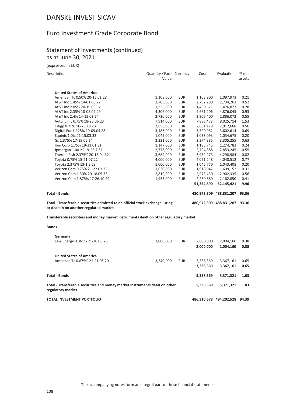### Euro Investment Grade Corporate Bond

#### Statement of Investments (continued) as at June 30, 2021

| Description                                                                                                               | Quantity / Face Currency<br>Value |            | Cost       | Evaluation                    | % net<br>assets |
|---------------------------------------------------------------------------------------------------------------------------|-----------------------------------|------------|------------|-------------------------------|-----------------|
| <b>United States of America</b>                                                                                           |                                   |            |            |                               |                 |
| American Tc 0.50% 20-15.01.28                                                                                             | 1,108,000                         | <b>EUR</b> | 1,103,900  | 1,097,973                     | 0.21            |
| At&T Inc 1.45% 14-01.06.22                                                                                                | 2,703,000                         | <b>EUR</b> | 2,752,290  | 2,734,263                     | 0.52            |
| At&T Inc 2.05% 20-19.05.32                                                                                                | 1,335,000                         | <b>EUR</b> | 1,460,571  | 1,476,873                     | 0.28            |
| At&T Inc 2.35% 18-05.09.29                                                                                                | 4,306,000                         | <b>EUR</b> | 4,661,206  | 4,876,045                     | 0.93            |
| At&T Inc 2.4% 14-15.03.24                                                                                                 | 2,720,000                         | <b>EUR</b> | 2,906,400  | 2,886,072                     | 0.55            |
| Autoliv Inc 0.75% 18-26.06.23                                                                                             | 7,914,000                         | EUR        | 7,888,473  | 8,025,714                     | 1.53            |
| Citigp 0.75% 16-26.10.23                                                                                                  | 2,858,000                         | <b>EUR</b> | 2,861,129  | 2,912,668                     | 0.56            |
| Digital Eur 1.125% 19-09.04.28                                                                                            | 3,486,000                         | <b>EUR</b> | 3,520,962  | 3,602,614                     | 0.69            |
| Equinix 1.0% 21-15.03.33                                                                                                  | 1,045,000                         | <b>EUR</b> | 1,033,093  | 1,034,675                     | 0.20            |
| Gs 1.375% 17-15.05.24                                                                                                     | 3,221,000                         | <b>EUR</b> | 3,274,385  | 3,305,255                     | 0.63            |
| Ibm Corp 1.75% 19-31.01.31                                                                                                | 1,147,000                         | <b>EUR</b> | 1,195,745  | 1,274,783                     | 0.24            |
| Jpmorgan 1.001% 19-25.7.31                                                                                                | 2,778,000                         | <b>EUR</b> | 2,794,888  | 2,853,245                     | 0.55            |
| Thermo Fish 2.375% 20-15.04.32                                                                                            | 3,689,000                         | <b>EUR</b> | 3,982,273  | 4,298,984                     | 0.82            |
| Toyota 0.75% 15-21.07.22                                                                                                  | 4,000,000                         | <b>EUR</b> | 4,051,248  | 4,048,512                     | 0.77            |
| Toyota 2.375% 13-1.2.23                                                                                                   | 1,000,000                         | <b>EUR</b> | 1,045,770  | 1,043,408                     | 0.20            |
| Verizon Com 0.75% 21-22.03.32                                                                                             | 1,630,000                         | EUR        | 1,618,047  | 1,609,152                     | 0.31            |
| Verizon Com 1.30% 20-18.05.33                                                                                             | 2,819,000                         | <b>EUR</b> | 2,973,430  | 2,902,335                     | 0.56            |
| Verizon Com 1.875% 17-26.10.29                                                                                            | 1,953,000                         | <b>EUR</b> | 2,230,880  | 2,162,850                     | 0.41            |
|                                                                                                                           |                                   |            | 51,354,690 | 52,145,421                    | 9.96            |
| <b>Total - Bonds</b>                                                                                                      |                                   |            |            | 480,972,309 488,831,207       | 93.36           |
| Total - Transferable securities admitted to an official stock exchange listing<br>or dealt in on another regulated market |                                   |            |            | 480,972,309 488,831,207 93.36 |                 |
| Transferable securities and money market instruments dealt on other regulatory market                                     |                                   |            |            |                               |                 |
|                                                                                                                           |                                   |            |            |                               |                 |
| <b>Bonds</b>                                                                                                              |                                   |            |            |                               |                 |
| Germany                                                                                                                   |                                   |            |            |                               |                 |
| Eew Energy 0.361% 21-30.06.26                                                                                             | 2,000,000                         | <b>EUR</b> | 2,000,000  | 2,004,160                     | 0.38            |
|                                                                                                                           |                                   |            | 2,000,000  | 2,004,160                     | 0.38            |
| <b>United States of America</b>                                                                                           |                                   |            |            |                               |                 |
| American Tc 0.875% 21-21.05.29                                                                                            | 3,340,000                         | <b>EUR</b> | 3,338,369  | 3,367,161                     | 0.65            |
|                                                                                                                           |                                   |            | 3,338,369  | 3,367,161                     | 0.65            |
| <b>Total - Bonds</b>                                                                                                      |                                   |            | 5,338,369  | 5,371,321                     | 1.03            |
| Total - Transferable securities and money market instruments dealt on other<br>regulatory market                          |                                   |            | 5,338,369  | 5,371,321                     | 1.03            |
| <b>TOTAL INVESTMENT PORTFOLIO</b>                                                                                         |                                   |            |            | 486,310,678 494,202,528 94.39 |                 |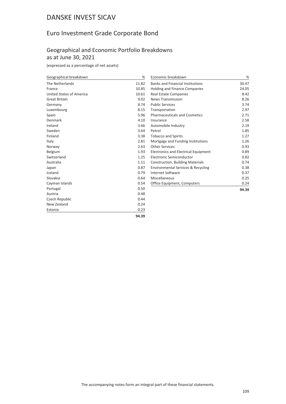# Euro Investment Grade Corporate Bond

### Geographical and Economic Portfolio Breakdowns as at June 30, 2021

(expressed as a percentage of net assets)

| Geographical breakdown   | %     | Economic breakdown                            |       |
|--------------------------|-------|-----------------------------------------------|-------|
| The Netherlands          | 11.82 | <b>Banks and Financial Institutions</b>       | 30.47 |
| France                   | 10.85 | <b>Holding and Finance Companies</b>          | 24.05 |
| United States of America | 10.61 | <b>Real Estate Companies</b>                  | 8.42  |
| <b>Great Britain</b>     | 9.02  | <b>News Transmission</b>                      | 8.26  |
| Germany                  | 8.74  | <b>Public Services</b>                        | 3.74  |
| Luxembourg               | 8.15  | Transportation                                | 2.97  |
| Spain                    | 5.96  | <b>Pharmaceuticals and Cosmetics</b>          | 2.71  |
| Denmark                  | 4.10  | Insurance                                     | 2.58  |
| Ireland                  | 3.66  | Automobile Industry                           | 2.19  |
| Sweden                   | 3.64  | Petrol                                        | 1.85  |
| Finland                  | 3.38  | <b>Tobacco and Spirits</b>                    | 1.27  |
| Italy                    | 2.81  | Mortgage and Funding Institutions             | 1.26  |
| Norway                   | 2.63  | <b>Other Services</b>                         | 0.93  |
| Belgium                  | 1.93  | <b>Electronics and Electrical Equipment</b>   | 0.89  |
| Switzerland              | 1.25  | Electronic Semiconductor                      | 0.82  |
| Australia                | 1.11  | Construction, Building Materials              | 0.74  |
| Japan                    | 0.87  | <b>Environmental Services &amp; Recycling</b> | 0.38  |
| Iceland                  | 0.79  | Internet Software                             | 0.37  |
| Slovakia                 | 0.64  | Miscellaneous                                 | 0.25  |
| Cayman Islands           | 0.54  | Office Equipment, Computers                   | 0.24  |
| Portugal                 | 0.50  |                                               | 94.39 |
| Austria                  | 0.48  |                                               |       |
| Czech Republic           | 0.44  |                                               |       |
| New Zealand              | 0.24  |                                               |       |
| Estonia                  | 0.23  |                                               |       |

**94.39**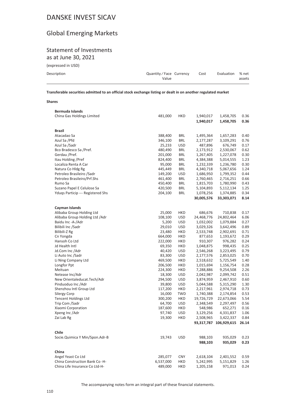# Global Emerging Markets

### Statement of Investments as at June 30, 2021

(expressed in USD)

| <b>ICYNICSSCA III ASNI</b> |                                 |      |                  |        |
|----------------------------|---------------------------------|------|------------------|--------|
| Description                | Quantity/Face Currency<br>Value | Cost | Evaluation % net | assets |
|                            |                                 |      |                  |        |

**Transferable securities admitted to an official stock exchange listing or dealt in on another regulated market**

#### **Shares**

| <b>Bermuda Islands</b>            |           |            |            |                              |      |
|-----------------------------------|-----------|------------|------------|------------------------------|------|
| China Gas Holdings Limited        | 481,000   | HKD        | 1,940,017  | 1,458,705                    | 0.36 |
|                                   |           |            | 1,940,017  | 1,458,705                    | 0.36 |
|                                   |           |            |            |                              |      |
| Brazil                            |           |            |            |                              |      |
| Atacadao Sa                       | 388,400   | BRL        | 1,495,364  | 1,657,283                    | 0.40 |
| Azul Sa /Pfd                      | 346,100   | BRL        | 2,177,287  | 3,109,291                    | 0.76 |
| Azul Sa /Sadr                     | 25,233    | USD        | 487,896    | 676,749                      | 0.17 |
| Bco Bradesco Sa /Pref.            | 480,490   | <b>BRL</b> | 2,173,912  | 2,530,067                    | 0.62 |
| Gerdau /Pref.                     | 201,000   | <b>BRL</b> | 1,267,405  | 1,227,078                    | 0.30 |
| Itau Holding / Pref               | 824,400   | <b>BRL</b> | 4,384,388  | 5,014,555                    | 1.23 |
| Localiza Renta A Car              | 95,000    | BRL        | 1,232,339  | 1,236,780                    | 0.30 |
| Natura Co Hldg Rg                 | 445,449   | BRL        | 4,340,718  | 5,067,656                    | 1.24 |
| Petroleo Brasileiro / Sadr        | 149,200   | USD        | 1,686,950  | 1,799,352                    | 0.44 |
| Petroleo Brasileiro/Prf.Shs       | 461,400   | BRL        | 2,760,465  | 2,716,251                    | 0.66 |
| Rumo Sa                           | 450,400   | BRL        | 1,815,703  | 1,780,990                    | 0.43 |
| Suzano Papel E Celulose Sa        | 420,500   | BRL        | 5,104,893  | 5,112,134                    | 1.25 |
| Yduqs Particip --- Registered Shs | 204,100   | BRL        | 1,078,256  | 1,374,885                    | 0.34 |
|                                   |           |            | 30,005,576 | 33,303,071                   | 8.14 |
|                                   |           |            |            |                              |      |
| Cayman Islands                    |           |            |            |                              |      |
| Alibaba Group Holding Ltd         | 25,000    | <b>HKD</b> | 686,676    | 710,838                      | 0.17 |
| Alibaba Group Holding Ltd / Adr   | 108,100   | USD        | 24,468,776 | 24,802,464                   | 6.06 |
| Baidu Inc -A-/Adr                 | 5,200     | USD        | 1,032,002  | 1,079,884                    | 0.27 |
| Bilibili Inc /Sadr                | 29,010    | USD        | 3,029,326  | 3,642,496                    | 0.89 |
| Bilibili-Z Rg                     | 23,480    | HKD        | 2,533,748  | 2,902,691                    | 0.71 |
| Cn Yongda                         | 664,000   | <b>HKD</b> | 877,653    | 1,193,672                    | 0.29 |
| Hansoh Co Ltd                     | 222,000   | HKD        | 910,307    | 976,282                      | 0.24 |
| Jd Health Intl                    | 69,350    | HKD        | 1,048,875  | 998,435                      | 0.25 |
| Jd.Com Inc /Adr                   | 40,420    | USD        | 2,546,268  | 3,223,495                    | 0.79 |
| Li Auto Inc /Sadr                 | 83,300    | USD        | 2,177,576  | 2,853,025                    | 0.70 |
| Li Ning Company Ltd               | 469,500   | <b>HKD</b> | 2,518,632  | 5,725,549                    | 1.40 |
| Longfor Ppt                       | 206,500   | <b>HKD</b> | 1,015,694  | 1,156,754                    | 0.28 |
| Meituan                           | 224,300   | <b>HKD</b> | 7,288,886  | 9,254,508                    | 2.26 |
| Netease Inc/Adr                   | 18,300    | <b>USD</b> | 2,042,987  | 2,099,742                    | 0.51 |
| New Orientaleducat.Tech/Adr       | 294,500   | USD        | 3,874,959  | 2,467,910                    | 0.60 |
| Pinduoduo Inc / Adr               | 39,800    | USD        | 5,044,588  | 5,315,290                    | 1.30 |
| Shenzhou Intl Group Ltd           | 117,200   | HKD        | 2,217,961  | 2,974,718                    | 0.73 |
| Silergy Corp                      | 16,000    | TWD        | 1,740,388  | 2,174,854                    | 0.53 |
| <b>Tencent Holdings Ltd</b>       | 300,200   | HKD        | 19,726,729 | 22,673,066                   | 5.54 |
| Trip Com /Sadr                    | 64,700    | <b>USD</b> | 2,348,549  | 2,297,497                    | 0.56 |
| Xiaomi Corporation                | 187,600   | HKD        | 548,986    | 652,271                      | 0.16 |
| Xpeng Inc/Adr                     | 97,740    | USD        | 3,129,256  | 4,331,837                    | 1.06 |
| Zai Lab Rg                        |           | HKD        |            | 3,422,337                    | 0.84 |
|                                   | 19,300    |            | 2,508,965  |                              |      |
|                                   |           |            |            | 93,317,787 106,929,615 26.14 |      |
| Chile                             |           |            |            |                              |      |
| Socie.Quimica Y Min/Spon.Adr-B    | 19,743    | USD        | 988,103    | 935,029                      | 0.23 |
|                                   |           |            |            |                              | 0.23 |
|                                   |           |            | 988,103    | 935,029                      |      |
| China                             |           |            |            |                              |      |
| Angel Yeast Co Ltd                | 285,077   | <b>CNY</b> | 2,618,104  | 2,401,552                    | 0.59 |
| China Construction Bank Co-H-     | 6,537,000 | HKD        | 5,242,995  | 5,151,829                    | 1.26 |
| China Life Insurance Co Ltd-H-    | 489,000   | <b>HKD</b> | 1,205,158  | 971,013                      | 0.24 |
|                                   |           |            |            |                              |      |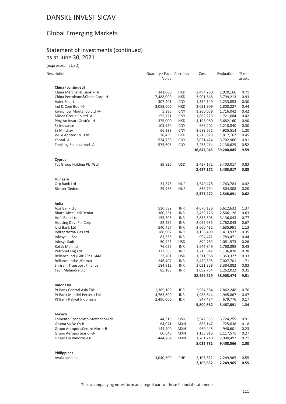# Global Emerging Markets

### Statement of Investments (continued) as at June 30, 2021

(expressed in USD)

| Description |  |  |
|-------------|--|--|
|             |  |  |

 $\overline{\phantom{a}}$ 

| Description                    | Quantity / Face Currency<br>Value |            | Cost       | Evaluation | % net<br>assets |
|--------------------------------|-----------------------------------|------------|------------|------------|-----------------|
| China (continued)              |                                   |            |            |            |                 |
| China Merchants Bank /-H-      | 341,000                           | HKD        | 2,494,260  | 2,920,166  | 0.71            |
| China Petroleum&Chem Corp -H-  | 7,488,000                         | HKD        | 3,901,648  | 3,799,213  | 0.93            |
| Haier Smart                    | 307,401                           | <b>CNY</b> | 1,334,149  | 1,233,853  | 0.30            |
| Ind & Com Boc -H-              | 3,059,000                         | HKD        | 2,091,909  | 1,800,227  | 0.44            |
| Kweichow Moutai Co Ltd -A-     | 5,386                             | <b>CNY</b> | 1,260,059  | 1,716,042  | 0.42            |
| Midea Group Co Ltd -A-         | 155,721                           | <b>CNY</b> | 1,662,273  | 1,721,684  | 0.42            |
| Ping An Insur.(Grp)Co -H-      | 375,000                           | <b>HKD</b> | 4,198,980  | 3,682,160  | 0.90            |
| Sz Inovance                    | 105,950                           | <b>CNY</b> | 666,202    | 1,218,840  | 0.30            |
| Sz Mindray                     | 66,233                            | <b>CNY</b> | 3,683,551  | 4,925,514  | 1.20            |
| Wuxi Apptec Co Ltd.            | 78,439                            | HKD        | 1,213,819  | 1,817,167  | 0.45            |
| Yantai - A-                    | 534,750                           | <b>CNY</b> | 3,021,424  | 3,702,960  | 0.91            |
| Zhejiang Sanhua Intel -A-      | 575,698                           | <b>CNY</b> | 2,253,414  | 2,138,625  | 0.52            |
|                                |                                   |            | 36,847,945 | 39,200,845 | 9.59            |
| <b>Cyprus</b>                  |                                   |            |            |            |                 |
| Tcs Group Holding Plc /Gdr     | 39,820                            | <b>USD</b> | 2,427,172  | 3,403,017  | 0.83            |
|                                |                                   |            | 2,427,172  | 3,403,017  | 0.83            |
| <b>Hungary</b>                 |                                   |            |            |            |                 |
| Otp Bank Ltd                   | 31,576                            | <b>HUF</b> | 1,540,478  | 1,743,783  | 0.42            |
| Richter Gedeon                 | 29,935                            | <b>HUF</b> | 836,794    | 804,308    | 0.20            |
|                                |                                   |            | 2,377,272  | 2,548,091  | 0.62            |
| India                          |                                   |            |            |            |                 |
| Axis Bank Ltd                  | 550,582                           | INR        | 4,670,136  | 5,612,632  | 1.37            |
| Bharti Airtel Ltd/Demat        | 360,251                           | INR        | 2,439,126  | 2,566,126  | 0.63            |
| <b>Hdfc Bank Ltd</b>           | 155,505                           | INR        | 2,838,505  | 3,136,043  | 0.77            |
| Housing Devt Fin Corp          | 82,257                            | INR        | 2,095,935  | 2,762,043  | 0.67            |
| Icici Bank Ltd                 | 540,457                           | INR        | 3,660,482  | 4,635,991  | 1.13            |
| Indraprastha Gas Ltd           | 188,907                           | INR        | 1,158,409  | 1,413,937  | 0.35            |
| Infosys --- Shs                | 83,535                            | INR        | 994,471    | 1,783,471  | 0.44            |
| Infosys Sadr                   | 50,423                            | USD        | 894,789    | 1,081,573  | 0.26            |
| Kotak Mahind                   | 76,056                            | <b>INR</b> | 1,647,849  | 1,768,898  | 0.43            |
| Petronet Lng Ltd               | 373,389                           | INR        | 1,213,842  | 1,136,828  | 0.28            |
| Reliance Ind./Gdr 2Shs 144A    | 23,701                            | USD        | 1,311,968  | 1,353,327  | 0.33            |
| Reliance Indus./Demat          | 246,407                           | INR        | 5,459,895  | 7,007,701  | 1.71            |
| Shriram Transport Finance      | 184,912                           | INR        | 3,021,358  | 3,384,882  | 0.83            |
| Tech Mahindra Ltd              | 85,189                            | <b>INR</b> | 1,092,754  | 1,262,022  | 0.31            |
|                                |                                   |            | 32,499,519 | 38,905,474 | 9.51            |
| Indonesia                      |                                   |            |            |            |                 |
| Pt Bank Central Asia Tbk       | 1,369,100                         | IDR        | 2,964,584  | 2,862,248  | 0.70            |
| Pt Bank Mandiri Persero Tbk    | 4,763,800                         | idr        | 1,988,644  | 1,945,867  | 0.47            |
| Pt Bank Rakyat Indonesia       | 2,490,000                         | idr        | 847,454    | 679,776    | 0.17            |
|                                |                                   |            | 5,800,682  | 5,487,891  | 1.34            |
| Mexico                         |                                   |            |            |            |                 |
| Fomento Economico Mexicano/Adr | 44,310                            | <b>USD</b> | 3,542,533  | 3,724,255  | 0.91            |
| Gruma Sa De Cv B               | 64,071                            | <b>MXN</b> | 686,147    | 725,638    | 0.18            |
| Grupo Aeroport.Centro Norte-B- | 144,400                           | MXN        | 969,445    | 940,601    | 0.23            |
| Grupo Aeroportuario -B-        | 60,640                            | <b>MXN</b> | 1,135,916  | 1,117,575  | 0.27            |
| Grupo Fin Banorte -O-          | 444,764                           | <b>MXN</b> | 1,701,740  | 2,900,497  | 0.71            |
|                                |                                   |            | 8,035,781  | 9,408,566  | 2.30            |
| <b>Philippines</b>             |                                   |            |            |            |                 |
| Ayala Land Inc.                | 3,040,500                         | PHP        | 2,106,832  | 2,249,965  | 0.55            |
|                                |                                   |            | 2,106,832  | 2,249,965  | 0.55            |

The accompanying notes form an integral part of these financial statements.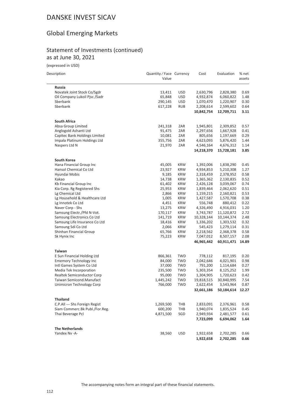# Global Emerging Markets

### Statement of Investments (continued) as at June 30, 2021

(expressed in USD)

| Description |  |  |
|-------------|--|--|

i.

| scription                      | Quantity / Face Currency |            | Cost       | Evaluation       | % net  |
|--------------------------------|--------------------------|------------|------------|------------------|--------|
|                                | Value                    |            |            |                  | assets |
| <b>Russia</b>                  |                          |            |            |                  |        |
| Novatek Joint Stock Co/Sgdr    | 13,411                   | <b>USD</b> | 2,630,796  | 2,828,380        | 0.69   |
| Oil Company Lukoil Pjsc /Sadr  | 65,848                   | USD        | 4,932,874  | 6,060,822        | 1.48   |
| Sberbank                       | 290,145                  | <b>USD</b> | 1,070,470  | 1,220,907        | 0.30   |
| Sberbank                       | 617,228                  | <b>RUB</b> | 2,208,614  | 2,599,602        | 0.64   |
|                                |                          |            | 10,842,754 | 12,709,711       | 3.11   |
| <b>South Africa</b>            |                          |            |            |                  |        |
| Absa Group Limited             | 241,318                  | ZAR        | 1,945,801  | 2,309,852        | 0.57   |
| Anglogold Ashanti Ltd          | 91,475                   | ZAR        | 2,297,656  | 1,667,928        | 0.41   |
| Capitec Bank Holdings Limited  | 10,081                   | ZAR        | 805,656    | 1,197,669        | 0.29   |
| Impala Platinum Holdings Ltd   | 355,756                  | ZAR        | 4,623,093  | 5,876,420        | 1.44   |
| Naspers Ltd N                  | 21,970                   | ZAR        | 4,546,164  | 4,676,312        | 1.14   |
|                                |                          |            | 14,218,370 | 15,728,181       | 3.85   |
| South Korea                    |                          |            |            |                  |        |
| Hana Financial Group Inc       | 45,005                   | <b>KRW</b> | 1,392,006  | 1,838,290        | 0.45   |
| Hansol Chemical Co Ltd         | 23,927                   | KRW        | 4,934,853  | 5,210,308        | 1.27   |
| Hyundai Mobis                  | 9,185                    | KRW        | 2,318,459  | 2,378,952        | 0.58   |
| Kakao                          | 14,738                   | <b>KRW</b> | 1,365,362  | 2,130,835        | 0.52   |
| Kb Financial Group Inc         | 61,402                   | <b>KRW</b> | 2,426,128  | 3,039,067        | 0.74   |
| Kia Corp. Rg Registered Shs    | 25,953                   | KRW        | 1,839,464  | 2,062,620        | 0.51   |
| Lg Chemical Ltd                | 2,866                    | <b>KRW</b> | 1,159,215  | 2,160,821        | 0.53   |
| Lg Household & Healthcare Ltd  | 1,005                    | <b>KRW</b> | 1,427,587  | 1,570,708        | 0.38   |
| Lg Innotek Co Ltd              | 4,451                    | <b>KRW</b> | 556,748    | 880,412          | 0.22   |
| Naver Corp - Shs               | 13,275                   | <b>KRW</b> | 4,326,490  | 4,916,031        | 1.20   |
| Samsung Electr./Pfd N-Vot.     | 170,117                  | <b>KRW</b> | 3,743,787  | 11,120,872       | 2.72   |
| Samsung Electronics Co Ltd     | 141,719                  | <b>KRW</b> | 10,328,144 | 10,144,374       | 2.48   |
| Samsung Life Insurance Co Ltd  | 18,416                   | <b>KRW</b> | 1,336,202  | 1,303,532        | 0.32   |
| Samsung Sdi Co Ltd             | 2,066                    | <b>KRW</b> | 545,423    | 1,279,114        | 0.31   |
| Shinhan Financial Group        | 65,766                   | KRW        | 2,218,562  | 2,368,378        | 0.58   |
| Sk Hynix Inc                   | 75,223                   | <b>KRW</b> | 7,047,012  | 8,507,157        | 2.08   |
|                                |                          |            | 46,965,442 | 60,911,471       | 14.89  |
| <b>Taiwan</b>                  |                          |            |            |                  |        |
| E Sun Financial Holding Ltd    | 866,361                  | <b>TWD</b> | 778,112    | 817,195          | 0.20   |
| <b>Ememory Technology Inc</b>  | 84,000                   | TWD        | 2,042,646  | 4,021,901        | 0.98   |
| Intl Games System Co Ltd       | 37,000                   | TWD        | 791,200    | 1,114,684        | 0.27   |
| Media Tek Incorporation        | 235,500                  | TWD        | 5,303,354  | 8,125,252        | 1.99   |
| Realtek Semiconductor Corp     | 95,000                   | <b>TWD</b> | 1,304,905  | 1,720,623        | 0.42   |
| Taiwan Semicond.Manufact       | 1,445,242                | <b>TWD</b> | 19,818,515 | 30,840,995       | 7.54   |
| Unimicron Technology Corp      | 766,000                  | <b>TWD</b> | 2,622,454  | 3,543,964        | 0.87   |
|                                |                          |            | 32,661,186 | 50,184,614 12.27 |        |
| <b>Thailand</b>                |                          |            |            |                  |        |
| C.P.All --- Shs Foreign Regist | 1,269,500                | THB        | 2,833,091  | 2,376,961        | 0.58   |
| Siam Commerc.Bk Publ./For.Reg. | 600,200                  | THB        | 1,940,074  | 1,835,524        | 0.45   |
| Thai Beverage Pcl              | 4,871,500                | SGD        | 2,949,934  | 2,481,577        | 0.61   |
|                                |                          |            | 7,723,099  | 6,694,062        | 1.64   |
| <b>The Netherlands</b>         |                          |            |            |                  |        |
| Yandex Nv -A-                  | 38,560                   | <b>USD</b> | 1,922,658  | 2,702,285        | 0.66   |
|                                |                          |            | 1,922,658  | 2,702,285        | 0.66   |
|                                |                          |            |            |                  |        |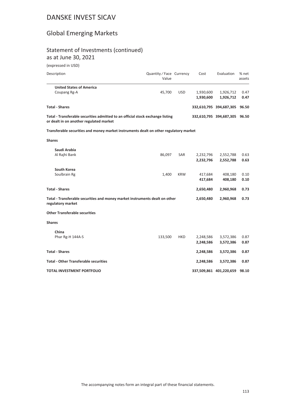# Global Emerging Markets

# Statement of Investments (continued)

as at June 30, 2021

(expressed in USD)

| Description                                                                                                               | Quantity / Face Currency<br>Value |            | Cost                   | Evaluation                    | % net<br>assets |
|---------------------------------------------------------------------------------------------------------------------------|-----------------------------------|------------|------------------------|-------------------------------|-----------------|
| <b>United States of America</b><br>Coupang Rg-A                                                                           | 45,700                            | <b>USD</b> | 1,930,600<br>1,930,600 | 1,926,712<br>1,926,712        | 0.47<br>0.47    |
| <b>Total - Shares</b>                                                                                                     |                                   |            |                        | 332,610,795 394,687,305       | 96.50           |
| Total - Transferable securities admitted to an official stock exchange listing<br>or dealt in on another regulated market |                                   |            |                        | 332,610,795 394,687,305 96.50 |                 |
| Transferable securities and money market instruments dealt on other regulatory market                                     |                                   |            |                        |                               |                 |
| <b>Shares</b>                                                                                                             |                                   |            |                        |                               |                 |
| Saudi Arabia<br>Al Rajhi Bank                                                                                             | 86,097                            | SAR        | 2,232,796<br>2,232,796 | 2,552,788<br>2,552,788        | 0.63<br>0.63    |
| South Korea<br>Soulbrain Rg                                                                                               | 1,400                             | <b>KRW</b> | 417,684<br>417,684     | 408,180<br>408,180            | 0.10<br>0.10    |
| <b>Total - Shares</b>                                                                                                     |                                   |            | 2,650,480              | 2,960,968                     | 0.73            |
| Total - Transferable securities and money market instruments dealt on other<br>regulatory market                          |                                   |            | 2,650,480              | 2,960,968                     | 0.73            |
| <b>Other Transferable securities</b>                                                                                      |                                   |            |                        |                               |                 |
| <b>Shares</b>                                                                                                             |                                   |            |                        |                               |                 |
| China<br>Phar Rg-H 144A-S                                                                                                 | 133,500                           | <b>HKD</b> | 2,248,586<br>2,248,586 | 3,572,386<br>3,572,386        | 0.87<br>0.87    |
| <b>Total - Shares</b>                                                                                                     |                                   |            | 2,248,586              | 3,572,386                     | 0.87            |
| <b>Total - Other Transferable securities</b>                                                                              |                                   |            | 2,248,586              | 3,572,386                     | 0.87            |
| <b>TOTAL INVESTMENT PORTFOLIO</b>                                                                                         |                                   |            |                        | 337,509,861 401,220,659       | 98.10           |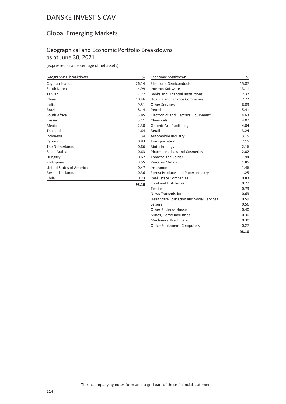# Global Emerging Markets

## Geographical and Economic Portfolio Breakdowns as at June 30, 2021

| Geographical breakdown   | %         | Economic breakdown                      | %     |
|--------------------------|-----------|-----------------------------------------|-------|
| Cayman Islands           | 26.14     | Electronic Semiconductor                | 15.87 |
| South Korea              | 14.99     | <b>Internet Software</b>                | 13.11 |
| Taiwan                   | 12.27     | <b>Banks and Financial Institutions</b> | 12.32 |
| China                    | 10.46     | Holding and Finance Companies           | 7.22  |
| India                    | 9.51      | <b>Other Services</b>                   | 6.83  |
| Brazil                   | 8.14      | Petrol                                  | 5.41  |
| South Africa             | 3.85      | Electronics and Electrical Equipment    | 4.63  |
| Russia                   | 3.11      | Chemicals                               | 4.07  |
| Mexico                   | 2.30      | Graphic Art, Publishing                 | 4.04  |
| Thailand                 | 1.64      | Retail                                  | 3.24  |
| Indonesia                | 1.34      | Automobile Industry                     | 3.15  |
| Cyprus                   | 0.83      | Transportation                          | 2.15  |
| The Netherlands          | 0.66      | Biotechnology                           | 2.16  |
| Saudi Arabia             | 0.63      | <b>Pharmaceuticals and Cosmetics</b>    | 2.02  |
| Hungary                  | 0.62      | <b>Tobacco and Spirits</b>              | 1.94  |
| Philippines              | 0.55      | <b>Precious Metals</b>                  | 1.85  |
| United States of America | 0.47      | Insurance                               | 1.46  |
| Bermuda Islands          | 0.36      | Forest Products and Paper Industry      | 1.25  |
| Chile                    | 0.23      | <b>Real Estate Companies</b>            | 0.83  |
|                          | $- - - -$ | <b>Eggd and Distillaries</b>            | 0.77  |

| Internet Software                               | 13.11 |
|-------------------------------------------------|-------|
| <b>Banks and Financial Institutions</b>         | 12.32 |
| <b>Holding and Finance Companies</b>            | 7.22  |
| <b>Other Services</b>                           | 6.83  |
| Petrol                                          | 5.41  |
| <b>Electronics and Electrical Equipment</b>     | 4.63  |
| Chemicals                                       | 4.07  |
| Graphic Art, Publishing                         | 4.04  |
| Retail                                          | 3.24  |
| Automobile Industry                             | 3.15  |
| Transportation                                  | 2.15  |
| Biotechnology                                   | 2.16  |
| <b>Pharmaceuticals and Cosmetics</b>            | 2.02  |
| <b>Tobacco and Spirits</b>                      | 1.94  |
| <b>Precious Metals</b>                          | 1.85  |
| Insurance                                       | 1.46  |
| Forest Products and Paper Industry              | 1.25  |
| <b>Real Estate Companies</b>                    | 0.83  |
| <b>Food and Distilleries</b>                    | 0.77  |
| Textile                                         | 0.73  |
| <b>News Transmission</b>                        | 0.63  |
| <b>Healthcare Education and Social Services</b> | 0.59  |
| Leisure                                         | 0.56  |
| <b>Other Business Houses</b>                    | 0.40  |
| Mines, Heavy Industries                         | 0.30  |
| Mechanics, Machinery                            | 0.30  |
| Office Equipment, Computers                     | 0.27  |
|                                                 | 98.10 |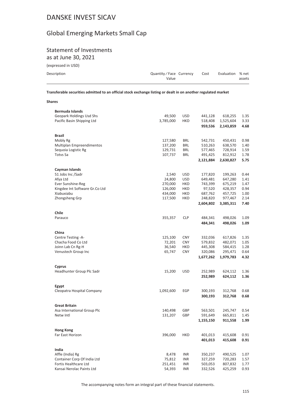# Global Emerging Markets Small Cap

# Statement of Investments

as at June 30, 2021

| (expressed in USD) |  |
|--------------------|--|
|                    |  |

| Description | Quantity/Face Currency<br>Value | Cost | Evaluation % net | assets |
|-------------|---------------------------------|------|------------------|--------|
|             |                                 |      |                  |        |

**Transferable securities admitted to an official stock exchange listing or dealt in on another regulated market**

**Shares**

| Bermuda Islands                |           |            |           |           |      |
|--------------------------------|-----------|------------|-----------|-----------|------|
| Geopark Holdings Usd Shs       | 49,500    | <b>USD</b> | 441,128   | 618,255   | 1.35 |
| Pacific Basin Shipping Ltd     | 3,785,000 | HKD        | 518,408   | 1,525,604 | 3.33 |
|                                |           |            | 959,536   | 2,143,859 | 4.68 |
|                                |           |            |           |           |      |
| <b>Brazil</b>                  |           |            |           |           |      |
| Mobly Rg                       | 127,580   | <b>BRL</b> | 542,731   | 450,431   | 0.98 |
| Multiplan Empreendimentos      | 137,200   | BRL        | 510,263   | 638,570   | 1.40 |
| Sequoia Logistic Rg            | 129,731   | <b>BRL</b> | 577,465   | 728,914   | 1.59 |
| Totys Sa                       | 107,737   | BRL        | 491,425   | 812,912   | 1.78 |
|                                |           |            |           |           |      |
|                                |           |            | 2,121,884 | 2,630,827 | 5.75 |
| Cayman Islands                 |           |            |           |           |      |
| 51 Jobs Inc /Sadr              | 2,540     | USD        | 177,820   | 199,263   | 0.44 |
| Afya Ltd                       |           | <b>USD</b> | 649,481   |           | 1.41 |
|                                | 24,800    |            |           | 647,280   |      |
| Ever Sunshine-Reg              | 270,000   | HKD        | 743,399   | 675,219   | 1.47 |
| Kingdee Int Software Gr.Co Ltd | 126,000   | HKD        | 97,520    | 428,357   | 0.94 |
| Xiabuxiabu                     | 434,000   | HKD        | 687,762   | 457,725   | 1.00 |
| Zhongsheng Grp                 | 117,500   | HKD        | 248,820   | 977,467   | 2.14 |
|                                |           |            | 2,604,802 | 3,385,311 | 7.40 |
|                                |           |            |           |           |      |
| Chile                          |           |            |           |           |      |
| Parauco                        | 355,357   | <b>CLP</b> | 484,341   | 498,026   | 1.09 |
|                                |           |            | 484,341   | 498,026   | 1.09 |
|                                |           |            |           |           |      |
| China                          |           |            |           |           |      |
| Centre Testing - A-            | 125,100   | <b>CNY</b> | 332,036   | 617,826   | 1.35 |
| Chacha Food Co Ltd             | 72,201    | <b>CNY</b> | 579,832   | 482,071   | 1.05 |
| Joinn Lab Cn Rg-H              | 36,540    | HKD        | 445,308   | 584,415   | 1.28 |
| Venustech Group Inc            | 65,747    | <b>CNY</b> | 320,086   | 295,471   | 0.64 |
|                                |           |            | 1,677,262 | 1,979,783 | 4.32 |
|                                |           |            |           |           |      |
| Cyprus                         |           |            |           |           |      |
| Headhunter Group Plc Sadr      | 15,200    | <b>USD</b> | 252,989   | 624,112   | 1.36 |
|                                |           |            | 252,989   | 624,112   | 1.36 |
|                                |           |            |           |           |      |
| Egypt                          |           |            |           |           |      |
| Cleopatra Hospital Company     | 1,092,600 | <b>EGP</b> | 300,193   | 312,768   | 0.68 |
|                                |           |            | 300,193   | 312,768   | 0.68 |
|                                |           |            |           |           |      |
| <b>Great Britain</b>           |           |            |           |           |      |
| Asa International Group Plc    | 140,498   | GBP        | 563,501   | 245,747   | 0.54 |
| Netw Intl                      | 131,207   | GBP        | 591,649   | 665,811   | 1.45 |
|                                |           |            |           |           | 1.99 |
|                                |           |            | 1,155,150 | 911,558   |      |
| <b>Hong Kong</b>               |           |            |           |           |      |
| Far East Horizon               | 396,000   | HKD        | 401,013   | 415,608   | 0.91 |
|                                |           |            |           |           |      |
|                                |           |            | 401,013   | 415,608   | 0.91 |
|                                |           |            |           |           |      |
| India                          |           |            |           |           |      |
| Affle (India) Rg               | 8,478     | INR        | 350,237   | 490,525   | 1.07 |
| Container Corp Of India Ltd    | 75,812    | INR        | 327,259   | 720,283   | 1.57 |
| Fortis Healthcare Ltd          | 251,451   | INR        | 503,053   | 807,832   | 1.77 |
| Kansai Nerolac Paints Ltd      | 54,393    | <b>INR</b> | 332,526   | 425,259   | 0.93 |

The accompanying notes form an integral part of these financial statements.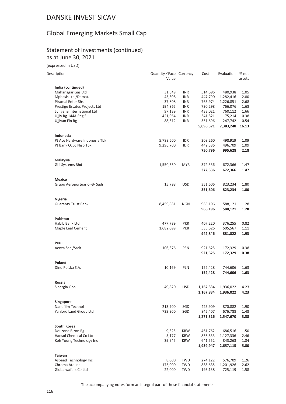# Global Emerging Markets Small Cap

### Statement of Investments (continued) as at June 30, 2021

(expressed in USD)

| Description                   | Quantity / Face Currency<br>Value |            | Cost      | Evaluation          | % net<br>assets |
|-------------------------------|-----------------------------------|------------|-----------|---------------------|-----------------|
| India (continued)             |                                   |            |           |                     |                 |
| Mahanagar Gas Ltd             | 31,349                            | INR        | 514,696   | 480,938             | 1.05            |
| Mphasis Ltd /Demat.           | 45,308                            | INR        | 447,790   | 1,282,416           | 2.80            |
| <b>Piramal Enter Shs</b>      | 37,808                            | INR        | 763,974   | 1,226,851           | 2.68            |
| Prestige Estates Projects Ltd | 194,865                           | INR        | 730,298   | 766,076             | 1.68            |
| Syngene International Ltd     | 97,139                            | INR        | 433,021   | 760,112             | 1.66            |
| Ujjiv Rg 144A Reg S           | 421,064                           | INR        | 341,821   | 175,214             | 0.38            |
| Ujjivan Fin Rg                | 88,312                            | <b>INR</b> | 351,696   | 247,742             | 0.54            |
|                               |                                   |            | 5,096,371 | 7,383,248           | 16.13           |
| Indonesia                     |                                   |            |           |                     |                 |
| Pt Ace Hardware Indonesia Tbk | 5,789,600                         | IDR        | 308,260   | 498,919             | 1.09            |
| Pt Bank Ocbc Nisp Tbk         | 9,296,700                         | <b>IDR</b> | 442,536   | 496,709             | 1.09            |
|                               |                                   |            | 750,796   | 995,628             | 2.18            |
| Malaysia                      |                                   |            |           |                     |                 |
| Ghl Systems Bhd               | 1,550,550                         | <b>MYR</b> | 372,336   | 672,366             | 1.47            |
|                               |                                   |            | 372,336   | 672,366             | 1.47            |
| <b>Mexico</b>                 |                                   |            |           |                     |                 |
| Grupo Aeroportuario -B- Sadr  | 15,798                            | <b>USD</b> | 351,606   | 823,234             | 1.80            |
|                               |                                   |            | 351,606   | 823,234             | 1.80            |
| Nigeria                       |                                   |            |           |                     |                 |
| <b>Guaranty Trust Bank</b>    | 8,459,831                         | <b>NGN</b> | 966,196   | 588,121             | 1.28            |
|                               |                                   |            | 966,196   | 588,121             | 1.28            |
| Pakistan                      |                                   |            |           |                     |                 |
| Habib Bank Ltd                | 477,789                           | <b>PKR</b> | 407,220   | 376,255             | 0.82            |
| Maple Leaf Cement             | 1,682,099                         | <b>PKR</b> | 535,626   | 505,567             | 1.11            |
|                               |                                   |            | 942,846   | 881,822             | 1.93            |
| Peru                          |                                   |            |           |                     |                 |
| Aenza Saa /Sadr               | 106,376                           | PEN        | 921,625   | 172,329             | 0.38            |
|                               |                                   |            | 921,625   | 172,329             | 0.38            |
| Poland                        |                                   |            |           |                     |                 |
| Dino Polska S.A.              | 10,169                            | <b>PLN</b> | 152,428   | 744,606             | 1.63            |
|                               |                                   |            | 152,428   | 744,606             | 1.63            |
| Russia                        |                                   |            |           |                     |                 |
| Sinergia Oao                  | 49,820                            | USD        |           | 1,167,834 1,936,022 | 4.23            |
|                               |                                   |            | 1,167,834 | 1,936,022           | 4.23            |
| Singapore                     |                                   |            |           |                     |                 |
| Nanofilm Technol              | 213,700                           | SGD        | 425,909   | 870,882             | 1.90            |
| Yanlord Land Group Ltd        | 739,900                           | SGD        | 845,407   | 676,788             | 1.48            |
|                               |                                   |            | 1,271,316 | 1,547,670           | 3.38            |
| South Korea                   |                                   |            |           |                     |                 |
| Douzone Bizon Rg              | 9,325                             | KRW        | 461,762   | 686,516             | 1.50            |
| Hansol Chemical Co Ltd        | 5,177                             | <b>KRW</b> | 836,633   | 1,127,336           | 2.46            |
| Koh Young Technology Inc      | 39,945                            | <b>KRW</b> | 641,552   | 843,263             | 1.84            |
|                               |                                   |            | 1,939,947 | 2,657,115           | 5.80            |
| Taiwan                        |                                   |            |           |                     |                 |
| Aspeed Technology Inc         | 8,000                             | <b>TWD</b> | 274,122   | 576,709             | 1.26            |
| Chroma Ate Inc                | 175,000                           | TWD        | 888,635   | 1,201,926           | 2.62            |
| Globalwafers Co Ltd           | 22,000                            | <b>TWD</b> | 193,138   | 725,119             | 1.58            |

The accompanying notes form an integral part of these financial statements.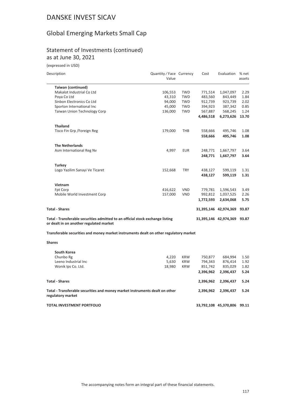# Global Emerging Markets Small Cap

### Statement of Investments (continued) as at June 30, 2021

(expressed in USD)

| Description                                                                                                               | Quantity / Face Currency<br>Value |            | Cost      | Evaluation            | % net<br>assets |
|---------------------------------------------------------------------------------------------------------------------------|-----------------------------------|------------|-----------|-----------------------|-----------------|
| <b>Taiwan (continued)</b>                                                                                                 |                                   |            |           |                       |                 |
| Makalot Industrial Co Ltd                                                                                                 | 106,553                           | <b>TWD</b> | 771,514   | 1,047,097             | 2.29            |
| Poya Co Ltd                                                                                                               | 43,310                            | <b>TWD</b> | 483,560   | 843,449               | 1.84            |
| Sinbon Electronics Co Ltd                                                                                                 | 94,000                            | <b>TWD</b> | 912,739   | 923,739               | 2.02            |
| Sporton International Inc                                                                                                 | 45,000                            | <b>TWD</b> | 394,923   | 387,342               | 0.85            |
| Taiwan Union Technology Corp                                                                                              | 136,000                           | <b>TWD</b> | 567,887   | 568,245               | 1.24            |
|                                                                                                                           |                                   |            | 4,486,518 | 6,273,626             | 13.70           |
| <b>Thailand</b>                                                                                                           |                                   |            |           |                       |                 |
| Tisco Fin Grp / Foreign Reg                                                                                               | 179,000                           | <b>THB</b> | 558,666   | 495,746               | 1.08            |
|                                                                                                                           |                                   |            | 558.666   | 495.746               | 1.08            |
| <b>The Netherlands</b>                                                                                                    |                                   |            |           |                       |                 |
| Asm International Reg Nv                                                                                                  | 4,997                             | <b>EUR</b> | 248,771   | 1,667,797             | 3.64            |
|                                                                                                                           |                                   |            | 248.771   | 1,667,797             | 3.64            |
| <b>Turkey</b>                                                                                                             |                                   |            |           |                       |                 |
| Logo Yazilim Sanayi Ve Ticaret                                                                                            | 152,668                           | <b>TRY</b> | 438,127   | 599,119               | 1.31            |
|                                                                                                                           |                                   |            | 438,127   | 599,119               | 1.31            |
| Vietnam                                                                                                                   |                                   |            |           |                       |                 |
| Fpt Corp                                                                                                                  | 416,622                           | <b>VND</b> | 779,781   | 1,596,543             | 3.49            |
| Mobile World Investment Corp                                                                                              | 157,000                           | <b>VND</b> | 992,812   | 1,037,525             | 2.26            |
|                                                                                                                           |                                   |            | 1,772,593 | 2,634,068             | 5.75            |
| <b>Total - Shares</b>                                                                                                     |                                   |            |           | 31,395,146 42,974,369 | 93.87           |
| Total - Transferable securities admitted to an official stock exchange listing<br>or dealt in on another regulated market |                                   |            |           | 31,395,146 42,974,369 | 93.87           |

**Transferable securities and money market instruments dealt on other regulatory market**

**Shares**

| South Korea                                                                                      |        |            |            |            |       |
|--------------------------------------------------------------------------------------------------|--------|------------|------------|------------|-------|
| Chunbo Rg                                                                                        | 4,220  | <b>KRW</b> | 750,877    | 684.994    | 1.50  |
| Leeno Industrial Inc.                                                                            | 5,630  | <b>KRW</b> | 794,343    | 876.414    | 1.92  |
| Wonik Ips Co. Ltd.                                                                               | 18,980 | <b>KRW</b> | 851,742    | 835,029    | 1.82  |
|                                                                                                  |        |            | 2,396,962  | 2.396.437  | 5.24  |
| Total - Shares                                                                                   |        |            | 2,396,962  | 2,396,437  | 5.24  |
| Total - Transferable securities and money market instruments dealt on other<br>regulatory market |        |            | 2.396.962  | 2,396,437  | 5.24  |
| TOTAL INVESTMENT PORTFOLIO                                                                       |        |            | 33,792,108 | 45,370,806 | 99.11 |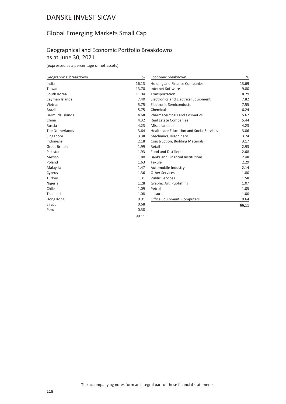# Global Emerging Markets Small Cap

## Geographical and Economic Portfolio Breakdowns as at June 30, 2021

| Geographical breakdown | %     | Economic breakdown                              | %     |
|------------------------|-------|-------------------------------------------------|-------|
| India                  | 16.13 | Holding and Finance Companies                   | 13.69 |
| Taiwan                 | 13.70 | <b>Internet Software</b>                        | 9.80  |
| South Korea            | 11.04 | Transportation                                  | 8.29  |
| Cayman Islands         | 7.40  | Electronics and Electrical Equipment            | 7.82  |
| Vietnam                | 5.75  | Electronic Semiconductor                        | 7.55  |
| <b>Brazil</b>          | 5.75  | Chemicals                                       | 6.24  |
| Bermuda Islands        | 4.68  | <b>Pharmaceuticals and Cosmetics</b>            | 5.62  |
| China                  | 4.32  | <b>Real Estate Companies</b>                    | 5.44  |
| Russia                 | 4.23  | Miscellaneous                                   | 4.23  |
| The Netherlands        | 3.64  | <b>Healthcare Education and Social Services</b> | 3.86  |
| Singapore              | 3.38  | Mechanics, Machinery                            | 3.74  |
| Indonesia              | 2.18  | Construction, Building Materials                | 3.17  |
| <b>Great Britain</b>   | 1.99  | Retail                                          | 2.93  |
| Pakistan               | 1.93  | <b>Food and Distilleries</b>                    | 2.68  |
| Mexico                 | 1.80  | <b>Banks and Financial Institutions</b>         | 2.48  |
| Poland                 | 1.63  | <b>Textile</b>                                  | 2.29  |
| Malaysia               | 1.47  | Automobile Industry                             | 2.14  |
| Cyprus                 | 1.36  | <b>Other Services</b>                           | 1.80  |
| Turkey                 | 1.31  | <b>Public Services</b>                          | 1.58  |
| Nigeria                | 1.28  | Graphic Art, Publishing                         | 1.07  |
| Chile                  | 1.09  | Petrol                                          | 1.05  |
| Thailand               | 1.08  | Leisure                                         | 1.00  |
| Hong Kong              | 0.91  | Office Equipment, Computers                     | 0.64  |
| Egypt                  | 0.68  |                                                 | 99.11 |
| Peru                   | 0.38  |                                                 |       |
|                        | 99.11 |                                                 |       |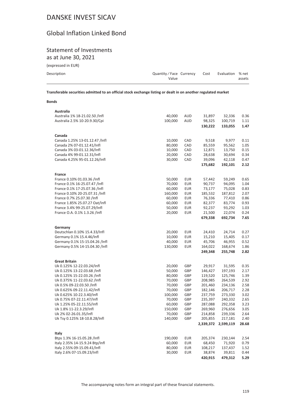# Global Inflation Linked Bond

# Statement of Investments

as at June 30, 2021

| (expressed in EUR) |  |
|--------------------|--|
|--------------------|--|

| Description | Quantity/Face Currency | Cost | Evaluation % net |        |
|-------------|------------------------|------|------------------|--------|
|             | Value                  |      |                  | assets |

**Transferable securities admitted to an official stock exchange listing or dealt in on another regulated market**

#### **Bonds**

| Australia                       |         |            |         |                     |       |
|---------------------------------|---------|------------|---------|---------------------|-------|
| Australia 1% 18-21.02.50 /Infl  | 40,000  | AUD        | 31,897  | 32,336              | 0.36  |
| Australia 2.5% 10-20.9.30/Cpi   | 100,000 | AUD        | 98,325  | 100,719             | 1.11  |
|                                 |         |            | 130,222 | 133,055             | 1.47  |
|                                 |         |            |         |                     |       |
| Canada                          |         |            |         |                     |       |
| Canada 1.25% 13-01.12.47 /Infl  | 10,000  | CAD        | 9,518   | 9,977               | 0.11  |
| Canada 2% 07-01.12.41/Infl      | 80,000  | CAD        | 85,559  | 95,562              | 1.05  |
| Canada 3% 03-01.12.36/Infl      | 10,000  | CAD        | 12,871  | 13,750              | 0.15  |
| Canada 4% 99-01.12.31/Infl      | 20,000  | CAD        | 28,638  | 30,694              | 0.34  |
| Canada 4.25% 95-01.12.26/Infl   | 30,000  | CAD        | 39,096  | 42,118              | 0.47  |
|                                 |         |            | 175,682 | 192,101             | 2.12  |
| France                          |         |            |         |                     |       |
| France 0.10% 01.03.36 /Infl     | 50,000  | <b>EUR</b> | 57,442  | 59,249              | 0.65  |
| France 0.1% 16-25.07.47 /Infl   | 70,000  | <b>EUR</b> | 90,737  | 94,095              | 1.04  |
| France 0.1% 17-25.07.36 /Infl   |         | <b>EUR</b> | 73,177  |                     |       |
|                                 | 60,000  |            |         | 75,028              | 0.83  |
| France 0.10% 20-25.07.31 /Infl  | 160,000 | <b>EUR</b> | 185,532 | 187,812             | 2.07  |
| France 0.7% 25.07.30 /Infl      | 60,000  | <b>EUR</b> | 76,336  | 77,410              | 0.86  |
| France 1.85% 25.07.27 Oat/Infl  | 60,000  | <b>EUR</b> | 82,377  | 83,774              | 0.93  |
| France 3.4% 99-25.07.29/Infl    | 50,000  | <b>EUR</b> | 92,237  | 93,292              | 1.03  |
| France O.A. 0.1% 1.3.26 /Infl   | 20,000  | <b>EUR</b> | 21,500  | 22,074              | 0.24  |
|                                 |         |            | 679,338 | 692,734             | 7.65  |
| Germany                         |         |            |         |                     |       |
| Deutschlan 0.10% 15.4.33/Infl   | 20,000  | <b>EUR</b> | 24,410  | 24,714              | 0.27  |
| Germany 0.1% 15.4.46/Infl       | 10,000  | <b>EUR</b> | 15,210  | 15,405              | 0.17  |
| Germany 0.1% 15-15.04.26 /Infl  | 40,000  | <b>EUR</b> | 45,706  | 46,955              | 0.52  |
| Germany 0.5% 14-15.04.30 /Infl  | 130,000 | <b>EUR</b> | 164,022 | 168,674             | 1.86  |
|                                 |         |            | 249,348 | 255,748             | 2.82  |
|                                 |         |            |         |                     |       |
| <b>Great Britain</b>            |         |            |         |                     |       |
| Uk 0.125% 12-22.03.24/Infl      | 20,000  | GBP        | 29,917  | 31,595              | 0.35  |
| Uk 0.125% 13-22.03.68 /Infl     | 50,000  | GBP        | 146,427 | 197,193             | 2.17  |
| Uk 0.125% 15-22.03.26 /Infl     | 80,000  | GBP        | 119,520 | 125,746             | 1.39  |
| Uk 0.375% 11-22.03.62 /Infl     | 70,000  | GBP        | 208,985 | 264,539             | 2.92  |
| Uk 0.5% 09-22.03.50 /Infl       | 70,000  | GBP        | 201,460 | 234,136             | 2.58  |
| Uk 0.625% 09-22.11.42/Infl      | 70,000  | GBP        | 182,146 | 206,717             | 2.28  |
| Uk 0.625% 10-22.3.40/Infl       | 100,000 | GBP        | 237,759 | 273,330             | 3.02  |
| Uk 0.75% 07-22.11.47/Infl       | 70,000  | GBP        | 235,397 | 240,332             | 2.65  |
| Uk 1.25% 05-22.11.55/Infl       | 60,000  | GBP        | 287,088 | 292,358             | 3.23  |
| Uk 1.8% 11-22.3.29/Infl         | 150,000 | GBP        | 269,960 | 276,656             | 3.05  |
| Uk 2% 02-26.01.35/Infl          | 70,000  | GBP        | 214,858 | 239,336             | 2.64  |
| Uk Tsy 0.125% 18-10.8.28/Infl   | 140,000 | GBP        | 205,855 | 217,181             | 2.40  |
|                                 |         |            |         |                     | 28.68 |
|                                 |         |            |         | 2,339,372 2,599,119 |       |
| Italy                           |         |            |         |                     |       |
| Btps 1.3% 16-15.05.28 /Infl     | 190,000 | <b>EUR</b> | 205,374 | 230,144             | 2.54  |
| Italy 2.35% 14-15.9.24 Btp/Infl | 60,000  | <b>EUR</b> | 68,450  | 71,920              | 0.79  |
| Italy 2.55% 09-15.09.41/Infl    | 80,000  | <b>EUR</b> | 108,217 | 137,437             | 1.52  |
| Italy 2.6% 07-15.09.23/Infl     | 30,000  | <b>EUR</b> | 38,874  | 39,811              | 0.44  |
|                                 |         |            | 420,915 | 479,312             | 5.29  |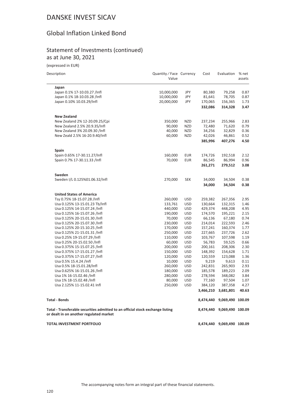## Global Inflation Linked Bond

### Statement of Investments (continued) as at June 30, 2021

(expressed in EUR)

| Description                                                                                                               | Quantity / Face Currency<br>Value |            | Cost    | Evaluation                 | % net<br>assets |
|---------------------------------------------------------------------------------------------------------------------------|-----------------------------------|------------|---------|----------------------------|-----------------|
| Japan                                                                                                                     |                                   |            |         |                            |                 |
| Japan 0.1% 17-10.03.27 /Infl                                                                                              | 10,000,000                        | JPY        | 80,380  | 79,258                     | 0.87            |
| Japan 0.1% 18-10.03.28 /Infl                                                                                              | 10,000,000                        | JPY        | 81,641  | 78,705                     | 0.87            |
| Japan 0.10% 10.03.29/Infl                                                                                                 | 20,000,000                        | JPY        | 170,065 | 156,365                    | 1.73            |
|                                                                                                                           |                                   |            | 332,086 | 314,328                    | 3.47            |
| <b>New Zealand</b>                                                                                                        |                                   |            |         |                            |                 |
| New Zealand 2% 12-20.09.25/Cpi                                                                                            | 350,000                           | <b>NZD</b> | 237,234 | 255,966                    | 2.83            |
| New Zealand 2.5% 20.9.35/Infl                                                                                             | 90,000                            | <b>NZD</b> | 72,480  | 71,620                     | 0.79            |
| New Zealand 3% 20.09.30 /Infl                                                                                             | 40,000                            | <b>NZD</b> | 34,256  | 32,829                     | 0.36            |
| New Zeald 2.5% 16-20.9.40/Infl                                                                                            | 60,000                            | <b>NZD</b> | 42,026  | 46,861                     | 0.52            |
|                                                                                                                           |                                   |            | 385,996 | 407,276                    | 4.50            |
| Spain                                                                                                                     |                                   |            |         |                            |                 |
| Spain 0.65% 17-30.11.27/Infl                                                                                              | 160,000                           | <b>EUR</b> | 174,726 | 192,518                    | 2.12            |
| Spain 0.7% 17-30.11.33 /Infl                                                                                              | 70,000                            | <b>EUR</b> | 86,545  | 86,994                     | 0.96            |
|                                                                                                                           |                                   |            | 261,271 | 279,512                    | 3.08            |
| Sweden                                                                                                                    |                                   |            |         |                            |                 |
| Sweden I/L 0.125%01.06.32/Infl                                                                                            | 270,000                           | <b>SEK</b> | 34,000  | 34,504                     | 0.38            |
|                                                                                                                           |                                   |            | 34,000  | 34,504                     | 0.38            |
| <b>United States of America</b>                                                                                           |                                   |            |         |                            |                 |
| Tsy 0.75% 18-15.07.28 /Infl                                                                                               | 260,000                           | <b>USD</b> | 259,382 | 267,356                    | 2.95            |
| Usa 0.125% 13-15.01.23 Tb/Infl                                                                                            | 133,761                           | <b>USD</b> | 130,664 | 132,315                    | 1.46            |
| Usa 0.125% 14-15.07.24 /Infl                                                                                              | 440,000                           | <b>USD</b> | 429,374 | 448,208                    | 4.95            |
| Usa 0.125% 16-15.07.26 /Infl                                                                                              | 190,000                           | <b>USD</b> | 174,570 | 195,221                    | 2.15            |
| Usa 0.125% 20-15.01.30 /Infl                                                                                              | 70,000                            | <b>USD</b> | 66,136  | 67,180                     | 0.74            |
| Usa 0.125% 20-15.07.30 /Infl                                                                                              | 230,000                           | <b>USD</b> | 214,014 | 222,593                    | 2.46            |
| Usa 0.125% 20-15.10.25 /Infl                                                                                              | 170,000                           | <b>USD</b> | 157,241 | 160,374                    | 1.77            |
| Usa 0.125% 21-15.01.31 /Infl                                                                                              | 250,000                           | <b>USD</b> | 227,665 | 237,726                    | 2.62            |
| Usa 0.25% 19-15.07.29 /Infl                                                                                               | 110,000                           | <b>USD</b> | 103,767 | 107,598                    | 1.19            |
| Usa 0.25% 20-15.02.50 /Infl                                                                                               | 60,000                            | <b>USD</b> | 56,783  | 59,525                     | 0.66            |
| Usa 0.375% 15-15.07.25 /Infl                                                                                              | 200,000                           | <b>USD</b> | 200,161 | 208,306                    | 2.30            |
| Usa 0.375% 17-15.01.27 /Infl                                                                                              | 150,000                           | <b>USD</b> | 148,392 | 154,628                    | 1.71            |
| Usa 0.375% 17-15.07.27 /Infl                                                                                              | 120,000                           | <b>USD</b> | 120,559 | 123,088                    | 1.36            |
| Usa 0.5% 15.4.24 /Infl                                                                                                    | 10,000                            | <b>USD</b> | 9,219   | 9,613                      | 0.11            |
| Usa 0.5% 18-15.01.28/Infl                                                                                                 | 260,000                           | <b>USD</b> | 242,831 | 265,903                    | 2.93            |
| Usa 0.625% 16-15.01.26 /Infl                                                                                              | 180,000                           | <b>USD</b> | 185,578 | 189,223                    | 2.09            |
| Usa 1% 16-15.02.46 /Infl                                                                                                  | 280,000                           | USD        | 278,594 | 348,082                    | 3.84            |
| Usa 1% 18-15.02.48 /Infl                                                                                                  | 80,000                            | <b>USD</b> | 77,160  | 97,504                     | 1.07            |
| Usa 2.125% 11-15.02.41 Infl                                                                                               | 250,000                           | <b>USD</b> | 384,120 | 387,358                    | 4.27            |
|                                                                                                                           |                                   |            |         | 3,466,210 3,681,801        | 40.63           |
| <b>Total - Bonds</b>                                                                                                      |                                   |            |         | 8,474,440 9,069,490 100.09 |                 |
| Total - Transferable securities admitted to an official stock exchange listing<br>or dealt in on another regulated market |                                   |            |         | 8,474,440 9,069,490 100.09 |                 |
| <b>TOTAL INVESTMENT PORTFOLIO</b>                                                                                         |                                   |            |         | 8,474,440 9,069,490 100.09 |                 |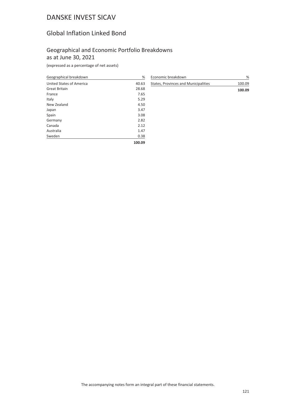# Global Inflation Linked Bond

### Geographical and Economic Portfolio Breakdowns as at June 30, 2021

| Geographical breakdown   | %      |
|--------------------------|--------|
| United States of America | 40.63  |
| <b>Great Britain</b>     | 28.68  |
| France                   | 7.65   |
| Italy                    | 5.29   |
| New Zealand              | 4.50   |
| Japan                    | 3.47   |
| Spain                    | 3.08   |
| Germany                  | 2.82   |
| Canada                   | 2.12   |
| Australia                | 1.47   |
| Sweden                   | 0.38   |
|                          | 100.09 |

| Economic breakdown                   | %      |
|--------------------------------------|--------|
| States, Provinces and Municipalities | 100.09 |
|                                      | 100.09 |
|                                      |        |
|                                      |        |
|                                      |        |
|                                      |        |
|                                      |        |
|                                      |        |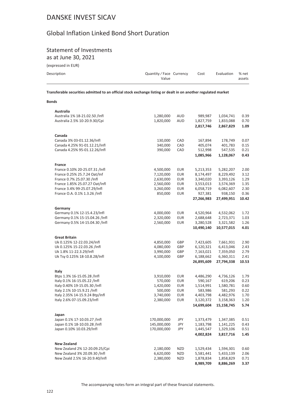# Global Inflation Linked Bond Short Duration

# Statement of Investments

as at June 30, 2021

(expressed in EUR)

**Transferable securities admitted to an official stock exchange listing or dealt in on another regulated market**

#### **Bonds**

| Australia |  |
|-----------|--|

| Australia 1% 18-21.02.50 /Infl<br>Australia 2.5% 10-20.9.30/Cpi | 1,280,000<br>1,820,000 | AUD<br><b>AUD</b>        | 989,987<br>1,827,759<br>2,817,746 | 1,034,741<br>1,833,088<br>2,867,829 | 0.39<br>0.70<br>1.09 |
|-----------------------------------------------------------------|------------------------|--------------------------|-----------------------------------|-------------------------------------|----------------------|
| Canada<br>Canada 3% 03-01.12.36/Infl                            | 130,000                | CAD                      | 167,894                           | 178,749                             | 0.07                 |
| Canada 4.25% 91-01.12.21/Infl                                   | 340,000                | CAD                      | 405,074                           | 401,783                             | 0.15                 |
| Canada 4.25% 95-01.12.26/Infl                                   | 390,000                | CAD                      | 512,998                           | 547,535                             | 0.21                 |
|                                                                 |                        |                          | 1,085,966                         | 1,128,067                           | 0.43                 |
| France                                                          |                        |                          |                                   |                                     |                      |
| France 0.10% 20-25.07.31 /Infl                                  | 4,500,000              | EUR                      | 5,213,353                         | 5,282,207                           | 2.00                 |
| France 0.25% 25.7.24 Oat/Inf                                    | 7,120,000              | EUR                      | 8,174,497                         | 8,229,492                           | 3.12                 |
| France 0.7% 25.07.30 /Infl                                      | 2,630,000              | <b>EUR</b>               | 3,340,020                         | 3,393,126                           | 1.29                 |
| France 1.85% 25.07.27 Oat/Infl                                  | 2,560,000              | EUR                      | 3,553,013                         | 3,574,369                           | 1.35                 |
| France 3.4% 99-25.07.29/Infl                                    | 3,260,000              | <b>EUR</b><br><b>EUR</b> | 6,058,719                         | 6,082,607                           | 2.30                 |
| France O.A. 0.1% 1.3.26 /Infl                                   | 850,000                |                          | 927,381<br>27,266,983             | 938,150<br>27,499,951               | 0.36<br>10.42        |
| Germany                                                         |                        |                          |                                   |                                     |                      |
| Germany 0.1% 12-15.4.23/Infl                                    | 4,000,000              | EUR                      | 4,520,964                         | 4,532,062                           | 1.72                 |
| Germany 0.1% 15-15.04.26 /Infl                                  | 2,320,000              | <b>EUR</b>               | 2,688,648                         | 2,723,371                           | 1.03                 |
| Germany 0.5% 14-15.04.30 /Infl                                  | 2,560,000              | <b>EUR</b>               | 3,280,528                         | 3,321,582                           | 1.26                 |
|                                                                 |                        |                          | 10,490,140                        | 10,577,015                          | 4.01                 |
| <b>Great Britain</b>                                            |                        |                          |                                   |                                     |                      |
| Uk 0.125% 12-22.03.24/Infl                                      | 4,850,000              | GBP                      | 7,423,605                         | 7,661,931                           | 2.90                 |
| Uk 0.125% 15-22.03.26 /Infl                                     | 4,080,000              | GBP                      | 6,120,321                         | 6,413,046                           | 2.43                 |
| Uk 1.8% 11-22.3.29/Infl                                         | 3,990,000              | GBP                      | 7,163,021                         | 7,359,050                           | 2.79                 |
| Uk Tsy 0.125% 18-10.8.28/Infl                                   | 4,100,000              | GBP                      | 6,188,662                         | 6,360,311                           | 2.41                 |
|                                                                 |                        |                          | 26,895,609                        | 27,794,338                          | 10.53                |
| Italy                                                           |                        |                          |                                   |                                     |                      |
| Btps 1.3% 16-15.05.28 /Infl                                     | 3,910,000              | EUR                      | 4,486,290                         | 4,736,126                           | 1.79                 |
| Italy 0.1% 16-15.05.22 /Infl                                    | 570,000                | EUR                      | 590,167                           | 619,206                             | 0.23                 |
| Italy 0.40% 19-15.05.30 /Infl                                   | 1,420,000              | EUR                      | 1,514,991                         | 1,580,781                           | 0.60                 |
| Italy 2.1% 10-15.9.21 /Infl                                     | 500,000                | EUR                      | 583,986                           | 581,293                             | 0.22                 |
| Italy 2.35% 14-15.9.24 Btp/Infl<br>Italy 2.6% 07-15.09.23/Infl  | 3,740,000              | EUR                      | 4,403,798<br>3,120,372            | 4,482,976                           | 1.70                 |
|                                                                 | 2,380,000              | <b>EUR</b>               |                                   | 3,158,363                           | 1.20                 |
|                                                                 |                        |                          | 14,699,604                        | 15,158,745                          | 5.74                 |
| Japan                                                           |                        |                          |                                   |                                     |                      |
| Japan 0.1% 17-10.03.27 /Infl                                    | 170,000,000            | JPY                      | 1,373,479                         | 1,347,385                           | 0.51                 |
| Japan 0.1% 18-10.03.28 /Infl                                    | 145,000,000            | JPY                      | 1,183,798                         | 1,141,225                           | 0.43                 |
| Japan 0.10% 10.03.29/Infl                                       | 170,000,000            | JPY                      | 1,445,547                         | 1,329,106                           | 0.51                 |
|                                                                 |                        |                          | 4,002,824                         | 3,817,716                           | 1.45                 |
| <b>New Zealand</b>                                              |                        |                          |                                   |                                     |                      |
| New Zealand 2% 12-20.09.25/Cpi                                  | 2,180,000              | <b>NZD</b>               | 1,529,434                         | 1,594,301                           | 0.60                 |
| New Zealand 3% 20.09.30 /Infl                                   | 6,620,000              | <b>NZD</b>               | 5,581,441                         | 5,433,139                           | 2.06                 |
| New Zeald 2.5% 16-20.9.40/Infl                                  | 2,380,000              | <b>NZD</b>               | 1,878,834                         | 1,858,829                           | 0.71                 |
|                                                                 |                        |                          | 8,989,709                         | 8,886,269                           | 3.37                 |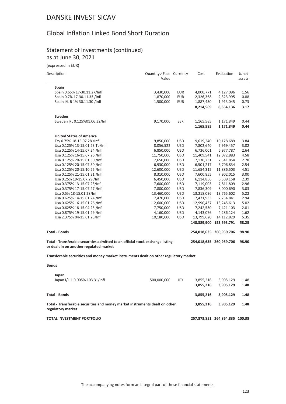# Global Inflation Linked Bond Short Duration

### Statement of Investments (continued) as at June 30, 2021

(expressed in EUR)

| Description |  |
|-------------|--|
|             |  |

| Description                                                                                                               | Quantity / Face Currency<br>Value |            | Cost        | Evaluation              | % net<br>assets |
|---------------------------------------------------------------------------------------------------------------------------|-----------------------------------|------------|-------------|-------------------------|-----------------|
| Spain                                                                                                                     |                                   |            |             |                         |                 |
| Spain 0.65% 17-30.11.27/Infl                                                                                              | 3,430,000                         | <b>EUR</b> | 4,000,771   | 4,127,096               | 1.56            |
| Spain 0.7% 17-30.11.33 /Infl                                                                                              | 1,870,000                         | <b>EUR</b> | 2,326,368   | 2,323,995               | 0.88            |
| Spain I/L B 1% 30.11.30 /Infl                                                                                             | 1,500,000                         | <b>EUR</b> | 1,887,430   | 1,913,045               | 0.73            |
|                                                                                                                           |                                   |            | 8,214,569   | 8,364,136               | 3.17            |
| Sweden                                                                                                                    |                                   |            |             |                         |                 |
| Sweden I/L 0.125%01.06.32/Infl                                                                                            | 9,170,000                         | <b>SEK</b> | 1,165,585   | 1,171,849               | 0.44            |
|                                                                                                                           |                                   |            | 1,165,585   | 1,171,849               | 0.44            |
| <b>United States of America</b>                                                                                           |                                   |            |             |                         |                 |
| Tsy 0.75% 18-15.07.28 /Infl                                                                                               | 9,850,000                         | <b>USD</b> | 9,619,240   | 10,128,689              | 3.84            |
| Usa 0.125% 13-15.01.23 Tb/Infl                                                                                            | 8,056,522                         | <b>USD</b> | 7,802,640   | 7,969,457               | 3.02            |
| Usa 0.125% 14-15.07.24 /Infl                                                                                              | 6,850,000                         | <b>USD</b> | 6,736,001   | 6,977,787               | 2.64            |
| Usa 0.125% 16-15.07.26 /Infl                                                                                              | 11,750,000                        | <b>USD</b> | 11,409,541  | 12,072,883              | 4.58            |
| Usa 0.125% 20-15.01.30 /Infl                                                                                              | 7,650,000                         | <b>USD</b> | 7,130,231   | 7,341,854               | 2.78            |
| Usa 0.125% 20-15.07.30 /Infl                                                                                              | 6,930,000                         | <b>USD</b> | 6,501,217   | 6,706,834               | 2.54            |
| Usa 0.125% 20-15.10.25 /Infl                                                                                              | 12,600,000                        | <b>USD</b> | 11,654,315  | 11,886,503              | 4.51            |
| Usa 0.125% 21-15.01.31 /Infl                                                                                              | 8,310,000                         | <b>USD</b> | 7,600,855   | 7,902,015               | 3.00            |
| Usa 0.25% 19-15.07.29 /Infl                                                                                               | 6,450,000                         | <b>USD</b> | 6,114,856   | 6,309,158               | 2.39            |
| Usa 0.375% 13-15.07.23/Infl                                                                                               | 7,600,000                         | <b>USD</b> | 7,119,003   | 7,811,809               | 2.96            |
| Usa 0.375% 17-15.07.27 /Infl                                                                                              | 7,800,000                         | <b>USD</b> | 7,836,309   | 8,000,690               | 3.03            |
| Usa 0.5% 18-15.01.28/Infl                                                                                                 | 13,460,000                        | <b>USD</b> | 13,218,096  | 13,765,602              | 5.22            |
| Usa 0.625% 14-15.01.24 /Infl                                                                                              | 7,470,000                         | <b>USD</b> | 7,471,933   | 7,754,841               | 2.94            |
| Usa 0.625% 16-15.01.26 /Infl                                                                                              | 12,600,000                        | <b>USD</b> | 12,990,437  | 13,245,613              | 5.02            |
| Usa 0.625% 18-15.04.23 /Infl                                                                                              | 7,750,000                         | <b>USD</b> | 7,242,530   | 7,421,103               | 2.81            |
| Usa 0.875% 19-15.01.29 /Infl                                                                                              | 4,160,000                         | <b>USD</b> | 4,143,076   | 4,286,124               | 1.62            |
| Usa 2.375% 04-15.01.25/Infl                                                                                               | 10,180,000                        | <b>USD</b> | 13,799,620  | 14,112,829              | 5.35            |
|                                                                                                                           |                                   |            | 148,389,900 | 153,693,791             | 58.25           |
| <b>Total - Bonds</b>                                                                                                      |                                   |            |             | 254,018,635 260,959,706 | 98.90           |
| Total - Transferable securities admitted to an official stock exchange listing<br>or dealt in on another regulated market |                                   |            |             | 254,018,635 260,959,706 | 98.90           |

**Transferable securities and money market instruments dealt on other regulatory market**

| ۰.<br>۰.<br>×<br>. .<br>۰,<br>× |
|---------------------------------|
|---------------------------------|

| Japan<br>Japan I/L-1 0.005% 103.31/Infl                                                          | 500,000,000 | JPY | 3,855,216<br>3.855.216 | 3,905,129<br>3.905.129         | 1.48<br>1.48 |
|--------------------------------------------------------------------------------------------------|-------------|-----|------------------------|--------------------------------|--------------|
| Total - Bonds                                                                                    |             |     | 3.855.216              | 3.905.129                      | 1.48         |
| Total - Transferable securities and money market instruments dealt on other<br>regulatory market |             |     | 3.855.216              | 3.905.129                      | 1.48         |
| TOTAL INVESTMENT PORTFOLIO                                                                       |             |     |                        | 257,873,851 264,864,835 100.38 |              |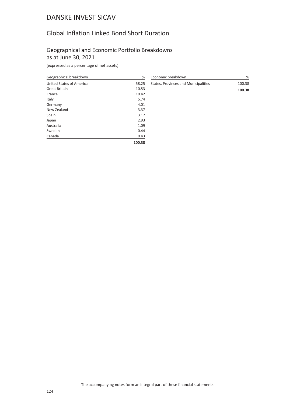# Global Inflation Linked Bond Short Duration

### Geographical and Economic Portfolio Breakdowns as at June 30, 2021

| Geographical breakdown   | %      |
|--------------------------|--------|
| United States of America | 58.25  |
| <b>Great Britain</b>     | 10.53  |
| France                   | 10.42  |
| Italy                    | 5.74   |
| Germany                  | 4.01   |
| New Zealand              | 3.37   |
| Spain                    | 3.17   |
| Japan                    | 2.93   |
| Australia                | 1.09   |
| Sweden                   | 0.44   |
| Canada                   | 0.43   |
|                          | 100.38 |

| Economic breakdown                   | %      |
|--------------------------------------|--------|
| States, Provinces and Municipalities | 100.38 |
|                                      | 100.38 |
|                                      |        |
|                                      |        |
|                                      |        |
|                                      |        |
|                                      |        |
|                                      |        |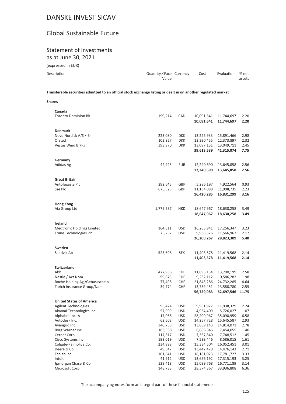# Global Sustainable Future

# Statement of Investments

as at June 30, 2021

(expressed in EUR)

| Description | Quantity / Face Currency | Cost | Evaluation % net |        |
|-------------|--------------------------|------|------------------|--------|
|             | Value                    |      |                  | assets |
|             |                          |      |                  |        |

**Transferable securities admitted to an official stock exchange listing or dealt in on another regulated market**

| Transferable securities admitted to an official stock exchange listing or dealt in on another regulated market |         |     |            |                        |      |
|----------------------------------------------------------------------------------------------------------------|---------|-----|------------|------------------------|------|
| <b>Shares</b>                                                                                                  |         |     |            |                        |      |
| Canada                                                                                                         |         |     |            |                        |      |
| <b>Toronto Dominion Bk</b>                                                                                     | 199.214 | CAD |            | 10.091.641  11.744.697 | 2.20 |
|                                                                                                                |         |     | 10.091.641 | 11.744.697             | 2.20 |

| <b>Denmark</b><br>Novo Nordisk A/S /-B-<br>223,080<br><b>DKK</b><br>13,225,933<br>15,891,466<br>Orsted<br>102,827<br><b>DKK</b><br>13,290,455<br>12,373,897<br>Vestas Wind Br/Rg<br>393,970<br><b>DKK</b><br>13,097,151<br>13,049,711<br>39,613,539<br>41,315,074<br>Germany<br>Adidas Ag<br>42,925<br><b>EUR</b><br>12,240,690<br>13,645,858<br>12,240,690<br>13,645,858<br><b>Great Britain</b><br>Antofagasta Plc<br>292,645<br>GBP<br>5,286,197<br>4,922,564<br>Sse Plc<br>675,525<br>GBP<br>11,908,735<br>11,134,088<br>16,420,285<br>16,831,299<br><b>Hong Kong</b><br>Aia Group Ltd<br>1,779,537<br><b>HKD</b><br>18,647,967<br>18,630,258<br>18,647,967<br>18,630,258<br>Ireland<br>Medtronic Holdings Limited<br><b>USD</b><br>17,256,347<br>164,811<br>16,263,941<br>Trane Technologies Plc<br>75,252<br><b>USD</b><br>9,936,326<br>11,566,962<br>26,200,267<br>28,823,309<br>Sweden<br>Sandvik Ab<br>523,698<br><b>SEK</b><br>11,403,578<br>11,419,568<br>11,403,578<br>11,419,568<br>Switzerland<br>Abb<br>477,986<br><b>CHF</b><br>11,895,134<br>13,790,199<br>Nestle / Act Nom<br>99,875<br><b>CHF</b><br>9,232,112<br>10,586,282<br>Roche Holding Ag / Genussschein<br>77,498<br><b>CHF</b><br>21,843,286<br>24,732,285<br>Zurich Insurance Group/Nam<br>39,774<br><b>CHF</b><br>13,759,451<br>13,588,780<br>56,729,983<br>62,697,546<br><b>United States of America</b><br><b>Agilent Technologies</b><br>95,424<br><b>USD</b><br>9,961,927<br>11,938,329<br>Akamai Technologies Inc<br>57,999<br><b>USD</b><br>4,964,409<br>5,726,027<br>Alphabet Inc -A-<br>17,068<br><b>USD</b><br>28,209,967<br>35,090,959<br>6.58<br>Autodesk Inc.<br>62,503<br><b>USD</b><br>14,257,728<br>15,645,587<br>Avangrid Inc<br>340,758<br><b>USD</b><br>13,689,143<br>14,814,071<br>Borg Warner Inc<br>183,338<br><b>USD</b><br>6,888,846<br>7,454,055<br>117,617<br><b>USD</b><br>7,367,840<br>7,748,512<br>Cerner Corp<br>Cisco Systems Inc.<br>193,019<br><b>USD</b><br>7,539,446<br>8,586,015<br>Colgate-Palmolive Co.<br>USD<br>234,998<br>15,334,504<br>16,052,451<br>Deere & Co.<br><b>USD</b><br>13,447,428<br>49,347<br>14,476,143<br><b>USD</b><br>Ecolab Inc.<br>101,641<br>18,181,023<br>17,781,727<br>13,656,192<br>Intuit<br>41,912<br><b>USD</b><br>17,315,193<br>Jpmorgan Chase & Co<br>129,418<br><b>USD</b><br>15,099,768<br>16,771,189<br>Microsoft Corp.<br>148,733<br><b>USD</b><br>28,374,367<br>33,936,808 |  | 10,091,641 | 11,744,697 | 2.20          |
|-----------------------------------------------------------------------------------------------------------------------------------------------------------------------------------------------------------------------------------------------------------------------------------------------------------------------------------------------------------------------------------------------------------------------------------------------------------------------------------------------------------------------------------------------------------------------------------------------------------------------------------------------------------------------------------------------------------------------------------------------------------------------------------------------------------------------------------------------------------------------------------------------------------------------------------------------------------------------------------------------------------------------------------------------------------------------------------------------------------------------------------------------------------------------------------------------------------------------------------------------------------------------------------------------------------------------------------------------------------------------------------------------------------------------------------------------------------------------------------------------------------------------------------------------------------------------------------------------------------------------------------------------------------------------------------------------------------------------------------------------------------------------------------------------------------------------------------------------------------------------------------------------------------------------------------------------------------------------------------------------------------------------------------------------------------------------------------------------------------------------------------------------------------------------------------------------------------------------------------------------------------------------------------------------------------------------------------------------------------------------------------------------------------------------------------|--|------------|------------|---------------|
|                                                                                                                                                                                                                                                                                                                                                                                                                                                                                                                                                                                                                                                                                                                                                                                                                                                                                                                                                                                                                                                                                                                                                                                                                                                                                                                                                                                                                                                                                                                                                                                                                                                                                                                                                                                                                                                                                                                                                                                                                                                                                                                                                                                                                                                                                                                                                                                                                                   |  |            |            |               |
|                                                                                                                                                                                                                                                                                                                                                                                                                                                                                                                                                                                                                                                                                                                                                                                                                                                                                                                                                                                                                                                                                                                                                                                                                                                                                                                                                                                                                                                                                                                                                                                                                                                                                                                                                                                                                                                                                                                                                                                                                                                                                                                                                                                                                                                                                                                                                                                                                                   |  |            |            | 2.98          |
|                                                                                                                                                                                                                                                                                                                                                                                                                                                                                                                                                                                                                                                                                                                                                                                                                                                                                                                                                                                                                                                                                                                                                                                                                                                                                                                                                                                                                                                                                                                                                                                                                                                                                                                                                                                                                                                                                                                                                                                                                                                                                                                                                                                                                                                                                                                                                                                                                                   |  |            |            | 2.32          |
|                                                                                                                                                                                                                                                                                                                                                                                                                                                                                                                                                                                                                                                                                                                                                                                                                                                                                                                                                                                                                                                                                                                                                                                                                                                                                                                                                                                                                                                                                                                                                                                                                                                                                                                                                                                                                                                                                                                                                                                                                                                                                                                                                                                                                                                                                                                                                                                                                                   |  |            |            | 2.45          |
|                                                                                                                                                                                                                                                                                                                                                                                                                                                                                                                                                                                                                                                                                                                                                                                                                                                                                                                                                                                                                                                                                                                                                                                                                                                                                                                                                                                                                                                                                                                                                                                                                                                                                                                                                                                                                                                                                                                                                                                                                                                                                                                                                                                                                                                                                                                                                                                                                                   |  |            |            | 7.75          |
|                                                                                                                                                                                                                                                                                                                                                                                                                                                                                                                                                                                                                                                                                                                                                                                                                                                                                                                                                                                                                                                                                                                                                                                                                                                                                                                                                                                                                                                                                                                                                                                                                                                                                                                                                                                                                                                                                                                                                                                                                                                                                                                                                                                                                                                                                                                                                                                                                                   |  |            |            |               |
|                                                                                                                                                                                                                                                                                                                                                                                                                                                                                                                                                                                                                                                                                                                                                                                                                                                                                                                                                                                                                                                                                                                                                                                                                                                                                                                                                                                                                                                                                                                                                                                                                                                                                                                                                                                                                                                                                                                                                                                                                                                                                                                                                                                                                                                                                                                                                                                                                                   |  |            |            | 2.56          |
|                                                                                                                                                                                                                                                                                                                                                                                                                                                                                                                                                                                                                                                                                                                                                                                                                                                                                                                                                                                                                                                                                                                                                                                                                                                                                                                                                                                                                                                                                                                                                                                                                                                                                                                                                                                                                                                                                                                                                                                                                                                                                                                                                                                                                                                                                                                                                                                                                                   |  |            |            | 2.56          |
|                                                                                                                                                                                                                                                                                                                                                                                                                                                                                                                                                                                                                                                                                                                                                                                                                                                                                                                                                                                                                                                                                                                                                                                                                                                                                                                                                                                                                                                                                                                                                                                                                                                                                                                                                                                                                                                                                                                                                                                                                                                                                                                                                                                                                                                                                                                                                                                                                                   |  |            |            |               |
|                                                                                                                                                                                                                                                                                                                                                                                                                                                                                                                                                                                                                                                                                                                                                                                                                                                                                                                                                                                                                                                                                                                                                                                                                                                                                                                                                                                                                                                                                                                                                                                                                                                                                                                                                                                                                                                                                                                                                                                                                                                                                                                                                                                                                                                                                                                                                                                                                                   |  |            |            | 0.93          |
|                                                                                                                                                                                                                                                                                                                                                                                                                                                                                                                                                                                                                                                                                                                                                                                                                                                                                                                                                                                                                                                                                                                                                                                                                                                                                                                                                                                                                                                                                                                                                                                                                                                                                                                                                                                                                                                                                                                                                                                                                                                                                                                                                                                                                                                                                                                                                                                                                                   |  |            |            | 2.23          |
|                                                                                                                                                                                                                                                                                                                                                                                                                                                                                                                                                                                                                                                                                                                                                                                                                                                                                                                                                                                                                                                                                                                                                                                                                                                                                                                                                                                                                                                                                                                                                                                                                                                                                                                                                                                                                                                                                                                                                                                                                                                                                                                                                                                                                                                                                                                                                                                                                                   |  |            |            | 3.16          |
|                                                                                                                                                                                                                                                                                                                                                                                                                                                                                                                                                                                                                                                                                                                                                                                                                                                                                                                                                                                                                                                                                                                                                                                                                                                                                                                                                                                                                                                                                                                                                                                                                                                                                                                                                                                                                                                                                                                                                                                                                                                                                                                                                                                                                                                                                                                                                                                                                                   |  |            |            |               |
|                                                                                                                                                                                                                                                                                                                                                                                                                                                                                                                                                                                                                                                                                                                                                                                                                                                                                                                                                                                                                                                                                                                                                                                                                                                                                                                                                                                                                                                                                                                                                                                                                                                                                                                                                                                                                                                                                                                                                                                                                                                                                                                                                                                                                                                                                                                                                                                                                                   |  |            |            | 3.49          |
|                                                                                                                                                                                                                                                                                                                                                                                                                                                                                                                                                                                                                                                                                                                                                                                                                                                                                                                                                                                                                                                                                                                                                                                                                                                                                                                                                                                                                                                                                                                                                                                                                                                                                                                                                                                                                                                                                                                                                                                                                                                                                                                                                                                                                                                                                                                                                                                                                                   |  |            |            | 3.49          |
|                                                                                                                                                                                                                                                                                                                                                                                                                                                                                                                                                                                                                                                                                                                                                                                                                                                                                                                                                                                                                                                                                                                                                                                                                                                                                                                                                                                                                                                                                                                                                                                                                                                                                                                                                                                                                                                                                                                                                                                                                                                                                                                                                                                                                                                                                                                                                                                                                                   |  |            |            |               |
|                                                                                                                                                                                                                                                                                                                                                                                                                                                                                                                                                                                                                                                                                                                                                                                                                                                                                                                                                                                                                                                                                                                                                                                                                                                                                                                                                                                                                                                                                                                                                                                                                                                                                                                                                                                                                                                                                                                                                                                                                                                                                                                                                                                                                                                                                                                                                                                                                                   |  |            |            | 3.23          |
|                                                                                                                                                                                                                                                                                                                                                                                                                                                                                                                                                                                                                                                                                                                                                                                                                                                                                                                                                                                                                                                                                                                                                                                                                                                                                                                                                                                                                                                                                                                                                                                                                                                                                                                                                                                                                                                                                                                                                                                                                                                                                                                                                                                                                                                                                                                                                                                                                                   |  |            |            | 2.17          |
|                                                                                                                                                                                                                                                                                                                                                                                                                                                                                                                                                                                                                                                                                                                                                                                                                                                                                                                                                                                                                                                                                                                                                                                                                                                                                                                                                                                                                                                                                                                                                                                                                                                                                                                                                                                                                                                                                                                                                                                                                                                                                                                                                                                                                                                                                                                                                                                                                                   |  |            |            | 5.40          |
|                                                                                                                                                                                                                                                                                                                                                                                                                                                                                                                                                                                                                                                                                                                                                                                                                                                                                                                                                                                                                                                                                                                                                                                                                                                                                                                                                                                                                                                                                                                                                                                                                                                                                                                                                                                                                                                                                                                                                                                                                                                                                                                                                                                                                                                                                                                                                                                                                                   |  |            |            |               |
|                                                                                                                                                                                                                                                                                                                                                                                                                                                                                                                                                                                                                                                                                                                                                                                                                                                                                                                                                                                                                                                                                                                                                                                                                                                                                                                                                                                                                                                                                                                                                                                                                                                                                                                                                                                                                                                                                                                                                                                                                                                                                                                                                                                                                                                                                                                                                                                                                                   |  |            |            | 2.14          |
|                                                                                                                                                                                                                                                                                                                                                                                                                                                                                                                                                                                                                                                                                                                                                                                                                                                                                                                                                                                                                                                                                                                                                                                                                                                                                                                                                                                                                                                                                                                                                                                                                                                                                                                                                                                                                                                                                                                                                                                                                                                                                                                                                                                                                                                                                                                                                                                                                                   |  |            |            | 2.14          |
|                                                                                                                                                                                                                                                                                                                                                                                                                                                                                                                                                                                                                                                                                                                                                                                                                                                                                                                                                                                                                                                                                                                                                                                                                                                                                                                                                                                                                                                                                                                                                                                                                                                                                                                                                                                                                                                                                                                                                                                                                                                                                                                                                                                                                                                                                                                                                                                                                                   |  |            |            |               |
|                                                                                                                                                                                                                                                                                                                                                                                                                                                                                                                                                                                                                                                                                                                                                                                                                                                                                                                                                                                                                                                                                                                                                                                                                                                                                                                                                                                                                                                                                                                                                                                                                                                                                                                                                                                                                                                                                                                                                                                                                                                                                                                                                                                                                                                                                                                                                                                                                                   |  |            |            | 2.58          |
|                                                                                                                                                                                                                                                                                                                                                                                                                                                                                                                                                                                                                                                                                                                                                                                                                                                                                                                                                                                                                                                                                                                                                                                                                                                                                                                                                                                                                                                                                                                                                                                                                                                                                                                                                                                                                                                                                                                                                                                                                                                                                                                                                                                                                                                                                                                                                                                                                                   |  |            |            | 1.98          |
|                                                                                                                                                                                                                                                                                                                                                                                                                                                                                                                                                                                                                                                                                                                                                                                                                                                                                                                                                                                                                                                                                                                                                                                                                                                                                                                                                                                                                                                                                                                                                                                                                                                                                                                                                                                                                                                                                                                                                                                                                                                                                                                                                                                                                                                                                                                                                                                                                                   |  |            |            | 4.64          |
|                                                                                                                                                                                                                                                                                                                                                                                                                                                                                                                                                                                                                                                                                                                                                                                                                                                                                                                                                                                                                                                                                                                                                                                                                                                                                                                                                                                                                                                                                                                                                                                                                                                                                                                                                                                                                                                                                                                                                                                                                                                                                                                                                                                                                                                                                                                                                                                                                                   |  |            |            | 2.55<br>11.75 |
|                                                                                                                                                                                                                                                                                                                                                                                                                                                                                                                                                                                                                                                                                                                                                                                                                                                                                                                                                                                                                                                                                                                                                                                                                                                                                                                                                                                                                                                                                                                                                                                                                                                                                                                                                                                                                                                                                                                                                                                                                                                                                                                                                                                                                                                                                                                                                                                                                                   |  |            |            |               |
|                                                                                                                                                                                                                                                                                                                                                                                                                                                                                                                                                                                                                                                                                                                                                                                                                                                                                                                                                                                                                                                                                                                                                                                                                                                                                                                                                                                                                                                                                                                                                                                                                                                                                                                                                                                                                                                                                                                                                                                                                                                                                                                                                                                                                                                                                                                                                                                                                                   |  |            |            |               |
|                                                                                                                                                                                                                                                                                                                                                                                                                                                                                                                                                                                                                                                                                                                                                                                                                                                                                                                                                                                                                                                                                                                                                                                                                                                                                                                                                                                                                                                                                                                                                                                                                                                                                                                                                                                                                                                                                                                                                                                                                                                                                                                                                                                                                                                                                                                                                                                                                                   |  |            |            | 2.24          |
|                                                                                                                                                                                                                                                                                                                                                                                                                                                                                                                                                                                                                                                                                                                                                                                                                                                                                                                                                                                                                                                                                                                                                                                                                                                                                                                                                                                                                                                                                                                                                                                                                                                                                                                                                                                                                                                                                                                                                                                                                                                                                                                                                                                                                                                                                                                                                                                                                                   |  |            |            | 1.07          |
|                                                                                                                                                                                                                                                                                                                                                                                                                                                                                                                                                                                                                                                                                                                                                                                                                                                                                                                                                                                                                                                                                                                                                                                                                                                                                                                                                                                                                                                                                                                                                                                                                                                                                                                                                                                                                                                                                                                                                                                                                                                                                                                                                                                                                                                                                                                                                                                                                                   |  |            |            | 2.93          |
|                                                                                                                                                                                                                                                                                                                                                                                                                                                                                                                                                                                                                                                                                                                                                                                                                                                                                                                                                                                                                                                                                                                                                                                                                                                                                                                                                                                                                                                                                                                                                                                                                                                                                                                                                                                                                                                                                                                                                                                                                                                                                                                                                                                                                                                                                                                                                                                                                                   |  |            |            | 2.78          |
|                                                                                                                                                                                                                                                                                                                                                                                                                                                                                                                                                                                                                                                                                                                                                                                                                                                                                                                                                                                                                                                                                                                                                                                                                                                                                                                                                                                                                                                                                                                                                                                                                                                                                                                                                                                                                                                                                                                                                                                                                                                                                                                                                                                                                                                                                                                                                                                                                                   |  |            |            | 1.40          |
|                                                                                                                                                                                                                                                                                                                                                                                                                                                                                                                                                                                                                                                                                                                                                                                                                                                                                                                                                                                                                                                                                                                                                                                                                                                                                                                                                                                                                                                                                                                                                                                                                                                                                                                                                                                                                                                                                                                                                                                                                                                                                                                                                                                                                                                                                                                                                                                                                                   |  |            |            | 1.45          |
|                                                                                                                                                                                                                                                                                                                                                                                                                                                                                                                                                                                                                                                                                                                                                                                                                                                                                                                                                                                                                                                                                                                                                                                                                                                                                                                                                                                                                                                                                                                                                                                                                                                                                                                                                                                                                                                                                                                                                                                                                                                                                                                                                                                                                                                                                                                                                                                                                                   |  |            |            | 1.61          |
|                                                                                                                                                                                                                                                                                                                                                                                                                                                                                                                                                                                                                                                                                                                                                                                                                                                                                                                                                                                                                                                                                                                                                                                                                                                                                                                                                                                                                                                                                                                                                                                                                                                                                                                                                                                                                                                                                                                                                                                                                                                                                                                                                                                                                                                                                                                                                                                                                                   |  |            |            | 3.01          |
|                                                                                                                                                                                                                                                                                                                                                                                                                                                                                                                                                                                                                                                                                                                                                                                                                                                                                                                                                                                                                                                                                                                                                                                                                                                                                                                                                                                                                                                                                                                                                                                                                                                                                                                                                                                                                                                                                                                                                                                                                                                                                                                                                                                                                                                                                                                                                                                                                                   |  |            |            | 2.71          |
|                                                                                                                                                                                                                                                                                                                                                                                                                                                                                                                                                                                                                                                                                                                                                                                                                                                                                                                                                                                                                                                                                                                                                                                                                                                                                                                                                                                                                                                                                                                                                                                                                                                                                                                                                                                                                                                                                                                                                                                                                                                                                                                                                                                                                                                                                                                                                                                                                                   |  |            |            | 3.33          |
|                                                                                                                                                                                                                                                                                                                                                                                                                                                                                                                                                                                                                                                                                                                                                                                                                                                                                                                                                                                                                                                                                                                                                                                                                                                                                                                                                                                                                                                                                                                                                                                                                                                                                                                                                                                                                                                                                                                                                                                                                                                                                                                                                                                                                                                                                                                                                                                                                                   |  |            |            | 3.25          |
|                                                                                                                                                                                                                                                                                                                                                                                                                                                                                                                                                                                                                                                                                                                                                                                                                                                                                                                                                                                                                                                                                                                                                                                                                                                                                                                                                                                                                                                                                                                                                                                                                                                                                                                                                                                                                                                                                                                                                                                                                                                                                                                                                                                                                                                                                                                                                                                                                                   |  |            |            | 3.14          |
|                                                                                                                                                                                                                                                                                                                                                                                                                                                                                                                                                                                                                                                                                                                                                                                                                                                                                                                                                                                                                                                                                                                                                                                                                                                                                                                                                                                                                                                                                                                                                                                                                                                                                                                                                                                                                                                                                                                                                                                                                                                                                                                                                                                                                                                                                                                                                                                                                                   |  |            |            | 6.36          |

The accompanying notes form an integral part of these financial statements.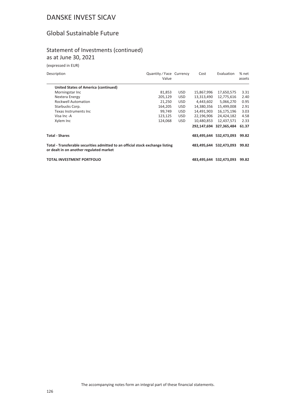# Global Sustainable Future

### Statement of Investments (continued) as at June 30, 2021

(expressed in EUR)

| Description |  |
|-------------|--|

| Description                                                                                                               | Quantity / Face Currency<br>Value |            | Cost        | Evaluation              | % net<br>assets |
|---------------------------------------------------------------------------------------------------------------------------|-----------------------------------|------------|-------------|-------------------------|-----------------|
| <b>United States of America (continued)</b>                                                                               |                                   |            |             |                         |                 |
| Morningstar Inc.                                                                                                          | 81,853                            | <b>USD</b> | 15,867,996  | 17,650,575              | 3.31            |
| Nextera Energy                                                                                                            | 205,129                           | <b>USD</b> | 13,313,490  | 12,775,616              | 2.40            |
| <b>Rockwell Automation</b>                                                                                                | 21,250                            | <b>USD</b> | 4,443,602   | 5,066,270               | 0.95            |
| Starbucks Corp.                                                                                                           | 164,205                           | <b>USD</b> | 14,380,356  | 15,499,008              | 2.91            |
| Texas Instruments Inc                                                                                                     | 99,749                            | <b>USD</b> | 14,491,903  | 16,175,196              | 3.03            |
| Visa Inc -A                                                                                                               | 123,125                           | <b>USD</b> | 22,196,906  | 24,424,182              | 4.58            |
| Xylem Inc                                                                                                                 | 124,068                           | <b>USD</b> | 10,480,853  | 12,437,571              | 2.33            |
|                                                                                                                           |                                   |            | 292,147,694 | 327.365.484             | 61.37           |
| <b>Total - Shares</b>                                                                                                     |                                   |            |             | 483,495,644 532,473,093 | 99.82           |
| Total - Transferable securities admitted to an official stock exchange listing<br>or dealt in on another regulated market |                                   |            |             | 483,495,644 532,473,093 | 99.82           |
| TOTAL INVESTMENT PORTFOLIO                                                                                                |                                   |            |             | 483,495,644 532,473,093 | 99.82           |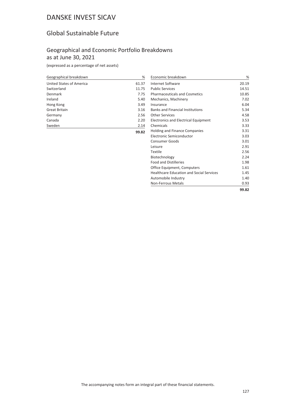# Global Sustainable Future

## Geographical and Economic Portfolio Breakdowns as at June 30, 2021

| Geographical breakdown   | %     |
|--------------------------|-------|
| United States of America | 61.37 |
| Switzerland              | 11.75 |
| Denmark                  | 7.75  |
| Ireland                  | 5.40  |
| Hong Kong                | 3.49  |
| <b>Great Britain</b>     | 3.16  |
| Germany                  | 2.56  |
| Canada                   | 2.20  |
| Sweden                   | 2.14  |
|                          | 99.82 |

| Economic breakdown                              | %     |
|-------------------------------------------------|-------|
| <b>Internet Software</b>                        | 20.19 |
| <b>Public Services</b>                          | 14.51 |
| <b>Pharmaceuticals and Cosmetics</b>            | 10.85 |
| Mechanics, Machinery                            | 7.02  |
| Insurance                                       | 6.04  |
| <b>Banks and Financial Institutions</b>         | 5.34  |
| Other Services                                  | 4.58  |
| Electronics and Electrical Equipment            | 3.53  |
| Chemicals                                       | 3.33  |
| <b>Holding and Finance Companies</b>            | 3.31  |
| Electronic Semiconductor                        | 3.03  |
| Consumer Goods                                  | 3.01  |
| Leisure                                         | 2.91  |
| Textile                                         | 2.56  |
| Biotechnology                                   | 2.24  |
| <b>Food and Distilleries</b>                    | 1.98  |
| Office Equipment, Computers                     | 1.61  |
| <b>Healthcare Education and Social Services</b> | 1.45  |
| Automobile Industry                             | 1.40  |
| <b>Non-Ferrous Metals</b>                       | 0.93  |
|                                                 | 99.82 |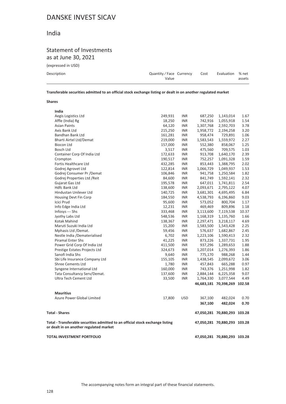## India

### Statement of Investments as at June 30, 2021

(expressed in USD)

|       | Evaluation % net            |        |
|-------|-----------------------------|--------|
|       |                             | assets |
| Value | Quantity/Face Currency Cost |        |

**Transferable securities admitted to an official stock exchange listing or dealt in on another regulated market**

#### **Shares**

| India                                                                                                                     |         |            |           |                              |       |
|---------------------------------------------------------------------------------------------------------------------------|---------|------------|-----------|------------------------------|-------|
| Aegis Logistics Ltd                                                                                                       | 249,931 | <b>INR</b> | 687,250   | 1,143,014                    | 1.67  |
| Affle (India) Rg                                                                                                          | 18,250  | <b>INR</b> | 742,916   | 1,055,918                    | 1.54  |
| <b>Asian Paints</b>                                                                                                       | 64,120  | <b>INR</b> | 1,307,768 | 2,592,703                    | 3.78  |
| Axis Bank Ltd                                                                                                             | 215,250 | <b>INR</b> | 1,958,772 | 2,194,258                    | 3.20  |
| Bandhan Bank Ltd                                                                                                          | 161,281 | <b>INR</b> | 958,474   | 729,891                      | 1.06  |
| Bharti Airtel Ltd/Demat                                                                                                   | 219,000 | <b>INR</b> | 1,583,543 | 1,559,972                    | 2.27  |
| Biocon Ltd                                                                                                                | 157,000 | <b>INR</b> | 552,380   | 858,067                      | 1.25  |
| Bosch Ltd                                                                                                                 | 3,517   | <b>INR</b> | 475,560   | 709,575                      | 1.03  |
| Container Corp Of India Ltd                                                                                               | 172,633 | <b>INR</b> | 913,708   | 1,640,170                    | 2.39  |
| Crompton                                                                                                                  | 190,517 | <b>INR</b> | 752,257   | 1,091,328                    | 1.59  |
| Fortis Healthcare Ltd                                                                                                     | 432,285 | <b>INR</b> | 853,443   | 1,388,795                    | 2.02  |
| Godrej Agrovet Ltd                                                                                                        | 122,814 | <b>INR</b> | 1,066,729 | 1,049,937                    | 1.53  |
| Godrej Consumer Pr / Demat                                                                                                | 106,846 | <b>INR</b> | 941,758   | 1,250,584                    | 1.82  |
| Godrej Properties Ltd / Reit                                                                                              | 84,600  | <b>INR</b> | 841,749   | 1,592,141                    | 2.32  |
| Gujarat Gas Ltd                                                                                                           | 195,578 | <b>INR</b> | 647,011   | 1,741,811                    | 2.54  |
| <b>Hdfc Bank Ltd</b>                                                                                                      | 138,600 | <b>INR</b> | 2,093,671 | 2,795,122                    | 4.07  |
| Hindustan Unilever Ltd                                                                                                    | 140,725 | <b>INR</b> | 3,681,301 | 4,695,495                    | 6.84  |
| Housing Devt Fin Corp                                                                                                     | 184,550 | <b>INR</b> | 4,538,793 | 6,196,860                    | 9.03  |
| Icici Prud                                                                                                                | 95,600  | <b>INR</b> | 573,052   | 800,704                      | 1.17  |
| Info Edge India Ltd                                                                                                       | 12,231  | <b>INR</b> | 469,469   | 809,896                      | 1.18  |
| Infosys --- Shs                                                                                                           | 333,468 | <b>INR</b> | 3,113,600 | 7,119,538                    | 10.37 |
| Jyothy Labs Ltd                                                                                                           | 548,536 | <b>INR</b> | 1,168,319 | 1,135,760                    | 1.66  |
| Kotak Mahind                                                                                                              | 138,367 | <b>INR</b> | 2,297,471 | 3,218,117                    | 4.69  |
| Maruti Suzuki India Ltd                                                                                                   | 15,200  | <b>INR</b> | 1,583,500 | 1,543,428                    | 2.25  |
| Mphasis Ltd /Demat.                                                                                                       | 59,456  | <b>INR</b> | 576,637   | 1,682,867                    | 2.45  |
| Nestle India /Dematerialised                                                                                              | 6,702   | <b>INR</b> | 1,223,106 | 1,590,413                    | 2.32  |
| <b>Piramal Enter Shs</b>                                                                                                  | 41,225  | <b>INR</b> | 873,226   | 1,337,731                    | 1.95  |
| Power Grid Corp Of India Ltd                                                                                              | 411,500 | <b>INR</b> | 937,296   | 1,289,653                    | 1.88  |
| Prestige Estates Projects Ltd                                                                                             | 324,673 | <b>INR</b> | 1,207,014 | 1,276,393                    | 1.86  |
| Sanofi India Shs                                                                                                          | 9,640   | <b>INR</b> | 775,170   | 988,268                      | 1.44  |
| Sbi Life Insurance Company Ltd                                                                                            | 155,105 | <b>INR</b> | 1,438,545 | 2,099,672                    | 3.06  |
| <b>Shree Cements Ltd</b>                                                                                                  | 1,780   | <b>INR</b> | 457,843   | 665,288                      | 0.97  |
| Syngene International Ltd                                                                                                 | 160,000 | <b>INR</b> | 743,376   | 1,251,998                    | 1.82  |
| Tata Consultancy Serv/Demat.                                                                                              | 137,600 | <b>INR</b> | 2,884,144 | 6,225,358                    | 9.07  |
| Ultra Tech Cement Ltd                                                                                                     | 33,500  | <b>INR</b> | 1,764,330 | 3,077,544                    | 4.49  |
|                                                                                                                           |         |            |           | 46,683,181 70,398,269 102.58 |       |
| <b>Mauritius</b>                                                                                                          |         |            |           |                              |       |
| Azure Power Global Limited                                                                                                | 17,800  | <b>USD</b> | 367,100   | 482,024                      | 0.70  |
|                                                                                                                           |         |            | 367,100   | 482,024                      | 0.70  |
| <b>Total - Shares</b>                                                                                                     |         |            |           | 47,050,281 70,880,293 103.28 |       |
| Total - Transferable securities admitted to an official stock exchange listing<br>or dealt in on another regulated market |         |            |           | 47,050,281 70,880,293 103.28 |       |
| <b>TOTAL INVESTMENT PORTFOLIO</b>                                                                                         |         |            |           | 47,050,281 70,880,293 103.28 |       |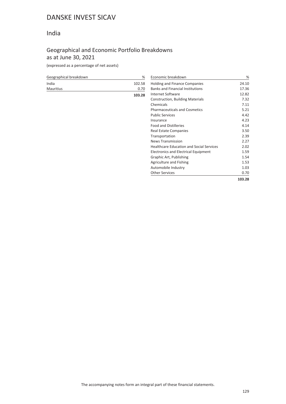## India

## Geographical and Economic Portfolio Breakdowns as at June 30, 2021

| Geographical breakdown | %      | Economic breakdown                              | %      |
|------------------------|--------|-------------------------------------------------|--------|
| India                  | 102.58 | <b>Holding and Finance Companies</b>            | 24.10  |
| <b>Mauritius</b>       | 0.70   | <b>Banks and Financial Institutions</b>         | 17.36  |
|                        | 103.28 | <b>Internet Software</b>                        | 12.82  |
|                        |        | Construction, Building Materials                | 7.32   |
|                        |        | Chemicals                                       | 7.11   |
|                        |        | <b>Pharmaceuticals and Cosmetics</b>            | 5.21   |
|                        |        | <b>Public Services</b>                          | 4.42   |
|                        |        | Insurance                                       | 4.23   |
|                        |        | <b>Food and Distilleries</b>                    | 4.14   |
|                        |        | Real Estate Companies                           | 3.50   |
|                        |        | Transportation                                  | 2.39   |
|                        |        | <b>News Transmission</b>                        | 2.27   |
|                        |        | <b>Healthcare Education and Social Services</b> | 2.02   |
|                        |        | Electronics and Electrical Equipment            | 1.59   |
|                        |        | Graphic Art, Publishing                         | 1.54   |
|                        |        | Agriculture and Fishing                         | 1.53   |
|                        |        | Automobile Industry                             | 1.03   |
|                        |        | <b>Other Services</b>                           | 0.70   |
|                        |        |                                                 | 103.28 |
|                        |        |                                                 |        |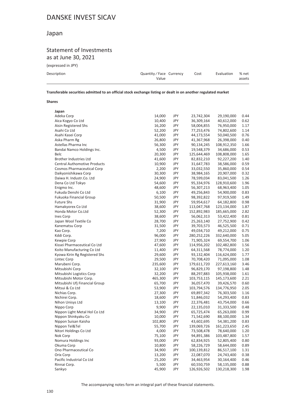## Japan

### Statement of Investments as at June 30, 2021

(expressed in JPY)

| Quantity/Face Currency<br>Value | Cost | Evaluation | % net<br>assets |
|---------------------------------|------|------------|-----------------|
|                                 |      |            |                 |

**Transferable securities admitted to an official stock exchange listing or dealt in on another regulated market**

#### **Shares**

| Japan                               |         |     |             |             |      |
|-------------------------------------|---------|-----|-------------|-------------|------|
| Adeka Corp                          | 14,000  | JPY | 23,742,304  | 29,190,000  | 0.44 |
| Aica Kogyo Co Ltd                   | 10,400  | JPY | 36,309,164  | 40,612,000  | 0.62 |
| Aisin Registered Shs                | 16,200  | JPY | 58,004,855  | 76,950,000  | 1.17 |
| Asahi Co Ltd                        | 52,200  | JPY | 77,253,476  | 74,802,600  | 1.14 |
| Asahi Kasei Corp                    | 41,000  | JPY | 44,173,554  | 50,040,500  | 0.76 |
| Aska Pharm Rg                       | 26,800  | JPY | 41,367,968  | 26,398,000  | 0.40 |
| Astellas Pharma Inc                 | 56,300  | JPY | 90,134,245  | 108,912,350 | 1.66 |
| Bandai Namco Holdings Inc.          | 4,500   | JPY | 19,548,379  | 34,686,000  | 0.53 |
| <b>Belc</b>                         | 20,300  | JPY | 125,644,469 | 108,808,000 | 1.65 |
| Brother Industries Ltd              | 41,600  | JPY | 82,832,210  | 92,227,200  | 1.40 |
| <b>Central Authomotive Products</b> | 10,900  | JPY | 31,647,783  | 38,586,000  | 0.59 |
| <b>Cosmos Pharmaceutical Corp</b>   | 2,200   | JPY | 33,032,550  | 35,860,000  | 0.54 |
| Daikyonishikawa Corp                | 30,300  | JPY | 38,984,165  | 20,907,000  | 0.32 |
| Daiwa H. Industr.Co. Ltd            | 24,900  | JPY | 78,599,034  | 83,041,500  | 1.26 |
| Dena Co Ltd Tokyo                   | 54,600  | JPY | 95,334,976  | 128,910,600 | 1.96 |
| Enigmo Inc.                         | 48,600  | JPY | 56,307,213  | 68,963,400  | 1.05 |
| Fukuda Denshi Co Ltd                | 6,100   | JPY | 49,256,843  | 54,900,000  | 0.83 |
| Fukuoka Financial Group             | 50,500  | JPY | 98,392,822  | 97,919,500  | 1.49 |
| <b>Future Shs</b>                   | 31,900  | JPY | 59,954,617  | 64,182,800  | 0.98 |
| Hamakyorex Co Ltd                   | 38,600  | JPY | 113,047,768 | 123,134,000 | 1.87 |
| Honda Motor Co.Ltd                  | 52,300  | JPY | 152,892,983 | 185,665,000 | 2.82 |
| Ines Corp                           | 38,600  | JPY | 56,062,313  | 53,422,400  | 0.81 |
| Japan Wool Textile Co               | 28,700  | JPY | 25,263,140  | 27,752,900  | 0.42 |
| Kanematsu Corp                      | 31,500  | JPY | 39,703,573  | 46,525,500  | 0.71 |
| Kao Corp.                           | 7,200   | JPY | 49,034,710  | 49,212,000  | 0.75 |
| Kddi Corp.                          | 96,000  | JPY | 280,252,226 | 332,640,000 | 5.05 |
| Kewpie Corp                         | 27,900  | JPY | 71,905,324  | 69,554,700  | 1.06 |
| Kissei Pharmaceutical Co Ltd        | 47,600  | JPY | 114,956,202 | 102,482,800 | 1.56 |
| Koito Manufacturing Co Ltd          | 11,400  | JPY | 64,311,568  | 78,774,000  | 1.20 |
| Kyowa Kirin Rg Registered Shs       | 29,600  | JPY | 93,132,404  | 116,624,000 | 1.77 |
| Lintec Corp                         | 29,500  | JPY | 70,708,420  | 71,095,000  | 1.08 |
| Marubeni Corp.                      | 235,600 | JPY | 179,611,720 | 227,613,160 | 3.46 |
| Mitsubishi Corp                     | 32,100  | JPY | 96,829,170  | 97,198,800  | 1.48 |
| Mitsubishi Logistics Corp           | 32,200  | JPY | 88,297,883  | 105,938,000 | 1.61 |
| Mitsubishi Motor Corp.              | 465,300 | JPY | 103,753,115 | 145,173,600 | 2.21 |
| Mitsubishi Ufj Financial Group      | 65,700  | JPY | 36,057,470  | 39,426,570  | 0.60 |
| Mitsui & Co Ltd                     | 53,900  | JPY | 103,794,576 | 134,776,950 | 2.05 |
| Nichias Corp.                       | 27,300  | JPY | 69,897,342  | 76,303,500  | 1.16 |
| Nichirei Corp.                      | 18,600  | JPY | 51,846,032  | 54,293,400  | 0.83 |
| Nihon Unisys Ltd                    | 13,100  | JPY | 22,376,481  | 43,754,000  | 0.66 |
| Nippo Corp                          | 9,900   | JPY | 22,135,010  | 31,333,500  | 0.48 |
| Nippon Light Metal Hol Co Ltd       | 34,900  | JPY | 65,725,474  | 65,263,000  | 0.99 |
| Nippon Shinkyaku Co                 | 10,000  | JPY | 71,542,690  | 88,100,000  | 1.34 |
| Nippon Suisan Kaisha                | 102,800 | JPY | 43,602,695  | 54,381,200  | 0.83 |
| Nippon Tel&Tel                      | 55,700  | JPY | 139,069,726 | 161,223,650 | 2.45 |
| Nitori Holdings Co Ltd              | 4,000   | JPY | 73,508,478  | 78,640,000  | 1.20 |
| Nok Corp                            | 75,100  | JPY | 94,891,386  | 103,487,800 | 1.57 |
| Nomura Holdings Inc                 | 93,000  | JPY | 62,834,925  | 52,805,400  | 0.80 |
| Okuma Corp                          | 10,800  | JPY | 58,226,729  | 58,644,000  | 0.89 |
| Ono Pharmaceutical Co               | 34,900  | JPY | 100,139,812 | 86,517,100  | 1.31 |
| Orix Corp                           | 13,200  | JPY | 22,087,070  | 24,743,400  | 0.38 |
| Pacific Industrial Co Ltd           | 25,200  | JPY | 34,463,954  | 30,164,400  | 0.46 |
| Rinnai Corp.                        | 5,500   | JPY | 60,550,759  | 58,135,000  | 0.88 |
| Sankyo                              | 45,900  | JPY | 126,926,502 | 130,218,300 | 1.98 |
|                                     |         |     |             |             |      |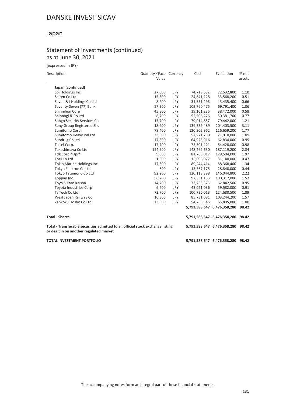## Japan

### Statement of Investments (continued) as at June 30, 2021

(expressed in JPY)

| Description                                                                                                               | Quantity / Face Currency<br>Value |     | Cost        | Evaluation                        | % net<br>assets |
|---------------------------------------------------------------------------------------------------------------------------|-----------------------------------|-----|-------------|-----------------------------------|-----------------|
| Japan (continued)                                                                                                         |                                   |     |             |                                   |                 |
| Sbi Holdings Inc                                                                                                          | 27,600                            | JPY | 74,719,632  | 72,532,800                        | 1.10            |
| Seiren Co Ltd                                                                                                             | 15,300                            | JPY | 24,641,228  | 33,568,200                        | 0.51            |
| Seven & I Holdings Co Ltd                                                                                                 | 8,200                             | JPY | 31,351,296  | 43,435,400                        | 0.66            |
| Seventy-Seven (77) Bank                                                                                                   | 57,300                            | JPY | 109,760,475 | 69,791,400                        | 1.06            |
| Shinnihon Corp                                                                                                            | 45,800                            | JPY | 39,101,236  | 38,472,000                        | 0.58            |
| Shionogi & Co Ltd                                                                                                         | 8,700                             | JPY | 52,506,276  | 50,381,700                        | 0.77            |
| Sohgo Security Services Co                                                                                                | 15,700                            | JPY | 79,014,857  | 79,442,000                        | 1.21            |
| Sony Group Registered Shs                                                                                                 | 18,900                            | JPY | 139,339,489 | 204,403,500                       | 3.11            |
| Sumitomo Corp.                                                                                                            | 78,400                            | JPY | 120,302,962 | 116,659,200                       | 1.77            |
| Sumitomo Heavy Ind Ltd                                                                                                    | 23,500                            | JPY | 57,271,730  | 71,910,000                        | 1.09            |
| Sundrug Co Ltd                                                                                                            | 17,800                            | JPY | 64,925,916  | 62,834,000                        | 0.95            |
| Taisei Corp.                                                                                                              | 17,700                            | JPY | 75,501,421  | 64,428,000                        | 0.98            |
| Takashimaya Co Ltd                                                                                                        | 154,900                           | JPY | 148,262,630 | 187,119,200                       | 2.84            |
| Tdk Corp *Opr*                                                                                                            | 9,600                             | JPY | 81,763,017  | 129,504,000                       | 1.97            |
| Toei Co Ltd                                                                                                               | 1,500                             | JPY | 15,098,077  | 31,140,000                        | 0.47            |
| Tokio Marine Holdings Inc                                                                                                 | 17,300                            | JPY | 89,244,414  | 88,368,400                        | 1.34            |
| Tokyo Electron Co Ltd                                                                                                     | 600                               | JPY | 13,367,175  | 28,848,000                        | 0.44            |
| Tokyo Tatemono Co Ltd                                                                                                     | 92,200                            | JPY | 120,118,398 | 146,044,800                       | 2.22            |
| Toppan Inc.                                                                                                               | 56,200                            | JPY | 97,331,153  | 100,317,000                       | 1.52            |
| Toyo Suisan Kaisha                                                                                                        | 14,700                            | JPY | 73,753,323  | 62,842,500                        | 0.95            |
| Toyota Industries Corp                                                                                                    | 6,200                             | JPY | 43,021,036  | 59,582,000                        | 0.91            |
| Ts Tech Co Ltd                                                                                                            | 72,700                            | JPY | 100,736,013 | 124,680,500                       | 1.89            |
| West Japan Railway Co                                                                                                     | 16,300                            | JPY | 85,731,091  | 103,244,200                       | 1.57            |
| Zenkoku Hosho Co Ltd                                                                                                      | 13,800                            | JPY | 54,765,545  | 65,895,000                        | 1.00            |
|                                                                                                                           |                                   |     |             | 5,791,588,647 6,476,358,280       | 98.42           |
| <b>Total - Shares</b>                                                                                                     |                                   |     |             | 5,791,588,647 6,476,358,280       | 98.42           |
| Total - Transferable securities admitted to an official stock exchange listing<br>or dealt in on another regulated market |                                   |     |             | 5,791,588,647 6,476,358,280       | 98.42           |
| <b>TOTAL INVESTMENT PORTFOLIO</b>                                                                                         |                                   |     |             | 5,791,588,647 6,476,358,280 98.42 |                 |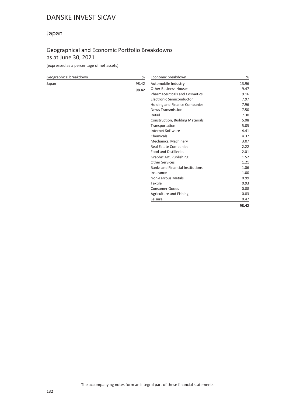## Japan

## Geographical and Economic Portfolio Breakdowns as at June 30, 2021

| Geographical breakdown | %     | Economic breakdown                      | %     |
|------------------------|-------|-----------------------------------------|-------|
| Japan                  | 98.42 | Automobile Industry                     | 13.96 |
|                        | 98.42 | <b>Other Business Houses</b>            | 9.47  |
|                        |       | <b>Pharmaceuticals and Cosmetics</b>    | 9.16  |
|                        |       | Electronic Semiconductor                | 7.97  |
|                        |       | Holding and Finance Companies           | 7.96  |
|                        |       | <b>News Transmission</b>                | 7.50  |
|                        |       | Retail                                  | 7.30  |
|                        |       | <b>Construction, Building Materials</b> | 5.08  |
|                        |       | Transportation                          | 5.05  |
|                        |       | <b>Internet Software</b>                | 4.41  |
|                        |       | Chemicals                               | 4.37  |
|                        |       | Mechanics, Machinery                    | 3.07  |
|                        |       | <b>Real Estate Companies</b>            | 2.22  |
|                        |       | <b>Food and Distilleries</b>            | 2.01  |
|                        |       | Graphic Art, Publishing                 | 1.52  |
|                        |       | <b>Other Services</b>                   | 1.21  |
|                        |       | <b>Banks and Financial Institutions</b> | 1.06  |
|                        |       | Insurance                               | 1.00  |
|                        |       | Non-Ferrous Metals                      | 0.99  |
|                        |       | Textile                                 | 0.93  |
|                        |       | <b>Consumer Goods</b>                   | 0.88  |
|                        |       | Agriculture and Fishing                 | 0.83  |
|                        |       | Leisure                                 | 0.47  |
|                        |       |                                         | 98.42 |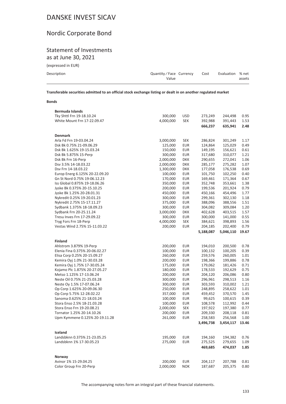# Nordic Corporate Bond

### Statement of Investments as at June 30, 2021

| (expressed in EUR) |  |  |  |
|--------------------|--|--|--|
|--------------------|--|--|--|

| Description | Quantity/Face Currency Cost |  | Evaluation % net |        |
|-------------|-----------------------------|--|------------------|--------|
|             | Value                       |  |                  | assets |
|             |                             |  |                  |        |

**Transferable securities admitted to an official stock exchange listing or dealt in on another regulated market**

#### **Bonds**

| Tky Shttl Frn 19-18.10.24                        | 300,000              | <b>USD</b>               | 273,249            | 244,498            | 0.95         |
|--------------------------------------------------|----------------------|--------------------------|--------------------|--------------------|--------------|
| White Mount Frn 17-22.09.47                      | 4,000,000            | <b>SEK</b>               | 392,988            | 391,443            | 1.53         |
|                                                  |                      |                          | 666,237            | 635,941            | 2.48         |
|                                                  |                      |                          |                    |                    |              |
| <b>Denmark</b>                                   |                      |                          |                    |                    |              |
| Arla Fd Frn 19-03.04.24                          | 3,000,000            | <b>SEK</b>               | 286,824            | 301,249            | 1.17         |
| Dsk Bk 0.75% 21-09.06.29                         | 125,000              | EUR                      | 124,864            | 125,029            | 0.49         |
| Dsk Bk 1.625% 19-15.03.24                        | 150,000              | <b>EUR</b>               | 149,195            | 156,621            | 0.61         |
| Dsk Bk 5.875% 15-Perp                            | 300,000              | <b>EUR</b>               | 317,680            | 310,077            | 1.21         |
| Dsk Bk Frn 16-Perp                               | 2,000,000            | <b>DKK</b>               | 290,655            | 272,041            | 1.06         |
| Dsv 3.5% 14-18.03.22                             | 2,000,000            | <b>DKK</b>               | 285,177            | 275,282            | 1.07         |
| Dsv Frn 14-18.03.22                              | 1,300,000            | <b>DKK</b>               | 177,058            | 176,538            | 0.69         |
| Europ Energ 6.125% 20-22.09.20                   | 100,000              | <b>EUR</b>               | 101,750            | 102,250            | 0.40         |
| Gn St Nord 0.75% 19-06.12.23                     | 170,000              | <b>EUR</b>               | 169,461            | 171,364            | 0.67         |
| Iss Global 0.875% 19-18.06.26                    | 350,000              | <b>EUR</b>               | 352,748            | 353,661            | 1.38         |
| Jyske Bk 0.375% 20-15.10.25                      | 200,000              | <b>EUR</b>               | 199,536            | 201,924            | 0.79         |
| Jyske Bk 1.25% 20-28.01.31                       | 450,000              | <b>EUR</b>               | 450,166            | 454,496            | 1.77         |
| Nykredit 0.25% 19-20.01.23                       | 300,000              | <b>EUR</b>               | 299,361            | 302,130            | 1.18         |
| Nykredit 2.75% 15-17.11.27                       | 375,000              | <b>EUR</b>               | 388,096            | 388,556            | 1.51         |
| Sydbank 1.375% 18-18.09.23                       | 300,000              | <b>EUR</b>               | 304,082            | 309,084            | 1.20         |
| Sydbank Frn 20-25.11.24                          | 3,000,000            | <b>DKK</b>               | 402,628            | 403,515            | 1.57         |
| Tresu Inves Frn 17-29.09.22                      | 300,000              | <b>EUR</b>               | 300,000            | 141,000            | 0.55         |
| Tryg Fors Frn 18-Perp                            | 4,000,000            | <b>SEK</b>               | 384,621            | 398,893            | 1.56         |
| Vestas Wind 2.75% 15-11.03.22                    | 200,000              | <b>EUR</b>               | 204,185            | 202,400            | 0.79         |
|                                                  |                      |                          | 5,188,087          | 5,046,110          | 19.67        |
|                                                  |                      |                          |                    |                    |              |
| <b>Finland</b>                                   |                      |                          |                    |                    |              |
| Ahlstrom 3.879% 19-Perp                          | 200,000              | <b>EUR</b>               | 194,010            | 200,500            | 0.78         |
| Elenia Fina 0.375% 20-06.02.27                   | 100,000              | <b>EUR</b>               | 100,132            | 100,205            | 0.39         |
| Elisa Corp 0.25% 20-15.09.27                     | 260,000              | <b>EUR</b>               | 259,576            | 260,005            | 1.01         |
|                                                  |                      |                          |                    |                    |              |
| Kemira Oyj 1.0% 21-30.03.28                      | 200,000              | <b>EUR</b>               | 198,366            | 199,886            | 0.78         |
| Kemira Oyj 1.75% 17-30.05.24                     | 175,000              | <b>EUR</b>               | 179,062            | 181,426            | 0.71         |
| Kojamo Plc 1.875% 20-27.05.27                    | 180,000              | <b>EUR</b>               | 178,533            | 192,629            | 0.75         |
| Metso 1.125% 17-13.06.24                         | 200,000              | <b>EUR</b>               | 204,120            | 206,086            | 0.80         |
| Neste Oil 0.75% 21-25.03.28                      | 300,000              | <b>EUR</b>               | 296,961            | 298,513            | 1.16         |
| Neste Oy 1.5% 17-07.06.24                        | 300,000              | <b>EUR</b>               | 303,593            | 310,002            | 1.21         |
| Op Corp 1.625% 20-09.06.30                       | 250,000              | <b>EUR</b>               | 248,895            | 258,622            | 1.01         |
| Op Corp 5.75% 12-28.02.22                        | 357,000              | <b>EUR</b>               | 459,452            | 370,570            | 1.45         |
| Sanoma 0.625% 21-18.03.24                        | 100,000              | <b>EUR</b>               | 99,625             | 100,615            | 0.39         |
| Stora Enso 2.5% 18-21.03.28                      | 100,000              | <b>EUR</b>               | 108,578            | 112,992            | 0.44         |
| Stora Enso Frn 19-20.08.21                       | 2,000,000            | SEK                      | 197,922            | 197,380            | 0.77         |
| Tornator 1.25% 20-14.10.26                       | 200,000              | <b>EUR</b>               | 209,330            | 208,118            | 0.81         |
| Upm Kymmene 0.125% 20-19.11.28                   | 261,000              | <b>EUR</b>               | 258,583            | 256,568            | 1.00         |
|                                                  |                      |                          | 3,496,738          | 3,454,117          | 13.46        |
|                                                  |                      |                          |                    |                    |              |
| Iceland                                          |                      |                          |                    |                    |              |
| Landsbknn 0.375% 21-23.05.25                     | 195,000              | <b>EUR</b>               | 194,160            | 194,382            | 0.76         |
| Landsbknn 1% 17-30.05.23                         | 275,000              | <b>EUR</b>               | 275,525            | 279,655            | 1.09         |
|                                                  |                      |                          | 469,685            | 474,037            | 1.85         |
|                                                  |                      |                          |                    |                    |              |
| Norway                                           |                      |                          |                    |                    |              |
| Avinor 1% 15-29.04.25<br>Color Group Frn 20-Perp | 200,000<br>2,000,000 | <b>EUR</b><br><b>NOK</b> | 204,117<br>187,687 | 207,788<br>205,375 | 0.81<br>0.80 |

The accompanying notes form an integral part of these financial statements.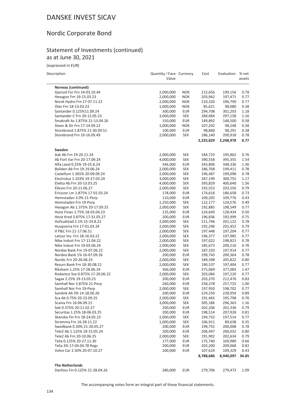## Nordic Corporate Bond

### Statement of Investments (continued) as at June 30, 2021

| (expressed in EUR)             |                                   |            |           |            |                 |
|--------------------------------|-----------------------------------|------------|-----------|------------|-----------------|
| Description                    | Quantity / Face Currency<br>Value |            | Cost      | Evaluation | % net<br>assets |
| Norway (continued)             |                                   |            |           |            |                 |
| Gjensid For Frn 14-03.10.44    | 2,000,000                         | <b>NOK</b> | 212,656   | 199,156    | 0.78            |
| Hexagon Frn 19-15.03.23        | 2,000,000                         | <b>NOK</b> | 203,962   | 197,471    | 0.77            |
| Norsk Hydro Frn 17-07.11.22    | 2,000,000                         | <b>NOK</b> | 210,320   | 196,790    | 0.77            |
| Olav Frn 18-13.03.23           | 1,000,000                         | <b>NOK</b> | 85,621    | 98,080     | 0.38            |
| Santander 0.125%11.09.24       | 300,000                           | <b>EUR</b> | 294,708   | 301,203    | 1.18            |
| Santander C Frn 20-12.05.23    | 3,000,000                         | <b>SEK</b> | 284,684   | 297,158    | 1.16            |
| Smakraft As 1.875% 21-13.04.26 | 150,000                           | <b>EUR</b> | 149,892   | 148,500    | 0.58            |
| Steen & Str Frn 17-14.09.22    | 1,000,000                         | <b>NOK</b> | 107,202   | 98,248     | 0.38            |
| Storebrand 1.875% 21-30.09.51  | 100,000                           | <b>EUR</b> | 98,840    | 98,291     | 0.38            |
| Storebrand Frn 19-16.09.49     | 2,000,000                         | <b>SEK</b> | 186,140   | 200,918    | 0.78            |
|                                |                                   |            | 2,225,829 | 2,248,978  | 8.77            |
| Sweden                         |                                   |            |           |            |                 |
| Aak Ab Frn 19-20.11.24         | 2,000,000                         | SEK        | 184,723   | 195,862    | 0.76            |
| Ab Fort Var Frn 20-17.09.24    | 4,000,000                         | <b>SEK</b> | 390,558   | 395,355    | 1.54            |
| Alfa Laval 0.25% 19-25.6.24    | 346,000                           | <b>EUR</b> | 343,806   | 348,336    | 1.36            |
| Boliden Ab Frn 19-19.06.24     | 2,000,000                         | <b>SEK</b> | 186,768   | 199,411    | 0.78            |
| Castellum 1.365% 20-09.09.24   | 2,000,000                         | <b>SEK</b> | 196,487   | 199,098    | 0.78            |
| Electrolux 1.103% 19-27.03.24  | 3,000,000                         | <b>SEK</b> | 287,199   | 300,755    | 1.17            |
| Elekta Ab Frn 20-13.03.25      | 4,000,000                         | <b>SEK</b> | 393,829   | 400,640    | 1.56            |
| Ellevio Frn 20-11.06.27        | 2,000,000                         | <b>SEK</b> | 192,553   | 203,556    | 0.79            |
| Ericsson Lm 1.875% 17-01.03.24 | 178,000                           | <b>EUR</b> | 174,618   | 186,658    | 0.73            |
| Heimstaden 3.0% 21-Perp        | 110,000                           | <b>EUR</b> | 109,205   | 109,776    | 0.43            |
| Heimstaden Frn 19-Perp         | 1,250,000                         | <b>SEK</b> | 122,177   | 124,576    | 0.49            |
| Hexagon Ab 1.375% 20-17.09.25  | 2,000,000                         | <b>SEK</b> | 192,885   | 198,549    | 0.77            |
| Hoist Finan 2.75% 18-03.04.23  | 125,000                           | <b>EUR</b> | 124,649   | 128,434    | 0.50            |
| Hoist Kred 3.875% 17-31.05.27  | 200,000                           | <b>EUR</b> | 196,836   | 192,999    | 0.75            |
| Hufvudstad 2.1% 15-24.8.22     | 2,000,000                         | <b>SEK</b> | 211,746   | 201,122    | 0.78            |
| Husqvarna Frn 17-01.03.24      | 2,000,000                         | <b>SEK</b> | 192,296   | 201,452    | 0.79            |
| If P&C Frn 21-17.06.51         | 2,000,000                         | <b>SEK</b> | 197,448   | 197,204    | 0.77            |
| Latour Inv. Frn 18-16.03.22    | 2,000,000                         | <b>SEK</b> | 196,377   | 197,985    | 0.77            |
| Nibe Indust Frn 17-11.04.22    | 2,000,000                         | <b>SEK</b> | 197,022   | 198,821    | 0.78            |
| Nibe Indust Frn 19-03.06.24    | 2,000,000                         | SEK        | 185,673   | 200,216    | 0.78            |
| Nordax Bank Frn 19-07.06.22    | 2,000,000                         | <b>SEK</b> | 187,320   | 197,914    | 0.77            |
| Nordea Bank 1% 16-07.09.26     | 200,000                           | <b>EUR</b> | 199,743   | 200,364    | 0.78            |
| Nordic Frn 20-26.06.25         | 2,000,000                         | <b>SEK</b> | 189,398   | 205,822    | 0.80            |
| Resurs Bank Frn 18-30.08.21    | 2,000,000                         | <b>SEK</b> | 190,537   | 197,404    | 0.77            |
| Rikshem 1.25% 17-28.06.24      | 366,000                           | <b>EUR</b> | 375,069   | 377,083    | 1.47            |
| Rodamco Sve 0.875% 17-20.06.22 | 2,000,000                         | <b>SEK</b> | 203,084   | 197,220    | 0.77            |
| Sagax 2.25% 19-13.03.25        | 200,000                           | <b>EUR</b> | 203,370   | 212,476    | 0.83            |
| Samhall Nor 2.875% 21-Perp     | 260,000                           | <b>EUR</b> | 258,378   | 257,725    | 1.00            |
| Samhall Nor Frn 19-Perp        | 2,000,000                         | <b>SEK</b> | 197,950   | 198,702    | 0.77            |
| Sandvik Ab 3% 14-18.06.26      | 200,000                           | <b>EUR</b> | 224,250   | 228,954    | 0.89            |
| Sca Ab 0.75% 20-23.09.25       | 2,000,000                         | <b>SEK</b> | 191,465   | 195,798    | 0.76            |
| Scania Frn 16-06.09.21         | 3,000,000                         | <b>SEK</b> | 305,186   | 296,363    | 1.16            |
| Seb 0.375% 20-11.02.27         | 200,000                           | <b>EUR</b> | 202,206   | 201,336    | 0.79            |
| Securitas 1.25% 18-06.03.25    | 200,000                           | <b>EUR</b> | 198,514   | 207,928    | 0.81            |
| Skanska Fin Frn 18-24.05.23    | 2,000,000                         | <b>SEK</b> | 194,732   | 197,514    | 0.77            |
| Stromma Frn 16-28.11.22        | 1,000,000                         | <b>SEK</b> | 106,911   | 89,638     | 0.35            |
| Swedbank 0.30% 21-20.05.27     | 200,000                           | <b>EUR</b> | 199,755   | 200,008    | 0.78            |
| Tele2 Ab 1.125% 18-15.05.24    | 200,000                           | <b>EUR</b> | 206,497   | 206,032    | 0.80            |

The accompanying notes form an integral part of these financial statements.

Tele2 Ab Frn 20-10.06.25 2,000,000 SEK 191,902 202,634 0.79 Telia 0.125% 20-27.11.30 177,000 EUR 175,740 169,980 0.66 Telia 3% 17-04.04.78 Regs 200,000 EUR 202,200 209,068 0.82

Danfoss Fin 0.125% 21-28.04.26 280,000 EUR 279,706 279,473 1.09

107,624 109,329 0.43 **8,788,686 8,940,097 34.85**

**The Netherlands**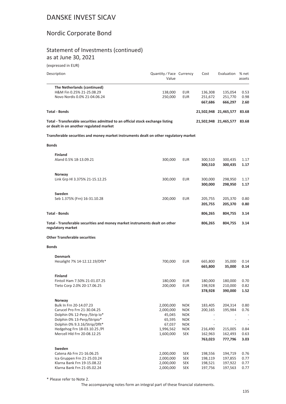## Nordic Corporate Bond

### Statement of Investments (continued) as at June 30, 2021

(expressed in EUR)

| (expressed in EUR)                                                                                                        |                                   |            |         |                             |                 |
|---------------------------------------------------------------------------------------------------------------------------|-----------------------------------|------------|---------|-----------------------------|-----------------|
| Description                                                                                                               | Quantity / Face Currency<br>Value |            | Cost    | Evaluation                  | % net<br>assets |
| The Netherlands (continued)                                                                                               |                                   |            |         |                             |                 |
| H&M Fin 0.25% 21-25.08.29                                                                                                 | 138,000                           | EUR        | 136,308 | 135,054                     | 0.53            |
| Novo Nordis 0.0% 21-04.06.24                                                                                              | 250,000                           | <b>EUR</b> | 251,672 | 251,770                     | 0.98            |
|                                                                                                                           |                                   |            | 667,686 | 666,297                     | 2.60            |
| <b>Total - Bonds</b>                                                                                                      |                                   |            |         | 21,502,948 21,465,577       | 83.68           |
| Total - Transferable securities admitted to an official stock exchange listing<br>or dealt in on another regulated market |                                   |            |         | 21,502,948 21,465,577 83.68 |                 |
| Transferable securities and money market instruments dealt on other regulatory market                                     |                                   |            |         |                             |                 |
| <b>Bonds</b>                                                                                                              |                                   |            |         |                             |                 |
| <b>Finland</b>                                                                                                            |                                   |            |         |                             |                 |
| Aland 0.5% 18-13.09.21                                                                                                    | 300,000                           | EUR        | 300,510 | 300,435                     | 1.17            |
|                                                                                                                           |                                   |            | 300,510 | 300,435                     | 1.17            |
| Norway                                                                                                                    |                                   |            |         |                             |                 |
| Link Grp HI 3.375% 21-15.12.25                                                                                            | 300,000                           | EUR        | 300,000 | 298,950                     | 1.17            |
|                                                                                                                           |                                   |            | 300,000 | 298,950                     | 1.17            |
| Sweden                                                                                                                    |                                   |            |         |                             |                 |
| Seb 1.375% (Frn) 16-31.10.28                                                                                              | 200,000                           | EUR        | 205,755 | 205,370                     | 0.80            |
|                                                                                                                           |                                   |            | 205,755 | 205,370                     | 0.80            |
| <b>Total - Bonds</b>                                                                                                      |                                   |            | 806,265 | 804,755                     | 3.14            |
| Total - Transferable securities and money market instruments dealt on other<br>regulatory market                          |                                   |            | 806,265 | 804,755                     | 3.14            |
| <b>Other Transferable securities</b>                                                                                      |                                   |            |         |                             |                 |
| <b>Bonds</b>                                                                                                              |                                   |            |         |                             |                 |
| <b>Denmark</b>                                                                                                            |                                   |            |         |                             |                 |
| Hesalight 7% 14-12.12.19/Dflt*                                                                                            | 700,000                           | EUR        | 665,800 | 35,000                      | 0.14            |
|                                                                                                                           |                                   |            | 665,800 | 35,000                      | 0.14            |
| <b>Finland</b>                                                                                                            |                                   |            |         |                             |                 |
| Fintoil Ham 7.50% 21-01.07.25                                                                                             | 180,000                           | EUR        | 180,000 | 180,000                     | 0.70            |
| Tieto Corp 2.0% 20-17.06.25                                                                                               | 200,000                           | EUR        | 198,928 | 210,000                     | 0.82            |
|                                                                                                                           |                                   |            | 378,928 | 390,000                     | 1.52            |
| Norway                                                                                                                    |                                   |            |         |                             |                 |
| Bulk In Frn 20-14.07.23                                                                                                   | 2,000,000                         | <b>NOK</b> | 183,405 | 204,314                     | 0.80            |
| Carucel Pro Frn 21-30.04.25                                                                                               | 2,000,000                         | <b>NOK</b> | 200,165 | 195,984                     | 0.76            |
| Dolphin 0% 12-Perp / Strip Io*                                                                                            | 45,045                            | <b>NOK</b> |         |                             |                 |
| Dolphin 0% 13-Perp/Stripio*                                                                                               | 65,595                            | <b>NOK</b> |         |                             |                 |
| Dolphin 0% 9.3.16/Strip/Dflt*                                                                                             | 67,037                            | <b>NOK</b> |         |                             |                 |
| Hedgehog Frn 18-03.10.25 /Pl                                                                                              | 1,996,562                         | <b>NOK</b> | 216,490 | 215,005                     | 0.84            |
| Mercell Hld Frn 20-08.12.25                                                                                               | 1,600,000                         | <b>SEK</b> | 162,963 | 162,493                     | 0.63            |

| Sweden                      |           |            |         |         |      |
|-----------------------------|-----------|------------|---------|---------|------|
| Catena Ab Frn 21-16.06.25   | 2.000.000 | <b>SEK</b> | 198.556 | 194.719 | 0.76 |
| Ica Gruppen Frn 21-25.03.24 | 2.000.000 | <b>SEK</b> | 198.119 | 197.855 | 0.77 |
| Klarna Bank Frn 19-15.08.22 | 2.000.000 | <b>SEK</b> | 198.521 | 197.922 | 0.77 |
| Klarna Bank Frn 21-05.02.24 | 2.000.000 | <b>SEK</b> | 197.756 | 197.563 | 0.77 |
|                             |           |            |         |         |      |

\* Please refer to Note 2.

The accompanying notes form an integral part of these financial statements.

**763,023 777,796 3.03**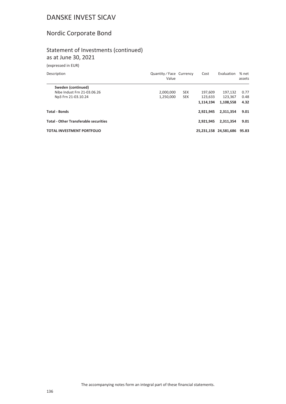# Nordic Corporate Bond

### Statement of Investments (continued) as at June 30, 2021

(expressed in EUR)

| Description                                  | Quantity / Face Currency<br>Value |            | Cost      | Evaluation                  | % net<br>assets |
|----------------------------------------------|-----------------------------------|------------|-----------|-----------------------------|-----------------|
| Sweden (continued)                           |                                   |            |           |                             |                 |
| Nibe Indust Frn 21-03.06.26                  | 2,000,000                         | <b>SEK</b> | 197.609   | 197.132                     | 0.77            |
| Np3 Frn 21-03.10.24                          | 1,250,000                         | <b>SEK</b> | 123.633   | 123.367                     | 0.48            |
|                                              |                                   |            | 1.114.194 | 1.108.558                   | 4.32            |
| <b>Total - Bonds</b>                         |                                   |            | 2.921.945 | 2,311,354                   | 9.01            |
| <b>Total - Other Transferable securities</b> |                                   |            | 2.921.945 | 2,311,354                   | 9.01            |
| <b>TOTAL INVESTMENT PORTFOLIO</b>            |                                   |            |           | 25,231,158 24,581,686 95.83 |                 |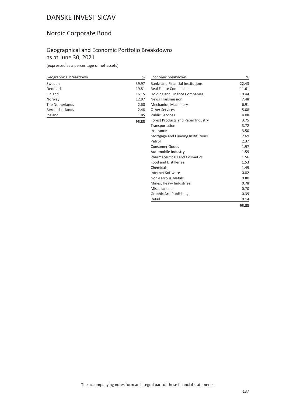# Nordic Corporate Bond

## Geographical and Economic Portfolio Breakdowns as at June 30, 2021

(expressed as a percentage of net assets)

| Geographical breakdown | %     |
|------------------------|-------|
| Sweden                 | 39.97 |
| Denmark                | 19.81 |
| Finland                | 16.15 |
| Norway                 | 12.97 |
| The Netherlands        | 2.60  |
| Bermuda Islands        | 2.48  |
| Iceland                | 1.85  |
|                        | 95.83 |

| Economic breakdown                        | %     |
|-------------------------------------------|-------|
| <b>Banks and Financial Institutions</b>   | 22.43 |
| Real Estate Companies                     | 11.61 |
| <b>Holding and Finance Companies</b>      | 10.44 |
| <b>News Transmission</b>                  | 7.48  |
| Mechanics, Machinery                      | 6.91  |
| <b>Other Services</b>                     | 5.08  |
| <b>Public Services</b>                    | 4.08  |
| <b>Forest Products and Paper Industry</b> | 3.75  |
| Transportation                            | 3.72  |
| Insurance                                 | 3.50  |
| Mortgage and Funding Institutions         | 2.69  |
| Petrol                                    | 2.37  |
| <b>Consumer Goods</b>                     | 1.97  |
| Automobile Industry                       | 1.59  |
| <b>Pharmaceuticals and Cosmetics</b>      | 1.56  |
| <b>Food and Distilleries</b>              | 1.53  |
| Chemicals                                 | 1.49  |
| Internet Software                         | 0.82  |
| Non-Ferrous Metals                        | 0.80  |
| Mines, Heavy Industries                   | 0.78  |
| Miscellaneous                             | 0.70  |
| Graphic Art, Publishing                   | 0.39  |
| Retail                                    | 0.14  |
|                                           | 95.83 |
|                                           |       |

The accompanying notes form an integral part of these financial statements.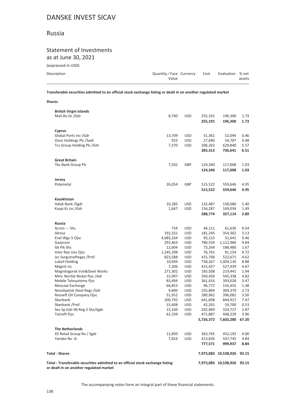### Russia

**Shares**

### Statement of Investments as at June 30, 2021

(expressed in USD)

| ן שכט ווו טאגאון (כ |                                 |      |                  |        |
|---------------------|---------------------------------|------|------------------|--------|
| Description         | Quantity/Face Currency<br>Value | Cost | Evaluation % net | assets |
|                     |                                 |      |                  |        |

**Transferable securities admitted to an official stock exchange listing or dealt in on another regulated market**

| <b>British Virgin Islands</b>                                                                                             |           |            |                    |                      |              |
|---------------------------------------------------------------------------------------------------------------------------|-----------|------------|--------------------|----------------------|--------------|
| Mail.Ru Gr /Gdr                                                                                                           | 8,740     | <b>USD</b> | 255,191<br>255,191 | 196,300<br>196,300   | 1.73<br>1.73 |
| Cyprus                                                                                                                    |           |            |                    |                      |              |
| Global Ports Inv /Gdr                                                                                                     | 13,709    | <b>USD</b> | 51,361             | 52,094               | 0.46         |
| Ozon Holdings Plc /Sadr                                                                                                   | 923       | <b>USD</b> | 27,690             | 54,707               | 0.48         |
| Tcs Group Holding Plc / Gdr                                                                                               | 7,370     | <b>USD</b> | 206,262            | 629,840              | 5.57         |
|                                                                                                                           |           |            | 285,313            | 736,641              | 6.51         |
| <b>Great Britain</b>                                                                                                      |           |            |                    |                      |              |
| Tbc Bank Group Plc                                                                                                        | 7,502     | GBP        | 124,340            | 117,008              | 1.03         |
|                                                                                                                           |           |            | 124,340            | 117,008              | 1.03         |
| Jersey                                                                                                                    |           |            |                    |                      |              |
| Polymetal                                                                                                                 | 26,054    | GBP        | 515,522            | 559,646              | 4.95         |
|                                                                                                                           |           |            | 515,522            | 559,646              | 4.95         |
| Kazakhstan                                                                                                                |           |            |                    |                      |              |
| Halyk Bank /Sgdr                                                                                                          | 10,285    | <b>USD</b> | 132,487            | 158,080              | 1.40         |
| Kaspi.Kz Jsc /Gdr                                                                                                         | 1,667     | <b>USD</b> | 156,287            | 169,034              | 1.49         |
|                                                                                                                           |           |            | 288,774            | 327,114              | 2.89         |
| <b>Russia</b>                                                                                                             |           |            |                    |                      |              |
| Acron --- Shs                                                                                                             | 754       | <b>USD</b> | 44,111             | 61,630               | 0.54         |
| Alrosa                                                                                                                    | 192,331   | <b>USD</b> | 181,245            | 354,362              | 3.13         |
| Enel Wgc-5 Ojsc                                                                                                           | 4,683,164 | <b>USD</b> | 93,123             | 51,641               | 0.46         |
| Gazprom                                                                                                                   | 292,463   | <b>USD</b> | 780,559            | 1,112,986            | 9.84         |
| Gk Pik Shs                                                                                                                | 12,604    | <b>USD</b> | 73,264             | 188,480              | 1.67         |
| Inter Rao Ues Ojsc                                                                                                        | 1,245,298 | <b>USD</b> | 76,761             | 81,154               | 0.72         |
| Jsc Surgutneftegaz /Pref.                                                                                                 | 823,588   | <b>USD</b> | 415,768            | 522,671              | 4.62         |
| Lukoil Holding                                                                                                            | 10,944    | <b>USD</b> | 758,267            | 1,004,130            | 8.88         |
| Magnit Jsc                                                                                                                | 7,206     | <b>USD</b> | 415,427            | 527,939              | 4.67         |
| Magnitogorsk Iron&Steel Works                                                                                             | 271,302   | <b>USD</b> | 183,508            | 219,441              | 1.94         |
| Mmc Norilsk Nickel Pjsc / Adr                                                                                             | 15,997    | <b>USD</b> | 350,450            | 545,338              | 4.82         |
| Mobile Telesystems Pjsc                                                                                                   | 83,494    | <b>USD</b> | 361,416            | 393,028              | 3.47         |
| Moscow Exchange                                                                                                           | 66,853    | <b>USD</b> | 96,772             | 156,455              | 1.38         |
| Novolipetsk Steel Regs / Gdr                                                                                              | 9,840     | <b>USD</b> | 255,894            | 309,370              | 2.73         |
| Rosneft Oil Company Ojsc                                                                                                  | 51,952    | <b>USD</b> | 280,962            | 396,082              | 3.50         |
| Sberbank                                                                                                                  | 200,792   | <b>USD</b> | 641,698            | 844,917              | 7.47         |
| Sberbank / Pref.                                                                                                          | 15,408    | <b>USD</b> | 42,291             | 59,700               | 0.53         |
| Sev Sp Gdr-06 Reg-S Shs/Sgdr                                                                                              | 15,160    | <b>USD</b> | 202,969            | 324,727              | 2.87         |
| <b>Tatneft Pjsc</b>                                                                                                       | 62,339    | <b>USD</b> | 471,887            | 448,229              | 3.96         |
|                                                                                                                           |           |            | 5,726,372          | 7,602,280            | 67.20        |
| <b>The Netherlands</b>                                                                                                    |           |            |                    |                      |              |
| X5 Retail Group Nv / Sgdr                                                                                                 | 12,850    | <b>USD</b> | 363,745            | 452,192              | 4.00         |
| Yandex Nv -A-                                                                                                             | 7,816     | <b>USD</b> | 413,826            | 547,745              | 4.84         |
|                                                                                                                           |           |            | 777,571            | 999,937              | 8.84         |
| <b>Total - Shares</b>                                                                                                     |           |            |                    | 7,973,083 10,538,926 | 93.15        |
| Total - Transferable securities admitted to an official stock exchange listing<br>or dealt in on another regulated market |           |            |                    | 7,973,083 10,538,926 | 93.15        |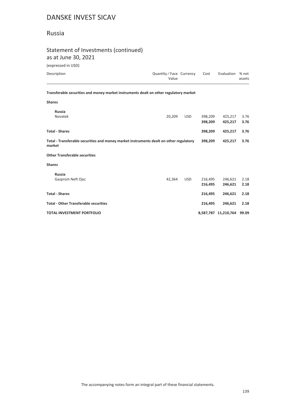## Russia

## Statement of Investments (continued)

as at June 30, 2021

(expressed in USD)

| Description                                                                                      | Quantity / Face Currency<br>Value |         | Cost               | Evaluation         | % net<br>assets |  |  |
|--------------------------------------------------------------------------------------------------|-----------------------------------|---------|--------------------|--------------------|-----------------|--|--|
| Transferable securities and money market instruments dealt on other regulatory market            |                                   |         |                    |                    |                 |  |  |
| <b>Shares</b>                                                                                    |                                   |         |                    |                    |                 |  |  |
| <b>Russia</b><br>Novatek                                                                         | 20,209                            | USD.    | 398,209<br>398,209 | 425,217<br>425,217 | 3.76<br>3.76    |  |  |
| <b>Total - Shares</b>                                                                            |                                   |         | 398,209            | 425,217            | 3.76            |  |  |
| Total - Transferable securities and money market instruments dealt on other regulatory<br>market |                                   | 398,209 | 425,217            | 3.76               |                 |  |  |
| <b>Other Transferable securities</b>                                                             |                                   |         |                    |                    |                 |  |  |
| <b>Shares</b>                                                                                    |                                   |         |                    |                    |                 |  |  |

| <b>Russia</b>                                |        |            |         |                            |      |
|----------------------------------------------|--------|------------|---------|----------------------------|------|
| Gazprom Neft Ojsc                            | 42.364 | <b>USD</b> | 216.495 | 246.621                    | 2.18 |
|                                              |        |            | 216.495 | 246.621                    | 2.18 |
| <b>Total - Shares</b>                        |        |            | 216.495 | 246.621                    | 2.18 |
| <b>Total - Other Transferable securities</b> |        |            | 216.495 | 246.621                    | 2.18 |
| <b>TOTAL INVESTMENT PORTFOLIO</b>            |        |            |         | 8,587,787 11,210,764 99.09 |      |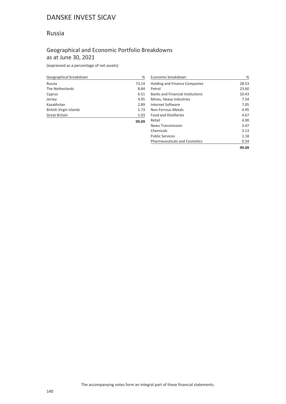## Russia

## Geographical and Economic Portfolio Breakdowns as at June 30, 2021

| Geographical breakdown | %     |
|------------------------|-------|
| Russia                 | 73.14 |
| The Netherlands        | 8.84  |
| Cyprus                 | 6.51  |
| Jersey                 | 4.95  |
| Kazakhstan             | 2.89  |
| British Virgin Islands | 1.73  |
| <b>Great Britain</b>   | 1.03  |
|                        | 99.09 |

| Economic breakdown                      | ℅     |
|-----------------------------------------|-------|
| <b>Holding and Finance Companies</b>    | 28.53 |
| Petrol                                  | 23.60 |
| <b>Banks and Financial Institutions</b> | 10.43 |
| Mines, Heavy Industries                 | 7.54  |
| Internet Software                       | 7.05  |
| Non-Ferrous Metals                      | 4.95  |
| <b>Food and Distilleries</b>            | 4.67  |
| Retail                                  | 4.00  |
| <b>News Transmission</b>                | 3.47  |
| Chemicals                               | 3.13  |
| <b>Public Services</b>                  | 1.18  |
| <b>Pharmaceuticals and Cosmetics</b>    | 0.54  |
|                                         | 99.09 |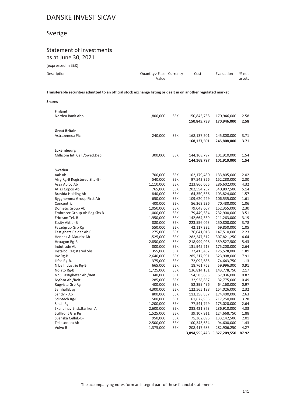# Sverige

### Statement of Investments as at June 30, 2021

(expressed in SEK)

| Description | Quantity/Face Currency<br>Value | Cost | Evaluation | % net<br>assets |
|-------------|---------------------------------|------|------------|-----------------|
|             |                                 |      |            |                 |

**Transferable securities admitted to an official stock exchange listing or dealt in on another regulated market**

| <b>Shares</b>                  |                      |                          |                            |                             |              |
|--------------------------------|----------------------|--------------------------|----------------------------|-----------------------------|--------------|
| <b>Finland</b>                 |                      |                          |                            |                             |              |
| Nordea Bank Abp                | 1,800,000            | <b>SEK</b>               | 150,845,738                | 170,946,000                 | 2.58         |
|                                |                      |                          | 150,845,738                | 170,946,000                 | 2.58         |
| <b>Great Britain</b>           |                      |                          |                            |                             |              |
| Astrazeneca Plc                | 240,000              | <b>SEK</b>               | 168,137,501                | 245,808,000                 | 3.71         |
|                                |                      |                          | 168,137,501                | 245,808,000                 | 3.71         |
| Luxembourg                     |                      |                          |                            |                             |              |
| Millicom Intl Cell./Swed.Dep.  | 300,000              | <b>SEK</b>               | 144,168,797                | 101,910,000                 | 1.54         |
|                                |                      |                          | 144,168,797                | 101,910,000                 | 1.54         |
| Sweden                         |                      |                          |                            |                             |              |
| Aak Ab                         | 700,000              | <b>SEK</b>               | 102,179,480                | 133,805,000                 | 2.02         |
| Afry Rg-B Registered Shs -B-   | 540,000              | <b>SEK</b>               | 97,542,326                 | 152,280,000                 | 2.30         |
| Assa Abloy Ab                  | 1,110,000            | <b>SEK</b>               | 223,866,065                | 286,602,000                 | 4.32         |
| Atlas Copco Ab                 | 765,000              | <b>SEK</b>               | 202,554,237                | 340,807,500                 | 5.14         |
| Bravida Holding Ab             | 840,000              | <b>SEK</b>               | 64,350,536                 | 103,824,000                 | 1.57         |
| Bygghemma Group First Ab       | 650,000              | <b>SEK</b>               | 109,620,229                | 106,535,000                 | 1.61         |
| Concentric                     | 400,000              | <b>SEK</b>               | 56,369,236                 | 70,480,000                  | 1.06         |
| Dometic Group Ab               | 1,050,000            | <b>SEK</b>               | 79,048,607                 | 152,355,000                 | 2.30         |
| Embracer Group Ab Reg Shs B    | 1,000,000            | <b>SEK</b>               | 79,449,584                 | 232,900,000                 | 3.51         |
| Ericsson Tel. B                | 1,950,000            | <b>SEK</b>               | 142,664,339                | 211,263,000                 | 3.19         |
| Essity Aktie-B                 | 880,000              | <b>SEK</b>               | 223,556,023                | 250,800,000                 | 3.78         |
| Fasadgrup Grp Rg               | 550,000              | <b>SEK</b>               | 42,117,332                 | 69,850,000                  | 1.05         |
| Fastighets Balder Ab B         | 275,000              | <b>SEK</b>               | 76,041,018                 | 147,510,000                 | 2.23         |
| Hennes & Mauritz Ab            | 1,525,000            | <b>SEK</b>               | 282,247,512                | 307,821,250                 | 4.64         |
| Hexagon Rg-B                   | 2,850,000            | <b>SEK</b>               | 218,999,028                | 359,527,500                 | 5.43         |
| Indutrade Ab                   | 800,000              | <b>SEK</b>               | 131,945,213                | 175,200,000                 | 2.64         |
| <b>Instalco Registered Shs</b> | 355,000              | <b>SEK</b>               | 72,413,437                 | 125,528,000                 | 1.89         |
| Inv Rg-B                       | 2,640,000            | <b>SEK</b>               | 285,217,991                | 523,908,000                 | 7.91         |
| Lifco Rg-B.                    | 375,000              | <b>SEK</b>               | 72,092,685                 | 74,643,750                  | 1.13<br>0.91 |
| Nibe Industrie Rg-B            | 665,000              | <b>SEK</b>               | 18,761,763                 | 59,996,300                  |              |
| Nolato Rg-B                    | 1,725,000<br>340,000 | <b>SEK</b><br><b>SEK</b> | 136,814,181<br>54,583,665  | 143,778,750                 | 2.17<br>0.87 |
| Np3 Fastigheter Ab / Reit      |                      |                          |                            | 57,936,000                  | 0.49         |
| Nyfosa Ab / Reit               | 285,000              | <b>SEK</b><br><b>SEK</b> | 32,928,857                 | 32,775,000                  | 0.97         |
| Rugvista Grp Rg                | 400,000              |                          | 52,399,496                 | 64,160,000                  | 2.32         |
| Samhallsbyg<br>Sandvik Ab      | 4,300,000<br>800,000 | <b>SEK</b><br><b>SEK</b> | 122,565,188<br>113,358,837 | 154,026,000<br>174,400,000  | 2.63         |
|                                | 500,000              | <b>SEK</b>               | 61,672,963                 |                             | 3.28         |
| Sdiptech Rg-B<br>Sinch Rg      | 1,200,000            | <b>SEK</b>               | 77,541,799                 | 217,250,000<br>175,020,000  | 2.64         |
| Skandinav.Ensk.Banken A        |                      |                          | 238,421,873                | 286,910,000                 | 4.33         |
| Stillfront Grp Rg              | 2,600,000            | <b>SEK</b>               |                            |                             | 1.88         |
| Svenska Cellul.-B-             | 1,525,000<br>950,000 | <b>SEK</b><br><b>SEK</b> | 39,107,911<br>75,362,695   | 124,668,750<br>133,142,500  | 2.01         |
| Teliasonera Ab                 | 2,500,000            | <b>SEK</b>               | 100,343,634                | 94,600,000                  | 1.43         |
| Volvo B                        | 1,375,000            | <b>SEK</b>               | 208,417,683                | 282,906,250                 | 4.27         |
|                                |                      |                          |                            |                             |              |
|                                |                      |                          |                            | 3,894,555,423 5,827,209,550 | 87.92        |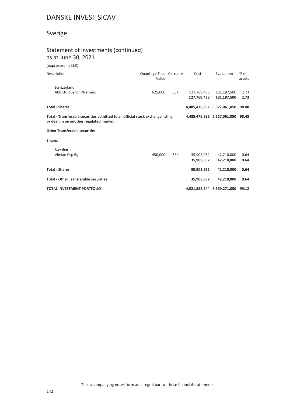# Sverige

## Statement of Investments (continued) as at June 30, 2021

### (expressed in SEK)

| Description                                                                                                               | Quantity / Face Currency<br>Value |                             | Cost        | Evaluation                  | % net<br>assets |
|---------------------------------------------------------------------------------------------------------------------------|-----------------------------------|-----------------------------|-------------|-----------------------------|-----------------|
| <b>Switzerland</b>                                                                                                        |                                   |                             |             |                             |                 |
| Abb Ltd Zuerich /Namen.                                                                                                   | 625,000                           | <b>SEK</b>                  | 127,769,433 | 181,187,500                 | 2.73            |
|                                                                                                                           |                                   |                             | 127,769,433 | 181,187,500                 | 2.73            |
| <b>Total - Shares</b>                                                                                                     |                                   |                             |             | 4,485,476,892 6,527,061,050 | 98.48           |
| Total - Transferable securities admitted to an official stock exchange listing<br>or dealt in on another regulated market |                                   | 4,485,476,892 6,527,061,050 | 98.48       |                             |                 |
| <b>Other Transferable securities</b>                                                                                      |                                   |                             |             |                             |                 |
| <b>Shares</b>                                                                                                             |                                   |                             |             |                             |                 |
| Sweden                                                                                                                    |                                   |                             |             |                             |                 |
| Vimian Grp Rg                                                                                                             | 450,000                           | <b>SEK</b>                  | 35,905,952  | 42,210,000                  | 0.64            |
|                                                                                                                           |                                   |                             | 35,905,952  | 42,210,000                  | 0.64            |
| <b>Total - Shares</b>                                                                                                     |                                   |                             | 35,905,952  | 42,210,000                  | 0.64            |
| <b>Total - Other Transferable securities</b>                                                                              |                                   |                             | 35,905,952  | 42,210,000                  | 0.64            |
| <b>TOTAL INVESTMENT PORTFOLIO</b>                                                                                         |                                   |                             |             | 4,521,382,844 6,569,271,050 | 99.12           |
|                                                                                                                           |                                   |                             |             |                             |                 |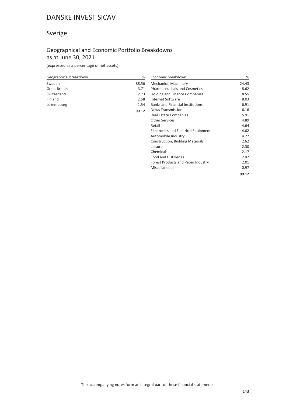# Sverige

## Geographical and Economic Portfolio Breakdowns as at June 30, 2021

(expressed as a percentage of net assets)

| Geographical breakdown | %     |
|------------------------|-------|
| Sweden                 | 88.56 |
| Great Britain          | 3.71  |
| Switzerland            | 2.73  |
| Finland                | 2.58  |
| Luxembourg             | 1.54  |
|                        | 99.12 |

| Economic breakdown                          | %     |
|---------------------------------------------|-------|
| Mechanics, Machinery                        | 24.43 |
| <b>Pharmaceuticals and Cosmetics</b>        | 8.62  |
| <b>Holding and Finance Companies</b>        | 8.55  |
| Internet Software                           | 8.03  |
| <b>Banks and Financial Institutions</b>     | 6.91  |
| <b>News Transmission</b>                    | 6.16  |
| Real Estate Companies                       | 5.91  |
| <b>Other Services</b>                       | 4.89  |
| Retail                                      | 4.64  |
| <b>Electronics and Electrical Equipment</b> | 4.62  |
| Automobile Industry                         | 4.27  |
| <b>Construction, Building Materials</b>     | 2.62  |
| Leisure                                     | 2.30  |
| Chemicals                                   | 2.17  |
| <b>Food and Distilleries</b>                | 2.02  |
| Forest Products and Paper Industry          | 2.01  |
| Miscellaneous                               | 0.97  |
|                                             | 99.12 |

The accompanying notes form an integral part of these financial statements.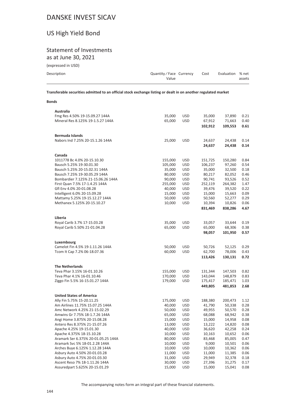# US High Yield Bond

# Statement of Investments

as at June 30, 2021

(expressed in USD)

| Description | Quantity/Face Currency | Cost | Evaluation % net |        |
|-------------|------------------------|------|------------------|--------|
|             | Value                  |      |                  | assets |
|             |                        |      |                  |        |

**Transferable securities admitted to an official stock exchange listing or dealt in on another regulated market**

#### **Bonds**

| Australia                                                           |                  |                   |                    |                    |              |
|---------------------------------------------------------------------|------------------|-------------------|--------------------|--------------------|--------------|
| Fmg Res 4.50% 19-15.09.27 144A<br>Mineral Res 8.125% 19-1.5.27 144A | 35,000<br>65,000 | USD<br><b>USD</b> | 35,000<br>67,912   | 37,890<br>71,663   | 0.21<br>0.40 |
|                                                                     |                  |                   | 102,912            | 109,553            | 0.61         |
| <b>Bermuda Islands</b>                                              |                  |                   |                    |                    |              |
| Nabors Ind 7.25% 20-15.1.26 144A                                    | 25,000           | <b>USD</b>        | 24,637             | 24,438             | 0.14         |
|                                                                     |                  |                   | 24,637             | 24,438             | 0.14         |
| Canada                                                              |                  |                   |                    |                    |              |
| 1011778 Bc 4.0% 20-15.10.30                                         | 155,000          | USD               | 151,725            | 150,280            | 0.84         |
| Bausch 5.25% 19-30.01.30                                            | 105,000          | <b>USD</b>        | 106,237            | 97,260             | 0.54         |
| Bausch 5.25% 20-15.02.31 144A                                       | 35,000           | USD               | 35,000             | 32,500             | 0.18         |
| Bausch 7.25% 19-30.05.29 144A                                       | 80,000           | USD               | 80,217             | 82,052             | 0.46         |
| Bombardier 7.125% 21-15.06.26 144A                                  | 90,000           | <b>USD</b>        | 90,741             | 93,526             | 0.52         |
| First Quan 7.5% 17-1.4.25 144A                                      | 255,000          | USD               | 252,119            | 264,382            | 1.47         |
| Gfl Env 4.0% 20-01.08.28                                            | 40,000           | USD               | 39,476             | 39,520             | 0.22         |
| Intelligent 6.0% 20-15.09.28                                        | 15,000           | <b>USD</b>        | 15,000             | 15,663             | 0.09         |
| Mattamy 5.25% 19-15.12.27 144A                                      | 50,000           | USD               | 50,560             | 52,277             | 0.29         |
| Methanex 5.125% 20-15.10.27                                         | 10,000           | USD               | 10,394             | 10,826             | 0.06         |
|                                                                     |                  |                   | 831,469            | 838,286            | 4.67         |
| Liberia                                                             |                  |                   |                    |                    |              |
| Royal Carib 3.7% 17-15.03.28                                        | 35,000           | USD               | 33,057             | 33,644             | 0.19         |
| Royal Carib 5.50% 21-01.04.28                                       | 65,000           | USD               | 65,000             | 68,306             | 0.38         |
|                                                                     |                  |                   | 98,057             | 101,950            | 0.57         |
| Luxembourg                                                          |                  |                   |                    |                    |              |
| Camelot Fin 4.5% 19-1.11.26 144A                                    | 50,000           | <b>USD</b>        | 50,726             | 52,125             | 0.29         |
| Tcom It Cap 7.2% 06-18.07.36                                        | 60,000           | <b>USD</b>        | 62,700             | 78,006             | 0.43         |
|                                                                     |                  |                   | 113,426            | 130,131            | 0.72         |
|                                                                     |                  |                   |                    |                    |              |
| <b>The Netherlands</b>                                              |                  |                   |                    |                    |              |
| Teva Phar 3.15% 16-01.10.26                                         | 155,000          | USD               | 131,344            | 147,503            | 0.82         |
| Teva Phar 4.1% 16-01.10.46                                          | 170,000          | USD               | 143,044            | 148,879            | 0.83         |
| Ziggo Fin 5.5% 16-15.01.27 144A                                     | 179,000          | USD               | 175,417<br>449,805 | 185,471<br>481,853 | 1.03<br>2.68 |
|                                                                     |                  |                   |                    |                    |              |
| <b>United States of America</b>                                     |                  |                   |                    |                    |              |
| Ally Fin 5.75% 15-20.11.25                                          | 175,000          | USD               | 188,380            | 200,473            | 1.12         |
| Am Airlines 11.75% 15.07.25 144A                                    | 40,000           | USD               | 41,790             | 50,338             | 0.28         |
| Amc Network 4.25% 21-15.02.29                                       | 50,000           | USD               | 49,955             | 50,570             | 0.28         |
| Amwins Gr 7.75% 18-1.7.26 144A                                      | 65,000           | <b>USD</b>        | 68,088             | 68,942             | 0.38         |
| Angi Home 3.875% 20-15.08.28                                        | 15,000           | USD               | 15,000             | 14,958             | 0.08         |
| Antero Res 8.375% 21-15.07.26<br>Apache 4.25% 19-15.01.30           | 13,000<br>40,000 | <b>USD</b>        | 13,222             | 14,820             | 0.08         |
| Apache 4.375% 18-15.10.28                                           | 10,000           | USD<br><b>USD</b> | 36,620<br>10,163   | 42,258<br>10,652   | 0.24<br>0.06 |
| Aramark Ser 6.375% 20-01.05.25 144A                                 | 80,000           | USD               | 83,468             | 85,005             | 0.47         |
| Aramark Svc 5% 18-01.2.28 144A                                      | 10,000           | USD               | 9,000              | 10,501             | 0.06         |
| Arches Buye 6.125% 1.12.28 144A                                     | 10,000           | <b>USD</b>        | 10,000             | 10,362             | 0.06         |
| Asbury Auto 4.50% 20-01.03.28                                       | 11,000           | USD               | 11,000             | 11,385             | 0.06         |
| Asbury Auto 4.75% 20-01.03.30                                       | 31,000           | USD               | 29,949             | 32,378             | 0.18         |
| Ascent Reso 7% 18-1.11.26 144A                                      | 30,000           | USD               | 27,396             | 31,275             | 0.17         |
| Assuredpart 5.625% 20-15.01.29                                      | 15,000           | <b>USD</b>        | 15,000             | 15,041             | 0.08         |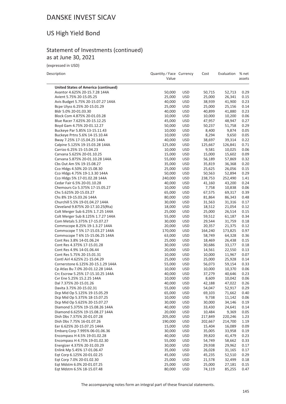## US High Yield Bond

## Statement of Investments (continued) as at June 30, 2021

(expressed in USD)

| Description                                                   | Quantity / Face Currency<br>Value |                          | Cost             | Evaluation       | % net<br>assets |
|---------------------------------------------------------------|-----------------------------------|--------------------------|------------------|------------------|-----------------|
| <b>United States of America (continued)</b>                   |                                   |                          |                  |                  |                 |
| Avantor 4.625% 20-15.7.28 144A                                | 50,000                            | <b>USD</b>               | 50,715           | 52,713           | 0.29            |
| Avient 5.75% 20-15.05.25                                      | 25,000                            | <b>USD</b>               | 25,000           | 26,341           | 0.15            |
| Avis Budget 5.75% 20-15.07.27 144A                            | 40,000                            | <b>USD</b>               | 38,939           | 41,900           | 0.23            |
| Bcpe Ulyss 6.25% 20-15.01.29                                  | 25,000                            | <b>USD</b>               | 25,000           | 25,156           | 0.14            |
| Bldr 5.0% 20-01.03.30                                         | 40,000                            | <b>USD</b>               | 40,899           | 41,880           | 0.23            |
| Block Com 4.875% 20-01.03.28                                  | 10,000                            | <b>USD</b>               | 10,000           | 10,200           | 0.06            |
| Blue Racer 7.625% 20-15.12.25                                 | 45,000                            | <b>USD</b>               | 47,957           | 48,947           | 0.27            |
| Boyd Gam 4.75% 20-01.12.27                                    | 50,000                            | <b>USD</b>               | 50,237           | 51,758           | 0.29            |
| Buckeye Par 5.85% 13-15.11.43                                 | 10,000                            | <b>USD</b>               | 8,400            | 9,874            | 0.05            |
| Buckeye Prtns 5.6% 14-15.10.44                                | 10,000                            | <b>USD</b>               | 8,294            | 9,650            | 0.05            |
| Bway 7.25% 17-15.04.25 144A                                   | 40,000                            | <b>USD</b>               | 38,697           | 39,314           | 0.22            |
| Calpine 5.125% 19-15.03.28 144A                               | 125,000                           | <b>USD</b>               | 125,667          | 126,841          | 0.71            |
| Carrizo 6.25% 15-15.04.23                                     | 10,000                            | <b>USD</b>               | 9,581            | 10,025           | 0.06            |
| Carvana 5.625% 20-01.10.25                                    | 15,000                            | <b>USD</b>               | 15,000           | 15,602           | 0.09            |
| Carvana 5.875% 20-01.10.28 144A                               | 55,000                            | <b>USD</b><br><b>USD</b> | 56,189           | 57,869<br>36,368 | 0.32<br>0.20    |
| Cbs Out Am 5% 19-15.08.27                                     | 35,000                            | <b>USD</b>               | 35,819           | 26,056           | 0.15            |
| Cco Hldgs 4.50% 20-15.08.30<br>Cco Hldgs 4.75% 19-1.3.30 144A | 25,000<br>50,000                  | <b>USD</b>               | 25,625<br>50,563 | 52,894           | 0.29            |
| Cco Hldgs 5% 17-01.02.28 144A                                 | 240,000                           | <b>USD</b>               | 238,753          | 252,490          | 1.41            |
| Cedar Fair 6.5% 20-01.10.28                                   | 40,000                            | <b>USD</b>               | 41,160           | 43,200           | 0.24            |
| Chemours Co 5.375% 17-15.05.27                                | 10,000                            | <b>USD</b>               | 7,758            | 10,838           | 0.06            |
| Chs 5.625% 20-15.03.27                                        | 65,000                            | <b>USD</b>               | 67,575           | 69,317           | 0.39            |
| Chs 8% 19-15.03.26 144A                                       | 80,000                            | <b>USD</b>               | 81,864           | 86,343           | 0.48            |
| Churchill 5.5% 19-01.04.27 144A                               | 30,000                            | <b>USD</b>               | 31,563           | 31,316           | 0.17            |
| Cleveland 9.875% 20-17.10.25(Rta)                             | 18,000                            | <b>USD</b>               | 18,512           | 21,054           | 0.12            |
| Colt Merger Sub 6.25% 1.7.25 144A                             | 25,000                            | <b>USD</b>               | 25,000           | 26,514           | 0.15            |
| Colt Merger Sub 8.125% 1.7.27 144A                            | 55,000                            | <b>USD</b>               | 59,512           | 61,187           | 0.34            |
| Com Metals 5.375% 17-15.07.27                                 | 30,000                            | <b>USD</b>               | 29,544           | 31,759           | 0.18            |
| Commscope 8.25% 19-1.3.27 144A                                | 20,000                            | <b>USD</b>               | 20,357           | 21,375           | 0.12            |
| Commscope T 5% 17-15.03.27 144A                               | 170,000                           | <b>USD</b>               | 164,240          | 173,825          | 0.97            |
| Commscope T 6% 15-15.06.25 144A                               | 63,000                            | <b>USD</b>               | 58,749           | 64,328           | 0.36            |
| Cont Res 3.8% 14-01.06.24                                     | 25,000                            | <b>USD</b>               | 18,469           | 26,438           | 0.15            |
| Cont Res 4.375% 17-15.01.28                                   | 30,000                            | <b>USD</b>               | 30,686           | 33,177           | 0.18            |
| Cont Res 4.9% 14-01.06.44                                     | 20,000                            | <b>USD</b>               | 14,561           | 22,550           | 0.13            |
| Cont Res 5.75% 20-15.01.31                                    | 10,000                            | <b>USD</b>               | 10,000           | 11,967           | 0.07            |
| Contl Airl 4.625% 21-15.04.29                                 | 25,000                            | <b>USD</b>               | 25,000           | 25,928           | 0.14            |
| Cornerstone 6.125% 20-15.1.29 144A                            | 55,000                            | <b>USD</b>               | 56,073           | 59,154           | 0.33            |
| Cp Atlas Bu 7.0% 20-01.12.28 144A                             | 10,000                            | <b>USD</b>               | 10,000           | 10,370           | 0.06            |
| Crc Escrow 5.25% 17-15.10.25 144A                             | 40,000                            | <b>USD</b>               | 37,279           | 40,646           | 0.23            |
| Cvr Ene 5.25% 15.2.25 144A                                    | 10,000                            | <b>USD</b>               | 8,609            | 10,042           | 0.06            |
| Dal 7.375% 20-15.01.26                                        | 40,000                            | <b>USD</b>               | 42,188           | 47,022           | 0.26            |
| Davita 3.75% 20-15.02.31<br>Dcp Mid Op 5.125% 19-15.05.29     | 55,000                            | <b>USD</b>               | 54,047           | 52,917           | 0.29            |
| Dcp Mid Op 5.375% 18-15.07.25                                 | 65,000<br>10,000                  | <b>USD</b><br>USD        | 69,103<br>9,738  | 71,662<br>11,142 | 0.40<br>0.06    |
| Dcp Mid Op 5.625% 20-15.07.27                                 | 30,000                            | <b>USD</b>               | 30,000           | 34,146           | 0.19            |
| Diamond 5.375% 19-15.08.26 144A                               | 40,000                            | <b>USD</b>               | 33,430           | 24,641           | 0.14            |
| Diamond 6.625% 19-15.08.27 144A                               | 20,000                            | <b>USD</b>               | 10,484           | 9,369            | 0.05            |
| Dish Dbs 7.375% 20-01.07.28                                   | 205,000                           | <b>USD</b>               | 217,849          | 220,246          | 1.23            |
| Dish Dbs 7.75% 16-01.07.26                                    | 190,000                           | <b>USD</b>               | 202,667          | 214,700          | 1.19            |
| Eer 6.625% 20-15.07.25 144A                                   | 15,000                            | <b>USD</b>               | 15,404           | 16,089           | 0.09            |
| Embarq Corp 7.995% 06-01.06.36                                | 30,000                            | <b>USD</b>               | 35,005           | 33,958           | 0.19            |
| Encompass H 4.5% 19-01.02.28                                  | 40,000                            | <b>USD</b>               | 39,820           | 41,479           | 0.23            |
| Encompass H 4.75% 19-01.02.30                                 | 55,000                            | <b>USD</b>               | 54,749           | 58,662           | 0.33            |
| Energizer 4.375% 20-31.03.29                                  | 30,000                            | <b>USD</b>               | 29,938           | 29,962           | 0.17            |
| Enlink Mp 5.45% 17-01.06.47                                   | 35,000                            | <b>USD</b>               | 26,028           | 31,165           | 0.17            |
| Eqt Corp 6.125% 20-01.02.25                                   | 45,000                            | <b>USD</b>               | 45,235           | 52,510           | 0.29            |
| Eqt Corp 7.0% 20-01.02.30                                     | 25,000                            | <b>USD</b>               | 21,578           | 32,499           | 0.18            |
| Eqt Mdstm 6.0% 20-01.07.25                                    | 25,000                            | <b>USD</b>               | 25,000           | 27,181           | 0.15            |
| Eqt Mdstm 6.5% 18-15.07.48                                    | 80,000                            | <b>USD</b>               | 74,119           | 85,255           | 0.47            |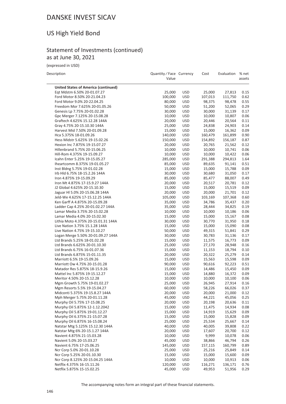## US High Yield Bond

## Statement of Investments (continued) as at June 30, 2021

(expressed in USD)

| Description | Quantity/Face Currency Cost | Evaluation % net |  |
|-------------|-----------------------------|------------------|--|
|             |                             |                  |  |

 $\mathcal{L}$ 

|                                                                | Value            |                          |                   |                  | assets       |
|----------------------------------------------------------------|------------------|--------------------------|-------------------|------------------|--------------|
|                                                                |                  |                          |                   |                  |              |
| <b>United States of America (continued)</b>                    |                  |                          |                   |                  |              |
| Eqt Mdstm 6.50% 20-01.07.27                                    | 25,000           | <b>USD</b>               | 25,000            | 27,813           | 0.15         |
| Ford Motor 8.50% 20-21.04.23                                   | 100,000          | <b>USD</b>               | 107,013           | 111,750          | 0.62         |
| Ford Motor 9.0% 20-22.04.25                                    | 80,000           | <b>USD</b>               | 98,375            | 98,478           | 0.55         |
| Freedom Mor 7.625% 20-01.05.26                                 | 50,000           | <b>USD</b>               | 51,200            | 52,065           | 0.29         |
| Genesis Lp 7.75% 20-01.02.28                                   | 30,000           | <b>USD</b>               | 30,000            | 31,139           | 0.17         |
| Gpc Merger 7.125% 20-15.08.28                                  | 10,000           | <b>USD</b>               | 10,000            | 10,807           | 0.06         |
| Graftech 4.625% 15.12.28 144A                                  | 20,000           | <b>USD</b>               | 20,446            | 20,564           | 0.11         |
| Gray 4.75% 20-15.10.30 144A                                    | 25,000           | <b>USD</b>               | 24,838            | 24,903           | 0.14         |
| Harvest Mid 7.50% 20-01.09.28                                  | 15,000           | <b>USD</b>               | 15,000            | 16,362           | 0.09         |
| Hca 5.375% 18-01.09.26<br>Hess Midstr 5.625% 19-15.02.26       | 140,000          | <b>USD</b>               | 160,479           | 161,899          | 0.90         |
| Hexion Inc 7.875% 19-15.07.27                                  | 150,000          | <b>USD</b><br><b>USD</b> | 154,892           | 156,187          | 0.87         |
| Hillenbrand 5.75% 20-15.06.25                                  | 20,000<br>10,000 | <b>USD</b>               | 20,765<br>10,000  | 21,562<br>10,741 | 0.12<br>0.06 |
| Hill-Rom 4.375% 19-15.09.27                                    | 10,000           | <b>USD</b>               |                   | 10,422           | 0.06         |
| Icahn Enter 5.25% 19-15.05.27                                  | 285,000          | <b>USD</b>               | 10,000<br>291,388 | 294,813          | 1.64         |
| Iheartcomm 8.375% 19-01.05.27                                  | 85,000           | <b>USD</b>               | 89,635            | 91,141           | 0.51         |
| Inst Bldng 5.75% 19-01.02.28                                   | 15,000           | <b>USD</b>               | 15,000            | 15,788           | 0.09         |
| Irb Hld 6.75% 18-15.2.26 144A                                  | 30,000           | <b>USD</b>               | 30,680            | 31,050           | 0.17         |
| Iron 4.875% 19-15.09.29                                        | 85,000           | <b>USD</b>               | 85,477            | 88,007           | 0.49         |
| Iron Mt 4.875% 17-15.9.27 144A                                 | 20,000           | <b>USD</b>               | 20,517            | 20,781           | 0.12         |
| J2 Global 4.625% 20-15.10.30                                   | 15,000           | <b>USD</b>               | 15,000            | 15,519           | 0.09         |
| Jaguar HI 5.0% 20-15.06.28 144A                                | 20,000           | <b>USD</b>               | 20,000            | 21,701           | 0.12         |
| Jeld-We 4.625% 17-15.12.25 144A                                | 105,000          | <b>USD</b>               | 103,169           | 107,368          | 0.60         |
| Ken Garff A 4.875% 20-15.09.28                                 | 35,000           | <b>USD</b>               | 34,786            | 35,437           | 0.20         |
| Ladder Cap 4.25% 20-01.02.27 144A                              | 35,000           | <b>USD</b>               | 28,444            | 34,825           | 0.19         |
| Lamar Media 3.75% 20-15.02.28                                  | 10,000           | <b>USD</b>               | 10,000            | 10,186           | 0.06         |
| Lamar Media 4.0% 20-15.02.30                                   | 15,000           | <b>USD</b>               | 15,000            | 15,167           | 0.08         |
| Lithia Moto 4.375% 20-15.01.31 144A                            | 30,000           | <b>USD</b>               | 30,770            | 31,950           | 0.18         |
| Live Nation 3.75% 15.1.28 144A                                 | 15,000           | <b>USD</b>               | 15,000            | 15,090           | 0.08         |
| Live Nation 4.75% 19-15.10.27                                  | 50,000           | <b>USD</b>               | 49,315            | 51,841           | 0.29         |
| Logan Merge 5.50% 20-01.09.27 144A                             | 30,000           | <b>USD</b>               | 30,783            | 31,136           | 0.17         |
| Ltd Brands 5.25% 18-01.02.28                                   | 15,000           | <b>USD</b>               | 11,575            | 16,773           | 0.09         |
| Ltd Brands 6.625% 20-01.10.30                                  | 25,000           | <b>USD</b>               | 27,170            | 28,948           | 0.16         |
| Ltd Brands 6.75% 16-01.07.36                                   | 15,000           | <b>USD</b>               | 11,153            | 18,794           | 0.10         |
| Ltd Brands 6.875% 15-01.11.35                                  | 20,000           | <b>USD</b>               | 20,322            | 25,279           | 0.14         |
| Marriott 6.5% 19-15.09.26                                      | 15,000           | <b>USD</b>               | 15,563            | 15,598           | 0.09         |
| Marriott Ow 4.75% 20-15.01.28                                  | 90,000           | <b>USD</b>               | 90,616            | 92,223           | 0.51         |
| Matador Res 5.875% 18-15.9.26                                  | 15,000           | <b>USD</b>               | 14,486            | 15,450           | 0.09         |
| Mattel Inc 5.875% 19-15.12.27                                  | 15,000           | <b>USD</b>               | 14,880            | 16,372           | 0.09         |
| Meritor 4.50% 20-15.12.28                                      | 10,000           | <b>USD</b>               | 10,000            | 10,100           | 0.06         |
| Mgm Growth 5.75% 19-01.02.27                                   | 25,000           | <b>USD</b>               | 26,945            | 27,914           | 0.16         |
| Mgm Resorts 5.5% 19-15.04.27                                   | 60,000           | <b>USD</b>               | 58,226            | 66,026           | 0.37         |
| Midconti 5.375% 19-15.8.27 144A                                | 20,000           | <b>USD</b>               | 20,000            | 21,000           | 0.12         |
| Mph Merger 5.75% 20-01.11.28                                   | 45,000           | <b>USD</b>               | 44,221            | 45,056           | 0.25         |
| Murphy Oil 5.75% 17-15.08.25                                   | 20,000           | <b>USD</b>               | 20,198            | 20,636           | 0.11         |
| Murphy Oil 5.875% 12-1.12.2042                                 | 15,000           | <b>USD</b>               | 11,475            | 14,934           | 0.08         |
| Murphy Oil 5.875% 19-01.12.27                                  | 15,000           | <b>USD</b>               | 14,919            | 15,629           | 0.09         |
| Murphy Oil 6.375% 21-15.07.28                                  | 15,000           | <b>USD</b>               | 15,000            | 15,828           | 0.09         |
| Murphy Oil 6.875% 16-15.08.24                                  | 25,000           | <b>USD</b>               | 25,534            | 25,667           | 0.14         |
| Natstar Mtg 5.125% 15.12.30 144A                               | 40,000           | <b>USD</b>               | 40,005            | 39,808           | 0.22         |
| Natstar Mtg 6% 20-15.1.27 144A                                 | 20,000           | <b>USD</b>               | 17,607            | 20,700           | 0.12         |
| Navient 4.875% 21-15.03.28                                     | 10,000           | <b>USD</b>               | 9,999             | 10,078           | 0.06         |
| Navient 5.0% 20-15.03.27                                       | 45,000           | USD                      | 38,866            | 46,794           | 0.26         |
| Navient 6.75% 17-25.06.25                                      | 145,000          | <b>USD</b>               | 157,115           | 160,799          | 0.89         |
| Ncr Corp 5.0% 20-01.10.28                                      | 25,000           | <b>USD</b>               | 25,216            | 25,849           | 0.14         |
| Ncr Corp 5.25% 20-01.10.30<br>Ncr Corp 8.125% 20-15.04.25 144A | 15,000<br>10,000 | <b>USD</b><br><b>USD</b> | 15,000<br>10,000  | 15,600<br>10,913 | 0.09<br>0.06 |
| Netflix 4.375% 16-15.11.26                                     | 120,000          | <b>USD</b>               | 116,271           | 136,171          | 0.76         |
| Netflix 5.875% 15-15.02.25                                     | 45,000           | <b>USD</b>               | 49,953            | 51,956           | 0.29         |
|                                                                |                  |                          |                   |                  |              |

The accompanying notes form an integral part of these financial statements.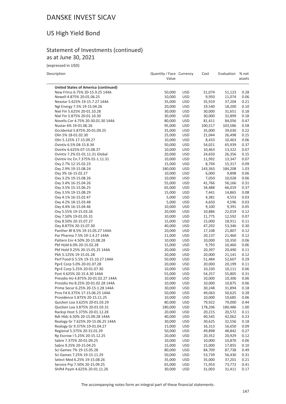# US High Yield Bond

## Statement of Investments (continued) as at June 30, 2021

(expressed in USD)

| Description                                    | Quantity / Face Currency<br>Value |                   | Cost             | Evaluation       | % net<br>assets |
|------------------------------------------------|-----------------------------------|-------------------|------------------|------------------|-----------------|
| <b>United States of America (continued)</b>    |                                   |                   |                  |                  |                 |
| New Frtrss 6.75% 20-15.9.25 144A               | 50,000                            | USD               | 51,074           | 51,123           | 0.28            |
| Newell 4.875% 20-01.06.25                      | 10,000                            | <b>USD</b>        | 9,950            | 11,074           | 0.06            |
| Nexstar 5.625% 19-15.7.27 144A                 | 35,000                            | USD               | 35,919           | 37,204           | 0.21            |
| Ngl Energy 7.5% 19-15.04.26                    | 20,000                            | <b>USD</b>        | 19,540           | 18,200           | 0.10            |
| Niel Fin 5.625% 20-01.10.28                    | 30,000                            | USD               | 30,000           | 31,651           | 0.18            |
| Niel Fin 5.875% 20-01.10.30                    | 30,000                            | USD               | 30,000           | 32,899           | 0.18            |
| Novelis Cor 4.75% 20-30.01.30 144A             | 80,000                            | <b>USD</b>        | 81,411           | 84,056           | 0.47            |
| Nustar 6% 19-01.06.26                          | 95,000                            | USD               | 100,517          | 103,586          | 0.58            |
| Occidental 5.875% 20-01.09.25                  | 35,000                            | <b>USD</b>        | 35,000           | 39,030           | 0.22            |
| Olin 5% 18-01.02.30                            | 25,000                            | <b>USD</b>        | 21,044           | 26,498           | 0.15            |
| Olin 5.125% 17-15.09.27                        | 10,000                            | <b>USD</b>        | 8,433            | 10,463           | 0.06            |
| Ovintiv 6.5% 04-15.8.34                        | 50,000                            | USD               | 54,021           | 65,939           | 0.37            |
| Ovintiv 6.625% 07-15.08.37                     | 10,000                            | USD               | 10,463           | 13,322           | 0.07            |
| Ovintiv 7.2% 01-01.11.31 Global                | 20,000                            | USD               | 24,650           | 26,356           | 0.15            |
| Ovintiv Inc En.7.375% 01-1.11.31               | 10,000                            | USD               | 11,992           | 13,347           | 0.07            |
| Oxy 2.7% 12-15.02.23                           | 15,000                            | USD               | 8,794            | 15,317           | 0.09            |
| Oxy 2.9% 19-15.08.24                           | 180,000                           | <b>USD</b>        | 143,363          | 184,208          | 1.03            |
| Oxy 3% 16-15.02.27                             | 10,000                            | USD               | 6,000            | 9,898            | 0.06            |
| Oxy 3.2% 19-15.08.26                           | 10,000                            | <b>USD</b>        | 7,050            | 10,028           | 0.06            |
| Oxy 3.4% 16-15.04.26                           | 55,000                            | <b>USD</b>        | 41,766           | 56,166           | 0.31            |
| Oxy 3.5% 15-15.06.25                           | 65,000                            | USD               | 34,488           | 66,019           | 0.37            |
| Oxy 3.5% 19-15.08.29                           | 15,000                            | <b>USD</b>        | 7,441            | 14,865           | 0.08            |
| Oxy 4.1% 16-15.02.47                           | 5,000                             | <b>USD</b>        | 4,381            | 4,553            | 0.03            |
| Oxy 4.2% 18-15.03.48                           | 5,000                             | USD               | 4,650            | 4,596            | 0.03            |
| Oxy 4.4% 16-15.04.46                           | 10,000                            | <b>USD</b>        | 9,100            | 9,391            | 0.05<br>0.12    |
| Oxy 5.55% 19-15.03.26                          | 20,000                            | USD               | 10,886           | 22,019           |                 |
| Oxy 7.50% 19-01.05.31<br>Oxy 8.50% 20-15.07.27 | 10,000<br>15,000                  | USD<br><b>USD</b> | 11,775<br>15,000 | 12,592<br>18,911 | 0.07<br>0.11    |
| Oxy 8.875% 20-15.07.30                         | 40,000                            | <b>USD</b>        | 47,292           | 53,346           | 0.30            |
| Panther Bf 8.5% 19-15.05.27 144A               | 20,000                            | USD               | 17,108           | 21,807           | 0.12            |
| Par Pharma 7.5% 19-1.4.27 144A                 | 21,000                            | USD               | 20,137           | 21,460           | 0.12            |
| Pattern Enr 4.50% 20-15.08.28                  | 10,000                            | <b>USD</b>        | 10,000           | 10,350           | 0.06            |
| Pbf Hold 6.0% 20-15.02.28                      | 15,000                            | USD               | 9,793            | 10,460           | 0.06            |
| Pbf Hold 9.25% 20-15.05.25 144A                | 20,000                            | USD               | 20,397           | 20,490           | 0.11            |
| Pbh 5.125% 19-15.01.28                         | 20,000                            | <b>USD</b>        | 20,000           | 21,141           | 0.12            |
| Perf Food G 5.5% 19-15.10.27 144A              | 50,000                            | USD               | 51,484           | 52,607           | 0.29            |
| Pg+E Corp 5.0% 20-01.07.28                     | 20,000                            | USD               | 20,000           | 20,199           | 0.11            |
| Pg+E Corp 5.25% 20-01.07.30                    | 10,000                            | <b>USD</b>        | 10,330           | 10,111           | 0.06            |
| Post 4.625% 20-15.4.30 144A                    | 55,000                            | <b>USD</b>        | 54,357           | 55,805           | 0.31            |
| Presidio Ho 4.875% 20-01.02.27 144A            | 10,000                            | <b>USD</b>        | 10,000           | 10,306           | 0.06            |
| Presidio Ho 8.25% 20-01.02.28 144A             | 10,000                            | <b>USD</b>        | 10,000           | 10,875           | 0.06            |
| Prime Secur 6.25% 20-15.1.28 144A              | 30,000                            | USD               | 30,248           | 31,894           | 0.18            |
| Prov Fd 6.375% 17-15.06.25 144A                | 50,000                            | USD               | 49,063           | 50,625           | 0.28            |
| Providence 5.875% 20-15.11.25                  | 10,000                            | USD               | 10,000           | 10,685           | 0.06            |
| Quicken Loa 3.625% 20-01.03.29                 | 80,000                            | <b>USD</b>        | 79,922           | 79,000           | 0.44            |
| Quicken Loa 3.875% 20-01.03.31                 | 180,000                           | <b>USD</b>        | 178,206          | 180,486          | 1.00            |
| Racksp Host 5.375% 20-01.12.28                 | 20,000                            | USD               | 20,215           | 20,572           | 0.11            |
| Rdt Hldc 6.50% 20-15.09.28 144A                | 40,000                            | USD               | 40,545           | 42,062           | 0.23            |
| Realogy Gr 7.625% 20-15.06.25 144A             | 30,000                            | USD               | 30,625           | 32,556           | 0.18            |
| Realogy Gr 9.375% 19-01.04.27                  | 15,000                            | <b>USD</b>        | 16,313           | 16,650           | 0.09            |
| Regional 5.375% 20-15.01.29                    | 50,000                            | USD               | 49,898           | 48,842           | 0.27            |
| Rp Escrow I 5.25% 20-15.12.25                  | 20,000                            | USD               | 20,352           | 20,929           | 0.12            |
| Sabre 7.375% 20-01.09.25                       | 10,000                            | USD               | 10,000           | 10,870           | 0.06            |
| Sabre 9.25% 20-15.04.25                        | 15,000                            | USD               | 15,000           | 17,855           | 0.10            |
| Sci Games 7% 19-15.05.28                       | 80,000                            | USD               | 84,709           | 87,738           | 0.49            |
| Sci Games 7.25% 19-15.11.29                    | 50,000                            | <b>USD</b>        | 53,739           | 56,430           | 0.31            |
| Select Med 6.25% 19-15.08.26                   | 35,000                            | USD               | 35,000           | 37,201           | 0.21            |
| Service Prp 7.50% 20-15.09.25                  | 65,000                            | USD               | 71,953           | 73,772           | 0.41            |
| Shift4 Paym 4.625% 20-01.11.26                 | 30,000                            | <b>USD</b>        | 31,003           | 31,411           | 0.17            |

The accompanying notes form an integral part of these financial statements.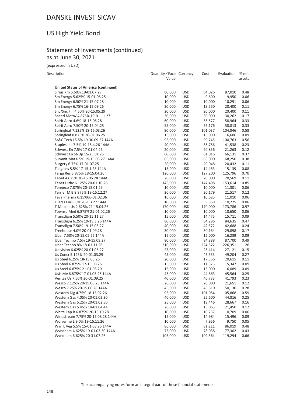## US High Yield Bond

## Statement of Investments (continued) as at June 30, 2021

(expressed in USD)

| Description                                 | Quantity / Face Currency<br>Value |            | Cost    | Evaluation | % net<br>assets |
|---------------------------------------------|-----------------------------------|------------|---------|------------|-----------------|
| <b>United States of America (continued)</b> |                                   |            |         |            |                 |
| Sirius Xm 5.50% 19-01.07.29                 | 80,000                            | <b>USD</b> | 84,026  | 87,010     | 0.48            |
| Sm Energy 5.625% 15-01.06.25                | 10,000                            | <b>USD</b> | 9,600   | 9,950      | 0.06            |
| Sm Energy 6.50% 21-15.07.28                 | 10,000                            | <b>USD</b> | 10,000  | 10,291     | 0.06            |
| Sm Energy 6.75% 16-15.09.26                 | 20,000                            | <b>USD</b> | 19,550  | 20,400     | 0.11            |
| Snc/Snc Fin 4.50% 20-15.05.29               | 20,000                            | <b>USD</b> | 20,000  | 20,400     | 0.11            |
| Speed Moto/ 4.875% 19-01.11.27              | 30,000                            | <b>USD</b> | 30,000  | 30,262     | 0.17            |
| Spirit Aero 4.6% 18-15.06.28                | 60,000                            | <b>USD</b> | 55,577  | 58,964     | 0.33            |
| Spirit Aero 7.50% 20-15.04.25               | 55,000                            | <b>USD</b> | 55,176  | 58,813     | 0.33            |
| Springleaf 7.125% 18-15.03.26               | 90,000                            | <b>USD</b> | 101,037 | 104,846    | 0.58            |
| Springleaf 8.875% 20-01.06.25               | 15,000                            | <b>USD</b> | 15,000  | 16,606     | 0.09            |
| Ss&C Tech I 5.5% 19-30.09.27 144A           | 95,000                            | <b>USD</b> | 99,745  | 100,763    | 0.56            |
| Staples Inc 7.5% 19-15.4.26 144A            | 40,000                            | <b>USD</b> | 38,786  | 41,538     | 0.23            |
| Sthwest En 7.5% 17-01.04.26                 | 20,000                            | <b>USD</b> | 20,836  | 21,263     | 0.12            |
| Sthwest En St-Up 15-23.01.25                | 60,000                            | <b>USD</b> | 61,016  | 66,131     | 0.37            |
| Summit Mat 6.5% 19-15.03.27 144A            | 65,000                            | <b>USD</b> | 65,000  | 68,250     | 0.38            |
| Surgery 6.75% 17-01.07.25                   | 20,000                            | <b>USD</b> | 20,048  | 20,432     | 0.11            |
| Tallgrass 5.5% 17-15.1.28 144A              | 15,000                            | <b>USD</b> | 14,463  | 15,139     | 0.08            |
| Targa Res 5.875% 18-15.04.26                | 120,000                           | <b>USD</b> | 127,200 | 125,796    | 0.70            |
| Tenet 4.625% 20-15.06.28 144A               | 20,000                            | <b>USD</b> | 20,000  | 20,569     | 0.11            |
| Tenet Hlthc 6.125% 20-01.10.28              | 145,000                           | <b>USD</b> | 147,498 | 153,614    | 0.85            |
| Tenneco 7.875% 20-15.01.29                  | 10,000                            | <b>USD</b> | 10,000  | 11,301     | 0.06            |
| Terrier M B 8.875% 19-15.12.27              | 20,000                            | <b>USD</b> | 20,179  | 21,517     | 0.12            |
| Teva Pharma 6.15%06-01.02.36                | 10,000                            | <b>USD</b> | 10,625  | 11,010     | 0.06            |
| Tllgrss Enr 6.0% 20-1.3.27 144A             | 10,000                            | <b>USD</b> | 9,859   | 10,275     | 0.06            |
| T-Mobile Us 2.625% 21-15.04.26              | 170,000                           | <b>USD</b> | 170,000 | 173,786    | 0.97            |
| Townsq Med 6.875% 21-01.02.26               | 10,000                            | <b>USD</b> | 10,000  | 10,650     | 0.06            |
| Transdigm 5.50% 20-15.11.27                 | 15,000                            | <b>USD</b> | 14,475  | 15,711     | 0.09            |
| Transdigm 6.25% 19-15.3.26 144A             | 80,000                            | <b>USD</b> | 84,296  | 84,635     | 0.47            |
| Transdigm 7.50% 19-15.03.27                 | 40,000                            | <b>USD</b> | 42,572  | 42,688     | 0.24            |
| Treehouse 4.0% 20-01.09.28                  | 30,000                            | <b>USD</b> | 30,164  | 29,898     | 0.17            |
| Uber 7.50% 20-15.05.25 144A                 | 15,000                            | <b>USD</b> | 15,000  | 16,239     | 0.09            |
| Uber Techno 7.5% 19-15.09.27                | 80,000                            | <b>USD</b> | 84,888  | 87,700     | 0.49            |
| Uber Techno 8% 18-01.11.26                  | 210,000                           | <b>USD</b> | 224,322 | 226,351    | 1.26            |
| Univision 6.625% 20-01.06.27                | 25,000                            | <b>USD</b> | 25,414  | 27,121     | 0.15            |
| Us Concr 5.125% 20-01.03.29                 | 45,000                            | <b>USD</b> | 45,553  | 49,204     | 0.27            |
| Us Steel 6.25% 18-15.03.26                  | 20,000                            | <b>USD</b> | 17,366  | 20,615     | 0.11            |
| Us Steel 6.875% 17-15.08.25                 | 15,000                            | <b>USD</b> | 11,573  | 15,347     | 0.09            |
| Us Steel 6.875% 21-01.03.29                 | 15,000                            | <b>USD</b> | 15,000  | 16,089     | 0.09            |
| Usis Me 6.875% 17-01.05.25 144A             | 45,000                            | <b>USD</b> | 44,663  | 45,564     | 0.25            |
| Veritas Us 7.50% 20-01.09.25                | 40,000                            | <b>USD</b> | 40,733  | 41,793     | 0.23            |
| Wesco 7.125% 20-15.06.25 144A               | 20,000                            | <b>USD</b> | 20,000  | 21,651     | 0.12            |
| Wesco 7.25% 20-15.06.28 144A                | 45,000                            | <b>USD</b> | 46,810  | 50,130     | 0.28            |
| Western Dig 4.75% 18-15.02.26               | 95,000                            | <b>USD</b> | 101,054 | 105,868    | 0.59            |
| Western Gas 4.05% 20-01.02.30               | 40,000                            | USD        | 25,600  | 44,816     | 0.25            |
| Western Gas 5.25% 20-01.02.50               | 25,000                            | USD        | 19,446  | 28,667     | 0.16            |
| Western Gas 5.45% 14-01.04.44               | 20,000                            | USD        | 15,063  | 21,450     | 0.12            |
| White Cap B 6.875% 20-15.10.28              | 10,000                            | USD        | 10,237  | 10,709     | 0.06            |
| Windstream 7.75% 20-15.08.28 144A           | 15,000                            | <b>USD</b> | 14,984  | 15,496     | 0.09            |
| Wolverine E 9.0% 19-15.11.26                | 10,000                            | USD        | 7,956   | 9,750      | 0.05            |
| Wyn L Veg 5.5% 15-01.03.25 144A             | 80,000                            | USD        | 81,211  | 86,019     | 0.48            |
| Wyndham 4.625% 19-01.03.30 144A             | 75,000                            | USD        | 78,038  | 77,302     | 0.43            |
| Wyndham 6.625% 20-31.07.26                  | 105,000                           | USD        | 109,564 | 119,294    | 0.66            |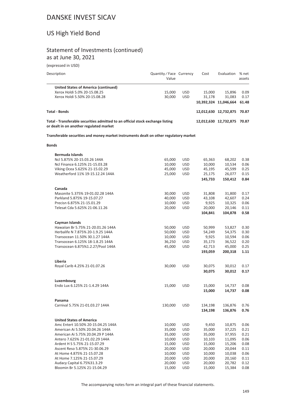## US High Yield Bond

## Statement of Investments (continued) as at June 30, 2021

(expressed in USD)

| Description                                                                                                               | Quantity / Face Currency<br>Value |            | Cost   | Evaluation                  | % net<br>assets |
|---------------------------------------------------------------------------------------------------------------------------|-----------------------------------|------------|--------|-----------------------------|-----------------|
| United States of America (continued)                                                                                      |                                   |            |        |                             |                 |
| Xerox Holdi 5.0% 20-15.08.25                                                                                              | 15.000                            | <b>USD</b> | 15.000 | 15.896                      | 0.09            |
| Xerox Holdi 5.50% 20-15.08.28                                                                                             | 30,000                            | <b>USD</b> | 31.178 | 31.083                      | 0.17            |
|                                                                                                                           |                                   |            |        | 10,392,324 11,046,664       | 61.48           |
| <b>Total - Bonds</b>                                                                                                      |                                   |            |        | 12,012,630 12,732,875       | 70.87           |
| Total - Transferable securities admitted to an official stock exchange listing<br>or dealt in on another regulated market |                                   |            |        | 12,012,630 12,732,875 70.87 |                 |

**Transferable securities and money market instruments dealt on other regulatory market**

#### **Bonds**

| <b>Bermuda Islands</b>             |         |            |         |         |      |
|------------------------------------|---------|------------|---------|---------|------|
| Ncl 5.875% 20-15.03.26 144A        | 65,000  | <b>USD</b> | 65,363  | 68,202  | 0.38 |
| Ncl Finance 6.125% 21-15.03.28     | 10,000  | <b>USD</b> | 10,000  | 10,534  | 0.06 |
| Viking Ocea 5.625% 21-15.02.29     | 45,000  | <b>USD</b> | 45,195  | 45,599  | 0.25 |
| Weatherford 11% 19-15.12.24 144A   | 25,000  | <b>USD</b> | 25,175  | 26,077  | 0.15 |
|                                    |         |            | 145,733 | 150,412 | 0.84 |
| Canada                             |         |            |         |         |      |
| Masonite 5.375% 19-01.02.28 144A   | 30,000  | <b>USD</b> | 31,808  | 31,800  | 0.17 |
| Parkland 5.875% 19-15.07.27        | 40,000  | <b>USD</b> | 43,108  | 42,607  | 0.24 |
| Precisn 6.875% 21-15.01.29         | 10,000  | <b>USD</b> | 9,925   | 10,325  | 0.06 |
| Telesat Cda 5.625% 21-06.11.26     | 20,000  | <b>USD</b> | 20,000  | 20,146  | 0.11 |
|                                    |         |            | 104,841 | 104,878 | 0.58 |
| Cayman Islands                     |         |            |         |         |      |
| Hawaiian Br 5.75% 21-20.01.26 144A | 50,000  | <b>USD</b> | 50,999  | 53,827  | 0.30 |
| Herbalife N 7.875% 20-1.9.25 144A  | 50,000  | <b>USD</b> | 54,249  | 54,375  | 0.30 |
| Transocean 11.50% 30.1.27 144A     | 10,000  | <b>USD</b> | 9,925   | 10,594  | 0.06 |
| Transocean 6.125% 18-1.8.25 144A   | 36,250  | <b>USD</b> | 35,173  | 36,522  | 0.20 |
| Transocean 6.875%1.2.27/Pool 144A  | 45,000  | <b>USD</b> | 42,713  | 45,000  | 0.25 |
|                                    |         |            | 193,059 | 200,318 | 1.11 |
| Liberia                            |         |            |         |         |      |
| Royal Carib 4.25% 21-01.07.26      | 30,000  | <b>USD</b> | 30,075  | 30,012  | 0.17 |
|                                    |         |            | 30,075  | 30,012  | 0.17 |
| Luxembourg                         |         |            |         |         |      |
| Endo Lux 6.125% 21-1.4.29 144A     | 15,000  | <b>USD</b> | 15,000  | 14,737  | 0.08 |
|                                    |         |            | 15,000  | 14,737  | 0.08 |
| Panama                             |         |            |         |         |      |
| Carnival 5.75% 21-01.03.27 144A    | 130,000 | <b>USD</b> | 134,198 | 136,876 | 0.76 |
|                                    |         |            | 134,198 | 136,876 | 0.76 |
| <b>United States of America</b>    |         |            |         |         |      |
| Amc Entert 10.50% 20-15.04.25 144A | 10,000  | <b>USD</b> | 9,450   | 10,875  | 0.06 |
| American Ai 5.50% 20.04.26 144A    | 35,000  | <b>USD</b> | 35,000  | 37,225  | 0.21 |
| American Ai 5.75% 20.04.29 P 144A  | 35,000  | <b>USD</b> | 35,000  | 37,955  | 0.21 |
| Antero 7.625% 21-01.02.29 144A     | 10,000  | <b>USD</b> | 10,103  | 11,095  | 0.06 |
| Ardent H S 5.75% 21-15.07.29       | 15,000  | <b>USD</b> | 15,000  | 15,206  | 0.08 |
| Ascent Reso 5.875% 21-30.06.29     | 20,000  | <b>USD</b> | 20,000  | 20,044  | 0.11 |
| At Home 4.875% 21-15.07.28         | 10,000  | <b>USD</b> | 10,000  | 10,038  | 0.06 |
| At Home 7.125% 21-15.07.29         | 20,000  | <b>USD</b> | 20,000  | 20,160  | 0.11 |
| Audacy Capital 6.75%31.3.29        | 20,000  | <b>USD</b> | 20,000  | 20,782  | 0.12 |
| Bloomin Br 5.125% 21-15.04.29      | 15,000  | <b>USD</b> | 15,000  | 15,384  | 0.08 |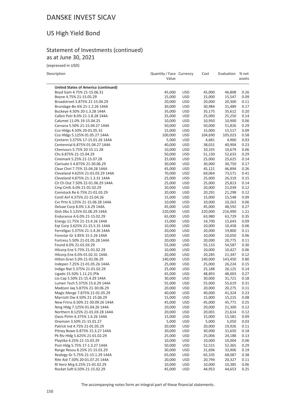## US High Yield Bond

## Statement of Investments (continued) as at June 30, 2021

(expressed in USD)

| Description                                                      | Quantity / Face Currency<br>Value |                          | Cost             | Evaluation       | % net<br>assets |
|------------------------------------------------------------------|-----------------------------------|--------------------------|------------------|------------------|-----------------|
| <b>United States of America (continued)</b>                      |                                   |                          |                  |                  |                 |
| Boyd Gam 4.75% 21-15.06.31                                       | 45,000                            | <b>USD</b>               | 45,000           | 46,808           | 0.26            |
| Boyne 4.75% 21-15.05.29                                          | 15,000                            | <b>USD</b>               | 15,000           | 15,547           | 0.09            |
| Broadstreet 5.875% 21-15.04.29                                   | 20,000                            | <b>USD</b>               | 20,000           | 20,300           | 0.11            |
| Brundage-Bo 6% 21-1.2.26 144A                                    | 30,000                            | <b>USD</b>               | 30,984           | 31,489           | 0.17            |
| Buckeye 4.50% 20-1.3.28 144A                                     | 35,000                            | <b>USD</b>               | 35,175           | 35,612           | 0.20            |
| Callon Petr 8.0% 21-1.8.28 144A                                  | 25,000                            | <b>USD</b>               | 25,000           | 25,250           | 0.14            |
| Calumet 11.0% 19-15.04.25                                        | 10,000                            | <b>USD</b>               | 10,950           | 10,900           | 0.06            |
| Carvana 5.50% 21-15.04.27 144A                                   | 50,000                            | <b>USD</b>               | 50,000           | 51,826           | 0.29            |
| Cco Hldgs 4.50% 20-01.05.32                                      | 15,000                            | <b>USD</b>               | 15,000           | 15,517           | 0.09            |
| Cco Hldgs 5.125% 01.05.27 144A                                   | 100,000                           | <b>USD</b>               | 104,690          | 105,023          | 0.58            |
| Centenn 5.375% 17-15.01.26 144A                                  | 5,000                             | USD                      | 4,681            | 4,900            | 0.03            |
| Centennial 6.875% 01.04.27 144A                                  | 40,000                            | USD                      | 38,031           | 40,904           | 0.23            |
| Chemours 5.75% 20-15.11.28                                       | 10,000                            | USD                      | 10,335           | 10,679           | 0.06            |
| Chs 6.875% 21-15.04.29                                           | 50,000                            | USD<br><b>USD</b>        | 51,130<br>25,000 | 52,633<br>25,625 | 0.29<br>0.14    |
| Cinemark 5.25% 21-15.07.28<br>Clarivate S 4.875% 21-30.06.29     | 25,000<br>30,000                  | <b>USD</b>               | 30,000           | 30,750           | 0.17            |
| Clear Chnl 7.75% 15.04.28 144A                                   | 45,000                            | <b>USD</b>               | 45,121           | 46,894           | 0.26            |
| Cleveland 4.625% 21-01.03.29 144A                                | 70,000                            | <b>USD</b>               | 69,064           | 73,571           | 0.41            |
| Cleveland 4.875% 21-1.3.31 144A                                  | 25,000                            | <b>USD</b>               | 25,000           | 26,319           | 0.15            |
| Clr Ch Out 7.50% 21-01.06.29 144A                                | 25,000                            | <b>USD</b>               | 25,000           | 25,813           | 0.14            |
| Cmp Cmfc 6.0% 21-01.02.29                                        | 20,000                            | <b>USD</b>               | 20,000           | 21,039           | 0.12            |
| Comstock Re 6.75% 21-01.03.29                                    | 20,000                            | <b>USD</b>               | 20,291           | 21,298           | 0.12            |
| Contl Airl 4.375% 21-15.04.26                                    | 15,000                            | <b>USD</b>               | 15,000           | 15,548           | 0.09            |
| Cvr Prtn 6.125% 21-15.06.28 144A                                 | 10,000                            | <b>USD</b>               | 10,000           | 10,263           | 0.06            |
| Deluxe Corp 8.0% 1.6.29 144A.                                    | 45,000                            | <b>USD</b>               | 45,000           | 48,592           | 0.27            |
| Dish Dbs 5.125% 01.06.29 144A                                    | 220,000                           | <b>USD</b>               | 220,000          | 216,990          | 1.21            |
| Endurance A 6.0% 21-15.02.29                                     | 65,000                            | <b>USD</b>               | 63,980           | 63,729           | 0.35            |
| Energy 11.75% 21-15.4.26 144A                                    | 15,000                            | <b>USD</b>               | 14,700           | 15,643           | 0.09            |
| Eqt Corp 3.625% 21-15.5.31 144A                                  | 10,000                            | USD                      | 10,000           | 10,458           | 0.06            |
| Ferrellgas 5.375% 21-1.4.26 144A                                 | 20,000                            | <b>USD</b>               | 20,000           | 19,800           | 0.11            |
| Forestar Gr 3.85% 15.5.26 144A                                   | 10,000                            | <b>USD</b>               | 10,000           | 10,050           | 0.06            |
| Fortress 5.50% 21-01.05.28 144A                                  | 20,000                            | <b>USD</b>               | 20,000           | 20,775           | 0.11            |
| Found 6.0% 21-01.03.29                                           | 55,000                            | <b>USD</b>               | 55,133           | 54,587           | 0.30            |
| Hilcorp Ene 5.75% 21-01.02.29                                    | 10,000                            | <b>USD</b>               | 10,000           | 10,427           | 0.06            |
| Hilcorp Ene 6.0% 01.02.31 144A                                   | 20,000                            | <b>USD</b>               | 20,285           | 21,347           | 0.12            |
| Hilton Gran 5.0% 21-01.06.29                                     | 140,000                           | <b>USD</b>               | 140,000          | 143,450          | 0.80            |
| Indepen 7.25% 21-01.05.26 144A                                   | 25,000                            | <b>USD</b>               | 25,000           | 26,224           | 0.15            |
| Indigo Nat 5.375% 21-01.02.29                                    | 25,000                            | <b>USD</b>               | 25,188           | 26,125           | 0.14            |
| Ligado 15.50% 1.11.23 / Pik                                      | 45,000                            | <b>USD</b><br><b>USD</b> | 48,893           | 48,003           | 0.27            |
| Lio Cap 5.50% 21-15.4.29 144A<br>Lumen Tech 5.375% 15.6.29 144A  | 30,000<br>55,000                  | <b>USD</b>               | 30,000<br>55,000 | 31,721<br>55,619 | 0.18<br>0.31    |
|                                                                  | 20,000                            | USD                      | 20,000           | 20,275           | 0.11            |
| Madison lag 5.875% 21-30.06.29<br>Magic Merge 7.875% 21-01.05.29 | 40,000                            | <b>USD</b>               | 40,000           | 41,324           | 0.23            |
| Marriott Ow 4.50% 21-15.06.29                                    | 15,000                            | USD                      | 15,000           | 15,215           | 0.08            |
| New Frtrss 6.50% 21-30.09.26 144A                                | 45,000                            | USD                      | 45,000           | 45,771           | 0.25            |
| Nmg Hldg 7.125% 01.04.26 144A                                    | 20,000                            | <b>USD</b>               | 20,000           | 21,300           | 0.12            |
| Northern 8.125% 21-01.03.28 144A                                 | 20,000                            | USD                      | 20,001           | 21,614           | 0.12            |
| Oasis Ptrlm 6.375% 1.6.26 144A                                   | 15,000                            | <b>USD</b>               | 15,000           | 15,581           | 0.09            |
| Onemain 3.50% 21-15.01.27                                        | 5,000                             | USD                      | 5,000            | 5,050            | 0.03            |
| Patrick Ind 4.75% 21-01.05.29                                    | 20,000                            | USD                      | 20,000           | 19,926           | 0.11            |
| Pitney Bowe 6.875% 15.3.27 144A                                  | 30,000                            | USD                      | 30,000           | 31,650           | 0.18            |
| Pk Riv Hldg 5.625% 21-01.02.29                                   | 25,000                            | USD                      | 25,006           | 24,188           | 0.13            |
| Playtika 4.25% 21-15.03.29                                       | 10,000                            | USD                      | 10,000           | 10,004           | 0.06            |
| Post Hldg 5.75% 17-1.3.27 144A                                   | 50,000                            | <b>USD</b>               | 52,515           | 52,365           | 0.29            |
| Range Resou 8.25% 21-15.01.29                                    | 30,000                            | USD                      | 31,696           | 33,906           | 0.19            |
| Realogy Gr 5.75% 21-15.1.29 144A                                 | 65,000                            | <b>USD</b>               | 65,335           | 68,087           | 0.38            |
| Rite Aid 7.50% 20-01.07.25 144A                                  | 20,000                            | <b>USD</b>               | 20,794           | 20,327           | 0.11            |
| Rl Hero Mrg 6.25% 21-01.02.29                                    | 10,000                            | USD                      | 10,000           | 10,385           | 0.06            |
| Rocket Soft 6.50% 21-15.02.29                                    | 45,000                            | <b>USD</b>               | 44,953           | 44,653           | 0.25            |

The accompanying notes form an integral part of these financial statements.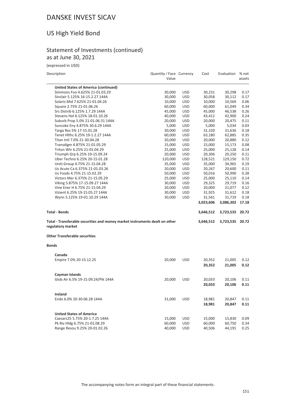# US High Yield Bond

## Statement of Investments (continued) as at June 30, 2021

(expressed in USD)

| Description                                                                                      | Quantity / Face Currency<br>Value |            | Cost      | Evaluation      | % net<br>assets |
|--------------------------------------------------------------------------------------------------|-----------------------------------|------------|-----------|-----------------|-----------------|
| <b>United States of America (continued)</b>                                                      |                                   |            |           |                 |                 |
| Simmons Foo 4.625% 21-01.03.29                                                                   | 30,000                            | USD        | 30,231    | 30,298          | 0.17            |
| Sinclair 5.125% 16-15.2.27 144A                                                                  | 30,000                            | <b>USD</b> | 30,058    | 30,112          | 0.17            |
| Solaris Mid 7.625% 21-01.04.26                                                                   | 10,000                            | <b>USD</b> | 10,000    | 10,569          | 0.06            |
| Square 2.75% 21-01.06.26                                                                         | 60,000                            | <b>USD</b> | 60,000    | 61,049          | 0.34            |
| Srs Distrib 6.125% 1.7.29 144A                                                                   | 45,000                            | <b>USD</b> | 45,000    | 46,538          | 0.26            |
| Stevens Hol 6.125% 18-01.10.26                                                                   | 40,000                            | <b>USD</b> | 43,412    | 42,900          | 0.24            |
| Suburb Prop 5.0% 21-01.06.31 144A                                                                | 20,000                            | <b>USD</b> | 20,000    | 20,475          | 0.11            |
| Suncoke Eny 4.875% 30.6.29 144A                                                                  | 5,000                             | <b>USD</b> | 5,000     | 5,034           | 0.03            |
| Targa Res 5% 17-15.01.28                                                                         | 30,000                            | <b>USD</b> | 31,320    | 31,636          | 0.18            |
| Tenet Hlthc 6.25% 19-1.2.27 144A                                                                 | 60,000                            | <b>USD</b> | 63,180    | 62,885          | 0.35            |
| Titan Intl 7.0% 21-30.04.28                                                                      | 20,000                            | <b>USD</b> | 20,000    | 20,880          | 0.12            |
| Transdigm 4.875% 21-01.05.29                                                                     | 15,000                            | <b>USD</b> | 15,000    | 15,173          | 0.08            |
| Triton Wtr 6.25% 21-01.04.29                                                                     | 25,000                            | <b>USD</b> | 25,000    | 25,128          | 0.14            |
| Triumph Grp 6.25% 19-15.09.24                                                                    | 20,000                            | <b>USD</b> | 20,306    | 20,250          | 0.11            |
| Uber Techno 6.25% 20-15.01.28                                                                    | 120,000                           | <b>USD</b> | 128,521   | 129,150         | 0.72            |
| Uniti Group 4.75% 21-15.04.28                                                                    | 35,000                            | <b>USD</b> | 35,000    | 34,965          | 0.19            |
| Us Acute Ca 6.375% 21-01.03.26                                                                   | 20,000                            | <b>USD</b> | 20,267    | 20,600          | 0.11            |
| Us Foods 4.75% 21-15.02.29                                                                       | 50,000                            | <b>USD</b> | 50,016    | 50,990          | 0.28            |
| Victors Mer 6.375% 21-15.05.29                                                                   | 25,000                            | <b>USD</b> | 25,000    | 25,110          | 0.14            |
| Viking 5.875% 17-15.09.27 144A                                                                   | 30,000                            | <b>USD</b> | 29,325    | 29,719          | 0.16            |
| Vine Ener H 6.75% 21-15.04.29                                                                    | 20,000                            | <b>USD</b> | 20,000    | 21,077          | 0.12            |
| Vizient 6.25% 19-15.05.27 144A                                                                   | 30,000                            | <b>USD</b> | 31,925    | 31,612          | 0.18            |
| Wynn 5.125% 19-01.10.29 144A                                                                     | 30,000                            | <b>USD</b> | 31,561    | 31,719          | 0.18            |
|                                                                                                  |                                   |            | 3,023,606 | 3,086,302       | 17.18           |
| <b>Total - Bonds</b>                                                                             |                                   |            | 3,646,512 | 3,723,535       | 20.72           |
| Total - Transferable securities and money market instruments dealt on other<br>regulatory market |                                   |            | 3,646,512 | 3,723,535 20.72 |                 |
| <b>Other Transferable securities</b>                                                             |                                   |            |           |                 |                 |
| <b>Bonds</b>                                                                                     |                                   |            |           |                 |                 |
| Canada                                                                                           |                                   |            |           |                 |                 |
| Empire 7.0% 20-15.12.25                                                                          | 20,000                            | <b>USD</b> | 20,352    | 21,005          | 0.12            |
|                                                                                                  |                                   |            | 20,352    | 21,005          | 0.12            |
| Cayman Islands                                                                                   |                                   |            |           |                 |                 |
| Glob Air 6.5% 19-15.09.24/Pik 144A                                                               | 20,000                            | <b>USD</b> | 20,033    | 20,106          | 0.11            |
|                                                                                                  |                                   |            | 20,033    | 20,106          | 0.11            |
| Ireland                                                                                          |                                   |            |           |                 |                 |
| Endo 6.0% 20-30.06.28 144A                                                                       | 31,000                            | <b>USD</b> | 18,981    | 20,847          | 0.11            |
|                                                                                                  |                                   |            | 18,981    | 20,847          | 0.11            |
| <b>United States of America</b>                                                                  |                                   |            |           |                 |                 |
| Caesars25 5.75% 20-1.7.25 144A                                                                   | 15,000                            | USD        | 15,000    | 15,830          | 0.09            |
| Pk Riv Hldg 6.75% 21-01.08.29                                                                    | 60,000                            | <b>USD</b> | 60,000    | 60,750          | 0.34            |
| Range Resou 9.25% 20-01.02.26                                                                    | 40,000                            | <b>USD</b> | 40,506    | 44,191          | 0.25            |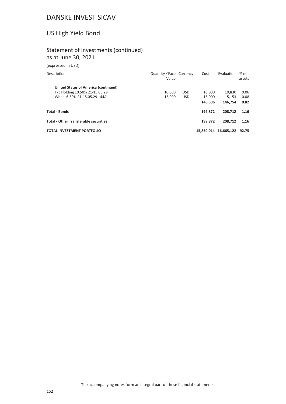# US High Yield Bond

## Statement of Investments (continued) as at June 30, 2021

(expressed in USD)

| Description                                  | Quantity / Face Currency<br>Value |            | Cost       | Evaluation | % net<br>assets |
|----------------------------------------------|-----------------------------------|------------|------------|------------|-----------------|
| United States of America (continued)         |                                   |            |            |            |                 |
| Tkc Holding 10.50% 21-15.05.29               | 10.000                            | <b>USD</b> | 10.000     | 10,830     | 0.06            |
| Wheel 6.50% 21-15.05.29 144A                 | 15.000                            | <b>USD</b> | 15.000     | 15.153     | 0.08            |
|                                              |                                   |            | 140.506    | 146.754    | 0.82            |
| <b>Total - Bonds</b>                         |                                   |            | 199.872    | 208.712    | 1.16            |
| <b>Total - Other Transferable securities</b> |                                   |            | 199.872    | 208.712    | 1.16            |
| <b>TOTAL INVESTMENT PORTFOLIO</b>            |                                   |            | 15.859.014 | 16,665,122 | 92.75           |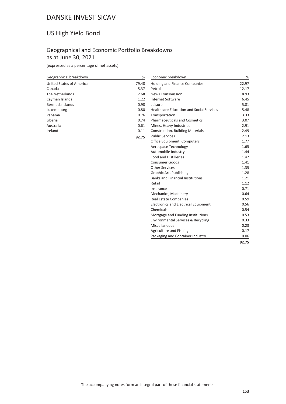## US High Yield Bond

## Geographical and Economic Portfolio Breakdowns as at June 30, 2021

**92.75**

(expressed as a percentage of net assets)

| Geographical breakdown   | %     |
|--------------------------|-------|
| United States of America | 79.48 |
| Canada                   | 5.37  |
| The Netherlands          | 2.68  |
| Cayman Islands           | 1.22  |
| Bermuda Islands          | 0.98  |
| Luxembourg               | 0.80  |
| Panama                   | 0.76  |
| Liberia                  | 0.74  |
| Australia                | 0.61  |
| Ireland                  | 0.11  |

| Economic breakdown                              | %     |
|-------------------------------------------------|-------|
| <b>Holding and Finance Companies</b>            | 22.97 |
| Petrol                                          | 12.17 |
| <b>News Transmission</b>                        | 8.93  |
| <b>Internet Software</b>                        | 6.45  |
| Leisure                                         | 5.81  |
| <b>Healthcare Education and Social Services</b> | 5.48  |
| Transportation                                  | 3.33  |
| <b>Pharmaceuticals and Cosmetics</b>            | 3.07  |
| Mines, Heavy Industries                         | 2.91  |
| <b>Construction, Building Materials</b>         | 2.49  |
| <b>Public Services</b>                          | 2.13  |
| Office Equipment, Computers                     | 1.77  |
| Aerospace Technology                            | 1.65  |
| Automobile Industry                             | 1.44  |
| <b>Food and Distilleries</b>                    | 1.42  |
| <b>Consumer Goods</b>                           | 1.41  |
| Other Services                                  | 1.35  |
| Graphic Art, Publishing                         | 1.28  |
| <b>Banks and Financial Institutions</b>         | 1.21  |
| Retail                                          | 1.12  |
| Insurance                                       | 0.71  |
| Mechanics, Machinery                            | 0.64  |
| <b>Real Estate Companies</b>                    | 0.59  |
| <b>Electronics and Electrical Equipment</b>     | 0.56  |
| Chemicals                                       | 0.54  |
| Mortgage and Funding Institutions               | 0.53  |
| <b>Environmental Services &amp; Recycling</b>   | 0.33  |
| Miscellaneous                                   | 0.23  |
| Agriculture and Fishing                         | 0.17  |
| Packaging and Container Industry                | 0.06  |
|                                                 | 92.75 |

The accompanying notes form an integral part of these financial statements.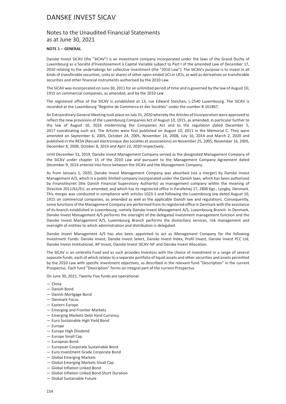### Notes to the Unaudited Financial Statements as at June 30, 2021

#### **NOTE 1 – GENERAL**

Danske Invest SICAV (the "SICAV") is an investment company incorporated under the laws of the Grand Duchy of Luxembourg as a Société d'Investissement à Capital Variable subject to Part I of the amended Law of December 17, 2010 relating to the undertakings for collective investment (the "2010 Law"). The SICAV's purpose is to invest in all kinds of transferable securities, units or shares of other open-ended UCI or UCIs, as well as derivatives on transferable securities and other financial instruments authorised by the 2010 Law.

The SICAV was incorporated on June 30, 2011 for an unlimited period of time and is governed by the law of August 10, 1915 on commercial companies, as amended, and by the 2010 Law.

The registered office of the SICAV is established at 13, rue Edward Steichen, L-2540 Luxembourg. The SICAV is recorded at the Luxembourg "Registre de Commerce et des Sociétés" under the number B 161867.

An Extraordinary General Meeting took place on July 31, 2020 whereby the Articles of Incorporation were approved to reflect the new provisions of the Luxembourg Companies Act of August 10, 1915, as amended, in particular further to the law of August 10, 2016 modernising the Companies Act and to the regulation dated December 5, 2017 coordinating such act. The Articles were first published on August 10, 2011 in the Mémorial C. They were amended on September 6, 2005, October 24, 2005, November 14, 2008, July 16, 2014 and March 2, 2020 and published in the RESA (Recueil électronique des sociétés et associations) on November 25, 2005, November 16, 2005, December 8, 2008, October 8, 2014 and April 23, 2020 respectively.

Until December 31, 2019, Danske Invest Management Company served as the designated Management Company of the SICAV under chapter 15 of the 2010 Law and pursuant to the Management Company Agreement dated December 9, 2014 entered into force between the SICAV and the Management Company.

As from January 1, 2020, Danske Invest Management Company was absorbed (via a merger) by Danske Invest Management A/S, which is a public limited company incorporated under the Danish laws, which has been authorized by Finanstilsynet (the Danish Financial Supervisory Authority) as management company within the meaning of Directive 2011/61/EU, as amended, and which has its registered office in Parallelvej 17, 2800 Kgs., Lyngby, Denmark. This merger was conducted in compliance with articles 1023-1 and following the Luxembourg law dated August 10, 1915 on commercial companies, as amended as well as the applicable Danish law and regulations. Consequently, some functions of the Management Company are performed from its registered office in Denmark with the assistance of its branch established in Luxembourg, namely Danske Invest Management A/S, Luxembourg Branch. In Denmark, Danske Invest Management A/S performs the oversight of the delegated investment management function and the Danske Invest Management A/S, Luxembourg Branch performs the domiciliary services, risk management and oversight of entities to which administration and distribution is delegated.

Danske Invest Management A/S has also been appointed to act as Management Company for the following Investment Funds: Danske Invest, Danske Invest Select, Danske Invest Index, Profil Invest, Danske Invest PCC Ltd, Danske Invest Institutional, AP Invest, Danske Invest SICAV-SIF and Danske Invest Allocation.

The SICAV is an umbrella Fund and as such provides Investors with the choice of investment in a range of several separate funds, each of which relates to a separate portfolio of liquid assets and other securities and assets permitted by the 2010 Law with specific investment objectives, as described in the relevant fund "Description" in the current Prospectus. Each fund "Description" forms an integral part of the current Prospectus.

On June 30, 2021, Twenty Five funds are operational:

- China
- Danish Bond
- Danish Mortgage Bond
- Denmark Focus
- Eastern Europe
- Emerging and Frontier Markets
- Emerging Markets Debt Hard Currency
- Euro Sustainable High Yield Bond
- Europe
- Europe High Dividend
- Europe Small Cap
- European Bond
- European Corporate Sustainable Bond
- Euro Investment Grade Corporate Bond
- Global Emerging Markets
- Global Emerging Markets Small Cap
- Global Inflation Linked Bond
- Global Inflation Linked Bond Short Duration
- Global Sustainable Future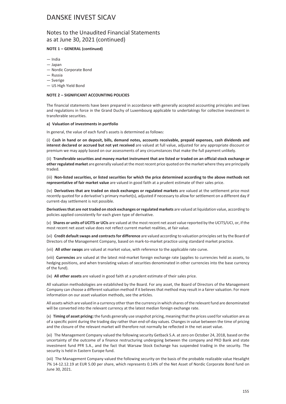### Notes to the Unaudited Financial Statements as at June 30, 2021 (continued)

#### **NOTE 1 – GENERAL (continued)**

- India
- Japan
- Nordic Corporate Bond
- Russia
- Sverige
- US High Yield Bond

#### **NOTE 2 – SIGNIFICANT ACCOUNTING POLICIES**

The financial statements have been prepared in accordance with generally accepted accounting principles and laws and regulations in force in the Grand Duchy of Luxembourg applicable to undertakings for collective investment in transferable securities.

#### **a) Valuation of investments in portfolio**

In general, the value of each fund's assets is determined as follows:

(i) **Cash in hand or on deposit, bills, demand notes, accounts receivable, prepaid expenses, cash dividends and interest declared or accrued but not yet received** are valued at full value, adjusted for any appropriate discount or premium we may apply based on our assessments of any circumstances that make the full payment unlikely.

(ii) **Transferable securities and money market instrument that are listed or traded on an official stock exchange or other regulated market** are generally valued at the most recent price quoted on the market where they are principally traded.

(iii) **Non-listed securities, or listed securities for which the price determined according to the above methods not representative of fair market value** are valued in good faith at a prudent estimate of their sales price.

(iv) **Derivatives that are traded on stock exchanges or regulated markets** are valued at the settlement price most recently quoted for a derivative's primary market(s), adjusted if necessary to allow for settlement on a different day if current-day settlement is not possible.

**Derivatives that are not traded on stock exchanges or regulated markets** are valued at liquidation value, according to policies applied consistently for each given type of derivative.

(v) **Shares or units of UCITS or UCIs** are valued at the most recent net asset value reported by the UCITS/UCI, or, if the most recent net asset value does not reflect current market realities, at fair value.

(vi) **Credit default swaps and contracts for difference** are valued according to valuation principles set by the Board of Directors of the Management Company, based on mark-to-market practice using standard market practice.

(vii) **All other swaps** are valued at market value, with reference to the applicable rate curve.

(viii) **Currencies** are valued at the latest mid-market foreign exchange rate (applies to currencies held as assets, to hedging positions, and when translating values of securities denominated in other currencies into the base currency of the fund).

(ix) **All other assets** are valued in good faith at a prudent estimate of their sales price.

All valuation methodologies are established by the Board. For any asset, the Board of Directors of the Management Company can choose a different valuation method if it believes that method may result in a fairer valuation. For more information on our asset valuation methods, see the articles.

All assets which are valued in a currency other than the currency in which shares of the relevant fund are denominated will be converted into the relevant currency at the latest median foreign exchange rate.

(x) **Timing of asset pricing:** the funds generally use snapshot pricing, meaning that the prices used for valuation are as of a specific point during the trading day rather than end-of-day values. Changes in value between the time of pricing and the closure of the relevant market will therefore not normally be reflected in the net asset value.

(xi) The Management Company valued the following security Getback S.A. at zero on October 24, 2018, based on the uncertainty of the outcome of a finance restructuring undergoing between the company and PKO Bank and state investment fund PFR S.A., and the fact that Warsaw Stock Exchange has suspended trading in the security. The security is held in Eastern Europe fund.

(xii) The Management Company valued the following security on the basis of the probable realizable value Hesalight 7% 14-12.12.19 at EUR 5.00 per share, which represents 0.14% of the Net Asset of Nordic Corporate Bond fund on June 30, 2021.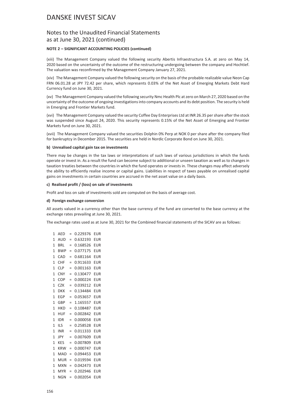### Notes to the Unaudited Financial Statements as at June 30, 2021 (continued)

#### **NOTE 2 – SIGNIFICANT ACCOUNTING POLICIES (continued)**

(xiii) The Management Company valued the following security Abertis Infraestructura S.A. at zero on May 14, 2020 based on the uncertainty of the outcome of the restructuring undergoing between the company and Hochtief. The valuation was reconfirmed by the Management Company January 27, 2021.

(xiv) The Management Company valued the following security on the basis of the probable realizable value Neon Cap FRN 06.01.28 at JPY 72.42 per share, which represents 0.03% of the Net Asset of Emerging Markets Debt Hard Currency fund on June 30, 2021.

(xv) The Management Company valued the following security Nmc Health Plc at zero on March 27, 2020 based on the uncertainty of the outcome of ongoing investigations into company accounts and its debt position. The security is held in Emerging and Frontier Markets fund.

(xvi) The Management Company valued the security Coffee Day Enterprises Ltd at INR 26.35 per share after the stock was suspended since August 24, 2020. This security represents 0.15% of the Net Asset of Emerging and Frontier Markets fund on June 30, 2021.

(xvii) The Management Company valued the securities Dolphin 0% Perp at NOK 0 per share after the company filed for bankruptcy in December 2015. The securities are held in Nordic Corporate Bond on June 30, 2021.

#### **b) Unrealised capital gain tax on investments**

There may be changes in the tax laws or interpretations of such laws of various jurisdictions in which the funds operate or invest in. As a result the fund can become subject to additional or unseen taxation as well as to changes in taxation treaties between the countries in which the fund operates or invests in. These changes may affect adversely the ability to efficiently realise income or capital gains. Liabilities in respect of taxes payable on unrealised capital gains on investments in certain countries are accrued in the net asset value on a daily basis.

#### **c) Realised profit / (loss) on sale of investments**

Profit and loss on sale of investments sold are computed on the basis of average cost.

#### **d) Foreign exchange conversion**

All assets valued in a currency other than the base currency of the fund are converted to the base currency at the exchange rates prevailing at June 30, 2021.

The exchange rates used as at June 30, 2021 for the Combined financial statements of the SICAV are as follows:

| 1              | AED        | $=$ | 0.229376 | <b>EUR</b> |
|----------------|------------|-----|----------|------------|
| 1              | AUD        | $=$ | 0.632193 | EUR        |
| 1              | BRL        | $=$ | 0.168526 | EUR        |
| 1              | <b>BWP</b> | $=$ | 0.077175 | EUR        |
| 1              | CAD        | $=$ | 0.681164 | EUR        |
| $\mathbf{1}$   | <b>CHF</b> | $=$ | 0.911633 | EUR        |
| 1              | <b>CLP</b> | $=$ | 0.001163 | EUR        |
| 1              | <b>CNY</b> | $=$ | 0.130477 | EUR        |
| 1              | COP        | $=$ | 0.000224 | EUR        |
| 1              | CZK        | $=$ | 0.039212 | EUR        |
| 1              | DKK        | $=$ | 0.134484 | EUR        |
| 1              | EGP        | $=$ | 0.053657 | EUR        |
| 1              | GBP        | $=$ | 1.165557 | EUR        |
| 1              | <b>HKD</b> | $=$ | 0.108487 | EUR        |
| 1              | HUF        | $=$ | 0.002842 | EUR        |
| 1              | IDR        | $=$ | 0.000058 | EUR        |
| 1              | ils        | $=$ | 0.258528 | EUR        |
| 1              | INR        | $=$ | 0.011333 | EUR        |
| 1              | JPY        | $=$ | 0.007609 | EUR        |
| $\mathbf{1}$   | <b>KES</b> | $=$ | 0.007809 | <b>EUR</b> |
| 1              | <b>KRW</b> | $=$ | 0.000747 | EUR        |
| $\overline{1}$ | MAD        | $=$ | 0.094453 | EUR        |
| 1              | MUR        | $=$ | 0.019594 | EUR        |
| 1              | <b>MXN</b> | $=$ | 0.042473 | EUR        |
| 1              | <b>MYR</b> | $=$ | 0.202946 | EUR        |
| 1              | NGN        | $=$ | 0.002054 | EUR        |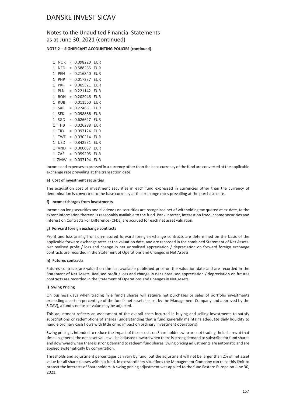### Notes to the Unaudited Financial Statements as at June 30, 2021 (continued)

#### **NOTE 2 – SIGNIFICANT ACCOUNTING POLICIES (continued)**

| 1 | NOK        | $=$ | 0.098220 | EUR |
|---|------------|-----|----------|-----|
| 1 | N7D        | =   | 0.588255 | EUR |
| 1 | PFN        | =   | 0.216840 | EUR |
| 1 | PHP        | =   | 0.017237 | EUR |
| 1 | PKR        | $=$ | 0.005321 | EUR |
| 1 | PLN        | $=$ | 0.221142 | EUR |
| 1 | RON        | $=$ | 0.202946 | EUR |
| 1 | RUB        | =   | 0.011560 | EUR |
| 1 | SAR        | =   | 0.224651 | EUR |
| 1 | <b>SEK</b> | =   | 0.098886 | EUR |
| 1 | SGD        | $=$ | 0.626627 | EUR |
| 1 | THB        | $=$ | 0.026288 | EUR |
| 1 | TRY        | $=$ | 0.097124 | EUR |
| 1 | TWD        | $=$ | 0.030214 | EUR |
| 1 | USD        | $=$ | 0.842531 | EUR |
| 1 | VND        | $=$ | 0.000037 | EUR |
| 1 | ZAR        | $=$ | 0.059205 | EUR |
| 1 | ZMW        |     | 0.037194 | EUR |

Income and expenses expressed in a currency other than the base currency of the fund are converted at the applicable exchange rate prevailing at the transaction date.

#### **e) Cost of investment securities**

The acquisition cost of investment securities in each fund expressed in currencies other than the currency of denomination is converted to the base currency at the exchange rates prevailing at the purchase date.

#### **f) Income/charges from investments**

Income on long securities and dividends on securities are recognized net of withholding tax quoted at ex-date, to the extent information thereon is reasonably available to the fund. Bank interest, interest on fixed income securities and interest on Contracts For Difference (CFDs) are accrued for each net asset valuation.

#### **g) Forward foreign exchange contracts**

Profit and loss arising from un-matured forward foreign exchange contracts are determined on the basis of the applicable forward exchange rates at the valuation date, and are recorded in the combined Statement of Net Assets. Net realised profit / loss and change in net unrealised appreciation / depreciation on forward foreign exchange contracts are recorded in the Statement of Operations and Changes in Net Assets.

#### **h) Futures contracts**

Futures contracts are valued on the last available published price on the valuation date and are recorded in the Statement of Net Assets. Realised profit / loss and change in net unrealised appreciation / depreciation on futures contracts are recorded in the Statement of Operations and Changes in Net Assets.

#### **i) Swing Pricing**

On business days when trading in a fund's shares will require net purchases or sales of portfolio investments exceeding a certain percentage of the fund's net assets (as set by the Management Company and approved by the SICAV), a fund's net asset value may be adjusted.

This adjustment reflects an assessment of the overall costs incurred in buying and selling investments to satisfy subscriptions or redemptions of shares (understanding that a fund generally maintains adequate daily liquidity to handle ordinary cash flows with little or no impact on ordinary investment operations).

Swing pricing is intended to reduce the impact of these costs on Shareholders who are not trading their shares at that time. In general, the net asset value will be adjusted upward when there is strong demand to subscribe for fund shares and downward when there is strong demand to redeem fund shares. Swing pricing adjustments are automatic and are applied systematically by computation.

Thresholds and adjustment percentages can vary by fund, but the adjustment will not be larger than 2% of net asset value for all share classes within a fund. In extraordinary situations the Management Company can raise this limit to protect the interests of Shareholders. A swing pricing adjustment was applied to the fund Eastern Europe on June 30, 2021.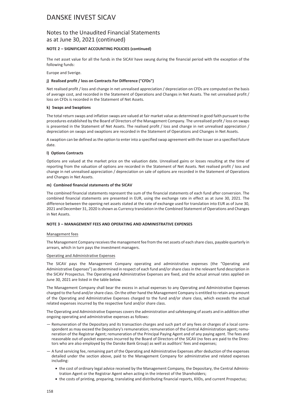### Notes to the Unaudited Financial Statements as at June 30, 2021 (continued)

#### **NOTE 2 – SIGNIFICANT ACCOUNTING POLICIES (continued)**

The net asset value for all the funds in the SICAV have swung during the financial period with the exception of the following funds:

Europe and Sverige.

#### **j) Realised profit / loss on Contracts For Difference ("CFDs")**

Net realised profit / loss and change in net unrealised appreciation / depreciation on CFDs are computed on the basis of average cost, and recorded in the Statement of Operations and Changes in Net Assets. The net unrealised profit / loss on CFDs is recorded in the Statement of Net Assets.

#### **k) Swaps and Swaptions**

The total return swaps and inflation swaps are valued at fair market value as determined in good faith pursuant to the procedures established by the Board of Directors of the Management Company. The unrealised profit / loss on swaps is presented in the Statement of Net Assets. The realised profit / loss and change in net unrealised appreciation / depreciation on swaps and swaptions are recorded in the Statement of Operations and Changes in Net Assets.

A swaption can be defined as the option to enter into a specified swap agreement with the issuer on a specified future date.

#### **l) Options Contracts**

Options are valued at the market price on the valuation date. Unrealised gains or losses resulting at the time of reporting from the valuation of options are recorded in the Statement of Net Assets. Net realised profit / loss and change in net unrealised appreciation / depreciation on sale of options are recorded in the Statement of Operations and Changes in Net Assets.

#### **m) Combined financial statements of the SICAV**

The combined financial statements represent the sum of the financial statements of each fund after conversion. The combined financial statements are presented in EUR, using the exchange rate in effect as at June 30, 2021. The difference between the opening net assets stated at the rate of exchange used for translation into EUR as of June 30, 2021 and December 31, 2020 is shown as Currency translation in the Combined Statement of Operations and Changes in Net Assets.

#### **NOTE 3 – MANAGEMENT FEES AND OPERATING AND ADMINISTRATIVE EXPENSES**

#### Management fees

The Management Company receives the management fee from the net assets of each share class, payable quarterly in arrears, which in turn pays the investment managers.

#### Operating and Administrative Expenses

The SICAV pays the Management Company operating and administrative expenses (the "Operating and Administrative Expenses") as determined in respect of each fund and/or share class in the relevant fund description in the SICAV Prospectus. The Operating and Administrative Expenses are fixed, and the actual annual rates applied on June 30, 2021 are listed in the table below.

The Management Company shall bear the excess in actual expenses to any Operating and Administrative Expenses charged to the fund and/or share class. On the other hand the Management Company is entitled to retain any amount of the Operating and Administrative Expenses charged to the fund and/or share class, which exceeds the actual related expenses incurred by the respective fund and/or share class.

The Operating and Administrative Expenses covers the administration and safekeeping of assets and in addition other ongoing operating and administrative expenses as follows:

- Remuneration of the Depositary and its transaction charges and such part of any fees or charges of a local correspondent as may exceed the Depositary's remuneration; remuneration of the Central Administration agent; remuneration of the Registrar Agent; remuneration of the Principal Paying Agent and of any paying agent. The fees and reasonable out-of-pocket expenses incurred by the Board of Directors of the SICAV (no fees are paid to the Directors who are also employed by the Danske Bank Group) as well as auditors' fees and expenses;
- A fund servicing fee, remaining part of the Operating and Administrative Expenses after deduction of the expenses detailed under the section above, paid to the Management Company for administrative and related expenses including:
	- the cost of ordinary legal advice received by the Management Company, the Depositary, the Central Administration Agent or the Registrar Agent when acting in the interest of the Shareholders;
	- the costs of printing, preparing, translating and distributing financial reports, KIIDs, and current Prospectus;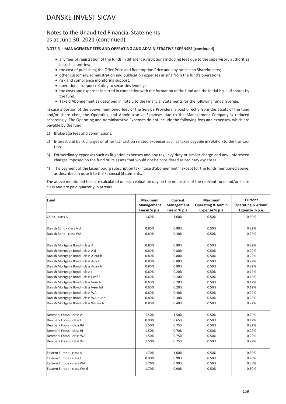### Notes to the Unaudited Financial Statements as at June 30, 2021 (continued)

#### **NOTE 3 – MANAGEMENT FEES AND OPERATING AND ADMINISTRATIVE EXPENSES (continued)**

- any fees of registration of the funds in different jurisdictions including fees due to the supervisory authorities in such countries;
- the cost of publishing the Offer Price and Redemption Price and any notices to Shareholders;
- other customary administration and publication expenses arising from the fund's operations;
- risk and compliance monitoring support;
- operational support relating to securities lending;
- the costs and expenses incurred in connection with the formation of the fund and the initial issue of shares by the fund.
- Taxe d'Abonnement as described in note 5 to the Financial Statements for the following funds: Sverige.

In case a portion of the above mentioned fees of the Service Providers is paid directly from the assets of the fund and/or share class, the Operating and Administrative Expenses due to the Management Company is reduced accordingly. The Operating and Administrative Expenses do not include the following fees and expenses, which are payable by the fund:

- 1) Brokerage fees and commissions.
- 2) Interest and bank charges or other transaction related expenses such as taxes payable in relation to the transaction.
- 3) Extraordinary expenses such as litigation expenses and any tax, levy duty or similar charge and any unforeseen charges imposed on the fund or its assets that would not be considered as ordinary expenses.
- 4) The payment of the Luxembourg subscription tax ("taxe d'abonnement") except for the funds mentioned above, as described in note 5 to the Financial Statements.

The above mentioned fees are calculated on each valuation day on the net assets of the relevant fund and/or share class and are paid quarterly in arrears.

| Fund                                  | Maximum<br>Management<br>Fee in % p.a. | Current<br>Management<br>Fee in % p.a. | Maximum<br><b>Operating &amp; Admin.</b><br>Expense % p.a. | Current<br><b>Operating &amp; Admin.</b><br>Expense % p.a. |
|---------------------------------------|----------------------------------------|----------------------------------------|------------------------------------------------------------|------------------------------------------------------------|
| China - class A                       | 1.60%                                  | 1.60%                                  | 0.50%                                                      | 0.50%                                                      |
| Danish Bond - class A d               | 0.80%                                  | 0.80%                                  | 0.50%                                                      | 0.22%                                                      |
| Danish Bond - class WA                | 0.80%                                  | 0.40%                                  | 0.50%                                                      | 0.22%                                                      |
| Danish Mortgage Bond - class A        | 0.80%                                  | 0.80%                                  | 0.50%                                                      | 0.22%                                                      |
| Danish Mortgage Bond - class A d      | 0.80%                                  | 0.80%                                  | 0.50%                                                      | 0.22%                                                      |
| Danish Mortgage Bond - class A-eur h  | 0.80%                                  | 0.80%                                  | 0.50%                                                      | 0.22%                                                      |
| Danish Mortgage Bond - class A-nok h  | 0.80%                                  | 0.80%                                  | 0.50%                                                      | 0.22%                                                      |
| Danish Mortgage Bond - class A-sek h  | 0.80%                                  | 0.80%                                  | 0.50%                                                      | 0.22%                                                      |
| Danish Mortgage Bond - class I        | 0.60%                                  | 0.20%                                  | 0.50%                                                      | 0.12%                                                      |
| Danish Mortgage Bond - class I-chf h  | 0.60%                                  | 0.20%                                  | 0.50%                                                      | 0.12%                                                      |
| Danish Mortgage Bond - class I-eur h  | 0.60%                                  | 0.20%                                  | 0.50%                                                      | 0.12%                                                      |
| Danish Mortgage Bond - class I-eur hd | 0.60%                                  | 0.20%                                  | 0.50%                                                      | 0.12%                                                      |
| Danish Mortgage Bond - class WA       | 0.80%                                  | 0.40%                                  | 0.50%                                                      | 0.22%                                                      |
| Danish Mortgage Bond - class WA-eur h | 0.80%                                  | 0.40%                                  | 0.50%                                                      | 0.22%                                                      |
| Danish Mortgage Bond - class WI-sek h | 0.80%                                  | 0.40%                                  | 0.50%                                                      | 0.22%                                                      |
| Denmark Focus - class A               | 1.50%                                  | 1.50%                                  | 0.50%                                                      | 0.22%                                                      |
| Denmark Focus - class I               | 0.90%                                  | 0.65%                                  | 0.50%                                                      | 0.12%                                                      |
| Denmark Focus - class RA              | 1.50%                                  | 0.75%                                  | 0.50%                                                      | 0.22%                                                      |
| Denmark Focus - class RI              | 1.50%                                  | 0.70%                                  | 0.50%                                                      | 0.22%                                                      |
| Denmark Focus - class WA              | 1.50%                                  | 0.75%                                  | 0.50%                                                      | 0.22%                                                      |
| Denmark Focus - class WI              | 1.50%                                  | 0.75%                                  | 0.50%                                                      | 0.22%                                                      |
| Eastern Europe - class A              | 1.70%                                  | 1.60%                                  | 0.50%                                                      | 0.30%                                                      |
| Eastern Europe - class I              | 0.90%                                  | 0.90%                                  | 0.50%                                                      | 0.20%                                                      |
| Eastern Europe - class WA             | 1.70%                                  | 0.90%                                  | 0.50%                                                      | 0.30%                                                      |
| Eastern Europe - class WA d           | 1.70%                                  | 0.90%                                  | 0.50%                                                      | 0.30%                                                      |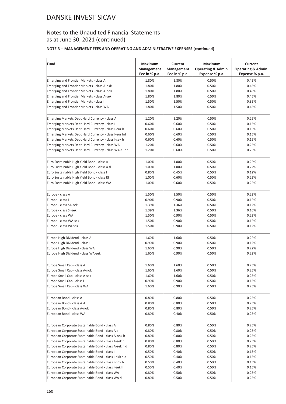## Notes to the Unaudited Financial Statements as at June 30, 2021 (continued)

### **NOTE 3 – MANAGEMENT FEES AND OPERATING AND ADMINISTRATIVE EXPENSES (continued)**

| Fund                                                  | <b>Maximum</b> | Current       | <b>Maximum</b>     | Current                       |
|-------------------------------------------------------|----------------|---------------|--------------------|-------------------------------|
|                                                       | Management     | Management    | Operating & Admin. | <b>Operating &amp; Admin.</b> |
|                                                       | Fee in % p.a.  | Fee in % p.a. | Expense % p.a.     | Expense % p.a.                |
| Emerging and Frontier Markets - class A               | 1.80%          | 1.80%         | 0.50%              | 0.45%                         |
| Emerging and Frontier Markets - class A-dkk           | 1.80%          | 1.80%         | 0.50%              | 0.45%                         |
| Emerging and Frontier Markets - class A-nok           | 1.80%          | 1.80%         | 0.50%              | 0.45%                         |
| Emerging and Frontier Markets - class A-sek           | 1.80%          | 1.80%         | 0.50%              | 0.45%                         |
| Emerging and Frontier Markets - class I               | 1.50%          | 1.50%         | 0.50%              | 0.35%                         |
| Emerging and Frontier Markets - class WA              | 1.80%          | 1.50%         | 0.50%              | 0.45%                         |
| Emerging Markets Debt Hard Currency - class A         | 1.20%          | 1.20%         | 0.50%              | 0.25%                         |
| Emerging Markets Debt Hard Currency - class I         | 0.60%          | 0.60%         | 0.50%              | 0.15%                         |
| Emerging Markets Debt Hard Currency - class I-eur h   | 0.60%          | 0.60%         | 0.50%              | 0.15%                         |
| Emerging Markets Debt Hard Currency - class I-eur hd  | 0.60%          | 0.60%         | 0.50%              | 0.15%                         |
| Emerging Markets Debt Hard Currency - class I-sek h   | 0.60%          | 0.60%         | 0.50%              | 0.15%                         |
| Emerging Markets Debt Hard Currency - class WA        | 1.20%          | 0.60%         | 0.50%              | 0.25%                         |
| Emerging Markets Debt Hard Currency - class WA-eur h  | 1.20%          | 0.60%         | 0.50%              | 0.25%                         |
| Euro Sustainable High Yield Bond - class A            | 1.00%          | 1.00%         | 0.50%              | 0.22%                         |
| Euro Sustainable High Yield Bond - class A d          | 1.00%          | 1.00%         | 0.50%              | 0.22%                         |
| Euro Sustainable High Yield Bond - class I            | 0.80%          | 0.45%         | 0.50%              | 0.12%                         |
| Euro Sustainable High Yield Bond - class RI           | 1.00%          | 0.60%         | 0.50%              | 0.22%                         |
| Euro Sustainable High Yield Bond - class WA           | 1.00%          | 0.60%         | 0.50%              | 0.22%                         |
| Europe - class A                                      | 1.50%          | 1.50%         | 0.50%              | 0.22%                         |
| Europe - class I                                      | 0.90%          | 0.90%         | 0.50%              | 0.12%                         |
| Europe - class SA-sek                                 | 1.39%          | 1.36%         | 0.50%              | 0.12%                         |
| Europe - class SI-sek                                 | 1.39%          | 1.36%         | 0.50%              | 0.16%                         |
| Europe - class WA                                     | 1.50%          | 0.90%         | 0.50%              | 0.22%                         |
| Europe - class WA-sek                                 | 1.50%          | 0.90%         | 0.50%              | 0.12%                         |
| Europe - class WI-sek                                 | 1.50%          | 0.90%         | 0.50%              | 0.12%                         |
| Europe High Dividend - class A                        | 1.60%          | 1.60%         | 0.50%              | 0.22%                         |
| Europe High Dividend - class I                        | 0.90%          | 0.90%         | 0.50%              | 0.12%                         |
| Europe High Dividend - class WA                       | 1.60%          | 0.90%         | 0.50%              | 0.22%                         |
| Europe High Dividend - class WA-sek                   | 1.60%          | 0.90%         | 0.50%              | 0.22%                         |
| Europe Small Cap - class A                            | 1.60%          | 1.60%         | 0.50%              | 0.25%                         |
| Europe Small Cap - class A-nok                        | 1.60%          | 1.60%         | 0.50%              | 0.25%                         |
| Europe Small Cap - class A-sek                        | 1.60%          | 1.60%         | 0.50%              | 0.25%                         |
| Europe Small Cap - class I                            | 0.90%          | 0.90%         | 0.50%              | 0.15%                         |
| Europe Small Cap - class WA                           | 1.60%          | 0.90%         | 0.50%              | 0.25%                         |
| European Bond - class A                               | 0.80%          | 0.80%         | 0.50%              | 0.25%                         |
| European Bond - class A d                             | 0.80%          | 0.80%         | 0.50%              | 0.25%                         |
| European Bond - class A-nok h                         | 0.80%          | 0.80%         | 0.50%              | 0.25%                         |
| European Bond - class WA                              | 0.80%          | 0.40%         | 0.50%              | 0.25%                         |
| European Corporate Sustainable Bond - class A         | 0.80%          | 0.80%         | 0.50%              | 0.25%                         |
| European Corporate Sustainable Bond - class A d       | 0.80%          | 0.80%         | 0.50%              | 0.25%                         |
| European Corporate Sustainable Bond - class A-nok h   | 0.80%          | 0.80%         | 0.50%              | 0.25%                         |
| European Corporate Sustainable Bond - class A-sek h   | 0.80%          | 0.80%         | 0.50%              | 0.25%                         |
| European Corporate Sustainable Bond - class A-sek h d | 0.80%          | 0.80%         | 0.50%              | 0.25%                         |
| European Corporate Sustainable Bond - class I         | 0.50%          | 0.40%         | 0.50%              | 0.15%                         |
| European Corporate Sustainable Bond - class I-dkk h d | 0.50%          | 0.40%         | 0.50%              | 0.15%                         |
| European Corporate Sustainable Bond - class I-nok h   | 0.50%          | 0.40%         | 0.50%              | 0.15%                         |
| European Corporate Sustainable Bond - class I-sek h   | 0.50%          | 0.40%         | 0.50%              | 0.15%                         |
| European Corporate Sustainable Bond - class WA        | 0.80%          | 0.50%         | 0.50%              | 0.25%                         |
| European Corporate Sustainable Bond - class WA d      | 0.80%          | 0.50%         | 0.50%              | 0.25%                         |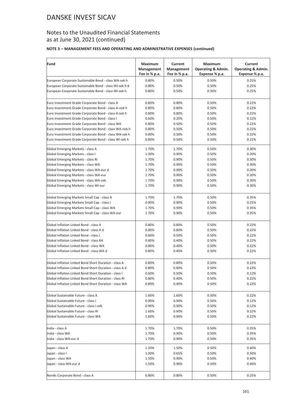## Notes to the Unaudited Financial Statements as at June 30, 2021 (continued)

### **NOTE 3 – MANAGEMENT FEES AND OPERATING AND ADMINISTRATIVE EXPENSES (continued)**

| Fund                                                    | Maximum<br>Management<br>Fee in % p.a. | Current<br>Management<br>Fee in % p.a. | Maximum<br><b>Operating &amp; Admin.</b><br>Expense % p.a. | Current<br><b>Operating &amp; Admin.</b><br>Expense % p.a. |
|---------------------------------------------------------|----------------------------------------|----------------------------------------|------------------------------------------------------------|------------------------------------------------------------|
| European Corporate Sustainable Bond - class WA-sek h    | 0.80%                                  | 0.50%                                  | 0.50%                                                      | 0.25%                                                      |
| European Corporate Sustainable Bond - class WI-sek h d  | 0.80%                                  | 0.50%                                  | 0.50%                                                      | 0.25%                                                      |
| European Corporate Sustainable Bond - class WI-sek h    | 0.80%                                  | 0.50%                                  | 0.50%                                                      | 0.25%                                                      |
| Euro Investment Grade Corporate Bond - class A          | 0.80%                                  | 0.80%                                  | 0.50%                                                      | 0.22%                                                      |
| Euro Investment Grade Corporate Bond - class A-nok h    | 0.80%                                  | 0.80%                                  | 0.50%                                                      | 0.22%                                                      |
| Euro Investment Grade Corporate Bond - class A-sek h    | 0.80%                                  | 0.80%                                  | 0.50%                                                      | 0.22%                                                      |
| Euro Investment Grade Corporate Bond - class I          | 0.60%                                  | 0.20%                                  | 0.50%                                                      | 0.12%                                                      |
| Euro Investment Grade Corporate Bond - class WA         | 0.80%                                  | 0.50%                                  | 0.50%                                                      | 0.22%                                                      |
| Euro Investment Grade Corporate Bond - class WA-nok h   | 0.80%                                  | 0.50%                                  | 0.50%                                                      | 0.22%                                                      |
| Euro Investment Grade Corporate Bond - class WA-sek h   | 0.80%                                  | 0.50%                                  | 0.50%                                                      | 0.22%                                                      |
| Euro Investment Grade Corporate Bond - class WI-sek h   | 0.80%                                  | 0.50%                                  | 0.50%                                                      | 0.22%                                                      |
| Global Emerging Markets - class A                       | 1.70%                                  | 1.70%                                  | 0.50%                                                      | 0.30%                                                      |
| Global Emerging Markets - class I                       | 1.00%                                  | 0.90%                                  | 0.50%                                                      | 0.20%                                                      |
| Global Emerging Markets - class RI                      | 1.70%                                  | 0.90%                                  | 0.50%                                                      | 0.30%                                                      |
| Global Emerging Markets - class WA                      | 1.70%                                  | 0.90%                                  | 0.50%                                                      | 0.30%                                                      |
| Global Emerging Markets - class WA-eur d                | 1.70%                                  | 0.90%                                  | 0.50%                                                      | 0.30%                                                      |
| Global Emerging Markets - class WA-eur                  | 1.70%                                  | 0.90%                                  | 0.50%                                                      | 0.30%                                                      |
| Global Emerging Markets - class WA-sek                  | 1.70%                                  | 0.90%                                  | 0.50%                                                      | 0.30%                                                      |
| Global Emerging Markets - class WI-eur                  | 1.70%                                  | 0.90%                                  | 0.50%                                                      | 0.30%                                                      |
| Global Emerging Markets Small Cap - class A             | 1.70%                                  | 1.70%                                  | 0.50%                                                      | 0.35%                                                      |
| Global Emerging Markets Small Cap - class I             | 0.90%                                  | 0.90%                                  | 0.50%                                                      | 0.25%                                                      |
| Global Emerging Markets Small Cap - class WA            | 1.70%                                  | 0.90%                                  | 0.50%                                                      | 0.35%                                                      |
| Global Emerging Markets Small Cap - class WA-eur        | 1.70%                                  | 0.90%                                  | 0.50%                                                      | 0.35%                                                      |
| Global Inflation Linked Bond - class A                  | 0.80%                                  | 0.80%                                  | 0.50%                                                      | 0.22%                                                      |
| Global Inflation Linked Bond - class A d                | 0.80%                                  | 0.80%                                  | 0.50%                                                      | 0.22%                                                      |
| Global Inflation Linked Bond - class I                  | 0.60%                                  | 0.50%                                  | 0.50%                                                      | 0.12%                                                      |
| Global Inflation Linked Bond - class RA                 | 0.80%                                  | 0.40%                                  | 0.50%                                                      | 0.22%                                                      |
| Global Inflation Linked Bond - class WA                 | 0.80%                                  | 0.40%                                  | 0.50%                                                      | 0.22%                                                      |
| Global Inflation Linked Bond - class WA d               | 0.80%                                  | 0.40%                                  | 0.50%                                                      | 0.22%                                                      |
| Global Inflation Linked Bond Short Duration - class A   | 0.80%                                  | 0.80%                                  | 0.50%                                                      | 0.22%                                                      |
| Global Inflation Linked Bond Short Duration - class A d | 0.80%                                  | 0.80%                                  | 0.50%                                                      | 0.22%                                                      |
| Global Inflation Linked Bond Short Duration - class I   | 0.60%                                  | 0.50%                                  | 0.50%                                                      | 0.12%                                                      |
| Global Inflation Linked Bond Short Duration - class RI  | 0.80%                                  | 0.40%                                  | 0.50%                                                      | 0.22%                                                      |
| Global Inflation Linked Bond Short Duration - class WA  | 0.80%                                  | 0.40%                                  | 0.50%                                                      | 0.22%                                                      |
| Global Sustainable Future - class A                     | 1.60%                                  | 1.60%                                  | 0.50%                                                      | 0.22%                                                      |
| Global Sustainable Future - class I                     | 0.90%                                  | 0.90%                                  | 0.50%                                                      | 0.12%                                                      |
| Global Sustainable Future - class I-sek                 | 0.90%                                  | 0.90%                                  | 0.50%                                                      | 0.12%                                                      |
| Global Sustainable Future - class RI                    | 1.60%                                  | 0.90%                                  | 0.50%                                                      | 0.22%                                                      |
| Global Sustainable Future - class WA                    | 1.60%                                  | 0.90%                                  | 0.50%                                                      | 0.22%                                                      |
| India - class A                                         | 1.70%                                  | 1.70%                                  | 0.50%                                                      | 0.35%                                                      |
| India - class WA                                        | 1.70%                                  | 0.90%                                  | 0.50%                                                      | 0.35%                                                      |
| India - class WA-eur d                                  | 1.70%                                  | 0.90%                                  | 0.50%                                                      | 0.35%                                                      |
| Japan - class A                                         | 1.50%                                  | 1.50%                                  | 0.50%                                                      | 0.40%                                                      |
| Japan - class I                                         | 1.00%                                  | 0.65%                                  | 0.50%                                                      | 0.30%                                                      |
| Japan - class WA                                        | 1.50%                                  | 0.90%                                  | 0.50%                                                      | 0.40%                                                      |
| Japan - class WA-eur d                                  | 1.50%                                  | 0.90%                                  | 0.50%                                                      | 0.40%                                                      |
| Nordic Corporate Bond - class A                         | 0.80%                                  | 0.80%                                  | 0.50%                                                      | 0.25%                                                      |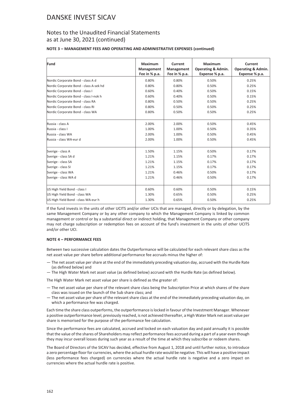### Notes to the Unaudited Financial Statements as at June 30, 2021 (continued)

#### **NOTE 3 – MANAGEMENT FEES AND OPERATING AND ADMINISTRATIVE EXPENSES (continued)**

| Fund                                   | Maximum       | Current       | Maximum                       | <b>Current</b>                |
|----------------------------------------|---------------|---------------|-------------------------------|-------------------------------|
|                                        | Management    | Management    | <b>Operating &amp; Admin.</b> | <b>Operating &amp; Admin.</b> |
|                                        | Fee in % p.a. | Fee in % p.a. | Expense % p.a.                | Expense % p.a.                |
| Nordic Corporate Bond - class A d      | 0.80%         | 0.80%         | 0.50%                         | 0.25%                         |
| Nordic Corporate Bond - class A-sek hd | 0.80%         | 0.80%         | 0.50%                         | 0.25%                         |
| Nordic Corporate Bond - class I        | 0.60%         | 0.40%         | 0.50%                         | 0.15%                         |
| Nordic Corporate Bond - class I-nok h  | 0.60%         | 0.40%         | 0.50%                         | 0.15%                         |
| Nordic Corporate Bond - class RA       | 0.80%         | 0.50%         | 0.50%                         | 0.25%                         |
| Nordic Corporate Bond - class RI       | 0.80%         | 0.50%         | 0.50%                         | 0.25%                         |
| Nordic Corporate Bond - class WA       | 0.80%         | 0.50%         | 0.50%                         | 0.25%                         |
|                                        |               |               |                               |                               |
| Russia - class A                       | 2.00%         | 2.00%         | 0.50%                         | 0.45%                         |
| Russia - class I                       | 1.00%         | 1.00%         | 0.50%                         | 0.35%                         |
| Russia - class WA                      | 2.00%         | 1.00%         | 0.50%                         | 0.45%                         |
| Russia - class WA-eur d                | 2.00%         | 1.00%         | 0.50%                         | 0.45%                         |
|                                        |               |               |                               |                               |
| Sverige - class A                      | 1.50%         | 1.15%         | 0.50%                         | 0.17%                         |
| Sverige - class SA d                   | 1.21%         | 1.15%         | 0.17%                         | 0.17%                         |
| Sverige - class SA                     | 1.21%         | 1.15%         | 0.17%                         | 0.17%                         |
| Sverige - class SI                     | 1.21%         | 1.15%         | 0.17%                         | 0.17%                         |
| Sverige - class WA                     | 1.21%         | 0.46%         | 0.50%                         | 0.17%                         |
| Sverige - class WA d                   | 1.21%         | 0.46%         | 0.50%                         | 0.17%                         |
|                                        |               |               |                               |                               |
| US High Yield Bond - class I           | 0.60%         | 0.60%         | 0.50%                         | 0.15%                         |
| US High Yield Bond - class WA          | 1.30%         | 0.65%         | 0.50%                         | 0.25%                         |
| US High Yield Bond - class WA-eur h    | 1.30%         | 0.65%         | 0.50%                         | 0.25%                         |

If the fund invests in the units of other UCITS and/or other UCIs that are managed, directly or by delegation, by the same Management Company or by any other company to which the Management Company is linked by common management or control or by a substantial direct or indirect holding, that Management Company or other company may not charge subscription or redemption fees on account of the fund's investment in the units of other UCITS and/or other UCI.

#### **NOTE 4 – PERFORMANCE FEES**

Between two successive calculation dates the Outperformance will be calculated for each relevant share class as the net asset value per share before additional performance fee accruals minus the higher of:

- The net asset value per share at the end of the immediately preceding valuation day, accrued with the Hurdle Rate (as defined below) and
- The High Water Mark net asset value (as defined below) accrued with the Hurdle Rate (as defined below).

The High Water Mark net asset value per share is defined as the greater of:

- The net asset value per share of the relevant share class being the Subscription Price at which shares of the share class was issued on the launch of the Sub share class; and
- The net asset value per share of the relevant share class at the end of the immediately preceding valuation day, on which a performance fee was charged.

Each time the share class outperforms, the outperformance is locked in favour of the Investment Manager. Whenever a positive outperformance level, previously reached, is not achieved thereafter, a High Water Mark net asset value per share is memorised for the purpose of the performance fee calculation.

Since the performance fees are calculated, accrued and locked on each valuation day and paid annually it is possible that the value of the shares of Shareholders may reflect performance fees accrued during a part of a year even though they may incur overall losses during such year as a result of the time at which they subscribe or redeem shares.

The Board of Directors of the SICAV has decided, effective from August 1, 2018 and until further notice, to introduce a zero percentage floor for currencies, where the actual hurdle rate would be negative. This will have a positive impact (less performance fees charged) on currencies where the actual hurdle rate is negative and a zero impact on currencies where the actual hurdle rate is positive.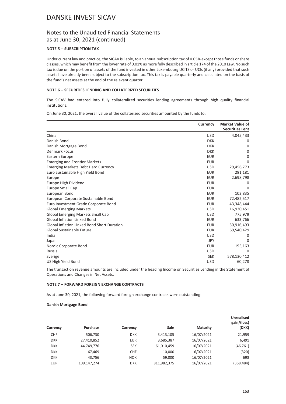### Notes to the Unaudited Financial Statements as at June 30, 2021 (continued)

#### **NOTE 5 – SUBSCRIPTION TAX**

Under current law and practice, the SICAV is liable, to an annual subscription tax of 0.05% except those funds or share classes, which may benefit from the lower rate of 0.01% as more fully described in article 174 of the 2010 Law. No such tax is due on the portion of assets of the fund invested in other Luxembourg UCITS or UCIs (if any) provided that such assets have already been subject to the subscription tax. This tax is payable quarterly and calculated on the basis of the fund's net assets at the end of the relevant quarter.

#### **NOTE 6 – SECURITIES LENDING AND COLLATERIZED SECURITIES**

The SICAV had entered into fully collateralized securities lending agreements through high quality financial institutions.

On June 30, 2021, the overall value of the collaterized securities amounted by the funds to:

|                                                    | Currency   | <b>Market Value of</b><br><b>Securities Lent</b> |
|----------------------------------------------------|------------|--------------------------------------------------|
| China                                              | <b>USD</b> | 4,045,433                                        |
| Danish Bond                                        | <b>DKK</b> | 0                                                |
| Danish Mortgage Bond                               | <b>DKK</b> | 0                                                |
| <b>Denmark Focus</b>                               | <b>DKK</b> | 0                                                |
| Eastern Europe                                     | <b>EUR</b> | 0                                                |
| <b>Emerging and Frontier Markets</b>               | <b>EUR</b> | 0                                                |
| <b>Emerging Markets Debt Hard Currency</b>         | <b>USD</b> | 29,456,773                                       |
| Euro Sustainable High Yield Bond                   | <b>EUR</b> | 291,181                                          |
| Europe                                             | <b>EUR</b> | 2,698,798                                        |
| Europe High Dividend                               | <b>EUR</b> | 0                                                |
| Europe Small Cap                                   | <b>EUR</b> | 0                                                |
| European Bond                                      | <b>EUR</b> | 102,835                                          |
| European Corporate Sustainable Bond                | <b>EUR</b> | 72,482,517                                       |
| Euro Investment Grade Corporate Bond               | <b>EUR</b> | 43,348,444                                       |
| <b>Global Emerging Markets</b>                     | <b>USD</b> | 16,930,451                                       |
| <b>Global Emerging Markets Small Cap</b>           | <b>USD</b> | 775,979                                          |
| <b>Global Inflation Linked Bond</b>                | <b>EUR</b> | 633,766                                          |
| <b>Global Inflation Linked Bond Short Duration</b> | <b>EUR</b> | 50,916,493                                       |
| Global Sustainable Future                          | <b>EUR</b> | 69,540,429                                       |
| India                                              | <b>USD</b> | 0                                                |
| Japan                                              | <b>JPY</b> | 0                                                |
| Nordic Corporate Bond                              | <b>EUR</b> | 195,163                                          |
| Russia                                             | <b>USD</b> | 0                                                |
| Sverige                                            | <b>SEK</b> | 578,130,412                                      |
| US High Yield Bond                                 | <b>USD</b> | 60,278                                           |

The transaction revenue amounts are included under the heading Income on Securities Lending in the Statement of Operations and Changes in Net Assets.

#### **NOTE 7 – FORWARD FOREIGN EXCHANGE CONTRACTS**

As at June 30, 2021, the following forward foreign exchange contracts were outstanding:

#### **Danish Mortgage Bond**

| Currency   | Purchase    | Currency   | <b>Sale</b> | <b>Maturity</b> | <b>Unrealised</b><br>gain/(loss)<br>(DKK) |
|------------|-------------|------------|-------------|-----------------|-------------------------------------------|
| <b>CHF</b> | 506,730     | <b>DKK</b> | 3,413,105   | 16/07/2021      | 21,959                                    |
| <b>DKK</b> | 27,410,852  | <b>EUR</b> | 3,685,387   | 16/07/2021      | 6,491                                     |
| <b>DKK</b> | 44,749,776  | <b>SEK</b> | 61,010,459  | 16/07/2021      | (46, 761)                                 |
| <b>DKK</b> | 67,469      | <b>CHF</b> | 10,000      | 16/07/2021      | (320)                                     |
| <b>DKK</b> | 43.756      | <b>NOK</b> | 59.000      | 16/07/2021      | 698                                       |
| <b>EUR</b> | 109.147.274 | <b>DKK</b> | 811,982,375 | 16/07/2021      | (368, 484)                                |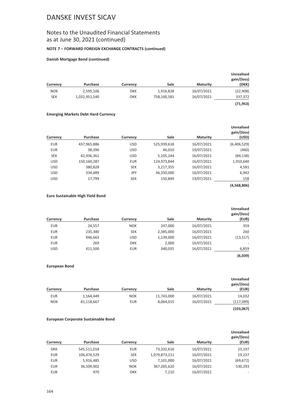## Notes to the Unaudited Financial Statements as at June 30, 2021 (continued)

#### **NOTE 7 – FORWARD FOREIGN EXCHANGE CONTRACTS (continued)**

#### **Danish Mortgage Bond (continued)**

| Currency   | Purchase      | Currency   | Sale        | <b>Maturity</b> | <b>Unrealised</b><br>gain/(loss)<br>(DKK) |
|------------|---------------|------------|-------------|-----------------|-------------------------------------------|
| <b>NOK</b> | 2,595,106     | <b>DKK</b> | 1,916,828   | 16/07/2021      | (22,908)                                  |
| <b>SEK</b> | 1,032,951,540 | <b>DKK</b> | 758,100,581 | 16/07/2021      | 337,372                                   |
|            |               |            |             |                 | (71, 953)                                 |

#### **Emerging Markets Debt Hard Currency**

| Currency   | Purchase    | Currency   | <b>Sale</b> | <b>Maturity</b> | <b>Unrealised</b><br>gain/(loss)<br>(USD) |
|------------|-------------|------------|-------------|-----------------|-------------------------------------------|
| <b>EUR</b> | 437,965,886 | <b>USD</b> | 525,939,618 | 16/07/2021      | (6,406,529)                               |
| <b>EUR</b> | 38,396      | <b>USD</b> | 46,010      | 19/07/2021      | (460)                                     |
| <b>SEK</b> | 42,936,361  | <b>USD</b> | 5,105,244   | 16/07/2021      | (84, 138)                                 |
| <b>USD</b> | 150,160,287 | <b>EUR</b> | 124,973,844 | 16/07/2021      | 1,910,640                                 |
| <b>USD</b> | 380,828     | <b>SEK</b> | 3,217,355   | 16/07/2021      | 4,581                                     |
| <b>USD</b> | 334,489     | JPY        | 36,350,000  | 16/07/2021      | 6,942                                     |
| <b>USD</b> | 17,799      | <b>SEK</b> | 150,849     | 19/07/2021      | 158                                       |

### **(4,568,806)**

#### **Euro Sustainable High Yield Bond**

| Currency   | Purchase | Currency   | Sale      | <b>Maturity</b> | <b>Unrealised</b><br>gain/(loss)<br>(EUR) |
|------------|----------|------------|-----------|-----------------|-------------------------------------------|
|            |          |            |           |                 |                                           |
| <b>EUR</b> | 24,557   | <b>NOK</b> | 247,000   | 16/07/2021      | 359                                       |
| <b>EUR</b> | 235,380  | <b>SEK</b> | 2,385,000 | 16/07/2021      | 260                                       |
| <b>EUR</b> | 946,663  | <b>USD</b> | 1,139,000 | 16/07/2021      | (13, 517)                                 |
| <b>EUR</b> | 269      | <b>DKK</b> | 2,000     | 16/07/2021      |                                           |
| <b>USD</b> | 411,500  | <b>EUR</b> | 340,035   | 16/07/2021      | 6,859                                     |

**(6,039)**

#### **European Bond**

| <b>Unrealised</b><br>gain/(loss)<br>(EUR) | <b>Maturity</b> | Sale       | Currency   | Purchase   | Currency   |
|-------------------------------------------|-----------------|------------|------------|------------|------------|
| 14,032                                    | 16/07/2021      | 11,743,000 | <b>NOK</b> | 1,164,449  | <b>EUR</b> |
| (117,099)                                 | 16/07/2021      | 8,064,015  | <b>EUR</b> | 81,118,667 | <b>NOK</b> |
| (103, 067)                                |                 |            |            |            |            |

#### **European Corporate Sustainable Bond**

| Currency   | Purchase    | Currency   | Sale          | <b>Maturity</b> | <b>Unrealised</b><br>gain/(loss)<br>(EUR) |
|------------|-------------|------------|---------------|-----------------|-------------------------------------------|
|            |             |            |               |                 |                                           |
| <b>DKK</b> | 545,511,018 | <b>EUR</b> | 73,332,616    | 16/07/2021      | 23,197                                    |
| <b>EUR</b> | 106,476,529 | <b>SEK</b> | 1,079,873,211 | 16/07/2021      | 19,237                                    |
| <b>EUR</b> | 5,916,485   | <b>USD</b> | 7,101,000     | 16/07/2021      | (69, 672)                                 |
| <b>EUR</b> | 36,509,902  | <b>NOK</b> | 367,265,620   | 16/07/2021      | 530,293                                   |
| <b>EUR</b> | 970         | <b>DKK</b> | 7.210         | 16/07/2021      | $\overline{\phantom{a}}$                  |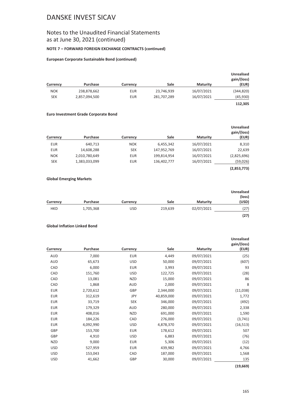### Notes to the Unaudited Financial Statements as at June 30, 2021 (continued)

#### **NOTE 7 – FORWARD FOREIGN EXCHANGE CONTRACTS (continued)**

#### **European Corporate Sustainable Bond (continued)**

| Currency   | Purchase      | Currency   | Sale        | <b>Maturity</b> | Unrealised<br>gain/(loss)<br>(EUR) |
|------------|---------------|------------|-------------|-----------------|------------------------------------|
| <b>NOK</b> | 238,878,662   | <b>EUR</b> | 23,746,939  | 16/07/2021      | (344, 820)                         |
| <b>SEK</b> | 2,857,094,500 | <b>EUR</b> | 281,707,289 | 16/07/2021      | (45, 930)                          |
|            |               |            |             |                 | 112,305                            |

#### **Euro Investment Grade Corporate Bond**

|            |               |            |             |                 | <b>Unrealised</b><br>gain/(loss) |
|------------|---------------|------------|-------------|-----------------|----------------------------------|
| Currency   | Purchase      | Currency   | Sale        | <b>Maturity</b> | (EUR)                            |
| <b>EUR</b> | 640.713       | <b>NOK</b> | 6,455,342   | 16/07/2021      | 8,310                            |
| <b>EUR</b> | 14,608,288    | <b>SEK</b> | 147,952,769 | 16/07/2021      | 22,639                           |
| <b>NOK</b> | 2,010,780,649 | <b>EUR</b> | 199,814,954 | 16/07/2021      | (2,825,696)                      |
| <b>SEK</b> | 1,383,033,099 | <b>EUR</b> | 136,402,777 | 16/07/2021      | (59,026)                         |
|            |               |            |             |                 | (2,853,773)                      |

#### **Global Emerging Markets**

|            |           |            |         |                 | <b>Unrealised</b><br>(loss) |
|------------|-----------|------------|---------|-----------------|-----------------------------|
| Currency   | Purchase  | Currency   | Sale    | <b>Maturity</b> | (USD)                       |
| <b>HKD</b> | 1,705,368 | <b>USD</b> | 219,639 | 02/07/2021      | (27                         |
|            |           |            |         |                 | (27)                        |

#### **Global Inflation Linked Bond**

| Currency   | Purchase  | Currency   | Sale       | <b>Maturity</b> | <b>Unrealised</b><br>gain/(loss)<br>(EUR) |
|------------|-----------|------------|------------|-----------------|-------------------------------------------|
| <b>AUD</b> | 7,000     | <b>EUR</b> | 4,449      | 09/07/2021      | (25)                                      |
| <b>AUD</b> | 65,673    | <b>USD</b> | 50,000     | 09/07/2021      | (607)                                     |
| CAD        | 6,000     | <b>EUR</b> | 3,993      | 09/07/2021      | 93                                        |
| CAD        | 151,760   | <b>USD</b> | 122,725    | 09/07/2021      | (28)                                      |
| CAD        | 13,081    | <b>NZD</b> | 15,000     | 09/07/2021      | 86                                        |
| CAD        | 1,868     | <b>AUD</b> | 2,000      | 09/07/2021      | 8                                         |
| <b>EUR</b> | 2,720,612 | GBP        | 2,344,000  | 09/07/2021      | (11,038)                                  |
| EUR        | 312,619   | JPY        | 40,859,000 | 09/07/2021      | 1,772                                     |
| <b>EUR</b> | 33,719    | <b>SEK</b> | 346,000    | 09/07/2021      | (492)                                     |
| <b>EUR</b> | 179,329   | <b>AUD</b> | 280,000    | 09/07/2021      | 2,338                                     |
| <b>EUR</b> | 408,016   | <b>NZD</b> | 691,000    | 09/07/2021      | 1,590                                     |
| <b>EUR</b> | 184,226   | CAD        | 276,000    | 09/07/2021      | (3,741)                                   |
| <b>EUR</b> | 4,092,990 | <b>USD</b> | 4,878,370  | 09/07/2021      | (16, 513)                                 |
| GBP        | 153,700   | <b>EUR</b> | 178,612    | 09/07/2021      | 507                                       |
| GBP        | 4,910     | <b>USD</b> | 6,883      | 09/07/2021      | (76)                                      |
| <b>NZD</b> | 9,000     | <b>EUR</b> | 5,306      | 09/07/2021      | (12)                                      |
| <b>USD</b> | 527,959   | <b>EUR</b> | 439,982    | 09/07/2021      | 4,766                                     |
| <b>USD</b> | 153,043   | CAD        | 187,000    | 09/07/2021      | 1,568                                     |
| <b>USD</b> | 41,662    | GBP        | 30,000     | 09/07/2021      | 135                                       |
|            |           |            |            |                 | (19, 669)                                 |

165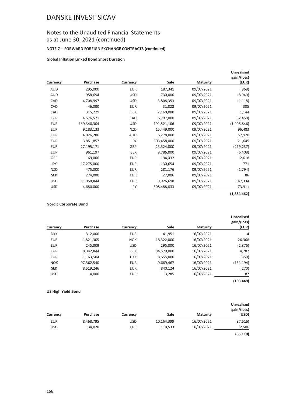## Notes to the Unaudited Financial Statements as at June 30, 2021 (continued)

#### **NOTE 7 – FORWARD FOREIGN EXCHANGE CONTRACTS (continued)**

#### **Global Inflation Linked Bond Short Duration**

| Currency   | Purchase    | Currency   | Sale        | <b>Maturity</b> | <b>Unrealised</b><br>gain/(loss)<br>(EUR) |
|------------|-------------|------------|-------------|-----------------|-------------------------------------------|
| AUD        | 295,000     | <b>EUR</b> | 187,341     | 09/07/2021      | (868)                                     |
| AUD        | 958,694     | <b>USD</b> | 730,000     | 09/07/2021      | (8,949)                                   |
| CAD        | 4,708,997   | <b>USD</b> | 3,808,353   | 09/07/2021      | (1, 118)                                  |
| CAD        | 46,000      | <b>EUR</b> | 31,022      | 09/07/2021      | 305                                       |
| CAD        | 315,279     | <b>SEK</b> | 2,160,000   | 09/07/2021      | 1,144                                     |
| <b>EUR</b> | 4,576,571   | CAD        | 6,797,000   | 09/07/2021      | (52, 459)                                 |
| <b>EUR</b> | 159,340,304 | <b>USD</b> | 191,521,106 | 09/07/2021      | (1,995,846)                               |
| <b>EUR</b> | 9,183,133   | <b>NZD</b> | 15,449,000  | 09/07/2021      | 96,483                                    |
| <b>EUR</b> | 4,026,286   | <b>AUD</b> | 6,278,000   | 09/07/2021      | 57,920                                    |
| <b>EUR</b> | 3,851,857   | JPY        | 503,458,000 | 09/07/2021      | 21,645                                    |
| <b>EUR</b> | 27,195,171  | GBP        | 23,524,000  | 09/07/2021      | (219, 237)                                |
| <b>EUR</b> | 961,197     | <b>SEK</b> | 9,786,000   | 09/07/2021      | (6,408)                                   |
| GBP        | 169,000     | <b>EUR</b> | 194,332     | 09/07/2021      | 2,618                                     |
| JPY        | 17,275,000  | EUR        | 130,654     | 09/07/2021      | 771                                       |
| NZD        | 475,000     | <b>EUR</b> | 281,176     | 09/07/2021      | (1,794)                                   |
| <b>SEK</b> | 274,000     | <b>EUR</b> | 27,006      | 09/07/2021      | 86                                        |
| <b>USD</b> | 11,958,844  | <b>EUR</b> | 9,926,698   | 09/07/2021      | 147,334                                   |
| <b>USD</b> | 4,680,000   | <b>JPY</b> | 508,488,833 | 09/07/2021      | 73,911                                    |

### **(1,884,462)**

#### **Nordic Corporate Bond**

| <b>Unrealised</b><br>gain/(loss)<br>(EUR) | <b>Maturity</b> | Sale       | Currency   | <b>Purchase</b> | Currency   |
|-------------------------------------------|-----------------|------------|------------|-----------------|------------|
| 4                                         | 16/07/2021      | 41,951     | <b>EUR</b> | 312,000         | <b>DKK</b> |
| 26,368                                    | 16/07/2021      | 18,322,000 | <b>NOK</b> | 1,821,305       | <b>EUR</b> |
| (2,876)                                   | 16/07/2021      | 295,000    | <b>USD</b> | 245.809         | <b>EUR</b> |
| 4,782                                     | 16/07/2021      | 84,579,000 | <b>SEK</b> | 8,342,844       | <b>EUR</b> |
| (350)                                     | 16/07/2021      | 8,655,000  | <b>DKK</b> | 1,163,504       | <b>EUR</b> |
| (131, 194)                                | 16/07/2021      | 9,669,467  | <b>EUR</b> | 97,362,540      | <b>NOK</b> |
| (270)                                     | 16/07/2021      | 840,124    | <b>EUR</b> | 8,519,246       | <b>SEK</b> |
| 87                                        | 16/07/2021      | 3,285      | <b>EUR</b> | 4,000           | <b>USD</b> |
| (103, 449)                                |                 |            |            |                 |            |

#### **US High Yield Bond**

| <b>Unrealised</b><br>gain/(loss)<br>(USD) | <b>Maturity</b> | Sale       | Currency   | Purchase  | Currency   |
|-------------------------------------------|-----------------|------------|------------|-----------|------------|
|                                           |                 |            |            |           |            |
| (87, 616)                                 | 16/07/2021      | 10,164,399 | <b>USD</b> | 8,468,795 | <b>EUR</b> |
| 2,506                                     | 16/07/2021      | 110,533    | <b>EUR</b> | 134,028   | USD        |
| (85, 110)                                 |                 |            |            |           |            |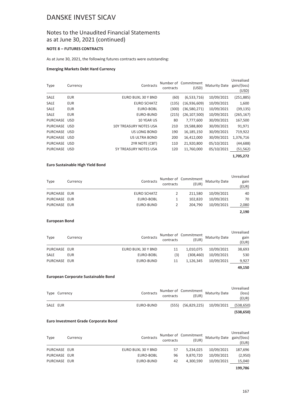### Notes to the Unaudited Financial Statements as at June 30, 2021 (continued)

#### **NOTE 8 – FUTURES CONTRACTS**

As at June 30, 2021, the following futures contracts were outstanding:

#### **Emerging Markets Debt Hard Currency**

| Type         | Currency   | Contracts                     | contracts | Number of Commitment<br>(USD) | <b>Maturity Date</b> | Unrealised<br>gain/(loss)<br>(USD) |
|--------------|------------|-------------------------------|-----------|-------------------------------|----------------------|------------------------------------|
| <b>SALE</b>  | <b>EUR</b> | EURO BUXL 30 Y BND            | (60)      | (6,533,716)                   | 10/09/2021           | (251,885)                          |
| <b>SALE</b>  | <b>EUR</b> | <b>EURO SCHATZ</b>            | (135)     | (16,936,609)                  | 10/09/2021           | 1,600                              |
| <b>SALE</b>  | <b>EUR</b> | EURO-BOBL                     | (300)     | (36,580,271)                  | 10/09/2021           | (39, 135)                          |
| <b>SALE</b>  | <b>EUR</b> | EURO-BUND                     | (215)     | (26, 107, 500)                | 10/09/2021           | (265, 167)                         |
| PURCHASE USD |            | <b>10 YEAR US</b>             | 80        | 7,777,600                     | 30/09/2021           | 167,500                            |
| PURCHASE USD |            | <b>10Y TREASURY NOTES USA</b> | 210       | 19,588,800                    | 30/09/2021           | 91,971                             |
| PURCHASE USD |            | <b>US LONG BOND</b>           | 190       | 16,185,150                    | 30/09/2021           | 719,922                            |
| PURCHASE USD |            | <b>US ULTRA BOND</b>          | 200       | 16,412,000                    | 30/09/2021           | 1,376,716                          |
| PURCHASE USD |            | 2YR NOTE (CBT)                | 110       | 21,920,800                    | 05/10/2021           | (44, 688)                          |
| PURCHASE USD |            | <b>5Y TREASURY NOTES USA</b>  | 120       | 11,760,000                    | 05/10/2021           | (51, 562)                          |
|              |            |                               |           |                               |                      | 1,705,272                          |

#### **Euro Sustainable High Yield Bond**

| <b>Type</b>  | Currency | Contracts   | contracts | Number of Commitment<br>(EUR) | <b>Maturity Date</b> | Unrealised<br>gain<br>(EUR) |
|--------------|----------|-------------|-----------|-------------------------------|----------------------|-----------------------------|
| PURCHASE EUR |          | EURO SCHATZ |           | 211.580                       | 10/09/2021           | 40                          |
| PURCHASE EUR |          | EURO-BOBL   |           | 102.820                       | 10/09/2021           | 70                          |
| PURCHASE EUR |          | EURO-BUND   |           | 204.790                       | 10/09/2021           | 2,080                       |
|              |          |             |           |                               |                      | 2,190                       |

#### **European Bond**

| Type         | Currency | Contracts          | contracts | Number of Commitment<br>(EUR) | <b>Maturity Date</b> | Unrealised<br>gain<br>(EUR) |
|--------------|----------|--------------------|-----------|-------------------------------|----------------------|-----------------------------|
| PURCHASE EUR |          | EURO BUXL 30 Y BND | 11        | 1.010.075                     | 10/09/2021           | 38,693                      |
| SALE         | EUR      | EURO-BOBL          | (3)       | (308, 460)                    | 10/09/2021           | 530                         |
| PURCHASE EUR |          | EURO-BUND          | 11        | 1.126.345                     | 10/09/2021           | 9,927                       |
|              |          |                    |           |                               |                      | 49,150                      |

#### **European Corporate Sustainable Bond**

|          | Type Currency | Contracts |                        | Number of Commitment<br>(EUR) Maturity Date | Unrealised<br>(loss)<br>(EUR) |
|----------|---------------|-----------|------------------------|---------------------------------------------|-------------------------------|
| SALE EUR |               | EURO-BUND | $(555)$ $(56,829,225)$ | 10/09/2021                                  | (538, 650)                    |
|          |               |           |                        |                                             | (538, 650)                    |

#### **Euro Investment Grade Corporate Bond**

| Type         | Currency | Contracts          | contracts | Number of Commitment<br>(EUR) | Maturity Date gain/(loss) | Unrealised<br>(EUR) |
|--------------|----------|--------------------|-----------|-------------------------------|---------------------------|---------------------|
| PURCHASE EUR |          | EURO BUXL 30 Y BND | 57        | 5.234.025                     | 10/09/2021                | 187,696             |
| PURCHASE EUR |          | EURO-BOBL          | 96        | 9.870.720                     | 10/09/2021                | (2,950)             |
| PURCHASE EUR |          | EURO-BUND          | 42        | 4.300.590                     | 10/09/2021                | 15,040              |
|              |          |                    |           |                               |                           | 199,786             |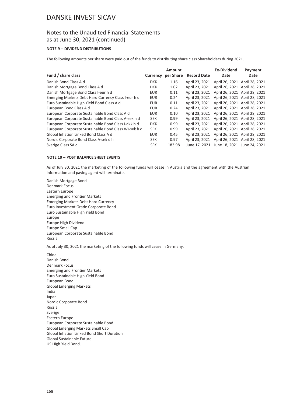### Notes to the Unaudited Financial Statements as at June 30, 2021 (continued)

### **NOTE 9 – DIVIDEND DISTRIBUTIONS**

The following amounts per share were paid out of the funds to distributing share class Shareholders during 2021.

|                                                      |                 | Amount    |                    | <b>Ex-Dividend</b>                        | Payment |
|------------------------------------------------------|-----------------|-----------|--------------------|-------------------------------------------|---------|
| Fund / share class                                   | <b>Currency</b> | per Share | <b>Record Date</b> | Date                                      | Date    |
| Danish Bond Class A d                                | <b>DKK</b>      | 1.16      | April 23, 2021     | April 26, 2021 April 28, 2021             |         |
| Danish Mortgage Bond Class A d                       | <b>DKK</b>      | 1.02      | April 23, 2021     | April 26, 2021 April 28, 2021             |         |
| Danish Mortgage Bond Class I-eur h d                 | <b>EUR</b>      | 0.11      | April 23, 2021     | April 26, 2021 April 28, 2021             |         |
| Emerging Markets Debt Hard Currency Class I-eur h d  | <b>EUR</b>      | 0.24      | April 23, 2021     | April 26, 2021 April 28, 2021             |         |
| Euro Sustainable High Yield Bond Class A d           | <b>EUR</b>      | 0.11      | April 23, 2021     | April 26, 2021 April 28, 2021             |         |
| European Bond Class A d                              | <b>EUR</b>      | 0.24      | April 23, 2021     | April 26, 2021 April 28, 2021             |         |
| European Corporate Sustainable Bond Class A d        | <b>EUR</b>      | 0.10      | April 23, 2021     | April 26, 2021 April 28, 2021             |         |
| European Corporate Sustainable Bond Class A-sek h d  | <b>SEK</b>      | 0.99      | April 23, 2021     | April 26, 2021 April 28, 2021             |         |
| European Corporate Sustainable Bond Class I-dkk h d  | <b>DKK</b>      | 0.99      | April 23, 2021     | April 26, 2021 April 28, 2021             |         |
| European Corporate Sustainable Bond Class WI-sek h d | <b>SEK</b>      | 0.99      | April 23, 2021     | April 26, 2021 April 28, 2021             |         |
| Global Inflation Linked Bond Class A d               | <b>EUR</b>      | 0.45      | April 23, 2021     | April 26, 2021 April 28, 2021             |         |
| Nordic Corporate Bond Class A-sek d h                | <b>SEK</b>      | 0.97      | April 23, 2021     | April 26, 2021 April 28, 2021             |         |
| Sverige Class SA d                                   | <b>SEK</b>      | 183.98    |                    | June 17, 2021 June 18, 2021 June 24, 2021 |         |

#### **NOTE 10 – POST BALANCE SHEET EVENTS**

As of July 30, 2021 the marketing of the following funds will cease in Austria and the agreement with the Austrian information and paying agent will terminate.

Danish Mortgage Bond Denmark Focus Eastern Europe Emerging and Frontier Markets Emerging Markets Debt Hard Currency Euro Investment Grade Corporate Bond Euro Sustainable High Yield Bond Europe Europe High Dividend Europe Small Cap European Corporate Sustainable Bond Russia

As of July 30, 2021 the marketing of the following funds will cease in Germany.

China Danish Bond Denmark Focus Emerging and Frontier Markets Euro Sustainable High Yield Bond European Bond Global Emerging Markets India Japan Nordic Corporate Bond Russia Sverige Eastern Europe European Corporate Sustainable Bond Global Emerging Markets Small Cap Global Inflation Linked Bond Short Duration Global Sustainable Future US High Yield Bond.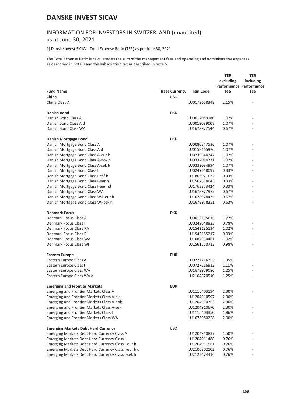# INFORMATION FOR INVESTORS IN SWITZERLAND (unaudited)

### as at June 30, 2021

1) Danske Invest SICAV - Total Expense Ratio (TER) as per June 30, 2021

The Total Expense Ratio is calculated as the sum of the management fees and operating and administrative expenses as described in note 3 and the subscription tax as described in note 5.

|                                                     |                      |                  | <b>TER</b><br>excluding<br>Performance Performance | TER<br>including |
|-----------------------------------------------------|----------------------|------------------|----------------------------------------------------|------------------|
| <b>Fund Name</b>                                    | <b>Base Currency</b> | <b>Isin Code</b> | fee                                                | fee              |
| China<br>China Class A                              | <b>USD</b>           | LU0178668348     | 2.15%                                              |                  |
|                                                     |                      |                  |                                                    |                  |
| <b>Danish Bond</b>                                  | <b>DKK</b>           |                  |                                                    |                  |
| Danish Bond Class A                                 |                      | LU0012089180     | 1.07%                                              |                  |
| Danish Bond Class A d                               |                      | LU0012089008     | 1.07%                                              |                  |
| Danish Bond Class WA                                |                      | LU1678977544     | 0.67%                                              |                  |
| Danish Mortgage Bond                                | <b>DKK</b>           |                  |                                                    |                  |
| Danish Mortgage Bond Class A                        |                      | LU0080347536     | 1.07%                                              |                  |
| Danish Mortgage Bond Class A d                      |                      | LU0158165976     | 1.07%                                              |                  |
| Danish Mortgage Bond Class A-eur h                  |                      | LU0739644747     | 1.07%                                              |                  |
| Danish Mortgage Bond Class A-nok h                  |                      | LU0332084721     | 1.07%                                              |                  |
| Danish Mortgage Bond Class A-sek h                  |                      | LU0332084994     | 1.07%                                              |                  |
| Danish Mortgage Bond Class I                        |                      | LU0249648097     | 0.33%                                              |                  |
| Danish Mortgage Bond Class I-chf h                  |                      | LU1866971622     | 0.33%                                              |                  |
| Danish Mortgage Bond Class I-eur h                  |                      | LU1567658643     | 0.33%                                              |                  |
| Danish Mortgage Bond Class I-eur hd                 |                      | LU1765873424     | 0.33%                                              |                  |
| Danish Mortgage Bond Class WA                       |                      | LU1678977973     | 0.67%                                              |                  |
| Danish Mortgage Bond Class WA-eur h                 |                      | LU1678978435     | 0.67%                                              |                  |
| Danish Mortgage Bond Class WI-sek h                 |                      | LU1678978351     | 0.63%                                              |                  |
| <b>Denmark Focus</b>                                | <b>DKK</b>           |                  |                                                    |                  |
| Denmark Focus Class A                               |                      | LU0012195615     | 1.77%                                              |                  |
| Denmark Focus Class I                               |                      | LU0249648923     | 0.78%                                              |                  |
| Denmark Focus Class RA                              |                      | LU1542185134     | 1.02%                                              |                  |
| Denmark Focus Class RI                              |                      | LU1542185217     | 0.93%                                              |                  |
| Denmark Focus Class WA                              |                      | LU1687330461     | 1.02%                                              |                  |
| Denmark Focus Class WI                              |                      | LU1561550713     | 0.98%                                              |                  |
| Eastern Europe                                      | <b>EUR</b>           |                  |                                                    |                  |
| Eastern Europe Class A                              |                      | LU0727216755     | 1.95%                                              |                  |
| Eastern Europe Class I                              |                      | LU0727216912     | 1.11%                                              |                  |
| Eastern Europe Class WA                             |                      | LU1678979086     | 1.25%                                              |                  |
| Eastern Europe Class WA d                           |                      | LU2164670510     | 1.25%                                              |                  |
| <b>Emerging and Frontier Markets</b>                | <b>EUR</b>           |                  |                                                    |                  |
| <b>Emerging and Frontier Markets Class A</b>        |                      | LU1116403194     | 2.30%                                              |                  |
| Emerging and Frontier Markets Class A-dkk           |                      | LU1204910597     | 2.30%                                              |                  |
| <b>Emerging and Frontier Markets Class A-nok</b>    |                      | LU1204910753     | 2.30%                                              |                  |
| Emerging and Frontier Markets Class A-sek           |                      | LU1204910670     | 2.30%                                              |                  |
| <b>Emerging and Frontier Markets Class I</b>        |                      | LU1116403350     | 1.86%                                              |                  |
| Emerging and Frontier Markets Class WA              |                      | LU1678980258     | 2.00%                                              |                  |
| <b>Emerging Markets Debt Hard Currency</b>          | <b>USD</b>           |                  |                                                    |                  |
| Emerging Markets Debt Hard Currency Class A         |                      | LU1204910837     | 1.50%                                              |                  |
| <b>Emerging Markets Debt Hard Currency Class I</b>  |                      | LU1204911488     | 0.76%                                              |                  |
| Emerging Markets Debt Hard Currency Class I-eur h   |                      | LU1204911561     | 0.76%                                              |                  |
| Emerging Markets Debt Hard Currency Class I-eur h d |                      | LU2100802102     | 0.76%                                              |                  |
| Emerging Markets Debt Hard Currency Class I-sek h   |                      | LU2125474416     | 0.76%                                              |                  |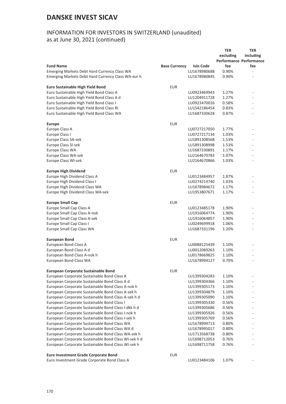### INFORMATION FOR INVESTORS IN SWITZERLAND (unaudited) as at June 30, 2021 (continued)

**Fund Name**<br>Emerging Markets Debt Hard Currency Class WA<br>LU1678980688 **TER excluding Performance Performance fee**<br>0.90% **TER including fee** Emerging Markets Debt Hard Currency Class WA<br>
Emerging Markets Debt Hard Currency Class WA-eur h<br>
LU1678980845 0.90% Emerging Markets Debt Hard Currency Class WA-eur h **Euro Sustainable High Yield Bond EUR** Euro Sustainable High Yield Bond Class A Lund LU0923469943 1.27% Euro Sustainable High Yield Bond Class A d LU1204911728 1.27% Euro Sustainable High Yield Bond Class I Lunch 2003 1000023470016 0.58% Euro Sustainable High Yield Bond Class RI Luncom and Multimateurs and LU1542186454 0.83% Euro Sustainable High Yield Bond Class WA LU1687330628 0.87% - **Europe** EUR Europe Class A 200727217050 1.77% - 2018 2019 1.77% - 2019 2019 1.77% - 2019 2019 1.77% - 2019 2019 2019 2019<br>Europe Class I LU0727217134 Europe Class SA-sek LU1891308568 1.53% - Europe Class SI-sek LU1891308998 1.53% - Europe Class WA **LU1687330891** 1.17% Europe Class WA-sek LU2164670783 1.07% - Europe Class WI-sek LU2164670866 1.03% - **Europe High Dividend** EUR Europe High Dividend Class A LU0123484957 1.87% Europe High Dividend Class I Lunch 2002/04/214740 1.03% Europe High Dividend Class WA Lunder Control 2008 2014 11:00 2014 201678984672 1.17% - Europe High Dividend Class WA<br>Europe High Dividend Class WA-sek Europe High Dividend Class WA-sek LU1953807671 1.17% **Europe Small Cap EUR** Europe Small Cap Class A **LU0123485178** 1.90% Europe Small Cap Class A-nok **A-noise Community** Control 2008 - CU1916064774 1.90% Europe Small Cap Class A-sek **LU1916064857** 1.90% Europe Small Cap Class I LU0249699918 1.06% Europe Small Cap Class WA **LU1687331196** 1.20% **European Bond** EUR European Bond Class A Contract A LU0088125439 1.10% - 1.10% - 1.10% - 1.10% - 1.10% - 1.10% - 1.10% - 1.10% - 1 European Bond Class A d **LU0012089263** 1.10% European Bond Class A-nok h and the state of the control of the LU0178669825 1.10% - 1.10% European Bond Class WA **European Bond Class WA** LU1678994127 0.70% **European Corporate Sustainable Bond EUR** European Corporate Sustainable Bond Class A Luis 2008 1.10% - LU1399304283 1.10% European Corporate Sustainable Bond Class A d
LU1399304366
1.10% European Corporate Sustainable Bond Class A-nok h LU1399305173 1.10% European Corporate Sustainable Bond Class A-sek h LU1399304879 1.10%<br>European Corporate Sustainable Bond Class A-sek h d LU1399305090 1.10% European Corporate Sustainable Bond Class A-sek h d LU1399305090 1.10% European Corporate Sustainable Bond Class I<br>
European Corporate Sustainable Bond Class I-dkk h d<br>
LU1399305686 0.56% European Corporate Sustainable Bond Class I-dkk h d LU1399305686 0.56% European Corporate Sustainable Bond Class I-nok h LU1399305926 0.56% European Corporate Sustainable Bond Class I-sek h LU1399305769 0.56% European Corporate Sustainable Bond Class WA LU1678994713 0.80% European Corporate Sustainable Bond Class WA d LU1678995017 0.80% European Corporate Sustainable Bond Class WA-sek h LU1713568738 0.80% European Corporate Sustainable Bond Class WI-sek h d LU1698712053 0.76% European Corporate Sustainable Bond Class WI-sek h LU1698711758 0.76% **Euro Investment Grade Corporate Bond EUR** 

Euro Investment Grade Corporate Bond Class A LU0123484106 1.07%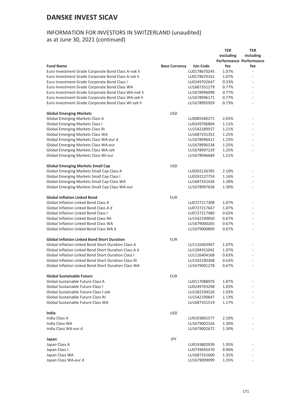## INFORMATION FOR INVESTORS IN SWITZERLAND (unaudited) as at June 30, 2021 (continued)

|                                                            |                      |                  | <b>TER</b>                     | <b>TER</b>               |
|------------------------------------------------------------|----------------------|------------------|--------------------------------|--------------------------|
|                                                            |                      |                  | excluding                      | including                |
|                                                            |                      |                  | <b>Performance Performance</b> |                          |
| <b>Fund Name</b>                                           | <b>Base Currency</b> | <b>Isin Code</b> | fee                            | fee                      |
| Euro Investment Grade Corporate Bond Class A-nok h         |                      | LU0178670245     | 1.07%                          | $\sim$                   |
| Euro Investment Grade Corporate Bond Class A-sek h         |                      | LU0178670161     | 1.07%                          |                          |
| Euro Investment Grade Corporate Bond Class I               |                      | LU0249702647     | 0.33%                          |                          |
|                                                            |                      | LU1687331279     | 0.77%                          |                          |
| Euro Investment Grade Corporate Bond Class WA              |                      |                  |                                |                          |
| Euro Investment Grade Corporate Bond Class WA-nok h        |                      | LU1678996098     | 0.77%                          |                          |
| Euro Investment Grade Corporate Bond Class WA-sek h        |                      | LU1678996171     | 0.77%                          |                          |
| Euro Investment Grade Corporate Bond Class WI-sek h        |                      | LU1678995959     | 0.73%                          | ٠                        |
| <b>Global Emerging Markets</b>                             | <b>USD</b>           |                  |                                |                          |
| <b>Global Emerging Markets Class A</b>                     |                      | LU0085580271     | 2.05%                          | $\overline{\phantom{a}}$ |
| <b>Global Emerging Markets Class I</b>                     |                      | LU0249706804     | 1.11%                          |                          |
| <b>Global Emerging Markets Class RI</b>                    |                      | LU1542189557     | 1.21%                          |                          |
| Global Emerging Markets Class WA                           |                      | LU1687331352     | 1.25%                          | $\overline{\phantom{a}}$ |
| Global Emerging Markets Class WA-eur d                     |                      | LU1678996411     | 1.25%                          | $\overline{\phantom{a}}$ |
| Global Emerging Markets Class WA-eur                       |                      | LU1678996338     | 1.25%                          |                          |
| <b>Global Emerging Markets Class WA-sek</b>                |                      | LU1678997229     | 1.25%                          |                          |
|                                                            |                      |                  |                                |                          |
| Global Emerging Markets Class WI-eur                       |                      | LU1678996684     | 1.21%                          |                          |
| <b>Global Emerging Markets Small Cap</b>                   | <b>USD</b>           |                  |                                |                          |
| Global Emerging Markets Small Cap Class A                  |                      | LU0292126785     | 2.10%                          | ٠                        |
| Global Emerging Markets Small Cap Class I                  |                      | LU0292127759     | 1.16%                          |                          |
| Global Emerging Markets Small Cap Class WA                 |                      | LU1687331436     | 1.30%                          |                          |
| Global Emerging Markets Small Cap Class WA-eur             |                      | LU1678997658     | 1.30%                          |                          |
| <b>Global Inflation Linked Bond</b>                        | <b>EUR</b>           |                  |                                |                          |
| <b>Global Inflation Linked Bond Class A</b>                |                      |                  | 1.07%                          | ÷.                       |
|                                                            |                      | LU0727217308     |                                |                          |
| Global Inflation Linked Bond Class A d                     |                      | LU0727217647     | 1.07%                          | ÷.                       |
| <b>Global Inflation Linked Bond Class I</b>                |                      | LU0727217480     | 0.63%                          |                          |
| <b>Global Inflation Linked Bond Class RA</b>               |                      | LU1542190050     | 0.67%                          |                          |
| <b>Global Inflation Linked Bond Class WA</b>               |                      | LU1679000205     | 0.67%                          | ÷                        |
| Global Inflation Linked Bond Class WA d                    |                      | LU1679000890     | 0.67%                          |                          |
| <b>Global Inflation Linked Bond Short Duration</b>         | <b>EUR</b>           |                  |                                |                          |
| <b>Global Inflation Linked Bond Short Duration Class A</b> |                      | LU1116403947     | 1.07%                          |                          |
| Global Inflation Linked Bond Short Duration Class A d      |                      | LU1204915042     | 1.07%                          |                          |
| <b>Global Inflation Linked Bond Short Duration Class I</b> |                      | LU1116404168     | 0.63%                          |                          |
| Global Inflation Linked Bond Short Duration Class RI       |                      | LU1542190308     | 0.63%                          |                          |
| Global Inflation Linked Bond Short Duration Class WA       |                      | LU1679001278     | 0.67%                          |                          |
| <b>Global Sustainable Future</b>                           | <b>EUR</b>           |                  |                                |                          |
| Global Sustainable Future Class A                          |                      | LU0117088970     | 1.87%                          |                          |
| Global Sustainable Future Class I                          |                      | LU0249703298     | 1.03%                          |                          |
| Global Sustainable Future Class I-sek                      |                      | LU2282194526     |                                |                          |
| Global Sustainable Future Class RI                         |                      | LU1542190647     | 1.03%                          |                          |
|                                                            |                      |                  | 1.13%                          |                          |
| Global Sustainable Future Class WA                         |                      | LU1687331519     | 1.17%                          |                          |
| India                                                      | <b>USD</b>           |                  |                                |                          |
| India Class A                                              |                      | LU0193801577     | 2.10%                          |                          |
| India Class WA                                             |                      | LU1679002326     | 1.30%                          |                          |
| India Class WA-eur d                                       |                      | LU1679002672     | 1.30%                          |                          |
| Japan                                                      | JPY                  |                  |                                |                          |
| Japan Class A                                              |                      | LU0193802039     | 1.95%                          |                          |
| Japan Class I                                              |                      | LU0739645470     | 0.96%                          |                          |
| Japan Class WA                                             |                      | LU1687331600     | 1.35%                          |                          |
| Japan Class WA-eur d                                       |                      | LU1679009099     | 1.35%                          |                          |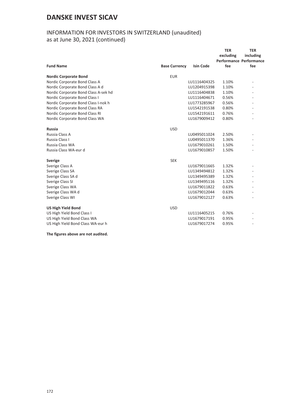## INFORMATION FOR INVESTORS IN SWITZERLAND (unaudited) as at June 30, 2021 (continued)

|                                      |                      |                  | <b>TER</b><br>excluding<br><b>Performance Performance</b> | <b>TER</b><br>including |
|--------------------------------------|----------------------|------------------|-----------------------------------------------------------|-------------------------|
| <b>Fund Name</b>                     | <b>Base Currency</b> | <b>Isin Code</b> | fee                                                       | fee                     |
| <b>Nordic Corporate Bond</b>         | <b>EUR</b>           |                  |                                                           |                         |
| Nordic Corporate Bond Class A        |                      | LU1116404325     | 1.10%                                                     |                         |
| Nordic Corporate Bond Class A d      |                      | LU1204915398     | 1.10%                                                     |                         |
| Nordic Corporate Bond Class A-sek hd |                      | LU1116404838     | 1.10%                                                     |                         |
| Nordic Corporate Bond Class I        |                      | LU1116404671     | 0.56%                                                     |                         |
| Nordic Corporate Bond Class I-nok h  |                      | LU1773285967     | 0.56%                                                     |                         |
| Nordic Corporate Bond Class RA       |                      | LU1542191538     | 0.80%                                                     |                         |
| Nordic Corporate Bond Class RI       |                      | LU1542191611     | 0.76%                                                     |                         |
| Nordic Corporate Bond Class WA       |                      | LU1679009412     | 0.80%                                                     |                         |
| <b>Russia</b>                        | <b>USD</b>           |                  |                                                           |                         |
| Russia Class A                       |                      | LU0495011024     | 2.50%                                                     |                         |
| Russia Class I                       |                      | LU0495011370     | 1.36%                                                     |                         |
| Russia Class WA                      |                      | LU1679010261     | 1.50%                                                     |                         |
| Russia Class WA-eur d                |                      | LU1679010857     | 1.50%                                                     |                         |
| <b>Sverige</b>                       | <b>SEK</b>           |                  |                                                           |                         |
| Sverige Class A                      |                      | LU1679011665     | 1.32%                                                     |                         |
| Sverige Class SA                     |                      | LU1349494812     | 1.32%                                                     |                         |
| Sverige Class SA d                   |                      | LU1349495389     | 1.32%                                                     |                         |
| Sverige Class SI                     |                      | LU1349495116     | 1.32%                                                     |                         |
| Sverige Class WA                     |                      | LU1679011822     | 0.63%                                                     |                         |
| Sverige Class WA d                   |                      | LU1679012044     | 0.63%                                                     |                         |
| Sverige Class WI                     |                      | LU1679012127     | 0.63%                                                     |                         |
| <b>US High Yield Bond</b>            | <b>USD</b>           |                  |                                                           |                         |
| US High Yield Bond Class I           |                      | LU1116405215     | 0.76%                                                     |                         |
| US High Yield Bond Class WA          |                      | LU1679017191     | 0.95%                                                     |                         |
| US High Yield Bond Class WA-eur h    |                      | LU1679017274     | 0.95%                                                     |                         |

**The figures above are not audited.**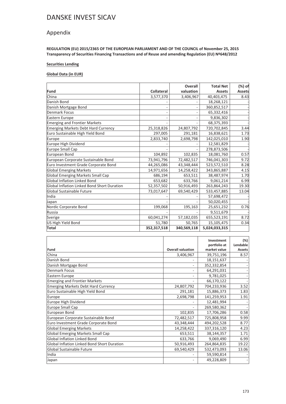### Appendix

**REGULATION (EU) 2015/2365 OF THE EUROPEAN PARLIAMENT AND OF THE COUNCIL of November 25, 2015 Transparency of Securities Financing Transactions and of Reuse and amending Regulation (EU) Nº648/2012**

#### **Securities Lending**

#### **Global Data (in EUR)**

|                                             |                   | <b>Overall</b> | <b>Total Net</b> | (%) of        |
|---------------------------------------------|-------------------|----------------|------------------|---------------|
| Fund                                        | <b>Collateral</b> | valuation      | <b>Assets</b>    | <b>Assets</b> |
| China                                       | 3,577,370         | 3,406,967      | 40,403,475       | 8.43          |
| Danish Bond                                 |                   |                | 18,268,121       |               |
| Danish Mortgage Bond                        |                   |                | 360,852,517      |               |
| Denmark Focus                               |                   |                | 65,332,416       |               |
| Eastern Europe                              |                   |                | 9,836,302        |               |
| Emerging and Frontier Markets               |                   |                | 68,375,393       |               |
| <b>Emerging Markets Debt Hard Currency</b>  | 25,318,826        | 24,807,792     | 720,702,845      | 3.44          |
| Euro Sustainable High Yield Bond            | 297,005           | 291,181        | 16,838,621       | 1.73          |
| Europe                                      | 2,833,740         | 2,698,798      | 142,025,010      | 1.90          |
| Europe High Dividend                        |                   |                | 12,581,829       |               |
| Europe Small Cap                            |                   |                | 278,873,506      |               |
| European Bond                               | 104,892           | 102,835        | 18,081,760       | 0.57          |
| European Corporate Sustainable Bond         | 73,941,796        | 72,482,517     | 746,041,303      | 9.72          |
| Euro Investment Grade Corporate Bond        | 44,265,086        | 43,348,444     | 523,572,510      | 8.28          |
| <b>Global Emerging Markets</b>              | 14,971,656        | 14,258,422     | 343,865,887      | 4.15          |
| Global Emerging Markets Small Cap           | 686,194           | 653,511        | 38,487,974       | 1.70          |
| <b>Global Inflation Linked Bond</b>         | 653,682           | 633,766        | 9,061,214        | 6.99          |
| Global Inflation Linked Bond Short Duration | 52,357,502        | 50,916,493     | 263,864,243      | 19.30         |
| Global Sustainable Future                   | 73,017,647        | 69,540,429     | 533,457,885      | 13.04         |
| India                                       |                   |                | 57,698,472       |               |
| Japan                                       |                   |                | 50,020,455       |               |
| Nordic Corporate Bond                       | 199,068           | 195,163        | 25,651,232       | 0.76          |
| Russia                                      |                   |                | 9,511,679        |               |
| Sverige                                     | 60,041,274        | 57,182,035     | 655,523,191      | 8.72          |
| US High Yield Bond                          | 51,780            | 50,765         | 15,105,475       | 0.34          |
| Total                                       | 352,317,518       | 340,569,118    | 5,024,033,315    |               |

|                                             |                          | Investment<br>portfolio at | (%)<br>Lendable |
|---------------------------------------------|--------------------------|----------------------------|-----------------|
| Fund                                        | <b>Overall valuation</b> | market value               | <b>Assets</b>   |
| China                                       | 3,406,967                | 39,751,196                 | 8.57            |
| Danish Bond                                 |                          | 18,151,637                 |                 |
| Danish Mortgage Bond                        | $\overline{\phantom{0}}$ | 352,332,854                |                 |
| <b>Denmark Focus</b>                        | $\overline{\phantom{0}}$ | 64,291,031                 |                 |
| Eastern Europe                              | -                        | 9,781,025                  |                 |
| <b>Emerging and Frontier Markets</b>        |                          | 66,170,122                 |                 |
| <b>Emerging Markets Debt Hard Currency</b>  | 24,807,792               | 704,233,936                | 3.52            |
| Euro Sustainable High Yield Bond            | 291,181                  | 15,886,373                 | 1.83            |
| Europe                                      | 2,698,798                | 141,259,953                | 1.91            |
| Europe High Dividend                        |                          | 12,481,994                 |                 |
| Europe Small Cap                            |                          | 269,580,362                |                 |
| European Bond                               | 102,835                  | 17,706,286                 | 0.58            |
| European Corporate Sustainable Bond         | 72,482,517               | 725,808,958                | 9.99            |
| Euro Investment Grade Corporate Bond        | 43,348,444               | 494,202,528                | 8.77            |
| <b>Global Emerging Markets</b>              | 14,258,422               | 337,316,120                | 4.23            |
| <b>Global Emerging Markets Small Cap</b>    | 653,511                  | 38,144,357                 | 1.71            |
| <b>Global Inflation Linked Bond</b>         | 633,766                  | 9,069,490                  | 6.99            |
| Global Inflation Linked Bond Short Duration | 50,916,493               | 264,864,835                | 19.22           |
| Global Sustainable Future                   | 69,540,429               | 532,473,093                | 13.06           |
| India                                       |                          | 59,590,814                 |                 |
| Japan                                       | -                        | 49,228,809                 |                 |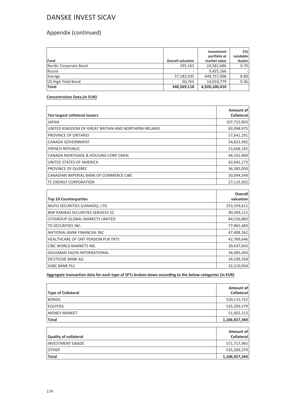## Appendix (continued)

| Fund                  | <b>Overall valuation</b> | Investment<br>portfolio at<br>market value | (%)<br>Lendable<br>Assets |
|-----------------------|--------------------------|--------------------------------------------|---------------------------|
| Nordic Corporate Bond | 195,163                  | 24,581,686                                 | 0.79                      |
| Russia                | ۰                        | 9,425,166                                  |                           |
| Sverige               | 57,182,035               | 649,757,006                                | 8.80                      |
| US High Yield Bond    | 50,765                   | 14,010,779                                 | 0.36                      |
| <b>Total</b>          | 340,569,118              | 4,920,100,410                              |                           |

#### **Concentration Data (in EUR)**

| Ten largest collateral issuers                       | Amount of<br>Collateral |
|------------------------------------------------------|-------------------------|
| <b>JAPAN</b>                                         | 107,715,893             |
| UNITED KINGDOM OF GREAT BRITAIN AND NORTHERN IRELAND | 83,998,975              |
| PROVINCE OF ONTARIO                                  | 57,641,291              |
| <b>CANADA GOVERNMENT</b>                             | 54,823,492              |
| <b>FRENCH REPUBLIC</b>                               | 53,668,165              |
| CANADA MORTGAGE & HOUSING CORP CMHC                  | 44,332,840              |
| UNITED STATES OF AMERICA                             | 42,642,173              |
| PROVINCE OF QUEBEC                                   | 36,382,050              |
| CANADIAN IMPERIAL BANK OF COMMERCE CIBC              | 30,094,549              |
| <b>TC ENERGY CORPORATION</b>                         | 27,119,302              |

|                                           | Overall     |
|-------------------------------------------|-------------|
| <b>Top 10 Counterparties</b>              | valuation   |
| MUFG SECURITIES (CANADA), LTD.            | 253,359,611 |
| <b>BNP PARIBAS SECURITIES SERVICES SC</b> | 90,399,112  |
| CITIGROUP GLOBAL MARKETS LIMITED          | 84,556,883  |
| TD SECURITIES INC.                        | 77,965,483  |
| NATIONAL BANK FINANCIAL INC               | 47,408,362  |
| <b>HEALTHCARE OF ONT PENSION PLN TRTS</b> | 42,789,646  |
| CIBC WORLD MARKETS INC.                   | 39,437,043  |
| <b>GOLDMAN SACHS INTERNATIONAL</b>        | 34,485,403  |
| <b>DEUTSCHE BANK AG</b>                   | 34,109,358  |
| <b>HSBC BANK PLC</b>                      | 32,310,934  |

**Aggregate transaction data for each type of SFTs broken down according to the below categories (in EUR)**

| <b>Type of Collateral</b> | Amount of<br><b>Collateral</b> |
|---------------------------|--------------------------------|
| <b>BONDS</b>              | 520,115,752                    |
| <b>EQUITIES</b>           | 535,209,379                    |
| <b>IMONEY MARKET</b>      | 51,602,213                     |
| <b>Total</b>              | 1,106,927,344                  |

| <b>Quality of collateral</b> | Amount of<br><b>Collateral</b> |
|------------------------------|--------------------------------|
| <b>INVESTMENT GRADE</b>      | 571,717,965                    |
| <b>OTHER</b>                 | 535,209,379                    |
| <b>Total</b>                 | 1,106,927,344                  |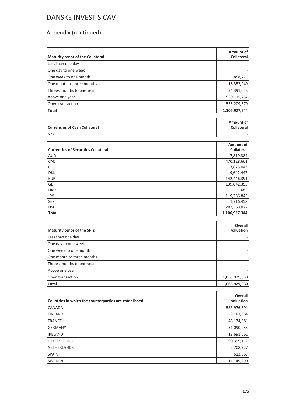## Appendix (continued)

| <b>Maturity tenor of the Collateral</b>               | Amount of<br><b>Collateral</b> |
|-------------------------------------------------------|--------------------------------|
| Less than one day                                     |                                |
| One day to one week                                   |                                |
| One week to one month                                 | 858,221                        |
| One month to three months                             | 16,352,949                     |
| Threes months to one year                             | 34,391,043                     |
| Above one year                                        | 520,115,752                    |
| Open transaction                                      | 535,209,379                    |
| <b>Total</b>                                          | 1,106,927,344                  |
|                                                       |                                |
|                                                       | Amount of                      |
| <b>Currencies of Cash Collateral</b>                  | <b>Collateral</b>              |
| N/A                                                   |                                |
|                                                       |                                |
| <b>Currencies of Securities Collateral</b>            | Amount of<br><b>Collateral</b> |
| <b>AUD</b>                                            | 7,819,384                      |
| CAD                                                   | 470,128,661                    |
| <b>CHF</b>                                            | 13,875,043                     |
| <b>DKK</b>                                            | 9,642,447                      |
| <b>EUR</b>                                            | 142,446,391                    |
| GBP                                                   | 139,642,353                    |
| <b>HKD</b>                                            | 1,685                          |
| <b>JPY</b>                                            | 119,286,845                    |
| <b>SEK</b>                                            | 1,716,458                      |
| <b>USD</b>                                            | 202,368,077                    |
| <b>Total</b>                                          | 1,106,927,344                  |
|                                                       |                                |
| <b>Maturity tenor of the SFTs</b>                     | Overall<br>valuation           |
|                                                       |                                |
| Less than one day                                     |                                |
| One day to one week                                   |                                |
| One week to one month                                 |                                |
| One month to three months                             |                                |
| Threes months to one year                             |                                |
| Above one year                                        |                                |
| Open transaction                                      | 1,063,929,030                  |
| Total                                                 | 1,063,929,030                  |
|                                                       |                                |
| Countries in which the counterparties are established | Overall<br>valuation           |
| CANADA                                                | 583,976,691                    |

FINLAND 9,183,064 FRANCE 46,174,881 GERMANY 51,090,955 **IRELAND** 18,691,061 LUXEMBOURG 90,399,112 NETHERLANDS 2,708,727  $SPAIN$  612,967 SWEDEN 11,149,290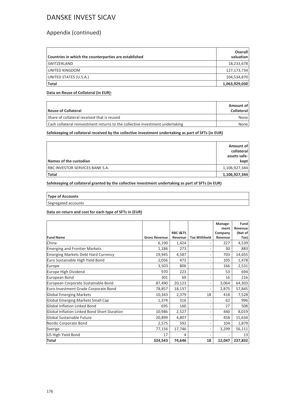### Appendix (continued)

| Countries in which the counterparties are established | <b>Overall</b><br>valuation |
|-------------------------------------------------------|-----------------------------|
| <b>SWITZERLAND</b>                                    | 18,233,678                  |
| UNITED KINGDOM                                        | 127,173,734                 |
| UNITED STATES (U.S.A.)                                | 104,534,870                 |
| Total                                                 | 1,063,929,030               |

### **Data on Reuse of Collateral (in EUR):**

| Reuse of Collateral                                                           | Amount of<br><b>Collateral</b> |
|-------------------------------------------------------------------------------|--------------------------------|
| Share of collateral received that is reused                                   | None                           |
| Cash collateral reinvestment returns to the collective investment undertaking | None l                         |

**Safekeeping of collateral received by the collective investment undertaking as part of SFTs (in EUR)**

| Names of the custodian          | Amount of<br>collateral<br>assets safe-<br>kept |
|---------------------------------|-------------------------------------------------|
| RBC INVESTOR SERVICES BANK S.A. | 1,106,927,344                                   |
| <b>Total</b>                    | 1,106,927,344                                   |

**Safekeeping of collateral granted by the collective investment undertaking as part of SFTs (in EUR)**

| <b>Type of Accounts</b> |  |
|-------------------------|--|
| Segregated accounts     |  |

#### **Data on return and cost for each type of SFTs in (EUR)**

|                                             |                      |                                |                          | Manage-<br>ment    | Fund<br>Revenue |
|---------------------------------------------|----------------------|--------------------------------|--------------------------|--------------------|-----------------|
| <b>Fund Name</b>                            | <b>Gross Revenue</b> | <b>RBC I&amp;TS</b><br>Revenue | <b>Tax Withheld</b>      | Company<br>Revenue | (Net of<br>Tax) |
| China                                       | 6,190                | 1,424                          |                          | 227                | 4,539           |
| <b>Emerging and Frontier Markets</b>        | 1,186                | 273                            | $\overline{\phantom{a}}$ | 30                 | 883             |
| <b>Emerging Markets Debt Hard Currency</b>  | 19,945               | 4,587                          | $\overline{\phantom{0}}$ | 703                | 14,655          |
| Euro Sustainable High Yield Bond            | 2,056                | 473                            | $\overline{\phantom{m}}$ | 105                | 1,478           |
| Europe                                      | 3,503                | 806                            | $\overline{\phantom{m}}$ | 166                | 2,531           |
| Europe High Dividend                        | 970                  | 223                            | $\overline{\phantom{a}}$ | 53                 | 694             |
| European Bond                               | 301                  | 69                             | $\overline{\phantom{m}}$ | 16                 | 216             |
| European Corporate Sustainable Bond         | 87,490               | 20,123                         | $\overline{\phantom{a}}$ | 3,064              | 64,303          |
| Euro Investment Grade Corporate Bond        | 78,857               | 18,137                         | $\overline{\phantom{a}}$ | 2,875              | 57,845          |
| <b>Global Emerging Markets</b>              | 10,343               | 2,379                          | 18                       | 418                | 7,528           |
| Global Emerging Markets Small Cap           | 1,374                | 316                            | $\overline{\phantom{m}}$ | 62                 | 996             |
| Global Inflation Linked Bond                | 695                  | 160                            | $\overline{\phantom{a}}$ | 27                 | 508             |
| Global Inflation Linked Bond Short Duration | 10,986               | 2,527                          | $\overline{\phantom{a}}$ | 440                | 8,019           |
| Global Sustainable Future                   | 20,899               | 4,807                          | $\overline{\phantom{m}}$ | 458                | 15,634          |
| Nordic Corporate Bond                       | 2,575                | 592                            | $\overline{\phantom{a}}$ | 104                | 1,879           |
| Sverige                                     | 77,156               | 17,746                         | $\overline{\phantom{0}}$ | 3,299              | 56,111          |
| US High Yield Bond                          | 17                   | 4                              |                          |                    | 13              |
| Total                                       | 324,543              | 74,646                         | 18                       | 12,047             | 237,832         |